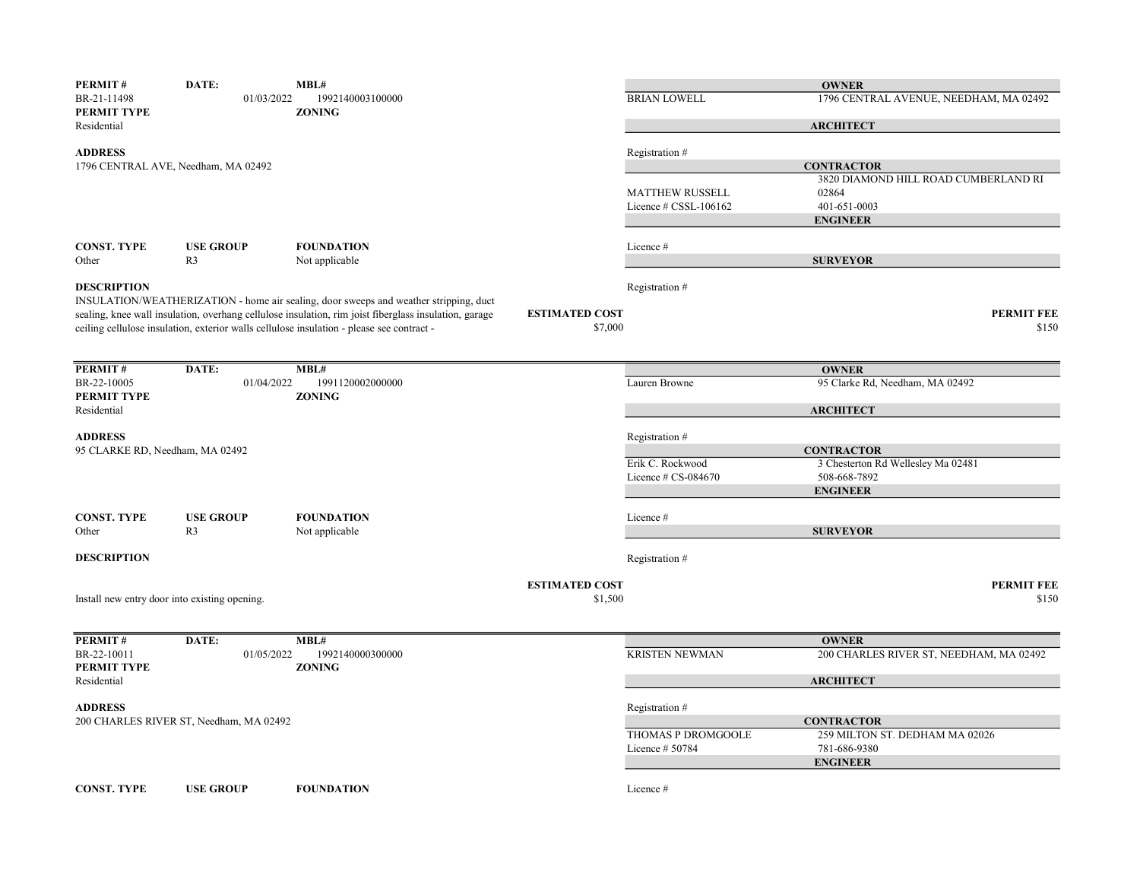| <b>PERMIT#</b>                  | DATE:                                         | MBL#                                                                                                                                                                                               |                       |                          | <b>OWNER</b>                                            |
|---------------------------------|-----------------------------------------------|----------------------------------------------------------------------------------------------------------------------------------------------------------------------------------------------------|-----------------------|--------------------------|---------------------------------------------------------|
| BR-21-11498<br>PERMIT TYPE      | 01/03/2022                                    | 1992140003100000<br><b>ZONING</b>                                                                                                                                                                  |                       | <b>BRIAN LOWELL</b>      | 1796 CENTRAL AVENUE, NEEDHAM, MA 02492                  |
| Residential                     |                                               |                                                                                                                                                                                                    |                       |                          | <b>ARCHITECT</b>                                        |
| <b>ADDRESS</b>                  |                                               |                                                                                                                                                                                                    |                       | Registration #           |                                                         |
|                                 | 1796 CENTRAL AVE, Needham, MA 02492           |                                                                                                                                                                                                    |                       |                          | <b>CONTRACTOR</b>                                       |
|                                 |                                               |                                                                                                                                                                                                    |                       |                          | 3820 DIAMOND HILL ROAD CUMBERLAND RI                    |
|                                 |                                               |                                                                                                                                                                                                    |                       | <b>MATTHEW RUSSELL</b>   | 02864                                                   |
|                                 |                                               |                                                                                                                                                                                                    |                       | Licence $\#$ CSSL-106162 | 401-651-0003                                            |
|                                 |                                               |                                                                                                                                                                                                    |                       |                          | <b>ENGINEER</b>                                         |
| <b>CONST. TYPE</b>              |                                               | <b>FOUNDATION</b>                                                                                                                                                                                  |                       |                          |                                                         |
| Other                           | <b>USE GROUP</b><br>R <sub>3</sub>            | Not applicable                                                                                                                                                                                     |                       | Licence #                | <b>SURVEYOR</b>                                         |
|                                 |                                               |                                                                                                                                                                                                    |                       |                          |                                                         |
| <b>DESCRIPTION</b>              |                                               |                                                                                                                                                                                                    |                       | Registration #           |                                                         |
|                                 |                                               | INSULATION/WEATHERIZATION - home air sealing, door sweeps and weather stripping, duct                                                                                                              | <b>ESTIMATED COST</b> |                          | <b>PERMIT FEE</b>                                       |
|                                 |                                               | sealing, knee wall insulation, overhang cellulose insulation, rim joist fiberglass insulation, garage<br>ceiling cellulose insulation, exterior walls cellulose insulation - please see contract - | \$7,000               |                          | \$150                                                   |
|                                 |                                               |                                                                                                                                                                                                    |                       |                          |                                                         |
|                                 |                                               |                                                                                                                                                                                                    |                       |                          |                                                         |
| PERMIT#                         | DATE:                                         | MBL#                                                                                                                                                                                               |                       |                          | <b>OWNER</b>                                            |
| BR-22-10005                     | 01/04/2022                                    | 1991120002000000                                                                                                                                                                                   |                       | Lauren Browne            | 95 Clarke Rd, Needham, MA 02492                         |
| PERMIT TYPE                     |                                               | <b>ZONING</b>                                                                                                                                                                                      |                       |                          |                                                         |
| Residential                     |                                               |                                                                                                                                                                                                    |                       |                          | <b>ARCHITECT</b>                                        |
| <b>ADDRESS</b>                  |                                               |                                                                                                                                                                                                    |                       | Registration #           |                                                         |
| 95 CLARKE RD, Needham, MA 02492 |                                               |                                                                                                                                                                                                    |                       |                          | <b>CONTRACTOR</b>                                       |
|                                 |                                               |                                                                                                                                                                                                    |                       | Erik C. Rockwood         | 3 Chesterton Rd Wellesley Ma 02481                      |
|                                 |                                               |                                                                                                                                                                                                    |                       | Licence # CS-084670      | 508-668-7892                                            |
|                                 |                                               |                                                                                                                                                                                                    |                       |                          | <b>ENGINEER</b>                                         |
|                                 |                                               |                                                                                                                                                                                                    |                       |                          |                                                         |
| <b>CONST. TYPE</b>              | <b>USE GROUP</b>                              | <b>FOUNDATION</b>                                                                                                                                                                                  |                       | Licence #                |                                                         |
| Other                           | R <sub>3</sub>                                | Not applicable                                                                                                                                                                                     |                       |                          | <b>SURVEYOR</b>                                         |
|                                 |                                               |                                                                                                                                                                                                    |                       |                          |                                                         |
| <b>DESCRIPTION</b>              |                                               |                                                                                                                                                                                                    |                       | Registration #           |                                                         |
|                                 |                                               |                                                                                                                                                                                                    | <b>ESTIMATED COST</b> |                          | <b>PERMIT FEE</b>                                       |
|                                 | Install new entry door into existing opening. |                                                                                                                                                                                                    | \$1,500               |                          | \$150                                                   |
|                                 |                                               |                                                                                                                                                                                                    |                       |                          |                                                         |
|                                 |                                               |                                                                                                                                                                                                    |                       |                          |                                                         |
| PERMIT#<br>BR-22-10011          | DATE:<br>01/05/2022                           | MBL#<br>1992140000300000                                                                                                                                                                           |                       | <b>KRISTEN NEWMAN</b>    | <b>OWNER</b><br>200 CHARLES RIVER ST, NEEDHAM, MA 02492 |
| PERMIT TYPE                     |                                               | <b>ZONING</b>                                                                                                                                                                                      |                       |                          |                                                         |
| Residential                     |                                               |                                                                                                                                                                                                    |                       |                          | <b>ARCHITECT</b>                                        |
|                                 |                                               |                                                                                                                                                                                                    |                       |                          |                                                         |
| <b>ADDRESS</b>                  |                                               |                                                                                                                                                                                                    |                       | Registration #           |                                                         |
|                                 | 200 CHARLES RIVER ST, Needham, MA 02492       |                                                                                                                                                                                                    |                       |                          | <b>CONTRACTOR</b>                                       |
|                                 |                                               |                                                                                                                                                                                                    |                       | THOMAS P DROMGOOLE       | 259 MILTON ST. DEDHAM MA 02026                          |
|                                 |                                               |                                                                                                                                                                                                    |                       | Licence $#50784$         | 781-686-9380                                            |
|                                 |                                               |                                                                                                                                                                                                    |                       |                          | <b>ENGINEER</b>                                         |
| <b>CONST. TYPE</b>              | <b>USE GROUP</b>                              | <b>FOUNDATION</b>                                                                                                                                                                                  |                       | Licence #                |                                                         |
|                                 |                                               |                                                                                                                                                                                                    |                       |                          |                                                         |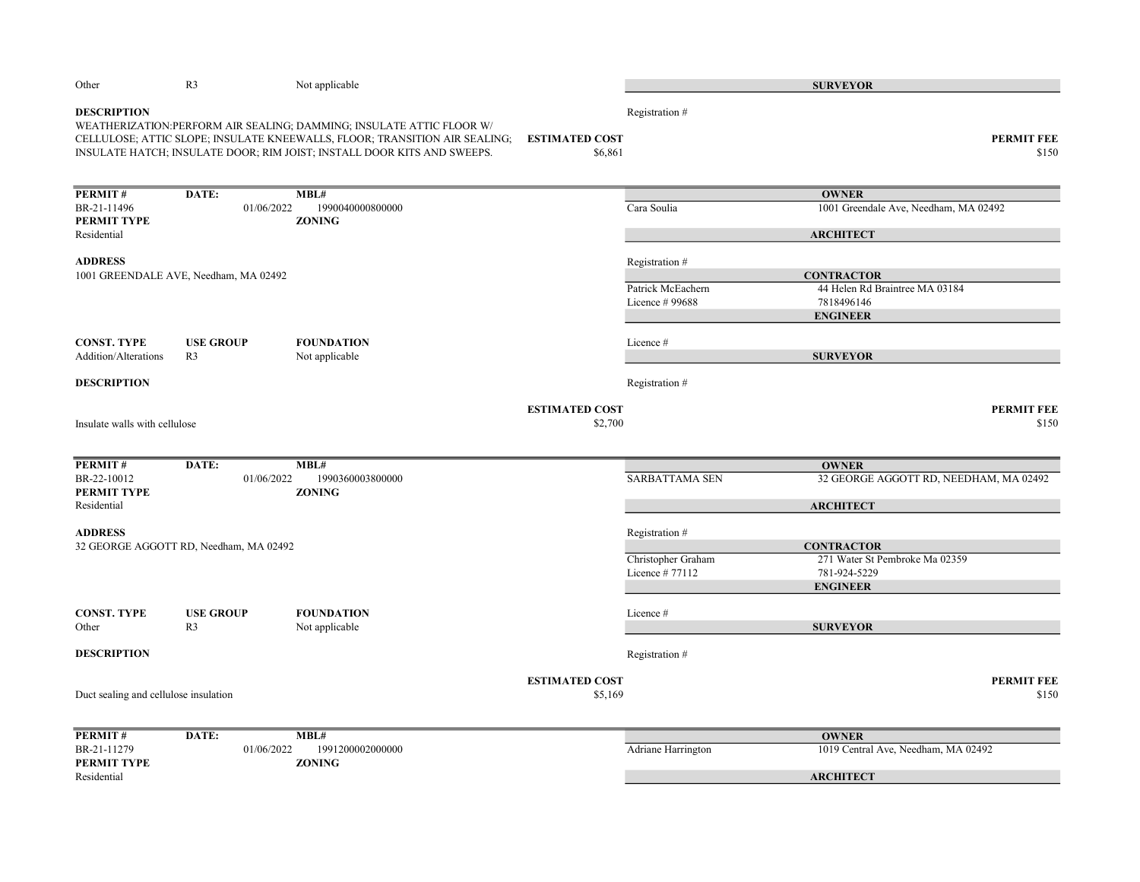| Other                                 | R <sub>3</sub>                         | Not applicable                                                                                                                                                                                                                 |                                  |                                      | <b>SURVEYOR</b>                                |
|---------------------------------------|----------------------------------------|--------------------------------------------------------------------------------------------------------------------------------------------------------------------------------------------------------------------------------|----------------------------------|--------------------------------------|------------------------------------------------|
| <b>DESCRIPTION</b>                    |                                        | WEATHERIZATION: PERFORM AIR SEALING; DAMMING; INSULATE ATTIC FLOOR W/<br>CELLULOSE; ATTIC SLOPE; INSULATE KNEEWALLS, FLOOR; TRANSITION AIR SEALING;<br>INSULATE HATCH; INSULATE DOOR; RIM JOIST; INSTALL DOOR KITS AND SWEEPS. | <b>ESTIMATED COST</b><br>\$6,861 | Registration #                       | <b>PERMIT FEE</b><br>\$150                     |
| PERMIT#                               | DATE:                                  | MBL#                                                                                                                                                                                                                           |                                  |                                      | <b>OWNER</b>                                   |
| BR-21-11496                           | 01/06/2022                             | 1990040000800000                                                                                                                                                                                                               |                                  | Cara Soulia                          | 1001 Greendale Ave, Needham, MA 02492          |
| PERMIT TYPE<br>Residential            |                                        | <b>ZONING</b>                                                                                                                                                                                                                  |                                  |                                      | <b>ARCHITECT</b>                               |
| <b>ADDRESS</b>                        |                                        |                                                                                                                                                                                                                                |                                  |                                      |                                                |
|                                       | 1001 GREENDALE AVE, Needham, MA 02492  |                                                                                                                                                                                                                                |                                  | Registration #                       | <b>CONTRACTOR</b>                              |
|                                       |                                        |                                                                                                                                                                                                                                |                                  | Patrick McEachern                    | 44 Helen Rd Braintree MA 03184                 |
|                                       |                                        |                                                                                                                                                                                                                                |                                  | Licence #99688                       | 7818496146                                     |
|                                       |                                        |                                                                                                                                                                                                                                |                                  |                                      | <b>ENGINEER</b>                                |
| <b>CONST. TYPE</b>                    | <b>USE GROUP</b>                       | <b>FOUNDATION</b>                                                                                                                                                                                                              |                                  | Licence#                             |                                                |
| Addition/Alterations                  | R <sub>3</sub>                         | Not applicable                                                                                                                                                                                                                 |                                  |                                      | <b>SURVEYOR</b>                                |
|                                       |                                        |                                                                                                                                                                                                                                |                                  |                                      |                                                |
| <b>DESCRIPTION</b>                    |                                        |                                                                                                                                                                                                                                |                                  | Registration #                       |                                                |
|                                       |                                        |                                                                                                                                                                                                                                | <b>ESTIMATED COST</b>            |                                      | <b>PERMIT FEE</b>                              |
| Insulate walls with cellulose         |                                        |                                                                                                                                                                                                                                | \$2,700                          |                                      | \$150                                          |
|                                       |                                        |                                                                                                                                                                                                                                |                                  |                                      |                                                |
| PERMIT#                               | DATE:                                  | MBL#                                                                                                                                                                                                                           |                                  |                                      | <b>OWNER</b>                                   |
| BR-22-10012<br>PERMIT TYPE            | 01/06/2022                             | 1990360003800000<br><b>ZONING</b>                                                                                                                                                                                              |                                  | <b>SARBATTAMA SEN</b>                | 32 GEORGE AGGOTT RD, NEEDHAM, MA 02492         |
| Residential                           |                                        |                                                                                                                                                                                                                                |                                  |                                      | <b>ARCHITECT</b>                               |
|                                       |                                        |                                                                                                                                                                                                                                |                                  |                                      |                                                |
| <b>ADDRESS</b>                        |                                        |                                                                                                                                                                                                                                |                                  | Registration #                       |                                                |
|                                       | 32 GEORGE AGGOTT RD, Needham, MA 02492 |                                                                                                                                                                                                                                |                                  |                                      | <b>CONTRACTOR</b>                              |
|                                       |                                        |                                                                                                                                                                                                                                |                                  | Christopher Graham<br>Licence #77112 | 271 Water St Pembroke Ma 02359<br>781-924-5229 |
|                                       |                                        |                                                                                                                                                                                                                                |                                  |                                      | <b>ENGINEER</b>                                |
|                                       |                                        |                                                                                                                                                                                                                                |                                  |                                      |                                                |
| <b>CONST. TYPE</b>                    | <b>USE GROUP</b>                       | <b>FOUNDATION</b>                                                                                                                                                                                                              |                                  | Licence #                            |                                                |
| Other                                 | R <sub>3</sub>                         | Not applicable                                                                                                                                                                                                                 |                                  |                                      | <b>SURVEYOR</b>                                |
| <b>DESCRIPTION</b>                    |                                        |                                                                                                                                                                                                                                |                                  | Registration #                       |                                                |
|                                       |                                        |                                                                                                                                                                                                                                | <b>ESTIMATED COST</b>            |                                      | <b>PERMIT FEE</b>                              |
| Duct sealing and cellulose insulation |                                        |                                                                                                                                                                                                                                | \$5,169                          |                                      | \$150                                          |
| PERMIT#                               | DATE:                                  | MBL#                                                                                                                                                                                                                           |                                  |                                      | <b>OWNER</b>                                   |
| BR-21-11279                           | 01/06/2022                             | 1991200002000000                                                                                                                                                                                                               |                                  | Adriane Harrington                   | 1019 Central Ave, Needham, MA 02492            |
| PERMIT TYPE                           |                                        | <b>ZONING</b>                                                                                                                                                                                                                  |                                  |                                      |                                                |
| Residential                           |                                        |                                                                                                                                                                                                                                |                                  |                                      | <b>ARCHITECT</b>                               |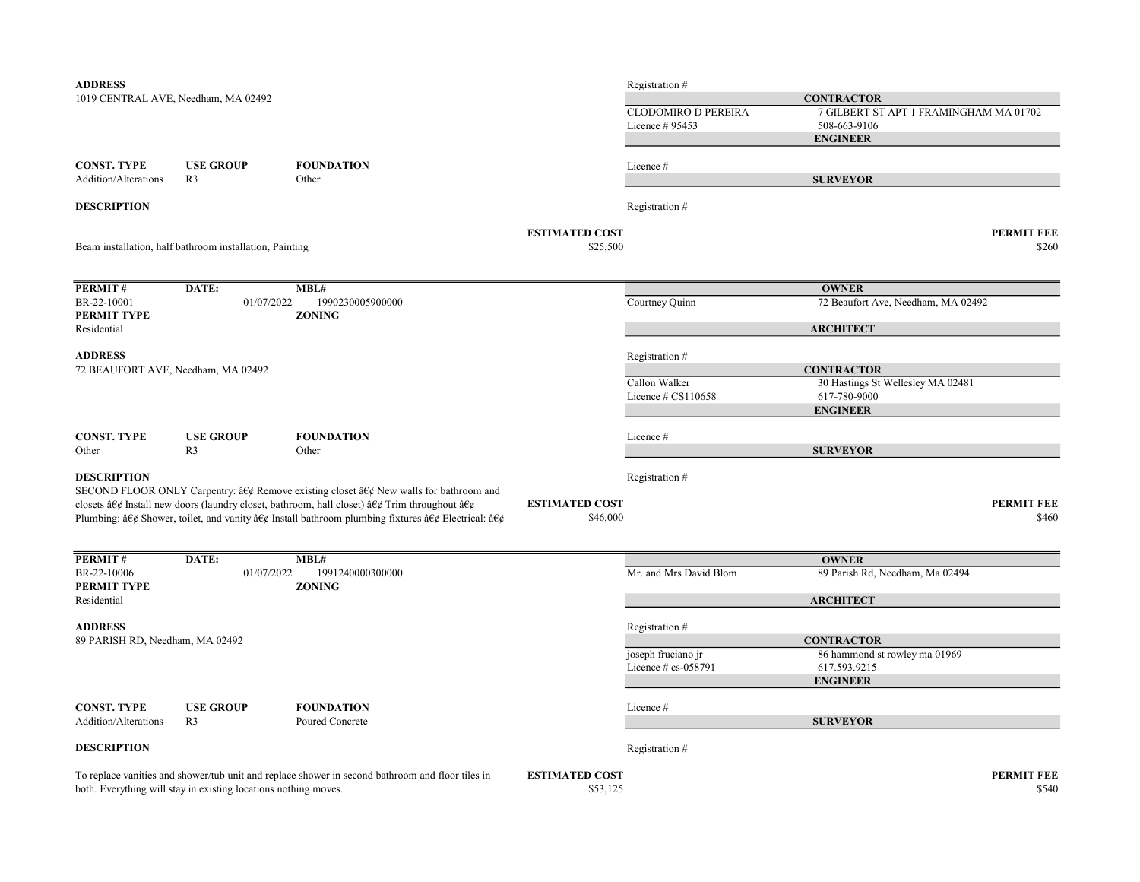| <b>ADDRESS</b>                             |                                                                 |                                                                                                                                                                                                                 |                       | Registration #             |                                        |                   |
|--------------------------------------------|-----------------------------------------------------------------|-----------------------------------------------------------------------------------------------------------------------------------------------------------------------------------------------------------------|-----------------------|----------------------------|----------------------------------------|-------------------|
|                                            | 1019 CENTRAL AVE, Needham, MA 02492                             |                                                                                                                                                                                                                 |                       |                            | <b>CONTRACTOR</b>                      |                   |
|                                            |                                                                 |                                                                                                                                                                                                                 |                       | <b>CLODOMIRO D PEREIRA</b> | 7 GILBERT ST APT 1 FRAMINGHAM MA 01702 |                   |
|                                            |                                                                 |                                                                                                                                                                                                                 |                       | Licence # 95453            | 508-663-9106                           |                   |
|                                            |                                                                 |                                                                                                                                                                                                                 |                       |                            | <b>ENGINEER</b>                        |                   |
|                                            |                                                                 |                                                                                                                                                                                                                 |                       |                            |                                        |                   |
| <b>CONST. TYPE</b>                         | <b>USE GROUP</b>                                                | <b>FOUNDATION</b>                                                                                                                                                                                               |                       | Licence #                  |                                        |                   |
| Addition/Alterations                       | R <sub>3</sub>                                                  | Other                                                                                                                                                                                                           |                       |                            | <b>SURVEYOR</b>                        |                   |
| <b>DESCRIPTION</b>                         |                                                                 |                                                                                                                                                                                                                 |                       | Registration #             |                                        |                   |
|                                            |                                                                 |                                                                                                                                                                                                                 | <b>ESTIMATED COST</b> |                            |                                        | <b>PERMIT FEE</b> |
|                                            | Beam installation, half bathroom installation, Painting         |                                                                                                                                                                                                                 | \$25,500              |                            |                                        | \$260             |
| PERMIT#                                    | DATE:                                                           | MBL#                                                                                                                                                                                                            |                       |                            | <b>OWNER</b>                           |                   |
| BR-22-10001                                | 01/07/2022                                                      | 1990230005900000                                                                                                                                                                                                |                       | Courtney Quinn             | 72 Beaufort Ave, Needham, MA 02492     |                   |
| PERMIT TYPE                                |                                                                 | <b>ZONING</b>                                                                                                                                                                                                   |                       |                            |                                        |                   |
| Residential                                |                                                                 |                                                                                                                                                                                                                 |                       |                            | <b>ARCHITECT</b>                       |                   |
| <b>ADDRESS</b>                             |                                                                 |                                                                                                                                                                                                                 |                       | Registration #             |                                        |                   |
| 72 BEAUFORT AVE, Needham, MA 02492         |                                                                 |                                                                                                                                                                                                                 |                       |                            | <b>CONTRACTOR</b>                      |                   |
|                                            |                                                                 |                                                                                                                                                                                                                 |                       | Callon Walker              | 30 Hastings St Wellesley MA 02481      |                   |
|                                            |                                                                 |                                                                                                                                                                                                                 |                       | Licence $\#$ CS110658      | 617-780-9000                           |                   |
|                                            |                                                                 |                                                                                                                                                                                                                 |                       |                            | <b>ENGINEER</b>                        |                   |
| <b>CONST. TYPE</b>                         | <b>USE GROUP</b>                                                | <b>FOUNDATION</b>                                                                                                                                                                                               |                       | Licence #                  |                                        |                   |
| Other                                      | R <sub>3</sub>                                                  | Other                                                                                                                                                                                                           |                       |                            | <b>SURVEYOR</b>                        |                   |
|                                            |                                                                 |                                                                                                                                                                                                                 |                       |                            |                                        |                   |
| <b>DESCRIPTION</b>                         |                                                                 |                                                                                                                                                                                                                 |                       | Registration #             |                                        |                   |
|                                            |                                                                 | SECOND FLOOR ONLY Carpentry: $\hat{a}\hat{\epsilon}\phi$ Remove existing closet $\hat{a}\hat{\epsilon}\phi$ New walls for bathroom and                                                                          |                       |                            |                                        |                   |
|                                            |                                                                 | closets â $\epsilon \notin$ Install new doors (laundry closet, bathroom, hall closet) â $\epsilon \notin$ Trim throughout â $\epsilon \notin$                                                                   | <b>ESTIMATED COST</b> |                            |                                        | <b>PERMIT FEE</b> |
|                                            |                                                                 | Plumbing: $\hat{\alpha} \in \mathcal{C}$ Shower, toilet, and vanity $\hat{\alpha} \in \mathcal{C}$ Install bathroom plumbing fixtures $\hat{\alpha} \in \mathcal{C}$ Electrical: $\hat{\alpha} \in \mathcal{C}$ | \$46,000              |                            |                                        | \$460             |
| PERMIT#                                    | DATE:                                                           | MBL#                                                                                                                                                                                                            |                       |                            | <b>OWNER</b>                           |                   |
| BR-22-10006<br>PERMIT TYPE                 | 01/07/2022                                                      | 1991240000300000<br><b>ZONING</b>                                                                                                                                                                               |                       | Mr. and Mrs David Blom     | 89 Parish Rd, Needham, Ma 02494        |                   |
| Residential                                |                                                                 |                                                                                                                                                                                                                 |                       |                            | <b>ARCHITECT</b>                       |                   |
| <b>ADDRESS</b>                             |                                                                 |                                                                                                                                                                                                                 |                       |                            |                                        |                   |
| 89 PARISH RD, Needham, MA 02492            |                                                                 |                                                                                                                                                                                                                 |                       | Registration #             | <b>CONTRACTOR</b>                      |                   |
|                                            |                                                                 |                                                                                                                                                                                                                 |                       | joseph fruciano jr         | 86 hammond st rowley ma 01969          |                   |
|                                            |                                                                 |                                                                                                                                                                                                                 |                       | Licence $# cs$ -058791     | 617.593.9215                           |                   |
|                                            |                                                                 |                                                                                                                                                                                                                 |                       |                            | <b>ENGINEER</b>                        |                   |
|                                            |                                                                 |                                                                                                                                                                                                                 |                       |                            |                                        |                   |
| <b>CONST. TYPE</b><br>Addition/Alterations | <b>USE GROUP</b><br>R <sub>3</sub>                              | <b>FOUNDATION</b><br>Poured Concrete                                                                                                                                                                            |                       | Licence#                   | <b>SURVEYOR</b>                        |                   |
|                                            |                                                                 |                                                                                                                                                                                                                 |                       |                            |                                        |                   |
| <b>DESCRIPTION</b>                         |                                                                 |                                                                                                                                                                                                                 |                       | Registration #             |                                        |                   |
|                                            |                                                                 | To replace vanities and shower/tub unit and replace shower in second bathroom and floor tiles in                                                                                                                | <b>ESTIMATED COST</b> |                            |                                        | <b>PERMIT FEE</b> |
|                                            | both. Everything will stay in existing locations nothing moves. |                                                                                                                                                                                                                 | \$53,125              |                            |                                        | \$540             |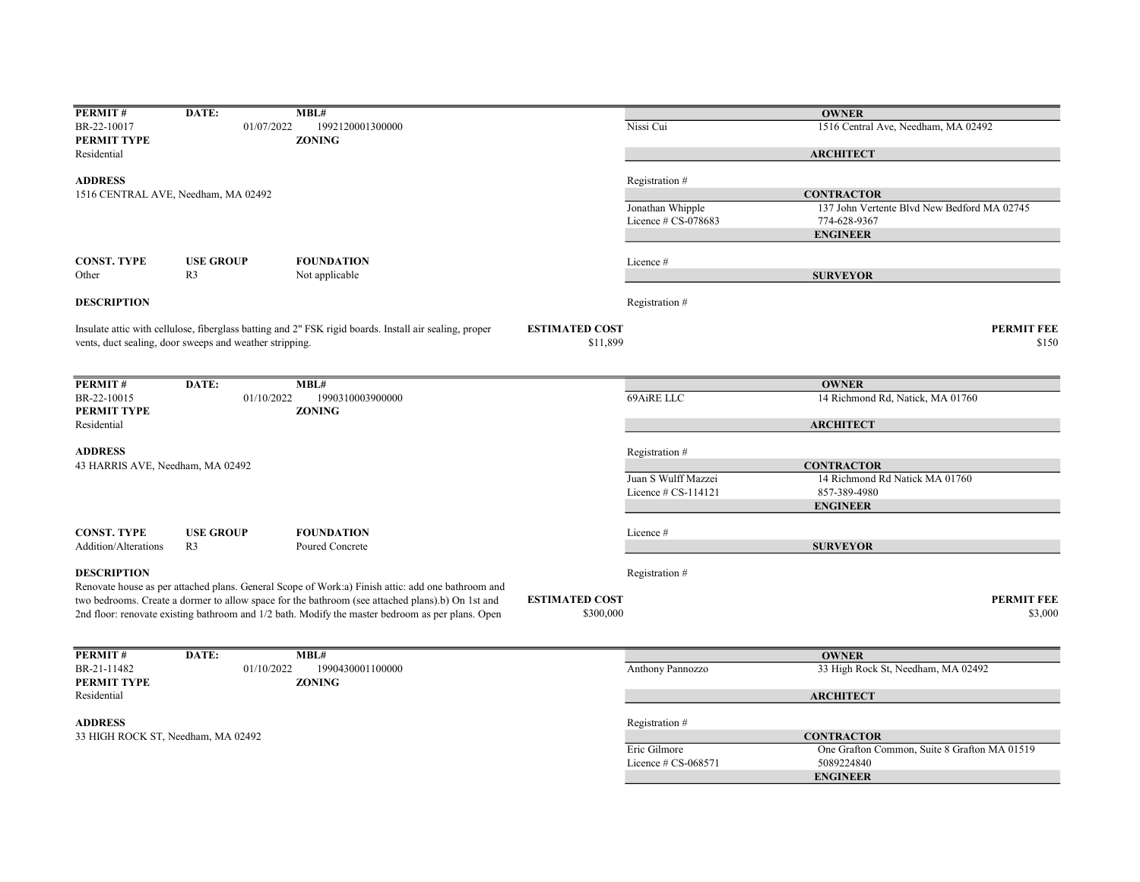| PERMIT#                            | DATE:                                                   | MBL#                                                                                                   |                       |                       | <b>OWNER</b>                                 |                   |
|------------------------------------|---------------------------------------------------------|--------------------------------------------------------------------------------------------------------|-----------------------|-----------------------|----------------------------------------------|-------------------|
| BR-22-10017                        | 01/07/2022                                              | 1992120001300000                                                                                       |                       | Nissi Cui             | 1516 Central Ave, Needham, MA 02492          |                   |
| PERMIT TYPE                        |                                                         | <b>ZONING</b>                                                                                          |                       |                       |                                              |                   |
| Residential                        |                                                         |                                                                                                        |                       |                       | <b>ARCHITECT</b>                             |                   |
|                                    |                                                         |                                                                                                        |                       |                       |                                              |                   |
| <b>ADDRESS</b>                     |                                                         |                                                                                                        |                       | Registration #        |                                              |                   |
|                                    | 1516 CENTRAL AVE, Needham, MA 02492                     |                                                                                                        |                       |                       | <b>CONTRACTOR</b>                            |                   |
|                                    |                                                         |                                                                                                        |                       | Jonathan Whipple      | 137 John Vertente Blvd New Bedford MA 02745  |                   |
|                                    |                                                         |                                                                                                        |                       | Licence # CS-078683   | 774-628-9367                                 |                   |
|                                    |                                                         |                                                                                                        |                       |                       | <b>ENGINEER</b>                              |                   |
| <b>CONST. TYPE</b>                 | <b>USE GROUP</b>                                        | <b>FOUNDATION</b>                                                                                      |                       | Licence#              |                                              |                   |
| Other                              | R <sub>3</sub>                                          | Not applicable                                                                                         |                       |                       | <b>SURVEYOR</b>                              |                   |
|                                    |                                                         |                                                                                                        |                       |                       |                                              |                   |
| <b>DESCRIPTION</b>                 |                                                         |                                                                                                        |                       | Registration #        |                                              |                   |
|                                    |                                                         | Insulate attic with cellulose, fiberglass batting and 2" FSK rigid boards. Install air sealing, proper | <b>ESTIMATED COST</b> |                       |                                              | <b>PERMIT FEE</b> |
|                                    |                                                         |                                                                                                        | \$11,899              |                       |                                              | \$150             |
|                                    | vents, duct sealing, door sweeps and weather stripping. |                                                                                                        |                       |                       |                                              |                   |
|                                    |                                                         |                                                                                                        |                       |                       |                                              |                   |
| PERMIT#                            | DATE:                                                   | MBL#                                                                                                   |                       |                       | <b>OWNER</b>                                 |                   |
| BR-22-10015                        | 01/10/2022                                              | 1990310003900000                                                                                       |                       | 69AiRE LLC            | 14 Richmond Rd, Natick, MA 01760             |                   |
| PERMIT TYPE                        |                                                         | <b>ZONING</b>                                                                                          |                       |                       |                                              |                   |
| Residential                        |                                                         |                                                                                                        |                       |                       | <b>ARCHITECT</b>                             |                   |
|                                    |                                                         |                                                                                                        |                       |                       |                                              |                   |
| <b>ADDRESS</b>                     |                                                         |                                                                                                        |                       | Registration #        |                                              |                   |
| 43 HARRIS AVE, Needham, MA 02492   |                                                         |                                                                                                        |                       |                       | <b>CONTRACTOR</b>                            |                   |
|                                    |                                                         |                                                                                                        |                       | Juan S Wulff Mazzei   | 14 Richmond Rd Natick MA 01760               |                   |
|                                    |                                                         |                                                                                                        |                       | Licence # CS-114121   | 857-389-4980                                 |                   |
|                                    |                                                         |                                                                                                        |                       |                       | <b>ENGINEER</b>                              |                   |
|                                    |                                                         |                                                                                                        |                       |                       |                                              |                   |
| <b>CONST. TYPE</b>                 | <b>USE GROUP</b>                                        | <b>FOUNDATION</b>                                                                                      |                       | Licence #             |                                              |                   |
| Addition/Alterations               | R <sub>3</sub>                                          | Poured Concrete                                                                                        |                       |                       | <b>SURVEYOR</b>                              |                   |
| <b>DESCRIPTION</b>                 |                                                         |                                                                                                        |                       | Registration #        |                                              |                   |
|                                    |                                                         | Renovate house as per attached plans. General Scope of Work:a) Finish attic: add one bathroom and      |                       |                       |                                              |                   |
|                                    |                                                         | two bedrooms. Create a dormer to allow space for the bathroom (see attached plans).b) On 1st and       | <b>ESTIMATED COST</b> |                       |                                              | <b>PERMIT FEE</b> |
|                                    |                                                         |                                                                                                        |                       |                       |                                              |                   |
|                                    |                                                         | 2nd floor: renovate existing bathroom and 1/2 bath. Modify the master bedroom as per plans. Open       | \$300,000             |                       |                                              | \$3,000           |
|                                    |                                                         |                                                                                                        |                       |                       |                                              |                   |
| PERMIT#                            | DATE:                                                   | MBL#                                                                                                   |                       |                       | <b>OWNER</b>                                 |                   |
| BR-21-11482                        | 01/10/2022                                              | 1990430001100000                                                                                       |                       | Anthony Pannozzo      | 33 High Rock St, Needham, MA 02492           |                   |
| PERMIT TYPE                        |                                                         | <b>ZONING</b>                                                                                          |                       |                       |                                              |                   |
| Residential                        |                                                         |                                                                                                        |                       |                       | <b>ARCHITECT</b>                             |                   |
|                                    |                                                         |                                                                                                        |                       |                       |                                              |                   |
| <b>ADDRESS</b>                     |                                                         |                                                                                                        |                       | Registration #        |                                              |                   |
| 33 HIGH ROCK ST, Needham, MA 02492 |                                                         |                                                                                                        |                       |                       | <b>CONTRACTOR</b>                            |                   |
|                                    |                                                         |                                                                                                        |                       | Eric Gilmore          | One Grafton Common, Suite 8 Grafton MA 01519 |                   |
|                                    |                                                         |                                                                                                        |                       | Licence $# CS-068571$ | 5089224840                                   |                   |
|                                    |                                                         |                                                                                                        |                       |                       | <b>ENGINEER</b>                              |                   |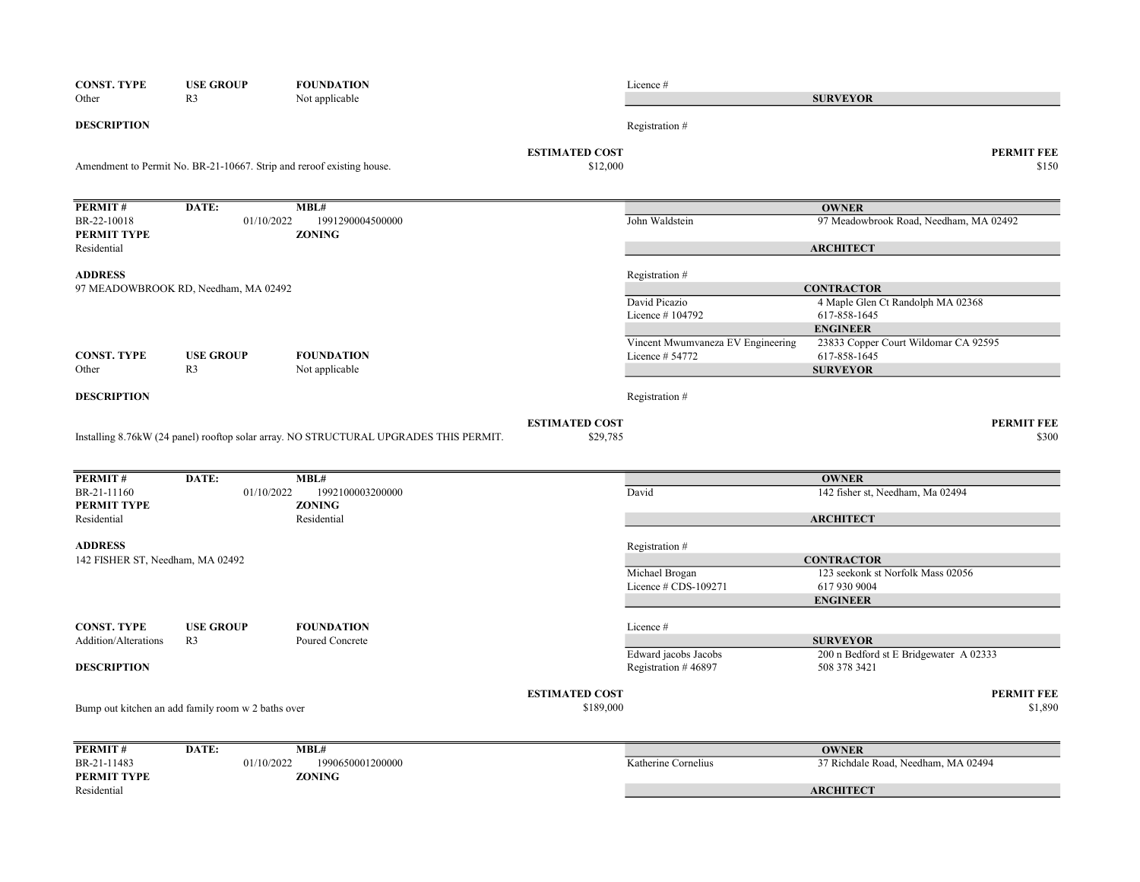| <b>CONST. TYPE</b>               | <b>USE GROUP</b>                                   | <b>FOUNDATION</b>                                                                     |                                   | Licence #                         |                                                        |
|----------------------------------|----------------------------------------------------|---------------------------------------------------------------------------------------|-----------------------------------|-----------------------------------|--------------------------------------------------------|
| Other                            | R <sub>3</sub>                                     | Not applicable                                                                        |                                   |                                   | <b>SURVEYOR</b>                                        |
| <b>DESCRIPTION</b>               |                                                    |                                                                                       |                                   | Registration #                    |                                                        |
|                                  |                                                    | Amendment to Permit No. BR-21-10667. Strip and reroof existing house.                 | <b>ESTIMATED COST</b><br>\$12,000 |                                   | <b>PERMIT FEE</b><br>\$150                             |
| PERMIT#                          | DATE:                                              | MBL#                                                                                  |                                   |                                   | <b>OWNER</b>                                           |
| BR-22-10018<br>PERMIT TYPE       | 01/10/2022                                         | 1991290004500000<br><b>ZONING</b>                                                     |                                   | John Waldstein                    | 97 Meadowbrook Road, Needham, MA 02492                 |
| Residential                      |                                                    |                                                                                       |                                   |                                   | <b>ARCHITECT</b>                                       |
| <b>ADDRESS</b>                   |                                                    |                                                                                       |                                   | Registration #                    |                                                        |
|                                  | 97 MEADOWBROOK RD, Needham, MA 02492               |                                                                                       |                                   | David Picazio                     | <b>CONTRACTOR</b><br>4 Maple Glen Ct Randolph MA 02368 |
|                                  |                                                    |                                                                                       |                                   | Licence #104792                   | 617-858-1645                                           |
|                                  |                                                    |                                                                                       |                                   |                                   | <b>ENGINEER</b>                                        |
|                                  |                                                    |                                                                                       |                                   | Vincent Mwumvaneza EV Engineering | 23833 Copper Court Wildomar CA 92595                   |
| <b>CONST. TYPE</b>               | <b>USE GROUP</b>                                   | <b>FOUNDATION</b>                                                                     |                                   | Licence # 54772                   | 617-858-1645                                           |
| Other                            | R <sub>3</sub>                                     | Not applicable                                                                        |                                   |                                   | <b>SURVEYOR</b>                                        |
| <b>DESCRIPTION</b>               |                                                    |                                                                                       |                                   | Registration #                    |                                                        |
|                                  |                                                    |                                                                                       | <b>ESTIMATED COST</b>             |                                   | <b>PERMIT FEE</b>                                      |
|                                  |                                                    | Installing 8.76kW (24 panel) rooftop solar array. NO STRUCTURAL UPGRADES THIS PERMIT. | \$29,785                          |                                   | \$300                                                  |
| PERMIT#                          | DATE:                                              | MBL#                                                                                  |                                   |                                   | <b>OWNER</b>                                           |
| BR-21-11160                      | 01/10/2022                                         | 1992100003200000                                                                      |                                   | David                             | 142 fisher st, Needham, Ma 02494                       |
| PERMIT TYPE                      |                                                    | <b>ZONING</b>                                                                         |                                   |                                   |                                                        |
| Residential                      |                                                    | Residential                                                                           |                                   |                                   | <b>ARCHITECT</b>                                       |
| <b>ADDRESS</b>                   |                                                    |                                                                                       |                                   | Registration #                    |                                                        |
| 142 FISHER ST, Needham, MA 02492 |                                                    |                                                                                       |                                   |                                   | <b>CONTRACTOR</b>                                      |
|                                  |                                                    |                                                                                       |                                   | Michael Brogan                    | 123 seekonk st Norfolk Mass 02056                      |
|                                  |                                                    |                                                                                       |                                   | Licence # CDS-109271              | 617 930 9004                                           |
|                                  |                                                    |                                                                                       |                                   |                                   | <b>ENGINEER</b>                                        |
| <b>CONST. TYPE</b>               | <b>USE GROUP</b>                                   | <b>FOUNDATION</b>                                                                     |                                   | Licence #                         |                                                        |
| <b>Addition/Alterations</b>      | R <sub>3</sub>                                     | Poured Concrete                                                                       |                                   |                                   | <b>SURVEYOR</b>                                        |
|                                  |                                                    |                                                                                       |                                   | Edward jacobs Jacobs              | 200 n Bedford st E Bridgewater A 02333                 |
| <b>DESCRIPTION</b>               |                                                    |                                                                                       |                                   | Registration #46897               | 508 378 3421                                           |
|                                  |                                                    |                                                                                       | <b>ESTIMATED COST</b>             |                                   | <b>PERMIT FEE</b>                                      |
|                                  | Bump out kitchen an add family room w 2 baths over |                                                                                       | \$189,000                         |                                   | \$1,890                                                |
|                                  |                                                    |                                                                                       |                                   |                                   |                                                        |
| PERMIT#                          | DATE:                                              | MBL#                                                                                  |                                   |                                   | <b>OWNER</b>                                           |
| BR-21-11483                      | 01/10/2022                                         | 1990650001200000                                                                      |                                   | Katherine Cornelius               | 37 Richdale Road, Needham, MA 02494                    |
| PERMIT TYPE<br>Residential       |                                                    | <b>ZONING</b>                                                                         |                                   |                                   | <b>ARCHITECT</b>                                       |
|                                  |                                                    |                                                                                       |                                   |                                   |                                                        |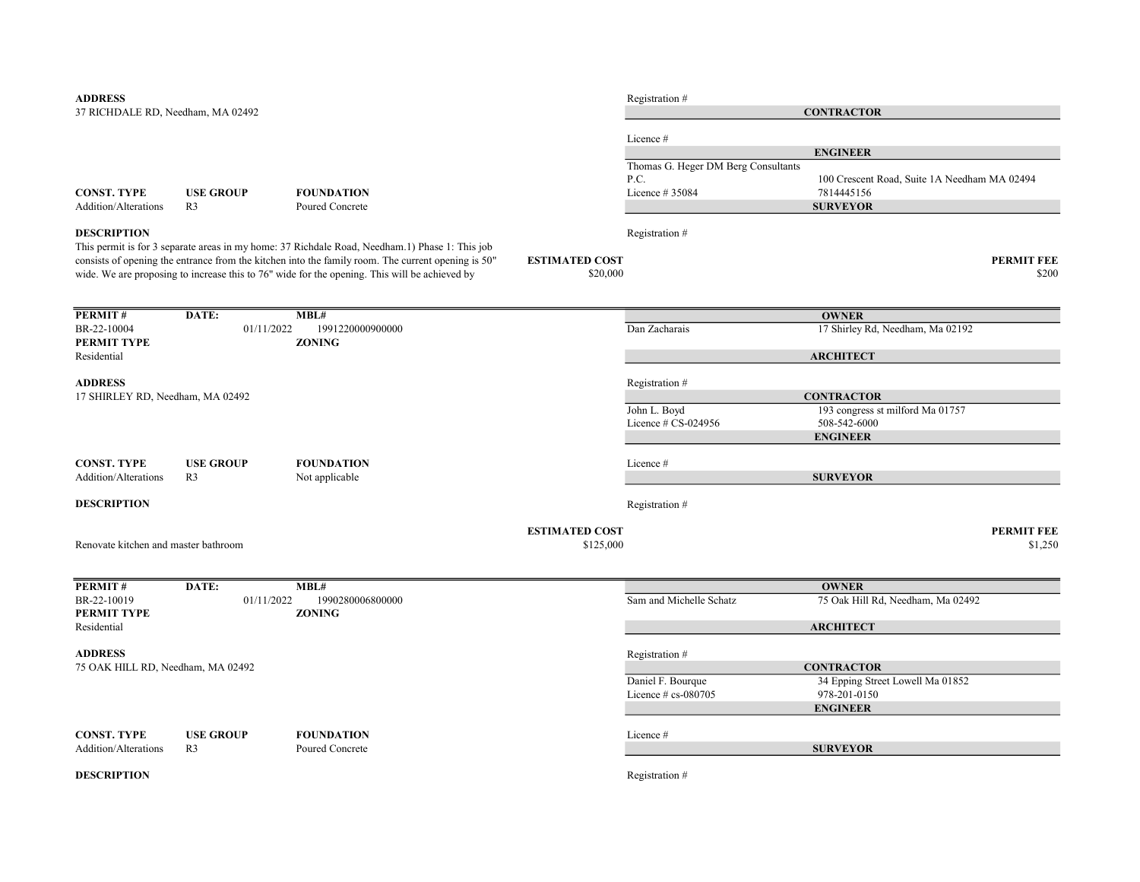| <b>ADDRESS</b>                       |                     |                                                                                                    |                       | Registration #                      |                                                   |                   |
|--------------------------------------|---------------------|----------------------------------------------------------------------------------------------------|-----------------------|-------------------------------------|---------------------------------------------------|-------------------|
| 37 RICHDALE RD, Needham, MA 02492    |                     |                                                                                                    |                       | <b>CONTRACTOR</b>                   |                                                   |                   |
|                                      |                     |                                                                                                    |                       |                                     |                                                   |                   |
|                                      |                     |                                                                                                    |                       | Licence #                           | <b>ENGINEER</b>                                   |                   |
|                                      |                     |                                                                                                    |                       | Thomas G. Heger DM Berg Consultants |                                                   |                   |
|                                      |                     |                                                                                                    |                       | P.C.                                | 100 Crescent Road, Suite 1A Needham MA 02494      |                   |
| <b>CONST. TYPE</b>                   | <b>USE GROUP</b>    | <b>FOUNDATION</b>                                                                                  |                       | Licence # 35084                     | 7814445156                                        |                   |
| Addition/Alterations                 | R <sub>3</sub>      | Poured Concrete                                                                                    |                       |                                     | <b>SURVEYOR</b>                                   |                   |
| <b>DESCRIPTION</b>                   |                     |                                                                                                    |                       | Registration #                      |                                                   |                   |
|                                      |                     | This permit is for 3 separate areas in my home: 37 Richdale Road, Needham.1) Phase 1: This job     |                       |                                     |                                                   |                   |
|                                      |                     | consists of opening the entrance from the kitchen into the family room. The current opening is 50" | <b>ESTIMATED COST</b> |                                     |                                                   | <b>PERMIT FEE</b> |
|                                      |                     | wide. We are proposing to increase this to 76" wide for the opening. This will be achieved by      | \$20,000              |                                     |                                                   | \$200             |
|                                      |                     |                                                                                                    |                       |                                     |                                                   |                   |
| PERMIT#                              | DATE:               | MBL#                                                                                               |                       |                                     | <b>OWNER</b>                                      |                   |
| BR-22-10004                          | 01/11/2022          | 1991220000900000                                                                                   |                       | Dan Zacharais                       | 17 Shirley Rd, Needham, Ma 02192                  |                   |
| PERMIT TYPE<br>Residential           |                     | <b>ZONING</b>                                                                                      |                       |                                     | <b>ARCHITECT</b>                                  |                   |
|                                      |                     |                                                                                                    |                       |                                     |                                                   |                   |
| <b>ADDRESS</b>                       |                     |                                                                                                    |                       | Registration #                      |                                                   |                   |
| 17 SHIRLEY RD, Needham, MA 02492     |                     |                                                                                                    |                       |                                     | <b>CONTRACTOR</b>                                 |                   |
|                                      |                     |                                                                                                    |                       | John L. Boyd<br>Licence # CS-024956 | 193 congress st milford Ma 01757                  |                   |
|                                      |                     |                                                                                                    |                       |                                     | 508-542-6000<br><b>ENGINEER</b>                   |                   |
|                                      |                     |                                                                                                    |                       |                                     |                                                   |                   |
| <b>CONST. TYPE</b>                   | <b>USE GROUP</b>    | <b>FOUNDATION</b>                                                                                  |                       | Licence #                           |                                                   |                   |
| Addition/Alterations                 | R <sub>3</sub>      | Not applicable                                                                                     |                       |                                     | <b>SURVEYOR</b>                                   |                   |
| <b>DESCRIPTION</b>                   |                     |                                                                                                    |                       | Registration #                      |                                                   |                   |
|                                      |                     |                                                                                                    |                       |                                     |                                                   |                   |
|                                      |                     |                                                                                                    | <b>ESTIMATED COST</b> |                                     |                                                   | <b>PERMIT FEE</b> |
| Renovate kitchen and master bathroom |                     |                                                                                                    | \$125,000             |                                     |                                                   | \$1,250           |
|                                      |                     |                                                                                                    |                       |                                     |                                                   |                   |
| <b>PERMIT#</b><br>BR-22-10019        | DATE:<br>01/11/2022 | MBL#<br>1990280006800000                                                                           |                       | Sam and Michelle Schatz             | <b>OWNER</b><br>75 Oak Hill Rd, Needham, Ma 02492 |                   |
| PERMIT TYPE                          |                     | <b>ZONING</b>                                                                                      |                       |                                     |                                                   |                   |
| Residential                          |                     |                                                                                                    |                       |                                     | <b>ARCHITECT</b>                                  |                   |
| <b>ADDRESS</b>                       |                     |                                                                                                    |                       |                                     |                                                   |                   |
| 75 OAK HILL RD, Needham, MA 02492    |                     |                                                                                                    |                       | Registration #                      | <b>CONTRACTOR</b>                                 |                   |
|                                      |                     |                                                                                                    |                       | Daniel F. Bourque                   | 34 Epping Street Lowell Ma 01852                  |                   |
|                                      |                     |                                                                                                    |                       | Licence $# cs$ -080705              | 978-201-0150                                      |                   |
|                                      |                     |                                                                                                    |                       |                                     | <b>ENGINEER</b>                                   |                   |
| <b>CONST. TYPE</b>                   | <b>USE GROUP</b>    | <b>FOUNDATION</b>                                                                                  |                       | Licence #                           |                                                   |                   |
| Addition/Alterations                 | R <sub>3</sub>      | Poured Concrete                                                                                    |                       |                                     | <b>SURVEYOR</b>                                   |                   |
|                                      |                     |                                                                                                    |                       |                                     |                                                   |                   |
| <b>DESCRIPTION</b>                   |                     |                                                                                                    |                       | Registration #                      |                                                   |                   |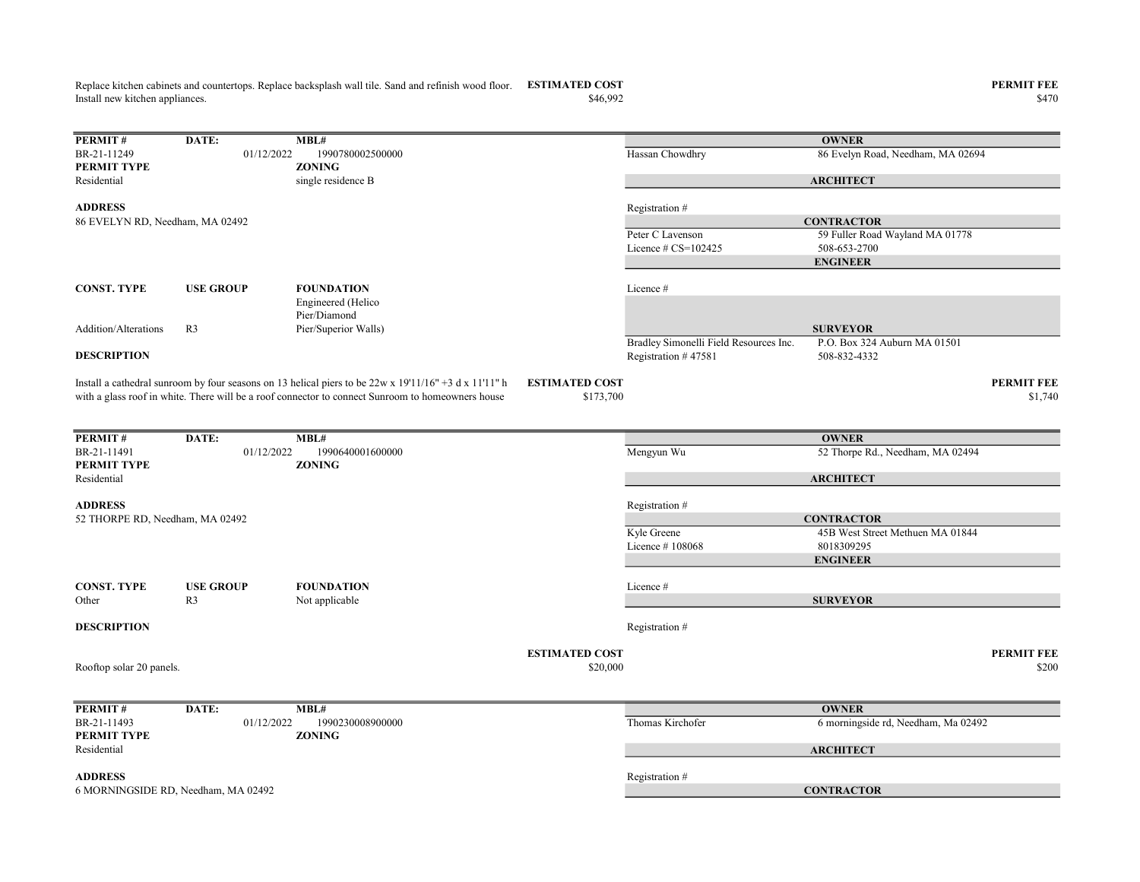Replace kitchen cabinets and countertops. Replace backsplash wall tile. Sand and refinish wood floor. ESTIMATED COST PERMIT FEE Install new kitchen appliances.

PERMIT# DATE: MBL# BR-21-11249 01/12/2022 1990780002500000 Hassan Chowdhry Hassan Chowdhry 86 Evelyn Road, Needham, MA 02694 PERMIT TYPE ZONING Residential single residence B ADDRESS Registration # Peter C Lavenson 59 Fuller Road Wayland MA 01778 Licence  $\# \text{CS} = 102425$  508-653-2700 CONST. TYPE USE GROUP FOUNDATION Licence # Addition/Alterations R3 Engineered (Helico Pier/Diamond Pier/Superior Walls) Bradley Simonelli Field Resources Inc. P.O. Box 324 Auburn MA 01501 **DESCRIPTION** Registration # 47581 508-832-4332 ESTIMATED COST PERMIT FEE  $$1,740$   $$1,740$ **PERMIT #** DATE: MBL#<br>BR-21-11491 01/12/2022 19 01/12/2022 1990640001600000 Mengyun Wu 52 Thorpe Rd., Needham, MA 02494 PERMIT TYPE ZONING Residential ADDRESS Registration # Kyle Greene 45B West Street Methuen MA 01844 Licence # 108068 8018309295 CONST. TYPE USE GROUP FOUNDATION Licence # Other R3 Not applicable **DESCRIPTION** Registration # ESTIMATED COST PERMIT FEE  $$20,000$   $$200$ **PERMIT #** DATE: MBL#<br>BR-21-11493 01/12/2022 1990230008900000 BR-21-11493 01/12/2022 1990230008900000 Thomas Kirchofer 6 morningside rd, Needham, Ma 02492<br> **PERMIT TYPE ZONING** PERMIT TYPE Residential ADDRESS Registration # **OWNER ARCHITECT CONTRACTOR** ENGINEER SURVEYOR 86 EVELYN RD, Needham, MA 02492 Rooftop solar 20 panels. **OWNER ARCHITECT** 6 MORNINGSIDE RD, Needham, MA 02492 CONTRACTOR Install a cathedral sunroom by four seasons on 13 helical piers to be  $22w \times 19'11/16'' + 3 dx 11'11'' h$ with a glass roof in white. There will be a roof connector to connect Sunroom to homeowners house **OWNER** ARCHITECT **CONTRACTOR** ENGINEER **SURVEYOR** 52 THORPE RD, Needham, MA 02492

 $\$46,992$   $\$470$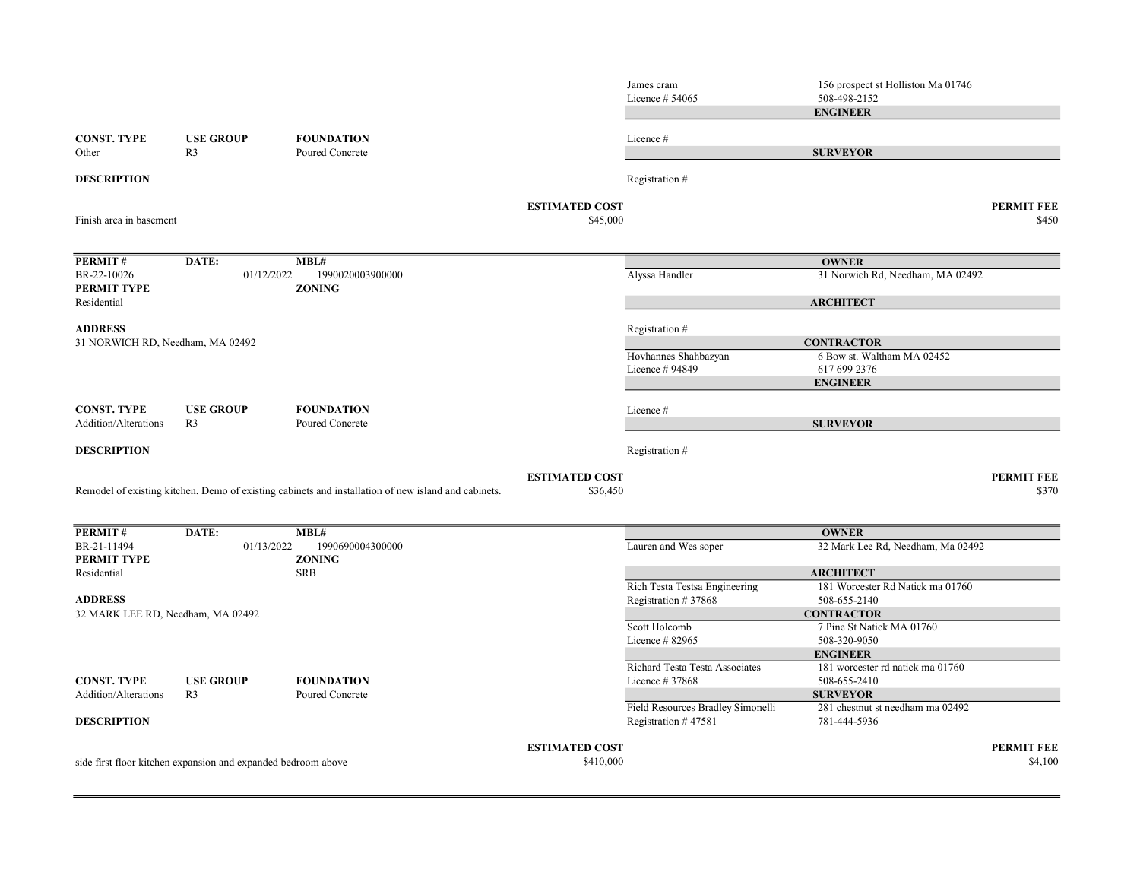|                                            |                                                               |                                                                                                     |                                   | James cram<br>Licence $#54065$    | 156 prospect st Holliston Ma 01746<br>508-498-2152  |                            |
|--------------------------------------------|---------------------------------------------------------------|-----------------------------------------------------------------------------------------------------|-----------------------------------|-----------------------------------|-----------------------------------------------------|----------------------------|
|                                            |                                                               |                                                                                                     |                                   |                                   | <b>ENGINEER</b>                                     |                            |
| <b>CONST. TYPE</b>                         | <b>USE GROUP</b>                                              | <b>FOUNDATION</b>                                                                                   |                                   | Licence #                         |                                                     |                            |
| Other                                      | R <sub>3</sub>                                                | Poured Concrete                                                                                     |                                   |                                   | <b>SURVEYOR</b>                                     |                            |
| <b>DESCRIPTION</b>                         |                                                               |                                                                                                     |                                   | Registration #                    |                                                     |                            |
| Finish area in basement                    |                                                               |                                                                                                     | <b>ESTIMATED COST</b><br>\$45,000 |                                   |                                                     | <b>PERMIT FEE</b><br>\$450 |
| PERMIT#                                    | DATE:                                                         | MBL#                                                                                                |                                   |                                   | <b>OWNER</b>                                        |                            |
| BR-22-10026<br>PERMIT TYPE                 | 01/12/2022                                                    | 1990020003900000<br><b>ZONING</b>                                                                   |                                   | Alyssa Handler                    | 31 Norwich Rd, Needham, MA 02492                    |                            |
| Residential                                |                                                               |                                                                                                     |                                   |                                   | <b>ARCHITECT</b>                                    |                            |
| <b>ADDRESS</b>                             |                                                               |                                                                                                     |                                   | Registration #                    |                                                     |                            |
| 31 NORWICH RD, Needham, MA 02492           |                                                               |                                                                                                     |                                   |                                   | <b>CONTRACTOR</b>                                   |                            |
|                                            |                                                               |                                                                                                     |                                   | Hovhannes Shahbazyan              | 6 Bow st. Waltham MA 02452<br>617 699 2376          |                            |
|                                            |                                                               |                                                                                                     |                                   | Licence # 94849                   | <b>ENGINEER</b>                                     |                            |
|                                            |                                                               |                                                                                                     |                                   |                                   |                                                     |                            |
| <b>CONST. TYPE</b><br>Addition/Alterations | <b>USE GROUP</b><br>R <sub>3</sub>                            | <b>FOUNDATION</b><br>Poured Concrete                                                                |                                   | Licence #                         | <b>SURVEYOR</b>                                     |                            |
| <b>DESCRIPTION</b>                         |                                                               |                                                                                                     |                                   | Registration #                    |                                                     |                            |
|                                            |                                                               | Remodel of existing kitchen. Demo of existing cabinets and installation of new island and cabinets. | <b>ESTIMATED COST</b><br>\$36,450 |                                   |                                                     | <b>PERMIT FEE</b><br>\$370 |
| PERMIT#                                    | DATE:                                                         | MBL#                                                                                                |                                   |                                   | <b>OWNER</b>                                        |                            |
| BR-21-11494<br>PERMIT TYPE                 | 01/13/2022                                                    | 1990690004300000<br><b>ZONING</b>                                                                   |                                   | Lauren and Wes soper              | 32 Mark Lee Rd, Needham, Ma 02492                   |                            |
| Residential                                |                                                               | <b>SRB</b>                                                                                          |                                   |                                   | <b>ARCHITECT</b>                                    |                            |
|                                            |                                                               |                                                                                                     |                                   | Rich Testa Testsa Engineering     | 181 Worcester Rd Natick ma 01760                    |                            |
| <b>ADDRESS</b>                             |                                                               |                                                                                                     |                                   | Registration #37868               | 508-655-2140                                        |                            |
| 32 MARK LEE RD, Needham, MA 02492          |                                                               |                                                                                                     |                                   | Scott Holcomb                     | <b>CONTRACTOR</b><br>7 Pine St Natick MA 01760      |                            |
|                                            |                                                               |                                                                                                     |                                   | Licence # 82965                   | 508-320-9050                                        |                            |
|                                            |                                                               |                                                                                                     |                                   |                                   | <b>ENGINEER</b>                                     |                            |
|                                            |                                                               |                                                                                                     |                                   | Richard Testa Testa Associates    | 181 worcester rd natick ma 01760                    |                            |
| <b>CONST. TYPE</b>                         | <b>USE GROUP</b>                                              | <b>FOUNDATION</b>                                                                                   |                                   | Licence #37868                    | 508-655-2410                                        |                            |
| Addition/Alterations                       | R <sub>3</sub>                                                | Poured Concrete                                                                                     |                                   | Field Resources Bradley Simonelli | <b>SURVEYOR</b><br>281 chestnut st needham ma 02492 |                            |
| <b>DESCRIPTION</b>                         |                                                               |                                                                                                     |                                   | Registration #47581               | 781-444-5936                                        |                            |
|                                            |                                                               |                                                                                                     | <b>ESTIMATED COST</b>             |                                   |                                                     | <b>PERMIT FEE</b>          |
|                                            | side first floor kitchen expansion and expanded bedroom above |                                                                                                     | \$410,000                         |                                   |                                                     | \$4,100                    |
|                                            |                                                               |                                                                                                     |                                   |                                   |                                                     |                            |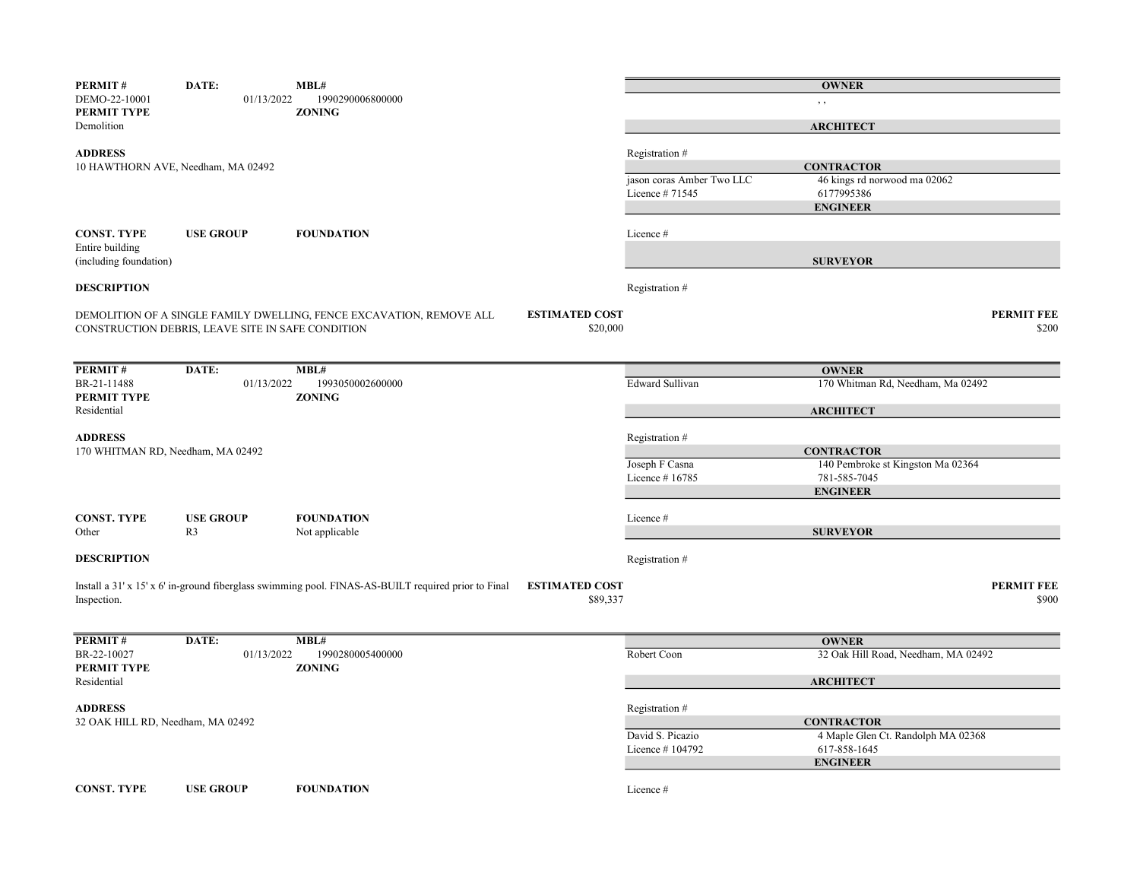| PERMIT#                                   | DATE:                                             | MBL#                                                                                                |                       |                           | <b>OWNER</b>                                           |                            |
|-------------------------------------------|---------------------------------------------------|-----------------------------------------------------------------------------------------------------|-----------------------|---------------------------|--------------------------------------------------------|----------------------------|
| DEMO-22-10001<br>PERMIT TYPE              | 01/13/2022                                        | 1990290006800000<br><b>ZONING</b>                                                                   |                       |                           | , ,                                                    |                            |
| Demolition                                |                                                   |                                                                                                     |                       |                           | <b>ARCHITECT</b>                                       |                            |
| <b>ADDRESS</b>                            |                                                   |                                                                                                     |                       | Registration #            |                                                        |                            |
|                                           | 10 HAWTHORN AVE, Needham, MA 02492                |                                                                                                     |                       |                           | <b>CONTRACTOR</b>                                      |                            |
|                                           |                                                   |                                                                                                     |                       | jason coras Amber Two LLC | 46 kings rd norwood ma 02062                           |                            |
|                                           |                                                   |                                                                                                     |                       | Licence #71545            | 6177995386                                             |                            |
|                                           |                                                   |                                                                                                     |                       |                           | <b>ENGINEER</b>                                        |                            |
| <b>CONST. TYPE</b>                        | <b>USE GROUP</b>                                  | <b>FOUNDATION</b>                                                                                   |                       | Licence#                  |                                                        |                            |
| Entire building<br>(including foundation) |                                                   |                                                                                                     |                       |                           | <b>SURVEYOR</b>                                        |                            |
| <b>DESCRIPTION</b>                        |                                                   |                                                                                                     |                       | Registration #            |                                                        |                            |
|                                           |                                                   |                                                                                                     | <b>ESTIMATED COST</b> |                           |                                                        | <b>PERMIT FEE</b>          |
|                                           | CONSTRUCTION DEBRIS, LEAVE SITE IN SAFE CONDITION | DEMOLITION OF A SINGLE FAMILY DWELLING, FENCE EXCAVATION, REMOVE ALL                                | \$20,000              |                           |                                                        | \$200                      |
|                                           |                                                   |                                                                                                     |                       |                           |                                                        |                            |
|                                           |                                                   |                                                                                                     |                       |                           |                                                        |                            |
| PERMIT#                                   | DATE:                                             | MBL#                                                                                                |                       |                           | <b>OWNER</b>                                           |                            |
| BR-21-11488                               | 01/13/2022                                        | 1993050002600000                                                                                    |                       | Edward Sullivan           | 170 Whitman Rd, Needham, Ma 02492                      |                            |
| PERMIT TYPE                               |                                                   | <b>ZONING</b>                                                                                       |                       |                           |                                                        |                            |
| Residential                               |                                                   |                                                                                                     |                       |                           | <b>ARCHITECT</b>                                       |                            |
|                                           |                                                   |                                                                                                     |                       |                           |                                                        |                            |
| <b>ADDRESS</b>                            |                                                   |                                                                                                     |                       | Registration #            |                                                        |                            |
| 170 WHITMAN RD, Needham, MA 02492         |                                                   |                                                                                                     |                       | Joseph F Casna            | <b>CONTRACTOR</b><br>140 Pembroke st Kingston Ma 02364 |                            |
|                                           |                                                   |                                                                                                     |                       | Licence #16785            | 781-585-7045                                           |                            |
|                                           |                                                   |                                                                                                     |                       |                           | <b>ENGINEER</b>                                        |                            |
|                                           |                                                   |                                                                                                     |                       |                           |                                                        |                            |
| <b>CONST. TYPE</b>                        | <b>USE GROUP</b>                                  | <b>FOUNDATION</b>                                                                                   |                       | Licence#                  |                                                        |                            |
| Other                                     | R <sub>3</sub>                                    | Not applicable                                                                                      |                       |                           | <b>SURVEYOR</b>                                        |                            |
|                                           |                                                   |                                                                                                     |                       |                           |                                                        |                            |
| <b>DESCRIPTION</b>                        |                                                   |                                                                                                     |                       | Registration #            |                                                        |                            |
|                                           |                                                   |                                                                                                     |                       |                           |                                                        |                            |
|                                           |                                                   | Install a 31' x 15' x 6' in-ground fiberglass swimming pool. FINAS-AS-BUILT required prior to Final | <b>ESTIMATED COST</b> |                           |                                                        | <b>PERMIT FEE</b><br>\$900 |
| Inspection.                               |                                                   |                                                                                                     | \$89,337              |                           |                                                        |                            |
|                                           |                                                   |                                                                                                     |                       |                           |                                                        |                            |
| PERMIT#                                   | DATE:                                             | MBL#                                                                                                |                       |                           | <b>OWNER</b>                                           |                            |
| BR-22-10027                               | 01/13/2022                                        | 1990280005400000                                                                                    |                       | Robert Coon               | 32 Oak Hill Road, Needham, MA 02492                    |                            |
| PERMIT TYPE                               |                                                   | <b>ZONING</b>                                                                                       |                       |                           |                                                        |                            |
| Residential                               |                                                   |                                                                                                     |                       |                           | <b>ARCHITECT</b>                                       |                            |
|                                           |                                                   |                                                                                                     |                       |                           |                                                        |                            |
| <b>ADDRESS</b>                            |                                                   |                                                                                                     |                       | Registration #            |                                                        |                            |
| 32 OAK HILL RD, Needham, MA 02492         |                                                   |                                                                                                     |                       |                           | <b>CONTRACTOR</b>                                      |                            |
|                                           |                                                   |                                                                                                     |                       | David S. Picazio          | 4 Maple Glen Ct. Randolph MA 02368<br>617-858-1645     |                            |
|                                           |                                                   |                                                                                                     |                       | Licence #104792           | <b>ENGINEER</b>                                        |                            |
|                                           |                                                   |                                                                                                     |                       |                           |                                                        |                            |
| <b>CONST. TYPE</b>                        | <b>USE GROUP</b>                                  | <b>FOUNDATION</b>                                                                                   |                       | Licence #                 |                                                        |                            |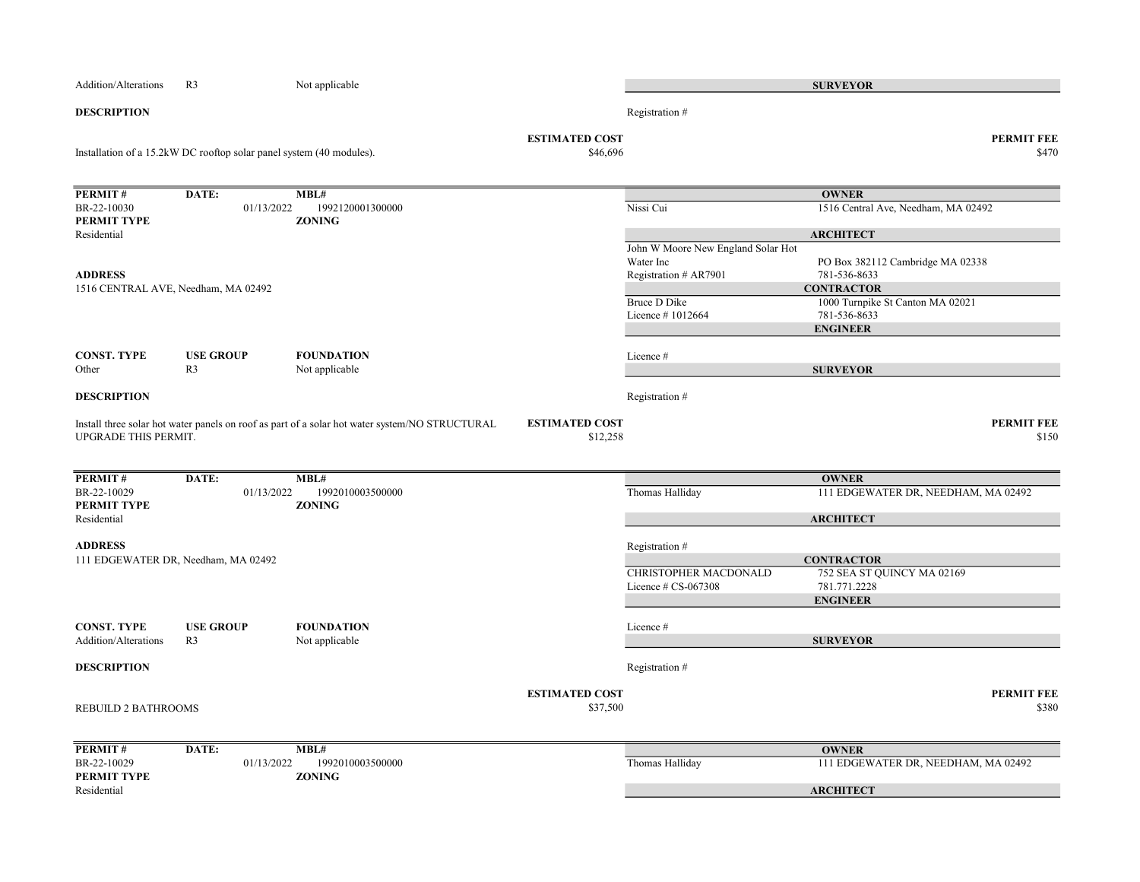| <b>Addition/Alterations</b>         | R <sub>3</sub>                                                       | Not applicable                                                                                 |                                   |                                    | <b>SURVEYOR</b>                     |                            |
|-------------------------------------|----------------------------------------------------------------------|------------------------------------------------------------------------------------------------|-----------------------------------|------------------------------------|-------------------------------------|----------------------------|
| <b>DESCRIPTION</b>                  |                                                                      |                                                                                                |                                   | Registration #                     |                                     |                            |
|                                     | Installation of a 15.2kW DC rooftop solar panel system (40 modules). |                                                                                                | <b>ESTIMATED COST</b><br>\$46,696 |                                    |                                     | <b>PERMIT FEE</b><br>\$470 |
| PERMIT#                             | DATE:                                                                | MBL#                                                                                           |                                   |                                    | <b>OWNER</b>                        |                            |
| BR-22-10030                         | 01/13/2022                                                           | 1992120001300000                                                                               |                                   | Nissi Cui                          | 1516 Central Ave, Needham, MA 02492 |                            |
| PERMIT TYPE                         |                                                                      | <b>ZONING</b>                                                                                  |                                   |                                    |                                     |                            |
| Residential                         |                                                                      |                                                                                                |                                   |                                    | <b>ARCHITECT</b>                    |                            |
|                                     |                                                                      |                                                                                                |                                   | John W Moore New England Solar Hot |                                     |                            |
| <b>ADDRESS</b>                      |                                                                      |                                                                                                |                                   | Water Inc                          | PO Box 382112 Cambridge MA 02338    |                            |
| 1516 CENTRAL AVE, Needham, MA 02492 |                                                                      |                                                                                                |                                   | Registration # AR7901              | 781-536-8633<br><b>CONTRACTOR</b>   |                            |
|                                     |                                                                      |                                                                                                |                                   | <b>Bruce D Dike</b>                | 1000 Turnpike St Canton MA 02021    |                            |
|                                     |                                                                      |                                                                                                |                                   | Licence #1012664                   | 781-536-8633                        |                            |
|                                     |                                                                      |                                                                                                |                                   |                                    | <b>ENGINEER</b>                     |                            |
|                                     |                                                                      |                                                                                                |                                   |                                    |                                     |                            |
| <b>CONST. TYPE</b>                  | <b>USE GROUP</b>                                                     | <b>FOUNDATION</b>                                                                              |                                   | Licence #                          |                                     |                            |
| Other                               | R <sub>3</sub>                                                       | Not applicable                                                                                 |                                   |                                    | <b>SURVEYOR</b>                     |                            |
| <b>DESCRIPTION</b>                  |                                                                      |                                                                                                |                                   | Registration #                     |                                     |                            |
|                                     |                                                                      |                                                                                                |                                   |                                    |                                     | <b>PERMIT FEE</b>          |
| UPGRADE THIS PERMIT.                |                                                                      | Install three solar hot water panels on roof as part of a solar hot water system/NO STRUCTURAL | <b>ESTIMATED COST</b><br>\$12,258 |                                    |                                     | \$150                      |
|                                     |                                                                      |                                                                                                |                                   |                                    |                                     |                            |
|                                     |                                                                      |                                                                                                |                                   |                                    |                                     |                            |
| PERMIT#                             | DATE:                                                                | MBL#                                                                                           |                                   |                                    | <b>OWNER</b>                        |                            |
| BR-22-10029                         | 01/13/2022                                                           | 1992010003500000                                                                               |                                   | Thomas Halliday                    | 111 EDGEWATER DR, NEEDHAM, MA 02492 |                            |
| PERMIT TYPE                         |                                                                      | <b>ZONING</b>                                                                                  |                                   |                                    |                                     |                            |
| Residential                         |                                                                      |                                                                                                |                                   |                                    | <b>ARCHITECT</b>                    |                            |
| <b>ADDRESS</b>                      |                                                                      |                                                                                                |                                   | Registration #                     |                                     |                            |
|                                     | 111 EDGEWATER DR, Needham, MA 02492                                  |                                                                                                |                                   |                                    | <b>CONTRACTOR</b>                   |                            |
|                                     |                                                                      |                                                                                                |                                   | CHRISTOPHER MACDONALD              | 752 SEA ST QUINCY MA 02169          |                            |
|                                     |                                                                      |                                                                                                |                                   | Licence $\#$ CS-067308             | 781.771.2228                        |                            |
|                                     |                                                                      |                                                                                                |                                   |                                    | <b>ENGINEER</b>                     |                            |
| <b>CONST. TYPE</b>                  | <b>USE GROUP</b>                                                     | <b>FOUNDATION</b>                                                                              |                                   | Licence #                          |                                     |                            |
| <b>Addition/Alterations</b>         | R <sub>3</sub>                                                       | Not applicable                                                                                 |                                   |                                    | <b>SURVEYOR</b>                     |                            |
|                                     |                                                                      |                                                                                                |                                   |                                    |                                     |                            |
| <b>DESCRIPTION</b>                  |                                                                      |                                                                                                |                                   | Registration #                     |                                     |                            |
|                                     |                                                                      |                                                                                                |                                   |                                    |                                     |                            |
|                                     |                                                                      |                                                                                                | <b>ESTIMATED COST</b>             |                                    |                                     | <b>PERMIT FEE</b>          |
| REBUILD 2 BATHROOMS                 |                                                                      |                                                                                                | \$37,500                          |                                    |                                     | \$380                      |
|                                     |                                                                      |                                                                                                |                                   |                                    |                                     |                            |
| PERMIT#                             | DATE:                                                                | MBL#                                                                                           |                                   |                                    | <b>OWNER</b>                        |                            |
| BR-22-10029                         | 01/13/2022                                                           | 1992010003500000                                                                               |                                   | Thomas Halliday                    | 111 EDGEWATER DR, NEEDHAM, MA 02492 |                            |
| PERMIT TYPE                         |                                                                      | <b>ZONING</b>                                                                                  |                                   |                                    |                                     |                            |
| Residential                         |                                                                      |                                                                                                |                                   |                                    | <b>ARCHITECT</b>                    |                            |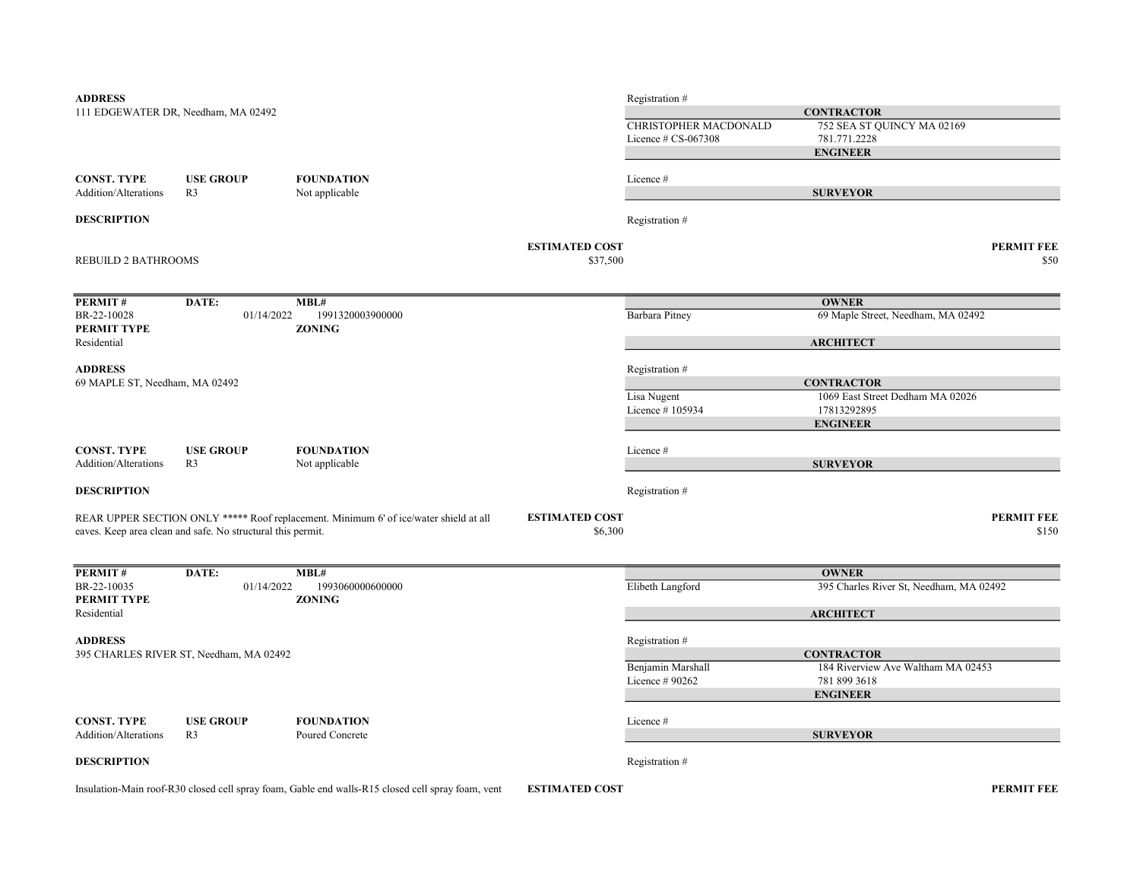| <b>ADDRESS</b>                                    |                                                             |                                                                                       |                       | Registration #                 |                                                 |                   |
|---------------------------------------------------|-------------------------------------------------------------|---------------------------------------------------------------------------------------|-----------------------|--------------------------------|-------------------------------------------------|-------------------|
|                                                   | 111 EDGEWATER DR, Needham, MA 02492                         |                                                                                       |                       |                                | <b>CONTRACTOR</b>                               |                   |
|                                                   |                                                             |                                                                                       |                       | CHRISTOPHER MACDONALD          | 752 SEA ST QUINCY MA 02169                      |                   |
|                                                   |                                                             |                                                                                       |                       | Licence $\#$ CS-067308         | 781.771.2228                                    |                   |
|                                                   |                                                             |                                                                                       |                       |                                | <b>ENGINEER</b>                                 |                   |
|                                                   |                                                             |                                                                                       |                       |                                |                                                 |                   |
| <b>CONST. TYPE</b><br><b>Addition/Alterations</b> | <b>USE GROUP</b><br>R <sub>3</sub>                          | <b>FOUNDATION</b>                                                                     |                       | Licence #                      |                                                 |                   |
|                                                   |                                                             | Not applicable                                                                        |                       |                                | <b>SURVEYOR</b>                                 |                   |
| <b>DESCRIPTION</b>                                |                                                             |                                                                                       |                       | Registration #                 |                                                 |                   |
|                                                   |                                                             |                                                                                       | <b>ESTIMATED COST</b> |                                |                                                 | <b>PERMIT FEE</b> |
| REBUILD 2 BATHROOMS                               |                                                             |                                                                                       | \$37,500              |                                |                                                 | \$50              |
|                                                   |                                                             |                                                                                       |                       |                                |                                                 |                   |
| PERMIT#                                           | DATE:                                                       | MBL#                                                                                  |                       |                                | <b>OWNER</b>                                    |                   |
| BR-22-10028                                       | 01/14/2022                                                  | 1991320003900000<br><b>ZONING</b>                                                     |                       | Barbara Pitney                 | 69 Maple Street, Needham, MA 02492              |                   |
| PERMIT TYPE<br>Residential                        |                                                             |                                                                                       |                       |                                | <b>ARCHITECT</b>                                |                   |
|                                                   |                                                             |                                                                                       |                       |                                |                                                 |                   |
| <b>ADDRESS</b>                                    |                                                             |                                                                                       |                       | Registration #                 |                                                 |                   |
| 69 MAPLE ST, Needham, MA 02492                    |                                                             |                                                                                       |                       |                                | <b>CONTRACTOR</b>                               |                   |
|                                                   |                                                             |                                                                                       |                       | Lisa Nugent<br>Licence #105934 | 1069 East Street Dedham MA 02026<br>17813292895 |                   |
|                                                   |                                                             |                                                                                       |                       |                                | <b>ENGINEER</b>                                 |                   |
|                                                   |                                                             |                                                                                       |                       |                                |                                                 |                   |
| <b>CONST. TYPE</b>                                | <b>USE GROUP</b>                                            | <b>FOUNDATION</b>                                                                     |                       | Licence #                      |                                                 |                   |
| <b>Addition/Alterations</b>                       | R <sub>3</sub>                                              | Not applicable                                                                        |                       |                                | <b>SURVEYOR</b>                                 |                   |
| <b>DESCRIPTION</b>                                |                                                             |                                                                                       |                       | Registration #                 |                                                 |                   |
|                                                   |                                                             |                                                                                       | <b>ESTIMATED COST</b> |                                |                                                 | <b>PERMIT FEE</b> |
|                                                   | eaves. Keep area clean and safe. No structural this permit. | REAR UPPER SECTION ONLY ***** Roof replacement. Minimum 6' of ice/water shield at all | \$6,300               |                                |                                                 | \$150             |
|                                                   |                                                             |                                                                                       |                       |                                |                                                 |                   |
| <b>PERMIT#</b>                                    | DATE:                                                       | MBL#                                                                                  |                       |                                | <b>OWNER</b>                                    |                   |
| BR-22-10035                                       | 01/14/2022                                                  | 1993060000600000                                                                      |                       | Elibeth Langford               | 395 Charles River St, Needham, MA 02492         |                   |
| PERMIT TYPE<br>Residential                        |                                                             | <b>ZONING</b>                                                                         |                       |                                | <b>ARCHITECT</b>                                |                   |
|                                                   |                                                             |                                                                                       |                       |                                |                                                 |                   |
| ADDRESS                                           |                                                             |                                                                                       |                       | Registration #                 |                                                 |                   |
| 395 CHARLES RIVER ST, Needham, MA 02492           |                                                             |                                                                                       |                       |                                | <b>CONTRACTOR</b>                               |                   |
|                                                   |                                                             |                                                                                       |                       | Benjamin Marshall              | 184 Riverview Ave Waltham MA 02453              |                   |
|                                                   |                                                             |                                                                                       |                       | Licence # 90262                | 781 899 3618<br><b>ENGINEER</b>                 |                   |
|                                                   |                                                             |                                                                                       |                       |                                |                                                 |                   |
| <b>CONST. TYPE</b>                                | <b>USE GROUP</b>                                            | <b>FOUNDATION</b>                                                                     |                       | Licence #                      |                                                 |                   |
| <b>Addition/Alterations</b>                       | R <sub>3</sub>                                              | Poured Concrete                                                                       |                       |                                | <b>SURVEYOR</b>                                 |                   |
| <b>DESCRIPTION</b>                                |                                                             |                                                                                       |                       | Registration #                 |                                                 |                   |

Insulation-Main roof-R30 closed cell spray foam, Gable end walls-R15 closed cell spray foam, vent

ESTIMATED COST PERMIT FEE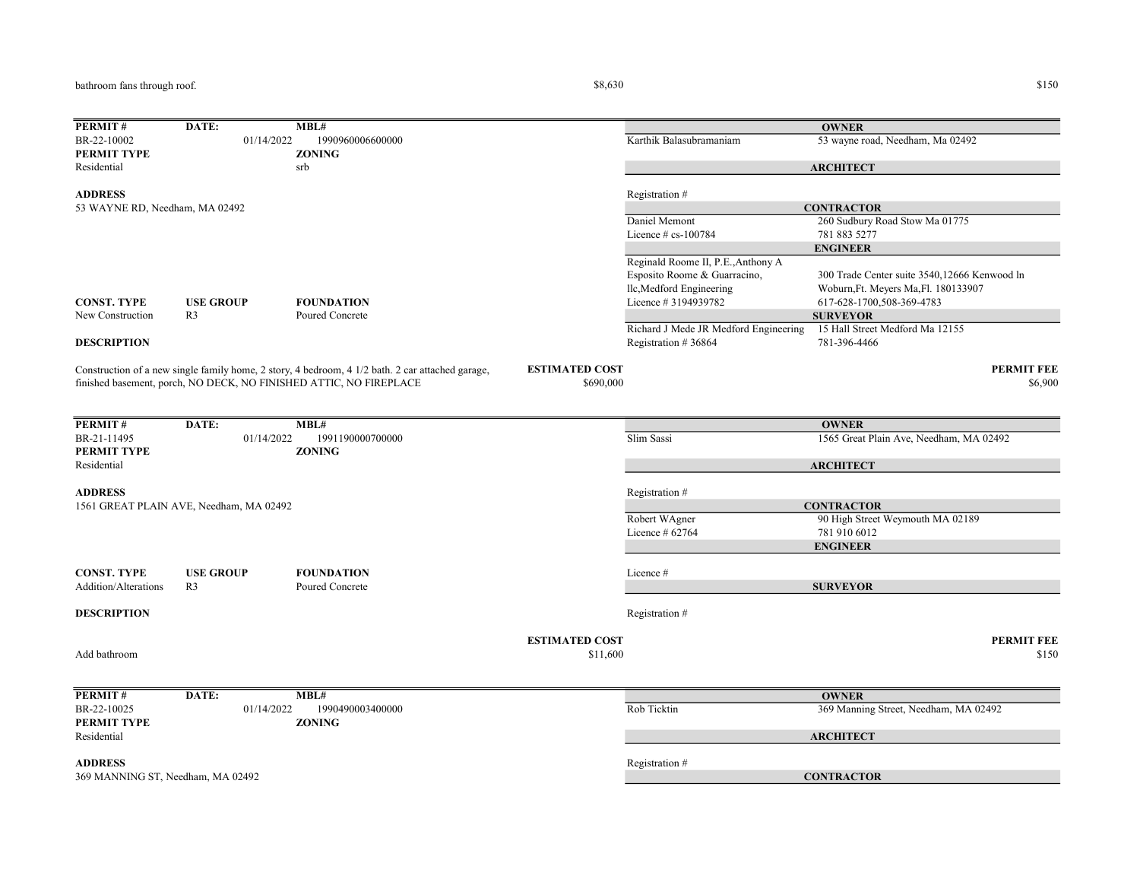bathroom fans through roof.

| PERMIT#                                          | DATE:                                   | MBL#                                                                                             |                       |                                       | <b>OWNER</b>                                 |
|--------------------------------------------------|-----------------------------------------|--------------------------------------------------------------------------------------------------|-----------------------|---------------------------------------|----------------------------------------------|
| BR-22-10002                                      | 01/14/2022                              | 1990960006600000                                                                                 |                       | Karthik Balasubramaniam               | 53 wayne road, Needham, Ma 02492             |
| PERMIT TYPE                                      |                                         | <b>ZONING</b>                                                                                    |                       |                                       |                                              |
| Residential                                      |                                         | srb                                                                                              |                       |                                       | <b>ARCHITECT</b>                             |
|                                                  |                                         |                                                                                                  |                       |                                       |                                              |
| <b>ADDRESS</b><br>53 WAYNE RD, Needham, MA 02492 |                                         |                                                                                                  |                       | Registration #                        | <b>CONTRACTOR</b>                            |
|                                                  |                                         |                                                                                                  |                       | Daniel Memont                         | 260 Sudbury Road Stow Ma 01775               |
|                                                  |                                         |                                                                                                  |                       | Licence $# cs-100784$                 | 781 883 5277                                 |
|                                                  |                                         |                                                                                                  |                       |                                       | <b>ENGINEER</b>                              |
|                                                  |                                         |                                                                                                  |                       | Reginald Roome II, P.E., Anthony A    |                                              |
|                                                  |                                         |                                                                                                  |                       | Esposito Roome & Guarracino,          | 300 Trade Center suite 3540,12666 Kenwood ln |
|                                                  |                                         |                                                                                                  |                       | llc, Medford Engineering              | Woburn, Ft. Meyers Ma, Fl. 180133907         |
| <b>CONST. TYPE</b>                               | <b>USE GROUP</b>                        | <b>FOUNDATION</b>                                                                                |                       | Licence # 3194939782                  | 617-628-1700,508-369-4783                    |
| New Construction                                 | R <sub>3</sub>                          | Poured Concrete                                                                                  |                       |                                       | <b>SURVEYOR</b>                              |
|                                                  |                                         |                                                                                                  |                       | Richard J Mede JR Medford Engineering | 15 Hall Street Medford Ma 12155              |
| <b>DESCRIPTION</b>                               |                                         |                                                                                                  |                       | Registration #36864                   | 781-396-4466                                 |
|                                                  |                                         | Construction of a new single family home, 2 story, 4 bedroom, 4 1/2 bath. 2 car attached garage, | <b>ESTIMATED COST</b> |                                       | <b>PERMIT FEE</b>                            |
|                                                  |                                         | finished basement, porch, NO DECK, NO FINISHED ATTIC, NO FIREPLACE                               | \$690,000             |                                       | \$6,900                                      |
|                                                  |                                         |                                                                                                  |                       |                                       |                                              |
|                                                  |                                         |                                                                                                  |                       |                                       |                                              |
| PERMIT#                                          | DATE:                                   | MBL#                                                                                             |                       |                                       | <b>OWNER</b>                                 |
| BR-21-11495                                      | 01/14/2022                              | 1991190000700000                                                                                 |                       | Slim Sassi                            | 1565 Great Plain Ave, Needham, MA 02492      |
| PERMIT TYPE                                      |                                         | <b>ZONING</b>                                                                                    |                       |                                       |                                              |
| Residential                                      |                                         |                                                                                                  |                       |                                       | <b>ARCHITECT</b>                             |
| <b>ADDRESS</b>                                   |                                         |                                                                                                  |                       |                                       |                                              |
|                                                  | 1561 GREAT PLAIN AVE, Needham, MA 02492 |                                                                                                  |                       | Registration #                        | <b>CONTRACTOR</b>                            |
|                                                  |                                         |                                                                                                  |                       | Robert WAgner                         | 90 High Street Weymouth MA 02189             |
|                                                  |                                         |                                                                                                  |                       | Licence # 62764                       | 781 910 6012                                 |
|                                                  |                                         |                                                                                                  |                       |                                       | <b>ENGINEER</b>                              |
|                                                  |                                         |                                                                                                  |                       |                                       |                                              |
| <b>CONST. TYPE</b>                               | <b>USE GROUP</b>                        | <b>FOUNDATION</b>                                                                                |                       | Licence #                             |                                              |
| Addition/Alterations                             | R <sub>3</sub>                          | Poured Concrete                                                                                  |                       |                                       | <b>SURVEYOR</b>                              |
|                                                  |                                         |                                                                                                  |                       |                                       |                                              |
| <b>DESCRIPTION</b>                               |                                         |                                                                                                  |                       | Registration #                        |                                              |
|                                                  |                                         |                                                                                                  | <b>ESTIMATED COST</b> |                                       | <b>PERMIT FEE</b>                            |
| Add bathroom                                     |                                         |                                                                                                  | \$11,600              |                                       | \$150                                        |
|                                                  |                                         |                                                                                                  |                       |                                       |                                              |
|                                                  |                                         |                                                                                                  |                       |                                       |                                              |
| PERMIT#                                          | DATE:                                   | MBL#                                                                                             |                       |                                       | <b>OWNER</b>                                 |
| BR-22-10025                                      | 01/14/2022                              | 1990490003400000                                                                                 |                       | Rob Ticktin                           | 369 Manning Street, Needham, MA 02492        |
| PERMIT TYPE                                      |                                         | <b>ZONING</b>                                                                                    |                       |                                       |                                              |
| Residential                                      |                                         |                                                                                                  |                       |                                       | <b>ARCHITECT</b>                             |
| <b>ADDRESS</b>                                   |                                         |                                                                                                  |                       | Registration #                        |                                              |
| 369 MANNING ST, Needham, MA 02492                |                                         |                                                                                                  |                       |                                       | <b>CONTRACTOR</b>                            |
|                                                  |                                         |                                                                                                  |                       |                                       |                                              |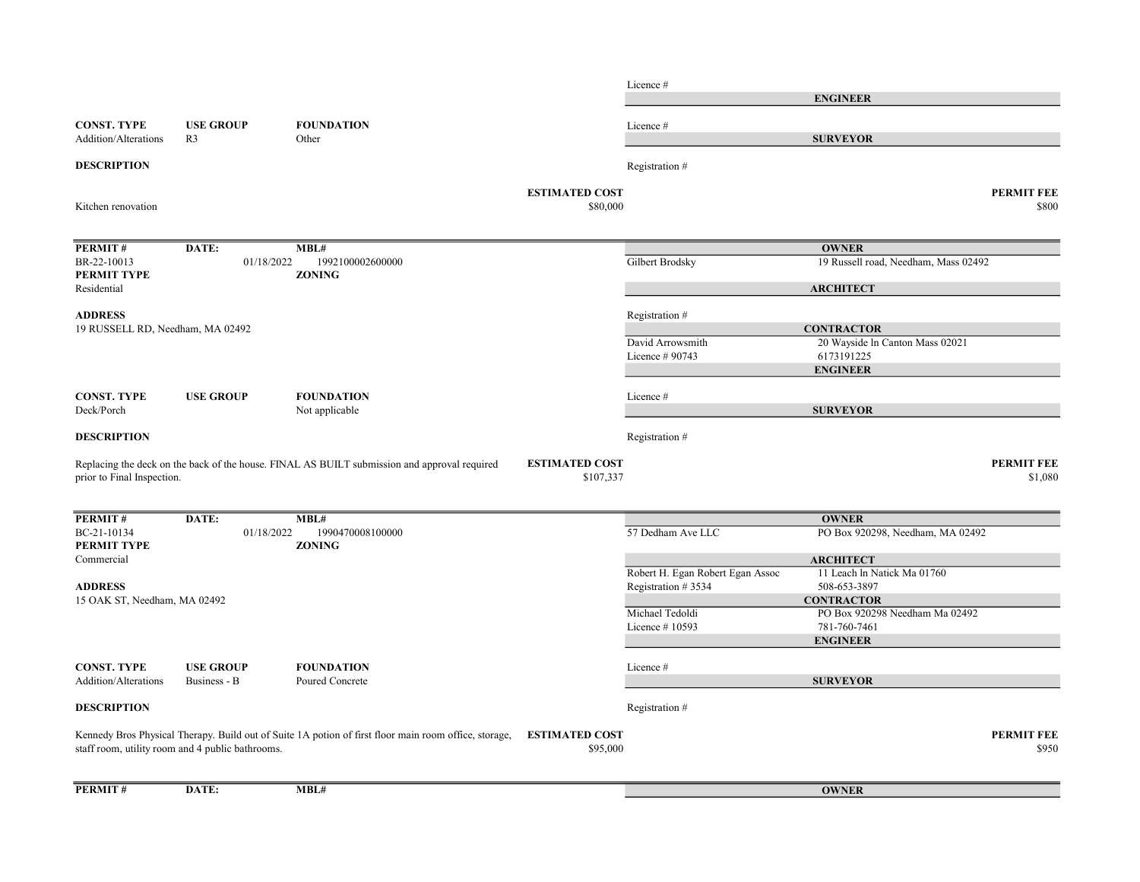Licence # CONST. TYPE USE GROUP FOUNDATION Licence # Addition/Alterations R3 Other **DESCRIPTION** Registration # ESTIMATED COST PERMIT FEE  $$80,000$   $$800$ PERMIT # DATE: MBL# BR-22-10013 01/18/2022 1992100002600000 Gilbert Brodsky Gilbert Brodsky 19 Russell road, Needham, Mass 02492 PERMIT TYPE ZONING Residential ADDRESS Registration # David Arrowsmith 20 Wayside ln Canton Mass 02021 Licence # 90743 6173191225 CONST. TYPE USE GROUP FOUNDATION Licence # Deck/Porch Not applicable **DESCRIPTION** Registration  $#$ ESTIMATED COST PERMIT FEE \$1,080 \$1,080 PERMIT # DATE: MBL# BC-21-10134 01/18/2022 1990470008100000 57 Dedham Ave LLC PO Box 920298, Needham, MA 02492 PERMIT TYPE ZONING Commercial Robert H. Egan Robert Egan Assoc 11 Leach ln Natick Ma 01760 ADDRESS Registration # 3534 508-653-3897 Michael Tedoldi PO Box 920298 Needham Ma 02492 Licence # 10593 781-760-7461 CONST. TYPE USE GROUP FOUNDATION Licence # Addition/Alterations Business - B Poured Concrete **DESCRIPTION** Registration # Kennedy Bros Physical Therapy. Build out of Suite 1A potion of first floor main room office, storage, ESTIMATED COST PERMIT FEE  $$95,000$   $$950$ PERMIT # DATE: MBL# ENGINEER **SURVEYOR** staff room, utility room and 4 public bathrooms. **OWNER** Replacing the deck on the back of the house. FINAL AS BUILT submission and approval required prior to Final Inspection. **OWNER ARCHITECT CONTRACTOR** ENGINEER SURVEYOR 15 OAK ST, Needham, MA 02492 Kitchen renovation **OWNER ARCHITECT CONTRACTOR** ENGINEER SURVEYOR 19 RUSSELL RD, Needham, MA 02492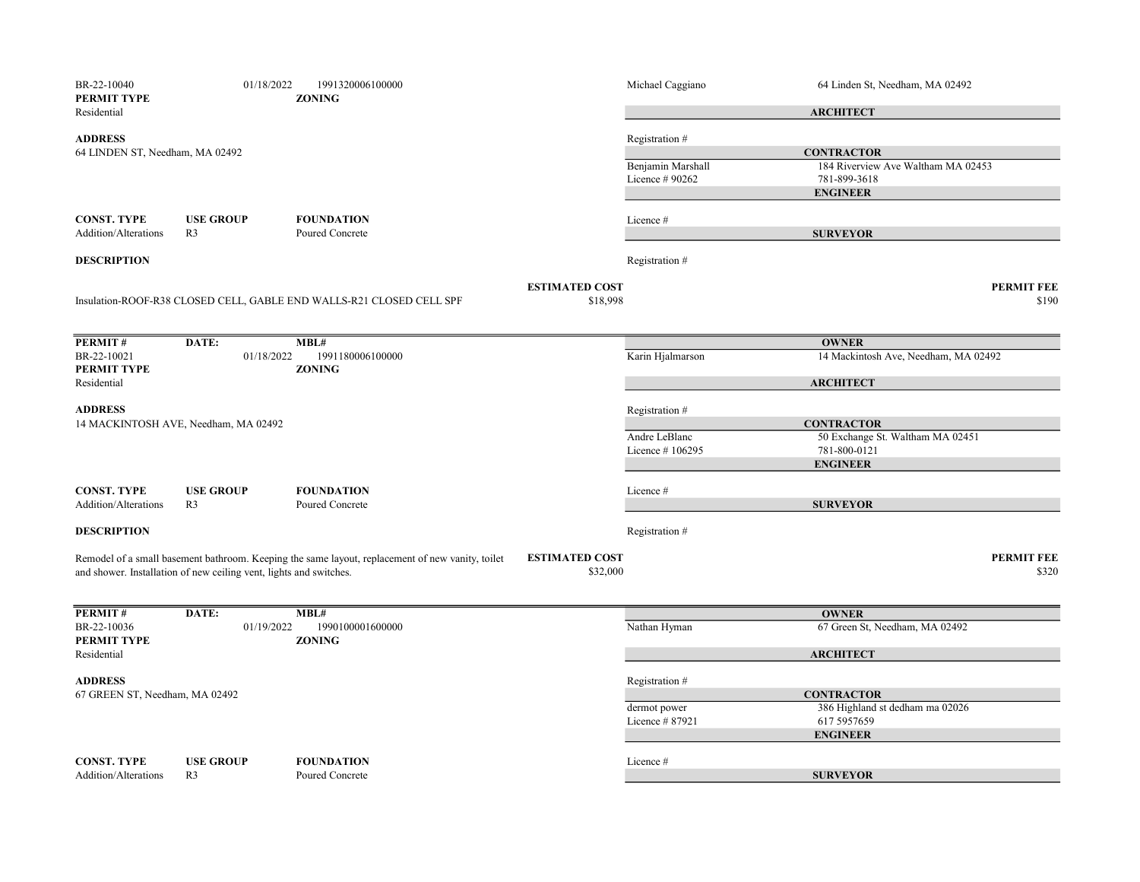| BR-22-10040<br>PERMIT TYPE                        | 01/18/2022                                                         | 1991320006100000<br><b>ZONING</b>                                                                |                                   | Michael Caggiano                     | 64 Linden St, Needham, MA 02492                                       |
|---------------------------------------------------|--------------------------------------------------------------------|--------------------------------------------------------------------------------------------------|-----------------------------------|--------------------------------------|-----------------------------------------------------------------------|
| Residential                                       |                                                                    |                                                                                                  |                                   |                                      | <b>ARCHITECT</b>                                                      |
| <b>ADDRESS</b><br>64 LINDEN ST, Needham, MA 02492 |                                                                    |                                                                                                  |                                   | Registration #                       | <b>CONTRACTOR</b>                                                     |
|                                                   |                                                                    |                                                                                                  |                                   | Benjamin Marshall<br>Licence # 90262 | 184 Riverview Ave Waltham MA 02453<br>781-899-3618<br><b>ENGINEER</b> |
| <b>CONST. TYPE</b><br><b>Addition/Alterations</b> | <b>USE GROUP</b><br>R <sub>3</sub>                                 | <b>FOUNDATION</b><br>Poured Concrete                                                             |                                   | Licence #                            | <b>SURVEYOR</b>                                                       |
| <b>DESCRIPTION</b>                                |                                                                    |                                                                                                  |                                   | Registration #                       |                                                                       |
|                                                   |                                                                    | Insulation-ROOF-R38 CLOSED CELL, GABLE END WALLS-R21 CLOSED CELL SPF                             | <b>ESTIMATED COST</b><br>\$18,998 |                                      | <b>PERMIT FEE</b><br>\$190                                            |
| PERMIT#                                           | DATE:                                                              | MBL#                                                                                             |                                   |                                      | <b>OWNER</b>                                                          |
| BR-22-10021<br>PERMIT TYPE                        | 01/18/2022                                                         | 1991180006100000<br><b>ZONING</b>                                                                |                                   | Karin Hjalmarson                     | 14 Mackintosh Ave, Needham, MA 02492                                  |
| Residential                                       |                                                                    |                                                                                                  |                                   |                                      | <b>ARCHITECT</b>                                                      |
| <b>ADDRESS</b>                                    | 14 MACKINTOSH AVE, Needham, MA 02492                               |                                                                                                  |                                   | Registration #                       | <b>CONTRACTOR</b>                                                     |
|                                                   |                                                                    |                                                                                                  |                                   | Andre LeBlanc                        | 50 Exchange St. Waltham MA 02451                                      |
|                                                   |                                                                    |                                                                                                  |                                   | Licence #106295                      | 781-800-0121<br><b>ENGINEER</b>                                       |
| <b>CONST. TYPE</b><br>Addition/Alterations        | <b>USE GROUP</b><br>R <sub>3</sub>                                 | <b>FOUNDATION</b><br>Poured Concrete                                                             |                                   | Licence #                            | <b>SURVEYOR</b>                                                       |
| <b>DESCRIPTION</b>                                |                                                                    |                                                                                                  |                                   |                                      |                                                                       |
|                                                   |                                                                    |                                                                                                  |                                   | Registration #                       |                                                                       |
|                                                   | and shower. Installation of new ceiling vent, lights and switches. | Remodel of a small basement bathroom. Keeping the same layout, replacement of new vanity, toilet | <b>ESTIMATED COST</b><br>\$32,000 |                                      | <b>PERMIT FEE</b><br>\$320                                            |
| PERMIT#                                           | DATE:                                                              | MBL#                                                                                             |                                   |                                      | <b>OWNER</b>                                                          |
| BR-22-10036<br>PERMIT TYPE                        | 01/19/2022                                                         | 1990100001600000<br><b>ZONING</b>                                                                |                                   | Nathan Hyman                         | 67 Green St, Needham, MA 02492                                        |
| Residential                                       |                                                                    |                                                                                                  |                                   |                                      | <b>ARCHITECT</b>                                                      |
| <b>ADDRESS</b><br>67 GREEN ST, Needham, MA 02492  |                                                                    |                                                                                                  |                                   | Registration #                       | <b>CONTRACTOR</b>                                                     |
|                                                   |                                                                    |                                                                                                  |                                   | dermot power                         | 386 Highland st dedham ma 02026                                       |
|                                                   |                                                                    |                                                                                                  |                                   | Licence #87921                       | 617 5957659<br><b>ENGINEER</b>                                        |
| <b>CONST. TYPE</b>                                | <b>USE GROUP</b>                                                   | <b>FOUNDATION</b>                                                                                |                                   | Licence #                            |                                                                       |
| Addition/Alterations                              | R <sub>3</sub>                                                     | Poured Concrete                                                                                  |                                   |                                      | <b>SURVEYOR</b>                                                       |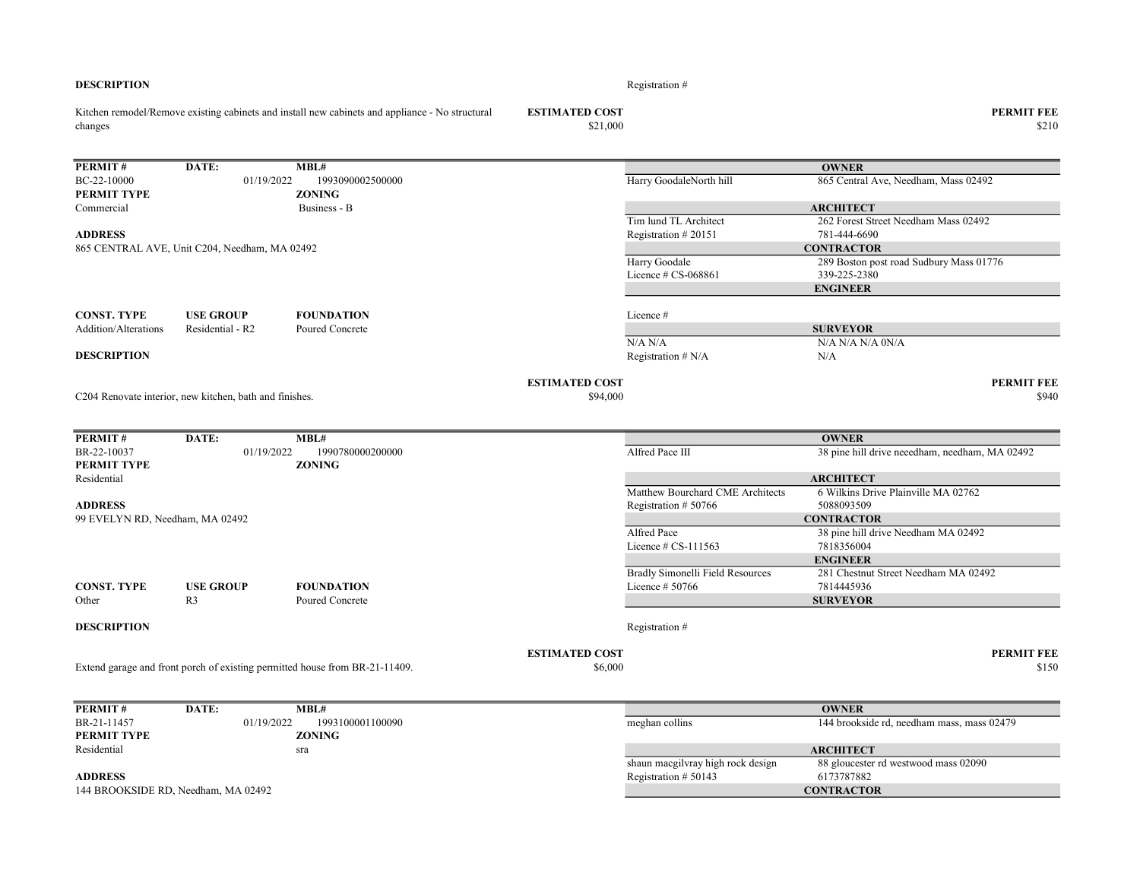| changes                                    |                                                         |                                                                             | \$21,000              |                                                     | \$210                                                   |
|--------------------------------------------|---------------------------------------------------------|-----------------------------------------------------------------------------|-----------------------|-----------------------------------------------------|---------------------------------------------------------|
| PERMIT#                                    | DATE:                                                   | MBL#                                                                        |                       |                                                     | <b>OWNER</b>                                            |
| BC-22-10000<br>PERMIT TYPE                 | 01/19/2022                                              | 1993090002500000<br><b>ZONING</b>                                           |                       | Harry GoodaleNorth hill                             | 865 Central Ave, Needham, Mass 02492                    |
| Commercial                                 |                                                         | Business - B                                                                |                       |                                                     | <b>ARCHITECT</b>                                        |
|                                            |                                                         |                                                                             |                       | Tim lund TL Architect                               | 262 Forest Street Needham Mass 02492                    |
| <b>ADDRESS</b>                             |                                                         |                                                                             |                       | Registration #20151                                 | 781-444-6690                                            |
|                                            | 865 CENTRAL AVE, Unit C204, Needham, MA 02492           |                                                                             |                       |                                                     | <b>CONTRACTOR</b>                                       |
|                                            |                                                         |                                                                             |                       | Harry Goodale<br>Licence # CS-068861                | 289 Boston post road Sudbury Mass 01776<br>339-225-2380 |
|                                            |                                                         |                                                                             |                       |                                                     | <b>ENGINEER</b>                                         |
|                                            |                                                         |                                                                             |                       |                                                     |                                                         |
| <b>CONST. TYPE</b><br>Addition/Alterations | <b>USE GROUP</b><br>Residential - R2                    | <b>FOUNDATION</b><br>Poured Concrete                                        |                       | Licence #                                           |                                                         |
|                                            |                                                         |                                                                             |                       | N/A N/A                                             | <b>SURVEYOR</b><br>N/A N/A N/A 0N/A                     |
| <b>DESCRIPTION</b>                         |                                                         |                                                                             |                       | Registration $# N/A$                                | N/A                                                     |
|                                            |                                                         |                                                                             |                       |                                                     |                                                         |
|                                            |                                                         |                                                                             | <b>ESTIMATED COST</b> |                                                     | <b>PERMIT FEE</b>                                       |
|                                            | C204 Renovate interior, new kitchen, bath and finishes. |                                                                             | \$94,000              |                                                     | \$940                                                   |
|                                            |                                                         |                                                                             |                       |                                                     |                                                         |
|                                            |                                                         |                                                                             |                       |                                                     |                                                         |
| PERMIT#                                    | DATE:                                                   | MBL#                                                                        |                       |                                                     | <b>OWNER</b>                                            |
| BR-22-10037<br>PERMIT TYPE                 | 01/19/2022                                              | 1990780000200000<br><b>ZONING</b>                                           |                       | Alfred Pace III                                     | 38 pine hill drive neeedham, needham, MA 02492          |
| Residential                                |                                                         |                                                                             |                       |                                                     | <b>ARCHITECT</b>                                        |
|                                            |                                                         |                                                                             |                       | Matthew Bourchard CME Architects                    | 6 Wilkins Drive Plainville MA 02762                     |
| <b>ADDRESS</b>                             |                                                         |                                                                             |                       | Registration #50766                                 | 5088093509                                              |
| 99 EVELYN RD, Needham, MA 02492            |                                                         |                                                                             |                       |                                                     | <b>CONTRACTOR</b>                                       |
|                                            |                                                         |                                                                             |                       | Alfred Pace                                         | 38 pine hill drive Needham MA 02492                     |
|                                            |                                                         |                                                                             |                       | Licence $# CS-111563$                               | 7818356004                                              |
|                                            |                                                         |                                                                             |                       |                                                     | <b>ENGINEER</b>                                         |
| <b>CONST. TYPE</b>                         | <b>USE GROUP</b>                                        | <b>FOUNDATION</b>                                                           |                       | Bradly Simonelli Field Resources<br>Licence # 50766 | 281 Chestnut Street Needham MA 02492<br>7814445936      |
| Other                                      | R <sub>3</sub>                                          | Poured Concrete                                                             |                       |                                                     | <b>SURVEYOR</b>                                         |
|                                            |                                                         |                                                                             |                       |                                                     |                                                         |
| <b>DESCRIPTION</b>                         |                                                         |                                                                             |                       | Registration #                                      |                                                         |
|                                            |                                                         |                                                                             |                       |                                                     |                                                         |
|                                            |                                                         |                                                                             | <b>ESTIMATED COST</b> |                                                     | <b>PERMIT FEE</b>                                       |
|                                            |                                                         | Extend garage and front porch of existing permitted house from BR-21-11409. | \$6,000               |                                                     | \$150                                                   |
|                                            |                                                         |                                                                             |                       |                                                     |                                                         |
| PERMIT#                                    | DATE:                                                   | MBL#                                                                        |                       |                                                     | <b>OWNER</b>                                            |
| BR-21-11457                                | 01/19/2022                                              | 1993100001100090                                                            |                       | meghan collins                                      | 144 brookside rd, needham mass, mass 02479              |
| PERMIT TYPE                                |                                                         | <b>ZONING</b>                                                               |                       |                                                     |                                                         |
| Residential                                |                                                         | sra                                                                         |                       |                                                     | <b>ARCHITECT</b>                                        |
|                                            |                                                         |                                                                             |                       | shaun macgilvray high rock design                   | 88 gloucester rd westwood mass 02090                    |
| <b>ADDRESS</b>                             |                                                         |                                                                             |                       | Registration $# 50143$                              | 6173787882                                              |

- 
- 144 BROOKSIDE RD, Needham, MA 02492

Kitchen remodel/Remove existing cabinets and install new cabinets and appliance - No structural

ESTIMATED COST PERMIT FEE

| <b>ARCHITECT</b>                  |                                      |  |  |  |  |  |
|-----------------------------------|--------------------------------------|--|--|--|--|--|
| shaun macgilvray high rock design | 88 gloucester rd westwood mass 02090 |  |  |  |  |  |
| Registration $# 50143$            | 6173787882                           |  |  |  |  |  |
| <b>CONTRACTOR</b>                 |                                      |  |  |  |  |  |

## DESCRIPTION Registration #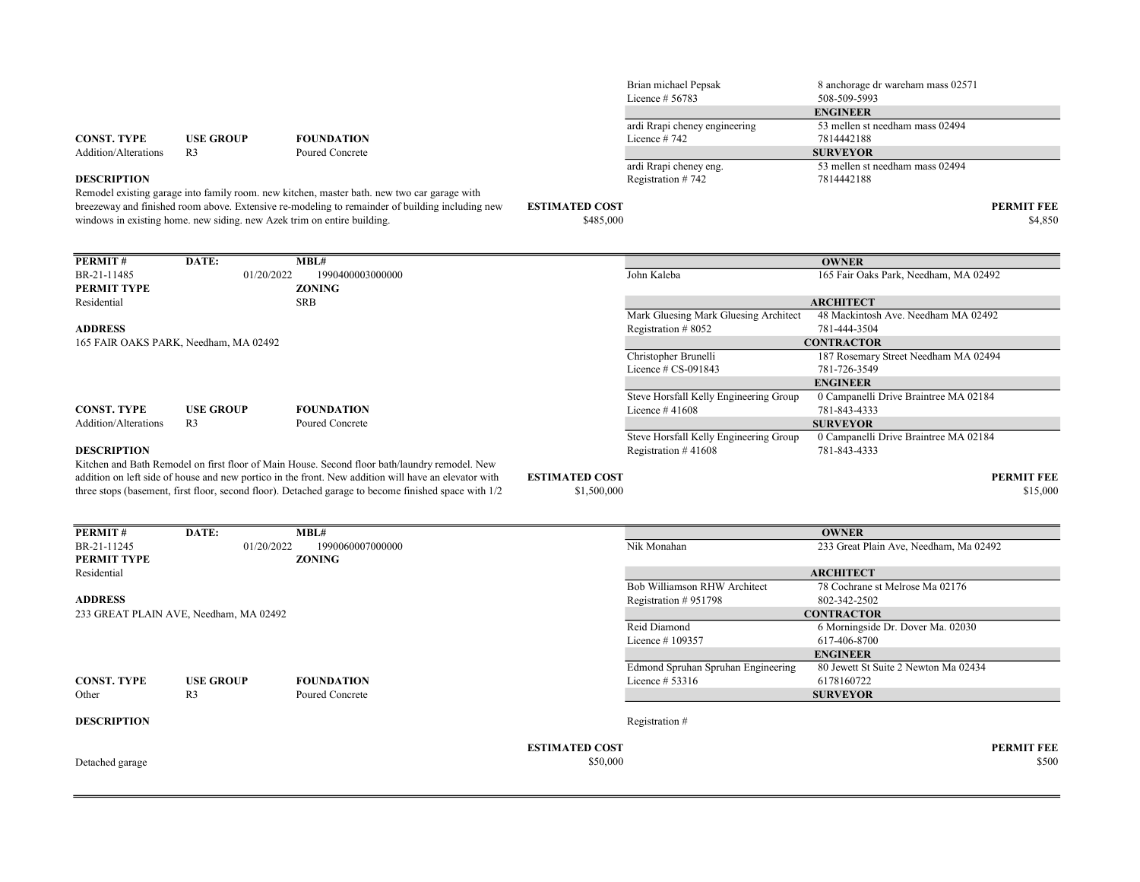|                                       |                                                                         |                                                                                                      |                       | Licence # 56783                        | 508-509-5993                          |                   |
|---------------------------------------|-------------------------------------------------------------------------|------------------------------------------------------------------------------------------------------|-----------------------|----------------------------------------|---------------------------------------|-------------------|
|                                       |                                                                         |                                                                                                      |                       |                                        | <b>ENGINEER</b>                       |                   |
|                                       |                                                                         |                                                                                                      |                       | ardi Rrapi cheney engineering          | 53 mellen st needham mass 02494       |                   |
| <b>CONST. TYPE</b>                    | <b>USE GROUP</b>                                                        | <b>FOUNDATION</b>                                                                                    |                       | Licence #742                           | 7814442188                            |                   |
| Addition/Alterations                  | R <sub>3</sub>                                                          | Poured Concrete                                                                                      |                       |                                        | <b>SURVEYOR</b>                       |                   |
|                                       |                                                                         |                                                                                                      |                       | ardi Rrapi cheney eng.                 | 53 mellen st needham mass 02494       |                   |
| <b>DESCRIPTION</b>                    |                                                                         |                                                                                                      |                       | Registration #742                      | 7814442188                            |                   |
|                                       |                                                                         | Remodel existing garage into family room, new kitchen, master bath, new two car garage with          |                       |                                        |                                       |                   |
|                                       |                                                                         | breezeway and finished room above. Extensive re-modeling to remainder of building including new      | <b>ESTIMATED COST</b> |                                        |                                       | <b>PERMIT FEE</b> |
|                                       | windows in existing home, new siding, new Azek trim on entire building. |                                                                                                      | \$485,000             |                                        |                                       | \$4,850           |
|                                       |                                                                         |                                                                                                      |                       |                                        |                                       |                   |
|                                       |                                                                         |                                                                                                      |                       |                                        |                                       |                   |
| PERMIT#                               | DATE:                                                                   | MBL#                                                                                                 |                       |                                        | <b>OWNER</b>                          |                   |
| BR-21-11485                           | 01/20/2022                                                              | 1990400003000000                                                                                     |                       | John Kaleba                            | 165 Fair Oaks Park, Needham, MA 02492 |                   |
| <b>PERMIT TYPE</b>                    |                                                                         | <b>ZONING</b>                                                                                        |                       |                                        |                                       |                   |
| Residential                           |                                                                         | <b>SRB</b>                                                                                           |                       |                                        | <b>ARCHITECT</b>                      |                   |
|                                       |                                                                         |                                                                                                      |                       | Mark Gluesing Mark Gluesing Architect  | 48 Mackintosh Ave. Needham MA 02492   |                   |
| <b>ADDRESS</b>                        |                                                                         |                                                                                                      |                       | Registration #8052                     | 781-444-3504                          |                   |
| 165 FAIR OAKS PARK, Needham, MA 02492 |                                                                         |                                                                                                      |                       |                                        | <b>CONTRACTOR</b>                     |                   |
|                                       |                                                                         |                                                                                                      |                       | Christopher Brunelli                   | 187 Rosemary Street Needham MA 02494  |                   |
|                                       |                                                                         |                                                                                                      |                       | Licence $\#$ CS-091843                 | 781-726-3549                          |                   |
|                                       |                                                                         |                                                                                                      |                       |                                        | <b>ENGINEER</b>                       |                   |
|                                       |                                                                         |                                                                                                      |                       | Steve Horsfall Kelly Engineering Group | 0 Campanelli Drive Braintree MA 02184 |                   |
| <b>CONST. TYPE</b>                    | <b>USE GROUP</b>                                                        | <b>FOUNDATION</b>                                                                                    |                       | Licence $#41608$                       | 781-843-4333                          |                   |
| Addition/Alterations                  | R <sub>3</sub>                                                          | Poured Concrete                                                                                      |                       |                                        | <b>SURVEYOR</b>                       |                   |
|                                       |                                                                         |                                                                                                      |                       | Steve Horsfall Kelly Engineering Group | 0 Campanelli Drive Braintree MA 02184 |                   |
| <b>DESCRIPTION</b>                    |                                                                         |                                                                                                      |                       | Registration $#41608$                  | 781-843-4333                          |                   |
|                                       |                                                                         | Kitchen and Bath Remodel on first floor of Main House. Second floor bath/laundry remodel. New        |                       |                                        |                                       |                   |
|                                       |                                                                         | addition on left side of house and new portico in the front. New addition will have an elevator with | <b>ESTIMATED COST</b> |                                        |                                       | <b>PERMIT FEE</b> |

Brian michael Pepsak 8 anchorage dr wareham mass 02571

three stops (basement, first floor, second floor). Detached garage to become finished space with 1/2

\$1,500,000 \$15,000 \$15,000 \$15,000 \$15,000 \$15,000 \$15,000 \$15,000 \$15,000 \$15,000 \$15,000 \$15,000 \$15,000 \$15,000 \$15,000 \$15,000 \$15,000 \$15,000 \$15,000 \$15,000 \$15,000 \$15,000 \$15,000 \$15,000 \$15,000 \$15,000 \$15,000 \$15

| PERMIT#            | DATE:                                  | MBL#              |                                    | <b>OWNER</b>                           |
|--------------------|----------------------------------------|-------------------|------------------------------------|----------------------------------------|
| BR-21-11245        | 01/20/2022                             | 1990060007000000  | Nik Monahan                        | 233 Great Plain Ave, Needham, Ma 02492 |
| PERMIT TYPE        |                                        | <b>ZONING</b>     |                                    |                                        |
| Residential        |                                        |                   |                                    | <b>ARCHITECT</b>                       |
|                    |                                        |                   | Bob Williamson RHW Architect       | 78 Cochrane st Melrose Ma 02176        |
| <b>ADDRESS</b>     |                                        |                   | Registration #951798               | 802-342-2502                           |
|                    | 233 GREAT PLAIN AVE, Needham, MA 02492 |                   |                                    | <b>CONTRACTOR</b>                      |
|                    |                                        |                   | Reid Diamond                       | 6 Morningside Dr. Dover Ma. 02030      |
|                    |                                        |                   | Licence #109357                    | 617-406-8700                           |
|                    |                                        |                   |                                    | <b>ENGINEER</b>                        |
|                    |                                        |                   | Edmond Spruhan Spruhan Engineering | 80 Jewett St Suite 2 Newton Ma 02434   |
| <b>CONST. TYPE</b> | <b>USE GROUP</b>                       | <b>FOUNDATION</b> | Licence $# 53316$                  | 6178160722                             |
| Other              | R <sub>3</sub>                         | Poured Concrete   |                                    | <b>SURVEYOR</b>                        |
| <b>DESCRIPTION</b> |                                        |                   | Registration #                     |                                        |
|                    |                                        |                   | <b>ESTIMATED COST</b>              | <b>PERMIT FEE</b>                      |
| Detached garage    |                                        |                   | \$50,000                           | \$500                                  |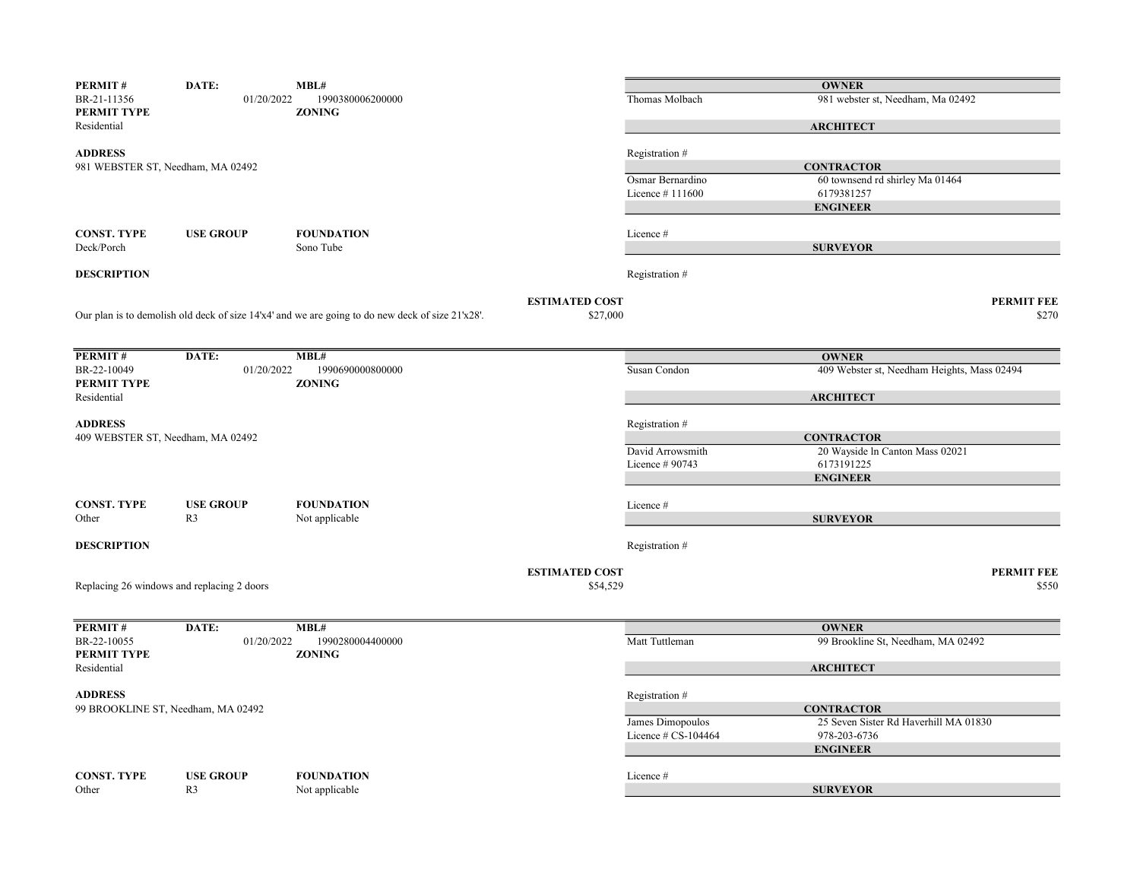| PERMIT#                          | DATE:                                      | MBL#                                                                                                  |                       |                     | <b>OWNER</b>                                |                   |
|----------------------------------|--------------------------------------------|-------------------------------------------------------------------------------------------------------|-----------------------|---------------------|---------------------------------------------|-------------------|
| BR-21-11356<br>PERMIT TYPE       | 01/20/2022                                 | 1990380006200000<br><b>ZONING</b>                                                                     |                       | Thomas Molbach      | 981 webster st, Needham, Ma 02492           |                   |
| Residential                      |                                            |                                                                                                       |                       |                     | <b>ARCHITECT</b>                            |                   |
| <b>ADDRESS</b>                   |                                            |                                                                                                       |                       | Registration #      |                                             |                   |
|                                  | 981 WEBSTER ST, Needham, MA 02492          |                                                                                                       |                       |                     | <b>CONTRACTOR</b>                           |                   |
|                                  |                                            |                                                                                                       |                       | Osmar Bernardino    | 60 townsend rd shirley Ma 01464             |                   |
|                                  |                                            |                                                                                                       |                       | Licence $#111600$   | 6179381257                                  |                   |
|                                  |                                            |                                                                                                       |                       |                     | <b>ENGINEER</b>                             |                   |
|                                  |                                            |                                                                                                       |                       |                     |                                             |                   |
| <b>CONST. TYPE</b><br>Deck/Porch | <b>USE GROUP</b>                           | <b>FOUNDATION</b><br>Sono Tube                                                                        |                       | Licence #           | <b>SURVEYOR</b>                             |                   |
|                                  |                                            |                                                                                                       |                       |                     |                                             |                   |
| <b>DESCRIPTION</b>               |                                            |                                                                                                       |                       | Registration #      |                                             |                   |
|                                  |                                            |                                                                                                       | <b>ESTIMATED COST</b> |                     |                                             | <b>PERMIT FEE</b> |
|                                  |                                            | Our plan is to demolish old deck of size $14'x4'$ and we are going to do new deck of size $21'x28'$ . | \$27,000              |                     |                                             | \$270             |
|                                  |                                            |                                                                                                       |                       |                     |                                             |                   |
|                                  |                                            |                                                                                                       |                       |                     |                                             |                   |
| PERMIT#                          | DATE:                                      | MBL#                                                                                                  |                       |                     | <b>OWNER</b>                                |                   |
| BR-22-10049<br>PERMIT TYPE       | 01/20/2022                                 | 1990690000800000<br><b>ZONING</b>                                                                     |                       | Susan Condon        | 409 Webster st, Needham Heights, Mass 02494 |                   |
| Residential                      |                                            |                                                                                                       |                       |                     | <b>ARCHITECT</b>                            |                   |
|                                  |                                            |                                                                                                       |                       |                     |                                             |                   |
| <b>ADDRESS</b>                   |                                            |                                                                                                       |                       | Registration #      |                                             |                   |
|                                  | 409 WEBSTER ST, Needham, MA 02492          |                                                                                                       |                       |                     | <b>CONTRACTOR</b>                           |                   |
|                                  |                                            |                                                                                                       |                       | David Arrowsmith    | 20 Wayside In Canton Mass 02021             |                   |
|                                  |                                            |                                                                                                       |                       | Licence # 90743     | 6173191225                                  |                   |
|                                  |                                            |                                                                                                       |                       |                     | <b>ENGINEER</b>                             |                   |
| <b>CONST. TYPE</b>               | <b>USE GROUP</b>                           | <b>FOUNDATION</b>                                                                                     |                       | Licence #           |                                             |                   |
| Other                            | R <sub>3</sub>                             | Not applicable                                                                                        |                       |                     | <b>SURVEYOR</b>                             |                   |
|                                  |                                            |                                                                                                       |                       |                     |                                             |                   |
| <b>DESCRIPTION</b>               |                                            |                                                                                                       |                       | Registration #      |                                             |                   |
|                                  |                                            |                                                                                                       | <b>ESTIMATED COST</b> |                     |                                             | <b>PERMIT FEE</b> |
|                                  | Replacing 26 windows and replacing 2 doors |                                                                                                       | \$54,529              |                     |                                             | \$550             |
|                                  |                                            |                                                                                                       |                       |                     |                                             |                   |
| PERMIT#                          | DATE:                                      | MBL#                                                                                                  |                       |                     | <b>OWNER</b>                                |                   |
| BR-22-10055                      | 01/20/2022                                 | 1990280004400000                                                                                      |                       | Matt Tuttleman      | 99 Brookline St, Needham, MA 02492          |                   |
| PERMIT TYPE                      |                                            | <b>ZONING</b>                                                                                         |                       |                     |                                             |                   |
| Residential                      |                                            |                                                                                                       |                       |                     | <b>ARCHITECT</b>                            |                   |
| <b>ADDRESS</b>                   |                                            |                                                                                                       |                       | Registration #      |                                             |                   |
|                                  | 99 BROOKLINE ST, Needham, MA 02492         |                                                                                                       |                       |                     | <b>CONTRACTOR</b>                           |                   |
|                                  |                                            |                                                                                                       |                       | James Dimopoulos    | 25 Seven Sister Rd Haverhill MA 01830       |                   |
|                                  |                                            |                                                                                                       |                       | Licence # CS-104464 | 978-203-6736                                |                   |
|                                  |                                            |                                                                                                       |                       |                     | <b>ENGINEER</b>                             |                   |
|                                  |                                            |                                                                                                       |                       |                     |                                             |                   |
| <b>CONST. TYPE</b>               | <b>USE GROUP</b>                           | <b>FOUNDATION</b>                                                                                     |                       | Licence #           |                                             |                   |
| Other                            | R <sub>3</sub>                             | Not applicable                                                                                        |                       |                     | <b>SURVEYOR</b>                             |                   |
|                                  |                                            |                                                                                                       |                       |                     |                                             |                   |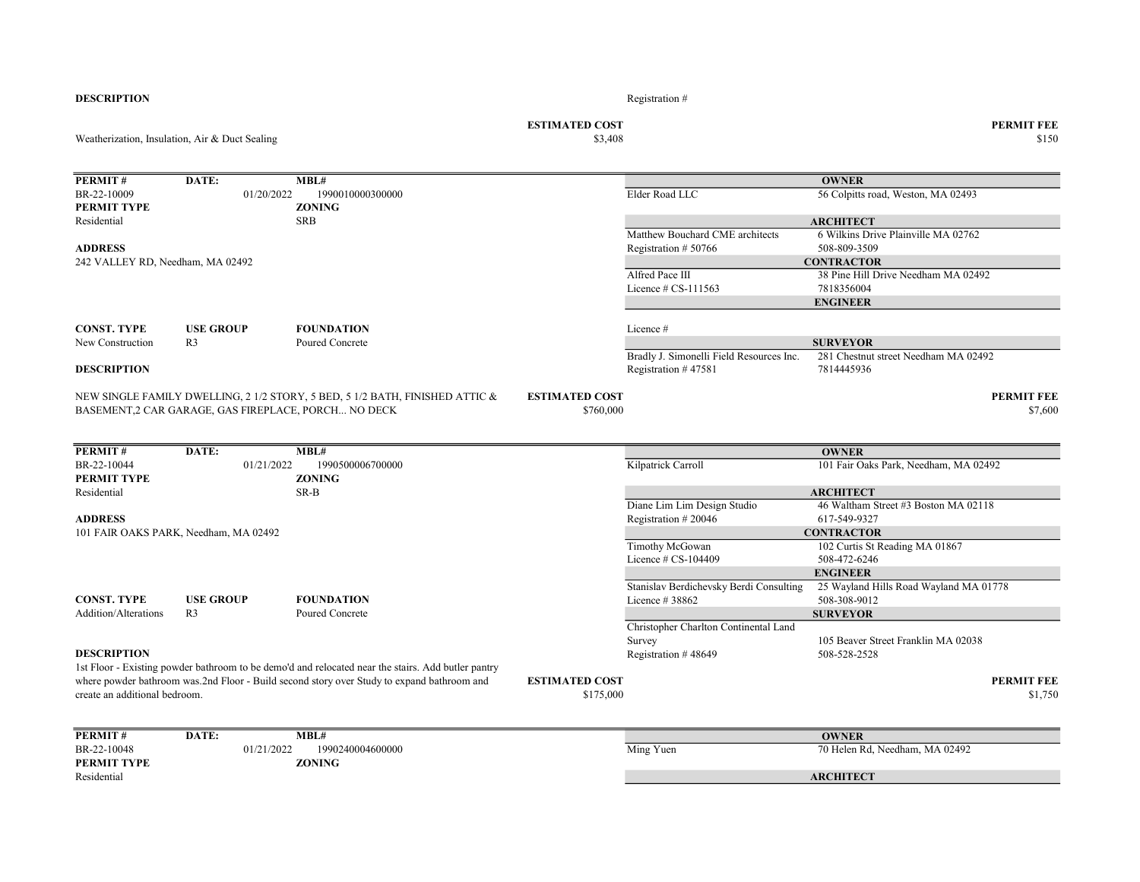|                                  | Weatherization, Insulation, Air & Duct Sealing |                                                                                                                                     | <b>ESTIMATED COST</b><br>\$3,408   |                                                                 |                                                    | <b>PERMIT FEE</b><br>\$150   |
|----------------------------------|------------------------------------------------|-------------------------------------------------------------------------------------------------------------------------------------|------------------------------------|-----------------------------------------------------------------|----------------------------------------------------|------------------------------|
| <b>PERMIT#</b>                   | DATE:                                          | MBL#                                                                                                                                |                                    |                                                                 | <b>OWNER</b>                                       |                              |
| BR-22-10009<br>PERMIT TYPE       | 01/20/2022                                     | 1990010000300000<br><b>ZONING</b>                                                                                                   |                                    | Elder Road LLC                                                  | 56 Colpitts road, Weston, MA 02493                 |                              |
| Residential                      |                                                | <b>SRB</b>                                                                                                                          |                                    |                                                                 | <b>ARCHITECT</b>                                   |                              |
|                                  |                                                |                                                                                                                                     |                                    | Matthew Bouchard CME architects                                 | 6 Wilkins Drive Plainville MA 02762                |                              |
| <b>ADDRESS</b>                   |                                                |                                                                                                                                     |                                    | Registration #50766                                             | 508-809-3509                                       |                              |
| 242 VALLEY RD, Needham, MA 02492 |                                                |                                                                                                                                     |                                    |                                                                 | <b>CONTRACTOR</b>                                  |                              |
|                                  |                                                |                                                                                                                                     |                                    | Alfred Pace III                                                 | 38 Pine Hill Drive Needham MA 02492                |                              |
|                                  |                                                |                                                                                                                                     |                                    | Licence $\#$ CS-111563                                          | 7818356004                                         |                              |
|                                  |                                                |                                                                                                                                     |                                    |                                                                 | <b>ENGINEER</b>                                    |                              |
| <b>CONST. TYPE</b>               | <b>USE GROUP</b>                               | <b>FOUNDATION</b>                                                                                                                   |                                    | Licence #                                                       |                                                    |                              |
| New Construction                 | R <sub>3</sub>                                 | Poured Concrete                                                                                                                     |                                    |                                                                 | <b>SURVEYOR</b>                                    |                              |
| <b>DESCRIPTION</b>               |                                                |                                                                                                                                     |                                    | Bradly J. Simonelli Field Resources Inc.<br>Registration #47581 | 281 Chestnut street Needham MA 02492<br>7814445936 |                              |
|                                  |                                                | NEW SINGLE FAMILY DWELLING, 2 1/2 STORY, 5 BED, 5 1/2 BATH, FINISHED ATTIC &<br>BASEMENT,2 CAR GARAGE, GAS FIREPLACE, PORCH NO DECK | <b>ESTIMATED COST</b><br>\$760,000 |                                                                 |                                                    | <b>PERMIT FEE</b><br>\$7,600 |
| <b>PERMIT#</b>                   | DATE:                                          | MBL#                                                                                                                                |                                    |                                                                 | <b>OWNER</b>                                       |                              |
| BR-22-10044                      | 01/21/2022                                     | 1990500006700000                                                                                                                    |                                    | Kilpatrick Carroll                                              | 101 Fair Oaks Park, Needham, MA 02492              |                              |
| PERMIT TYPE                      |                                                | <b>ZONING</b>                                                                                                                       |                                    |                                                                 |                                                    |                              |
| Residential                      |                                                | SR-B                                                                                                                                |                                    |                                                                 | <b>ARCHITECT</b>                                   |                              |
|                                  |                                                |                                                                                                                                     |                                    | Diane Lim Lim Design Studio                                     | 46 Waltham Street #3 Boston MA 02118               |                              |
| <b>ADDRESS</b>                   |                                                |                                                                                                                                     |                                    | Registration #20046                                             | 617-549-9327                                       |                              |
|                                  | 101 FAIR OAKS PARK, Needham, MA 02492          |                                                                                                                                     |                                    |                                                                 | <b>CONTRACTOR</b>                                  |                              |
|                                  |                                                |                                                                                                                                     |                                    | Timothy McGowan                                                 | 102 Curtis St Reading MA 01867                     |                              |
|                                  |                                                |                                                                                                                                     |                                    | Licence # CS-104409                                             | 508-472-6246                                       |                              |
|                                  |                                                |                                                                                                                                     |                                    |                                                                 | <b>ENGINEER</b>                                    |                              |
|                                  |                                                |                                                                                                                                     |                                    | Stanislav Berdichevsky Berdi Consulting                         | 25 Wayland Hills Road Wayland MA 01778             |                              |
| <b>CONST. TYPE</b>               | <b>USE GROUP</b>                               | <b>FOUNDATION</b>                                                                                                                   |                                    | Licence #38862                                                  | 508-308-9012                                       |                              |
| <b>Addition/Alterations</b>      | R <sub>3</sub>                                 | Poured Concrete                                                                                                                     |                                    |                                                                 | <b>SURVEYOR</b>                                    |                              |
|                                  |                                                |                                                                                                                                     |                                    | Christopher Charlton Continental Land<br>Survey                 | 105 Beaver Street Franklin MA 02038                |                              |
| <b>DESCRIPTION</b>               |                                                |                                                                                                                                     |                                    | Registration #48649                                             | 508-528-2528                                       |                              |
|                                  |                                                | 1st Floor - Existing powder bathroom to be demo'd and relocated near the stairs. Add butler pantry                                  |                                    |                                                                 |                                                    |                              |
| create an additional bedroom.    |                                                | where powder bathroom was.2nd Floor - Build second story over Study to expand bathroom and                                          | <b>ESTIMATED COST</b><br>\$175,000 |                                                                 |                                                    | <b>PERMIT FEE</b><br>\$1,750 |
| <b>PERMIT#</b>                   | DATE:                                          | MBL#                                                                                                                                |                                    |                                                                 | <b>OWNER</b>                                       |                              |
| BR-22-10048                      | 01/21/2022                                     | 1990240004600000                                                                                                                    |                                    | Ming Yuen                                                       | 70 Helen Rd, Needham, MA 02492                     |                              |
| PERMIT TYPE                      |                                                | <b>ZONING</b>                                                                                                                       |                                    |                                                                 |                                                    |                              |
| Residential                      |                                                |                                                                                                                                     |                                    |                                                                 | <b>ARCHITECT</b>                                   |                              |
|                                  |                                                |                                                                                                                                     |                                    |                                                                 |                                                    |                              |

**DESCRIPTION** Registration  $#$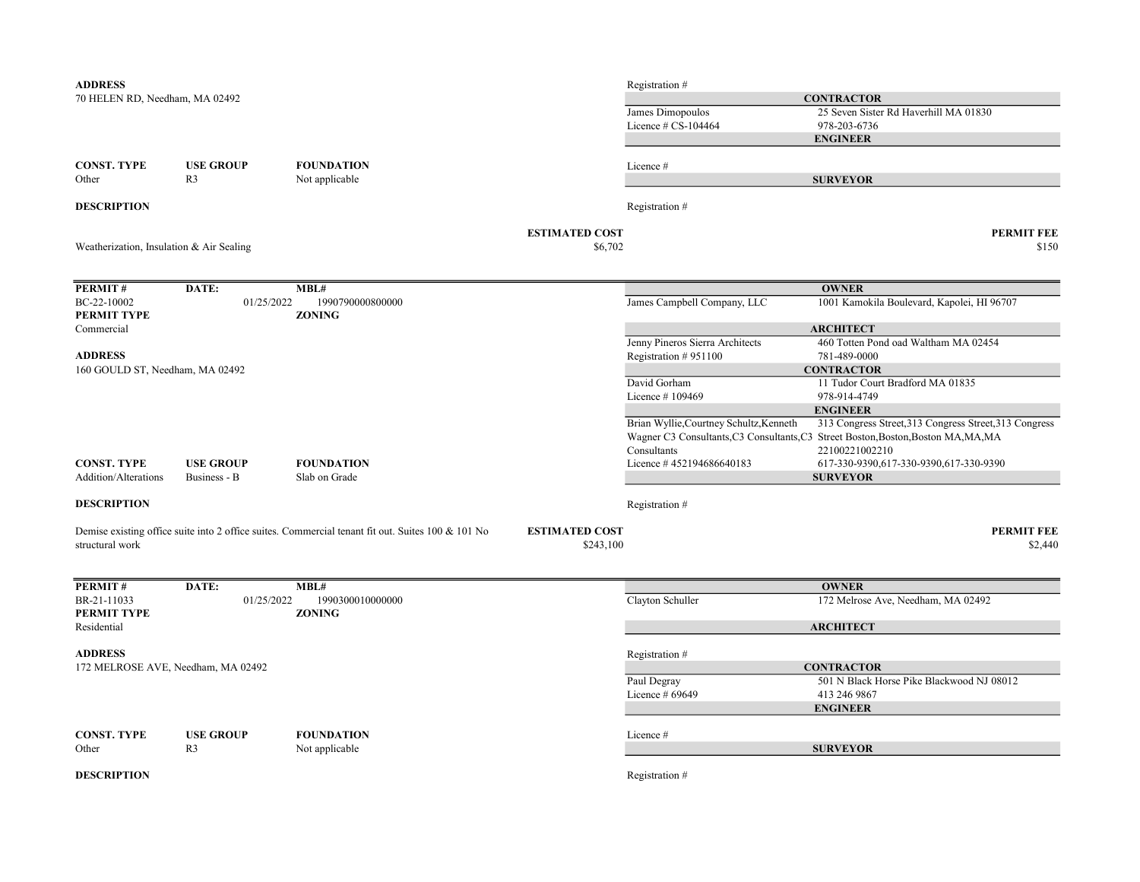| <b>ADDRESS</b>                                    |                                    |                                                                                                   |                                    | Registration #                          |                                                                                                                                              |
|---------------------------------------------------|------------------------------------|---------------------------------------------------------------------------------------------------|------------------------------------|-----------------------------------------|----------------------------------------------------------------------------------------------------------------------------------------------|
| 70 HELEN RD, Needham, MA 02492                    |                                    |                                                                                                   |                                    |                                         | <b>CONTRACTOR</b>                                                                                                                            |
|                                                   |                                    |                                                                                                   |                                    | James Dimopoulos<br>Licence # CS-104464 | 25 Seven Sister Rd Haverhill MA 01830<br>978-203-6736                                                                                        |
|                                                   |                                    |                                                                                                   |                                    |                                         | <b>ENGINEER</b>                                                                                                                              |
| <b>CONST. TYPE</b>                                | <b>USE GROUP</b>                   | <b>FOUNDATION</b>                                                                                 |                                    | Licence #                               |                                                                                                                                              |
| Other                                             | R <sub>3</sub>                     | Not applicable                                                                                    |                                    |                                         | <b>SURVEYOR</b>                                                                                                                              |
|                                                   |                                    |                                                                                                   |                                    |                                         |                                                                                                                                              |
| <b>DESCRIPTION</b>                                |                                    |                                                                                                   |                                    | Registration #                          |                                                                                                                                              |
| Weatherization, Insulation & Air Sealing          |                                    |                                                                                                   | <b>ESTIMATED COST</b><br>\$6,702   |                                         | <b>PERMIT FEE</b><br>\$150                                                                                                                   |
| PERMIT#                                           | DATE:                              | MBL#                                                                                              |                                    |                                         | <b>OWNER</b>                                                                                                                                 |
| BC-22-10002<br>PERMIT TYPE                        | 01/25/2022                         | 1990790000800000<br><b>ZONING</b>                                                                 |                                    | James Campbell Company, LLC             | 1001 Kamokila Boulevard, Kapolei, HI 96707                                                                                                   |
| Commercial                                        |                                    |                                                                                                   |                                    |                                         | <b>ARCHITECT</b>                                                                                                                             |
|                                                   |                                    |                                                                                                   |                                    | Jenny Pineros Sierra Architects         | 460 Totten Pond oad Waltham MA 02454                                                                                                         |
| <b>ADDRESS</b><br>160 GOULD ST, Needham, MA 02492 |                                    |                                                                                                   |                                    | Registration #951100                    | 781-489-0000<br><b>CONTRACTOR</b>                                                                                                            |
|                                                   |                                    |                                                                                                   |                                    | David Gorham                            | 11 Tudor Court Bradford MA 01835                                                                                                             |
|                                                   |                                    |                                                                                                   |                                    | Licence #109469                         | 978-914-4749                                                                                                                                 |
|                                                   |                                    |                                                                                                   |                                    |                                         | <b>ENGINEER</b>                                                                                                                              |
|                                                   |                                    |                                                                                                   |                                    | Brian Wyllie, Courtney Schultz, Kenneth | 313 Congress Street, 313 Congress Street, 313 Congress<br>Wagner C3 Consultants, C3 Consultants, C3 Street Boston, Boston, Boston MA, MA, MA |
|                                                   |                                    |                                                                                                   |                                    | Consultants                             | 22100221002210                                                                                                                               |
| <b>CONST. TYPE</b>                                | <b>USE GROUP</b>                   | <b>FOUNDATION</b>                                                                                 |                                    | Licence #452194686640183                | 617-330-9390,617-330-9390,617-330-9390                                                                                                       |
| Addition/Alterations                              | Business - B                       | Slab on Grade                                                                                     |                                    |                                         | <b>SURVEYOR</b>                                                                                                                              |
| <b>DESCRIPTION</b>                                |                                    |                                                                                                   |                                    | Registration #                          |                                                                                                                                              |
| structural work                                   |                                    | Demise existing office suite into 2 office suites. Commercial tenant fit out. Suites 100 & 101 No | <b>ESTIMATED COST</b><br>\$243,100 |                                         | <b>PERMIT FEE</b><br>\$2,440                                                                                                                 |
|                                                   |                                    |                                                                                                   |                                    |                                         |                                                                                                                                              |
| PERMIT#                                           | DATE:                              | MBL#                                                                                              |                                    |                                         | <b>OWNER</b>                                                                                                                                 |
| BR-21-11033<br>PERMIT TYPE                        | 01/25/2022                         | 1990300010000000<br><b>ZONING</b>                                                                 |                                    | Clayton Schuller                        | 172 Melrose Ave, Needham, MA 02492                                                                                                           |
| Residential                                       |                                    |                                                                                                   |                                    |                                         | <b>ARCHITECT</b>                                                                                                                             |
| <b>ADDRESS</b>                                    |                                    |                                                                                                   |                                    | Registration #                          |                                                                                                                                              |
|                                                   | 172 MELROSE AVE, Needham, MA 02492 |                                                                                                   |                                    |                                         | <b>CONTRACTOR</b>                                                                                                                            |
|                                                   |                                    |                                                                                                   |                                    | Paul Degray                             | 501 N Black Horse Pike Blackwood NJ 08012                                                                                                    |
|                                                   |                                    |                                                                                                   |                                    | Licence # 69649                         | 413 246 9867                                                                                                                                 |
|                                                   |                                    |                                                                                                   |                                    |                                         | <b>ENGINEER</b>                                                                                                                              |
| <b>CONST. TYPE</b>                                | <b>USE GROUP</b>                   | <b>FOUNDATION</b>                                                                                 |                                    | Licence #                               |                                                                                                                                              |
| Other                                             | R <sub>3</sub>                     | Not applicable                                                                                    |                                    |                                         | <b>SURVEYOR</b>                                                                                                                              |
| <b>DESCRIPTION</b>                                |                                    |                                                                                                   |                                    | Registration #                          |                                                                                                                                              |
|                                                   |                                    |                                                                                                   |                                    |                                         |                                                                                                                                              |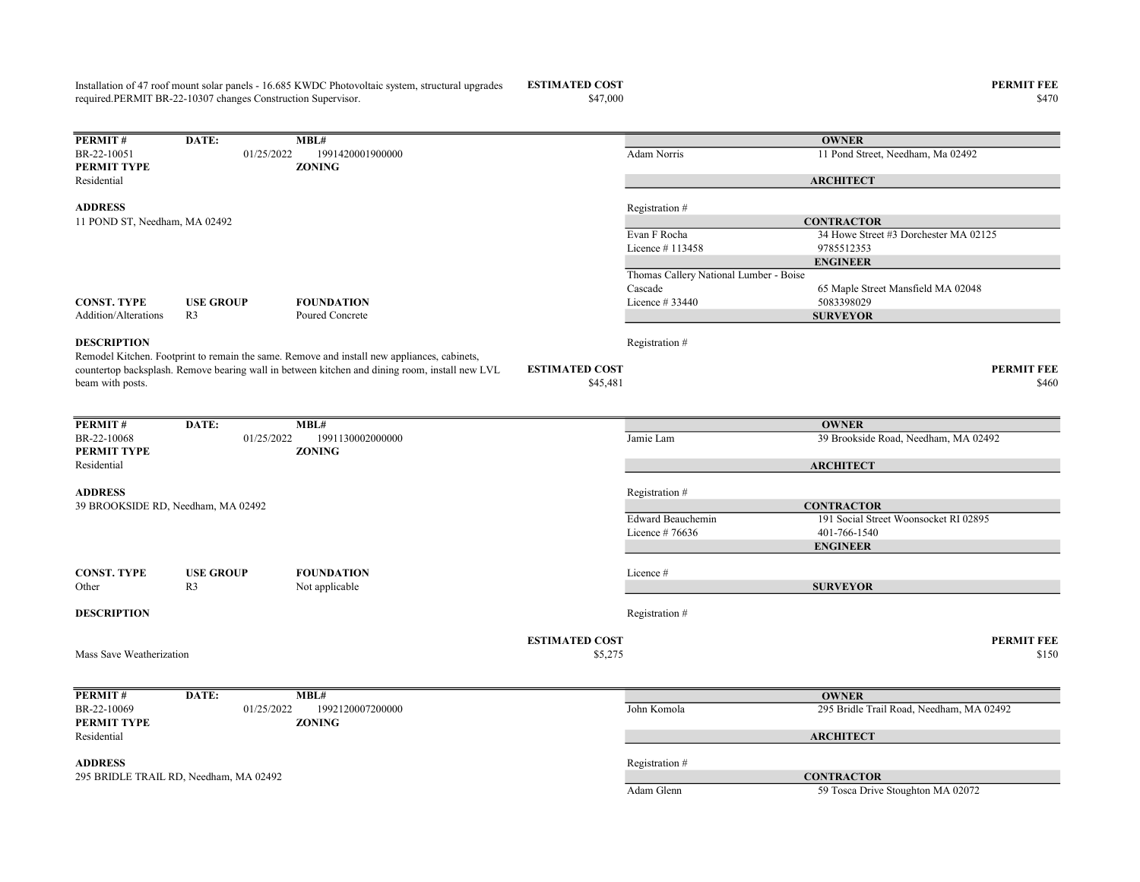Installation of 47 roof mount solar panels - 16.685 KWDC Photovoltaic system, structural upgrades required.PERMIT BR-22-10307 changes Construction Supervisor.

 $\$47,000$   $\$470$ 

ESTIMATED COST PERMIT FEE

**PERMIT # DATE:** MBL#<br>BR-22-10051 01/25/2022 19 BR-22-10051 01/25/2022 1991420001900000 100000 Adam Norris 11 Pond Street, Needham, Ma 02492 PERMIT TYPE ZONING Residential ADDRESS Registration # Evan F Rocha 34 Howe Street #3 Dorchester MA 02125 Licence # 113458 9785512353 Thomas Callery National Lumber - Boise Cascade 65 Maple Street Mansfield MA 02048 CONST. TYPE USE GROUP FOUNDATION Licence # 33440 5083398029 Addition/Alterations R3 Poured Concrete **DESCRIPTION** Registration  $#$ ESTIMATED COST PERMIT FEE  $$45,481$   $$460$ **PERMIT#** DATE: MBL#<br>BR-22-10068 01/25/2022 1991130002000000 01/25/2022 1991130002000000 Jamie Lam 39 Brookside Road, Needham, MA 02492 PERMIT TYPE ZONING Residential ADDRESS Registration # Edward Beauchemin 191 Social Street Woonsocket RI 02895 Licence # 76636 401-766-1540 CONST. TYPE USE GROUP FOUNDATION Licence # Other R3 Not applicable **DESCRIPTION** Registration  $#$ ESTIMATED COST PERMIT FEE  $$5,275$   $$150$ **PERMIT#** DATE: MBL#<br>BR-22-10069 01/25/2022 1992120007200000 1992120007200000 John Komola 295 Bridle Trail Road, Needham, MA 02492<br> **BR-22-10089** ZONING Mass Save Weatherization **OWNER** Remodel Kitchen. Footprint to remain the same. Remove and install new appliances, cabinets, countertop backsplash. Remove bearing wall in between kitchen and dining room, install new LVL beam with posts. **OWNER ARCHITECT CONTRACTOR** ENGINEER SURVEYOR 39 BROOKSIDE RD, Needham, MA 02492 **OWNER ARCHITECT CONTRACTOR** ENGINEER SURVEYOR 11 POND ST, Needham, MA 02492

PERMIT TYPE Residential

ADDRESS Registration # 295 BRIDLE TRAIL RD, Needham, MA 02492 CONTRACTOR

**ARCHITECT** 

Adam Glenn 59 Tosca Drive Stoughton MA 02072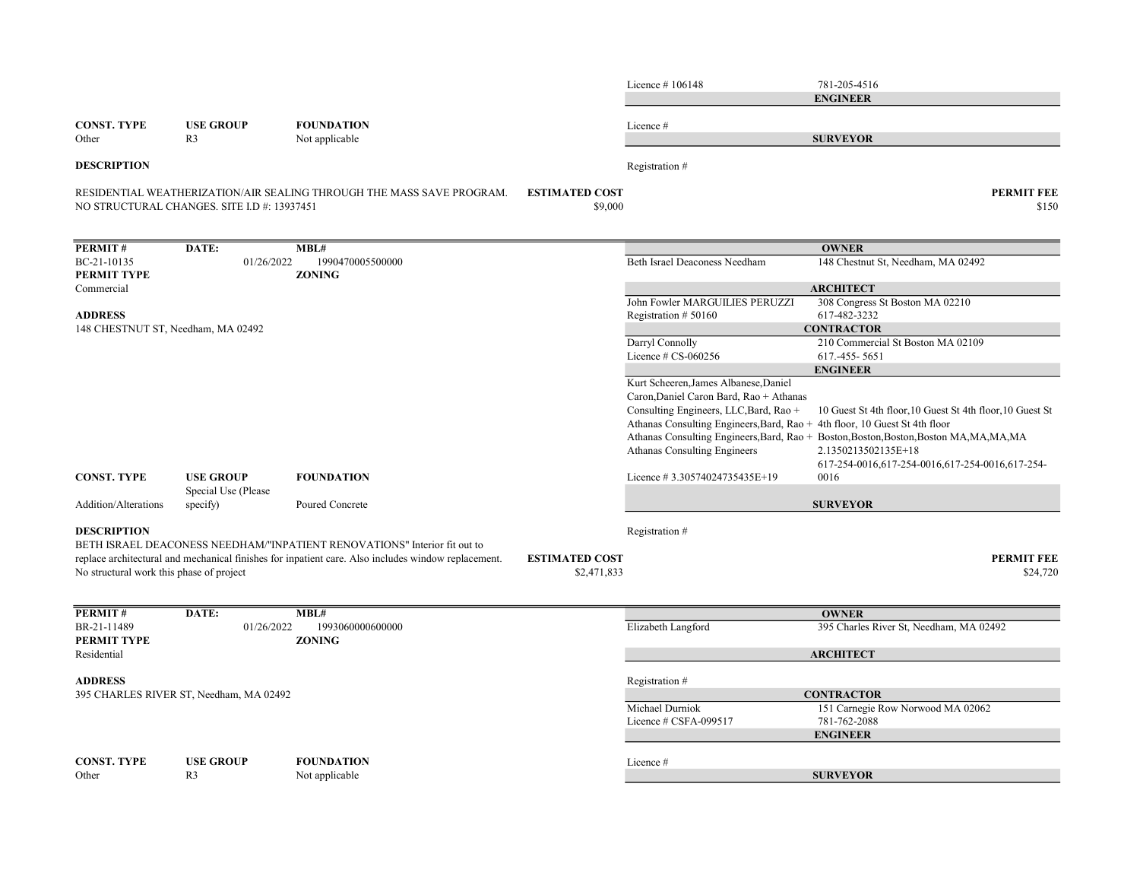|                                          |                                             |                                                                                                                              | Licence #106148                                                            | 781-205-4516                                                                            |
|------------------------------------------|---------------------------------------------|------------------------------------------------------------------------------------------------------------------------------|----------------------------------------------------------------------------|-----------------------------------------------------------------------------------------|
|                                          |                                             |                                                                                                                              |                                                                            | <b>ENGINEER</b>                                                                         |
|                                          |                                             |                                                                                                                              |                                                                            |                                                                                         |
| <b>CONST. TYPE</b>                       | <b>USE GROUP</b>                            | <b>FOUNDATION</b>                                                                                                            | Licence #                                                                  |                                                                                         |
| Other                                    | R <sub>3</sub>                              | Not applicable                                                                                                               |                                                                            | <b>SURVEYOR</b>                                                                         |
| <b>DESCRIPTION</b>                       |                                             |                                                                                                                              | Registration #                                                             |                                                                                         |
|                                          |                                             | RESIDENTIAL WEATHERIZATION/AIR SEALING THROUGH THE MASS SAVE PROGRAM.<br><b>ESTIMATED COST</b>                               |                                                                            | <b>PERMIT FEE</b>                                                                       |
|                                          | NO STRUCTURAL CHANGES. SITE I.D #: 13937451 | \$9,000                                                                                                                      |                                                                            | \$150                                                                                   |
|                                          |                                             |                                                                                                                              |                                                                            |                                                                                         |
|                                          |                                             |                                                                                                                              |                                                                            |                                                                                         |
| PERMIT#                                  | DATE:                                       | MBL#                                                                                                                         |                                                                            | <b>OWNER</b>                                                                            |
| BC-21-10135                              | 01/26/2022                                  | 1990470005500000                                                                                                             | Beth Israel Deaconess Needham                                              | 148 Chestnut St, Needham, MA 02492                                                      |
| PERMIT TYPE<br>Commercial                |                                             | <b>ZONING</b>                                                                                                                |                                                                            | <b>ARCHITECT</b>                                                                        |
|                                          |                                             |                                                                                                                              | John Fowler MARGUILIES PERUZZI                                             | 308 Congress St Boston MA 02210                                                         |
| <b>ADDRESS</b>                           |                                             |                                                                                                                              | Registration $# 50160$                                                     | 617-482-3232                                                                            |
| 148 CHESTNUT ST, Needham, MA 02492       |                                             |                                                                                                                              |                                                                            | <b>CONTRACTOR</b>                                                                       |
|                                          |                                             |                                                                                                                              | Darryl Connolly                                                            | 210 Commercial St Boston MA 02109                                                       |
|                                          |                                             |                                                                                                                              | Licence $# CS-060256$                                                      | 617.-455-5651                                                                           |
|                                          |                                             |                                                                                                                              | Kurt Scheeren, James Albanese, Daniel                                      | <b>ENGINEER</b>                                                                         |
|                                          |                                             |                                                                                                                              | Caron, Daniel Caron Bard, Rao + Athanas                                    |                                                                                         |
|                                          |                                             |                                                                                                                              | Consulting Engineers, LLC, Bard, Rao +                                     | 10 Guest St 4th floor, 10 Guest St 4th floor, 10 Guest St                               |
|                                          |                                             |                                                                                                                              | Athanas Consulting Engineers, Bard, Rao + 4th floor, 10 Guest St 4th floor |                                                                                         |
|                                          |                                             |                                                                                                                              |                                                                            | Athanas Consulting Engineers, Bard, Rao + Boston, Boston, Boston, Boston MA, MA, MA, MA |
|                                          |                                             |                                                                                                                              | Athanas Consulting Engineers                                               | 2.1350213502135E+18                                                                     |
|                                          |                                             |                                                                                                                              |                                                                            | 617-254-0016,617-254-0016,617-254-0016,617-254-                                         |
| <b>CONST. TYPE</b>                       | <b>USE GROUP</b>                            | <b>FOUNDATION</b>                                                                                                            | Licence #3.30574024735435E+19                                              | 0016                                                                                    |
| Addition/Alterations                     | Special Use (Please<br>specify)             | Poured Concrete                                                                                                              |                                                                            | <b>SURVEYOR</b>                                                                         |
|                                          |                                             |                                                                                                                              |                                                                            |                                                                                         |
| <b>DESCRIPTION</b>                       |                                             |                                                                                                                              | Registration #                                                             |                                                                                         |
|                                          |                                             | BETH ISRAEL DEACONESS NEEDHAM/"INPATIENT RENOVATIONS" Interior fit out to                                                    |                                                                            |                                                                                         |
|                                          |                                             | replace architectural and mechanical finishes for inpatient care. Also includes window replacement.<br><b>ESTIMATED COST</b> |                                                                            | PERMIT FEE                                                                              |
| No structural work this phase of project |                                             | \$2,471,833                                                                                                                  |                                                                            | \$24,720                                                                                |
|                                          |                                             |                                                                                                                              |                                                                            |                                                                                         |
| PERMIT#                                  | DATE:                                       | MBL#                                                                                                                         |                                                                            | <b>OWNER</b>                                                                            |
| BR-21-11489                              | 01/26/2022                                  | 1993060000600000                                                                                                             | Elizabeth Langford                                                         | 395 Charles River St, Needham, MA 02492                                                 |
| <b>PERMIT TYPE</b>                       |                                             | <b>ZONING</b>                                                                                                                |                                                                            |                                                                                         |
| Residential                              |                                             |                                                                                                                              |                                                                            | <b>ARCHITECT</b>                                                                        |
|                                          |                                             |                                                                                                                              |                                                                            |                                                                                         |
| <b>ADDRESS</b>                           |                                             |                                                                                                                              | Registration #                                                             |                                                                                         |
|                                          | 395 CHARLES RIVER ST, Needham, MA 02492     |                                                                                                                              | Michael Durniok                                                            | <b>CONTRACTOR</b><br>151 Carnegie Row Norwood MA 02062                                  |
|                                          |                                             |                                                                                                                              | Licence # CSFA-099517                                                      | 781-762-2088                                                                            |
|                                          |                                             |                                                                                                                              |                                                                            | <b>ENGINEER</b>                                                                         |
|                                          |                                             |                                                                                                                              |                                                                            |                                                                                         |
| <b>CONST. TYPE</b>                       | <b>USE GROUP</b>                            | <b>FOUNDATION</b>                                                                                                            | Licence #                                                                  |                                                                                         |
| Other                                    | R <sub>3</sub>                              | Not applicable                                                                                                               |                                                                            | <b>SURVEYOR</b>                                                                         |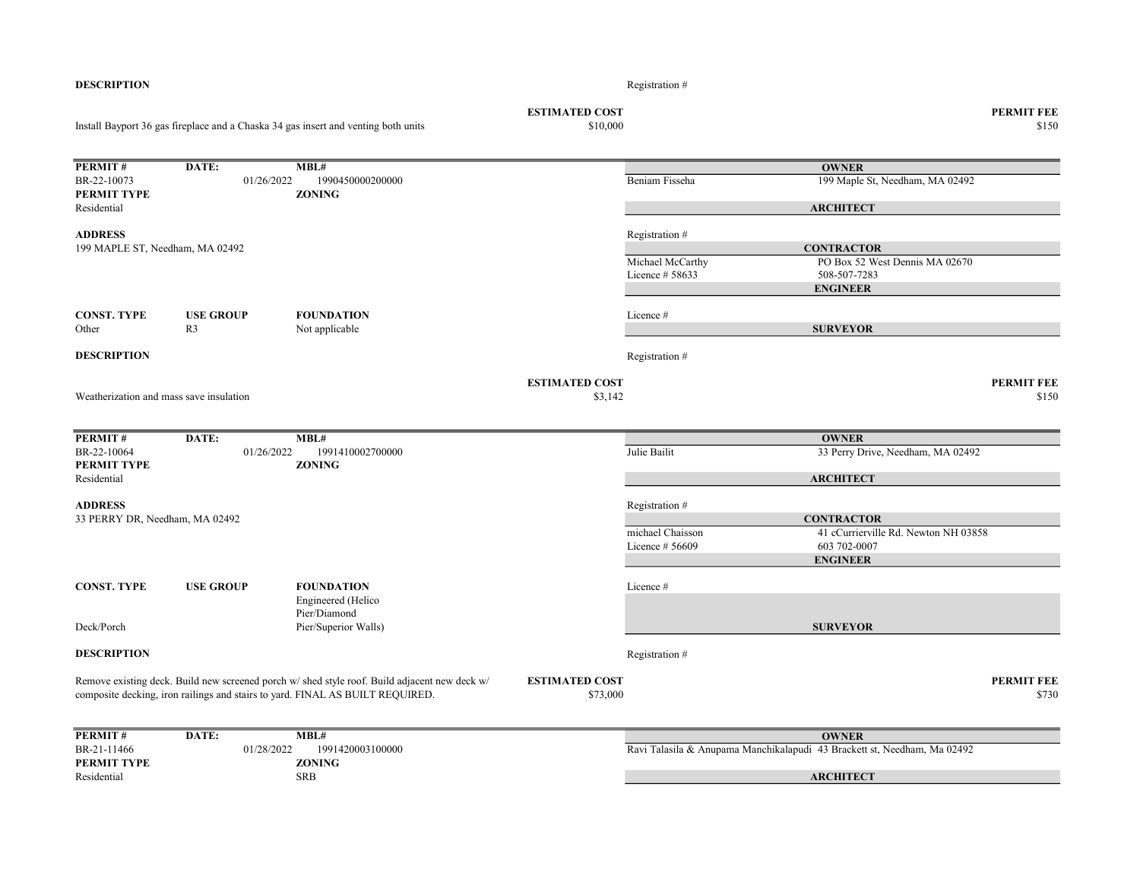|                                         |                  | Install Bayport 36 gas fireplace and a Chaska 34 gas insert and venting both units                                                                                             | \$10,000                          |                                     |                                                                          | \$150                      |
|-----------------------------------------|------------------|--------------------------------------------------------------------------------------------------------------------------------------------------------------------------------|-----------------------------------|-------------------------------------|--------------------------------------------------------------------------|----------------------------|
| PERMIT#                                 | DATE:            | MBL#                                                                                                                                                                           |                                   |                                     | <b>OWNER</b>                                                             |                            |
| BR-22-10073<br>PERMIT TYPE              | 01/26/2022       | 1990450000200000<br><b>ZONING</b>                                                                                                                                              |                                   | Beniam Fisseha                      | 199 Maple St, Needham, MA 02492                                          |                            |
| Residential                             |                  |                                                                                                                                                                                |                                   |                                     | <b>ARCHITECT</b>                                                         |                            |
| <b>ADDRESS</b>                          |                  |                                                                                                                                                                                |                                   | Registration #                      |                                                                          |                            |
| 199 MAPLE ST, Needham, MA 02492         |                  |                                                                                                                                                                                |                                   |                                     | <b>CONTRACTOR</b>                                                        |                            |
|                                         |                  |                                                                                                                                                                                |                                   | Michael McCarthy<br>Licence # 58633 | PO Box 52 West Dennis MA 02670<br>508-507-7283                           |                            |
|                                         |                  |                                                                                                                                                                                |                                   |                                     | <b>ENGINEER</b>                                                          |                            |
| <b>CONST. TYPE</b>                      | <b>USE GROUP</b> | <b>FOUNDATION</b>                                                                                                                                                              |                                   | Licence#                            |                                                                          |                            |
| Other                                   | R <sub>3</sub>   | Not applicable                                                                                                                                                                 |                                   |                                     | <b>SURVEYOR</b>                                                          |                            |
| <b>DESCRIPTION</b>                      |                  |                                                                                                                                                                                |                                   | Registration #                      |                                                                          |                            |
| Weatherization and mass save insulation |                  |                                                                                                                                                                                | <b>ESTIMATED COST</b><br>\$3,142  |                                     |                                                                          | <b>PERMIT FEE</b><br>\$150 |
|                                         |                  |                                                                                                                                                                                |                                   |                                     |                                                                          |                            |
| PERMIT#                                 | DATE:            | MBL#                                                                                                                                                                           |                                   |                                     | <b>OWNER</b>                                                             |                            |
| BR-22-10064<br>PERMIT TYPE              | 01/26/2022       | 1991410002700000<br><b>ZONING</b>                                                                                                                                              |                                   | Julie Bailit                        | 33 Perry Drive, Needham, MA 02492                                        |                            |
| Residential                             |                  |                                                                                                                                                                                |                                   |                                     | <b>ARCHITECT</b>                                                         |                            |
| <b>ADDRESS</b>                          |                  |                                                                                                                                                                                |                                   | Registration #                      |                                                                          |                            |
| 33 PERRY DR, Needham, MA 02492          |                  |                                                                                                                                                                                |                                   |                                     | <b>CONTRACTOR</b>                                                        |                            |
|                                         |                  |                                                                                                                                                                                |                                   | michael Chaisson                    | 41 cCurrierville Rd. Newton NH 03858                                     |                            |
|                                         |                  |                                                                                                                                                                                |                                   | Licence $#56609$                    | 603 702-0007                                                             |                            |
|                                         |                  |                                                                                                                                                                                |                                   |                                     | <b>ENGINEER</b>                                                          |                            |
| <b>CONST. TYPE</b>                      | <b>USE GROUP</b> | <b>FOUNDATION</b>                                                                                                                                                              |                                   | Licence#                            |                                                                          |                            |
|                                         |                  | Engineered (Helico                                                                                                                                                             |                                   |                                     |                                                                          |                            |
| Deck/Porch                              |                  | Pier/Diamond<br>Pier/Superior Walls)                                                                                                                                           |                                   |                                     | <b>SURVEYOR</b>                                                          |                            |
| <b>DESCRIPTION</b>                      |                  |                                                                                                                                                                                |                                   | Registration #                      |                                                                          |                            |
|                                         |                  | Remove existing deck. Build new screened porch w/ shed style roof. Build adjacent new deck w/<br>composite decking, iron railings and stairs to yard. FINAL AS BUILT REQUIRED. | <b>ESTIMATED COST</b><br>\$73,000 |                                     |                                                                          | <b>PERMIT FEE</b><br>\$730 |
| PERMIT#                                 | DATE:            | MBL#                                                                                                                                                                           |                                   |                                     | <b>OWNER</b>                                                             |                            |
| BR-21-11466                             | 01/28/2022       | 1991420003100000                                                                                                                                                               |                                   |                                     | Ravi Talasila & Anupama Manchikalapudi 43 Brackett st, Needham, Ma 02492 |                            |
| PERMIT TYPE<br>Residential              |                  | <b>ZONING</b><br><b>SRB</b>                                                                                                                                                    |                                   |                                     | <b>ARCHITECT</b>                                                         |                            |
|                                         |                  |                                                                                                                                                                                |                                   |                                     |                                                                          |                            |

ESTIMATED COST PERMIT FEE

**DESCRIPTION** Registration #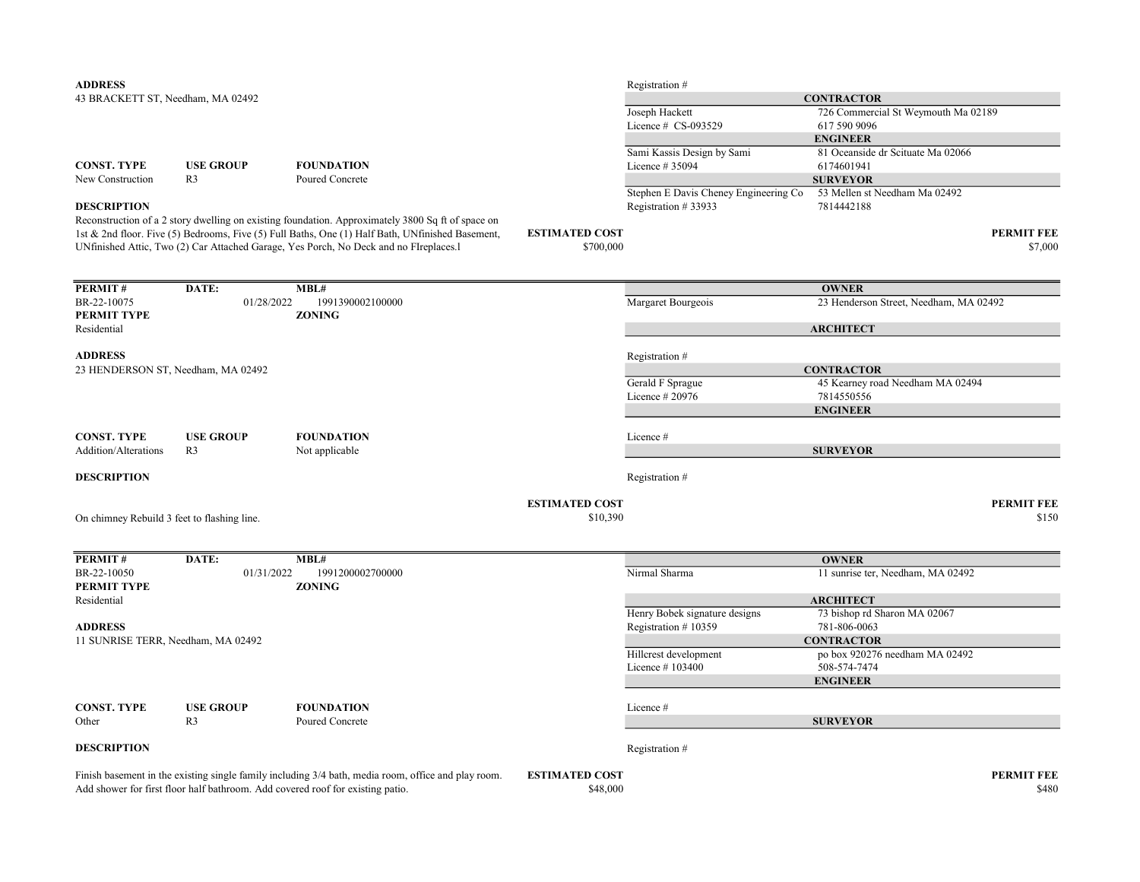| <b>ADDRESS</b>                              |                  |                                                                                                                                                                                                       |                                   | Registration #                        |                                        |                            |
|---------------------------------------------|------------------|-------------------------------------------------------------------------------------------------------------------------------------------------------------------------------------------------------|-----------------------------------|---------------------------------------|----------------------------------------|----------------------------|
| 43 BRACKETT ST, Needham, MA 02492           |                  |                                                                                                                                                                                                       |                                   |                                       | <b>CONTRACTOR</b>                      |                            |
|                                             |                  |                                                                                                                                                                                                       |                                   | Joseph Hackett                        | 726 Commercial St Weymouth Ma 02189    |                            |
|                                             |                  |                                                                                                                                                                                                       |                                   | Licence # CS-093529                   | 617 590 9096                           |                            |
|                                             |                  |                                                                                                                                                                                                       |                                   |                                       | <b>ENGINEER</b>                        |                            |
|                                             |                  |                                                                                                                                                                                                       |                                   | Sami Kassis Design by Sami            | 81 Oceanside dr Scituate Ma 02066      |                            |
| <b>CONST. TYPE</b>                          | <b>USE GROUP</b> | <b>FOUNDATION</b>                                                                                                                                                                                     |                                   | Licence # 35094                       | 6174601941                             |                            |
| New Construction                            | R <sub>3</sub>   | Poured Concrete                                                                                                                                                                                       |                                   |                                       | <b>SURVEYOR</b>                        |                            |
|                                             |                  |                                                                                                                                                                                                       |                                   | Stephen E Davis Cheney Engineering Co | 53 Mellen st Needham Ma 02492          |                            |
| <b>DESCRIPTION</b>                          |                  |                                                                                                                                                                                                       |                                   | Registration #33933                   | 7814442188                             |                            |
|                                             |                  | Reconstruction of a 2 story dwelling on existing foundation. Approximately 3800 Sq ft of space on<br>1st & 2nd floor. Five (5) Bedrooms, Five (5) Full Baths, One (1) Half Bath, UNfinished Basement, | <b>ESTIMATED COST</b>             |                                       |                                        | <b>PERMIT FEE</b>          |
|                                             |                  | UNfinished Attic, Two (2) Car Attached Garage, Yes Porch, No Deck and no FIreplaces.1                                                                                                                 | \$700,000                         |                                       |                                        | \$7,000                    |
| PERMIT#                                     | DATE:            | MBL#                                                                                                                                                                                                  |                                   |                                       | <b>OWNER</b>                           |                            |
| BR-22-10075                                 | 01/28/2022       | 1991390002100000                                                                                                                                                                                      |                                   | Margaret Bourgeois                    | 23 Henderson Street, Needham, MA 02492 |                            |
| PERMIT TYPE                                 |                  | <b>ZONING</b>                                                                                                                                                                                         |                                   |                                       |                                        |                            |
| Residential                                 |                  |                                                                                                                                                                                                       |                                   |                                       | <b>ARCHITECT</b>                       |                            |
| <b>ADDRESS</b>                              |                  |                                                                                                                                                                                                       |                                   | Registration #                        |                                        |                            |
| 23 HENDERSON ST, Needham, MA 02492          |                  |                                                                                                                                                                                                       |                                   |                                       | <b>CONTRACTOR</b>                      |                            |
|                                             |                  |                                                                                                                                                                                                       |                                   | Gerald F Sprague                      | 45 Kearney road Needham MA 02494       |                            |
|                                             |                  |                                                                                                                                                                                                       |                                   | Licence # 20976                       | 7814550556                             |                            |
|                                             |                  |                                                                                                                                                                                                       |                                   |                                       | <b>ENGINEER</b>                        |                            |
|                                             |                  |                                                                                                                                                                                                       |                                   |                                       |                                        |                            |
| <b>CONST. TYPE</b>                          | <b>USE GROUP</b> | <b>FOUNDATION</b>                                                                                                                                                                                     |                                   | Licence #                             |                                        |                            |
| Addition/Alterations                        | R <sub>3</sub>   | Not applicable                                                                                                                                                                                        |                                   |                                       | <b>SURVEYOR</b>                        |                            |
| <b>DESCRIPTION</b>                          |                  |                                                                                                                                                                                                       |                                   | Registration #                        |                                        |                            |
|                                             |                  |                                                                                                                                                                                                       |                                   |                                       |                                        |                            |
| On chimney Rebuild 3 feet to flashing line. |                  |                                                                                                                                                                                                       | <b>ESTIMATED COST</b><br>\$10,390 |                                       |                                        | <b>PERMIT FEE</b><br>\$150 |
|                                             |                  |                                                                                                                                                                                                       |                                   |                                       |                                        |                            |
| PERMIT#                                     | DATE:            | MBL#                                                                                                                                                                                                  |                                   |                                       | <b>OWNER</b>                           |                            |
| BR-22-10050<br>PERMIT TYPE                  | 01/31/2022       | 1991200002700000<br><b>ZONING</b>                                                                                                                                                                     |                                   | Nirmal Sharma                         | 11 sunrise ter, Needham, MA 02492      |                            |
| Residential                                 |                  |                                                                                                                                                                                                       |                                   |                                       | <b>ARCHITECT</b>                       |                            |
|                                             |                  |                                                                                                                                                                                                       |                                   | Henry Bobek signature designs         | 73 bishop rd Sharon MA 02067           |                            |
| <b>ADDRESS</b>                              |                  |                                                                                                                                                                                                       |                                   | Registration #10359                   | 781-806-0063                           |                            |
| 11 SUNRISE TERR, Needham, MA 02492          |                  |                                                                                                                                                                                                       |                                   |                                       | <b>CONTRACTOR</b>                      |                            |
|                                             |                  |                                                                                                                                                                                                       |                                   | Hillcrest development                 | po box 920276 needham MA 02492         |                            |
|                                             |                  |                                                                                                                                                                                                       |                                   | Licence #103400                       | 508-574-7474                           |                            |
|                                             |                  |                                                                                                                                                                                                       |                                   |                                       | <b>ENGINEER</b>                        |                            |
| <b>CONST. TYPE</b>                          | <b>USE GROUP</b> | <b>FOUNDATION</b>                                                                                                                                                                                     |                                   | Licence #                             |                                        |                            |
| Other                                       | R <sub>3</sub>   | Poured Concrete                                                                                                                                                                                       |                                   |                                       | <b>SURVEYOR</b>                        |                            |
| <b>DESCRIPTION</b>                          |                  |                                                                                                                                                                                                       |                                   | Registration #                        |                                        |                            |
|                                             |                  |                                                                                                                                                                                                       |                                   |                                       |                                        | <b>PERMIT FEE</b>          |
|                                             |                  | Finish basement in the existing single family including 3/4 bath, media room, office and play room.<br>Add shower for first floor half bathroom. Add covered roof for existing patio.                 | <b>ESTIMATED COST</b><br>\$48,000 |                                       |                                        | \$480                      |
|                                             |                  |                                                                                                                                                                                                       |                                   |                                       |                                        |                            |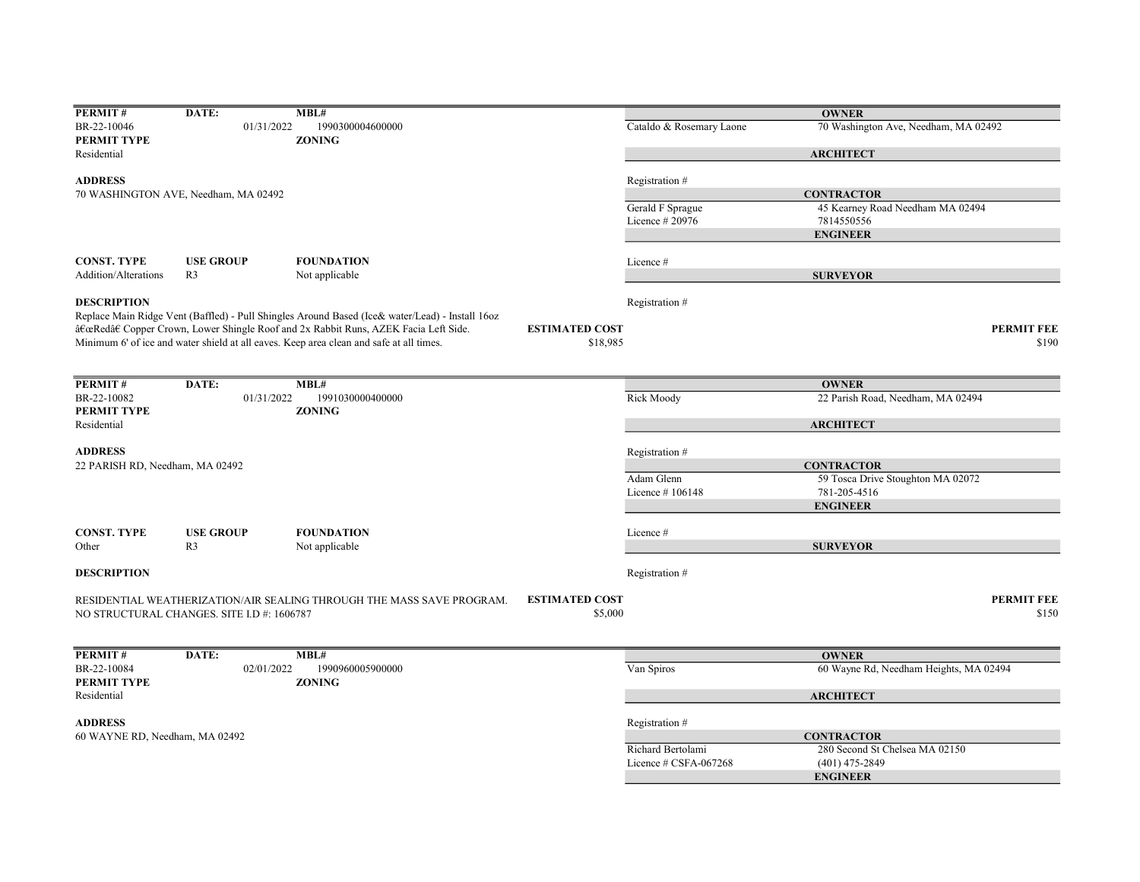| PERMIT#                                    | DATE:                                | MBL#                                                                                                                                                                                                |                       |                          | <b>OWNER</b>                                           |
|--------------------------------------------|--------------------------------------|-----------------------------------------------------------------------------------------------------------------------------------------------------------------------------------------------------|-----------------------|--------------------------|--------------------------------------------------------|
| BR-22-10046                                | 01/31/2022                           | 1990300004600000                                                                                                                                                                                    |                       | Cataldo & Rosemary Laone | 70 Washington Ave, Needham, MA 02492                   |
| PERMIT TYPE                                |                                      | <b>ZONING</b>                                                                                                                                                                                       |                       |                          |                                                        |
| Residential                                |                                      |                                                                                                                                                                                                     |                       |                          | <b>ARCHITECT</b>                                       |
| <b>ADDRESS</b>                             |                                      |                                                                                                                                                                                                     |                       | Registration #           |                                                        |
|                                            | 70 WASHINGTON AVE, Needham, MA 02492 |                                                                                                                                                                                                     |                       |                          | <b>CONTRACTOR</b>                                      |
|                                            |                                      |                                                                                                                                                                                                     |                       | Gerald F Sprague         | 45 Kearney Road Needham MA 02494                       |
|                                            |                                      |                                                                                                                                                                                                     |                       | Licence # 20976          | 7814550556                                             |
|                                            |                                      |                                                                                                                                                                                                     |                       |                          | <b>ENGINEER</b>                                        |
| <b>CONST. TYPE</b>                         | <b>USE GROUP</b>                     | <b>FOUNDATION</b>                                                                                                                                                                                   |                       | Licence#                 |                                                        |
| Addition/Alterations                       | R <sub>3</sub>                       | Not applicable                                                                                                                                                                                      |                       |                          | <b>SURVEYOR</b>                                        |
|                                            |                                      |                                                                                                                                                                                                     |                       |                          |                                                        |
| <b>DESCRIPTION</b>                         |                                      |                                                                                                                                                                                                     |                       | Registration #           |                                                        |
|                                            |                                      | Replace Main Ridge Vent (Baffled) - Pull Shingles Around Based (Ice& water/Lead) - Install 160z                                                                                                     | <b>ESTIMATED COST</b> |                          | <b>PERMIT FEE</b>                                      |
|                                            |                                      | â $\epsilon$ œRedâ $\epsilon$ Copper Crown, Lower Shingle Roof and 2x Rabbit Runs, AZEK Facia Left Side.<br>Minimum 6' of ice and water shield at all eaves. Keep area clean and safe at all times. | \$18,985              |                          |                                                        |
|                                            |                                      |                                                                                                                                                                                                     |                       |                          |                                                        |
|                                            |                                      |                                                                                                                                                                                                     |                       |                          |                                                        |
| PERMIT#                                    | DATE:                                | MBL#                                                                                                                                                                                                |                       |                          | <b>OWNER</b>                                           |
| BR-22-10082                                | 01/31/2022                           | 1991030000400000                                                                                                                                                                                    |                       | Rick Moody               | 22 Parish Road, Needham, MA 02494                      |
| PERMIT TYPE                                |                                      | <b>ZONING</b>                                                                                                                                                                                       |                       |                          |                                                        |
| Residential                                |                                      |                                                                                                                                                                                                     |                       |                          | <b>ARCHITECT</b>                                       |
| <b>ADDRESS</b>                             |                                      |                                                                                                                                                                                                     |                       | Registration #           |                                                        |
| 22 PARISH RD, Needham, MA 02492            |                                      |                                                                                                                                                                                                     |                       |                          | <b>CONTRACTOR</b>                                      |
|                                            |                                      |                                                                                                                                                                                                     |                       | Adam Glenn               | 59 Tosca Drive Stoughton MA 02072                      |
|                                            |                                      |                                                                                                                                                                                                     |                       | Licence #106148          | 781-205-4516                                           |
|                                            |                                      |                                                                                                                                                                                                     |                       |                          | <b>ENGINEER</b>                                        |
| <b>CONST. TYPE</b>                         | <b>USE GROUP</b>                     | <b>FOUNDATION</b>                                                                                                                                                                                   |                       | Licence#                 |                                                        |
| Other                                      | R <sub>3</sub>                       | Not applicable                                                                                                                                                                                      |                       |                          | <b>SURVEYOR</b>                                        |
|                                            |                                      |                                                                                                                                                                                                     |                       |                          |                                                        |
| <b>DESCRIPTION</b>                         |                                      |                                                                                                                                                                                                     |                       | Registration #           |                                                        |
|                                            |                                      | RESIDENTIAL WEATHERIZATION/AIR SEALING THROUGH THE MASS SAVE PROGRAM.                                                                                                                               | <b>ESTIMATED COST</b> |                          | <b>PERMIT FEE</b>                                      |
| NO STRUCTURAL CHANGES. SITE I.D #: 1606787 |                                      |                                                                                                                                                                                                     | \$5,000               |                          |                                                        |
|                                            |                                      |                                                                                                                                                                                                     |                       |                          |                                                        |
|                                            |                                      |                                                                                                                                                                                                     |                       |                          |                                                        |
| PERMIT#<br>BR-22-10084                     | DATE:<br>02/01/2022                  | MBL#<br>1990960005900000                                                                                                                                                                            |                       | Van Spiros               | <b>OWNER</b><br>60 Wayne Rd, Needham Heights, MA 02494 |
| PERMIT TYPE                                |                                      | <b>ZONING</b>                                                                                                                                                                                       |                       |                          |                                                        |
| Residential                                |                                      |                                                                                                                                                                                                     |                       |                          | <b>ARCHITECT</b>                                       |
|                                            |                                      |                                                                                                                                                                                                     |                       |                          |                                                        |
| <b>ADDRESS</b>                             |                                      |                                                                                                                                                                                                     |                       | Registration #           |                                                        |
| 60 WAYNE RD, Needham, MA 02492             |                                      |                                                                                                                                                                                                     |                       |                          | <b>CONTRACTOR</b>                                      |
|                                            |                                      |                                                                                                                                                                                                     |                       | Richard Bertolami        | 280 Second St Chelsea MA 02150                         |
|                                            |                                      |                                                                                                                                                                                                     |                       | Licence # CSFA-067268    | $(401)$ 475-2849                                       |
|                                            |                                      |                                                                                                                                                                                                     |                       |                          | <b>ENGINEER</b>                                        |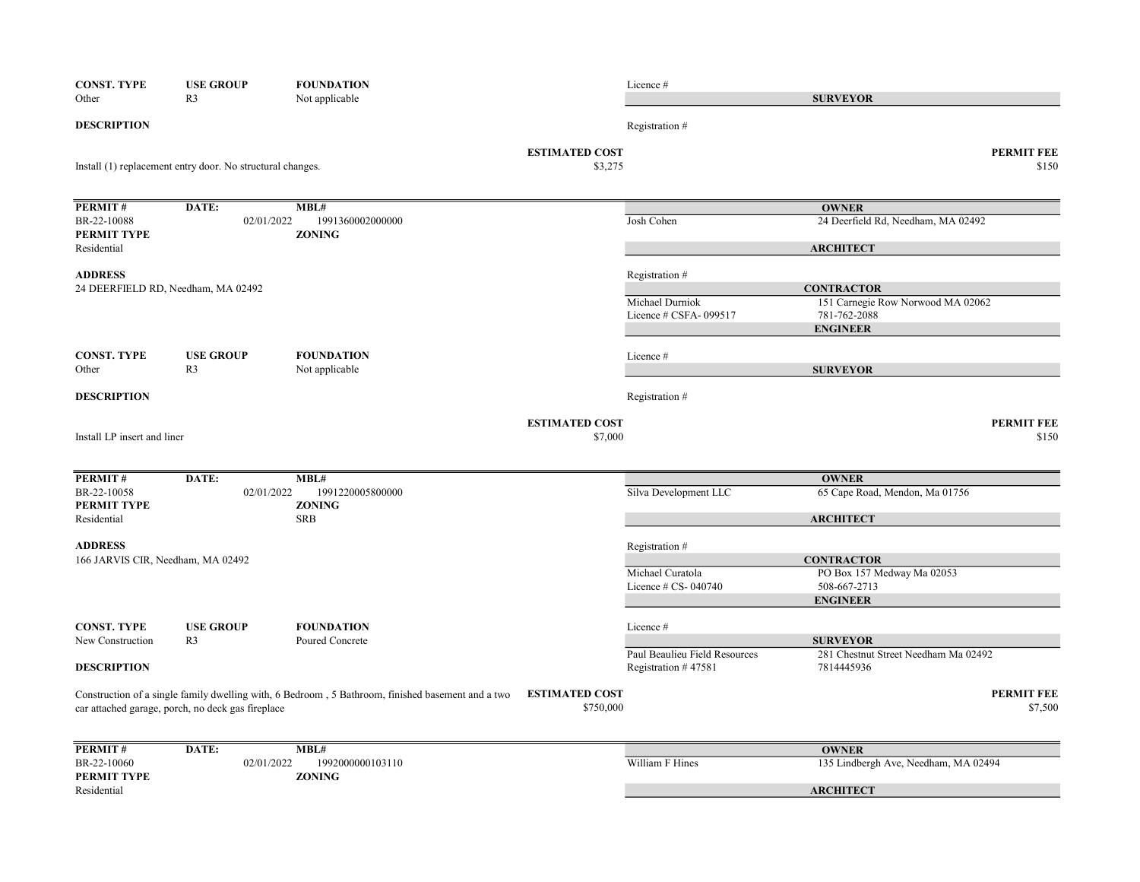| <b>CONST. TYPE</b>                                  | <b>USE GROUP</b>                                           | <b>FOUNDATION</b>                                                                                 |                                  | Licence #                                            |                                                        |
|-----------------------------------------------------|------------------------------------------------------------|---------------------------------------------------------------------------------------------------|----------------------------------|------------------------------------------------------|--------------------------------------------------------|
| Other                                               | R <sub>3</sub>                                             | Not applicable                                                                                    |                                  |                                                      | <b>SURVEYOR</b>                                        |
| <b>DESCRIPTION</b>                                  |                                                            |                                                                                                   |                                  | Registration #                                       |                                                        |
|                                                     | Install (1) replacement entry door. No structural changes. |                                                                                                   | <b>ESTIMATED COST</b><br>\$3,275 |                                                      | <b>PERMIT FEE</b><br>\$150                             |
|                                                     |                                                            |                                                                                                   |                                  |                                                      |                                                        |
| PERMIT#                                             | DATE:                                                      | MBL#                                                                                              |                                  |                                                      | <b>OWNER</b>                                           |
| BR-22-10088<br>PERMIT TYPE                          | 02/01/2022                                                 | 1991360002000000<br><b>ZONING</b>                                                                 |                                  | Josh Cohen                                           | 24 Deerfield Rd, Needham, MA 02492                     |
| Residential                                         |                                                            |                                                                                                   |                                  |                                                      | <b>ARCHITECT</b>                                       |
| <b>ADDRESS</b>                                      |                                                            |                                                                                                   |                                  | Registration #                                       |                                                        |
| 24 DEERFIELD RD, Needham, MA 02492                  |                                                            |                                                                                                   |                                  | Michael Durniok                                      | <b>CONTRACTOR</b><br>151 Carnegie Row Norwood MA 02062 |
|                                                     |                                                            |                                                                                                   |                                  | Licence # CSFA-099517                                | 781-762-2088                                           |
|                                                     |                                                            |                                                                                                   |                                  |                                                      | <b>ENGINEER</b>                                        |
| <b>CONST. TYPE</b>                                  | <b>USE GROUP</b>                                           | <b>FOUNDATION</b>                                                                                 |                                  | Licence#                                             |                                                        |
| Other                                               | R <sub>3</sub>                                             | Not applicable                                                                                    |                                  |                                                      | <b>SURVEYOR</b>                                        |
| <b>DESCRIPTION</b>                                  |                                                            |                                                                                                   |                                  | Registration #                                       |                                                        |
| Install LP insert and liner                         |                                                            |                                                                                                   | <b>ESTIMATED COST</b><br>\$7,000 |                                                      | <b>PERMIT FEE</b><br>\$150                             |
|                                                     |                                                            |                                                                                                   |                                  |                                                      |                                                        |
| PERMIT#                                             | DATE:                                                      | MBL#                                                                                              |                                  |                                                      | <b>OWNER</b>                                           |
| BR-22-10058                                         | 02/01/2022                                                 | 1991220005800000                                                                                  |                                  | Silva Development LLC                                | 65 Cape Road, Mendon, Ma 01756                         |
| PERMIT TYPE<br>Residential                          |                                                            | <b>ZONING</b><br><b>SRB</b>                                                                       |                                  |                                                      | <b>ARCHITECT</b>                                       |
|                                                     |                                                            |                                                                                                   |                                  |                                                      |                                                        |
| <b>ADDRESS</b><br>166 JARVIS CIR, Needham, MA 02492 |                                                            |                                                                                                   |                                  | Registration #                                       | <b>CONTRACTOR</b>                                      |
|                                                     |                                                            |                                                                                                   |                                  | Michael Curatola                                     | PO Box 157 Medway Ma 02053                             |
|                                                     |                                                            |                                                                                                   |                                  | Licence # CS- 040740                                 | 508-667-2713                                           |
|                                                     |                                                            |                                                                                                   |                                  |                                                      | <b>ENGINEER</b>                                        |
| <b>CONST. TYPE</b>                                  | <b>USE GROUP</b>                                           | <b>FOUNDATION</b>                                                                                 |                                  | Licence #                                            |                                                        |
| New Construction                                    | R <sub>3</sub>                                             | Poured Concrete                                                                                   |                                  |                                                      | <b>SURVEYOR</b>                                        |
| <b>DESCRIPTION</b>                                  |                                                            |                                                                                                   |                                  | Paul Beaulieu Field Resources<br>Registration #47581 | 281 Chestnut Street Needham Ma 02492<br>7814445936     |
|                                                     |                                                            | Construction of a single family dwelling with, 6 Bedroom, 5 Bathroom, finished basement and a two | <b>ESTIMATED COST</b>            |                                                      | <b>PERMIT FEE</b>                                      |
|                                                     | car attached garage, porch, no deck gas fireplace          |                                                                                                   | \$750,000                        |                                                      | \$7,500                                                |
| PERMIT#                                             | DATE:                                                      | MBL#                                                                                              |                                  |                                                      | <b>OWNER</b>                                           |
| BR-22-10060                                         | 02/01/2022                                                 | 1992000000103110                                                                                  |                                  | William F Hines                                      | 135 Lindbergh Ave, Needham, MA 02494                   |
| PERMIT TYPE<br>Residential                          |                                                            | <b>ZONING</b>                                                                                     |                                  |                                                      | <b>ARCHITECT</b>                                       |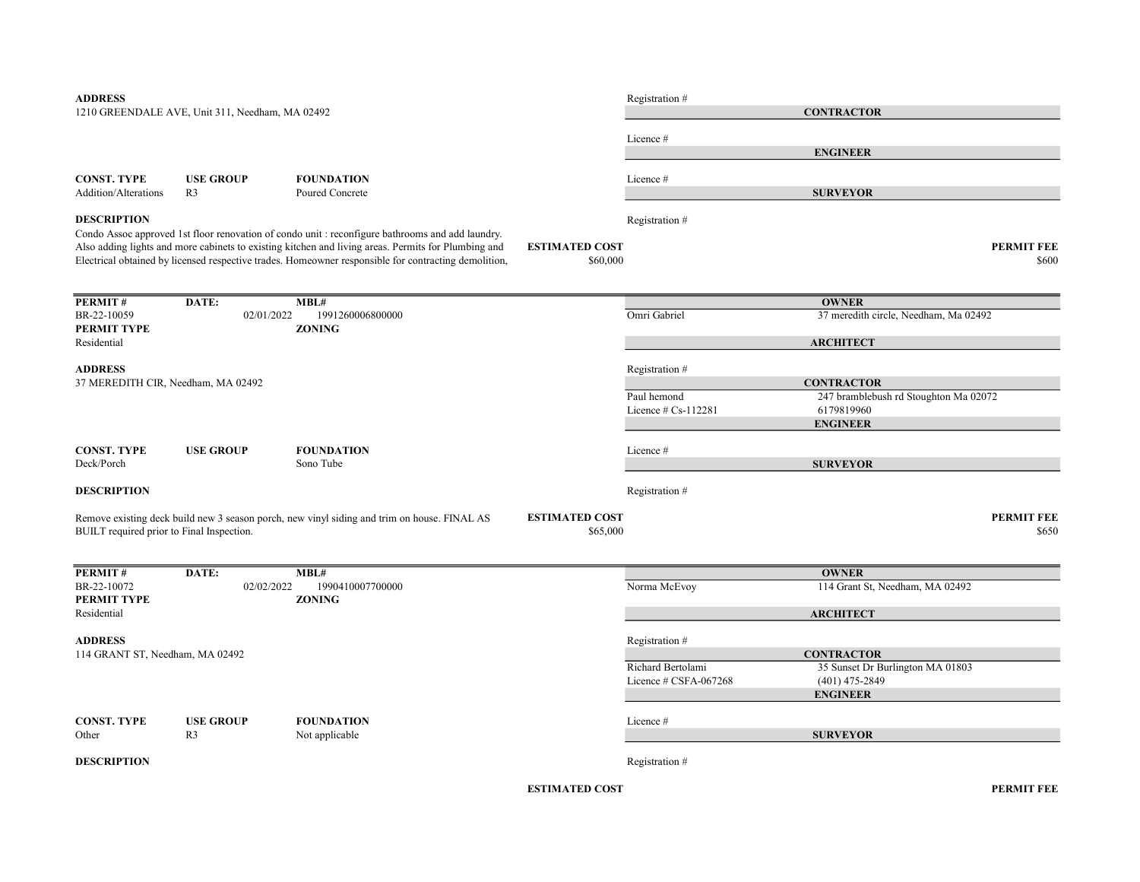| <b>ADDRESS</b>                            |                                                 |                                                                                                      |                       | Registration #        |                                                            |       |
|-------------------------------------------|-------------------------------------------------|------------------------------------------------------------------------------------------------------|-----------------------|-----------------------|------------------------------------------------------------|-------|
|                                           | 1210 GREENDALE AVE, Unit 311, Needham, MA 02492 |                                                                                                      |                       |                       | <b>CONTRACTOR</b>                                          |       |
|                                           |                                                 |                                                                                                      |                       |                       |                                                            |       |
|                                           |                                                 |                                                                                                      |                       | Licence #             |                                                            |       |
|                                           |                                                 |                                                                                                      |                       |                       | <b>ENGINEER</b>                                            |       |
| <b>CONST. TYPE</b>                        | <b>USE GROUP</b>                                | <b>FOUNDATION</b>                                                                                    |                       | Licence#              |                                                            |       |
| <b>Addition/Alterations</b>               | R <sub>3</sub>                                  | Poured Concrete                                                                                      |                       |                       | <b>SURVEYOR</b>                                            |       |
|                                           |                                                 |                                                                                                      |                       |                       |                                                            |       |
| <b>DESCRIPTION</b>                        |                                                 |                                                                                                      |                       | Registration #        |                                                            |       |
|                                           |                                                 | Condo Assoc approved 1st floor renovation of condo unit : reconfigure bathrooms and add laundry.     |                       |                       |                                                            |       |
|                                           |                                                 | Also adding lights and more cabinets to existing kitchen and living areas. Permits for Plumbing and  | <b>ESTIMATED COST</b> |                       | <b>PERMIT FEE</b>                                          |       |
|                                           |                                                 | Electrical obtained by licensed respective trades. Homeowner responsible for contracting demolition, | \$60,000              |                       |                                                            | \$600 |
|                                           |                                                 |                                                                                                      |                       |                       |                                                            |       |
| PERMIT#                                   | DATE:                                           | MBL#                                                                                                 |                       |                       | <b>OWNER</b>                                               |       |
| BR-22-10059                               | 02/01/2022                                      | 1991260006800000                                                                                     |                       | Omri Gabriel          | 37 meredith circle, Needham, Ma 02492                      |       |
| PERMIT TYPE                               |                                                 | <b>ZONING</b>                                                                                        |                       |                       |                                                            |       |
| Residential                               |                                                 |                                                                                                      |                       |                       | <b>ARCHITECT</b>                                           |       |
|                                           |                                                 |                                                                                                      |                       |                       |                                                            |       |
| <b>ADDRESS</b>                            |                                                 |                                                                                                      |                       | Registration #        |                                                            |       |
| 37 MEREDITH CIR, Needham, MA 02492        |                                                 |                                                                                                      |                       | Paul hemond           | <b>CONTRACTOR</b><br>247 bramblebush rd Stoughton Ma 02072 |       |
|                                           |                                                 |                                                                                                      |                       | Licence $# Cs-112281$ | 6179819960                                                 |       |
|                                           |                                                 |                                                                                                      |                       |                       | <b>ENGINEER</b>                                            |       |
|                                           |                                                 |                                                                                                      |                       |                       |                                                            |       |
| <b>CONST. TYPE</b>                        | <b>USE GROUP</b>                                | <b>FOUNDATION</b>                                                                                    |                       | Licence #             |                                                            |       |
| Deck/Porch                                |                                                 | Sono Tube                                                                                            |                       |                       | <b>SURVEYOR</b>                                            |       |
| <b>DESCRIPTION</b>                        |                                                 |                                                                                                      |                       | Registration #        |                                                            |       |
|                                           |                                                 |                                                                                                      |                       |                       |                                                            |       |
|                                           |                                                 | Remove existing deck build new 3 season porch, new vinyl siding and trim on house. FINAL AS          | <b>ESTIMATED COST</b> |                       | <b>PERMIT FEE</b>                                          |       |
| BUILT required prior to Final Inspection. |                                                 |                                                                                                      | \$65,000              |                       |                                                            | \$650 |
|                                           |                                                 |                                                                                                      |                       |                       |                                                            |       |
|                                           |                                                 |                                                                                                      |                       |                       |                                                            |       |
| PERMIT#<br>BR-22-10072                    | DATE:<br>02/02/2022                             | MBL#<br>1990410007700000                                                                             |                       | Norma McEvoy          | <b>OWNER</b><br>114 Grant St, Needham, MA 02492            |       |
| <b>PERMIT TYPE</b>                        |                                                 | <b>ZONING</b>                                                                                        |                       |                       |                                                            |       |
| Residential                               |                                                 |                                                                                                      |                       |                       | <b>ARCHITECT</b>                                           |       |
|                                           |                                                 |                                                                                                      |                       |                       |                                                            |       |
| <b>ADDRESS</b>                            |                                                 |                                                                                                      |                       | Registration #        |                                                            |       |
| 114 GRANT ST, Needham, MA 02492           |                                                 |                                                                                                      |                       |                       | <b>CONTRACTOR</b>                                          |       |
|                                           |                                                 |                                                                                                      |                       | Richard Bertolami     | 35 Sunset Dr Burlington MA 01803                           |       |
|                                           |                                                 |                                                                                                      |                       | Licence # CSFA-067268 | $(401)$ 475-2849<br><b>ENGINEER</b>                        |       |
|                                           |                                                 |                                                                                                      |                       |                       |                                                            |       |
| <b>CONST. TYPE</b>                        | <b>USE GROUP</b>                                | <b>FOUNDATION</b>                                                                                    |                       | Licence #             |                                                            |       |
| Other                                     | R <sub>3</sub>                                  | Not applicable                                                                                       |                       |                       | <b>SURVEYOR</b>                                            |       |
|                                           |                                                 |                                                                                                      |                       |                       |                                                            |       |
| <b>DESCRIPTION</b>                        |                                                 |                                                                                                      |                       | Registration#         |                                                            |       |
|                                           |                                                 |                                                                                                      |                       |                       |                                                            |       |

ESTIMATED COST PERMIT FEE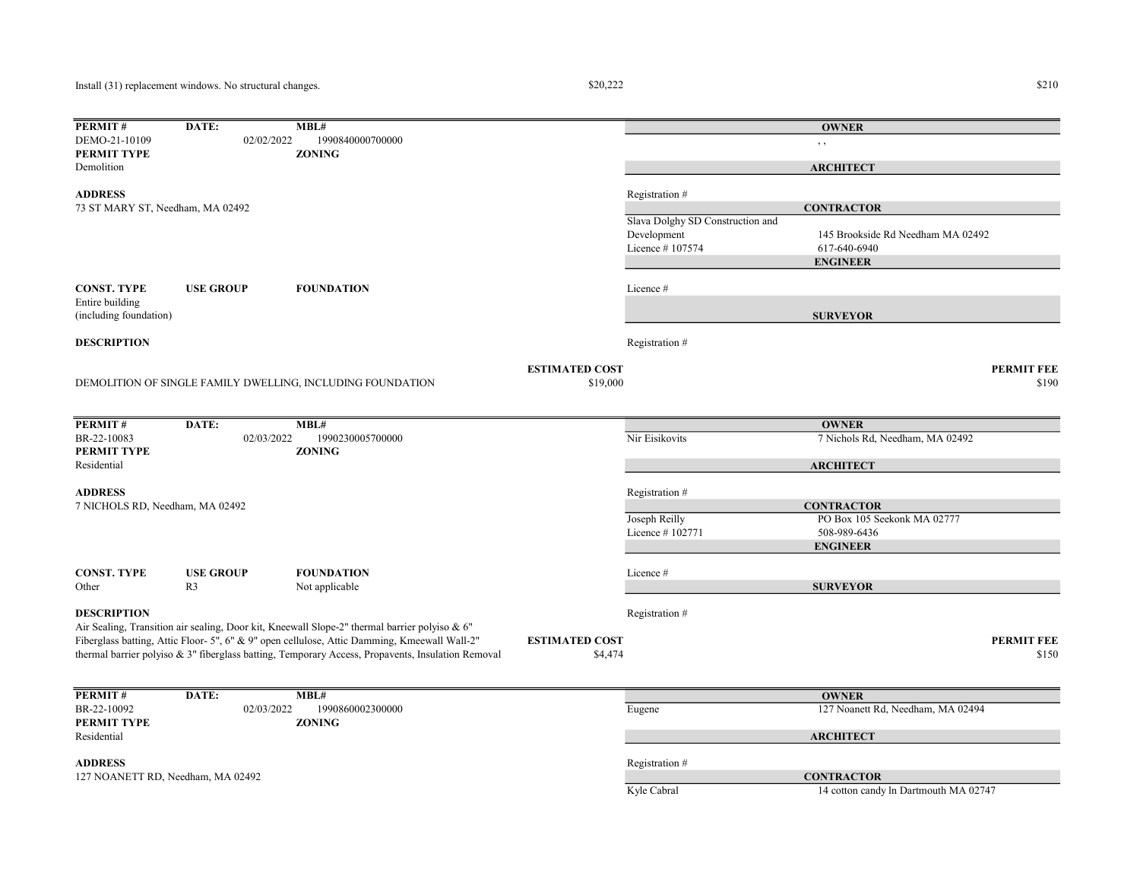$$20,222$   $$210$ 

| 02/02/2022<br>1990840000700000<br>DEMO-21-10109<br>, ,<br><b>PERMIT TYPE</b><br><b>ZONING</b><br>Demolition<br><b>ARCHITECT</b><br><b>ADDRESS</b><br>Registration #<br>73 ST MARY ST, Needham, MA 02492<br><b>CONTRACTOR</b><br>Slava Dolghy SD Construction and<br>Development<br>145 Brookside Rd Needham MA 02492<br>Licence #107574<br>617-640-6940<br><b>ENGINEER</b><br><b>CONST. TYPE</b><br><b>USE GROUP</b><br><b>FOUNDATION</b><br>Licence #<br>Entire building<br><b>SURVEYOR</b><br>(including foundation)<br><b>DESCRIPTION</b><br>Registration #<br><b>ESTIMATED COST</b><br><b>PERMIT FEE</b><br>DEMOLITION OF SINGLE FAMILY DWELLING, INCLUDING FOUNDATION<br>\$19,000<br>\$190<br>PERMIT#<br>DATE:<br>MBL#<br><b>OWNER</b><br>Nir Eisikovits<br>7 Nichols Rd, Needham, MA 02492<br>BR-22-10083<br>02/03/2022<br>1990230005700000<br>PERMIT TYPE<br><b>ZONING</b><br>Residential<br><b>ARCHITECT</b><br><b>ADDRESS</b><br>Registration #<br>7 NICHOLS RD, Needham, MA 02492<br><b>CONTRACTOR</b><br>Joseph Reilly<br>PO Box 105 Seekonk MA 02777<br>Licence #102771<br>508-989-6436<br><b>ENGINEER</b><br><b>CONST. TYPE</b><br><b>USE GROUP</b><br><b>FOUNDATION</b><br>Licence #<br>R <sub>3</sub><br>Not applicable<br><b>SURVEYOR</b><br>Other<br><b>DESCRIPTION</b><br>Registration #<br>Air Sealing, Transition air sealing, Door kit, Kneewall Slope-2" thermal barrier polyiso & 6"<br>Fiberglass batting, Attic Floor- 5", 6" & 9" open cellulose, Attic Damming, Kmeewall Wall-2"<br><b>PERMIT FEE</b><br><b>ESTIMATED COST</b><br>thermal barrier polyiso $\&$ 3" fiberglass batting, Temporary Access, Propavents, Insulation Removal<br>\$150<br>\$4,474<br>MBL#<br>PERMIT#<br>DATE:<br><b>OWNER</b><br>BR-22-10092<br>02/03/2022<br>1990860002300000<br>127 Noanett Rd, Needham, MA 02494<br>Eugene<br>PERMIT TYPE<br><b>ZONING</b><br>Residential<br><b>ARCHITECT</b><br><b>ADDRESS</b><br>Registration #<br>127 NOANETT RD, Needham, MA 02492<br><b>CONTRACTOR</b> | PERMIT# | DATE: | MBL# |             | <b>OWNER</b>                          |  |
|----------------------------------------------------------------------------------------------------------------------------------------------------------------------------------------------------------------------------------------------------------------------------------------------------------------------------------------------------------------------------------------------------------------------------------------------------------------------------------------------------------------------------------------------------------------------------------------------------------------------------------------------------------------------------------------------------------------------------------------------------------------------------------------------------------------------------------------------------------------------------------------------------------------------------------------------------------------------------------------------------------------------------------------------------------------------------------------------------------------------------------------------------------------------------------------------------------------------------------------------------------------------------------------------------------------------------------------------------------------------------------------------------------------------------------------------------------------------------------------------------------------------------------------------------------------------------------------------------------------------------------------------------------------------------------------------------------------------------------------------------------------------------------------------------------------------------------------------------------------------------------------------------------------------------------------------------------------------------------------------------|---------|-------|------|-------------|---------------------------------------|--|
|                                                                                                                                                                                                                                                                                                                                                                                                                                                                                                                                                                                                                                                                                                                                                                                                                                                                                                                                                                                                                                                                                                                                                                                                                                                                                                                                                                                                                                                                                                                                                                                                                                                                                                                                                                                                                                                                                                                                                                                                    |         |       |      |             |                                       |  |
|                                                                                                                                                                                                                                                                                                                                                                                                                                                                                                                                                                                                                                                                                                                                                                                                                                                                                                                                                                                                                                                                                                                                                                                                                                                                                                                                                                                                                                                                                                                                                                                                                                                                                                                                                                                                                                                                                                                                                                                                    |         |       |      |             |                                       |  |
|                                                                                                                                                                                                                                                                                                                                                                                                                                                                                                                                                                                                                                                                                                                                                                                                                                                                                                                                                                                                                                                                                                                                                                                                                                                                                                                                                                                                                                                                                                                                                                                                                                                                                                                                                                                                                                                                                                                                                                                                    |         |       |      |             |                                       |  |
|                                                                                                                                                                                                                                                                                                                                                                                                                                                                                                                                                                                                                                                                                                                                                                                                                                                                                                                                                                                                                                                                                                                                                                                                                                                                                                                                                                                                                                                                                                                                                                                                                                                                                                                                                                                                                                                                                                                                                                                                    |         |       |      |             |                                       |  |
|                                                                                                                                                                                                                                                                                                                                                                                                                                                                                                                                                                                                                                                                                                                                                                                                                                                                                                                                                                                                                                                                                                                                                                                                                                                                                                                                                                                                                                                                                                                                                                                                                                                                                                                                                                                                                                                                                                                                                                                                    |         |       |      |             |                                       |  |
|                                                                                                                                                                                                                                                                                                                                                                                                                                                                                                                                                                                                                                                                                                                                                                                                                                                                                                                                                                                                                                                                                                                                                                                                                                                                                                                                                                                                                                                                                                                                                                                                                                                                                                                                                                                                                                                                                                                                                                                                    |         |       |      |             |                                       |  |
|                                                                                                                                                                                                                                                                                                                                                                                                                                                                                                                                                                                                                                                                                                                                                                                                                                                                                                                                                                                                                                                                                                                                                                                                                                                                                                                                                                                                                                                                                                                                                                                                                                                                                                                                                                                                                                                                                                                                                                                                    |         |       |      |             |                                       |  |
|                                                                                                                                                                                                                                                                                                                                                                                                                                                                                                                                                                                                                                                                                                                                                                                                                                                                                                                                                                                                                                                                                                                                                                                                                                                                                                                                                                                                                                                                                                                                                                                                                                                                                                                                                                                                                                                                                                                                                                                                    |         |       |      |             |                                       |  |
|                                                                                                                                                                                                                                                                                                                                                                                                                                                                                                                                                                                                                                                                                                                                                                                                                                                                                                                                                                                                                                                                                                                                                                                                                                                                                                                                                                                                                                                                                                                                                                                                                                                                                                                                                                                                                                                                                                                                                                                                    |         |       |      |             |                                       |  |
|                                                                                                                                                                                                                                                                                                                                                                                                                                                                                                                                                                                                                                                                                                                                                                                                                                                                                                                                                                                                                                                                                                                                                                                                                                                                                                                                                                                                                                                                                                                                                                                                                                                                                                                                                                                                                                                                                                                                                                                                    |         |       |      |             |                                       |  |
|                                                                                                                                                                                                                                                                                                                                                                                                                                                                                                                                                                                                                                                                                                                                                                                                                                                                                                                                                                                                                                                                                                                                                                                                                                                                                                                                                                                                                                                                                                                                                                                                                                                                                                                                                                                                                                                                                                                                                                                                    |         |       |      |             |                                       |  |
|                                                                                                                                                                                                                                                                                                                                                                                                                                                                                                                                                                                                                                                                                                                                                                                                                                                                                                                                                                                                                                                                                                                                                                                                                                                                                                                                                                                                                                                                                                                                                                                                                                                                                                                                                                                                                                                                                                                                                                                                    |         |       |      |             |                                       |  |
|                                                                                                                                                                                                                                                                                                                                                                                                                                                                                                                                                                                                                                                                                                                                                                                                                                                                                                                                                                                                                                                                                                                                                                                                                                                                                                                                                                                                                                                                                                                                                                                                                                                                                                                                                                                                                                                                                                                                                                                                    |         |       |      |             |                                       |  |
|                                                                                                                                                                                                                                                                                                                                                                                                                                                                                                                                                                                                                                                                                                                                                                                                                                                                                                                                                                                                                                                                                                                                                                                                                                                                                                                                                                                                                                                                                                                                                                                                                                                                                                                                                                                                                                                                                                                                                                                                    |         |       |      |             |                                       |  |
|                                                                                                                                                                                                                                                                                                                                                                                                                                                                                                                                                                                                                                                                                                                                                                                                                                                                                                                                                                                                                                                                                                                                                                                                                                                                                                                                                                                                                                                                                                                                                                                                                                                                                                                                                                                                                                                                                                                                                                                                    |         |       |      |             |                                       |  |
|                                                                                                                                                                                                                                                                                                                                                                                                                                                                                                                                                                                                                                                                                                                                                                                                                                                                                                                                                                                                                                                                                                                                                                                                                                                                                                                                                                                                                                                                                                                                                                                                                                                                                                                                                                                                                                                                                                                                                                                                    |         |       |      |             |                                       |  |
|                                                                                                                                                                                                                                                                                                                                                                                                                                                                                                                                                                                                                                                                                                                                                                                                                                                                                                                                                                                                                                                                                                                                                                                                                                                                                                                                                                                                                                                                                                                                                                                                                                                                                                                                                                                                                                                                                                                                                                                                    |         |       |      |             |                                       |  |
|                                                                                                                                                                                                                                                                                                                                                                                                                                                                                                                                                                                                                                                                                                                                                                                                                                                                                                                                                                                                                                                                                                                                                                                                                                                                                                                                                                                                                                                                                                                                                                                                                                                                                                                                                                                                                                                                                                                                                                                                    |         |       |      |             |                                       |  |
|                                                                                                                                                                                                                                                                                                                                                                                                                                                                                                                                                                                                                                                                                                                                                                                                                                                                                                                                                                                                                                                                                                                                                                                                                                                                                                                                                                                                                                                                                                                                                                                                                                                                                                                                                                                                                                                                                                                                                                                                    |         |       |      |             |                                       |  |
|                                                                                                                                                                                                                                                                                                                                                                                                                                                                                                                                                                                                                                                                                                                                                                                                                                                                                                                                                                                                                                                                                                                                                                                                                                                                                                                                                                                                                                                                                                                                                                                                                                                                                                                                                                                                                                                                                                                                                                                                    |         |       |      |             |                                       |  |
|                                                                                                                                                                                                                                                                                                                                                                                                                                                                                                                                                                                                                                                                                                                                                                                                                                                                                                                                                                                                                                                                                                                                                                                                                                                                                                                                                                                                                                                                                                                                                                                                                                                                                                                                                                                                                                                                                                                                                                                                    |         |       |      |             |                                       |  |
|                                                                                                                                                                                                                                                                                                                                                                                                                                                                                                                                                                                                                                                                                                                                                                                                                                                                                                                                                                                                                                                                                                                                                                                                                                                                                                                                                                                                                                                                                                                                                                                                                                                                                                                                                                                                                                                                                                                                                                                                    |         |       |      |             |                                       |  |
|                                                                                                                                                                                                                                                                                                                                                                                                                                                                                                                                                                                                                                                                                                                                                                                                                                                                                                                                                                                                                                                                                                                                                                                                                                                                                                                                                                                                                                                                                                                                                                                                                                                                                                                                                                                                                                                                                                                                                                                                    |         |       |      |             |                                       |  |
|                                                                                                                                                                                                                                                                                                                                                                                                                                                                                                                                                                                                                                                                                                                                                                                                                                                                                                                                                                                                                                                                                                                                                                                                                                                                                                                                                                                                                                                                                                                                                                                                                                                                                                                                                                                                                                                                                                                                                                                                    |         |       |      |             |                                       |  |
|                                                                                                                                                                                                                                                                                                                                                                                                                                                                                                                                                                                                                                                                                                                                                                                                                                                                                                                                                                                                                                                                                                                                                                                                                                                                                                                                                                                                                                                                                                                                                                                                                                                                                                                                                                                                                                                                                                                                                                                                    |         |       |      |             |                                       |  |
|                                                                                                                                                                                                                                                                                                                                                                                                                                                                                                                                                                                                                                                                                                                                                                                                                                                                                                                                                                                                                                                                                                                                                                                                                                                                                                                                                                                                                                                                                                                                                                                                                                                                                                                                                                                                                                                                                                                                                                                                    |         |       |      |             |                                       |  |
|                                                                                                                                                                                                                                                                                                                                                                                                                                                                                                                                                                                                                                                                                                                                                                                                                                                                                                                                                                                                                                                                                                                                                                                                                                                                                                                                                                                                                                                                                                                                                                                                                                                                                                                                                                                                                                                                                                                                                                                                    |         |       |      |             |                                       |  |
|                                                                                                                                                                                                                                                                                                                                                                                                                                                                                                                                                                                                                                                                                                                                                                                                                                                                                                                                                                                                                                                                                                                                                                                                                                                                                                                                                                                                                                                                                                                                                                                                                                                                                                                                                                                                                                                                                                                                                                                                    |         |       |      |             |                                       |  |
|                                                                                                                                                                                                                                                                                                                                                                                                                                                                                                                                                                                                                                                                                                                                                                                                                                                                                                                                                                                                                                                                                                                                                                                                                                                                                                                                                                                                                                                                                                                                                                                                                                                                                                                                                                                                                                                                                                                                                                                                    |         |       |      |             |                                       |  |
|                                                                                                                                                                                                                                                                                                                                                                                                                                                                                                                                                                                                                                                                                                                                                                                                                                                                                                                                                                                                                                                                                                                                                                                                                                                                                                                                                                                                                                                                                                                                                                                                                                                                                                                                                                                                                                                                                                                                                                                                    |         |       |      |             |                                       |  |
|                                                                                                                                                                                                                                                                                                                                                                                                                                                                                                                                                                                                                                                                                                                                                                                                                                                                                                                                                                                                                                                                                                                                                                                                                                                                                                                                                                                                                                                                                                                                                                                                                                                                                                                                                                                                                                                                                                                                                                                                    |         |       |      |             |                                       |  |
|                                                                                                                                                                                                                                                                                                                                                                                                                                                                                                                                                                                                                                                                                                                                                                                                                                                                                                                                                                                                                                                                                                                                                                                                                                                                                                                                                                                                                                                                                                                                                                                                                                                                                                                                                                                                                                                                                                                                                                                                    |         |       |      |             |                                       |  |
|                                                                                                                                                                                                                                                                                                                                                                                                                                                                                                                                                                                                                                                                                                                                                                                                                                                                                                                                                                                                                                                                                                                                                                                                                                                                                                                                                                                                                                                                                                                                                                                                                                                                                                                                                                                                                                                                                                                                                                                                    |         |       |      |             |                                       |  |
|                                                                                                                                                                                                                                                                                                                                                                                                                                                                                                                                                                                                                                                                                                                                                                                                                                                                                                                                                                                                                                                                                                                                                                                                                                                                                                                                                                                                                                                                                                                                                                                                                                                                                                                                                                                                                                                                                                                                                                                                    |         |       |      |             |                                       |  |
|                                                                                                                                                                                                                                                                                                                                                                                                                                                                                                                                                                                                                                                                                                                                                                                                                                                                                                                                                                                                                                                                                                                                                                                                                                                                                                                                                                                                                                                                                                                                                                                                                                                                                                                                                                                                                                                                                                                                                                                                    |         |       |      |             |                                       |  |
|                                                                                                                                                                                                                                                                                                                                                                                                                                                                                                                                                                                                                                                                                                                                                                                                                                                                                                                                                                                                                                                                                                                                                                                                                                                                                                                                                                                                                                                                                                                                                                                                                                                                                                                                                                                                                                                                                                                                                                                                    |         |       |      |             |                                       |  |
|                                                                                                                                                                                                                                                                                                                                                                                                                                                                                                                                                                                                                                                                                                                                                                                                                                                                                                                                                                                                                                                                                                                                                                                                                                                                                                                                                                                                                                                                                                                                                                                                                                                                                                                                                                                                                                                                                                                                                                                                    |         |       |      |             |                                       |  |
|                                                                                                                                                                                                                                                                                                                                                                                                                                                                                                                                                                                                                                                                                                                                                                                                                                                                                                                                                                                                                                                                                                                                                                                                                                                                                                                                                                                                                                                                                                                                                                                                                                                                                                                                                                                                                                                                                                                                                                                                    |         |       |      |             |                                       |  |
|                                                                                                                                                                                                                                                                                                                                                                                                                                                                                                                                                                                                                                                                                                                                                                                                                                                                                                                                                                                                                                                                                                                                                                                                                                                                                                                                                                                                                                                                                                                                                                                                                                                                                                                                                                                                                                                                                                                                                                                                    |         |       |      |             |                                       |  |
|                                                                                                                                                                                                                                                                                                                                                                                                                                                                                                                                                                                                                                                                                                                                                                                                                                                                                                                                                                                                                                                                                                                                                                                                                                                                                                                                                                                                                                                                                                                                                                                                                                                                                                                                                                                                                                                                                                                                                                                                    |         |       |      |             |                                       |  |
|                                                                                                                                                                                                                                                                                                                                                                                                                                                                                                                                                                                                                                                                                                                                                                                                                                                                                                                                                                                                                                                                                                                                                                                                                                                                                                                                                                                                                                                                                                                                                                                                                                                                                                                                                                                                                                                                                                                                                                                                    |         |       |      |             |                                       |  |
|                                                                                                                                                                                                                                                                                                                                                                                                                                                                                                                                                                                                                                                                                                                                                                                                                                                                                                                                                                                                                                                                                                                                                                                                                                                                                                                                                                                                                                                                                                                                                                                                                                                                                                                                                                                                                                                                                                                                                                                                    |         |       |      | Kyle Cabral | 14 cotton candy ln Dartmouth MA 02747 |  |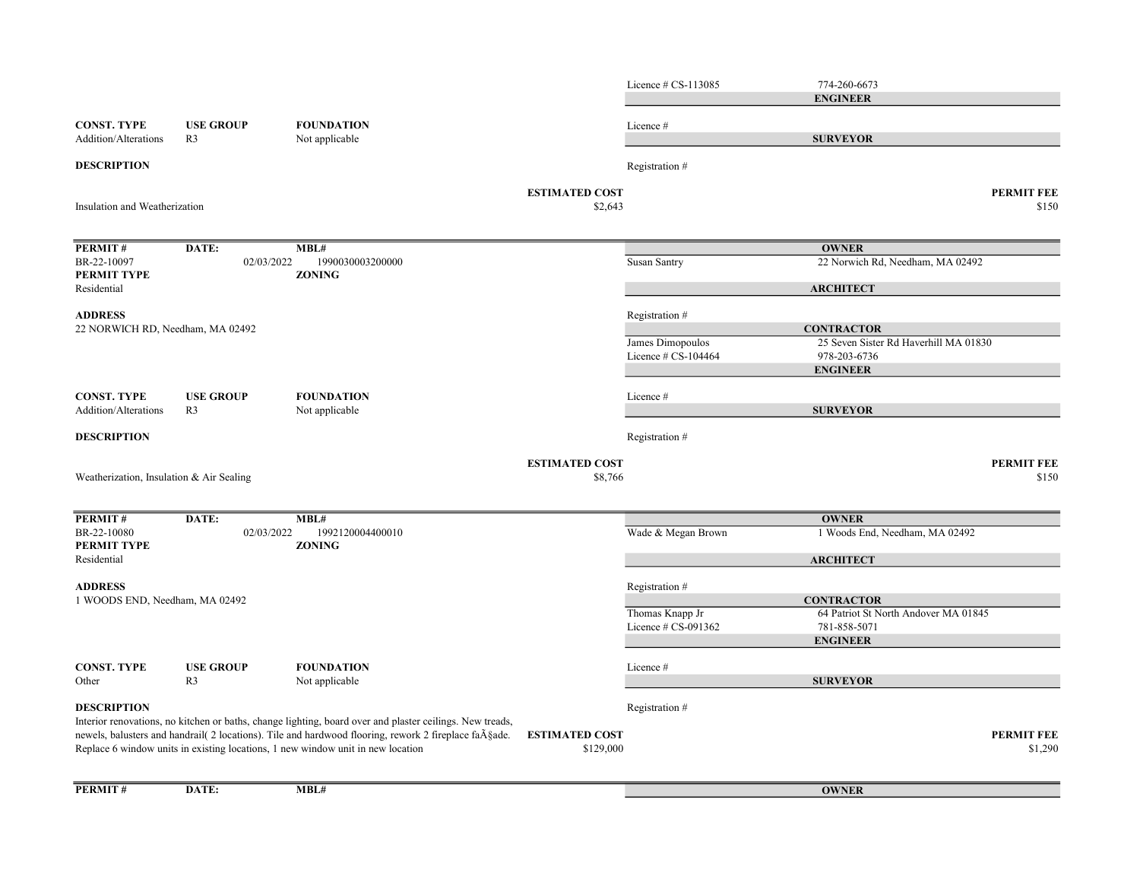|                                                    |                                    |                                                                                                                                                                                                                                                                                                                            |                                    | Licence # CS-113085                        | 774-260-6673<br><b>ENGINEER</b>                                          |                              |
|----------------------------------------------------|------------------------------------|----------------------------------------------------------------------------------------------------------------------------------------------------------------------------------------------------------------------------------------------------------------------------------------------------------------------------|------------------------------------|--------------------------------------------|--------------------------------------------------------------------------|------------------------------|
| <b>CONST. TYPE</b><br><b>Addition/Alterations</b>  | <b>USE GROUP</b><br>R <sub>3</sub> | <b>FOUNDATION</b><br>Not applicable                                                                                                                                                                                                                                                                                        |                                    | Licence #                                  | <b>SURVEYOR</b>                                                          |                              |
| <b>DESCRIPTION</b>                                 |                                    |                                                                                                                                                                                                                                                                                                                            |                                    | Registration #                             |                                                                          |                              |
| Insulation and Weatherization                      |                                    |                                                                                                                                                                                                                                                                                                                            | <b>ESTIMATED COST</b><br>\$2,643   |                                            |                                                                          | PERMIT FEE<br>\$150          |
| <b>PERMIT#</b>                                     | DATE:                              | MBL#                                                                                                                                                                                                                                                                                                                       |                                    |                                            | <b>OWNER</b>                                                             |                              |
| BR-22-10097<br>PERMIT TYPE                         | 02/03/2022                         | 1990030003200000<br><b>ZONING</b>                                                                                                                                                                                                                                                                                          |                                    | Susan Santry                               | 22 Norwich Rd, Needham, MA 02492                                         |                              |
| Residential                                        |                                    |                                                                                                                                                                                                                                                                                                                            |                                    |                                            | <b>ARCHITECT</b>                                                         |                              |
| <b>ADDRESS</b><br>22 NORWICH RD, Needham, MA 02492 |                                    |                                                                                                                                                                                                                                                                                                                            |                                    | Registration #                             | <b>CONTRACTOR</b>                                                        |                              |
|                                                    |                                    |                                                                                                                                                                                                                                                                                                                            |                                    | James Dimopoulos<br>Licence $\#$ CS-104464 | 25 Seven Sister Rd Haverhill MA 01830<br>978-203-6736<br><b>ENGINEER</b> |                              |
| <b>CONST. TYPE</b><br>Addition/Alterations         | <b>USE GROUP</b><br>R <sub>3</sub> | <b>FOUNDATION</b><br>Not applicable                                                                                                                                                                                                                                                                                        |                                    | Licence#                                   | <b>SURVEYOR</b>                                                          |                              |
| <b>DESCRIPTION</b>                                 |                                    |                                                                                                                                                                                                                                                                                                                            |                                    | Registration #                             |                                                                          |                              |
| Weatherization, Insulation & Air Sealing           |                                    |                                                                                                                                                                                                                                                                                                                            | <b>ESTIMATED COST</b><br>\$8,766   |                                            |                                                                          | <b>PERMIT FEE</b><br>\$150   |
| PERMIT#                                            | DATE:                              | MBL#                                                                                                                                                                                                                                                                                                                       |                                    |                                            | <b>OWNER</b>                                                             |                              |
| BR-22-10080<br>PERMIT TYPE                         | 02/03/2022                         | 1992120004400010<br><b>ZONING</b>                                                                                                                                                                                                                                                                                          |                                    | Wade & Megan Brown                         | 1 Woods End, Needham, MA 02492                                           |                              |
| Residential                                        |                                    |                                                                                                                                                                                                                                                                                                                            |                                    |                                            | <b>ARCHITECT</b>                                                         |                              |
| <b>ADDRESS</b><br>1 WOODS END, Needham, MA 02492   |                                    |                                                                                                                                                                                                                                                                                                                            |                                    | Registration #                             | <b>CONTRACTOR</b>                                                        |                              |
|                                                    |                                    |                                                                                                                                                                                                                                                                                                                            |                                    | Thomas Knapp Jr<br>Licence # CS-091362     | 64 Patriot St North Andover MA 01845<br>781-858-5071<br><b>ENGINEER</b>  |                              |
| <b>CONST. TYPE</b><br>Other                        | <b>USE GROUP</b><br>R <sub>3</sub> | <b>FOUNDATION</b><br>Not applicable                                                                                                                                                                                                                                                                                        |                                    | Licence #                                  | <b>SURVEYOR</b>                                                          |                              |
| <b>DESCRIPTION</b>                                 |                                    |                                                                                                                                                                                                                                                                                                                            |                                    | Registration #                             |                                                                          |                              |
|                                                    |                                    | Interior renovations, no kitchen or baths, change lighting, board over and plaster ceilings. New treads,<br>newels, balusters and handrail( 2 locations). Tile and hardwood flooring, rework 2 fireplace fa $\tilde{A} \tilde{\S}$ ade.<br>Replace 6 window units in existing locations, 1 new window unit in new location | <b>ESTIMATED COST</b><br>\$129,000 |                                            |                                                                          | <b>PERMIT FEE</b><br>\$1,290 |
| <b>PERMIT#</b>                                     | DATE:                              | MBL#                                                                                                                                                                                                                                                                                                                       |                                    |                                            | <b>OWNER</b>                                                             |                              |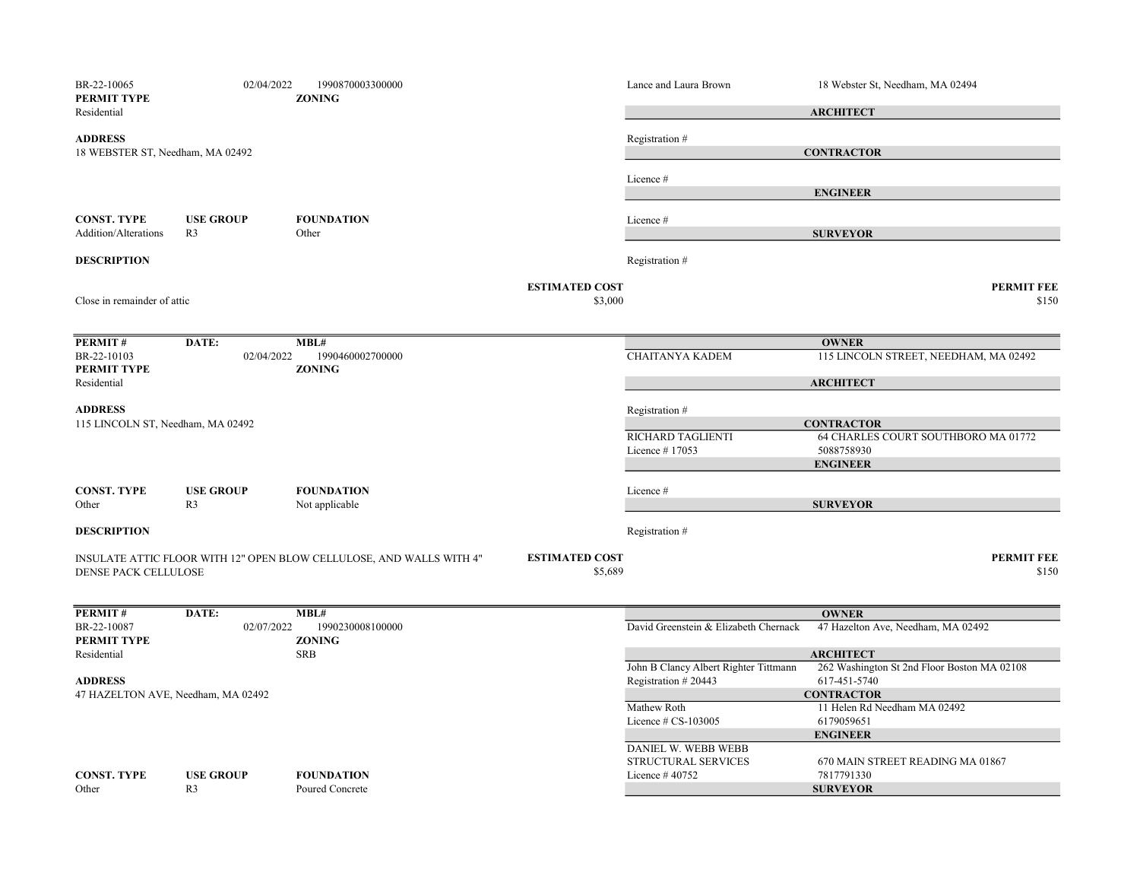| BR-22-10065<br>PERMIT TYPE<br>Residential          | 02/04/2022                         | 1990870003300000<br><b>ZONING</b>                                    |                                  | Lance and Laura Brown                      | 18 Webster St, Needham, MA 02494<br><b>ARCHITECT</b>                                      |
|----------------------------------------------------|------------------------------------|----------------------------------------------------------------------|----------------------------------|--------------------------------------------|-------------------------------------------------------------------------------------------|
| <b>ADDRESS</b><br>18 WEBSTER ST, Needham, MA 02492 |                                    |                                                                      |                                  | Registration#                              | <b>CONTRACTOR</b>                                                                         |
|                                                    |                                    |                                                                      |                                  | Licence #                                  | <b>ENGINEER</b>                                                                           |
| <b>CONST. TYPE</b><br><b>Addition/Alterations</b>  | <b>USE GROUP</b><br>R <sub>3</sub> | <b>FOUNDATION</b><br>Other                                           |                                  | Licence #                                  | <b>SURVEYOR</b>                                                                           |
| <b>DESCRIPTION</b>                                 |                                    |                                                                      |                                  | Registration #                             |                                                                                           |
| Close in remainder of attic                        |                                    |                                                                      | <b>ESTIMATED COST</b><br>\$3,000 |                                            | <b>PERMIT FEE</b><br>\$150                                                                |
| PERMIT#                                            | DATE:                              | MBL#                                                                 |                                  |                                            | <b>OWNER</b>                                                                              |
| BR-22-10103<br>PERMIT TYPE<br>Residential          | 02/04/2022                         | 1990460002700000<br><b>ZONING</b>                                    |                                  | <b>CHAITANYA KADEM</b>                     | 115 LINCOLN STREET, NEEDHAM, MA 02492<br><b>ARCHITECT</b>                                 |
| <b>ADDRESS</b>                                     |                                    |                                                                      |                                  | Registration #                             |                                                                                           |
| 115 LINCOLN ST, Needham, MA 02492                  |                                    |                                                                      |                                  | RICHARD TAGLIENTI<br>Licence #17053        | <b>CONTRACTOR</b><br>64 CHARLES COURT SOUTHBORO MA 01772<br>5088758930<br><b>ENGINEER</b> |
| <b>CONST. TYPE</b><br>Other                        | <b>USE GROUP</b><br>R <sub>3</sub> | <b>FOUNDATION</b><br>Not applicable                                  |                                  | Licence #                                  | <b>SURVEYOR</b>                                                                           |
| <b>DESCRIPTION</b>                                 |                                    |                                                                      |                                  | Registration #                             |                                                                                           |
| <b>DENSE PACK CELLULOSE</b>                        |                                    | INSULATE ATTIC FLOOR WITH 12" OPEN BLOW CELLULOSE, AND WALLS WITH 4" | <b>ESTIMATED COST</b><br>\$5,689 |                                            | <b>PERMIT FEE</b><br>\$150                                                                |
| <b>PERMIT#</b>                                     | DATE:                              | MBL#                                                                 |                                  |                                            | <b>OWNER</b>                                                                              |
| BR-22-10087<br>PERMIT TYPE                         | 02/07/2022                         | 1990230008100000<br><b>ZONING</b>                                    |                                  | David Greenstein & Elizabeth Chernack      | 47 Hazelton Ave, Needham, MA 02492                                                        |
| Residential                                        |                                    | <b>SRB</b>                                                           |                                  | John B Clancy Albert Righter Tittmann      | <b>ARCHITECT</b><br>262 Washington St 2nd Floor Boston MA 02108                           |
| <b>ADDRESS</b>                                     |                                    |                                                                      |                                  | Registration #20443                        | 617-451-5740                                                                              |
| 47 HAZELTON AVE, Needham, MA 02492                 |                                    |                                                                      |                                  | Mathew Roth<br>Licence # CS-103005         | <b>CONTRACTOR</b><br>11 Helen Rd Needham MA 02492<br>6179059651                           |
|                                                    |                                    |                                                                      |                                  | DANIEL W. WEBB WEBB<br>STRUCTURAL SERVICES | <b>ENGINEER</b><br>670 MAIN STREET READING MA 01867                                       |
| <b>CONST. TYPE</b><br>Other                        | <b>USE GROUP</b><br>R <sub>3</sub> | <b>FOUNDATION</b><br>Poured Concrete                                 |                                  | Licence #40752                             | 7817791330<br><b>SURVEYOR</b>                                                             |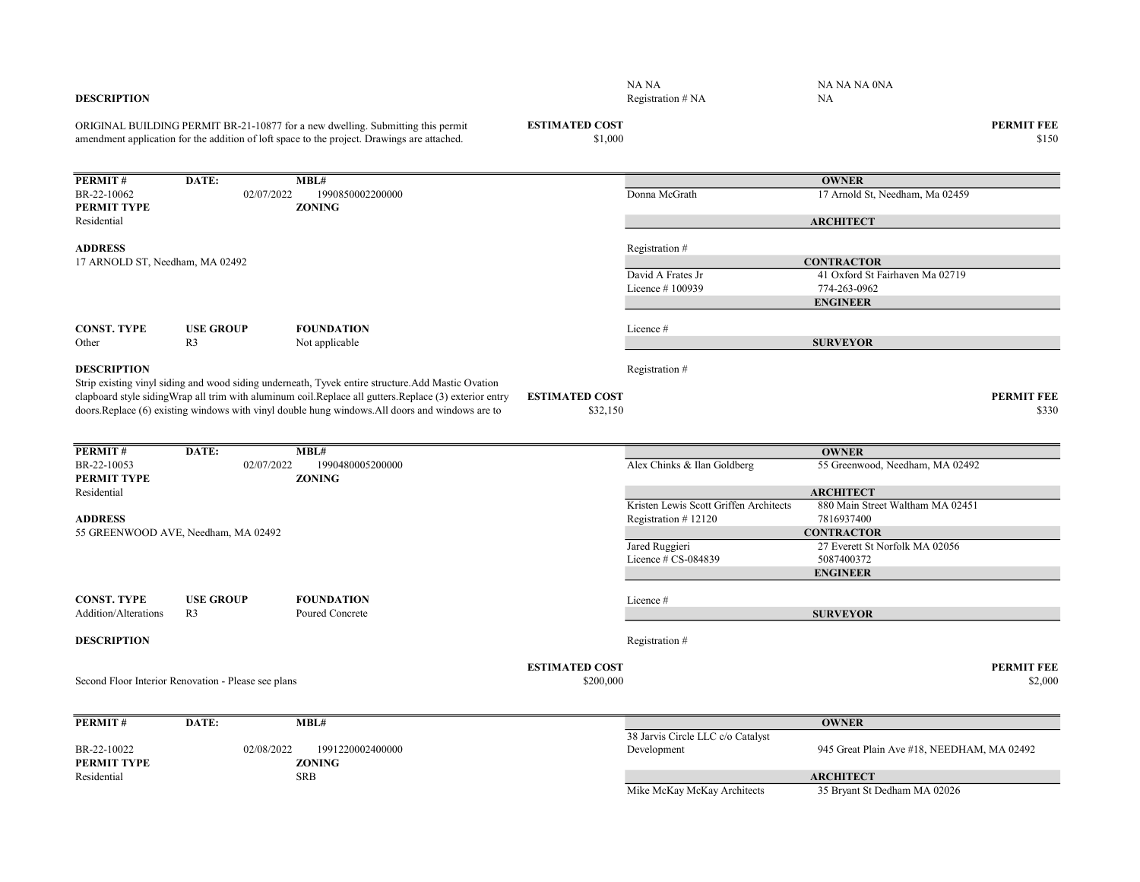| <b>DESCRIPTION</b>              |                                                     |                                                                                                                                                                                                              |                                    | NA NA<br>Registration # NA             | NA NA NA 0NA<br>NA                               |                              |
|---------------------------------|-----------------------------------------------------|--------------------------------------------------------------------------------------------------------------------------------------------------------------------------------------------------------------|------------------------------------|----------------------------------------|--------------------------------------------------|------------------------------|
|                                 |                                                     | ORIGINAL BUILDING PERMIT BR-21-10877 for a new dwelling. Submitting this permit<br>amendment application for the addition of loft space to the project. Drawings are attached.                               | <b>ESTIMATED COST</b><br>\$1,000   |                                        |                                                  | <b>PERMIT FEE</b><br>\$150   |
| PERMIT#                         | DATE:                                               | MBL#                                                                                                                                                                                                         |                                    |                                        | <b>OWNER</b>                                     |                              |
| BR-22-10062                     | 02/07/2022                                          | 1990850002200000                                                                                                                                                                                             |                                    | Donna McGrath                          | 17 Arnold St, Needham, Ma 02459                  |                              |
| PERMIT TYPE<br>Residential      |                                                     | <b>ZONING</b>                                                                                                                                                                                                |                                    |                                        | <b>ARCHITECT</b>                                 |                              |
| <b>ADDRESS</b>                  |                                                     |                                                                                                                                                                                                              |                                    | Registration #                         |                                                  |                              |
| 17 ARNOLD ST, Needham, MA 02492 |                                                     |                                                                                                                                                                                                              |                                    |                                        | <b>CONTRACTOR</b>                                |                              |
|                                 |                                                     |                                                                                                                                                                                                              |                                    | David A Frates Jr                      | 41 Oxford St Fairhaven Ma 02719                  |                              |
|                                 |                                                     |                                                                                                                                                                                                              |                                    | Licence #100939                        | 774-263-0962                                     |                              |
|                                 |                                                     |                                                                                                                                                                                                              |                                    |                                        | <b>ENGINEER</b>                                  |                              |
| <b>CONST. TYPE</b>              | <b>USE GROUP</b>                                    | <b>FOUNDATION</b>                                                                                                                                                                                            |                                    | Licence#                               |                                                  |                              |
| Other                           | R <sub>3</sub>                                      | Not applicable                                                                                                                                                                                               |                                    |                                        | <b>SURVEYOR</b>                                  |                              |
| <b>DESCRIPTION</b>              |                                                     | Strip existing vinyl siding and wood siding underneath, Tyvek entire structure. Add Mastic Ovation                                                                                                           |                                    | Registration #                         |                                                  |                              |
|                                 |                                                     | clapboard style siding Wrap all trim with aluminum coil. Replace all gutters. Replace (3) exterior entry<br>doors. Replace (6) existing windows with vinyl double hung windows. All doors and windows are to | <b>ESTIMATED COST</b><br>\$32,150  |                                        |                                                  | <b>PERMIT FEE</b><br>\$330   |
| PERMIT#                         | DATE:                                               | MBL#                                                                                                                                                                                                         |                                    |                                        | <b>OWNER</b>                                     |                              |
| BR-22-10053                     | 02/07/2022                                          | 1990480005200000                                                                                                                                                                                             |                                    | Alex Chinks & Ilan Goldberg            | 55 Greenwood, Needham, MA 02492                  |                              |
| PERMIT TYPE<br>Residential      |                                                     | <b>ZONING</b>                                                                                                                                                                                                |                                    |                                        | <b>ARCHITECT</b>                                 |                              |
|                                 |                                                     |                                                                                                                                                                                                              |                                    | Kristen Lewis Scott Griffen Architects | 880 Main Street Waltham MA 02451                 |                              |
| <b>ADDRESS</b>                  |                                                     |                                                                                                                                                                                                              |                                    | Registration #12120                    | 7816937400                                       |                              |
|                                 | 55 GREENWOOD AVE, Needham, MA 02492                 |                                                                                                                                                                                                              |                                    |                                        | <b>CONTRACTOR</b>                                |                              |
|                                 |                                                     |                                                                                                                                                                                                              |                                    | Jared Ruggieri                         | 27 Everett St Norfolk MA 02056                   |                              |
|                                 |                                                     |                                                                                                                                                                                                              |                                    | Licence # CS-084839                    | 5087400372<br><b>ENGINEER</b>                    |                              |
|                                 |                                                     |                                                                                                                                                                                                              |                                    |                                        |                                                  |                              |
| <b>CONST. TYPE</b>              | <b>USE GROUP</b>                                    | <b>FOUNDATION</b>                                                                                                                                                                                            |                                    | Licence #                              |                                                  |                              |
| Addition/Alterations            | R <sub>3</sub>                                      | Poured Concrete                                                                                                                                                                                              |                                    |                                        | <b>SURVEYOR</b>                                  |                              |
| <b>DESCRIPTION</b>              |                                                     |                                                                                                                                                                                                              |                                    | Registration #                         |                                                  |                              |
|                                 | Second Floor Interior Renovation - Please see plans |                                                                                                                                                                                                              | <b>ESTIMATED COST</b><br>\$200,000 |                                        |                                                  | <b>PERMIT FEE</b><br>\$2,000 |
| PERMIT#                         | DATE:                                               | MBL#                                                                                                                                                                                                         |                                    |                                        | <b>OWNER</b>                                     |                              |
|                                 |                                                     |                                                                                                                                                                                                              |                                    | 38 Jarvis Circle LLC c/o Catalyst      |                                                  |                              |
| BR-22-10022                     | 02/08/2022                                          | 1991220002400000                                                                                                                                                                                             |                                    | Development                            | 945 Great Plain Ave #18, NEEDHAM, MA 02492       |                              |
| PERMIT TYPE                     |                                                     | <b>ZONING</b>                                                                                                                                                                                                |                                    |                                        |                                                  |                              |
| Residential                     |                                                     | <b>SRB</b>                                                                                                                                                                                                   |                                    | Mike McKay McKay Architects            | <b>ARCHITECT</b><br>35 Bryant St Dedham MA 02026 |                              |
|                                 |                                                     |                                                                                                                                                                                                              |                                    |                                        |                                                  |                              |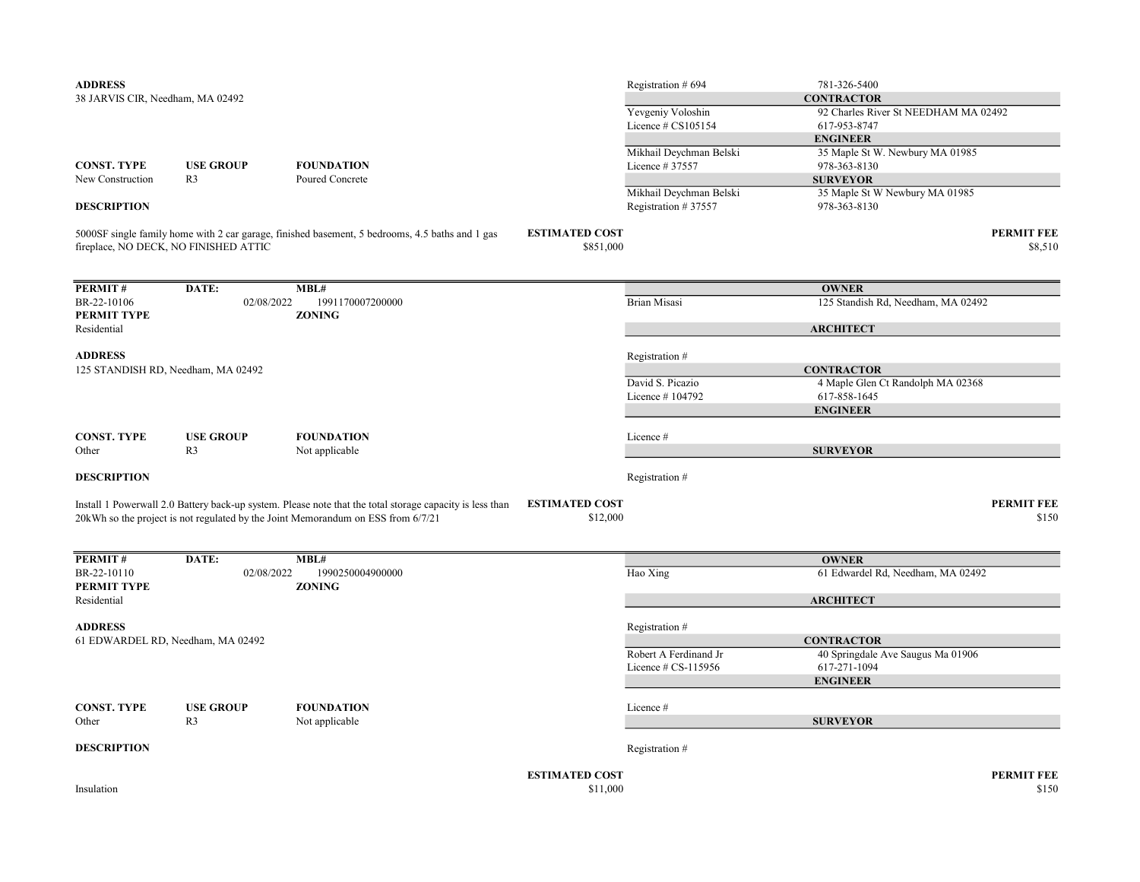|                                                                    |                                       |                                                                                                          |                                    | Registration # 694      | 781-326-5400                         |                              |
|--------------------------------------------------------------------|---------------------------------------|----------------------------------------------------------------------------------------------------------|------------------------------------|-------------------------|--------------------------------------|------------------------------|
| 38 JARVIS CIR, Needham, MA 02492                                   |                                       |                                                                                                          |                                    |                         | <b>CONTRACTOR</b>                    |                              |
|                                                                    |                                       |                                                                                                          |                                    | Yevgeniy Voloshin       | 92 Charles River St NEEDHAM MA 02492 |                              |
|                                                                    |                                       |                                                                                                          |                                    | Licence $\#$ CS105154   | 617-953-8747                         |                              |
|                                                                    |                                       |                                                                                                          |                                    |                         | <b>ENGINEER</b>                      |                              |
|                                                                    |                                       |                                                                                                          |                                    | Mikhail Deychman Belski | 35 Maple St W. Newbury MA 01985      |                              |
| <b>CONST. TYPE</b>                                                 | <b>USE GROUP</b>                      | <b>FOUNDATION</b>                                                                                        |                                    | Licence # 37557         | 978-363-8130                         |                              |
| New Construction                                                   | R <sub>3</sub>                        | Poured Concrete                                                                                          |                                    |                         | <b>SURVEYOR</b>                      |                              |
|                                                                    |                                       |                                                                                                          |                                    | Mikhail Deychman Belski | 35 Maple St W Newbury MA 01985       |                              |
| <b>DESCRIPTION</b>                                                 |                                       |                                                                                                          |                                    | Registration #37557     | 978-363-8130                         |                              |
|                                                                    | fireplace, NO DECK, NO FINISHED ATTIC | 5000SF single family home with 2 car garage, finished basement, 5 bedrooms, 4.5 baths and 1 gas          | <b>ESTIMATED COST</b><br>\$851,000 |                         |                                      | <b>PERMIT FEE</b><br>\$8,510 |
| PERMIT#                                                            | DATE:                                 | $\overline{\mathbf{MBL}}$ #                                                                              |                                    |                         | <b>OWNER</b>                         |                              |
| BR-22-10106                                                        | 02/08/2022                            | 1991170007200000                                                                                         |                                    | <b>Brian Misasi</b>     | 125 Standish Rd, Needham, MA 02492   |                              |
| PERMIT TYPE                                                        |                                       | <b>ZONING</b>                                                                                            |                                    |                         |                                      |                              |
| Residential                                                        |                                       |                                                                                                          |                                    |                         | <b>ARCHITECT</b>                     |                              |
|                                                                    |                                       |                                                                                                          |                                    |                         |                                      |                              |
| <b>ADDRESS</b>                                                     |                                       |                                                                                                          |                                    | Registration #          |                                      |                              |
| 125 STANDISH RD, Needham, MA 02492                                 |                                       |                                                                                                          |                                    |                         | <b>CONTRACTOR</b>                    |                              |
|                                                                    |                                       |                                                                                                          |                                    | David S. Picazio        | 4 Maple Glen Ct Randolph MA 02368    |                              |
|                                                                    |                                       |                                                                                                          |                                    | Licence #104792         | 617-858-1645                         |                              |
|                                                                    |                                       |                                                                                                          |                                    |                         | <b>ENGINEER</b>                      |                              |
|                                                                    |                                       |                                                                                                          |                                    |                         |                                      |                              |
|                                                                    |                                       |                                                                                                          |                                    |                         |                                      |                              |
| <b>CONST. TYPE</b>                                                 | <b>USE GROUP</b>                      | <b>FOUNDATION</b>                                                                                        |                                    | Licence #               |                                      |                              |
| Other                                                              | R <sub>3</sub>                        | Not applicable                                                                                           |                                    |                         | <b>SURVEYOR</b>                      |                              |
| <b>DESCRIPTION</b>                                                 |                                       |                                                                                                          |                                    | Registration #          |                                      |                              |
|                                                                    |                                       |                                                                                                          |                                    |                         |                                      |                              |
|                                                                    |                                       | Install 1 Powerwall 2.0 Battery back-up system. Please note that the total storage capacity is less than | <b>ESTIMATED COST</b>              |                         |                                      | <b>PERMIT FEE</b>            |
|                                                                    |                                       | 20kWh so the project is not regulated by the Joint Memorandum on ESS from 6/7/21                         | \$12,000                           |                         |                                      | \$150                        |
| PERMIT#                                                            | DATE:                                 | MBL#                                                                                                     |                                    |                         | <b>OWNER</b>                         |                              |
|                                                                    | 02/08/2022                            | 1990250004900000                                                                                         |                                    | Hao Xing                | 61 Edwardel Rd, Needham, MA 02492    |                              |
|                                                                    |                                       | <b>ZONING</b>                                                                                            |                                    |                         |                                      |                              |
| BR-22-10110<br>Residential                                         |                                       |                                                                                                          |                                    |                         | <b>ARCHITECT</b>                     |                              |
|                                                                    |                                       |                                                                                                          |                                    | Registration #          |                                      |                              |
|                                                                    |                                       |                                                                                                          |                                    |                         | <b>CONTRACTOR</b>                    |                              |
|                                                                    |                                       |                                                                                                          |                                    | Robert A Ferdinand Jr   | 40 Springdale Ave Saugus Ma 01906    |                              |
|                                                                    |                                       |                                                                                                          |                                    | Licence # CS-115956     | 617-271-1094                         |                              |
|                                                                    |                                       |                                                                                                          |                                    |                         | <b>ENGINEER</b>                      |                              |
|                                                                    |                                       |                                                                                                          |                                    |                         |                                      |                              |
| <b>CONST. TYPE</b><br>Other                                        | <b>USE GROUP</b><br>R <sub>3</sub>    | <b>FOUNDATION</b>                                                                                        |                                    | Licence #               | <b>SURVEYOR</b>                      |                              |
| <b>DESCRIPTION</b>                                                 |                                       | Not applicable                                                                                           |                                    | Registration #          |                                      |                              |
| PERMIT TYPE<br><b>ADDRESS</b><br>61 EDWARDEL RD, Needham, MA 02492 |                                       |                                                                                                          |                                    |                         |                                      |                              |
| Insulation                                                         |                                       |                                                                                                          | <b>ESTIMATED COST</b><br>\$11,000  |                         |                                      | <b>PERMIT FEE</b><br>\$150   |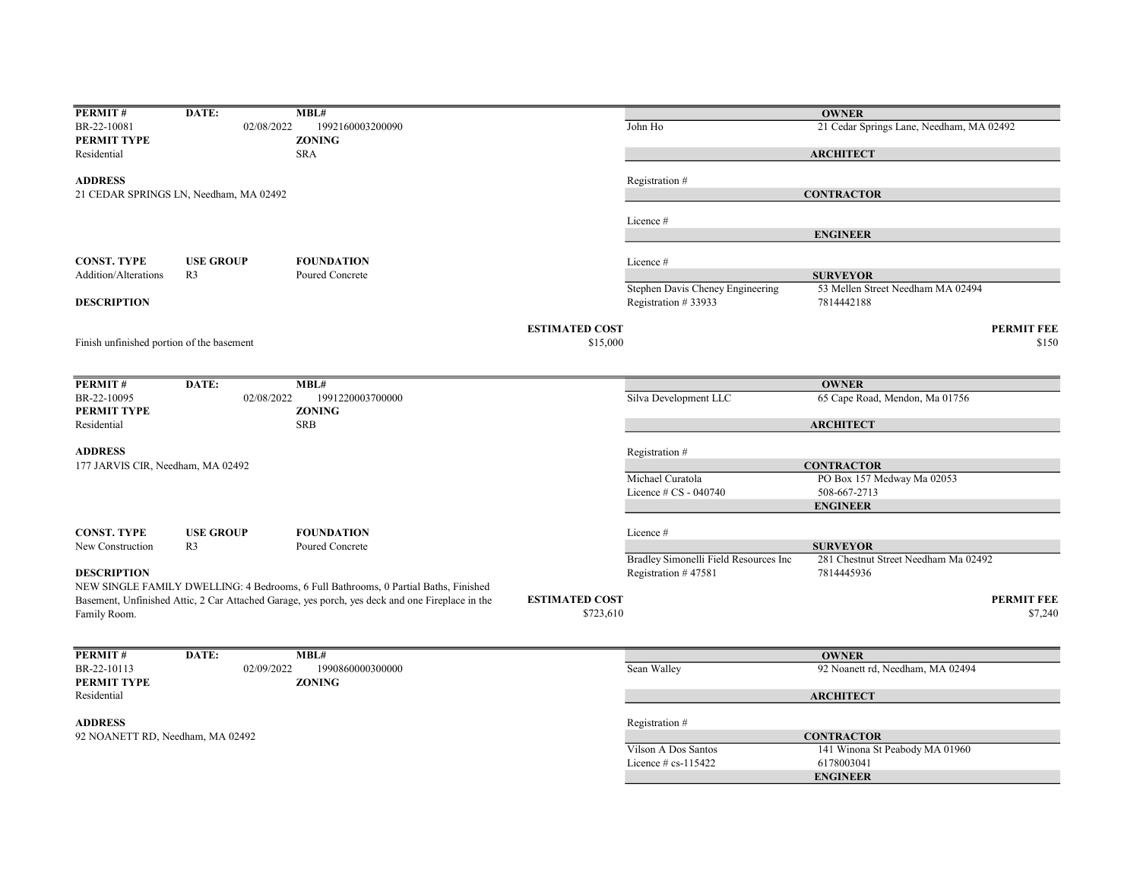| PERMIT#                                   | DATE:                                  | MBL#                                                                                            |                       |                                                         | <b>OWNER</b>                                         |                   |
|-------------------------------------------|----------------------------------------|-------------------------------------------------------------------------------------------------|-----------------------|---------------------------------------------------------|------------------------------------------------------|-------------------|
| BR-22-10081                               | 02/08/2022                             | 1992160003200090                                                                                |                       | John Ho                                                 | 21 Cedar Springs Lane, Needham, MA 02492             |                   |
| PERMIT TYPE                               |                                        | <b>ZONING</b>                                                                                   |                       |                                                         |                                                      |                   |
| Residential                               |                                        | <b>SRA</b>                                                                                      |                       |                                                         | <b>ARCHITECT</b>                                     |                   |
| <b>ADDRESS</b>                            |                                        |                                                                                                 |                       | Registration #                                          |                                                      |                   |
|                                           | 21 CEDAR SPRINGS LN, Needham, MA 02492 |                                                                                                 |                       |                                                         | <b>CONTRACTOR</b>                                    |                   |
|                                           |                                        |                                                                                                 |                       |                                                         |                                                      |                   |
|                                           |                                        |                                                                                                 |                       | Licence #                                               |                                                      |                   |
|                                           |                                        |                                                                                                 |                       |                                                         | <b>ENGINEER</b>                                      |                   |
|                                           |                                        |                                                                                                 |                       |                                                         |                                                      |                   |
| <b>CONST. TYPE</b>                        | <b>USE GROUP</b>                       | <b>FOUNDATION</b>                                                                               |                       | Licence #                                               |                                                      |                   |
| <b>Addition/Alterations</b>               | R <sub>3</sub>                         | Poured Concrete                                                                                 |                       |                                                         | <b>SURVEYOR</b><br>53 Mellen Street Needham MA 02494 |                   |
| <b>DESCRIPTION</b>                        |                                        |                                                                                                 |                       | Stephen Davis Cheney Engineering<br>Registration #33933 | 7814442188                                           |                   |
|                                           |                                        |                                                                                                 | <b>ESTIMATED COST</b> |                                                         |                                                      | <b>PERMIT FEE</b> |
| Finish unfinished portion of the basement |                                        |                                                                                                 | \$15,000              |                                                         |                                                      | \$150             |
|                                           |                                        |                                                                                                 |                       |                                                         |                                                      |                   |
|                                           |                                        |                                                                                                 |                       |                                                         |                                                      |                   |
| PERMIT#                                   | DATE:                                  | MBL#                                                                                            |                       |                                                         | <b>OWNER</b>                                         |                   |
| BR-22-10095<br>PERMIT TYPE                | 02/08/2022                             | 1991220003700000<br><b>ZONING</b>                                                               |                       | Silva Development LLC                                   | 65 Cape Road, Mendon, Ma 01756                       |                   |
| Residential                               |                                        | <b>SRB</b>                                                                                      |                       |                                                         | <b>ARCHITECT</b>                                     |                   |
|                                           |                                        |                                                                                                 |                       |                                                         |                                                      |                   |
| <b>ADDRESS</b>                            |                                        |                                                                                                 |                       | Registration #                                          |                                                      |                   |
| 177 JARVIS CIR, Needham, MA 02492         |                                        |                                                                                                 |                       |                                                         | <b>CONTRACTOR</b>                                    |                   |
|                                           |                                        |                                                                                                 |                       | Michael Curatola                                        | PO Box 157 Medway Ma 02053                           |                   |
|                                           |                                        |                                                                                                 |                       | Licence # CS - 040740                                   | 508-667-2713                                         |                   |
|                                           |                                        |                                                                                                 |                       |                                                         | <b>ENGINEER</b>                                      |                   |
| <b>CONST. TYPE</b>                        | <b>USE GROUP</b>                       | <b>FOUNDATION</b>                                                                               |                       | Licence #                                               |                                                      |                   |
| New Construction                          | R <sub>3</sub>                         | Poured Concrete                                                                                 |                       |                                                         | <b>SURVEYOR</b>                                      |                   |
|                                           |                                        |                                                                                                 |                       | Bradley Simonelli Field Resources Inc                   | 281 Chestnut Street Needham Ma 02492                 |                   |
| <b>DESCRIPTION</b>                        |                                        |                                                                                                 |                       | Registration #47581                                     | 7814445936                                           |                   |
|                                           |                                        | NEW SINGLE FAMILY DWELLING: 4 Bedrooms, 6 Full Bathrooms, 0 Partial Baths, Finished             |                       |                                                         |                                                      |                   |
|                                           |                                        | Basement, Unfinished Attic, 2 Car Attached Garage, yes porch, yes deck and one Fireplace in the | <b>ESTIMATED COST</b> |                                                         |                                                      | <b>PERMIT FEE</b> |
| Family Room.                              |                                        |                                                                                                 | \$723,610             |                                                         |                                                      | \$7,240           |
|                                           |                                        |                                                                                                 |                       |                                                         |                                                      |                   |
|                                           |                                        | MBL#                                                                                            |                       |                                                         |                                                      |                   |
| PERMIT#                                   | DATE:                                  |                                                                                                 |                       |                                                         | <b>OWNER</b>                                         |                   |
| BR-22-10113<br>PERMIT TYPE                | 02/09/2022                             | 1990860000300000<br><b>ZONING</b>                                                               |                       | Sean Walley                                             | 92 Noanett rd, Needham, MA 02494                     |                   |
| Residential                               |                                        |                                                                                                 |                       |                                                         | <b>ARCHITECT</b>                                     |                   |
|                                           |                                        |                                                                                                 |                       |                                                         |                                                      |                   |
| <b>ADDRESS</b>                            |                                        |                                                                                                 |                       | Registration #                                          |                                                      |                   |
| 92 NOANETT RD, Needham, MA 02492          |                                        |                                                                                                 |                       |                                                         | <b>CONTRACTOR</b>                                    |                   |
|                                           |                                        |                                                                                                 |                       | Vilson A Dos Santos                                     | 141 Winona St Peabody MA 01960                       |                   |
|                                           |                                        |                                                                                                 |                       | Licence $#$ cs-115422                                   | 6178003041                                           |                   |
|                                           |                                        |                                                                                                 |                       |                                                         | <b>ENGINEER</b>                                      |                   |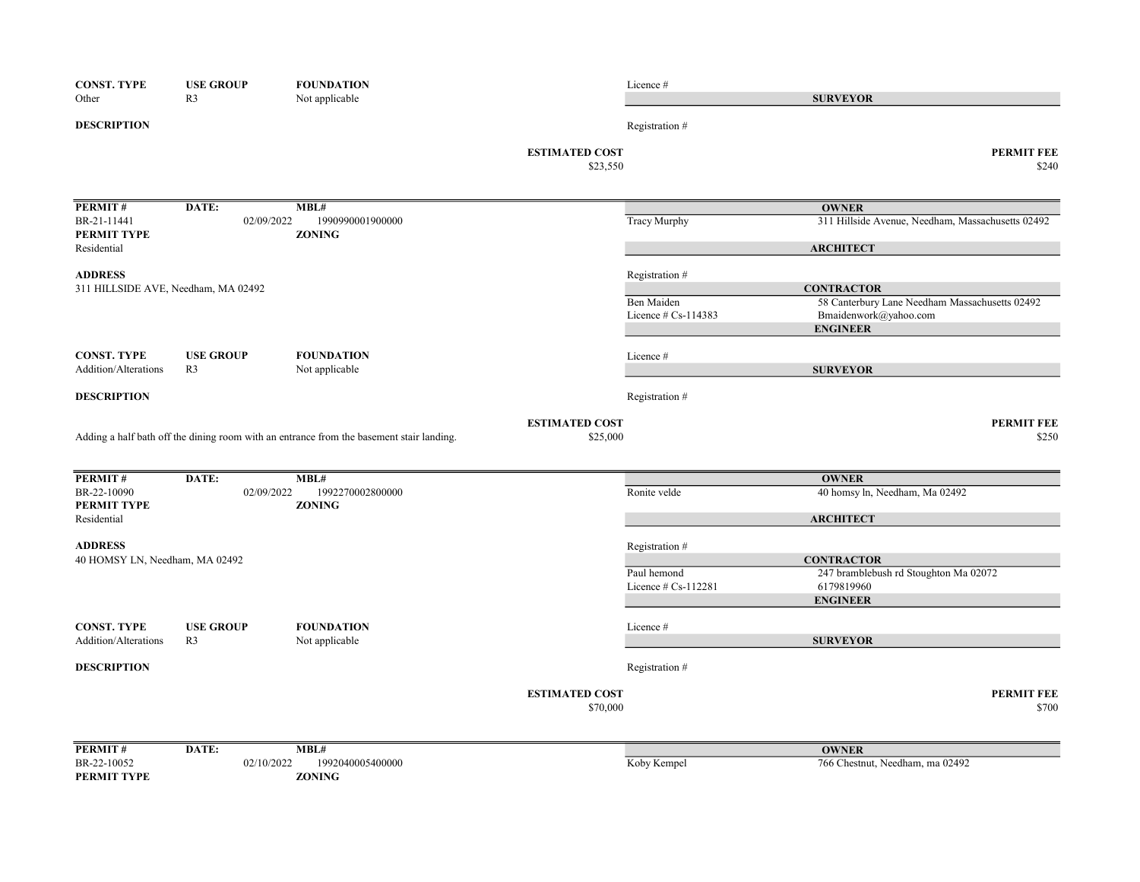| <b>CONST. TYPE</b>                                    | <b>USE GROUP</b> | <b>FOUNDATION</b>                                                                        |                                   | Licence #                                  |                                                                         |
|-------------------------------------------------------|------------------|------------------------------------------------------------------------------------------|-----------------------------------|--------------------------------------------|-------------------------------------------------------------------------|
| Other                                                 | R <sub>3</sub>   | Not applicable                                                                           |                                   |                                            | <b>SURVEYOR</b>                                                         |
| <b>DESCRIPTION</b>                                    |                  |                                                                                          |                                   | Registration #                             |                                                                         |
|                                                       |                  |                                                                                          | <b>ESTIMATED COST</b><br>\$23,550 |                                            | <b>PERMIT FEE</b><br>\$240                                              |
| PERMIT#                                               | DATE:            | MBL#                                                                                     |                                   |                                            | <b>OWNER</b>                                                            |
| BR-21-11441<br>PERMIT TYPE                            | 02/09/2022       | 1990990001900000<br><b>ZONING</b>                                                        |                                   | <b>Tracy Murphy</b>                        | 311 Hillside Avenue, Needham, Massachusetts 02492                       |
| Residential                                           |                  |                                                                                          |                                   |                                            | <b>ARCHITECT</b>                                                        |
| <b>ADDRESS</b><br>311 HILLSIDE AVE, Needham, MA 02492 |                  |                                                                                          |                                   | Registration #                             | <b>CONTRACTOR</b>                                                       |
|                                                       |                  |                                                                                          |                                   | <b>Ben Maiden</b><br>Licence $# Cs-114383$ | 58 Canterbury Lane Needham Massachusetts 02492<br>Bmaidenwork@yahoo.com |
|                                                       |                  |                                                                                          |                                   |                                            | <b>ENGINEER</b>                                                         |
| <b>CONST. TYPE</b>                                    | <b>USE GROUP</b> | <b>FOUNDATION</b>                                                                        |                                   | Licence #                                  |                                                                         |
| Addition/Alterations                                  | R <sub>3</sub>   | Not applicable                                                                           |                                   |                                            | <b>SURVEYOR</b>                                                         |
| <b>DESCRIPTION</b>                                    |                  |                                                                                          |                                   | Registration #                             |                                                                         |
|                                                       |                  |                                                                                          | <b>ESTIMATED COST</b>             |                                            | <b>PERMIT FEE</b>                                                       |
|                                                       |                  | Adding a half bath off the dining room with an entrance from the basement stair landing. | \$25,000                          |                                            | \$250                                                                   |
| PERMIT#                                               | DATE:            | MBL#                                                                                     |                                   |                                            | <b>OWNER</b>                                                            |
| BR-22-10090<br>PERMIT TYPE                            | 02/09/2022       | 1992270002800000<br><b>ZONING</b>                                                        |                                   | Ronite velde                               | 40 homsy ln, Needham, Ma 02492                                          |
| Residential                                           |                  |                                                                                          |                                   |                                            | <b>ARCHITECT</b>                                                        |
| <b>ADDRESS</b>                                        |                  |                                                                                          |                                   | Registration #                             |                                                                         |
| 40 HOMSY LN, Needham, MA 02492                        |                  |                                                                                          |                                   |                                            | <b>CONTRACTOR</b>                                                       |
|                                                       |                  |                                                                                          |                                   | Paul hemond<br>Licence $# Cs-112281$       | 247 bramblebush rd Stoughton Ma 02072<br>6179819960                     |
|                                                       |                  |                                                                                          |                                   |                                            | <b>ENGINEER</b>                                                         |
| <b>CONST. TYPE</b>                                    | <b>USE GROUP</b> | <b>FOUNDATION</b>                                                                        |                                   | Licence #                                  |                                                                         |
| Addition/Alterations                                  | R <sub>3</sub>   | Not applicable                                                                           |                                   |                                            | <b>SURVEYOR</b>                                                         |
| <b>DESCRIPTION</b>                                    |                  |                                                                                          |                                   | Registration #                             |                                                                         |
|                                                       |                  |                                                                                          | <b>ESTIMATED COST</b>             |                                            | <b>PERMIT FEE</b>                                                       |
|                                                       |                  |                                                                                          | \$70,000                          |                                            | \$700                                                                   |
| <b>PERMIT#</b>                                        | DATE:            | MBL#                                                                                     |                                   |                                            | <b>OWNER</b>                                                            |
| BR-22-10052                                           | 02/10/2022       | 1992040005400000                                                                         |                                   | Koby Kempel                                | 766 Chestnut, Needham, ma 02492                                         |
| PERMIT TYPE                                           |                  | <b>ZONING</b>                                                                            |                                   |                                            |                                                                         |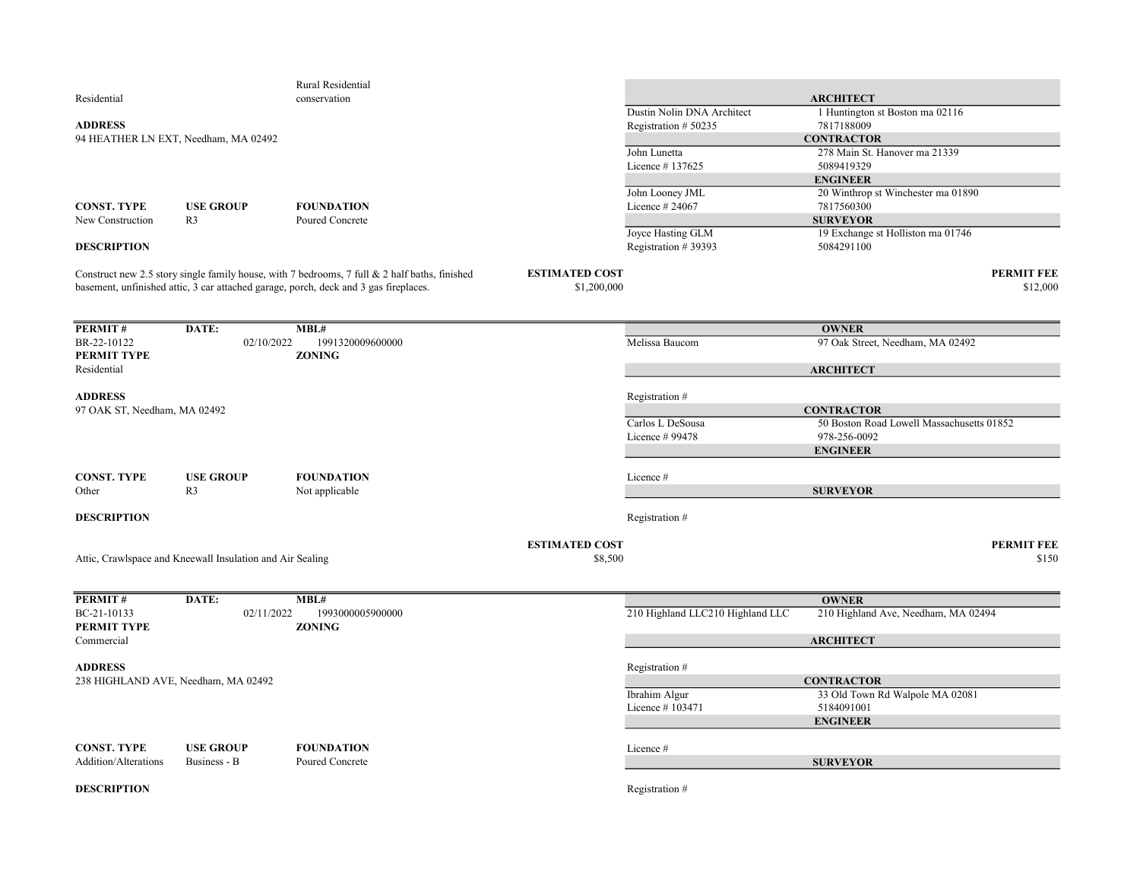|                                            |                                                           | Rural Residential                                                                             |                       |                                  |                                                       |                   |
|--------------------------------------------|-----------------------------------------------------------|-----------------------------------------------------------------------------------------------|-----------------------|----------------------------------|-------------------------------------------------------|-------------------|
| Residential                                |                                                           | conservation                                                                                  |                       |                                  | <b>ARCHITECT</b>                                      |                   |
|                                            |                                                           |                                                                                               |                       | Dustin Nolin DNA Architect       | 1 Huntington st Boston ma 02116                       |                   |
| <b>ADDRESS</b>                             |                                                           |                                                                                               |                       | Registration # 50235             | 7817188009                                            |                   |
| 94 HEATHER LN EXT, Needham, MA 02492       |                                                           |                                                                                               |                       |                                  | <b>CONTRACTOR</b>                                     |                   |
|                                            |                                                           |                                                                                               |                       | John Lunetta                     | 278 Main St. Hanover ma 21339                         |                   |
|                                            |                                                           |                                                                                               |                       | Licence #137625                  | 5089419329                                            |                   |
|                                            |                                                           |                                                                                               |                       | John Looney JML                  | <b>ENGINEER</b><br>20 Winthrop st Winchester ma 01890 |                   |
| CONST. TYPE                                | <b>USE GROUP</b>                                          | <b>FOUNDATION</b>                                                                             |                       | Licence $#24067$                 | 7817560300                                            |                   |
| New Construction                           | R <sub>3</sub>                                            | Poured Concrete                                                                               |                       |                                  | <b>SURVEYOR</b>                                       |                   |
|                                            |                                                           |                                                                                               |                       | Joyce Hasting GLM                | 19 Exchange st Holliston ma 01746                     |                   |
| <b>DESCRIPTION</b>                         |                                                           |                                                                                               |                       | Registration #39393              | 5084291100                                            |                   |
|                                            |                                                           | Construct new 2.5 story single family house, with 7 bedrooms, 7 full & 2 half baths, finished | <b>ESTIMATED COST</b> |                                  |                                                       | <b>PERMIT FEE</b> |
|                                            |                                                           | basement, unfinished attic, 3 car attached garage, porch, deck and 3 gas fireplaces.          | \$1,200,000           |                                  |                                                       | \$12,000          |
|                                            |                                                           |                                                                                               |                       |                                  |                                                       |                   |
| <b>PERMIT#</b>                             | DATE:                                                     | MBL#                                                                                          |                       |                                  | <b>OWNER</b>                                          |                   |
| BR-22-10122                                | 02/10/2022                                                | 1991320009600000                                                                              |                       | Melissa Baucom                   | 97 Oak Street, Needham, MA 02492                      |                   |
| PERMIT TYPE                                |                                                           | <b>ZONING</b>                                                                                 |                       |                                  |                                                       |                   |
| Residential                                |                                                           |                                                                                               |                       |                                  | <b>ARCHITECT</b>                                      |                   |
| <b>ADDRESS</b>                             |                                                           |                                                                                               |                       | Registration #                   |                                                       |                   |
| 97 OAK ST, Needham, MA 02492               |                                                           |                                                                                               |                       |                                  | <b>CONTRACTOR</b>                                     |                   |
|                                            |                                                           |                                                                                               |                       | Carlos L DeSousa                 | 50 Boston Road Lowell Massachusetts 01852             |                   |
|                                            |                                                           |                                                                                               |                       | Licence # 99478                  | 978-256-0092                                          |                   |
|                                            |                                                           |                                                                                               |                       |                                  | <b>ENGINEER</b>                                       |                   |
| <b>CONST. TYPE</b>                         | <b>USE GROUP</b>                                          | <b>FOUNDATION</b>                                                                             |                       | Licence #                        |                                                       |                   |
| Other                                      | R <sub>3</sub>                                            | Not applicable                                                                                |                       |                                  | <b>SURVEYOR</b>                                       |                   |
|                                            |                                                           |                                                                                               |                       |                                  |                                                       |                   |
| <b>DESCRIPTION</b>                         |                                                           |                                                                                               |                       | Registration #                   |                                                       |                   |
|                                            |                                                           |                                                                                               | <b>ESTIMATED COST</b> |                                  |                                                       | <b>PERMIT FEE</b> |
|                                            | Attic, Crawlspace and Kneewall Insulation and Air Sealing |                                                                                               | \$8,500               |                                  |                                                       | \$150             |
|                                            |                                                           |                                                                                               |                       |                                  |                                                       |                   |
| <b>PERMIT#</b>                             | DATE:                                                     | MBL#                                                                                          |                       |                                  | <b>OWNER</b>                                          |                   |
| BC-21-10133                                | 02/11/2022                                                | 1993000005900000                                                                              |                       | 210 Highland LLC210 Highland LLC | 210 Highland Ave, Needham, MA 02494                   |                   |
| PERMIT TYPE                                |                                                           | <b>ZONING</b>                                                                                 |                       |                                  |                                                       |                   |
| Commercial                                 |                                                           |                                                                                               |                       |                                  | <b>ARCHITECT</b>                                      |                   |
| <b>ADDRESS</b>                             |                                                           |                                                                                               |                       | Registration #                   |                                                       |                   |
| 238 HIGHLAND AVE, Needham, MA 02492        |                                                           |                                                                                               |                       |                                  | <b>CONTRACTOR</b>                                     |                   |
|                                            |                                                           |                                                                                               |                       | Ibrahim Algur                    | 33 Old Town Rd Walpole MA 02081                       |                   |
|                                            |                                                           |                                                                                               |                       | Licence #103471                  | 5184091001                                            |                   |
|                                            |                                                           |                                                                                               |                       |                                  | <b>ENGINEER</b>                                       |                   |
|                                            | <b>USE GROUP</b>                                          | <b>FOUNDATION</b>                                                                             |                       |                                  |                                                       |                   |
| <b>CONST. TYPE</b><br>Addition/Alterations | Business - B                                              | Poured Concrete                                                                               |                       | Licence #                        | <b>SURVEYOR</b>                                       |                   |
|                                            |                                                           |                                                                                               |                       |                                  |                                                       |                   |
| <b>DESCRIPTION</b>                         |                                                           |                                                                                               |                       | Registration #                   |                                                       |                   |
|                                            |                                                           |                                                                                               |                       |                                  |                                                       |                   |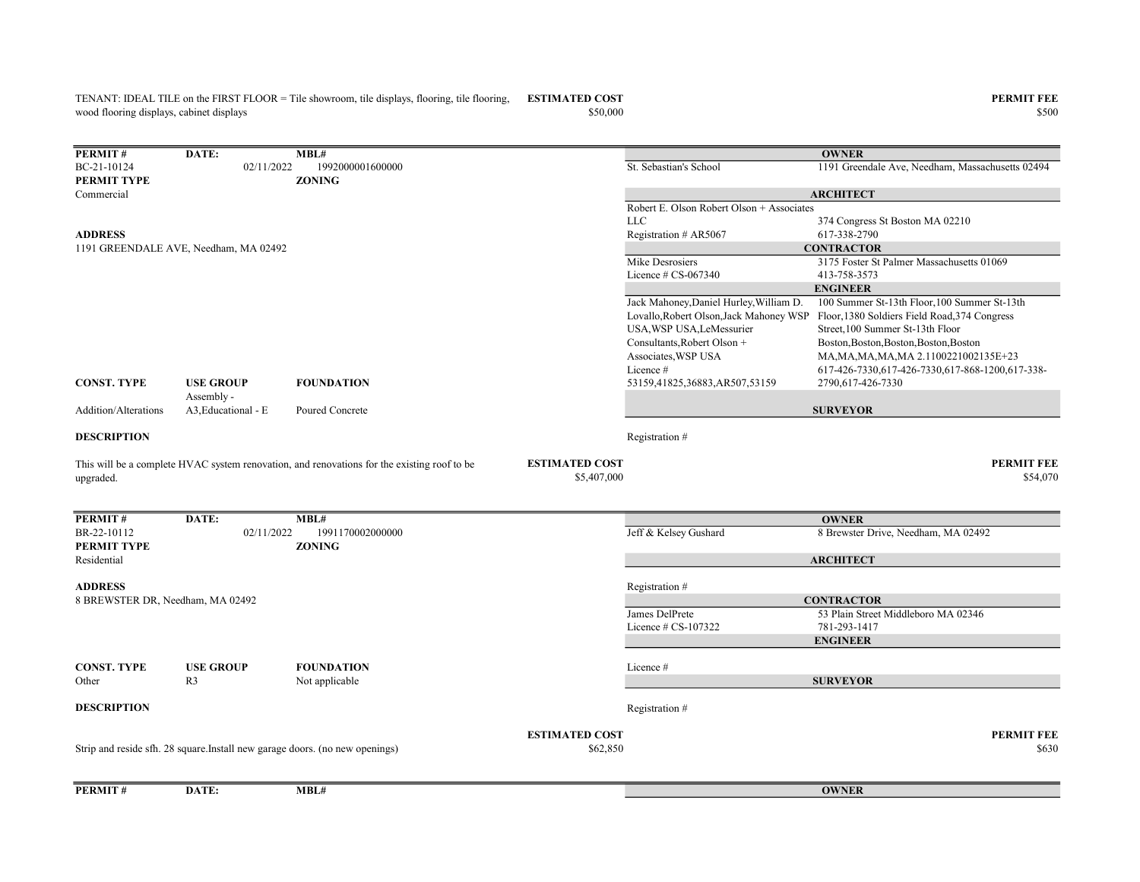wood flooring displays, cabinet displays

TENANT: IDEAL TILE on the FIRST FLOOR = Tile showroom, tile displays, flooring, tile flooring, ESTIMATED COST PERMIT FEE  $$50,000$  \$500

| PERMIT#                          | DATE:                                 | MBL#                                                                                        |                                      |                                           | <b>OWNER</b>                                                                          |
|----------------------------------|---------------------------------------|---------------------------------------------------------------------------------------------|--------------------------------------|-------------------------------------------|---------------------------------------------------------------------------------------|
| BC-21-10124                      | 02/11/2022                            | 1992000001600000                                                                            |                                      | St. Sebastian's School                    | 1191 Greendale Ave, Needham, Massachusetts 02494                                      |
| PERMIT TYPE                      |                                       | <b>ZONING</b>                                                                               |                                      |                                           |                                                                                       |
| Commercial                       |                                       |                                                                                             |                                      |                                           | <b>ARCHITECT</b>                                                                      |
|                                  |                                       |                                                                                             |                                      | Robert E. Olson Robert Olson + Associates |                                                                                       |
|                                  |                                       |                                                                                             |                                      | <b>LLC</b>                                | 374 Congress St Boston MA 02210                                                       |
| <b>ADDRESS</b>                   |                                       |                                                                                             |                                      | Registration # AR5067                     | 617-338-2790                                                                          |
|                                  | 1191 GREENDALE AVE, Needham, MA 02492 |                                                                                             |                                      |                                           | <b>CONTRACTOR</b>                                                                     |
|                                  |                                       |                                                                                             |                                      | Mike Desrosiers                           | 3175 Foster St Palmer Massachusetts 01069                                             |
|                                  |                                       |                                                                                             |                                      | Licence $# CS-067340$                     | 413-758-3573                                                                          |
|                                  |                                       |                                                                                             |                                      |                                           | <b>ENGINEER</b>                                                                       |
|                                  |                                       |                                                                                             |                                      | Jack Mahoney, Daniel Hurley, William D.   | 100 Summer St-13th Floor, 100 Summer St-13th                                          |
|                                  |                                       |                                                                                             |                                      |                                           | Lovallo, Robert Olson, Jack Mahoney WSP Floor, 1380 Soldiers Field Road, 374 Congress |
|                                  |                                       |                                                                                             |                                      | USA, WSP USA, LeMessurier                 | Street, 100 Summer St-13th Floor                                                      |
|                                  |                                       |                                                                                             |                                      | Consultants, Robert Olson +               | Boston, Boston, Boston, Boston, Boston                                                |
|                                  |                                       |                                                                                             |                                      | Associates, WSP USA                       | MA, MA, MA, MA, MA 2.1100221002135E+23                                                |
|                                  |                                       |                                                                                             |                                      | Licence #                                 | 617-426-7330,617-426-7330,617-868-1200,617-338-                                       |
| CONST. TYPE                      | <b>USE GROUP</b><br>Assembly -        | <b>FOUNDATION</b>                                                                           |                                      | 53159,41825,36883,AR507,53159             | 2790,617-426-7330                                                                     |
| Addition/Alterations             | A3, Educational - E                   | Poured Concrete                                                                             |                                      |                                           | <b>SURVEYOR</b>                                                                       |
| <b>DESCRIPTION</b>               |                                       |                                                                                             |                                      | Registration #                            |                                                                                       |
| upgraded.                        |                                       | This will be a complete HVAC system renovation, and renovations for the existing roof to be | <b>ESTIMATED COST</b><br>\$5,407,000 |                                           | <b>PERMIT FEE</b><br>\$54,070                                                         |
|                                  |                                       |                                                                                             |                                      |                                           |                                                                                       |
| PERMIT#                          | DATE:                                 | MBL#                                                                                        |                                      |                                           | <b>OWNER</b>                                                                          |
| BR-22-10112<br>PERMIT TYPE       | 02/11/2022                            | 1991170002000000<br><b>ZONING</b>                                                           |                                      | Jeff & Kelsey Gushard                     | 8 Brewster Drive, Needham, MA 02492                                                   |
| Residential                      |                                       |                                                                                             |                                      |                                           | <b>ARCHITECT</b>                                                                      |
|                                  |                                       |                                                                                             |                                      |                                           |                                                                                       |
| <b>ADDRESS</b>                   |                                       |                                                                                             |                                      | Registration#                             |                                                                                       |
| 8 BREWSTER DR, Needham, MA 02492 |                                       |                                                                                             |                                      |                                           | <b>CONTRACTOR</b>                                                                     |
|                                  |                                       |                                                                                             |                                      | James DelPrete                            | 53 Plain Street Middleboro MA 02346                                                   |
|                                  |                                       |                                                                                             |                                      | Licence $# CS-107322$                     | 781-293-1417                                                                          |
|                                  |                                       |                                                                                             |                                      |                                           | <b>ENGINEER</b>                                                                       |
|                                  |                                       |                                                                                             |                                      |                                           |                                                                                       |
| CONST. TYPE                      | <b>USE GROUP</b>                      | <b>FOUNDATION</b>                                                                           |                                      | Licence#                                  |                                                                                       |
| Other                            | R <sub>3</sub>                        | Not applicable                                                                              |                                      |                                           | <b>SURVEYOR</b>                                                                       |
| <b>DESCRIPTION</b>               |                                       |                                                                                             |                                      | Registration #                            |                                                                                       |
|                                  |                                       |                                                                                             | <b>ESTIMATED COST</b>                |                                           | <b>PERMIT FEE</b>                                                                     |
|                                  |                                       | Strip and reside sfh. 28 square.Install new garage doors. (no new openings)                 | \$62,850                             |                                           | \$630                                                                                 |
|                                  |                                       |                                                                                             |                                      |                                           |                                                                                       |
|                                  |                                       |                                                                                             |                                      |                                           |                                                                                       |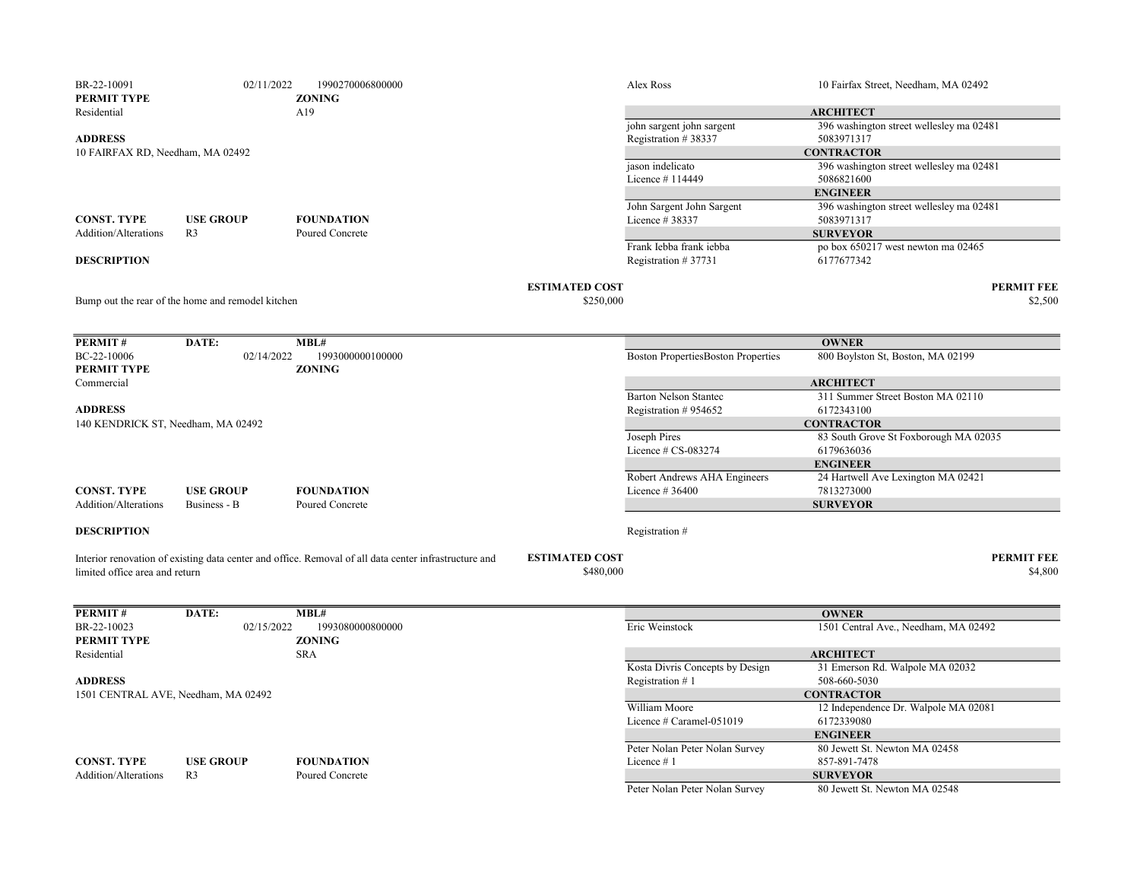| BR-22-10091                        | 02/11/2022                                        | 1990270006800000                                                                                      |                       | Alex Ross                                 | 10 Fairfax Street, Needham, MA 02492                         |
|------------------------------------|---------------------------------------------------|-------------------------------------------------------------------------------------------------------|-----------------------|-------------------------------------------|--------------------------------------------------------------|
| PERMIT TYPE<br>Residential         |                                                   | <b>ZONING</b><br>A19                                                                                  |                       |                                           |                                                              |
|                                    |                                                   |                                                                                                       |                       | john sargent john sargent                 | <b>ARCHITECT</b><br>396 washington street wellesley ma 02481 |
| <b>ADDRESS</b>                     |                                                   |                                                                                                       |                       | Registration #38337                       | 5083971317                                                   |
| 10 FAIRFAX RD, Needham, MA 02492   |                                                   |                                                                                                       |                       |                                           | <b>CONTRACTOR</b>                                            |
|                                    |                                                   |                                                                                                       |                       | jason indelicato                          | 396 washington street wellesley ma 02481                     |
|                                    |                                                   |                                                                                                       |                       | Licence $#114449$                         | 5086821600                                                   |
|                                    |                                                   |                                                                                                       |                       |                                           | <b>ENGINEER</b>                                              |
|                                    |                                                   |                                                                                                       |                       | John Sargent John Sargent                 | 396 washington street wellesley ma 02481                     |
| <b>CONST. TYPE</b>                 | <b>USE GROUP</b>                                  | <b>FOUNDATION</b>                                                                                     |                       | Licence # 38337                           | 5083971317                                                   |
| Addition/Alterations               | R <sub>3</sub>                                    | Poured Concrete                                                                                       |                       |                                           | <b>SURVEYOR</b>                                              |
|                                    |                                                   |                                                                                                       |                       | Frank Iebba frank iebba                   | po box 650217 west newton ma 02465                           |
| <b>DESCRIPTION</b>                 |                                                   |                                                                                                       |                       | Registration #37731                       | 6177677342                                                   |
|                                    |                                                   |                                                                                                       | <b>ESTIMATED COST</b> |                                           | <b>PERMIT FEE</b>                                            |
|                                    | Bump out the rear of the home and remodel kitchen |                                                                                                       | \$250,000             |                                           | \$2,500                                                      |
|                                    |                                                   |                                                                                                       |                       |                                           |                                                              |
|                                    |                                                   |                                                                                                       |                       |                                           |                                                              |
| <b>PERMIT#</b>                     | DATE:                                             | MBL#                                                                                                  |                       |                                           | <b>OWNER</b>                                                 |
| BC-22-10006<br>PERMIT TYPE         | 02/14/2022                                        | 1993000000100000<br><b>ZONING</b>                                                                     |                       | <b>Boston PropertiesBoston Properties</b> | 800 Boylston St, Boston, MA 02199                            |
| Commercial                         |                                                   |                                                                                                       |                       |                                           | <b>ARCHITECT</b>                                             |
|                                    |                                                   |                                                                                                       |                       | <b>Barton Nelson Stantec</b>              | 311 Summer Street Boston MA 02110                            |
| <b>ADDRESS</b>                     |                                                   |                                                                                                       |                       | Registration #954652                      | 6172343100                                                   |
| 140 KENDRICK ST, Needham, MA 02492 |                                                   |                                                                                                       |                       |                                           | <b>CONTRACTOR</b>                                            |
|                                    |                                                   |                                                                                                       |                       | Joseph Pires                              | 83 South Grove St Foxborough MA 02035                        |
|                                    |                                                   |                                                                                                       |                       | Licence # CS-083274                       | 6179636036                                                   |
|                                    |                                                   |                                                                                                       |                       |                                           | <b>ENGINEER</b>                                              |
|                                    |                                                   |                                                                                                       |                       | Robert Andrews AHA Engineers              | 24 Hartwell Ave Lexington MA 02421                           |
| <b>CONST. TYPE</b>                 | <b>USE GROUP</b>                                  | <b>FOUNDATION</b>                                                                                     |                       | Licence # 36400                           | 7813273000                                                   |
| Addition/Alterations               | Business - B                                      | Poured Concrete                                                                                       |                       |                                           | <b>SURVEYOR</b>                                              |
| <b>DESCRIPTION</b>                 |                                                   |                                                                                                       |                       | Registration #                            |                                                              |
|                                    |                                                   |                                                                                                       |                       |                                           |                                                              |
|                                    |                                                   | Interior renovation of existing data center and office. Removal of all data center infrastructure and | <b>ESTIMATED COST</b> |                                           | <b>PERMIT FEE</b>                                            |
| limited office area and return     |                                                   |                                                                                                       | \$480,000             |                                           | \$4,800                                                      |
|                                    |                                                   |                                                                                                       |                       |                                           |                                                              |
| PERMIT#                            | DATE:                                             | MBL#                                                                                                  |                       |                                           | <b>OWNER</b>                                                 |
| BR-22-10023                        | 02/15/2022                                        | 1993080000800000                                                                                      |                       | Eric Weinstock                            | 1501 Central Ave., Needham, MA 02492                         |
| PERMIT TYPE                        |                                                   | <b>ZONING</b>                                                                                         |                       |                                           |                                                              |
| Residential                        |                                                   | <b>SRA</b>                                                                                            |                       |                                           | <b>ARCHITECT</b>                                             |
|                                    |                                                   |                                                                                                       |                       | Kosta Divris Concepts by Design           | 31 Emerson Rd. Walpole MA 02032                              |
| <b>ADDRESS</b>                     |                                                   |                                                                                                       |                       | Registration #1                           | 508-660-5030                                                 |
|                                    | 1501 CENTRAL AVE, Needham, MA 02492               |                                                                                                       |                       |                                           | <b>CONTRACTOR</b>                                            |
|                                    |                                                   |                                                                                                       |                       | William Moore                             | 12 Independence Dr. Walpole MA 02081                         |
|                                    |                                                   |                                                                                                       |                       | Licence # Caramel-051019                  | 6172339080                                                   |
|                                    |                                                   |                                                                                                       |                       |                                           | <b>ENGINEER</b>                                              |
|                                    |                                                   |                                                                                                       |                       | Peter Nolan Peter Nolan Survey            | 80 Jewett St. Newton MA 02458                                |
| <b>CONST. TYPE</b>                 | <b>USE GROUP</b>                                  | <b>FOUNDATION</b>                                                                                     |                       | Licence #1                                | 857-891-7478                                                 |
| Addition/Alterations               | R <sub>3</sub>                                    | Poured Concrete                                                                                       |                       |                                           | <b>SURVEYOR</b>                                              |
|                                    |                                                   |                                                                                                       |                       | Peter Nolan Peter Nolan Survey            | 80 Jewett St. Newton MA 02548                                |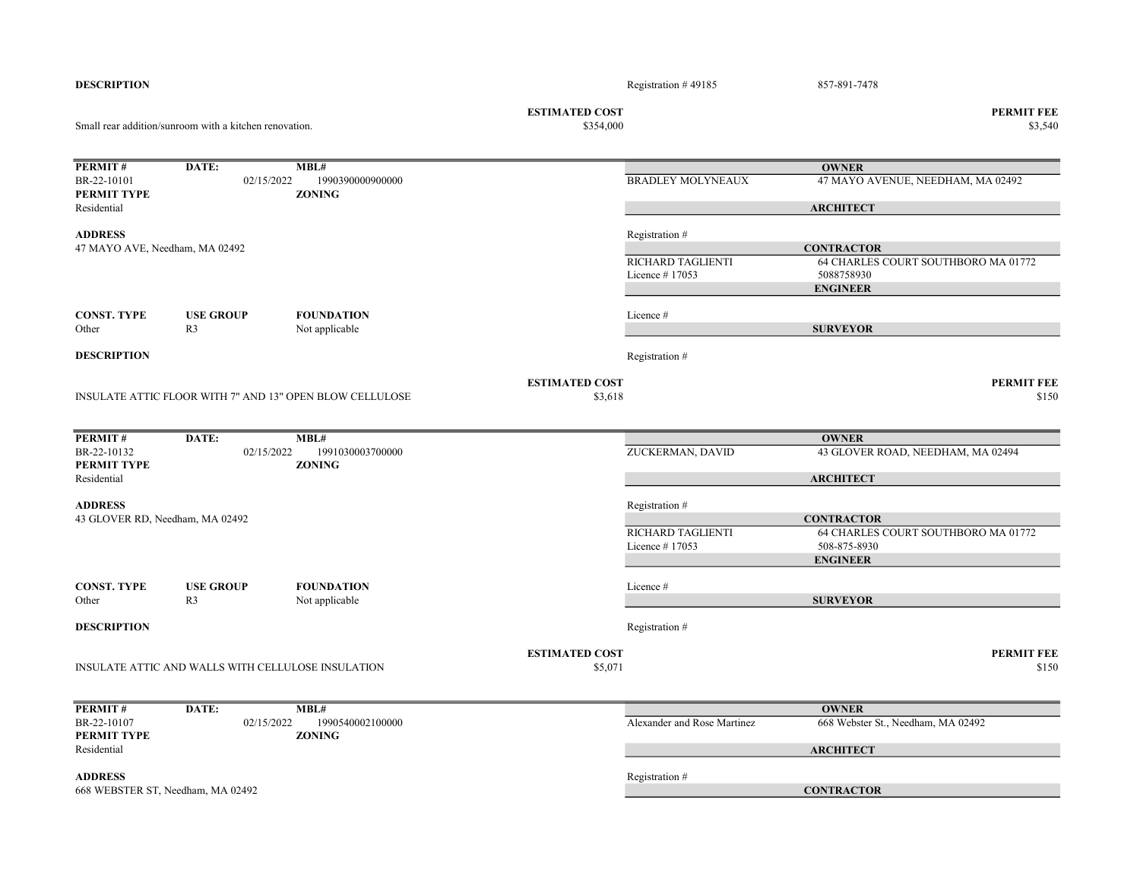| <b>ESTIMATED COST</b><br><b>PERMIT FEE</b><br>\$354,000<br>Small rear addition/sunroom with a kitchen renovation.<br>PERMIT#<br>DATE:<br>MBL#<br><b>OWNER</b><br>BR-22-10101<br><b>BRADLEY MOLYNEAUX</b><br>47 MAYO AVENUE, NEEDHAM, MA 02492<br>02/15/2022<br>1990390000900000<br>PERMIT TYPE<br><b>ZONING</b><br><b>ARCHITECT</b><br>Residential<br><b>ADDRESS</b><br>Registration #<br>47 MAYO AVE, Needham, MA 02492<br><b>CONTRACTOR</b><br>64 CHARLES COURT SOUTHBORO MA 01772<br>RICHARD TAGLIENTI<br>5088758930<br>Licence #17053<br><b>ENGINEER</b><br><b>FOUNDATION</b><br><b>CONST. TYPE</b><br><b>USE GROUP</b><br>Licence #<br>Other<br>R <sub>3</sub><br>Not applicable<br><b>SURVEYOR</b><br><b>DESCRIPTION</b><br>Registration #<br><b>ESTIMATED COST</b><br><b>PERMIT FEE</b><br>INSULATE ATTIC FLOOR WITH 7" AND 13" OPEN BLOW CELLULOSE<br>\$3,618<br>PERMIT#<br>DATE:<br>MBL#<br><b>OWNER</b><br>BR-22-10132<br>ZUCKERMAN, DAVID<br>43 GLOVER ROAD, NEEDHAM, MA 02494<br>02/15/2022<br>1991030003700000<br>PERMIT TYPE<br><b>ZONING</b><br>Residential<br><b>ARCHITECT</b><br><b>ADDRESS</b><br>Registration #<br>43 GLOVER RD, Needham, MA 02492<br><b>CONTRACTOR</b><br>64 CHARLES COURT SOUTHBORO MA 01772<br>RICHARD TAGLIENTI<br>Licence #17053<br>508-875-8930<br><b>ENGINEER</b><br><b>CONST. TYPE</b><br><b>USE GROUP</b><br><b>FOUNDATION</b><br>Licence#<br>R <sub>3</sub><br><b>SURVEYOR</b><br>Other<br>Not applicable<br><b>DESCRIPTION</b><br>Registration #<br><b>ESTIMATED COST</b><br><b>PERMIT FEE</b><br>\$5,071<br>INSULATE ATTIC AND WALLS WITH CELLULOSE INSULATION<br>PERMIT#<br>DATE:<br>MBL#<br><b>OWNER</b><br>668 Webster St., Needham, MA 02492<br>BR-22-10107<br>Alexander and Rose Martinez<br>02/15/2022<br>1990540002100000<br>PERMIT TYPE<br><b>ZONING</b><br>Residential<br><b>ARCHITECT</b><br><b>ADDRESS</b><br>Registration #<br><b>CONTRACTOR</b><br>668 WEBSTER ST, Needham, MA 02492 | <b>DESCRIPTION</b> |  |  | Registration $#49185$ | 857-891-7478 |         |
|--------------------------------------------------------------------------------------------------------------------------------------------------------------------------------------------------------------------------------------------------------------------------------------------------------------------------------------------------------------------------------------------------------------------------------------------------------------------------------------------------------------------------------------------------------------------------------------------------------------------------------------------------------------------------------------------------------------------------------------------------------------------------------------------------------------------------------------------------------------------------------------------------------------------------------------------------------------------------------------------------------------------------------------------------------------------------------------------------------------------------------------------------------------------------------------------------------------------------------------------------------------------------------------------------------------------------------------------------------------------------------------------------------------------------------------------------------------------------------------------------------------------------------------------------------------------------------------------------------------------------------------------------------------------------------------------------------------------------------------------------------------------------------------------------------------------------------------------------------------------------------------------------------------------------------------------------|--------------------|--|--|-----------------------|--------------|---------|
|                                                                                                                                                                                                                                                                                                                                                                                                                                                                                                                                                                                                                                                                                                                                                                                                                                                                                                                                                                                                                                                                                                                                                                                                                                                                                                                                                                                                                                                                                                                                                                                                                                                                                                                                                                                                                                                                                                                                                  |                    |  |  |                       |              | \$3,540 |
|                                                                                                                                                                                                                                                                                                                                                                                                                                                                                                                                                                                                                                                                                                                                                                                                                                                                                                                                                                                                                                                                                                                                                                                                                                                                                                                                                                                                                                                                                                                                                                                                                                                                                                                                                                                                                                                                                                                                                  |                    |  |  |                       |              |         |
|                                                                                                                                                                                                                                                                                                                                                                                                                                                                                                                                                                                                                                                                                                                                                                                                                                                                                                                                                                                                                                                                                                                                                                                                                                                                                                                                                                                                                                                                                                                                                                                                                                                                                                                                                                                                                                                                                                                                                  |                    |  |  |                       |              |         |
|                                                                                                                                                                                                                                                                                                                                                                                                                                                                                                                                                                                                                                                                                                                                                                                                                                                                                                                                                                                                                                                                                                                                                                                                                                                                                                                                                                                                                                                                                                                                                                                                                                                                                                                                                                                                                                                                                                                                                  |                    |  |  |                       |              |         |
|                                                                                                                                                                                                                                                                                                                                                                                                                                                                                                                                                                                                                                                                                                                                                                                                                                                                                                                                                                                                                                                                                                                                                                                                                                                                                                                                                                                                                                                                                                                                                                                                                                                                                                                                                                                                                                                                                                                                                  |                    |  |  |                       |              |         |
|                                                                                                                                                                                                                                                                                                                                                                                                                                                                                                                                                                                                                                                                                                                                                                                                                                                                                                                                                                                                                                                                                                                                                                                                                                                                                                                                                                                                                                                                                                                                                                                                                                                                                                                                                                                                                                                                                                                                                  |                    |  |  |                       |              |         |
|                                                                                                                                                                                                                                                                                                                                                                                                                                                                                                                                                                                                                                                                                                                                                                                                                                                                                                                                                                                                                                                                                                                                                                                                                                                                                                                                                                                                                                                                                                                                                                                                                                                                                                                                                                                                                                                                                                                                                  |                    |  |  |                       |              |         |
|                                                                                                                                                                                                                                                                                                                                                                                                                                                                                                                                                                                                                                                                                                                                                                                                                                                                                                                                                                                                                                                                                                                                                                                                                                                                                                                                                                                                                                                                                                                                                                                                                                                                                                                                                                                                                                                                                                                                                  |                    |  |  |                       |              | \$150   |
|                                                                                                                                                                                                                                                                                                                                                                                                                                                                                                                                                                                                                                                                                                                                                                                                                                                                                                                                                                                                                                                                                                                                                                                                                                                                                                                                                                                                                                                                                                                                                                                                                                                                                                                                                                                                                                                                                                                                                  |                    |  |  |                       |              |         |
|                                                                                                                                                                                                                                                                                                                                                                                                                                                                                                                                                                                                                                                                                                                                                                                                                                                                                                                                                                                                                                                                                                                                                                                                                                                                                                                                                                                                                                                                                                                                                                                                                                                                                                                                                                                                                                                                                                                                                  |                    |  |  |                       |              |         |
|                                                                                                                                                                                                                                                                                                                                                                                                                                                                                                                                                                                                                                                                                                                                                                                                                                                                                                                                                                                                                                                                                                                                                                                                                                                                                                                                                                                                                                                                                                                                                                                                                                                                                                                                                                                                                                                                                                                                                  |                    |  |  |                       |              |         |
|                                                                                                                                                                                                                                                                                                                                                                                                                                                                                                                                                                                                                                                                                                                                                                                                                                                                                                                                                                                                                                                                                                                                                                                                                                                                                                                                                                                                                                                                                                                                                                                                                                                                                                                                                                                                                                                                                                                                                  |                    |  |  |                       |              |         |
|                                                                                                                                                                                                                                                                                                                                                                                                                                                                                                                                                                                                                                                                                                                                                                                                                                                                                                                                                                                                                                                                                                                                                                                                                                                                                                                                                                                                                                                                                                                                                                                                                                                                                                                                                                                                                                                                                                                                                  |                    |  |  |                       |              |         |
|                                                                                                                                                                                                                                                                                                                                                                                                                                                                                                                                                                                                                                                                                                                                                                                                                                                                                                                                                                                                                                                                                                                                                                                                                                                                                                                                                                                                                                                                                                                                                                                                                                                                                                                                                                                                                                                                                                                                                  |                    |  |  |                       |              |         |
|                                                                                                                                                                                                                                                                                                                                                                                                                                                                                                                                                                                                                                                                                                                                                                                                                                                                                                                                                                                                                                                                                                                                                                                                                                                                                                                                                                                                                                                                                                                                                                                                                                                                                                                                                                                                                                                                                                                                                  |                    |  |  |                       |              |         |
|                                                                                                                                                                                                                                                                                                                                                                                                                                                                                                                                                                                                                                                                                                                                                                                                                                                                                                                                                                                                                                                                                                                                                                                                                                                                                                                                                                                                                                                                                                                                                                                                                                                                                                                                                                                                                                                                                                                                                  |                    |  |  |                       |              | \$150   |
|                                                                                                                                                                                                                                                                                                                                                                                                                                                                                                                                                                                                                                                                                                                                                                                                                                                                                                                                                                                                                                                                                                                                                                                                                                                                                                                                                                                                                                                                                                                                                                                                                                                                                                                                                                                                                                                                                                                                                  |                    |  |  |                       |              |         |
|                                                                                                                                                                                                                                                                                                                                                                                                                                                                                                                                                                                                                                                                                                                                                                                                                                                                                                                                                                                                                                                                                                                                                                                                                                                                                                                                                                                                                                                                                                                                                                                                                                                                                                                                                                                                                                                                                                                                                  |                    |  |  |                       |              |         |
|                                                                                                                                                                                                                                                                                                                                                                                                                                                                                                                                                                                                                                                                                                                                                                                                                                                                                                                                                                                                                                                                                                                                                                                                                                                                                                                                                                                                                                                                                                                                                                                                                                                                                                                                                                                                                                                                                                                                                  |                    |  |  |                       |              |         |
|                                                                                                                                                                                                                                                                                                                                                                                                                                                                                                                                                                                                                                                                                                                                                                                                                                                                                                                                                                                                                                                                                                                                                                                                                                                                                                                                                                                                                                                                                                                                                                                                                                                                                                                                                                                                                                                                                                                                                  |                    |  |  |                       |              |         |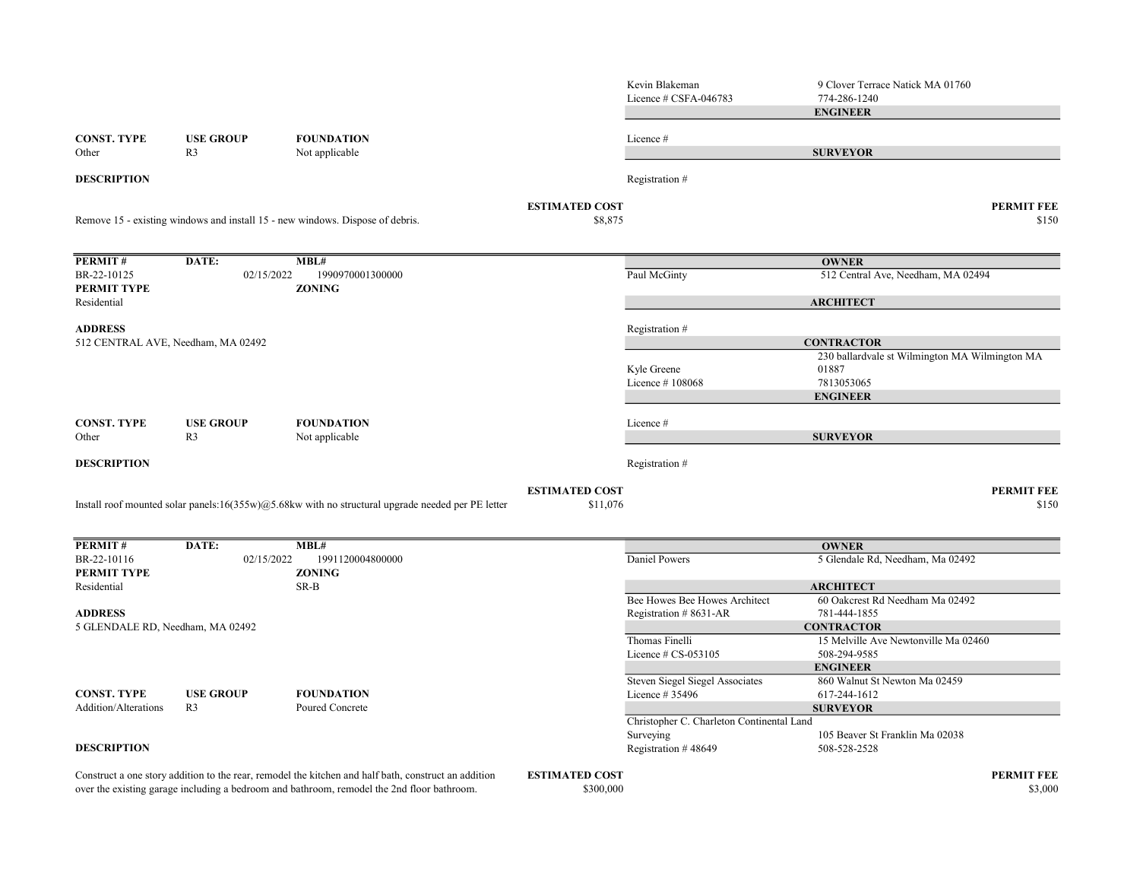|                                    |                                    |                                                                                                       |                       | Kevin Blakeman<br>Licence # CSFA-046783                | 9 Clover Terrace Natick MA 01760<br>774-286-1240<br><b>ENGINEER</b> |
|------------------------------------|------------------------------------|-------------------------------------------------------------------------------------------------------|-----------------------|--------------------------------------------------------|---------------------------------------------------------------------|
| <b>CONST. TYPE</b><br>Other        | <b>USE GROUP</b><br>R <sub>3</sub> | <b>FOUNDATION</b><br>Not applicable                                                                   |                       | Licence #                                              | <b>SURVEYOR</b>                                                     |
| <b>DESCRIPTION</b>                 |                                    |                                                                                                       |                       | Registration #                                         |                                                                     |
|                                    |                                    |                                                                                                       | <b>ESTIMATED COST</b> |                                                        | <b>PERMIT FEE</b>                                                   |
|                                    |                                    | Remove 15 - existing windows and install 15 - new windows. Dispose of debris.                         | \$8,875               |                                                        | \$150                                                               |
| PERMIT#                            | DATE:                              | MBL#                                                                                                  |                       |                                                        | <b>OWNER</b>                                                        |
| BR-22-10125<br>PERMIT TYPE         | 02/15/2022                         | 1990970001300000<br><b>ZONING</b>                                                                     |                       | Paul McGinty                                           | 512 Central Ave, Needham, MA 02494                                  |
| Residential                        |                                    |                                                                                                       |                       |                                                        | <b>ARCHITECT</b>                                                    |
| <b>ADDRESS</b>                     |                                    |                                                                                                       |                       | Registration #                                         |                                                                     |
| 512 CENTRAL AVE, Needham, MA 02492 |                                    |                                                                                                       |                       |                                                        | <b>CONTRACTOR</b>                                                   |
|                                    |                                    |                                                                                                       |                       |                                                        | 230 ballardvale st Wilmington MA Wilmington MA                      |
|                                    |                                    |                                                                                                       |                       | Kyle Greene<br>Licence #108068                         | 01887<br>7813053065                                                 |
|                                    |                                    |                                                                                                       |                       |                                                        | <b>ENGINEER</b>                                                     |
| <b>CONST. TYPE</b>                 | <b>USE GROUP</b>                   | <b>FOUNDATION</b>                                                                                     |                       | Licence #                                              |                                                                     |
| Other                              | R <sub>3</sub>                     | Not applicable                                                                                        |                       |                                                        | <b>SURVEYOR</b>                                                     |
| <b>DESCRIPTION</b>                 |                                    |                                                                                                       |                       | Registration #                                         |                                                                     |
|                                    |                                    |                                                                                                       | <b>ESTIMATED COST</b> |                                                        | <b>PERMIT FEE</b>                                                   |
|                                    |                                    | Install roof mounted solar panels:16(355w) $@5.68$ kw with no structural upgrade needed per PE letter | \$11,076              |                                                        | \$150                                                               |
| PERMIT#                            | DATE:                              | MBL#                                                                                                  |                       |                                                        | <b>OWNER</b>                                                        |
| BR-22-10116<br>PERMIT TYPE         | 02/15/2022                         | 1991120004800000<br><b>ZONING</b>                                                                     |                       | Daniel Powers                                          | 5 Glendale Rd, Needham, Ma 02492                                    |
| Residential                        |                                    | SR-B                                                                                                  |                       |                                                        | <b>ARCHITECT</b>                                                    |
| <b>ADDRESS</b>                     |                                    |                                                                                                       |                       | Bee Howes Bee Howes Architect<br>Registration #8631-AR | 60 Oakcrest Rd Needham Ma 02492<br>781-444-1855                     |
| 5 GLENDALE RD, Needham, MA 02492   |                                    |                                                                                                       |                       |                                                        | <b>CONTRACTOR</b>                                                   |
|                                    |                                    |                                                                                                       |                       | Thomas Finelli                                         | 15 Melville Ave Newtonville Ma 02460                                |
|                                    |                                    |                                                                                                       |                       | Licence $# CS-053105$                                  | 508-294-9585                                                        |
|                                    |                                    |                                                                                                       |                       |                                                        | <b>ENGINEER</b>                                                     |
| <b>CONST. TYPE</b>                 | <b>USE GROUP</b>                   | <b>FOUNDATION</b>                                                                                     |                       | Steven Siegel Siegel Associates<br>Licence # 35496     | 860 Walnut St Newton Ma 02459<br>617-244-1612                       |
| Addition/Alterations               | R <sub>3</sub>                     | Poured Concrete                                                                                       |                       |                                                        | <b>SURVEYOR</b>                                                     |
|                                    |                                    |                                                                                                       |                       | Christopher C. Charleton Continental Land              |                                                                     |
|                                    |                                    |                                                                                                       |                       | Surveying                                              | 105 Beaver St Franklin Ma 02038                                     |
| <b>DESCRIPTION</b>                 |                                    |                                                                                                       |                       | Registration #48649                                    | 508-528-2528                                                        |
|                                    |                                    | Construct a one story addition to the rear, remodel the kitchen and half bath, construct an addition  | <b>ESTIMATED COST</b> |                                                        | <b>PERMIT FEE</b>                                                   |
|                                    |                                    | over the existing garage including a bedroom and bathroom, remodel the 2nd floor bathroom.            | \$300,000             |                                                        | \$3,000                                                             |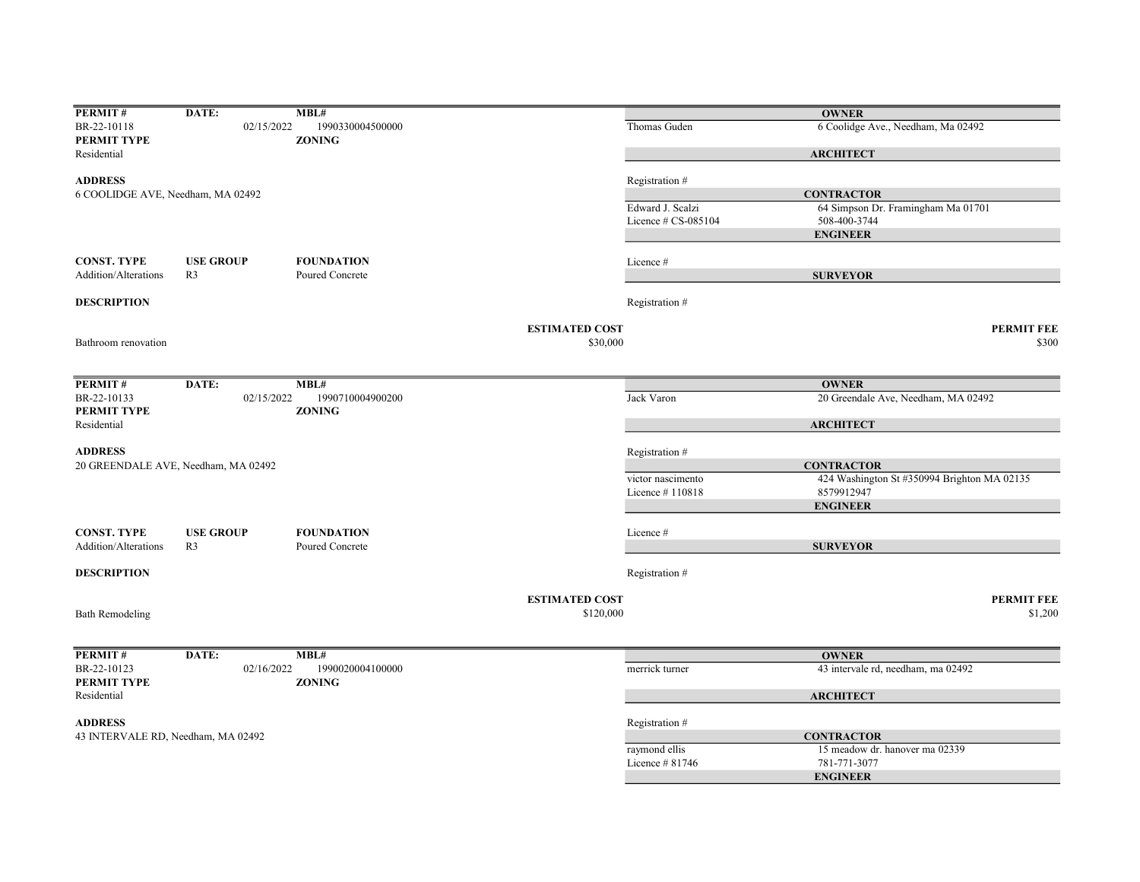| PERMIT#                            | DATE:                               | MBL#                              |                       |                        | <b>OWNER</b>                                |
|------------------------------------|-------------------------------------|-----------------------------------|-----------------------|------------------------|---------------------------------------------|
| BR-22-10118                        | 02/15/2022                          | 1990330004500000                  |                       | Thomas Guden           | 6 Coolidge Ave., Needham, Ma 02492          |
| PERMIT TYPE                        |                                     | <b>ZONING</b>                     |                       |                        |                                             |
| Residential                        |                                     |                                   |                       |                        | <b>ARCHITECT</b>                            |
|                                    |                                     |                                   |                       |                        |                                             |
| <b>ADDRESS</b>                     |                                     |                                   |                       | Registration #         |                                             |
| 6 COOLIDGE AVE, Needham, MA 02492  |                                     |                                   |                       |                        | <b>CONTRACTOR</b>                           |
|                                    |                                     |                                   |                       | Edward J. Scalzi       | 64 Simpson Dr. Framingham Ma 01701          |
|                                    |                                     |                                   |                       | Licence $\#$ CS-085104 | 508-400-3744                                |
|                                    |                                     |                                   |                       |                        | <b>ENGINEER</b>                             |
| <b>CONST. TYPE</b>                 | <b>USE GROUP</b>                    | <b>FOUNDATION</b>                 |                       | Licence #              |                                             |
| Addition/Alterations               | R <sub>3</sub>                      | Poured Concrete                   |                       |                        |                                             |
|                                    |                                     |                                   |                       |                        | <b>SURVEYOR</b>                             |
| <b>DESCRIPTION</b>                 |                                     |                                   |                       | Registration #         |                                             |
|                                    |                                     |                                   | <b>ESTIMATED COST</b> |                        | <b>PERMIT FEE</b>                           |
| Bathroom renovation                |                                     |                                   | \$30,000              |                        | \$300                                       |
|                                    |                                     |                                   |                       |                        |                                             |
|                                    |                                     |                                   |                       |                        |                                             |
| PERMIT#                            | DATE:                               | MBL#                              |                       |                        | <b>OWNER</b>                                |
| BR-22-10133<br>PERMIT TYPE         | 02/15/2022                          | 1990710004900200<br><b>ZONING</b> |                       | Jack Varon             | 20 Greendale Ave, Needham, MA 02492         |
| Residential                        |                                     |                                   |                       |                        | <b>ARCHITECT</b>                            |
|                                    |                                     |                                   |                       |                        |                                             |
| <b>ADDRESS</b>                     |                                     |                                   |                       | Registration #         |                                             |
|                                    | 20 GREENDALE AVE, Needham, MA 02492 |                                   |                       |                        | <b>CONTRACTOR</b>                           |
|                                    |                                     |                                   |                       | victor nascimento      | 424 Washington St #350994 Brighton MA 02135 |
|                                    |                                     |                                   |                       | Licence #110818        | 8579912947                                  |
|                                    |                                     |                                   |                       |                        | <b>ENGINEER</b>                             |
|                                    |                                     |                                   |                       |                        |                                             |
| <b>CONST. TYPE</b>                 | <b>USE GROUP</b>                    | <b>FOUNDATION</b>                 |                       | Licence #              |                                             |
| <b>Addition/Alterations</b>        | R <sub>3</sub>                      | Poured Concrete                   |                       |                        | <b>SURVEYOR</b>                             |
| <b>DESCRIPTION</b>                 |                                     |                                   |                       | Registration #         |                                             |
|                                    |                                     |                                   |                       |                        |                                             |
|                                    |                                     |                                   | <b>ESTIMATED COST</b> |                        | <b>PERMIT FEE</b>                           |
| <b>Bath Remodeling</b>             |                                     |                                   | \$120,000             |                        | \$1,200                                     |
|                                    |                                     |                                   |                       |                        |                                             |
| PERMIT#                            | DATE:                               | MBL#                              |                       |                        | <b>OWNER</b>                                |
| BR-22-10123                        | 02/16/2022                          | 1990020004100000                  |                       | merrick turner         | 43 intervale rd, needham, ma 02492          |
| PERMIT TYPE                        |                                     | <b>ZONING</b>                     |                       |                        |                                             |
| Residential                        |                                     |                                   |                       |                        | <b>ARCHITECT</b>                            |
|                                    |                                     |                                   |                       |                        |                                             |
| <b>ADDRESS</b>                     |                                     |                                   |                       | Registration #         |                                             |
| 43 INTERVALE RD, Needham, MA 02492 |                                     |                                   |                       |                        | <b>CONTRACTOR</b>                           |
|                                    |                                     |                                   |                       | raymond ellis          | 15 meadow dr. hanover ma 02339              |
|                                    |                                     |                                   |                       | Licence #81746         | 781-771-3077                                |
|                                    |                                     |                                   |                       |                        | <b>ENGINEER</b>                             |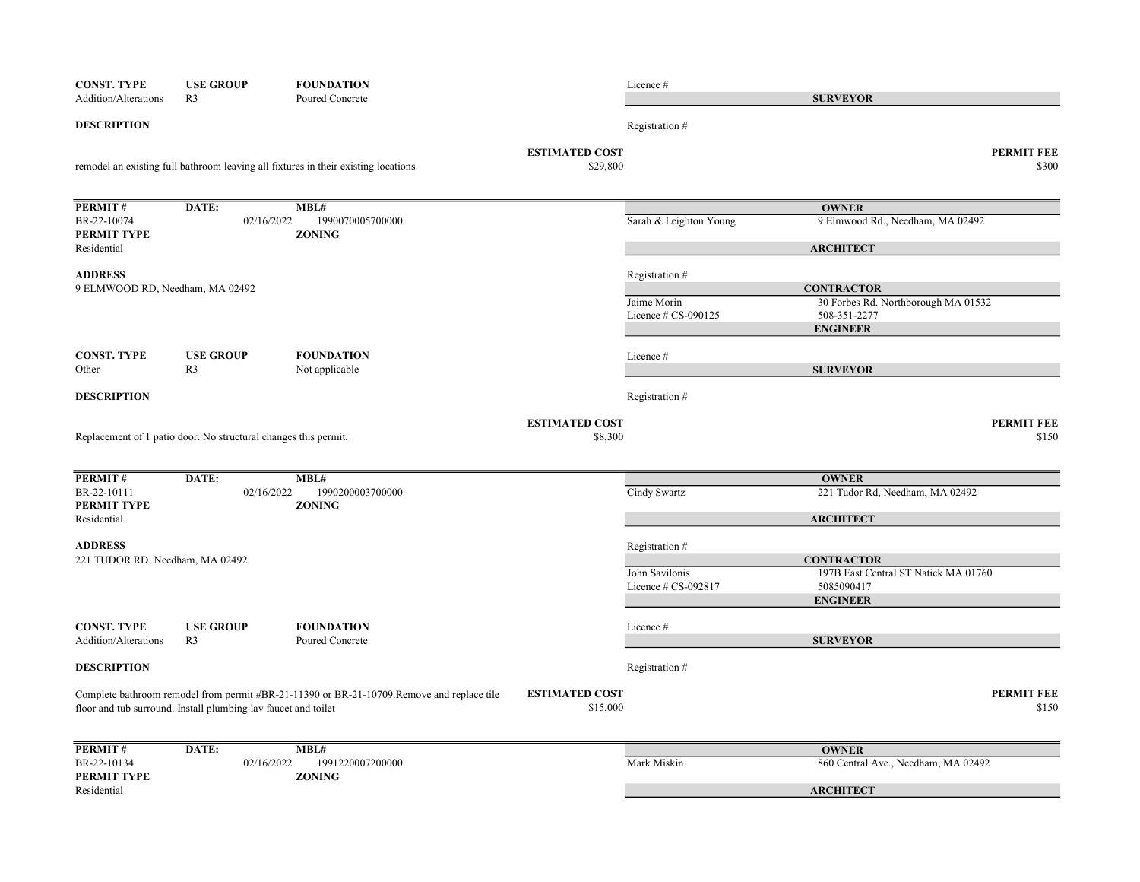| <b>CONST. TYPE</b>              | <b>USE GROUP</b>                                                | <b>FOUNDATION</b>                                                                          |                                   | Licence #                               |                                                          |
|---------------------------------|-----------------------------------------------------------------|--------------------------------------------------------------------------------------------|-----------------------------------|-----------------------------------------|----------------------------------------------------------|
| Addition/Alterations            | R <sub>3</sub>                                                  | Poured Concrete                                                                            |                                   |                                         | <b>SURVEYOR</b>                                          |
| <b>DESCRIPTION</b>              |                                                                 |                                                                                            |                                   | Registration #                          |                                                          |
|                                 |                                                                 | remodel an existing full bathroom leaving all fixtures in their existing locations         | <b>ESTIMATED COST</b><br>\$29,800 |                                         | <b>PERMIT FEE</b><br>\$300                               |
| PERMIT#                         | DATE:                                                           | MBL#                                                                                       |                                   |                                         | <b>OWNER</b>                                             |
| BR-22-10074<br>PERMIT TYPE      | 02/16/2022                                                      | 1990070005700000<br><b>ZONING</b>                                                          |                                   | Sarah & Leighton Young                  | 9 Elmwood Rd., Needham, MA 02492                         |
| Residential                     |                                                                 |                                                                                            |                                   |                                         | <b>ARCHITECT</b>                                         |
| <b>ADDRESS</b>                  |                                                                 |                                                                                            |                                   | Registration #                          |                                                          |
| 9 ELMWOOD RD, Needham, MA 02492 |                                                                 |                                                                                            |                                   | Jaime Morin                             | <b>CONTRACTOR</b><br>30 Forbes Rd. Northborough MA 01532 |
|                                 |                                                                 |                                                                                            |                                   | Licence # CS-090125                     | 508-351-2277                                             |
|                                 |                                                                 |                                                                                            |                                   |                                         | <b>ENGINEER</b>                                          |
| <b>CONST. TYPE</b>              | <b>USE GROUP</b>                                                | <b>FOUNDATION</b>                                                                          |                                   | Licence #                               |                                                          |
| Other                           | R <sub>3</sub>                                                  | Not applicable                                                                             |                                   |                                         | <b>SURVEYOR</b>                                          |
| <b>DESCRIPTION</b>              |                                                                 |                                                                                            |                                   | Registration #                          |                                                          |
|                                 | Replacement of 1 patio door. No structural changes this permit. |                                                                                            | <b>ESTIMATED COST</b><br>\$8,300  |                                         | <b>PERMIT FEE</b><br>\$150                               |
|                                 |                                                                 |                                                                                            |                                   |                                         |                                                          |
| PERMIT#                         | DATE:                                                           | MBL#                                                                                       |                                   |                                         | <b>OWNER</b>                                             |
| BR-22-10111<br>PERMIT TYPE      | 02/16/2022                                                      | 1990200003700000<br><b>ZONING</b>                                                          |                                   | Cindy Swartz                            | 221 Tudor Rd, Needham, MA 02492                          |
| Residential                     |                                                                 |                                                                                            |                                   |                                         | <b>ARCHITECT</b>                                         |
| <b>ADDRESS</b>                  |                                                                 |                                                                                            |                                   | Registration #                          |                                                          |
| 221 TUDOR RD, Needham, MA 02492 |                                                                 |                                                                                            |                                   |                                         | <b>CONTRACTOR</b>                                        |
|                                 |                                                                 |                                                                                            |                                   | John Savilonis<br>Licence $# CS-092817$ | 197B East Central ST Natick MA 01760<br>5085090417       |
|                                 |                                                                 |                                                                                            |                                   |                                         | <b>ENGINEER</b>                                          |
| <b>CONST. TYPE</b>              | <b>USE GROUP</b>                                                | <b>FOUNDATION</b>                                                                          |                                   | Licence #                               |                                                          |
| <b>Addition/Alterations</b>     | R <sub>3</sub>                                                  | Poured Concrete                                                                            |                                   |                                         | <b>SURVEYOR</b>                                          |
| <b>DESCRIPTION</b>              |                                                                 |                                                                                            |                                   | Registration #                          |                                                          |
|                                 | floor and tub surround. Install plumbing lav faucet and toilet  | Complete bathroom remodel from permit #BR-21-11390 or BR-21-10709. Remove and replace tile | <b>ESTIMATED COST</b><br>\$15,000 |                                         | <b>PERMIT FEE</b><br>\$150                               |
|                                 |                                                                 |                                                                                            |                                   |                                         |                                                          |
| PERMIT#<br>BR-22-10134          | DATE:<br>02/16/2022                                             | MBL#<br>1991220007200000                                                                   |                                   | Mark Miskin                             | <b>OWNER</b><br>860 Central Ave., Needham, MA 02492      |
| PERMIT TYPE                     |                                                                 | <b>ZONING</b>                                                                              |                                   |                                         |                                                          |
| Residential                     |                                                                 |                                                                                            |                                   |                                         | <b>ARCHITECT</b>                                         |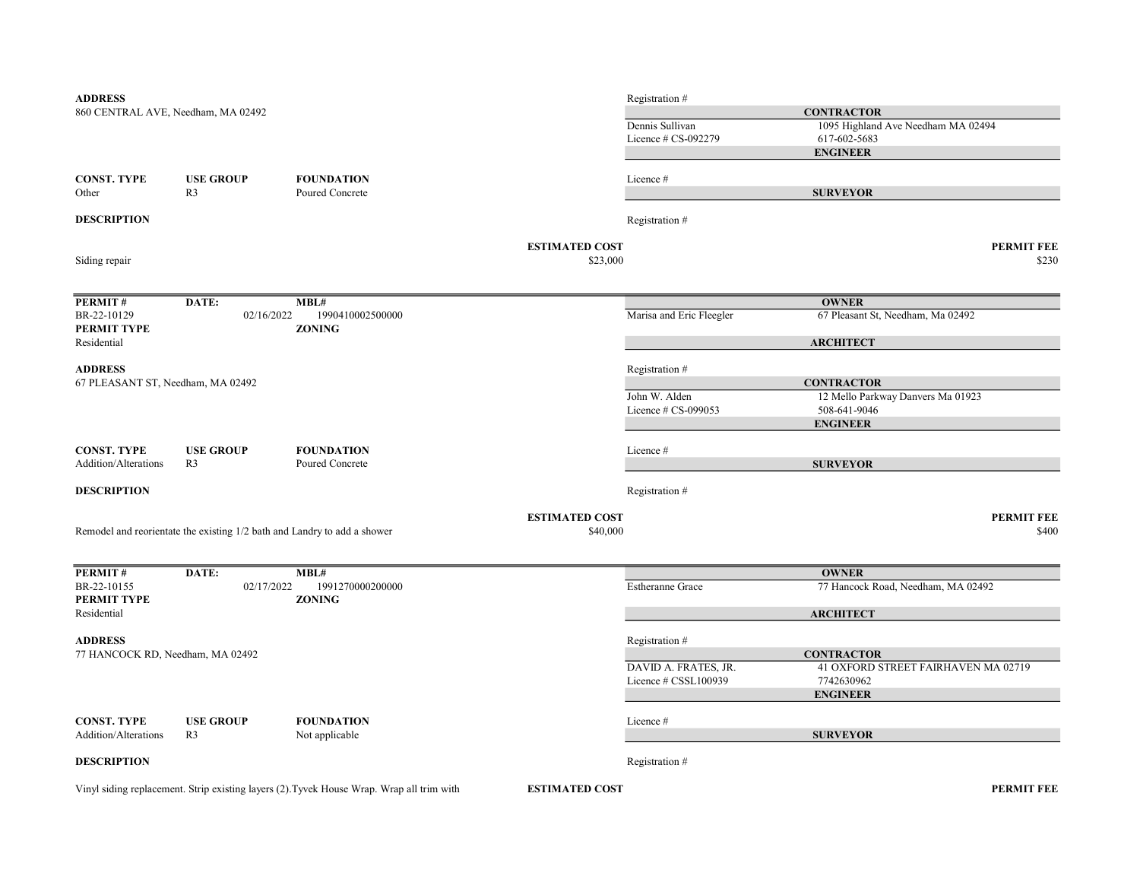| <b>ADDRESS</b>                     |                  |                                                                          |                                   | Registration #           |                                     |  |
|------------------------------------|------------------|--------------------------------------------------------------------------|-----------------------------------|--------------------------|-------------------------------------|--|
| 860 CENTRAL AVE, Needham, MA 02492 |                  |                                                                          |                                   | <b>CONTRACTOR</b>        |                                     |  |
|                                    |                  |                                                                          |                                   | Dennis Sullivan          | 1095 Highland Ave Needham MA 02494  |  |
|                                    |                  |                                                                          |                                   | Licence # CS-092279      | 617-602-5683                        |  |
|                                    |                  |                                                                          |                                   |                          | <b>ENGINEER</b>                     |  |
| <b>CONST. TYPE</b>                 | <b>USE GROUP</b> | <b>FOUNDATION</b>                                                        |                                   | Licence#                 |                                     |  |
| Other                              | R <sub>3</sub>   | Poured Concrete                                                          |                                   |                          | <b>SURVEYOR</b>                     |  |
| <b>DESCRIPTION</b>                 |                  |                                                                          |                                   | Registration #           |                                     |  |
|                                    |                  |                                                                          |                                   |                          |                                     |  |
| Siding repair                      |                  |                                                                          | <b>ESTIMATED COST</b><br>\$23,000 |                          | <b>PERMIT FEE</b><br>\$230          |  |
|                                    |                  |                                                                          |                                   |                          |                                     |  |
| PERMIT#                            | DATE:            | MBL#                                                                     |                                   |                          | <b>OWNER</b>                        |  |
| BR-22-10129                        | 02/16/2022       | 1990410002500000                                                         |                                   | Marisa and Eric Fleegler | 67 Pleasant St, Needham, Ma 02492   |  |
| PERMIT TYPE                        |                  | <b>ZONING</b>                                                            |                                   |                          |                                     |  |
| Residential                        |                  |                                                                          |                                   |                          | <b>ARCHITECT</b>                    |  |
| <b>ADDRESS</b>                     |                  |                                                                          |                                   | Registration #           |                                     |  |
| 67 PLEASANT ST, Needham, MA 02492  |                  |                                                                          |                                   |                          | <b>CONTRACTOR</b>                   |  |
|                                    |                  |                                                                          |                                   | John W. Alden            | 12 Mello Parkway Danvers Ma 01923   |  |
|                                    |                  |                                                                          |                                   | Licence # CS-099053      | 508-641-9046                        |  |
|                                    |                  |                                                                          |                                   |                          | <b>ENGINEER</b>                     |  |
| <b>CONST. TYPE</b>                 | <b>USE GROUP</b> | <b>FOUNDATION</b>                                                        |                                   | Licence#                 |                                     |  |
| Addition/Alterations               | R <sub>3</sub>   | Poured Concrete                                                          |                                   |                          | <b>SURVEYOR</b>                     |  |
| <b>DESCRIPTION</b>                 |                  |                                                                          |                                   | Registration #           |                                     |  |
|                                    |                  |                                                                          | <b>ESTIMATED COST</b>             |                          | <b>PERMIT FEE</b>                   |  |
|                                    |                  | Remodel and reorientate the existing 1/2 bath and Landry to add a shower | \$40,000                          |                          | \$400                               |  |
|                                    |                  |                                                                          |                                   |                          |                                     |  |
| PERMIT#                            | DATE:            | MBL#                                                                     |                                   |                          | <b>OWNER</b>                        |  |
| BR-22-10155                        | 02/17/2022       | 1991270000200000                                                         |                                   | Estheranne Grace         | 77 Hancock Road, Needham, MA 02492  |  |
| PERMIT TYPE                        |                  | <b>ZONING</b>                                                            |                                   |                          |                                     |  |
| Residential                        |                  |                                                                          |                                   |                          | <b>ARCHITECT</b>                    |  |
| <b>ADDRESS</b>                     |                  |                                                                          |                                   | Registration #           |                                     |  |
| 77 HANCOCK RD, Needham, MA 02492   |                  |                                                                          |                                   |                          | <b>CONTRACTOR</b>                   |  |
|                                    |                  |                                                                          |                                   | DAVID A. FRATES, JR.     | 41 OXFORD STREET FAIRHAVEN MA 02719 |  |
|                                    |                  |                                                                          |                                   | Licence # CSSL100939     | 7742630962                          |  |
|                                    |                  |                                                                          |                                   |                          | <b>ENGINEER</b>                     |  |
| <b>CONST. TYPE</b>                 | <b>USE GROUP</b> | <b>FOUNDATION</b>                                                        |                                   | Licence#                 |                                     |  |
| Addition/Alterations               | R <sub>3</sub>   | Not applicable                                                           |                                   |                          | <b>SURVEYOR</b>                     |  |
| <b>DESCRIPTION</b>                 |                  |                                                                          |                                   | Registration #           |                                     |  |
|                                    |                  |                                                                          |                                   |                          |                                     |  |

Vinyl siding replacement. Strip existing layers (2).Tyvek House Wrap. Wrap all trim with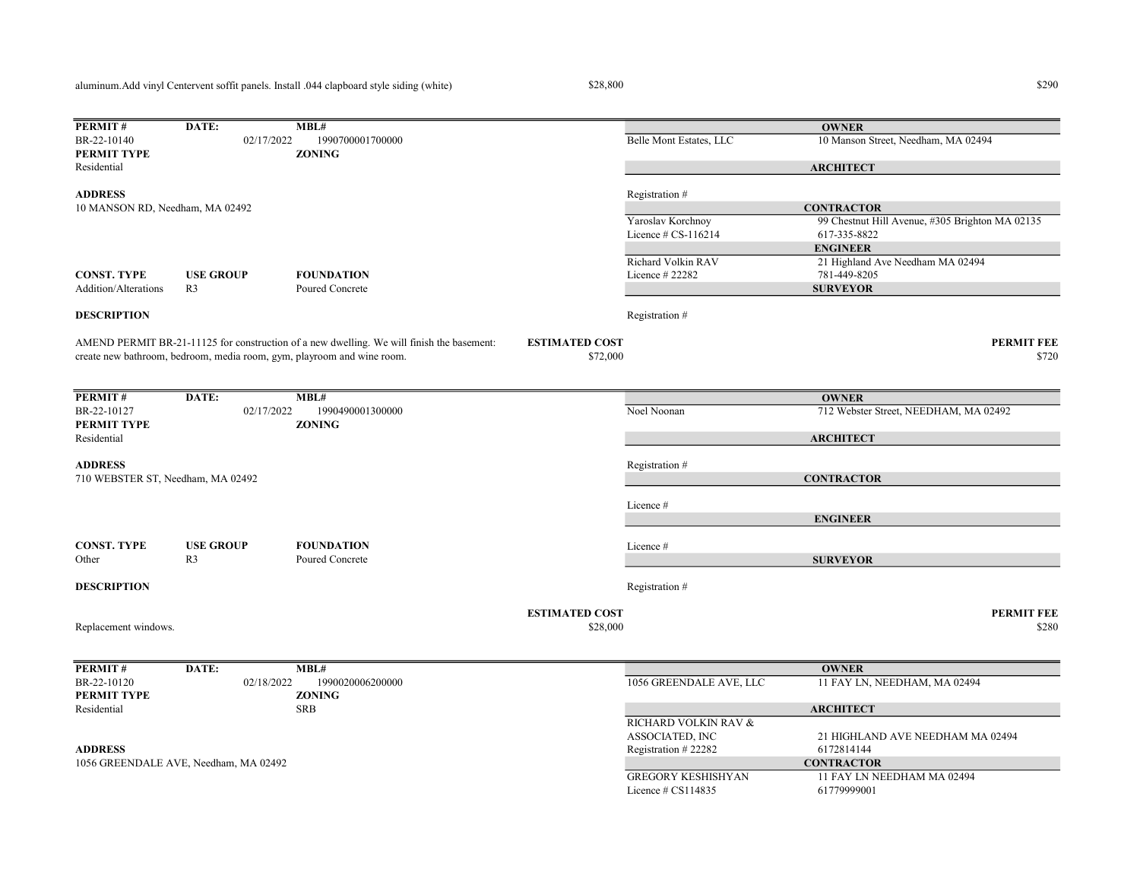aluminum.Add vinyl Centervent soffit panels. Install .044 clapboard style siding (white)

Replacement windows.

 $$28,800$   $$290$ 

**ESTIMATED COST PERMIT FEE** 

 $$28,000$   $$280$ 

**PERMIT #** DATE: **MBL#**<br>BR-22-10120 02/18/2022 1990020006200000 1056 GREENDALE AVE, LLC 11 FAY LN, NEEDHAM, MA 02494 PERMIT TYPE ZONING Residential SRB RICHARD VOLKIN RAV & ASSOCIATED, INC 21 HIGHLAND AVE NEEDHAM MA 02494 ADDRESS Registration # 22282 6172814144 GREGORY KESHISHYAN 11 FAY LN NEEDHAM MA 02494 Licence # CS114835 61779999001 **OWNER ARCHITECT** 1056 GREENDALE AVE, Needham, MA 02492 CONTRACTOR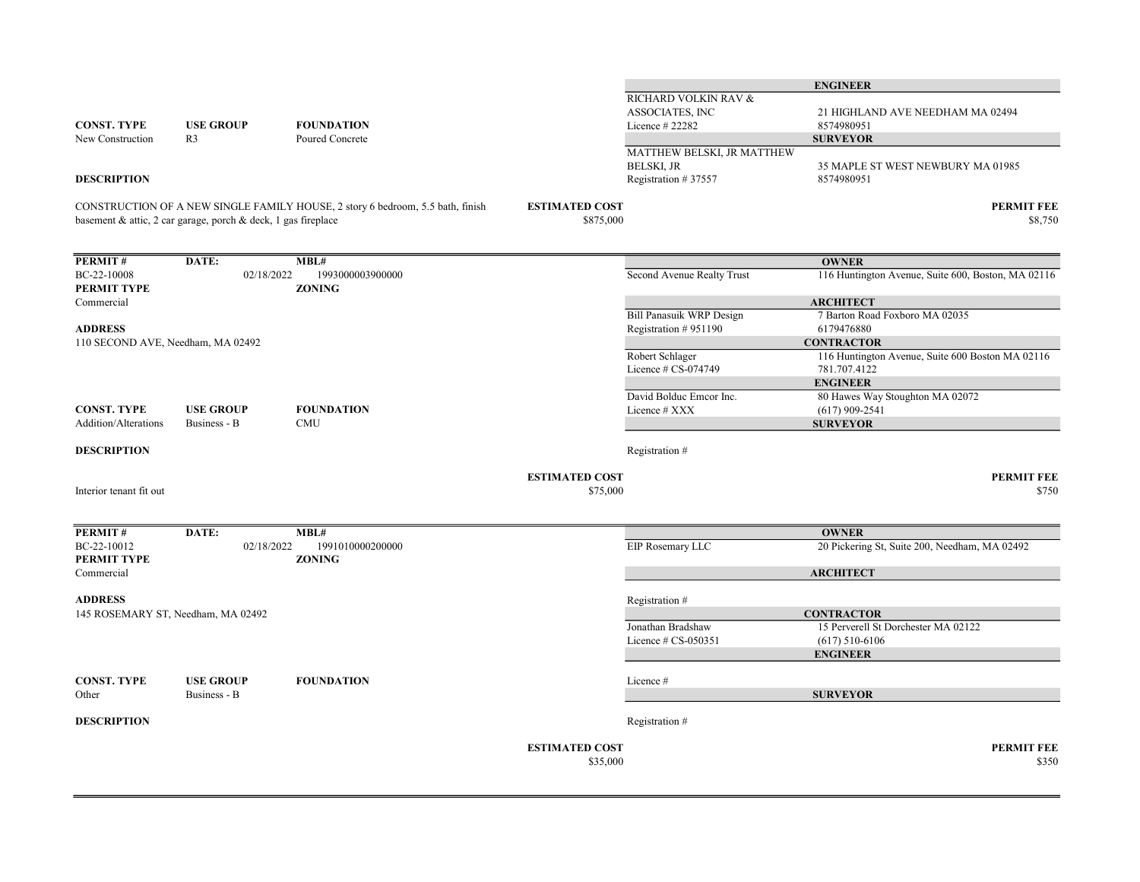|                                     |                                                               |                                                                                |                                    |                                                                        | <b>ENGINEER</b>                                                  |                              |
|-------------------------------------|---------------------------------------------------------------|--------------------------------------------------------------------------------|------------------------------------|------------------------------------------------------------------------|------------------------------------------------------------------|------------------------------|
| <b>CONST. TYPE</b>                  | <b>USE GROUP</b>                                              | <b>FOUNDATION</b>                                                              |                                    | RICHARD VOLKIN RAV &<br>ASSOCIATES, INC<br>Licence # 22282             | 21 HIGHLAND AVE NEEDHAM MA 02494<br>8574980951                   |                              |
| New Construction                    | R <sub>3</sub>                                                | Poured Concrete                                                                |                                    |                                                                        | <b>SURVEYOR</b>                                                  |                              |
| <b>DESCRIPTION</b>                  |                                                               |                                                                                |                                    | MATTHEW BELSKI, JR MATTHEW<br><b>BELSKI, JR</b><br>Registration #37557 | 35 MAPLE ST WEST NEWBURY MA 01985<br>8574980951                  |                              |
|                                     | basement & attic, 2 car garage, porch & deck, 1 gas fireplace | CONSTRUCTION OF A NEW SINGLE FAMILY HOUSE, 2 story 6 bedroom, 5.5 bath, finish | <b>ESTIMATED COST</b><br>\$875,000 |                                                                        |                                                                  | <b>PERMIT FEE</b><br>\$8,750 |
| <b>PERMIT#</b>                      | DATE:                                                         | MBL#                                                                           |                                    |                                                                        | <b>OWNER</b>                                                     |                              |
| BC-22-10008<br>PERMIT TYPE          | 02/18/2022                                                    | 1993000003900000<br><b>ZONING</b>                                              |                                    | Second Avenue Realty Trust                                             | 116 Huntington Avenue, Suite 600, Boston, MA 02116               |                              |
| Commercial                          |                                                               |                                                                                |                                    |                                                                        | <b>ARCHITECT</b>                                                 |                              |
| <b>ADDRESS</b>                      |                                                               |                                                                                |                                    | <b>Bill Panasuik WRP Design</b><br>Registration #951190                | 7 Barton Road Foxboro MA 02035<br>6179476880                     |                              |
| 110 SECOND AVE, Needham, MA 02492   |                                                               |                                                                                |                                    |                                                                        | <b>CONTRACTOR</b>                                                |                              |
|                                     |                                                               |                                                                                |                                    | Robert Schlager<br>Licence $\#$ CS-074749                              | 116 Huntington Avenue, Suite 600 Boston MA 02116<br>781.707.4122 |                              |
|                                     |                                                               |                                                                                |                                    |                                                                        | <b>ENGINEER</b>                                                  |                              |
|                                     |                                                               |                                                                                |                                    | David Bolduc Emcor Inc.                                                | 80 Hawes Way Stoughton MA 02072                                  |                              |
| CONST. TYPE<br>Addition/Alterations | <b>USE GROUP</b><br>Business - B                              | <b>FOUNDATION</b><br><b>CMU</b>                                                |                                    | Licence # XXX                                                          | $(617)$ 909-2541<br><b>SURVEYOR</b>                              |                              |
| <b>DESCRIPTION</b>                  |                                                               |                                                                                |                                    | Registration #                                                         |                                                                  |                              |
|                                     |                                                               |                                                                                |                                    |                                                                        |                                                                  |                              |
| Interior tenant fit out             |                                                               |                                                                                | <b>ESTIMATED COST</b><br>\$75,000  |                                                                        |                                                                  | <b>PERMIT FEE</b><br>\$750   |
| PERMIT#                             | DATE:                                                         | MBL#                                                                           |                                    |                                                                        | <b>OWNER</b>                                                     |                              |
| BC-22-10012<br>PERMIT TYPE          | 02/18/2022                                                    | 1991010000200000<br><b>ZONING</b>                                              |                                    | EIP Rosemary LLC                                                       | 20 Pickering St, Suite 200, Needham, MA 02492                    |                              |
| Commercial                          |                                                               |                                                                                |                                    |                                                                        | <b>ARCHITECT</b>                                                 |                              |
| <b>ADDRESS</b>                      |                                                               |                                                                                |                                    | Registration #                                                         |                                                                  |                              |
|                                     | 145 ROSEMARY ST, Needham, MA 02492                            |                                                                                |                                    |                                                                        | <b>CONTRACTOR</b>                                                |                              |
|                                     |                                                               |                                                                                |                                    | Jonathan Bradshaw<br>Licence $# CS-050351$                             | 15 Perverell St Dorchester MA 02122<br>$(617)$ 510-6106          |                              |
|                                     |                                                               |                                                                                |                                    |                                                                        | <b>ENGINEER</b>                                                  |                              |
| CONST. TYPE<br>Other                | <b>USE GROUP</b><br>Business - B                              | <b>FOUNDATION</b>                                                              |                                    | Licence#                                                               | <b>SURVEYOR</b>                                                  |                              |
|                                     |                                                               |                                                                                |                                    |                                                                        |                                                                  |                              |
| <b>DESCRIPTION</b>                  |                                                               |                                                                                |                                    | Registration #                                                         |                                                                  |                              |
|                                     |                                                               |                                                                                | <b>ESTIMATED COST</b><br>\$35,000  |                                                                        |                                                                  | <b>PERMIT FEE</b><br>\$350   |
|                                     |                                                               |                                                                                |                                    |                                                                        |                                                                  |                              |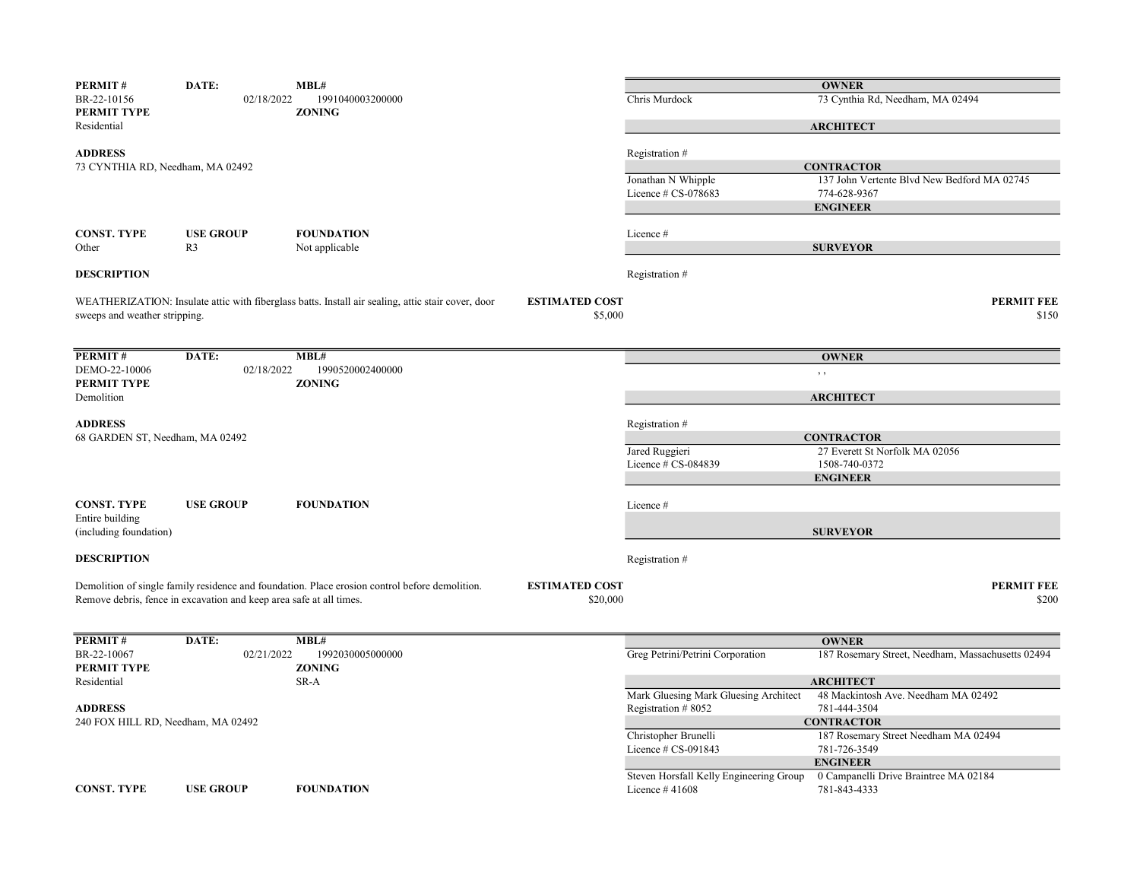| PERMIT#<br>BR-22-10156<br>PERMIT TYPE<br>Residential            | DATE:<br>02/18/2022                                                 | MBL#<br>1991040003200000<br><b>ZONING</b>                                                          |                                   | Chris Murdock                                               | <b>OWNER</b><br>73 Cynthia Rd, Needham, MA 02494<br><b>ARCHITECT</b>           |
|-----------------------------------------------------------------|---------------------------------------------------------------------|----------------------------------------------------------------------------------------------------|-----------------------------------|-------------------------------------------------------------|--------------------------------------------------------------------------------|
| <b>ADDRESS</b><br>73 CYNTHIA RD, Needham, MA 02492              |                                                                     |                                                                                                    |                                   | Registration #                                              | <b>CONTRACTOR</b>                                                              |
|                                                                 |                                                                     |                                                                                                    |                                   | Jonathan N Whipple<br>Licence $# CS-078683$                 | 137 John Vertente Blvd New Bedford MA 02745<br>774-628-9367<br><b>ENGINEER</b> |
| CONST. TYPE<br>Other                                            | <b>USE GROUP</b><br>R <sub>3</sub>                                  | <b>FOUNDATION</b><br>Not applicable                                                                |                                   | Licence #                                                   | <b>SURVEYOR</b>                                                                |
| <b>DESCRIPTION</b>                                              |                                                                     |                                                                                                    |                                   | Registration #                                              |                                                                                |
| sweeps and weather stripping.                                   |                                                                     | WEATHERIZATION: Insulate attic with fiberglass batts. Install air sealing, attic stair cover, door | <b>ESTIMATED COST</b><br>\$5,000  |                                                             | <b>PERMIT FEE</b><br>\$150                                                     |
| <b>PERMIT#</b><br>DEMO-22-10006                                 | DATE:<br>02/18/2022                                                 | MBL#<br>1990520002400000                                                                           |                                   |                                                             | <b>OWNER</b><br>$, \, ,$                                                       |
| PERMIT TYPE<br>Demolition                                       |                                                                     | <b>ZONING</b>                                                                                      |                                   |                                                             | <b>ARCHITECT</b>                                                               |
| <b>ADDRESS</b><br>68 GARDEN ST, Needham, MA 02492               |                                                                     |                                                                                                    |                                   | Registration #<br>Jared Ruggieri                            | <b>CONTRACTOR</b><br>27 Everett St Norfolk MA 02056                            |
|                                                                 |                                                                     |                                                                                                    |                                   | Licence $\#$ CS-084839                                      | 1508-740-0372<br><b>ENGINEER</b>                                               |
| <b>CONST. TYPE</b><br>Entire building<br>(including foundation) | <b>USE GROUP</b>                                                    | <b>FOUNDATION</b>                                                                                  |                                   | Licence #                                                   | <b>SURVEYOR</b>                                                                |
| <b>DESCRIPTION</b>                                              |                                                                     |                                                                                                    |                                   | Registration #                                              |                                                                                |
|                                                                 | Remove debris, fence in excavation and keep area safe at all times. | Demolition of single family residence and foundation. Place erosion control before demolition.     | <b>ESTIMATED COST</b><br>\$20,000 |                                                             | <b>PERMIT FEE</b><br>\$200                                                     |
| <b>PERMIT#</b>                                                  | DATE:                                                               | MBL#                                                                                               |                                   |                                                             | <b>OWNER</b>                                                                   |
| BR-22-10067<br>PERMIT TYPE<br>Residential                       | 02/21/2022                                                          | 1992030005000000<br><b>ZONING</b><br>SR-A                                                          |                                   | Greg Petrini/Petrini Corporation                            | 187 Rosemary Street, Needham, Massachusetts 02494<br><b>ARCHITECT</b>          |
| <b>ADDRESS</b>                                                  |                                                                     |                                                                                                    |                                   | Mark Gluesing Mark Gluesing Architect<br>Registration #8052 | 48 Mackintosh Ave. Needham MA 02492<br>781-444-3504                            |
| 240 FOX HILL RD, Needham, MA 02492                              |                                                                     |                                                                                                    |                                   | Christopher Brunelli<br>Licence # CS-091843                 | <b>CONTRACTOR</b><br>187 Rosemary Street Needham MA 02494<br>781-726-3549      |
| <b>CONST. TYPE</b>                                              | <b>USE GROUP</b>                                                    | <b>FOUNDATION</b>                                                                                  |                                   | Steven Horsfall Kelly Engineering Group<br>Licence $#41608$ | <b>ENGINEER</b><br>0 Campanelli Drive Braintree MA 02184<br>781-843-4333       |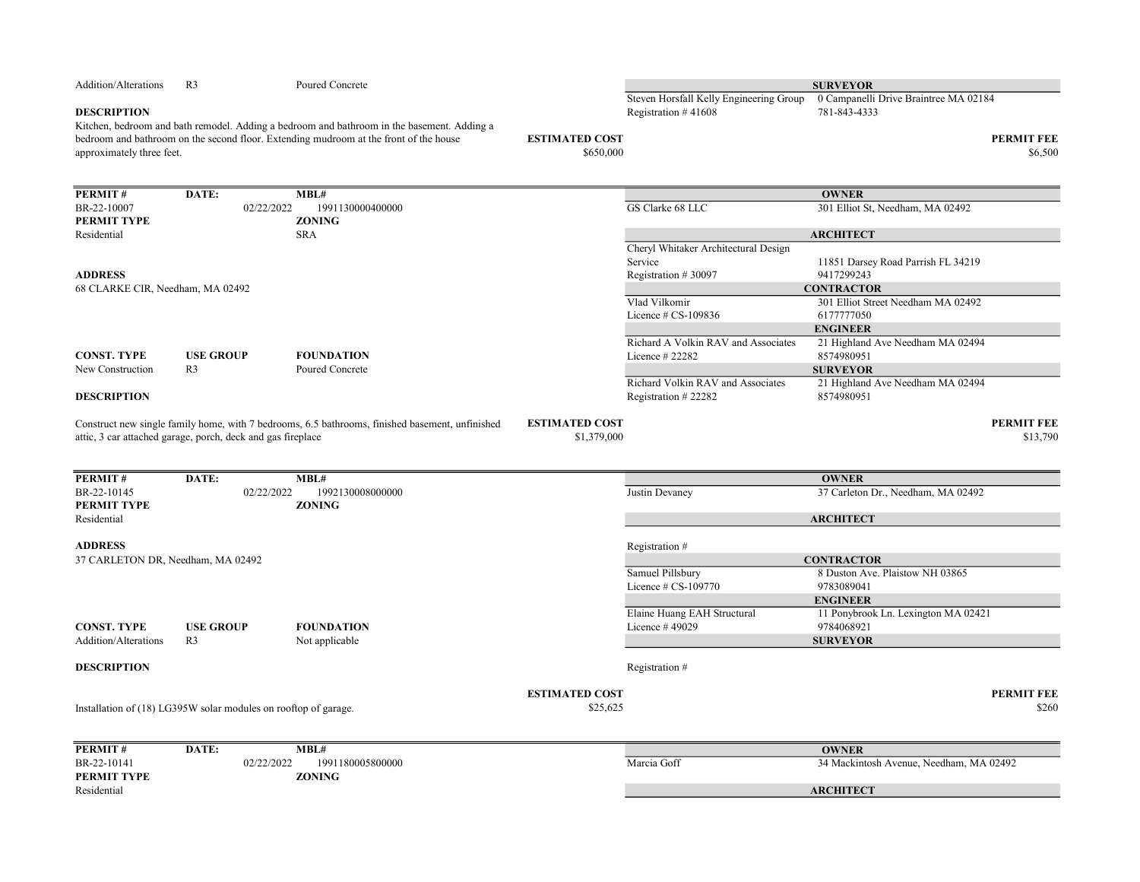| Addition/Alterations              | R <sub>3</sub>                                                  | Poured Concrete                                                                                                                                                                     |                                    |                                                 | <b>SURVEYOR</b>                                   |                              |
|-----------------------------------|-----------------------------------------------------------------|-------------------------------------------------------------------------------------------------------------------------------------------------------------------------------------|------------------------------------|-------------------------------------------------|---------------------------------------------------|------------------------------|
|                                   |                                                                 |                                                                                                                                                                                     |                                    | Steven Horsfall Kelly Engineering Group         | 0 Campanelli Drive Braintree MA 02184             |                              |
| <b>DESCRIPTION</b>                |                                                                 |                                                                                                                                                                                     |                                    | Registration $#41608$                           | 781-843-4333                                      |                              |
| approximately three feet.         |                                                                 | Kitchen, bedroom and bath remodel. Adding a bedroom and bathroom in the basement. Adding a<br>bedroom and bathroom on the second floor. Extending mudroom at the front of the house | <b>ESTIMATED COST</b><br>\$650,000 |                                                 |                                                   | <b>PERMIT FEE</b><br>\$6,500 |
| PERMIT#                           | DATE:                                                           | MBL#                                                                                                                                                                                |                                    |                                                 | <b>OWNER</b>                                      |                              |
| BR-22-10007                       | 02/22/2022                                                      | 1991130000400000                                                                                                                                                                    |                                    | GS Clarke 68 LLC                                | 301 Elliot St, Needham, MA 02492                  |                              |
| PERMIT TYPE                       |                                                                 | <b>ZONING</b>                                                                                                                                                                       |                                    |                                                 |                                                   |                              |
| Residential                       |                                                                 | <b>SRA</b>                                                                                                                                                                          |                                    |                                                 | <b>ARCHITECT</b>                                  |                              |
|                                   |                                                                 |                                                                                                                                                                                     |                                    | Cheryl Whitaker Architectural Design            |                                                   |                              |
|                                   |                                                                 |                                                                                                                                                                                     |                                    | Service                                         | 11851 Darsey Road Parrish FL 34219                |                              |
| <b>ADDRESS</b>                    |                                                                 |                                                                                                                                                                                     |                                    | Registration #30097                             | 9417299243                                        |                              |
| 68 CLARKE CIR, Needham, MA 02492  |                                                                 |                                                                                                                                                                                     |                                    |                                                 | <b>CONTRACTOR</b>                                 |                              |
|                                   |                                                                 |                                                                                                                                                                                     |                                    | Vlad Vilkomir                                   | 301 Elliot Street Needham MA 02492                |                              |
|                                   |                                                                 |                                                                                                                                                                                     |                                    | Licence $# CS-109836$                           | 6177777050                                        |                              |
|                                   |                                                                 |                                                                                                                                                                                     |                                    |                                                 | <b>ENGINEER</b>                                   |                              |
|                                   |                                                                 |                                                                                                                                                                                     |                                    | Richard A Volkin RAV and Associates             | 21 Highland Ave Needham MA 02494                  |                              |
| <b>CONST. TYPE</b>                | <b>USE GROUP</b>                                                | <b>FOUNDATION</b>                                                                                                                                                                   |                                    | Licence # 22282                                 | 8574980951                                        |                              |
| New Construction                  | R <sub>3</sub>                                                  | Poured Concrete                                                                                                                                                                     |                                    |                                                 | <b>SURVEYOR</b>                                   |                              |
|                                   |                                                                 |                                                                                                                                                                                     |                                    | Richard Volkin RAV and Associates               | 21 Highland Ave Needham MA 02494<br>8574980951    |                              |
| <b>DESCRIPTION</b>                |                                                                 |                                                                                                                                                                                     |                                    | Registration #22282                             |                                                   |                              |
|                                   | attic, 3 car attached garage, porch, deck and gas fireplace     |                                                                                                                                                                                     | \$1,379,000                        |                                                 |                                                   | \$13,790                     |
| PERMIT#                           | DATE:                                                           | MBL#                                                                                                                                                                                |                                    |                                                 | <b>OWNER</b>                                      |                              |
| BR-22-10145<br><b>PERMIT TYPE</b> | 02/22/2022                                                      | 1992130008000000<br><b>ZONING</b>                                                                                                                                                   |                                    | Justin Devaney                                  | 37 Carleton Dr., Needham, MA 02492                |                              |
| Residential                       |                                                                 |                                                                                                                                                                                     |                                    |                                                 | <b>ARCHITECT</b>                                  |                              |
| <b>ADDRESS</b>                    |                                                                 |                                                                                                                                                                                     |                                    | Registration #                                  |                                                   |                              |
| 37 CARLETON DR, Needham, MA 02492 |                                                                 |                                                                                                                                                                                     |                                    |                                                 | <b>CONTRACTOR</b>                                 |                              |
|                                   |                                                                 |                                                                                                                                                                                     |                                    | Samuel Pillsbury                                | 8 Duston Ave. Plaistow NH 03865                   |                              |
|                                   |                                                                 |                                                                                                                                                                                     |                                    | Licence # CS-109770                             | 9783089041                                        |                              |
|                                   |                                                                 |                                                                                                                                                                                     |                                    |                                                 | <b>ENGINEER</b>                                   |                              |
| <b>CONST. TYPE</b>                | <b>USE GROUP</b>                                                | <b>FOUNDATION</b>                                                                                                                                                                   |                                    | Elaine Huang EAH Structural<br>Licence $#49029$ | 11 Ponybrook Ln. Lexington MA 02421<br>9784068921 |                              |
| Addition/Alterations              | R <sub>3</sub>                                                  | Not applicable                                                                                                                                                                      |                                    |                                                 | <b>SURVEYOR</b>                                   |                              |
|                                   |                                                                 |                                                                                                                                                                                     |                                    |                                                 |                                                   |                              |
| <b>DESCRIPTION</b>                |                                                                 |                                                                                                                                                                                     |                                    | Registration #                                  |                                                   |                              |
|                                   |                                                                 |                                                                                                                                                                                     | <b>ESTIMATED COST</b>              |                                                 |                                                   | <b>PERMIT FEE</b>            |
|                                   | Installation of (18) LG395W solar modules on rooftop of garage. |                                                                                                                                                                                     | \$25,625                           |                                                 |                                                   | \$260                        |
| PERMIT#                           | DATE:                                                           | MBL#                                                                                                                                                                                |                                    |                                                 | <b>OWNER</b>                                      |                              |
| BR-22-10141                       | 02/22/2022                                                      | 1991180005800000                                                                                                                                                                    |                                    | Marcia Goff                                     | 34 Mackintosh Avenue, Needham, MA 02492           |                              |
| <b>PERMIT TYPE</b><br>Residential |                                                                 | <b>ZONING</b>                                                                                                                                                                       |                                    |                                                 | <b>ARCHITECT</b>                                  |                              |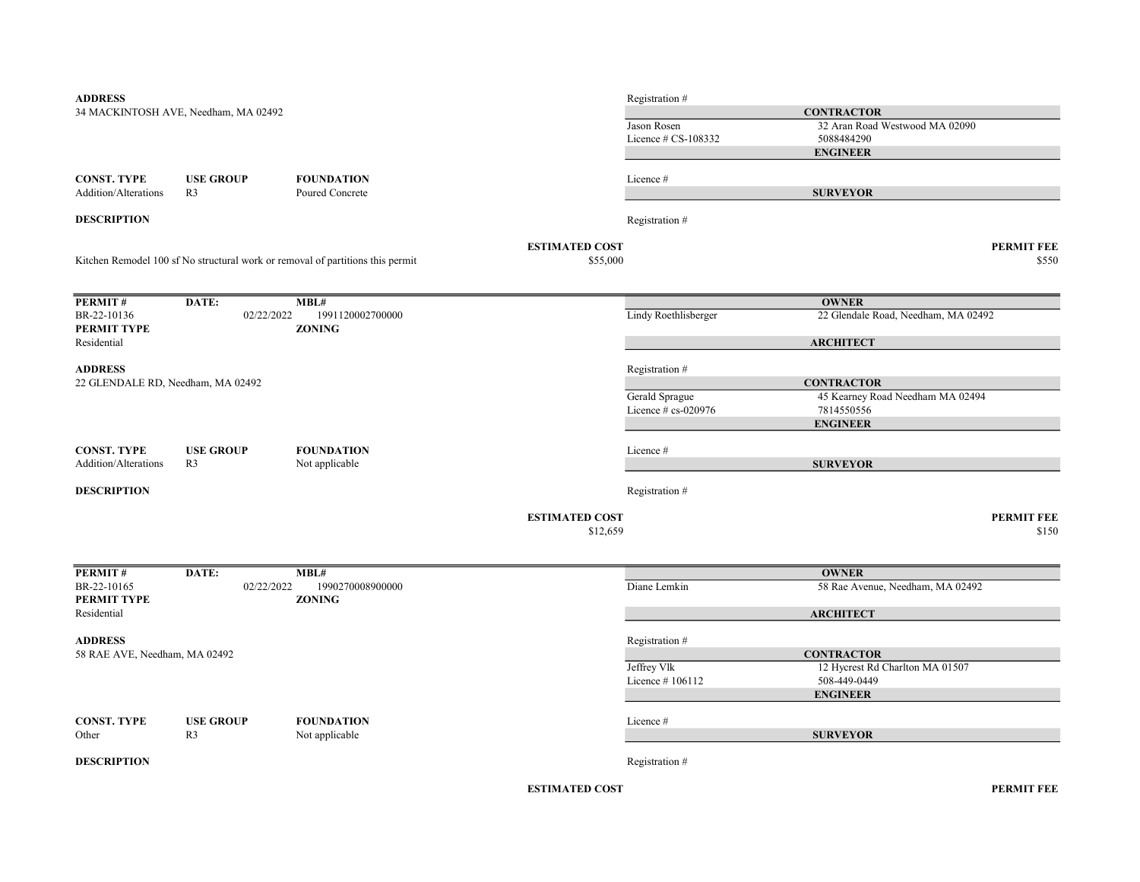| <b>ADDRESS</b>                             |                                      |                                                                                |                       | Registration #        |                                     |
|--------------------------------------------|--------------------------------------|--------------------------------------------------------------------------------|-----------------------|-----------------------|-------------------------------------|
|                                            | 34 MACKINTOSH AVE, Needham, MA 02492 |                                                                                |                       |                       | <b>CONTRACTOR</b>                   |
|                                            |                                      |                                                                                |                       | Jason Rosen           | 32 Aran Road Westwood MA 02090      |
|                                            |                                      |                                                                                |                       | Licence $# CS-108332$ | 5088484290                          |
|                                            |                                      |                                                                                |                       |                       | <b>ENGINEER</b>                     |
|                                            |                                      |                                                                                |                       |                       |                                     |
| <b>CONST. TYPE</b><br>Addition/Alterations | <b>USE GROUP</b><br>R <sub>3</sub>   | <b>FOUNDATION</b><br>Poured Concrete                                           |                       | Licence#              | <b>SURVEYOR</b>                     |
|                                            |                                      |                                                                                |                       |                       |                                     |
| <b>DESCRIPTION</b>                         |                                      |                                                                                |                       | Registration #        |                                     |
|                                            |                                      |                                                                                | <b>ESTIMATED COST</b> |                       | <b>PERMIT FEE</b>                   |
|                                            |                                      | Kitchen Remodel 100 sf No structural work or removal of partitions this permit | \$55,000              |                       | \$550                               |
| PERMIT#                                    | DATE:                                | MBL#                                                                           |                       |                       | <b>OWNER</b>                        |
| BR-22-10136                                | 02/22/2022                           | 1991120002700000                                                               |                       | Lindy Roethlisberger  | 22 Glendale Road, Needham, MA 02492 |
| PERMIT TYPE                                |                                      | <b>ZONING</b>                                                                  |                       |                       |                                     |
| Residential                                |                                      |                                                                                |                       |                       | <b>ARCHITECT</b>                    |
| <b>ADDRESS</b>                             |                                      |                                                                                |                       | Registration #        |                                     |
| 22 GLENDALE RD, Needham, MA 02492          |                                      |                                                                                |                       |                       | <b>CONTRACTOR</b>                   |
|                                            |                                      |                                                                                |                       | Gerald Sprague        | 45 Kearney Road Needham MA 02494    |
|                                            |                                      |                                                                                |                       | Licence $# cs-020976$ | 7814550556                          |
|                                            |                                      |                                                                                |                       |                       | <b>ENGINEER</b>                     |
| <b>CONST. TYPE</b>                         | <b>USE GROUP</b>                     | <b>FOUNDATION</b>                                                              |                       | Licence#              |                                     |
| Addition/Alterations                       | R <sub>3</sub>                       | Not applicable                                                                 |                       |                       | <b>SURVEYOR</b>                     |
|                                            |                                      |                                                                                |                       |                       |                                     |
| <b>DESCRIPTION</b>                         |                                      |                                                                                |                       | Registration #        |                                     |
|                                            |                                      |                                                                                | <b>ESTIMATED COST</b> |                       | <b>PERMIT FEE</b>                   |
|                                            |                                      |                                                                                | \$12,659              |                       | \$150                               |
|                                            |                                      |                                                                                |                       |                       |                                     |
| PERMIT#                                    | DATE:                                | MBL#                                                                           |                       |                       | <b>OWNER</b>                        |
| BR-22-10165                                | 02/22/2022                           | 1990270008900000                                                               |                       | Diane Lemkin          | 58 Rae Avenue, Needham, MA 02492    |
| PERMIT TYPE                                |                                      | <b>ZONING</b>                                                                  |                       |                       |                                     |
| Residential                                |                                      |                                                                                |                       |                       | <b>ARCHITECT</b>                    |
| <b>ADDRESS</b>                             |                                      |                                                                                |                       | Registration #        |                                     |
| 58 RAE AVE, Needham, MA 02492              |                                      |                                                                                |                       |                       | <b>CONTRACTOR</b>                   |
|                                            |                                      |                                                                                |                       | Jeffrey Vlk           | 12 Hycrest Rd Charlton MA 01507     |
|                                            |                                      |                                                                                |                       | Licence #106112       | 508-449-0449                        |
|                                            |                                      |                                                                                |                       |                       | <b>ENGINEER</b>                     |
| <b>CONST. TYPE</b>                         | <b>USE GROUP</b>                     | <b>FOUNDATION</b>                                                              |                       | Licence#              |                                     |
| Other                                      | R <sub>3</sub>                       | Not applicable                                                                 |                       |                       | <b>SURVEYOR</b>                     |
|                                            |                                      |                                                                                |                       |                       |                                     |
| <b>DESCRIPTION</b>                         |                                      |                                                                                |                       | Registration #        |                                     |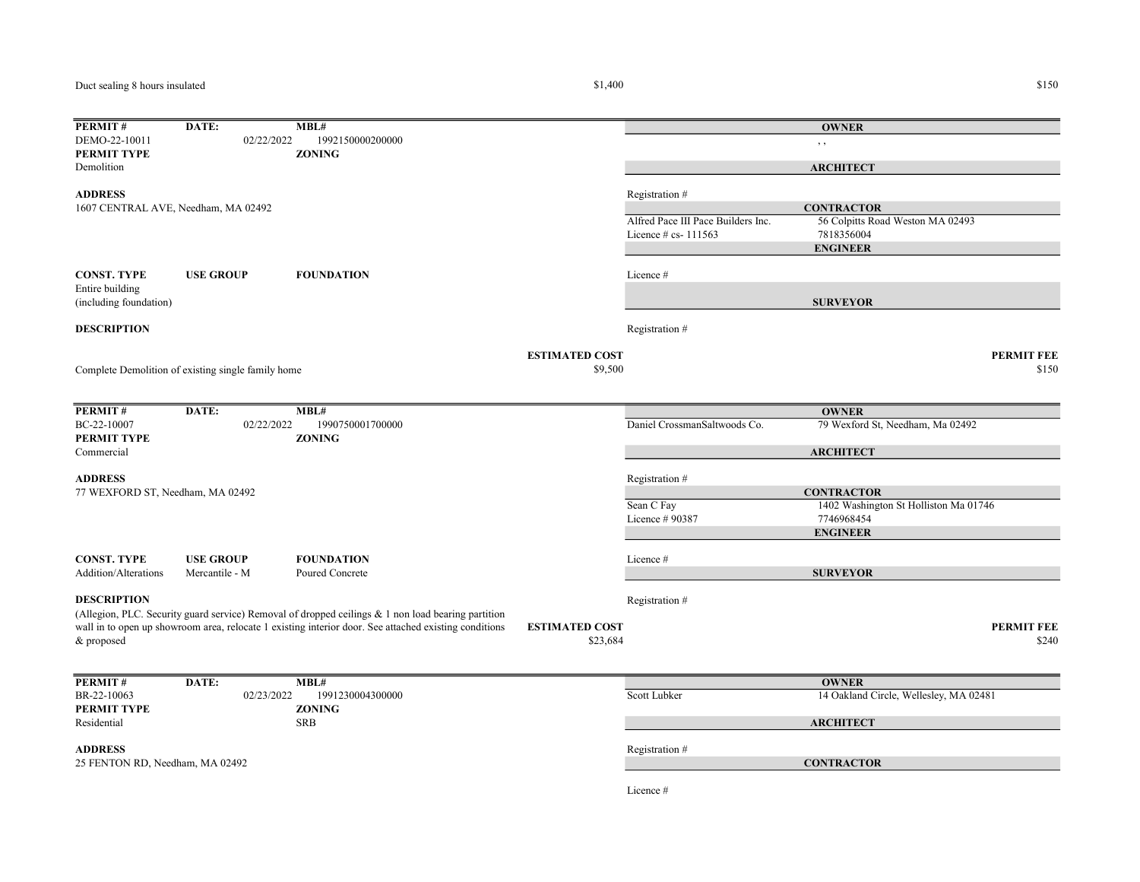Duct sealing 8 hours insulated

## **PERMIT # DATE: MBL#**<br>DEMO-22-10011 02/22/2022 1992150000200000 DEMO-22-10011 02/22/2022 1992150000200000 , , PERMIT TYPE ZONING Demolition ADDRESS Registration # Alfred Pace III Pace Builders Inc. 56 Colpitts Road Weston MA 02493 Licence # cs- 111563 7818356004 CONST. TYPE USE GROUP FOUNDATION Licence # Entire building (including foundation) **DESCRIPTION** Registration  $#$ ESTIMATED COST PERMIT FEE  $$9,500$   $$150$ PERMIT# DATE: MBL# BC-22-10007 02/22/2022 1990750001700000 Daniel CrossmanSaltwoods Co. 79 Wexford St, Needham, Ma 02492 PERMIT TYPE ZONING Commercial ADDRESS Registration # Sean C Fay 1402 Washington St Holliston Ma 01746 Licence # 90387 7746968454 CONST. TYPE USE GROUP FOUNDATION Licence # Addition/Alterations Mercantile - M Poured Concrete **DESCRIPTION** Registration # ESTIMATED COST PERMIT FEE  $$23,684$   $$240$ **PERMIT # DATE: MBL#**<br>BR-22-10063 02/23/2022 19 02/23/2022 1991230004300000 Scott Lubker 14 Oakland Circle, Wellesley, MA 02481 PERMIT TYPE ZONING Residential SRB ADDRESS Registration # Licence # Complete Demolition of existing single family home **OWNER ARCHITECT CONTRACTOR** ENGINEER SURVEYOR 77 WEXFORD ST, Needham, MA 02492 **OWNER ARCHITECT CONTRACTOR** ENGINEER SURVEYOR 1607 CENTRAL AVE, Needham, MA 02492 (Allegion, PLC. Security guard service) Removal of dropped ceilings & 1 non load bearing partition wall in to open up showroom area, relocate 1 existing interior door. See attached existing conditions & proposed **OWNER ARCHITECT** 25 FENTON RD, Needham, MA 02492 CONTRACTOR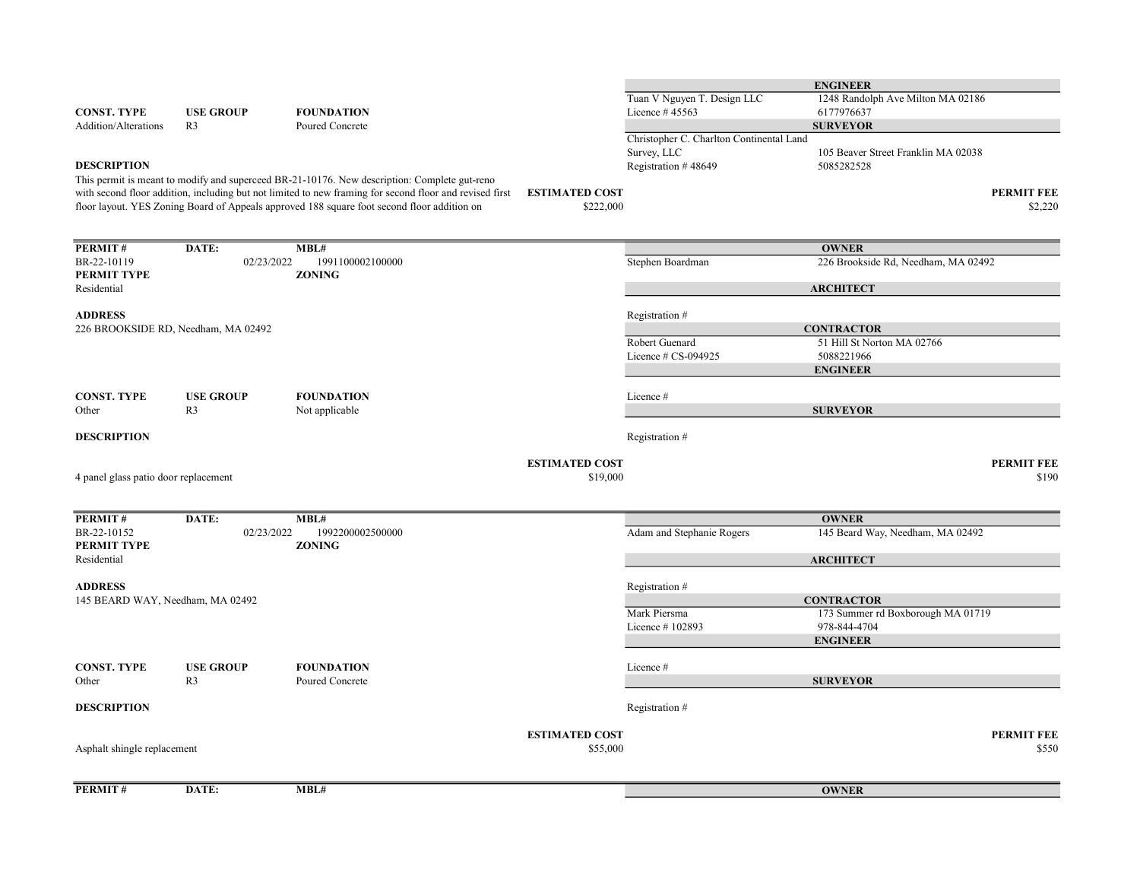|                                                    |                                     |                                                                                                         |                       |                                          | <b>ENGINEER</b>                     |                   |
|----------------------------------------------------|-------------------------------------|---------------------------------------------------------------------------------------------------------|-----------------------|------------------------------------------|-------------------------------------|-------------------|
|                                                    |                                     |                                                                                                         |                       | Tuan V Nguyen T. Design LLC              | 1248 Randolph Ave Milton MA 02186   |                   |
| <b>CONST. TYPE</b>                                 | <b>USE GROUP</b>                    | <b>FOUNDATION</b>                                                                                       |                       | Licence #45563                           | 6177976637                          |                   |
| <b>Addition/Alterations</b>                        | R <sub>3</sub>                      | Poured Concrete                                                                                         |                       |                                          | <b>SURVEYOR</b>                     |                   |
|                                                    |                                     |                                                                                                         |                       | Christopher C. Charlton Continental Land |                                     |                   |
|                                                    |                                     |                                                                                                         |                       | Survey, LLC                              | 105 Beaver Street Franklin MA 02038 |                   |
| <b>DESCRIPTION</b>                                 |                                     |                                                                                                         |                       | Registration #48649                      | 5085282528                          |                   |
|                                                    |                                     | This permit is meant to modify and superceed BR-21-10176. New description: Complete gut-reno            |                       |                                          |                                     |                   |
|                                                    |                                     | with second floor addition, including but not limited to new framing for second floor and revised first | <b>ESTIMATED COST</b> |                                          |                                     | <b>PERMIT FEE</b> |
|                                                    |                                     | floor layout. YES Zoning Board of Appeals approved 188 square foot second floor addition on             | \$222,000             |                                          |                                     | \$2,220           |
|                                                    |                                     |                                                                                                         |                       |                                          |                                     |                   |
| PERMIT#                                            | DATE:                               | MBL#                                                                                                    |                       |                                          | <b>OWNER</b>                        |                   |
| BR-22-10119                                        | 02/23/2022                          | 1991100002100000                                                                                        |                       | Stephen Boardman                         | 226 Brookside Rd, Needham, MA 02492 |                   |
| PERMIT TYPE                                        |                                     | <b>ZONING</b>                                                                                           |                       |                                          |                                     |                   |
| Residential                                        |                                     |                                                                                                         |                       |                                          | <b>ARCHITECT</b>                    |                   |
|                                                    |                                     |                                                                                                         |                       |                                          |                                     |                   |
| <b>ADDRESS</b>                                     |                                     |                                                                                                         |                       | Registration #                           |                                     |                   |
|                                                    | 226 BROOKSIDE RD, Needham, MA 02492 |                                                                                                         |                       |                                          | <b>CONTRACTOR</b>                   |                   |
|                                                    |                                     |                                                                                                         |                       | Robert Guenard                           | 51 Hill St Norton MA 02766          |                   |
|                                                    |                                     |                                                                                                         |                       | Licence # CS-094925                      | 5088221966                          |                   |
|                                                    |                                     |                                                                                                         |                       |                                          | <b>ENGINEER</b>                     |                   |
|                                                    |                                     |                                                                                                         |                       |                                          |                                     |                   |
| <b>CONST. TYPE</b>                                 | <b>USE GROUP</b>                    | <b>FOUNDATION</b>                                                                                       |                       | Licence #                                |                                     |                   |
| Other                                              | R <sub>3</sub>                      | Not applicable                                                                                          |                       |                                          | <b>SURVEYOR</b>                     |                   |
| <b>DESCRIPTION</b>                                 |                                     |                                                                                                         |                       |                                          |                                     |                   |
|                                                    |                                     |                                                                                                         |                       | Registration #                           |                                     |                   |
|                                                    |                                     |                                                                                                         | <b>ESTIMATED COST</b> |                                          |                                     | <b>PERMIT FEE</b> |
| 4 panel glass patio door replacement               |                                     |                                                                                                         | \$19,000              |                                          |                                     | \$190             |
|                                                    |                                     |                                                                                                         |                       |                                          |                                     |                   |
|                                                    |                                     |                                                                                                         |                       |                                          |                                     |                   |
| PERMIT#                                            | DATE:                               | MBL#                                                                                                    |                       |                                          | <b>OWNER</b>                        |                   |
| BR-22-10152                                        | 02/23/2022                          | 1992200002500000                                                                                        |                       | Adam and Stephanie Rogers                | 145 Beard Way, Needham, MA 02492    |                   |
| PERMIT TYPE                                        |                                     | <b>ZONING</b>                                                                                           |                       |                                          |                                     |                   |
| Residential                                        |                                     |                                                                                                         |                       |                                          | <b>ARCHITECT</b>                    |                   |
|                                                    |                                     |                                                                                                         |                       |                                          |                                     |                   |
| <b>ADDRESS</b><br>145 BEARD WAY, Needham, MA 02492 |                                     |                                                                                                         |                       | Registration #                           | <b>CONTRACTOR</b>                   |                   |
|                                                    |                                     |                                                                                                         |                       | Mark Piersma                             | 173 Summer rd Boxborough MA 01719   |                   |
|                                                    |                                     |                                                                                                         |                       | Licence #102893                          | 978-844-4704                        |                   |
|                                                    |                                     |                                                                                                         |                       |                                          | <b>ENGINEER</b>                     |                   |
|                                                    |                                     |                                                                                                         |                       |                                          |                                     |                   |
| <b>CONST. TYPE</b>                                 | <b>USE GROUP</b>                    | <b>FOUNDATION</b>                                                                                       |                       | Licence #                                |                                     |                   |
| Other                                              | R <sub>3</sub>                      | Poured Concrete                                                                                         |                       |                                          | <b>SURVEYOR</b>                     |                   |
|                                                    |                                     |                                                                                                         |                       |                                          |                                     |                   |
| <b>DESCRIPTION</b>                                 |                                     |                                                                                                         |                       | Registration #                           |                                     |                   |
|                                                    |                                     |                                                                                                         |                       |                                          |                                     |                   |
|                                                    |                                     |                                                                                                         | <b>ESTIMATED COST</b> |                                          |                                     | <b>PERMIT FEE</b> |
| Asphalt shingle replacement                        |                                     |                                                                                                         | \$55,000              |                                          |                                     | \$550             |
|                                                    |                                     |                                                                                                         |                       |                                          |                                     |                   |
|                                                    |                                     | MBL#                                                                                                    |                       |                                          |                                     |                   |
| PERMIT#                                            | DATE:                               |                                                                                                         |                       |                                          | <b>OWNER</b>                        |                   |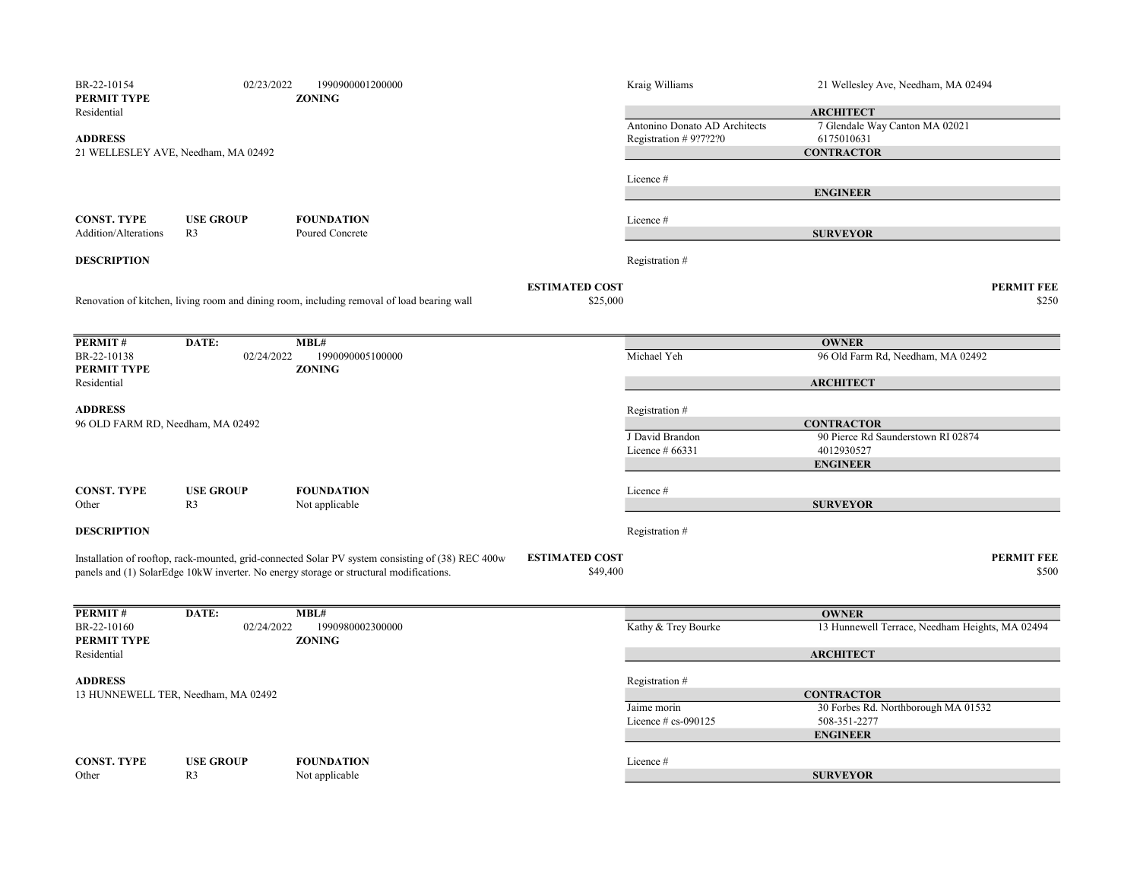| BR-22-10154<br>PERMIT TYPE        | 02/23/2022                          | 1990900001200000<br><b>ZONING</b>                                                                 |                       | Kraig Williams                | 21 Wellesley Ave, Needham, MA 02494             |
|-----------------------------------|-------------------------------------|---------------------------------------------------------------------------------------------------|-----------------------|-------------------------------|-------------------------------------------------|
| Residential                       |                                     |                                                                                                   |                       |                               | <b>ARCHITECT</b>                                |
|                                   |                                     |                                                                                                   |                       | Antonino Donato AD Architects | 7 Glendale Way Canton MA 02021                  |
| <b>ADDRESS</b>                    |                                     |                                                                                                   |                       | Registration # $9?7?2?0$      | 6175010631                                      |
|                                   | 21 WELLESLEY AVE, Needham, MA 02492 |                                                                                                   |                       |                               | <b>CONTRACTOR</b>                               |
|                                   |                                     |                                                                                                   |                       |                               |                                                 |
|                                   |                                     |                                                                                                   |                       | Licence#                      | <b>ENGINEER</b>                                 |
|                                   |                                     |                                                                                                   |                       |                               |                                                 |
| <b>CONST. TYPE</b>                | <b>USE GROUP</b>                    | <b>FOUNDATION</b>                                                                                 |                       | Licence #                     |                                                 |
| <b>Addition/Alterations</b>       | R <sub>3</sub>                      | Poured Concrete                                                                                   |                       |                               | <b>SURVEYOR</b>                                 |
| <b>DESCRIPTION</b>                |                                     |                                                                                                   |                       | Registration #                |                                                 |
|                                   |                                     |                                                                                                   | <b>ESTIMATED COST</b> |                               | <b>PERMIT FEE</b>                               |
|                                   |                                     | Renovation of kitchen, living room and dining room, including removal of load bearing wall        | \$25,000              |                               | \$250                                           |
|                                   |                                     |                                                                                                   |                       |                               |                                                 |
|                                   |                                     |                                                                                                   |                       |                               |                                                 |
| PERMIT#                           | DATE:                               | MBL#                                                                                              |                       |                               | <b>OWNER</b>                                    |
| BR-22-10138                       | 02/24/2022                          | 1990090005100000                                                                                  |                       | Michael Yeh                   | 96 Old Farm Rd, Needham, MA 02492               |
| PERMIT TYPE<br>Residential        |                                     | <b>ZONING</b>                                                                                     |                       |                               | <b>ARCHITECT</b>                                |
|                                   |                                     |                                                                                                   |                       |                               |                                                 |
| <b>ADDRESS</b>                    |                                     |                                                                                                   |                       | Registration#                 |                                                 |
| 96 OLD FARM RD, Needham, MA 02492 |                                     |                                                                                                   |                       |                               | <b>CONTRACTOR</b>                               |
|                                   |                                     |                                                                                                   |                       | J David Brandon               | 90 Pierce Rd Saunderstown RI 02874              |
|                                   |                                     |                                                                                                   |                       | Licence $#66331$              | 4012930527                                      |
|                                   |                                     |                                                                                                   |                       |                               | <b>ENGINEER</b>                                 |
| <b>CONST. TYPE</b>                | <b>USE GROUP</b>                    | <b>FOUNDATION</b>                                                                                 |                       | Licence#                      |                                                 |
| Other                             | R <sub>3</sub>                      | Not applicable                                                                                    |                       |                               | <b>SURVEYOR</b>                                 |
|                                   |                                     |                                                                                                   |                       |                               |                                                 |
| <b>DESCRIPTION</b>                |                                     |                                                                                                   |                       | Registration #                |                                                 |
|                                   |                                     | Installation of rooftop, rack-mounted, grid-connected Solar PV system consisting of (38) REC 400w | <b>ESTIMATED COST</b> |                               | <b>PERMIT FEE</b>                               |
|                                   |                                     | panels and (1) SolarEdge 10kW inverter. No energy storage or structural modifications.            | \$49,400              |                               | \$500                                           |
|                                   |                                     |                                                                                                   |                       |                               |                                                 |
| PERMIT#                           | DATE:                               | MBL#                                                                                              |                       |                               | <b>OWNER</b>                                    |
| BR-22-10160                       | 02/24/2022                          | 1990980002300000                                                                                  |                       | Kathy & Trey Bourke           | 13 Hunnewell Terrace, Needham Heights, MA 02494 |
| PERMIT TYPE                       |                                     | <b>ZONING</b>                                                                                     |                       |                               |                                                 |
| Residential                       |                                     |                                                                                                   |                       |                               | <b>ARCHITECT</b>                                |
| <b>ADDRESS</b>                    |                                     |                                                                                                   |                       | Registration #                |                                                 |
|                                   | 13 HUNNEWELL TER, Needham, MA 02492 |                                                                                                   |                       |                               | <b>CONTRACTOR</b>                               |
|                                   |                                     |                                                                                                   |                       | Jaime morin                   | 30 Forbes Rd. Northborough MA 01532             |
|                                   |                                     |                                                                                                   |                       | Licence $# cs$ -090125        | 508-351-2277                                    |
|                                   |                                     |                                                                                                   |                       |                               | <b>ENGINEER</b>                                 |
|                                   |                                     |                                                                                                   |                       |                               |                                                 |
| <b>CONST. TYPE</b><br>Other       | <b>USE GROUP</b><br>R <sub>3</sub>  | <b>FOUNDATION</b>                                                                                 |                       | Licence#                      | <b>SURVEYOR</b>                                 |
|                                   |                                     | Not applicable                                                                                    |                       |                               |                                                 |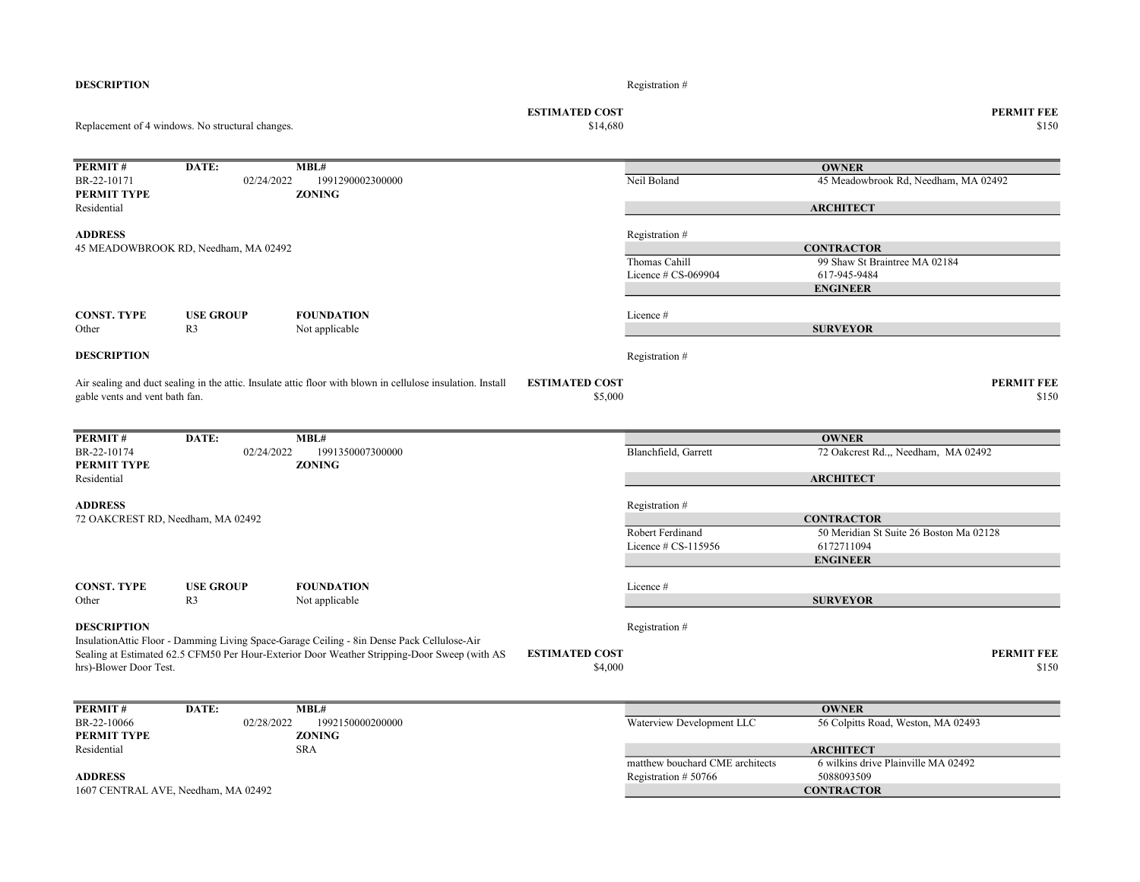| <b>DESCRIPTION</b>             |                                                  |                                                                                                             |                                   | Registration #                  |                                                              |
|--------------------------------|--------------------------------------------------|-------------------------------------------------------------------------------------------------------------|-----------------------------------|---------------------------------|--------------------------------------------------------------|
|                                | Replacement of 4 windows. No structural changes. |                                                                                                             | <b>ESTIMATED COST</b><br>\$14,680 |                                 | <b>PERMIT FEE</b><br>\$150                                   |
|                                |                                                  |                                                                                                             |                                   |                                 |                                                              |
| PERMIT#                        | DATE:                                            | MBL#                                                                                                        |                                   |                                 | <b>OWNER</b>                                                 |
| BR-22-10171                    | 02/24/2022                                       | 1991290002300000                                                                                            |                                   | Neil Boland                     | 45 Meadowbrook Rd, Needham, MA 02492                         |
| <b>PERMIT TYPE</b>             |                                                  | <b>ZONING</b>                                                                                               |                                   |                                 |                                                              |
| Residential                    |                                                  |                                                                                                             |                                   |                                 | <b>ARCHITECT</b>                                             |
|                                |                                                  |                                                                                                             |                                   |                                 |                                                              |
| <b>ADDRESS</b>                 |                                                  |                                                                                                             |                                   | Registration #                  |                                                              |
|                                | 45 MEADOWBROOK RD, Needham, MA 02492             |                                                                                                             |                                   |                                 | <b>CONTRACTOR</b>                                            |
|                                |                                                  |                                                                                                             |                                   | Thomas Cahill                   | 99 Shaw St Braintree MA 02184                                |
|                                |                                                  |                                                                                                             |                                   | Licence # CS-069904             | 617-945-9484                                                 |
|                                |                                                  |                                                                                                             |                                   |                                 | <b>ENGINEER</b>                                              |
| <b>CONST. TYPE</b>             | <b>USE GROUP</b>                                 | <b>FOUNDATION</b>                                                                                           |                                   | Licence #                       |                                                              |
| Other                          | R <sub>3</sub>                                   | Not applicable                                                                                              |                                   |                                 | <b>SURVEYOR</b>                                              |
|                                |                                                  |                                                                                                             |                                   |                                 |                                                              |
| <b>DESCRIPTION</b>             |                                                  |                                                                                                             |                                   | Registration #                  |                                                              |
|                                |                                                  |                                                                                                             |                                   |                                 |                                                              |
|                                |                                                  | Air sealing and duct sealing in the attic. Insulate attic floor with blown in cellulose insulation. Install | <b>ESTIMATED COST</b>             |                                 | <b>PERMIT FEE</b><br>\$150                                   |
| gable vents and vent bath fan. |                                                  |                                                                                                             | \$5,000                           |                                 |                                                              |
|                                |                                                  |                                                                                                             |                                   |                                 |                                                              |
| PERMIT#                        | DATE:                                            | MBL#                                                                                                        |                                   |                                 | <b>OWNER</b>                                                 |
| BR-22-10174                    | 02/24/2022                                       | 1991350007300000                                                                                            |                                   | Blanchfield, Garrett            | 72 Oakcrest Rd.,, Needham, MA 02492                          |
| PERMIT TYPE                    |                                                  | <b>ZONING</b>                                                                                               |                                   |                                 |                                                              |
| Residential                    |                                                  |                                                                                                             |                                   |                                 | <b>ARCHITECT</b>                                             |
|                                |                                                  |                                                                                                             |                                   |                                 |                                                              |
| <b>ADDRESS</b>                 |                                                  |                                                                                                             |                                   | Registration #                  |                                                              |
|                                | 72 OAKCREST RD, Needham, MA 02492                |                                                                                                             |                                   | Robert Ferdinand                | <b>CONTRACTOR</b><br>50 Meridian St Suite 26 Boston Ma 02128 |
|                                |                                                  |                                                                                                             |                                   | Licence $\#$ CS-115956          | 6172711094                                                   |
|                                |                                                  |                                                                                                             |                                   |                                 | <b>ENGINEER</b>                                              |
|                                |                                                  |                                                                                                             |                                   |                                 |                                                              |
| <b>CONST. TYPE</b>             | <b>USE GROUP</b>                                 | <b>FOUNDATION</b>                                                                                           |                                   | Licence #                       |                                                              |
| Other                          | R <sub>3</sub>                                   | Not applicable                                                                                              |                                   |                                 | <b>SURVEYOR</b>                                              |
|                                |                                                  |                                                                                                             |                                   |                                 |                                                              |
| <b>DESCRIPTION</b>             |                                                  |                                                                                                             |                                   | Registration #                  |                                                              |
|                                |                                                  | InsulationAttic Floor - Damming Living Space-Garage Ceiling - 8in Dense Pack Cellulose-Air                  |                                   |                                 |                                                              |
|                                |                                                  | Sealing at Estimated 62.5 CFM50 Per Hour-Exterior Door Weather Stripping-Door Sweep (with AS                | <b>ESTIMATED COST</b>             |                                 | <b>PERMIT FEE</b>                                            |
| hrs)-Blower Door Test.         |                                                  |                                                                                                             | \$4,000                           |                                 | \$150                                                        |
|                                |                                                  |                                                                                                             |                                   |                                 |                                                              |
| PERMIT#                        | DATE:                                            | MBL#                                                                                                        |                                   |                                 | <b>OWNER</b>                                                 |
| BR-22-10066                    | 02/28/2022                                       | 1992150000200000                                                                                            |                                   | Waterview Development LLC       | 56 Colpitts Road, Weston, MA 02493                           |
| PERMIT TYPE                    |                                                  | <b>ZONING</b>                                                                                               |                                   |                                 |                                                              |
| Residential                    |                                                  | <b>SRA</b>                                                                                                  |                                   |                                 | <b>ARCHITECT</b>                                             |
|                                |                                                  |                                                                                                             |                                   | matthew bouchard CME architects | 6 wilkins drive Plainville MA 02492                          |
| <b>ADDRESS</b>                 |                                                  |                                                                                                             |                                   | Registration #50766             | 5088093509                                                   |
|                                | 1607 CENTRAL AVE, Needham, MA 02492              |                                                                                                             |                                   |                                 | <b>CONTRACTOR</b>                                            |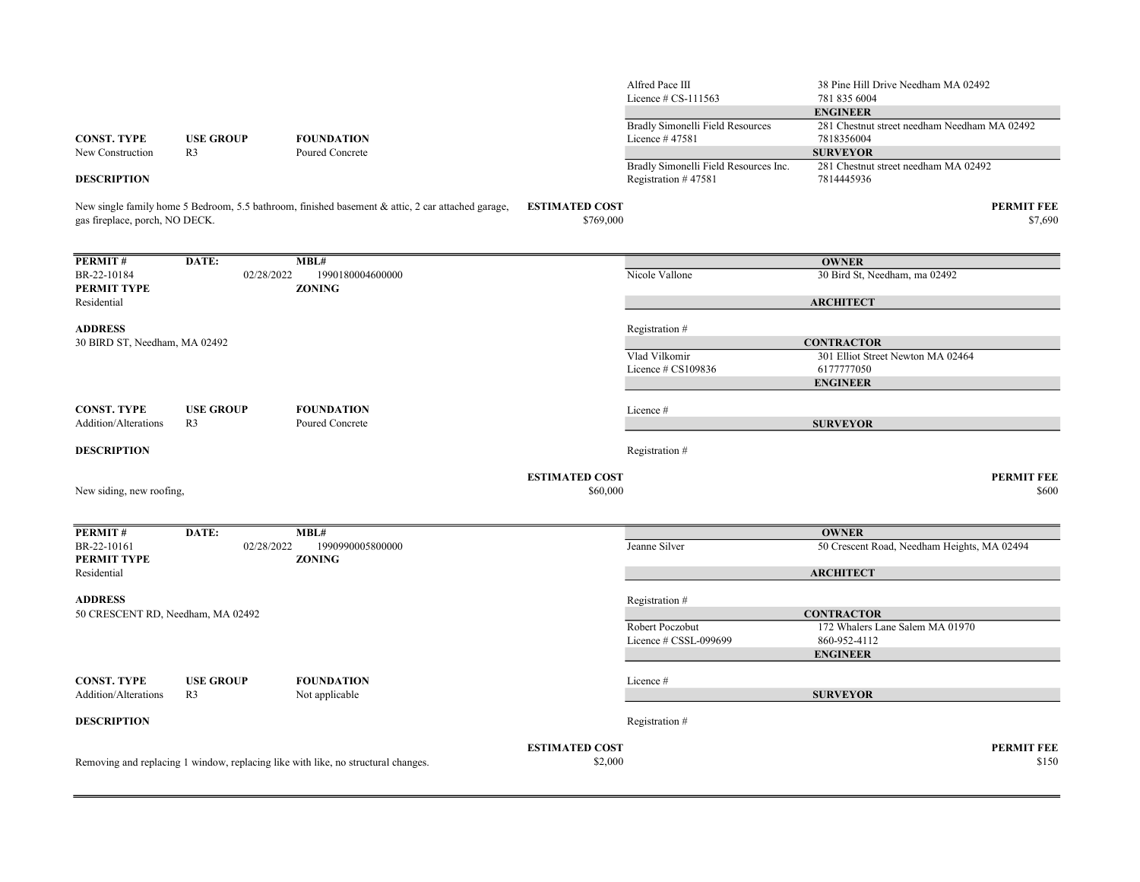|                                   |                  |                                                                                                   |                                    | Alfred Pace III<br>Licence $\#$ CS-111563                    | 38 Pine Hill Drive Needham MA 02492<br>781 835 6004        |
|-----------------------------------|------------------|---------------------------------------------------------------------------------------------------|------------------------------------|--------------------------------------------------------------|------------------------------------------------------------|
|                                   |                  |                                                                                                   |                                    |                                                              | <b>ENGINEER</b>                                            |
| <b>CONST. TYPE</b>                | <b>USE GROUP</b> | <b>FOUNDATION</b>                                                                                 |                                    | Bradly Simonelli Field Resources<br>Licence #47581           | 281 Chestnut street needham Needham MA 02492<br>7818356004 |
| New Construction                  | R <sub>3</sub>   | Poured Concrete                                                                                   |                                    |                                                              | <b>SURVEYOR</b>                                            |
| <b>DESCRIPTION</b>                |                  |                                                                                                   |                                    | Bradly Simonelli Field Resources Inc.<br>Registration #47581 | 281 Chestnut street needham MA 02492<br>7814445936         |
| gas fireplace, porch, NO DECK.    |                  | New single family home 5 Bedroom, 5.5 bathroom, finished basement & attic, 2 car attached garage, | <b>ESTIMATED COST</b><br>\$769,000 |                                                              | <b>PERMIT FEE</b><br>\$7,690                               |
| PERMIT#                           | DATE:            | MBL#                                                                                              |                                    |                                                              | <b>OWNER</b>                                               |
| BR-22-10184<br>PERMIT TYPE        | 02/28/2022       | 1990180004600000<br><b>ZONING</b>                                                                 |                                    | Nicole Vallone                                               | 30 Bird St, Needham, ma 02492                              |
| Residential                       |                  |                                                                                                   |                                    |                                                              | <b>ARCHITECT</b>                                           |
| <b>ADDRESS</b>                    |                  |                                                                                                   |                                    | Registration #                                               |                                                            |
| 30 BIRD ST, Needham, MA 02492     |                  |                                                                                                   |                                    |                                                              | <b>CONTRACTOR</b>                                          |
|                                   |                  |                                                                                                   |                                    | Vlad Vilkomir                                                | 301 Elliot Street Newton MA 02464                          |
|                                   |                  |                                                                                                   |                                    | Licence # CS109836                                           | 6177777050                                                 |
|                                   |                  |                                                                                                   |                                    |                                                              | <b>ENGINEER</b>                                            |
| <b>CONST. TYPE</b>                | <b>USE GROUP</b> | <b>FOUNDATION</b>                                                                                 |                                    | Licence #                                                    |                                                            |
| Addition/Alterations              | R <sub>3</sub>   | Poured Concrete                                                                                   |                                    |                                                              | <b>SURVEYOR</b>                                            |
| <b>DESCRIPTION</b>                |                  |                                                                                                   |                                    | Registration #                                               |                                                            |
|                                   |                  |                                                                                                   | <b>ESTIMATED COST</b>              |                                                              | <b>PERMIT FEE</b>                                          |
| New siding, new roofing,          |                  |                                                                                                   | \$60,000                           |                                                              | \$600                                                      |
| PERMIT#                           | DATE:            | MBL#                                                                                              |                                    |                                                              | <b>OWNER</b>                                               |
| BR-22-10161                       | 02/28/2022       | 1990990005800000                                                                                  |                                    | Jeanne Silver                                                | 50 Crescent Road, Needham Heights, MA 02494                |
| PERMIT TYPE<br>Residential        |                  | <b>ZONING</b>                                                                                     |                                    |                                                              | <b>ARCHITECT</b>                                           |
| <b>ADDRESS</b>                    |                  |                                                                                                   |                                    | Registration #                                               |                                                            |
| 50 CRESCENT RD, Needham, MA 02492 |                  |                                                                                                   |                                    |                                                              | <b>CONTRACTOR</b>                                          |
|                                   |                  |                                                                                                   |                                    | Robert Poczobut                                              | 172 Whalers Lane Salem MA 01970                            |
|                                   |                  |                                                                                                   |                                    | Licence # CSSL-099699                                        | 860-952-4112                                               |
|                                   |                  |                                                                                                   |                                    |                                                              | <b>ENGINEER</b>                                            |
| <b>CONST. TYPE</b>                | <b>USE GROUP</b> | <b>FOUNDATION</b>                                                                                 |                                    | Licence #                                                    |                                                            |
| Addition/Alterations              | R <sub>3</sub>   | Not applicable                                                                                    |                                    |                                                              | <b>SURVEYOR</b>                                            |
|                                   |                  |                                                                                                   |                                    |                                                              |                                                            |
| <b>DESCRIPTION</b>                |                  |                                                                                                   |                                    | Registration #                                               |                                                            |
|                                   |                  |                                                                                                   | <b>ESTIMATED COST</b>              |                                                              | <b>PERMIT FEE</b>                                          |
|                                   |                  | Removing and replacing 1 window, replacing like with like, no structural changes.                 | \$2,000                            |                                                              | \$150                                                      |
|                                   |                  |                                                                                                   |                                    |                                                              |                                                            |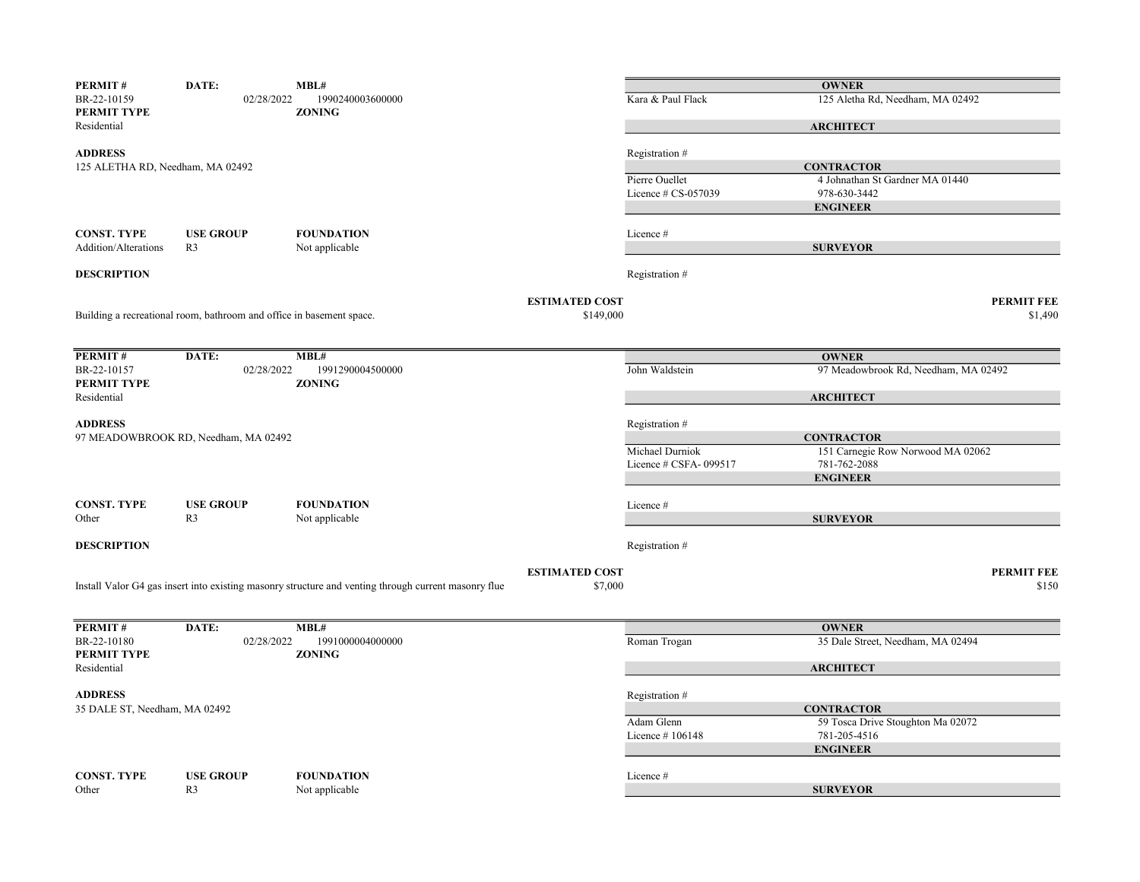| PERMIT#                           | DATE:                                                                | MBL#                                                                                                 |                       |                        | <b>OWNER</b>                         |                   |
|-----------------------------------|----------------------------------------------------------------------|------------------------------------------------------------------------------------------------------|-----------------------|------------------------|--------------------------------------|-------------------|
| BR-22-10159<br><b>PERMIT TYPE</b> | 02/28/2022                                                           | 1990240003600000<br><b>ZONING</b>                                                                    |                       | Kara & Paul Flack      | 125 Aletha Rd, Needham, MA 02492     |                   |
| Residential                       |                                                                      |                                                                                                      |                       |                        | <b>ARCHITECT</b>                     |                   |
| <b>ADDRESS</b>                    |                                                                      |                                                                                                      |                       | Registration #         |                                      |                   |
| 125 ALETHA RD, Needham, MA 02492  |                                                                      |                                                                                                      |                       |                        | <b>CONTRACTOR</b>                    |                   |
|                                   |                                                                      |                                                                                                      |                       | Pierre Ouellet         | 4 Johnathan St Gardner MA 01440      |                   |
|                                   |                                                                      |                                                                                                      |                       | Licence $\#$ CS-057039 | 978-630-3442                         |                   |
|                                   |                                                                      |                                                                                                      |                       |                        | <b>ENGINEER</b>                      |                   |
| <b>CONST. TYPE</b>                | <b>USE GROUP</b>                                                     | <b>FOUNDATION</b>                                                                                    |                       | Licence#               |                                      |                   |
| Addition/Alterations              | R <sub>3</sub>                                                       | Not applicable                                                                                       |                       |                        | <b>SURVEYOR</b>                      |                   |
|                                   |                                                                      |                                                                                                      |                       |                        |                                      |                   |
| <b>DESCRIPTION</b>                |                                                                      |                                                                                                      |                       | Registration #         |                                      |                   |
|                                   |                                                                      |                                                                                                      | <b>ESTIMATED COST</b> |                        |                                      | <b>PERMIT FEE</b> |
|                                   | Building a recreational room, bathroom and office in basement space. |                                                                                                      | \$149,000             |                        |                                      | \$1,490           |
|                                   |                                                                      |                                                                                                      |                       |                        |                                      |                   |
| PERMIT#                           | DATE:                                                                | MBL#                                                                                                 |                       |                        | <b>OWNER</b>                         |                   |
| BR-22-10157                       | 02/28/2022                                                           | 1991290004500000                                                                                     |                       | John Waldstein         | 97 Meadowbrook Rd, Needham, MA 02492 |                   |
| PERMIT TYPE                       |                                                                      | <b>ZONING</b>                                                                                        |                       |                        |                                      |                   |
| Residential                       |                                                                      |                                                                                                      |                       |                        | <b>ARCHITECT</b>                     |                   |
| <b>ADDRESS</b>                    |                                                                      |                                                                                                      |                       | Registration #         |                                      |                   |
|                                   | 97 MEADOWBROOK RD, Needham, MA 02492                                 |                                                                                                      |                       |                        | <b>CONTRACTOR</b>                    |                   |
|                                   |                                                                      |                                                                                                      |                       | Michael Durniok        | 151 Carnegie Row Norwood MA 02062    |                   |
|                                   |                                                                      |                                                                                                      |                       | Licence # CSFA-099517  | 781-762-2088                         |                   |
|                                   |                                                                      |                                                                                                      |                       |                        | <b>ENGINEER</b>                      |                   |
| <b>CONST. TYPE</b>                | <b>USE GROUP</b>                                                     | <b>FOUNDATION</b>                                                                                    |                       | Licence #              |                                      |                   |
| Other                             | R <sub>3</sub>                                                       | Not applicable                                                                                       |                       |                        | <b>SURVEYOR</b>                      |                   |
|                                   |                                                                      |                                                                                                      |                       |                        |                                      |                   |
| <b>DESCRIPTION</b>                |                                                                      |                                                                                                      |                       | Registration #         |                                      |                   |
|                                   |                                                                      |                                                                                                      | <b>ESTIMATED COST</b> |                        |                                      | <b>PERMIT FEE</b> |
|                                   |                                                                      | Install Valor G4 gas insert into existing masonry structure and venting through current masonry flue | \$7,000               |                        |                                      | \$150             |
|                                   |                                                                      |                                                                                                      |                       |                        |                                      |                   |
| PERMIT#                           | DATE:                                                                | MBL#                                                                                                 |                       |                        | <b>OWNER</b>                         |                   |
| BR-22-10180                       | 02/28/2022                                                           | 1991000004000000                                                                                     |                       | Roman Trogan           | 35 Dale Street, Needham, MA 02494    |                   |
| <b>PERMIT TYPE</b>                |                                                                      | <b>ZONING</b>                                                                                        |                       |                        |                                      |                   |
| Residential                       |                                                                      |                                                                                                      |                       |                        | <b>ARCHITECT</b>                     |                   |
| <b>ADDRESS</b>                    |                                                                      |                                                                                                      |                       | Registration #         |                                      |                   |
| 35 DALE ST, Needham, MA 02492     |                                                                      |                                                                                                      |                       |                        | <b>CONTRACTOR</b>                    |                   |
|                                   |                                                                      |                                                                                                      |                       | Adam Glenn             | 59 Tosca Drive Stoughton Ma 02072    |                   |
|                                   |                                                                      |                                                                                                      |                       | Licence $#106148$      | 781-205-4516                         |                   |
|                                   |                                                                      |                                                                                                      |                       |                        | <b>ENGINEER</b>                      |                   |
|                                   |                                                                      |                                                                                                      |                       |                        |                                      |                   |
| <b>CONST. TYPE</b><br>Other       | <b>USE GROUP</b><br>R <sub>3</sub>                                   | <b>FOUNDATION</b><br>Not applicable                                                                  |                       | Licence #              | <b>SURVEYOR</b>                      |                   |
|                                   |                                                                      |                                                                                                      |                       |                        |                                      |                   |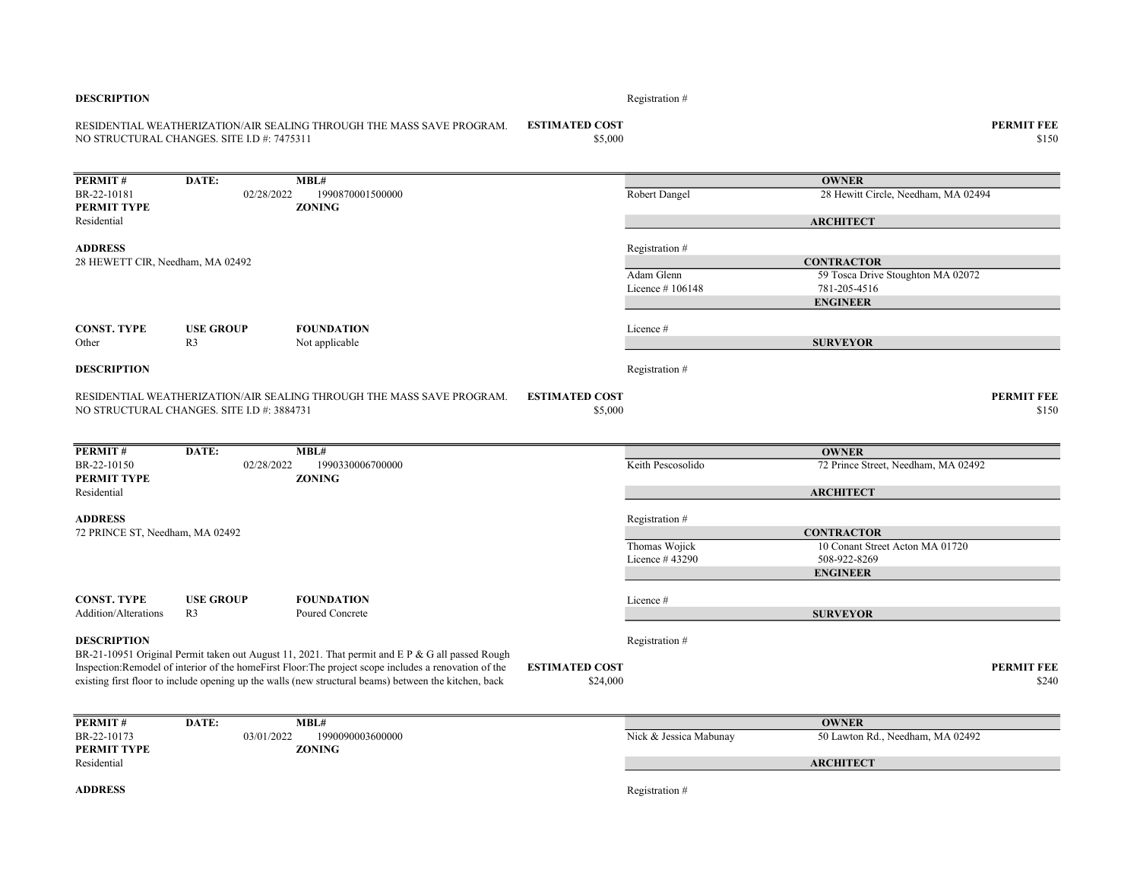| <b>DESCRIPTION</b>                                 |                                            |                                                                                                                                                                                                                 |                                   | Registration#                   |                                                                      |                            |
|----------------------------------------------------|--------------------------------------------|-----------------------------------------------------------------------------------------------------------------------------------------------------------------------------------------------------------------|-----------------------------------|---------------------------------|----------------------------------------------------------------------|----------------------------|
|                                                    | NO STRUCTURAL CHANGES. SITE I.D #: 7475311 | RESIDENTIAL WEATHERIZATION/AIR SEALING THROUGH THE MASS SAVE PROGRAM.                                                                                                                                           | <b>ESTIMATED COST</b><br>\$5,000  |                                 |                                                                      | <b>PERMIT FEE</b><br>\$150 |
| <b>PERMIT#</b>                                     | DATE:                                      | MBL#                                                                                                                                                                                                            |                                   |                                 | <b>OWNER</b>                                                         |                            |
| BR-22-10181<br>PERMIT TYPE                         | 02/28/2022                                 | 1990870001500000<br><b>ZONING</b>                                                                                                                                                                               |                                   | Robert Dangel                   | 28 Hewitt Circle, Needham, MA 02494                                  |                            |
| Residential                                        |                                            |                                                                                                                                                                                                                 |                                   |                                 | <b>ARCHITECT</b>                                                     |                            |
| <b>ADDRESS</b><br>28 HEWETT CIR, Needham, MA 02492 |                                            |                                                                                                                                                                                                                 |                                   | Registration#                   | <b>CONTRACTOR</b>                                                    |                            |
|                                                    |                                            |                                                                                                                                                                                                                 |                                   | Adam Glenn<br>Licence $#106148$ | 59 Tosca Drive Stoughton MA 02072<br>781-205-4516<br><b>ENGINEER</b> |                            |
| <b>CONST. TYPE</b><br>Other                        | <b>USE GROUP</b><br>R <sub>3</sub>         | <b>FOUNDATION</b><br>Not applicable                                                                                                                                                                             |                                   | Licence #                       | <b>SURVEYOR</b>                                                      |                            |
| <b>DESCRIPTION</b>                                 |                                            |                                                                                                                                                                                                                 |                                   | Registration #                  |                                                                      |                            |
|                                                    | NO STRUCTURAL CHANGES. SITE I.D #: 3884731 | RESIDENTIAL WEATHERIZATION/AIR SEALING THROUGH THE MASS SAVE PROGRAM.                                                                                                                                           | <b>ESTIMATED COST</b><br>\$5,000  |                                 |                                                                      | <b>PERMIT FEE</b><br>\$150 |
| PERMIT#                                            | DATE:                                      | MBL#                                                                                                                                                                                                            |                                   |                                 | <b>OWNER</b>                                                         |                            |
| BR-22-10150<br>PERMIT TYPE                         | 02/28/2022                                 | 1990330006700000<br><b>ZONING</b>                                                                                                                                                                               |                                   | Keith Pescosolido               | 72 Prince Street, Needham, MA 02492                                  |                            |
| Residential                                        |                                            |                                                                                                                                                                                                                 |                                   |                                 | <b>ARCHITECT</b>                                                     |                            |
| <b>ADDRESS</b><br>72 PRINCE ST, Needham, MA 02492  |                                            |                                                                                                                                                                                                                 |                                   | Registration #                  | <b>CONTRACTOR</b>                                                    |                            |
|                                                    |                                            |                                                                                                                                                                                                                 |                                   | Thomas Wojick                   | 10 Conant Street Acton MA 01720                                      |                            |
|                                                    |                                            |                                                                                                                                                                                                                 |                                   | Licence #43290                  | 508-922-8269<br><b>ENGINEER</b>                                      |                            |
| <b>CONST. TYPE</b>                                 | <b>USE GROUP</b>                           | <b>FOUNDATION</b>                                                                                                                                                                                               |                                   | Licence #                       |                                                                      |                            |
| <b>Addition/Alterations</b>                        | R <sub>3</sub>                             | Poured Concrete                                                                                                                                                                                                 |                                   |                                 | <b>SURVEYOR</b>                                                      |                            |
| <b>DESCRIPTION</b>                                 |                                            | BR-21-10951 Original Permit taken out August 11, 2021. That permit and E P & G all passed Rough                                                                                                                 |                                   | Registration #                  |                                                                      |                            |
|                                                    |                                            | Inspection: Remodel of interior of the homeFirst Floor: The project scope includes a renovation of the<br>existing first floor to include opening up the walls (new structural beams) between the kitchen, back | <b>ESTIMATED COST</b><br>\$24,000 |                                 |                                                                      | <b>PERMIT FEE</b><br>\$240 |
| <b>PERMIT#</b>                                     | DATE:                                      | MBL#                                                                                                                                                                                                            |                                   |                                 | <b>OWNER</b>                                                         |                            |
| BR-22-10173<br>PERMIT TYPE                         | 03/01/2022                                 | 1990090003600000<br><b>ZONING</b>                                                                                                                                                                               |                                   | Nick & Jessica Mabunay          | 50 Lawton Rd., Needham, MA 02492                                     |                            |
| Residential                                        |                                            |                                                                                                                                                                                                                 |                                   |                                 | <b>ARCHITECT</b>                                                     |                            |
| <b>ADDRESS</b>                                     |                                            |                                                                                                                                                                                                                 |                                   | Registration #                  |                                                                      |                            |
|                                                    |                                            |                                                                                                                                                                                                                 |                                   |                                 |                                                                      |                            |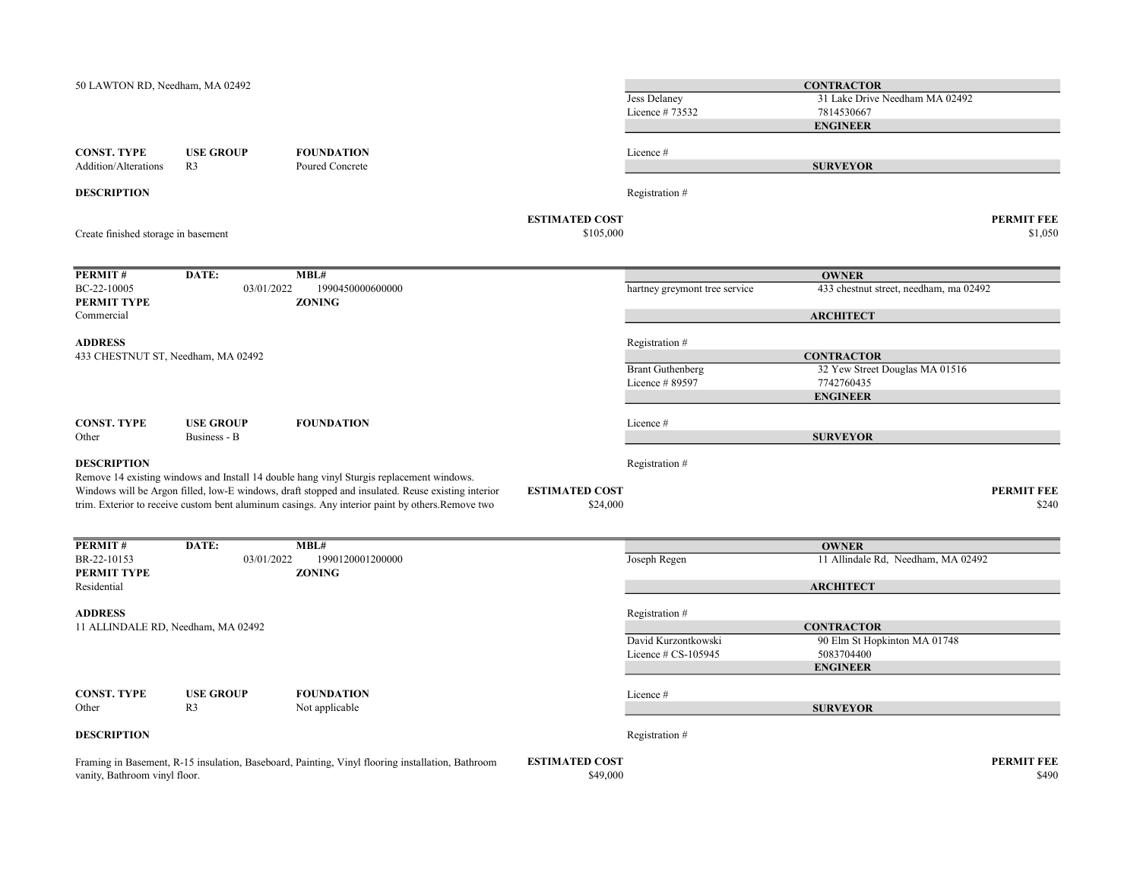| 50 LAWTON RD, Needham, MA 02492                      |                                    |                                                                                                                                                                                                                                                                                                   |                                    | <b>Jess Delaney</b><br>Licence #73532 | <b>CONTRACTOR</b><br>31 Lake Drive Needham MA 02492<br>7814530667<br><b>ENGINEER</b> |                              |
|------------------------------------------------------|------------------------------------|---------------------------------------------------------------------------------------------------------------------------------------------------------------------------------------------------------------------------------------------------------------------------------------------------|------------------------------------|---------------------------------------|--------------------------------------------------------------------------------------|------------------------------|
| <b>CONST. TYPE</b><br>Addition/Alterations           | <b>USE GROUP</b><br>R <sub>3</sub> | <b>FOUNDATION</b><br>Poured Concrete                                                                                                                                                                                                                                                              |                                    | Licence#                              | <b>SURVEYOR</b>                                                                      |                              |
| <b>DESCRIPTION</b>                                   |                                    |                                                                                                                                                                                                                                                                                                   |                                    | Registration #                        |                                                                                      |                              |
| Create finished storage in basement                  |                                    |                                                                                                                                                                                                                                                                                                   | <b>ESTIMATED COST</b><br>\$105,000 |                                       |                                                                                      | <b>PERMIT FEE</b><br>\$1,050 |
| PERMIT#                                              | DATE:                              | MBL#                                                                                                                                                                                                                                                                                              |                                    |                                       | <b>OWNER</b>                                                                         |                              |
| BC-22-10005<br>PERMIT TYPE                           | 03/01/2022                         | 1990450000600000<br><b>ZONING</b>                                                                                                                                                                                                                                                                 |                                    | hartney greymont tree service         | 433 chestnut street, needham, ma 02492                                               |                              |
| Commercial                                           |                                    |                                                                                                                                                                                                                                                                                                   |                                    |                                       | <b>ARCHITECT</b>                                                                     |                              |
| <b>ADDRESS</b>                                       |                                    |                                                                                                                                                                                                                                                                                                   |                                    | Registration #                        |                                                                                      |                              |
| 433 CHESTNUT ST, Needham, MA 02492                   |                                    |                                                                                                                                                                                                                                                                                                   |                                    | <b>Brant Guthenberg</b>               | <b>CONTRACTOR</b><br>32 Yew Street Douglas MA 01516                                  |                              |
|                                                      |                                    |                                                                                                                                                                                                                                                                                                   |                                    | Licence #89597                        | 7742760435                                                                           |                              |
|                                                      |                                    |                                                                                                                                                                                                                                                                                                   |                                    |                                       | <b>ENGINEER</b>                                                                      |                              |
| <b>CONST. TYPE</b><br>Other                          | <b>USE GROUP</b><br>Business - B   | <b>FOUNDATION</b>                                                                                                                                                                                                                                                                                 |                                    | Licence #                             | <b>SURVEYOR</b>                                                                      |                              |
| <b>DESCRIPTION</b>                                   |                                    | Remove 14 existing windows and Install 14 double hang vinyl Sturgis replacement windows.<br>Windows will be Argon filled, low-E windows, draft stopped and insulated. Reuse existing interior<br>trim. Exterior to receive custom bent aluminum casings. Any interior paint by others. Remove two | <b>ESTIMATED COST</b><br>\$24,000  | Registration #                        |                                                                                      | <b>PERMIT FEE</b><br>\$240   |
|                                                      |                                    |                                                                                                                                                                                                                                                                                                   |                                    |                                       |                                                                                      |                              |
| PERMIT#<br>BR-22-10153                               | DATE:<br>03/01/2022                | MBL#<br>1990120001200000                                                                                                                                                                                                                                                                          |                                    | Joseph Regen                          | <b>OWNER</b><br>11 Allindale Rd, Needham, MA 02492                                   |                              |
| PERMIT TYPE<br>Residential                           |                                    | <b>ZONING</b>                                                                                                                                                                                                                                                                                     |                                    |                                       | <b>ARCHITECT</b>                                                                     |                              |
|                                                      |                                    |                                                                                                                                                                                                                                                                                                   |                                    |                                       |                                                                                      |                              |
| <b>ADDRESS</b><br>11 ALLINDALE RD, Needham, MA 02492 |                                    |                                                                                                                                                                                                                                                                                                   |                                    | Registration #                        | <b>CONTRACTOR</b>                                                                    |                              |
|                                                      |                                    |                                                                                                                                                                                                                                                                                                   |                                    | David Kurzontkowski                   | 90 Elm St Hopkinton MA 01748                                                         |                              |
|                                                      |                                    |                                                                                                                                                                                                                                                                                                   |                                    | Licence # CS-105945                   | 5083704400<br><b>ENGINEER</b>                                                        |                              |
| <b>CONST. TYPE</b>                                   | <b>USE GROUP</b>                   | <b>FOUNDATION</b>                                                                                                                                                                                                                                                                                 |                                    | Licence #                             |                                                                                      |                              |
| Other                                                | R <sub>3</sub>                     | Not applicable                                                                                                                                                                                                                                                                                    |                                    |                                       | <b>SURVEYOR</b>                                                                      |                              |
| <b>DESCRIPTION</b>                                   |                                    |                                                                                                                                                                                                                                                                                                   |                                    | Registration #                        |                                                                                      |                              |
| vanity, Bathroom vinyl floor.                        |                                    | Framing in Basement, R-15 insulation, Baseboard, Painting, Vinyl flooring installation, Bathroom                                                                                                                                                                                                  | <b>ESTIMATED COST</b><br>\$49,000  |                                       |                                                                                      | <b>PERMIT FEE</b><br>\$490   |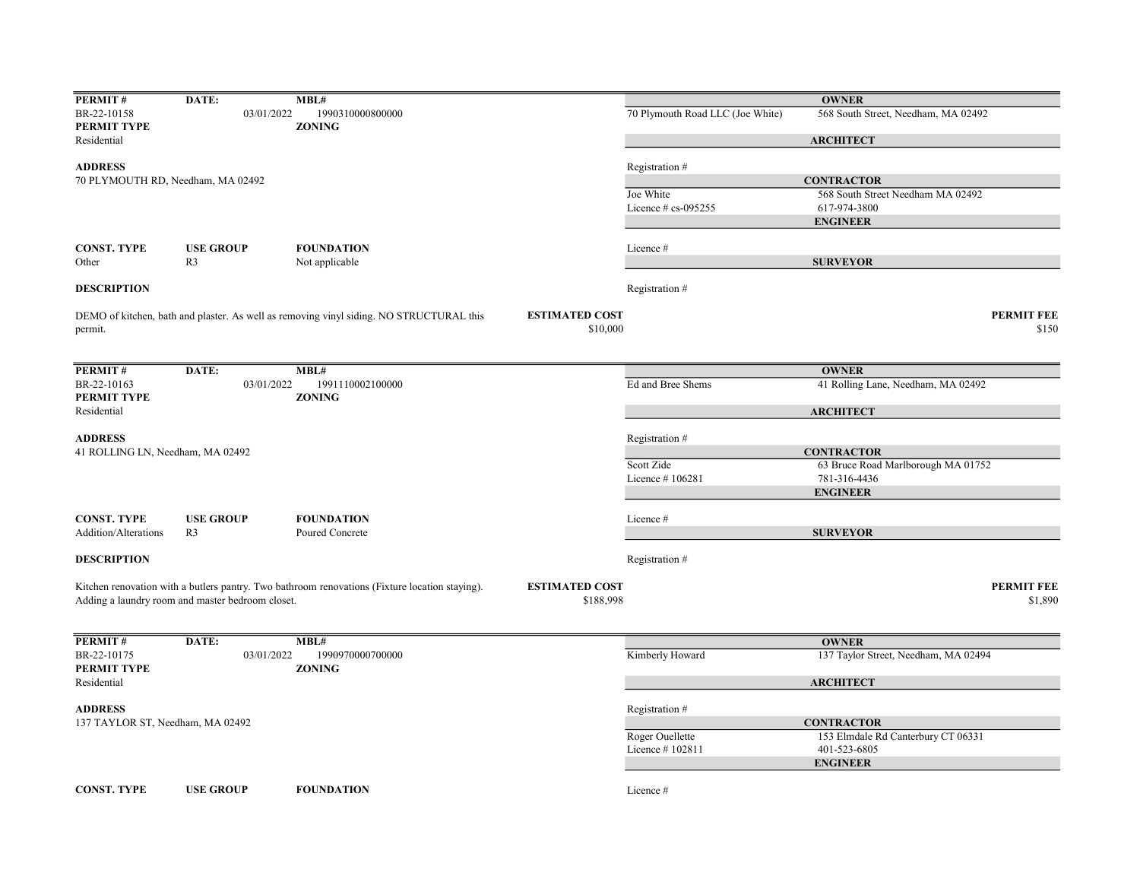| PERMIT#                          | DATE:                                            | MBL#                                                                                           |                       |                                    | <b>OWNER</b>                                         |
|----------------------------------|--------------------------------------------------|------------------------------------------------------------------------------------------------|-----------------------|------------------------------------|------------------------------------------------------|
| BR-22-10158                      | 03/01/2022                                       | 1990310000800000                                                                               |                       | 70 Plymouth Road LLC (Joe White)   | 568 South Street, Needham, MA 02492                  |
| PERMIT TYPE                      |                                                  | <b>ZONING</b>                                                                                  |                       |                                    |                                                      |
| Residential                      |                                                  |                                                                                                |                       |                                    | <b>ARCHITECT</b>                                     |
| <b>ADDRESS</b>                   |                                                  |                                                                                                |                       | Registration #                     |                                                      |
|                                  | 70 PLYMOUTH RD, Needham, MA 02492                |                                                                                                |                       |                                    | <b>CONTRACTOR</b>                                    |
|                                  |                                                  |                                                                                                |                       | Joe White                          | 568 South Street Needham MA 02492                    |
|                                  |                                                  |                                                                                                |                       | Licence # cs-095255                | 617-974-3800                                         |
|                                  |                                                  |                                                                                                |                       |                                    | <b>ENGINEER</b>                                      |
| <b>CONST. TYPE</b>               | <b>USE GROUP</b>                                 | <b>FOUNDATION</b>                                                                              |                       | Licence #                          |                                                      |
| Other                            | R <sub>3</sub>                                   | Not applicable                                                                                 |                       |                                    | <b>SURVEYOR</b>                                      |
|                                  |                                                  |                                                                                                |                       |                                    |                                                      |
| <b>DESCRIPTION</b>               |                                                  |                                                                                                |                       | Registration #                     |                                                      |
|                                  |                                                  | DEMO of kitchen, bath and plaster. As well as removing vinyl siding. NO STRUCTURAL this        | <b>ESTIMATED COST</b> |                                    | <b>PERMIT FEE</b>                                    |
| permit.                          |                                                  |                                                                                                | \$10,000              |                                    | \$150                                                |
|                                  |                                                  |                                                                                                |                       |                                    |                                                      |
|                                  |                                                  |                                                                                                |                       |                                    |                                                      |
| PERMIT#<br>BR-22-10163           | DATE:<br>03/01/2022                              | MBL#<br>1991110002100000                                                                       |                       | Ed and Bree Shems                  | <b>OWNER</b><br>41 Rolling Lane, Needham, MA 02492   |
| PERMIT TYPE                      |                                                  | <b>ZONING</b>                                                                                  |                       |                                    |                                                      |
| Residential                      |                                                  |                                                                                                |                       |                                    | <b>ARCHITECT</b>                                     |
|                                  |                                                  |                                                                                                |                       |                                    |                                                      |
| <b>ADDRESS</b>                   |                                                  |                                                                                                |                       | Registration #                     |                                                      |
| 41 ROLLING LN, Needham, MA 02492 |                                                  |                                                                                                |                       |                                    | <b>CONTRACTOR</b>                                    |
|                                  |                                                  |                                                                                                |                       | Scott Zide                         | 63 Bruce Road Marlborough MA 01752                   |
|                                  |                                                  |                                                                                                |                       | Licence #106281                    | 781-316-4436                                         |
|                                  |                                                  |                                                                                                |                       |                                    | <b>ENGINEER</b>                                      |
| <b>CONST. TYPE</b>               | <b>USE GROUP</b>                                 | <b>FOUNDATION</b>                                                                              |                       | Licence#                           |                                                      |
| Addition/Alterations             | R <sub>3</sub>                                   | Poured Concrete                                                                                |                       |                                    | <b>SURVEYOR</b>                                      |
|                                  |                                                  |                                                                                                |                       |                                    |                                                      |
| <b>DESCRIPTION</b>               |                                                  |                                                                                                |                       | Registration #                     |                                                      |
|                                  |                                                  | Kitchen renovation with a butlers pantry. Two bathroom renovations (Fixture location staying). | <b>ESTIMATED COST</b> |                                    | <b>PERMIT FEE</b>                                    |
|                                  | Adding a laundry room and master bedroom closet. |                                                                                                | \$188,998             |                                    | \$1,890                                              |
|                                  |                                                  |                                                                                                |                       |                                    |                                                      |
|                                  |                                                  |                                                                                                |                       |                                    |                                                      |
| PERMIT#<br>BR-22-10175           | DATE:<br>03/01/2022                              | MBL#<br>1990970000700000                                                                       |                       | Kimberly Howard                    | <b>OWNER</b><br>137 Taylor Street, Needham, MA 02494 |
| PERMIT TYPE                      |                                                  | <b>ZONING</b>                                                                                  |                       |                                    |                                                      |
| Residential                      |                                                  |                                                                                                |                       |                                    | <b>ARCHITECT</b>                                     |
|                                  |                                                  |                                                                                                |                       |                                    |                                                      |
| <b>ADDRESS</b>                   |                                                  |                                                                                                |                       | Registration #                     |                                                      |
| 137 TAYLOR ST, Needham, MA 02492 |                                                  |                                                                                                |                       |                                    | <b>CONTRACTOR</b>                                    |
|                                  |                                                  |                                                                                                |                       | Roger Ouellette<br>Licence #102811 | 153 Elmdale Rd Canterbury CT 06331<br>401-523-6805   |
|                                  |                                                  |                                                                                                |                       |                                    | <b>ENGINEER</b>                                      |
|                                  |                                                  |                                                                                                |                       |                                    |                                                      |
| <b>CONST. TYPE</b>               | <b>USE GROUP</b>                                 | <b>FOUNDATION</b>                                                                              |                       | Licence #                          |                                                      |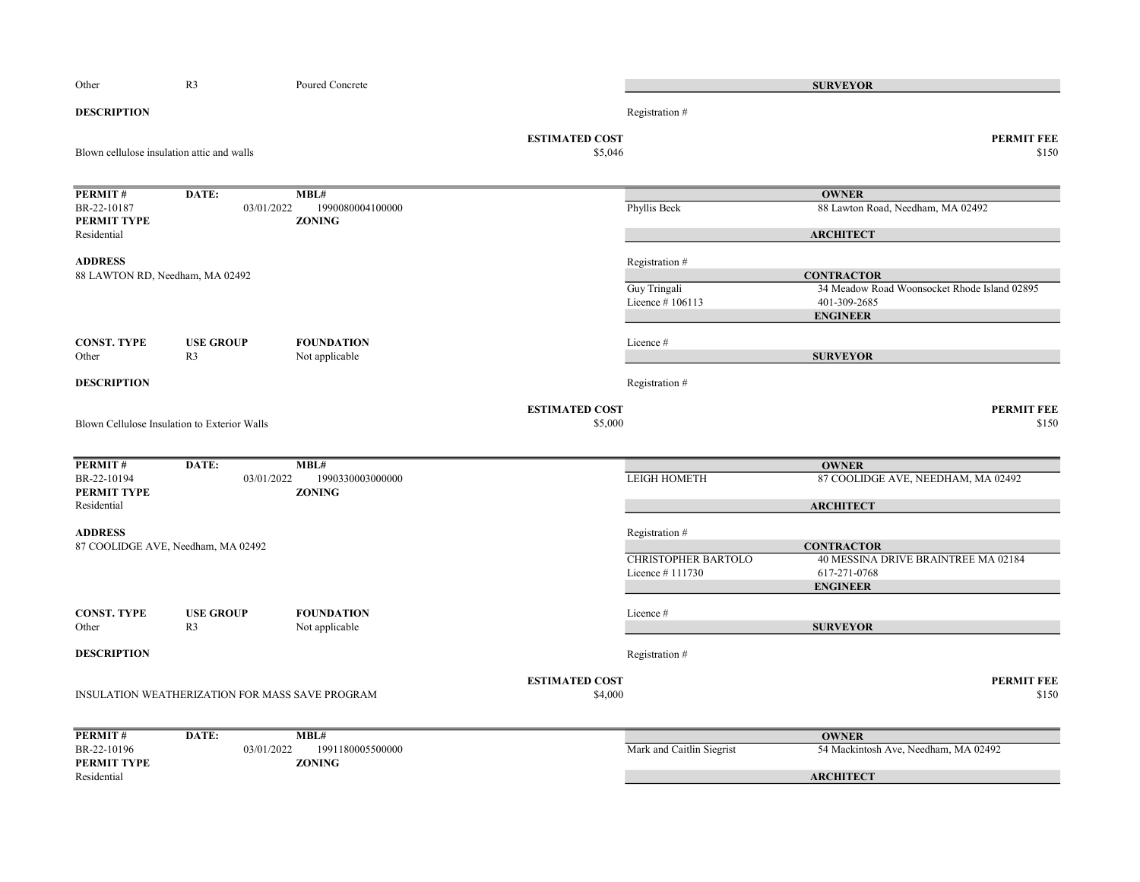| Other                                      | R <sub>3</sub>                                  | Poured Concrete   |                                  |                            | <b>SURVEYOR</b>                              |
|--------------------------------------------|-------------------------------------------------|-------------------|----------------------------------|----------------------------|----------------------------------------------|
| <b>DESCRIPTION</b>                         |                                                 |                   |                                  | Registration #             |                                              |
| Blown cellulose insulation attic and walls |                                                 |                   | <b>ESTIMATED COST</b><br>\$5,046 |                            | <b>PERMIT FEE</b><br>\$150                   |
| PERMIT#                                    | DATE:                                           | MBL#              |                                  |                            | <b>OWNER</b>                                 |
| BR-22-10187                                | 03/01/2022                                      | 1990080004100000  |                                  | Phyllis Beck               | 88 Lawton Road, Needham, MA 02492            |
| PERMIT TYPE                                |                                                 | <b>ZONING</b>     |                                  |                            |                                              |
| Residential                                |                                                 |                   |                                  |                            | <b>ARCHITECT</b>                             |
| <b>ADDRESS</b>                             |                                                 |                   |                                  | Registration #             |                                              |
| 88 LAWTON RD, Needham, MA 02492            |                                                 |                   |                                  |                            | <b>CONTRACTOR</b>                            |
|                                            |                                                 |                   |                                  | Guy Tringali               | 34 Meadow Road Woonsocket Rhode Island 02895 |
|                                            |                                                 |                   |                                  | Licence #106113            | 401-309-2685                                 |
|                                            |                                                 |                   |                                  |                            | <b>ENGINEER</b>                              |
| <b>CONST. TYPE</b>                         | <b>USE GROUP</b>                                | <b>FOUNDATION</b> |                                  | Licence#                   |                                              |
| Other                                      | R <sub>3</sub>                                  | Not applicable    |                                  |                            | <b>SURVEYOR</b>                              |
|                                            |                                                 |                   |                                  |                            |                                              |
| <b>DESCRIPTION</b>                         |                                                 |                   |                                  | Registration #             |                                              |
|                                            |                                                 |                   | <b>ESTIMATED COST</b>            |                            | <b>PERMIT FEE</b>                            |
|                                            | Blown Cellulose Insulation to Exterior Walls    |                   | \$5,000                          |                            | \$150                                        |
|                                            |                                                 |                   |                                  |                            |                                              |
| PERMIT#                                    | DATE:                                           | MBL#              |                                  |                            | <b>OWNER</b>                                 |
| BR-22-10194                                | 03/01/2022                                      | 1990330003000000  |                                  | <b>LEIGH HOMETH</b>        | 87 COOLIDGE AVE, NEEDHAM, MA 02492           |
| PERMIT TYPE                                |                                                 | <b>ZONING</b>     |                                  |                            |                                              |
| Residential                                |                                                 |                   |                                  |                            | <b>ARCHITECT</b>                             |
|                                            |                                                 |                   |                                  |                            |                                              |
| <b>ADDRESS</b>                             | 87 COOLIDGE AVE, Needham, MA 02492              |                   |                                  | Registration #             | <b>CONTRACTOR</b>                            |
|                                            |                                                 |                   |                                  | <b>CHRISTOPHER BARTOLO</b> | 40 MESSINA DRIVE BRAINTREE MA 02184          |
|                                            |                                                 |                   |                                  | Licence #111730            | 617-271-0768                                 |
|                                            |                                                 |                   |                                  |                            | <b>ENGINEER</b>                              |
|                                            |                                                 |                   |                                  |                            |                                              |
| <b>CONST. TYPE</b>                         | <b>USE GROUP</b>                                | <b>FOUNDATION</b> |                                  | Licence #                  |                                              |
| Other                                      | R <sub>3</sub>                                  | Not applicable    |                                  |                            | <b>SURVEYOR</b>                              |
| <b>DESCRIPTION</b>                         |                                                 |                   |                                  | Registration #             |                                              |
|                                            |                                                 |                   | <b>ESTIMATED COST</b>            |                            | <b>PERMIT FEE</b>                            |
|                                            | INSULATION WEATHERIZATION FOR MASS SAVE PROGRAM |                   | \$4,000                          |                            | \$150                                        |
|                                            |                                                 |                   |                                  |                            |                                              |
| PERMIT#                                    | DATE:                                           | MBL#              |                                  |                            | <b>OWNER</b>                                 |
| BR-22-10196                                | 03/01/2022                                      | 1991180005500000  |                                  | Mark and Caitlin Siegrist  | 54 Mackintosh Ave, Needham, MA 02492         |
| PERMIT TYPE                                |                                                 | <b>ZONING</b>     |                                  |                            |                                              |
| Residential                                |                                                 |                   |                                  |                            | <b>ARCHITECT</b>                             |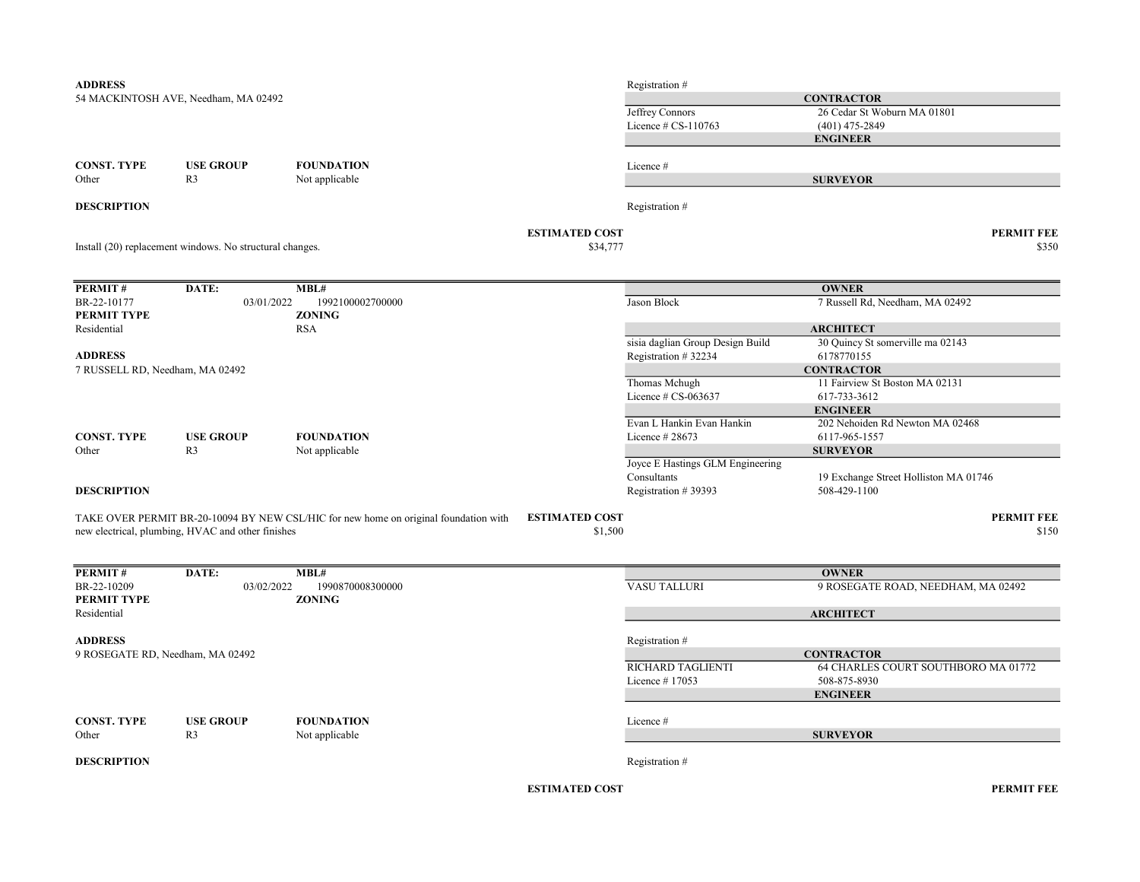| <b>ADDRESS</b>                  |                                                          |                                                                                      |                                   | Registration #                   |                                                    |
|---------------------------------|----------------------------------------------------------|--------------------------------------------------------------------------------------|-----------------------------------|----------------------------------|----------------------------------------------------|
|                                 | 54 MACKINTOSH AVE, Needham, MA 02492                     |                                                                                      |                                   |                                  | <b>CONTRACTOR</b>                                  |
|                                 |                                                          |                                                                                      |                                   | Jeffrey Connors                  | 26 Cedar St Woburn MA 01801                        |
|                                 |                                                          |                                                                                      |                                   | Licence $\#$ CS-110763           | $(401)$ 475-2849                                   |
|                                 |                                                          |                                                                                      |                                   |                                  | <b>ENGINEER</b>                                    |
| <b>CONST. TYPE</b>              | <b>USE GROUP</b>                                         | <b>FOUNDATION</b>                                                                    |                                   | Licence #                        |                                                    |
| Other                           | R <sub>3</sub>                                           | Not applicable                                                                       |                                   |                                  | <b>SURVEYOR</b>                                    |
| <b>DESCRIPTION</b>              |                                                          |                                                                                      |                                   | Registration #                   |                                                    |
|                                 | Install (20) replacement windows. No structural changes. |                                                                                      | <b>ESTIMATED COST</b><br>\$34,777 |                                  | <b>PERMIT FEE</b><br>\$350                         |
|                                 |                                                          |                                                                                      |                                   |                                  |                                                    |
| PERMIT#                         | DATE:                                                    | MBL#                                                                                 |                                   |                                  | <b>OWNER</b>                                       |
| BR-22-10177<br>PERMIT TYPE      | 03/01/2022                                               | 1992100002700000<br><b>ZONING</b>                                                    |                                   | Jason Block                      | 7 Russell Rd, Needham, MA 02492                    |
| Residential                     |                                                          | <b>RSA</b>                                                                           |                                   |                                  | <b>ARCHITECT</b>                                   |
|                                 |                                                          |                                                                                      |                                   | sisia daglian Group Design Build | 30 Quincy St somerville ma 02143                   |
| <b>ADDRESS</b>                  |                                                          |                                                                                      |                                   | Registration #32234              | 6178770155                                         |
| 7 RUSSELL RD, Needham, MA 02492 |                                                          |                                                                                      |                                   |                                  | <b>CONTRACTOR</b>                                  |
|                                 |                                                          |                                                                                      |                                   | Thomas Mchugh                    | 11 Fairview St Boston MA 02131                     |
|                                 |                                                          |                                                                                      |                                   | Licence # CS-063637              | 617-733-3612                                       |
|                                 |                                                          |                                                                                      |                                   |                                  | <b>ENGINEER</b>                                    |
|                                 |                                                          |                                                                                      |                                   | Evan L Hankin Evan Hankin        | 202 Nehoiden Rd Newton MA 02468                    |
| <b>CONST. TYPE</b><br>Other     | <b>USE GROUP</b><br>R <sub>3</sub>                       | <b>FOUNDATION</b><br>Not applicable                                                  |                                   | Licence $#28673$                 | 6117-965-1557<br><b>SURVEYOR</b>                   |
|                                 |                                                          |                                                                                      |                                   | Joyce E Hastings GLM Engineering |                                                    |
|                                 |                                                          |                                                                                      |                                   | Consultants                      | 19 Exchange Street Holliston MA 01746              |
| <b>DESCRIPTION</b>              |                                                          |                                                                                      |                                   | Registration #39393              | 508-429-1100                                       |
|                                 |                                                          | TAKE OVER PERMIT BR-20-10094 BY NEW CSL/HIC for new home on original foundation with | <b>ESTIMATED COST</b>             |                                  | <b>PERMIT FEE</b>                                  |
|                                 | new electrical, plumbing, HVAC and other finishes        |                                                                                      | \$1,500                           |                                  | \$150                                              |
|                                 |                                                          |                                                                                      |                                   |                                  |                                                    |
| PERMIT#<br>BR-22-10209          | DATE:<br>03/02/2022                                      | MBL#<br>1990870008300000                                                             |                                   | <b>VASU TALLURI</b>              | <b>OWNER</b><br>9 ROSEGATE ROAD, NEEDHAM, MA 02492 |
| PERMIT TYPE                     |                                                          | <b>ZONING</b>                                                                        |                                   |                                  |                                                    |
| Residential                     |                                                          |                                                                                      |                                   |                                  | <b>ARCHITECT</b>                                   |
| <b>ADDRESS</b>                  |                                                          |                                                                                      |                                   | Registration #                   |                                                    |
|                                 | 9 ROSEGATE RD, Needham, MA 02492                         |                                                                                      |                                   |                                  | <b>CONTRACTOR</b>                                  |
|                                 |                                                          |                                                                                      |                                   | RICHARD TAGLIENTI                | 64 CHARLES COURT SOUTHBORO MA 01772                |
|                                 |                                                          |                                                                                      |                                   | Licence #17053                   | 508-875-8930                                       |
|                                 |                                                          |                                                                                      |                                   |                                  | <b>ENGINEER</b>                                    |
| <b>CONST. TYPE</b>              | <b>USE GROUP</b>                                         | <b>FOUNDATION</b>                                                                    |                                   | Licence #                        |                                                    |
| Other                           | R <sub>3</sub>                                           | Not applicable                                                                       |                                   |                                  | <b>SURVEYOR</b>                                    |
|                                 |                                                          |                                                                                      |                                   |                                  |                                                    |
| <b>DESCRIPTION</b>              |                                                          |                                                                                      |                                   | Registration #                   |                                                    |
|                                 |                                                          |                                                                                      |                                   |                                  |                                                    |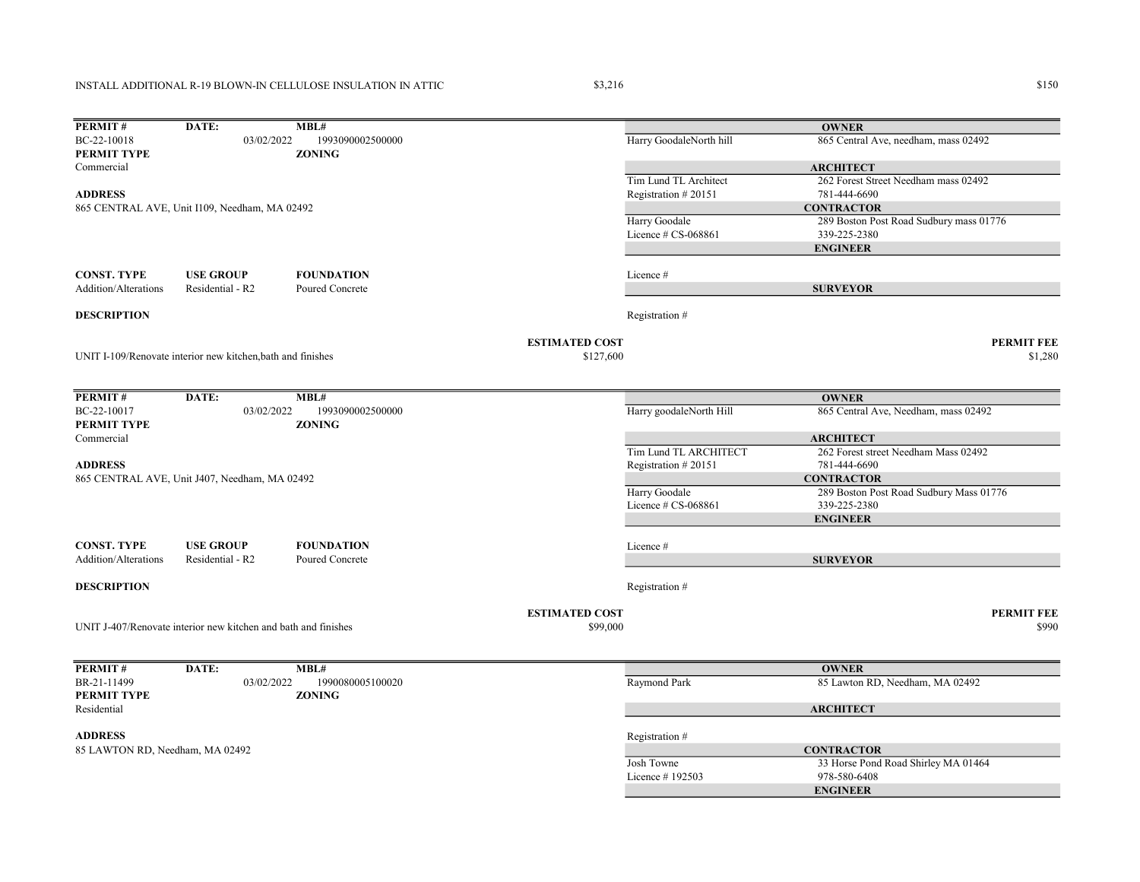## INSTALL ADDITIONAL R-19 BLOWN-IN CELLULOSE INSULATION IN ATTIC

 $\$3,216$   $\$150$ 

| PERMIT#                           | DATE:                                                          | MBL#                              |                                   |                                              | <b>OWNER</b>                                         |
|-----------------------------------|----------------------------------------------------------------|-----------------------------------|-----------------------------------|----------------------------------------------|------------------------------------------------------|
| BC-22-10018<br><b>PERMIT TYPE</b> | 03/02/2022                                                     | 1993090002500000<br><b>ZONING</b> |                                   | Harry GoodaleNorth hill                      | 865 Central Ave, needham, mass 02492                 |
| Commercial                        |                                                                |                                   |                                   |                                              | <b>ARCHITECT</b>                                     |
| <b>ADDRESS</b>                    |                                                                |                                   |                                   | Tim Lund TL Architect<br>Registration #20151 | 262 Forest Street Needham mass 02492<br>781-444-6690 |
|                                   | 865 CENTRAL AVE, Unit I109, Needham, MA 02492                  |                                   |                                   |                                              | <b>CONTRACTOR</b>                                    |
|                                   |                                                                |                                   |                                   | Harry Goodale                                | 289 Boston Post Road Sudbury mass 01776              |
|                                   |                                                                |                                   |                                   | Licence $\#$ CS-068861                       | 339-225-2380                                         |
|                                   |                                                                |                                   |                                   |                                              | <b>ENGINEER</b>                                      |
| <b>CONST. TYPE</b>                | <b>USE GROUP</b>                                               | <b>FOUNDATION</b>                 |                                   | Licence #                                    |                                                      |
| Addition/Alterations              | Residential - R2                                               | Poured Concrete                   |                                   |                                              | <b>SURVEYOR</b>                                      |
| <b>DESCRIPTION</b>                |                                                                |                                   |                                   | Registration #                               |                                                      |
|                                   |                                                                |                                   | <b>ESTIMATED COST</b>             |                                              | <b>PERMIT FEE</b>                                    |
|                                   | UNIT I-109/Renovate interior new kitchen, bath and finishes    |                                   | \$127,600                         |                                              | \$1,280                                              |
|                                   |                                                                |                                   |                                   |                                              |                                                      |
| PERMIT#                           | DATE:                                                          | MBL#                              |                                   |                                              | <b>OWNER</b>                                         |
| BC-22-10017<br>PERMIT TYPE        | 03/02/2022                                                     | 1993090002500000<br><b>ZONING</b> |                                   | Harry goodaleNorth Hill                      | 865 Central Ave, Needham, mass 02492                 |
| Commercial                        |                                                                |                                   |                                   |                                              | <b>ARCHITECT</b>                                     |
| <b>ADDRESS</b>                    |                                                                |                                   |                                   | Tim Lund TL ARCHITECT<br>Registration #20151 | 262 Forest street Needham Mass 02492<br>781-444-6690 |
|                                   | 865 CENTRAL AVE, Unit J407, Needham, MA 02492                  |                                   |                                   |                                              | <b>CONTRACTOR</b>                                    |
|                                   |                                                                |                                   |                                   | Harry Goodale                                | 289 Boston Post Road Sudbury Mass 01776              |
|                                   |                                                                |                                   |                                   | Licence $# CS-068861$                        | 339-225-2380                                         |
|                                   |                                                                |                                   |                                   |                                              | <b>ENGINEER</b>                                      |
| <b>CONST. TYPE</b>                | <b>USE GROUP</b>                                               | <b>FOUNDATION</b>                 |                                   | Licence #                                    |                                                      |
| Addition/Alterations              | Residential - R2                                               | Poured Concrete                   |                                   |                                              | <b>SURVEYOR</b>                                      |
| <b>DESCRIPTION</b>                |                                                                |                                   |                                   | Registration #                               |                                                      |
|                                   |                                                                |                                   |                                   |                                              |                                                      |
|                                   | UNIT J-407/Renovate interior new kitchen and bath and finishes |                                   | <b>ESTIMATED COST</b><br>\$99,000 |                                              | <b>PERMIT FEE</b><br>\$990                           |
|                                   |                                                                |                                   |                                   |                                              |                                                      |
| PERMIT#                           | DATE:                                                          | MBL#                              |                                   |                                              | <b>OWNER</b>                                         |
| BR-21-11499                       | 03/02/2022                                                     | 1990080005100020                  |                                   | Raymond Park                                 | 85 Lawton RD, Needham, MA 02492                      |
| <b>PERMIT TYPE</b>                |                                                                | <b>ZONING</b>                     |                                   |                                              |                                                      |
| Residential                       |                                                                |                                   |                                   |                                              | <b>ARCHITECT</b>                                     |
| <b>ADDRESS</b>                    |                                                                |                                   |                                   | Registration #                               |                                                      |
| 85 LAWTON RD, Needham, MA 02492   |                                                                |                                   |                                   |                                              | <b>CONTRACTOR</b>                                    |
|                                   |                                                                |                                   |                                   | Josh Towne                                   | 33 Horse Pond Road Shirley MA 01464                  |
|                                   |                                                                |                                   |                                   | Licence #192503                              | 978-580-6408                                         |
|                                   |                                                                |                                   |                                   |                                              | <b>ENGINEER</b>                                      |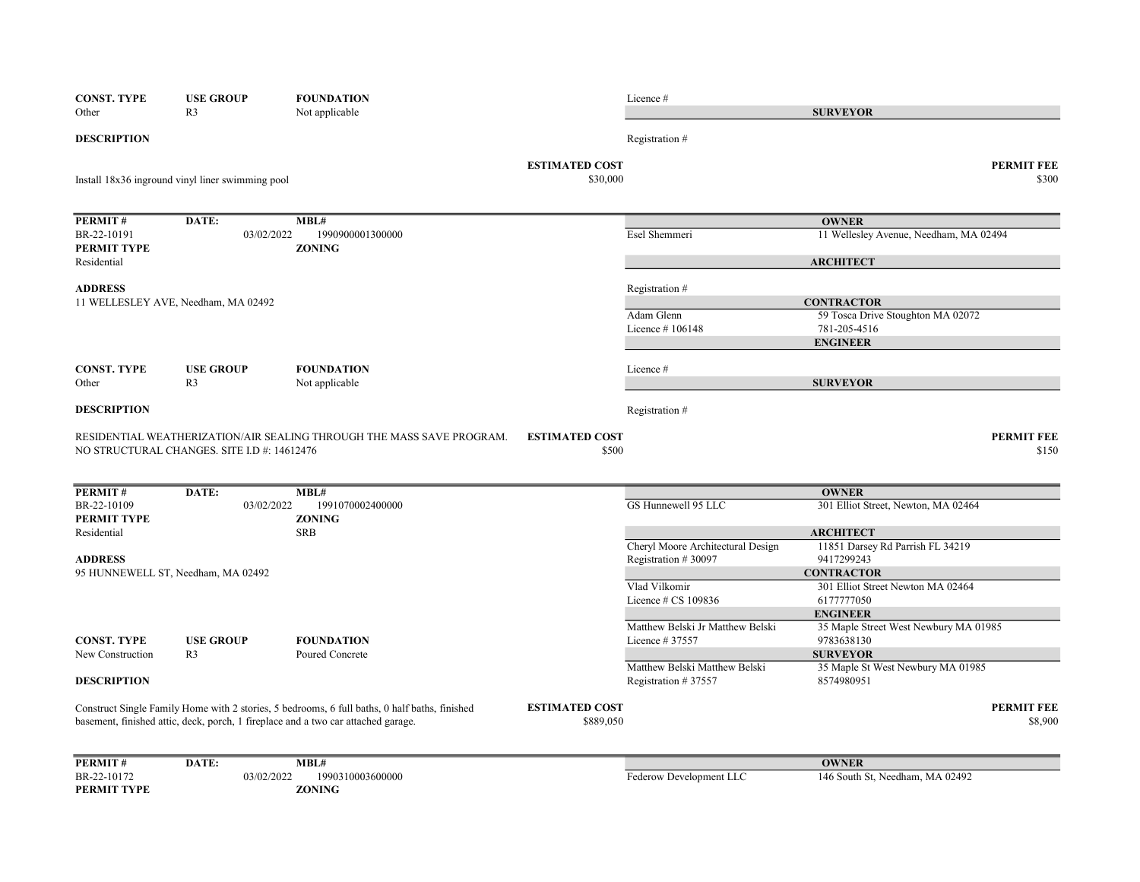| <b>CONST. TYPE</b>     | <b>USE GROUP</b>                                 | <b>FOUNDATION</b>                                                                             |                       | Licence#                          |                                                        |
|------------------------|--------------------------------------------------|-----------------------------------------------------------------------------------------------|-----------------------|-----------------------------------|--------------------------------------------------------|
| Other                  | R <sub>3</sub>                                   | Not applicable                                                                                |                       |                                   | <b>SURVEYOR</b>                                        |
| <b>DESCRIPTION</b>     |                                                  |                                                                                               |                       | Registration #                    |                                                        |
|                        |                                                  |                                                                                               | <b>ESTIMATED COST</b> |                                   | <b>PERMIT FEE</b>                                      |
|                        | Install 18x36 inground vinyl liner swimming pool |                                                                                               | \$30,000              |                                   | \$300                                                  |
|                        | DATE:                                            |                                                                                               |                       |                                   |                                                        |
| PERMIT#<br>BR-22-10191 | 03/02/2022                                       | MBL#<br>1990900001300000                                                                      |                       | Esel Shemmeri                     | <b>OWNER</b><br>11 Wellesley Avenue, Needham, MA 02494 |
| PERMIT TYPE            |                                                  | <b>ZONING</b>                                                                                 |                       |                                   |                                                        |
| Residential            |                                                  |                                                                                               |                       |                                   | <b>ARCHITECT</b>                                       |
| <b>ADDRESS</b>         |                                                  |                                                                                               |                       | Registration #                    |                                                        |
|                        | 11 WELLESLEY AVE, Needham, MA 02492              |                                                                                               |                       |                                   | <b>CONTRACTOR</b>                                      |
|                        |                                                  |                                                                                               |                       | Adam Glenn                        | 59 Tosca Drive Stoughton MA 02072                      |
|                        |                                                  |                                                                                               |                       | Licence #106148                   | 781-205-4516                                           |
|                        |                                                  |                                                                                               |                       |                                   | <b>ENGINEER</b>                                        |
| <b>CONST. TYPE</b>     | <b>USE GROUP</b>                                 | <b>FOUNDATION</b>                                                                             |                       | Licence #                         |                                                        |
| Other                  | R <sub>3</sub>                                   | Not applicable                                                                                |                       |                                   | <b>SURVEYOR</b>                                        |
| <b>DESCRIPTION</b>     |                                                  |                                                                                               |                       | Registration #                    |                                                        |
|                        |                                                  | RESIDENTIAL WEATHERIZATION/AIR SEALING THROUGH THE MASS SAVE PROGRAM.                         | <b>ESTIMATED COST</b> |                                   | <b>PERMIT FEE</b>                                      |
|                        | NO STRUCTURAL CHANGES. SITE I.D #: 14612476      |                                                                                               | \$500                 |                                   | \$150                                                  |
|                        |                                                  |                                                                                               |                       |                                   |                                                        |
| PERMIT#                | DATE:                                            | MBL#                                                                                          |                       |                                   | <b>OWNER</b>                                           |
| BR-22-10109            | 03/02/2022                                       | 1991070002400000                                                                              |                       | GS Hunnewell 95 LLC               | 301 Elliot Street, Newton, MA 02464                    |
| PERMIT TYPE            |                                                  | <b>ZONING</b>                                                                                 |                       |                                   |                                                        |
| Residential            |                                                  | <b>SRB</b>                                                                                    |                       |                                   | <b>ARCHITECT</b>                                       |
|                        |                                                  |                                                                                               |                       | Cheryl Moore Architectural Design | 11851 Darsey Rd Parrish FL 34219                       |
| <b>ADDRESS</b>         |                                                  |                                                                                               |                       | Registration #30097               | 9417299243                                             |
|                        | 95 HUNNEWELL ST, Needham, MA 02492               |                                                                                               |                       |                                   | <b>CONTRACTOR</b>                                      |
|                        |                                                  |                                                                                               |                       | Vlad Vilkomir                     | 301 Elliot Street Newton MA 02464                      |
|                        |                                                  |                                                                                               |                       | Licence $\#$ CS 109836            | 6177777050<br><b>ENGINEER</b>                          |
|                        |                                                  |                                                                                               |                       | Matthew Belski Jr Matthew Belski  | 35 Maple Street West Newbury MA 01985                  |
| <b>CONST. TYPE</b>     | <b>USE GROUP</b>                                 | <b>FOUNDATION</b>                                                                             |                       | Licence # 37557                   | 9783638130                                             |
| New Construction       | R <sub>3</sub>                                   | Poured Concrete                                                                               |                       |                                   | <b>SURVEYOR</b>                                        |
|                        |                                                  |                                                                                               |                       | Matthew Belski Matthew Belski     | 35 Maple St West Newbury MA 01985                      |
| <b>DESCRIPTION</b>     |                                                  |                                                                                               |                       | Registration # 37557              | 8574980951                                             |
|                        |                                                  | Construct Single Family Home with 2 stories, 5 bedrooms, 6 full baths, 0 half baths, finished | <b>ESTIMATED COST</b> |                                   | <b>PERMIT FEE</b>                                      |
|                        |                                                  | basement, finished attic, deck, porch, 1 fireplace and a two car attached garage.             | \$889,050             |                                   | \$8,900                                                |
| PERMIT#                | DATE:                                            | MBL#                                                                                          |                       |                                   | <b>OWNER</b>                                           |
| BR-22-10172            | 03/02/2022                                       | 1990310003600000                                                                              |                       | Federow Development LLC           | 146 South St, Needham, MA 02492                        |
| PERMIT TYPE            |                                                  | <b>ZONING</b>                                                                                 |                       |                                   |                                                        |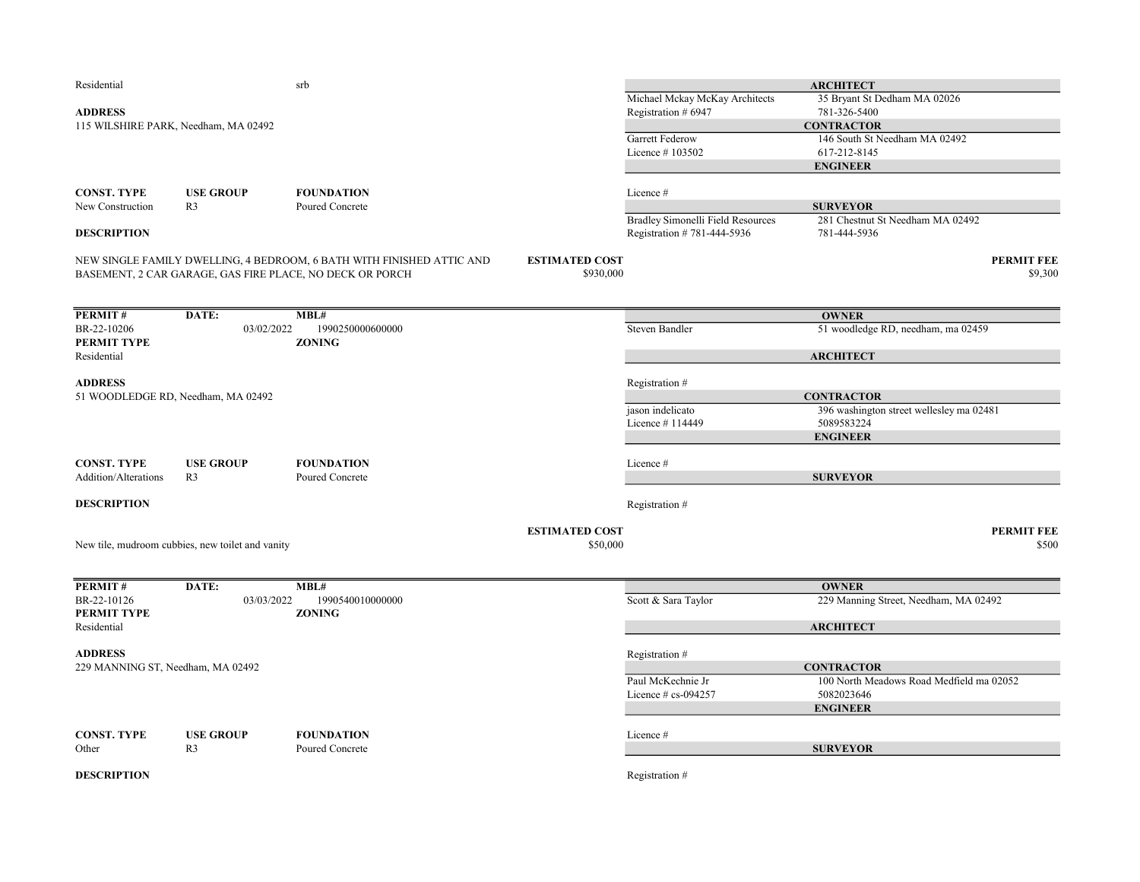| Residential                       |                                                  | srb                                                                   |                       |                                     | <b>ARCHITECT</b>                                              |
|-----------------------------------|--------------------------------------------------|-----------------------------------------------------------------------|-----------------------|-------------------------------------|---------------------------------------------------------------|
|                                   |                                                  |                                                                       |                       | Michael Mckay McKay Architects      | 35 Bryant St Dedham MA 02026                                  |
| <b>ADDRESS</b>                    |                                                  |                                                                       |                       | Registration # 6947                 | 781-326-5400                                                  |
|                                   | 115 WILSHIRE PARK, Needham, MA 02492             |                                                                       |                       |                                     | <b>CONTRACTOR</b>                                             |
|                                   |                                                  |                                                                       |                       | Garrett Federow                     | 146 South St Needham MA 02492                                 |
|                                   |                                                  |                                                                       |                       | Licence #103502                     | 617-212-8145                                                  |
|                                   |                                                  |                                                                       |                       |                                     | <b>ENGINEER</b>                                               |
| <b>CONST. TYPE</b>                | <b>USE GROUP</b>                                 | <b>FOUNDATION</b>                                                     |                       | Licence #                           |                                                               |
| New Construction                  | R <sub>3</sub>                                   | Poured Concrete                                                       |                       |                                     | <b>SURVEYOR</b>                                               |
|                                   |                                                  |                                                                       |                       | Bradley Simonelli Field Resources   | 281 Chestnut St Needham MA 02492                              |
| <b>DESCRIPTION</b>                |                                                  |                                                                       |                       | Registration #781-444-5936          | 781-444-5936                                                  |
|                                   |                                                  | NEW SINGLE FAMILY DWELLING, 4 BEDROOM, 6 BATH WITH FINISHED ATTIC AND | <b>ESTIMATED COST</b> |                                     | <b>PERMIT FEE</b>                                             |
|                                   |                                                  | BASEMENT, 2 CAR GARAGE, GAS FIRE PLACE, NO DECK OR PORCH              | \$930,000             |                                     | \$9,300                                                       |
|                                   |                                                  |                                                                       |                       |                                     |                                                               |
| PERMIT#                           | DATE:                                            | MBL#                                                                  |                       |                                     | <b>OWNER</b>                                                  |
| BR-22-10206<br>PERMIT TYPE        | 03/02/2022                                       | 1990250000600000<br><b>ZONING</b>                                     |                       | <b>Steven Bandler</b>               | 51 woodledge RD, needham, ma 02459                            |
| Residential                       |                                                  |                                                                       |                       |                                     | <b>ARCHITECT</b>                                              |
|                                   |                                                  |                                                                       |                       |                                     |                                                               |
| <b>ADDRESS</b>                    |                                                  |                                                                       |                       | Registration #                      |                                                               |
|                                   | 51 WOODLEDGE RD, Needham, MA 02492               |                                                                       |                       |                                     | <b>CONTRACTOR</b><br>396 washington street wellesley ma 02481 |
|                                   |                                                  |                                                                       |                       | jason indelicato<br>Licence #114449 | 5089583224                                                    |
|                                   |                                                  |                                                                       |                       |                                     | <b>ENGINEER</b>                                               |
|                                   |                                                  |                                                                       |                       |                                     |                                                               |
| <b>CONST. TYPE</b>                | <b>USE GROUP</b>                                 | <b>FOUNDATION</b>                                                     |                       | Licence #                           |                                                               |
| Addition/Alterations              | R <sub>3</sub>                                   | Poured Concrete                                                       |                       |                                     | <b>SURVEYOR</b>                                               |
| <b>DESCRIPTION</b>                |                                                  |                                                                       |                       | Registration #                      |                                                               |
|                                   |                                                  |                                                                       |                       |                                     |                                                               |
|                                   |                                                  |                                                                       | <b>ESTIMATED COST</b> |                                     | <b>PERMIT FEE</b>                                             |
|                                   | New tile, mudroom cubbies, new toilet and vanity |                                                                       | \$50,000              |                                     | \$500                                                         |
|                                   |                                                  |                                                                       |                       |                                     |                                                               |
| PERMIT#                           | DATE:                                            | MBL#                                                                  |                       |                                     | <b>OWNER</b>                                                  |
| BR-22-10126                       | 03/03/2022                                       | 1990540010000000                                                      |                       | Scott & Sara Taylor                 | 229 Manning Street, Needham, MA 02492                         |
| PERMIT TYPE                       |                                                  | <b>ZONING</b>                                                         |                       |                                     |                                                               |
| Residential                       |                                                  |                                                                       |                       |                                     | <b>ARCHITECT</b>                                              |
| <b>ADDRESS</b>                    |                                                  |                                                                       |                       | Registration #                      |                                                               |
| 229 MANNING ST, Needham, MA 02492 |                                                  |                                                                       |                       |                                     | <b>CONTRACTOR</b>                                             |
|                                   |                                                  |                                                                       |                       | Paul McKechnie Jr                   | 100 North Meadows Road Medfield ma 02052                      |
|                                   |                                                  |                                                                       |                       | Licence $\#$ cs-094257              | 5082023646                                                    |
|                                   |                                                  |                                                                       |                       |                                     | <b>ENGINEER</b>                                               |
| <b>CONST. TYPE</b>                | <b>USE GROUP</b>                                 | <b>FOUNDATION</b>                                                     |                       | Licence #                           |                                                               |
| Other                             | R <sub>3</sub>                                   | Poured Concrete                                                       |                       |                                     | <b>SURVEYOR</b>                                               |
|                                   |                                                  |                                                                       |                       |                                     |                                                               |
| <b>DESCRIPTION</b>                |                                                  |                                                                       |                       | Registration #                      |                                                               |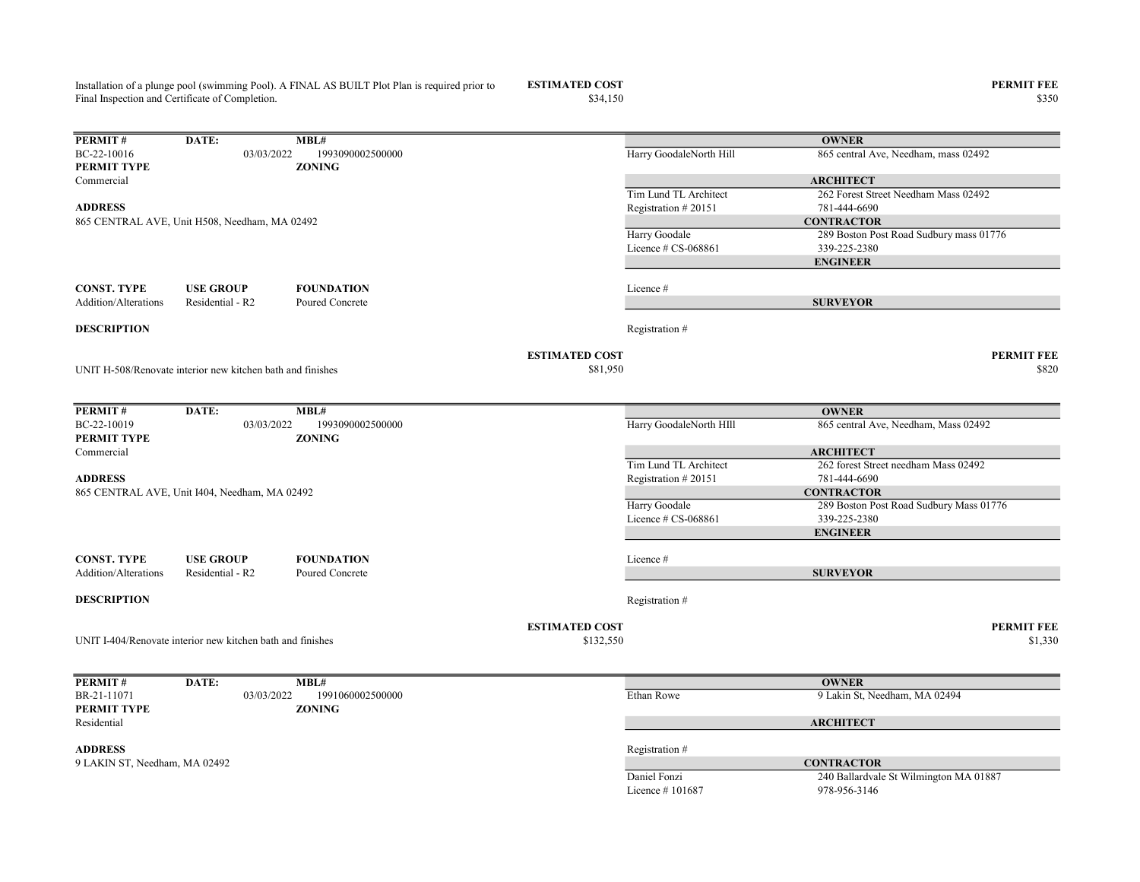Installation of a plunge pool (swimming Pool). A FINAL AS BUILT Plot Plan is required prior to Final Inspection and Certificate of Completion.

ESTIMATED COST PERMIT FEE<br>  $$34,150$  8350

| PERMIT#                       | DATE:                                                      | MBL#                              |                       |                         | <b>OWNER</b>                                             |
|-------------------------------|------------------------------------------------------------|-----------------------------------|-----------------------|-------------------------|----------------------------------------------------------|
| BC-22-10016                   | 03/03/2022                                                 | 1993090002500000                  |                       | Harry GoodaleNorth Hill | 865 central Ave, Needham, mass 02492                     |
| PERMIT TYPE                   |                                                            | <b>ZONING</b>                     |                       |                         |                                                          |
| Commercial                    |                                                            |                                   |                       | Tim Lund TL Architect   | <b>ARCHITECT</b><br>262 Forest Street Needham Mass 02492 |
| <b>ADDRESS</b>                |                                                            |                                   |                       | Registration #20151     | 781-444-6690                                             |
|                               | 865 CENTRAL AVE, Unit H508, Needham, MA 02492              |                                   |                       |                         | <b>CONTRACTOR</b>                                        |
|                               |                                                            |                                   |                       | Harry Goodale           | 289 Boston Post Road Sudbury mass 01776                  |
|                               |                                                            |                                   |                       | Licence $\#$ CS-068861  | 339-225-2380                                             |
|                               |                                                            |                                   |                       |                         | <b>ENGINEER</b>                                          |
| <b>CONST. TYPE</b>            | <b>USE GROUP</b>                                           | <b>FOUNDATION</b>                 |                       | Licence #               |                                                          |
| Addition/Alterations          | Residential - R2                                           | Poured Concrete                   |                       |                         | <b>SURVEYOR</b>                                          |
|                               |                                                            |                                   |                       |                         |                                                          |
| <b>DESCRIPTION</b>            |                                                            |                                   |                       | Registration #          |                                                          |
|                               |                                                            |                                   | <b>ESTIMATED COST</b> |                         | <b>PERMIT FEE</b>                                        |
|                               | UNIT H-508/Renovate interior new kitchen bath and finishes |                                   | \$81,950              |                         | \$820                                                    |
|                               |                                                            |                                   |                       |                         |                                                          |
| PERMIT#                       | DATE:                                                      | MBL#                              |                       |                         | <b>OWNER</b>                                             |
| BC-22-10019<br>PERMIT TYPE    | 03/03/2022                                                 | 1993090002500000<br><b>ZONING</b> |                       | Harry GoodaleNorth HIII | 865 central Ave, Needham, Mass 02492                     |
| Commercial                    |                                                            |                                   |                       |                         | <b>ARCHITECT</b>                                         |
|                               |                                                            |                                   |                       | Tim Lund TL Architect   | 262 forest Street needham Mass 02492                     |
| <b>ADDRESS</b>                |                                                            |                                   |                       | Registration #20151     | 781-444-6690                                             |
|                               | 865 CENTRAL AVE, Unit I404, Needham, MA 02492              |                                   |                       |                         | <b>CONTRACTOR</b>                                        |
|                               |                                                            |                                   |                       | Harry Goodale           | 289 Boston Post Road Sudbury Mass 01776                  |
|                               |                                                            |                                   |                       | Licence $# CS-068861$   | 339-225-2380                                             |
|                               |                                                            |                                   |                       |                         | <b>ENGINEER</b>                                          |
| <b>CONST. TYPE</b>            | <b>USE GROUP</b>                                           | <b>FOUNDATION</b>                 |                       | Licence#                |                                                          |
| Addition/Alterations          | Residential - R2                                           | Poured Concrete                   |                       |                         | <b>SURVEYOR</b>                                          |
| <b>DESCRIPTION</b>            |                                                            |                                   |                       | Registration #          |                                                          |
|                               |                                                            |                                   | <b>ESTIMATED COST</b> |                         | <b>PERMIT FEE</b>                                        |
|                               | UNIT I-404/Renovate interior new kitchen bath and finishes |                                   | \$132,550             |                         | \$1,330                                                  |
|                               |                                                            |                                   |                       |                         |                                                          |
| PERMIT#                       | DATE:                                                      | MBL#                              |                       |                         | <b>OWNER</b>                                             |
| BR-21-11071                   | 03/03/2022                                                 | 1991060002500000                  |                       | Ethan Rowe              | 9 Lakin St, Needham, MA 02494                            |
| PERMIT TYPE                   |                                                            | <b>ZONING</b>                     |                       |                         |                                                          |
| Residential                   |                                                            |                                   |                       |                         | <b>ARCHITECT</b>                                         |
| <b>ADDRESS</b>                |                                                            |                                   |                       | Registration #          |                                                          |
| 9 LAKIN ST, Needham, MA 02492 |                                                            |                                   |                       |                         | <b>CONTRACTOR</b>                                        |
|                               |                                                            |                                   |                       | Daniel Fonzi            | 240 Ballardvale St Wilmington MA 01887                   |

Licence # 101687 978-956-3146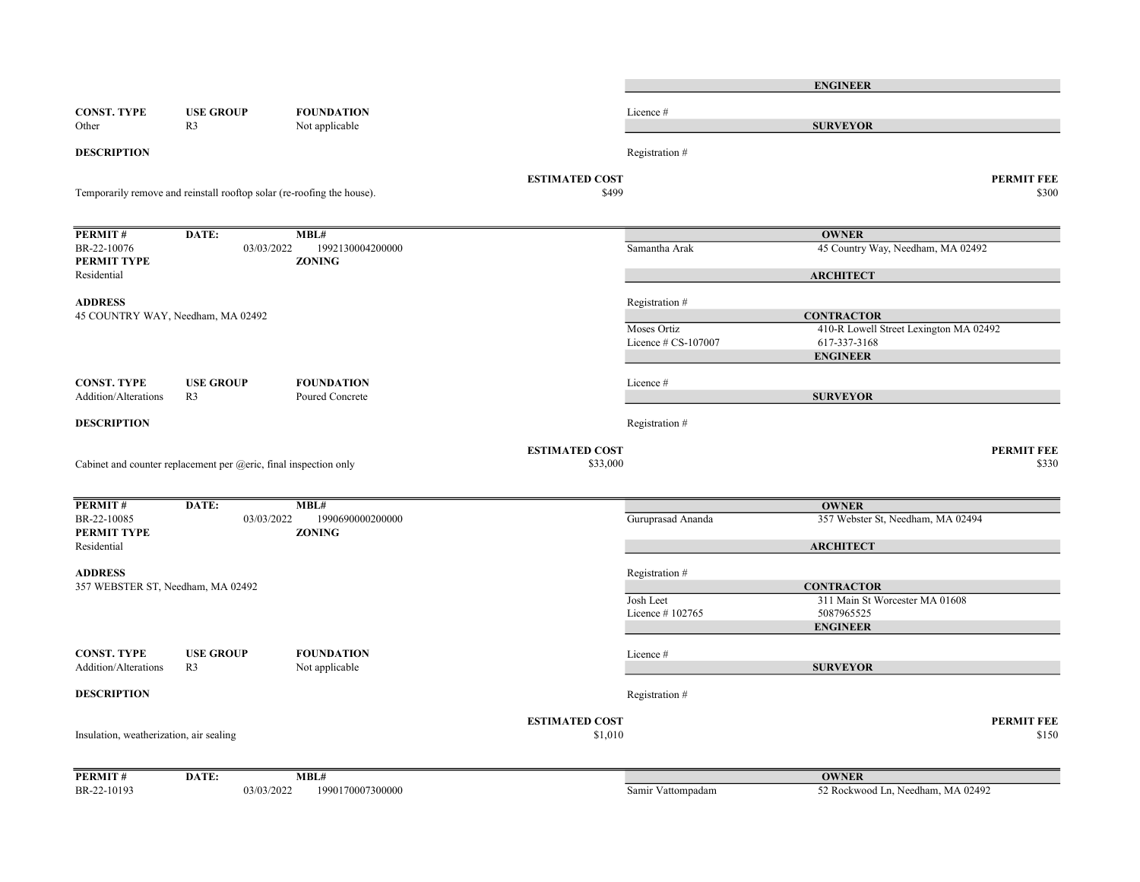|                                                                    |                                                                        |                                     |                                   | <b>ENGINEER</b>                        |
|--------------------------------------------------------------------|------------------------------------------------------------------------|-------------------------------------|-----------------------------------|----------------------------------------|
| <b>CONST. TYPE</b><br>Other                                        | <b>USE GROUP</b><br>R <sub>3</sub>                                     | <b>FOUNDATION</b><br>Not applicable | Licence #                         | <b>SURVEYOR</b>                        |
| <b>DESCRIPTION</b>                                                 |                                                                        |                                     | Registration #                    |                                        |
|                                                                    |                                                                        |                                     | <b>ESTIMATED COST</b>             | <b>PERMIT FEE</b>                      |
|                                                                    | Temporarily remove and reinstall rooftop solar (re-roofing the house). |                                     | \$499                             | \$300                                  |
| PERMIT#                                                            | DATE:                                                                  | MBL#                                |                                   | <b>OWNER</b>                           |
| BR-22-10076<br>PERMIT TYPE                                         | 03/03/2022                                                             | 1992130004200000<br><b>ZONING</b>   | Samantha Arak                     | 45 Country Way, Needham, MA 02492      |
| Residential                                                        |                                                                        |                                     |                                   | <b>ARCHITECT</b>                       |
| <b>ADDRESS</b>                                                     | 45 COUNTRY WAY, Needham, MA 02492                                      |                                     | Registration #                    | <b>CONTRACTOR</b>                      |
|                                                                    |                                                                        |                                     | Moses Ortiz                       | 410-R Lowell Street Lexington MA 02492 |
|                                                                    |                                                                        |                                     | Licence # CS-107007               | 617-337-3168                           |
|                                                                    |                                                                        |                                     |                                   | <b>ENGINEER</b>                        |
| <b>CONST. TYPE</b>                                                 | <b>USE GROUP</b>                                                       | <b>FOUNDATION</b>                   | Licence #                         |                                        |
| Addition/Alterations                                               | R <sub>3</sub>                                                         | Poured Concrete                     |                                   | <b>SURVEYOR</b>                        |
| <b>DESCRIPTION</b>                                                 |                                                                        |                                     | Registration #                    |                                        |
|                                                                    | Cabinet and counter replacement per $@$ eric, final inspection only    |                                     | <b>ESTIMATED COST</b><br>\$33,000 | <b>PERMIT FEE</b><br>\$330             |
| PERMIT#                                                            | DATE:                                                                  | MBL#                                |                                   | <b>OWNER</b>                           |
| BR-22-10085<br>PERMIT TYPE                                         | 03/03/2022                                                             | 1990690000200000<br><b>ZONING</b>   | Guruprasad Ananda                 | 357 Webster St, Needham, MA 02494      |
|                                                                    |                                                                        |                                     |                                   |                                        |
|                                                                    |                                                                        |                                     |                                   | <b>ARCHITECT</b>                       |
|                                                                    |                                                                        |                                     | Registration #                    |                                        |
|                                                                    |                                                                        |                                     |                                   | <b>CONTRACTOR</b>                      |
| Residential<br><b>ADDRESS</b><br>357 WEBSTER ST, Needham, MA 02492 |                                                                        |                                     | Josh Leet                         | 311 Main St Worcester MA 01608         |
|                                                                    |                                                                        |                                     | Licence #102765                   | 5087965525<br><b>ENGINEER</b>          |
|                                                                    |                                                                        |                                     |                                   |                                        |
|                                                                    | <b>USE GROUP</b><br>R <sub>3</sub>                                     | <b>FOUNDATION</b><br>Not applicable | Licence #                         | <b>SURVEYOR</b>                        |
| <b>CONST. TYPE</b><br>Addition/Alterations<br><b>DESCRIPTION</b>   |                                                                        |                                     | Registration #                    |                                        |
|                                                                    |                                                                        |                                     |                                   |                                        |
|                                                                    |                                                                        |                                     | <b>ESTIMATED COST</b><br>\$1,010  | <b>PERMIT FEE</b><br>\$150             |
| Insulation, weatherization, air sealing<br>PERMIT#                 | DATE:                                                                  | MBL#                                |                                   | <b>OWNER</b>                           |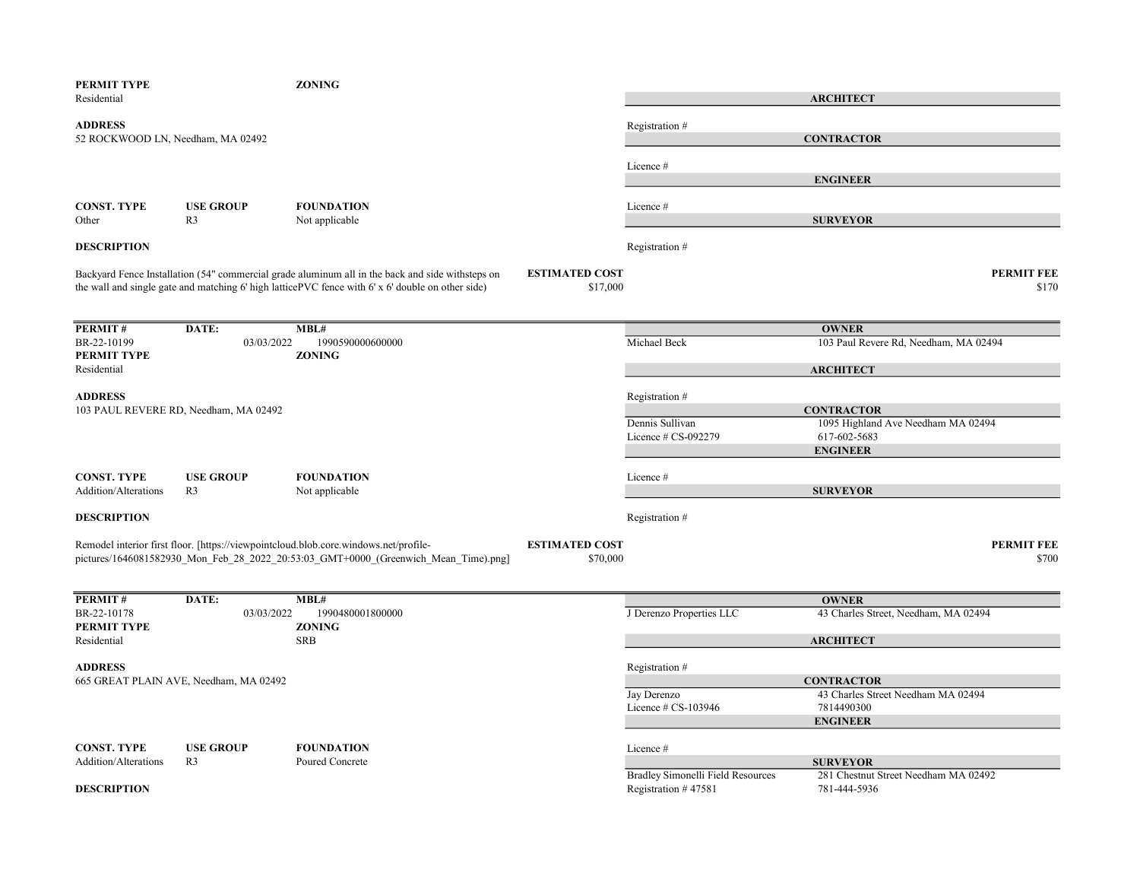| PERMIT TYPE<br>Residential                          |                                        | <b>ZONING</b>                                                                                                                                                                                         |                                   |                                                          | <b>ARCHITECT</b>                                                                           |
|-----------------------------------------------------|----------------------------------------|-------------------------------------------------------------------------------------------------------------------------------------------------------------------------------------------------------|-----------------------------------|----------------------------------------------------------|--------------------------------------------------------------------------------------------|
| <b>ADDRESS</b><br>52 ROCKWOOD LN, Needham, MA 02492 |                                        |                                                                                                                                                                                                       |                                   | Registration #                                           | <b>CONTRACTOR</b>                                                                          |
|                                                     |                                        |                                                                                                                                                                                                       |                                   | Licence#                                                 | <b>ENGINEER</b>                                                                            |
| <b>CONST. TYPE</b><br>Other                         | <b>USE GROUP</b><br>R <sub>3</sub>     | <b>FOUNDATION</b><br>Not applicable                                                                                                                                                                   |                                   | Licence #                                                | <b>SURVEYOR</b>                                                                            |
| <b>DESCRIPTION</b>                                  |                                        |                                                                                                                                                                                                       |                                   | Registration#                                            |                                                                                            |
|                                                     |                                        | Backyard Fence Installation (54" commercial grade aluminum all in the back and side withsteps on<br>the wall and single gate and matching 6' high latticePVC fence with 6' x 6' double on other side) | <b>ESTIMATED COST</b><br>\$17,000 |                                                          | <b>PERMIT FEE</b><br>\$170                                                                 |
| PERMIT#                                             | DATE:                                  | MBL#                                                                                                                                                                                                  |                                   |                                                          | <b>OWNER</b>                                                                               |
| BR-22-10199<br>PERMIT TYPE<br>Residential           | 03/03/2022                             | 1990590000600000<br><b>ZONING</b>                                                                                                                                                                     |                                   | Michael Beck                                             | 103 Paul Revere Rd, Needham, MA 02494<br><b>ARCHITECT</b>                                  |
| <b>ADDRESS</b>                                      |                                        |                                                                                                                                                                                                       |                                   | Registration #                                           |                                                                                            |
|                                                     | 103 PAUL REVERE RD, Needham, MA 02492  |                                                                                                                                                                                                       |                                   | Dennis Sullivan<br>Licence # CS-092279                   | <b>CONTRACTOR</b><br>1095 Highland Ave Needham MA 02494<br>617-602-5683<br><b>ENGINEER</b> |
| <b>CONST. TYPE</b><br><b>Addition/Alterations</b>   | <b>USE GROUP</b><br>R3                 | <b>FOUNDATION</b><br>Not applicable                                                                                                                                                                   |                                   | Licence#                                                 | <b>SURVEYOR</b>                                                                            |
| <b>DESCRIPTION</b>                                  |                                        |                                                                                                                                                                                                       |                                   | Registration #                                           |                                                                                            |
|                                                     |                                        | Remodel interior first floor. [https://viewpointcloud.blob.core.windows.net/profile-<br>pictures/1646081582930 Mon Feb 28 2022 20:53:03 GMT+0000 (Greenwich Mean Time).png]                           | <b>ESTIMATED COST</b><br>\$70,000 |                                                          | <b>PERMIT FEE</b><br>\$700                                                                 |
| PERMIT#                                             | DATE:                                  | MBL#                                                                                                                                                                                                  |                                   |                                                          | <b>OWNER</b>                                                                               |
| BR-22-10178<br>PERMIT TYPE                          | 03/03/2022                             | 1990480001800000<br><b>ZONING</b>                                                                                                                                                                     |                                   | J Derenzo Properties LLC                                 | 43 Charles Street, Needham, MA 02494                                                       |
| Residential                                         |                                        | <b>SRB</b>                                                                                                                                                                                            |                                   |                                                          | <b>ARCHITECT</b>                                                                           |
| <b>ADDRESS</b>                                      | 665 GREAT PLAIN AVE, Needham, MA 02492 |                                                                                                                                                                                                       |                                   | Registration #<br>Jay Derenzo<br>Licence $\#$ CS-103946  | <b>CONTRACTOR</b><br>43 Charles Street Needham MA 02494<br>7814490300                      |
| <b>CONST. TYPE</b>                                  | <b>USE GROUP</b>                       | <b>FOUNDATION</b>                                                                                                                                                                                     |                                   | Licence #                                                | <b>ENGINEER</b>                                                                            |
| Addition/Alterations<br><b>DESCRIPTION</b>          | R <sub>3</sub>                         | Poured Concrete                                                                                                                                                                                       |                                   | Bradley Simonelli Field Resources<br>Registration #47581 | <b>SURVEYOR</b><br>281 Chestnut Street Needham MA 02492<br>781-444-5936                    |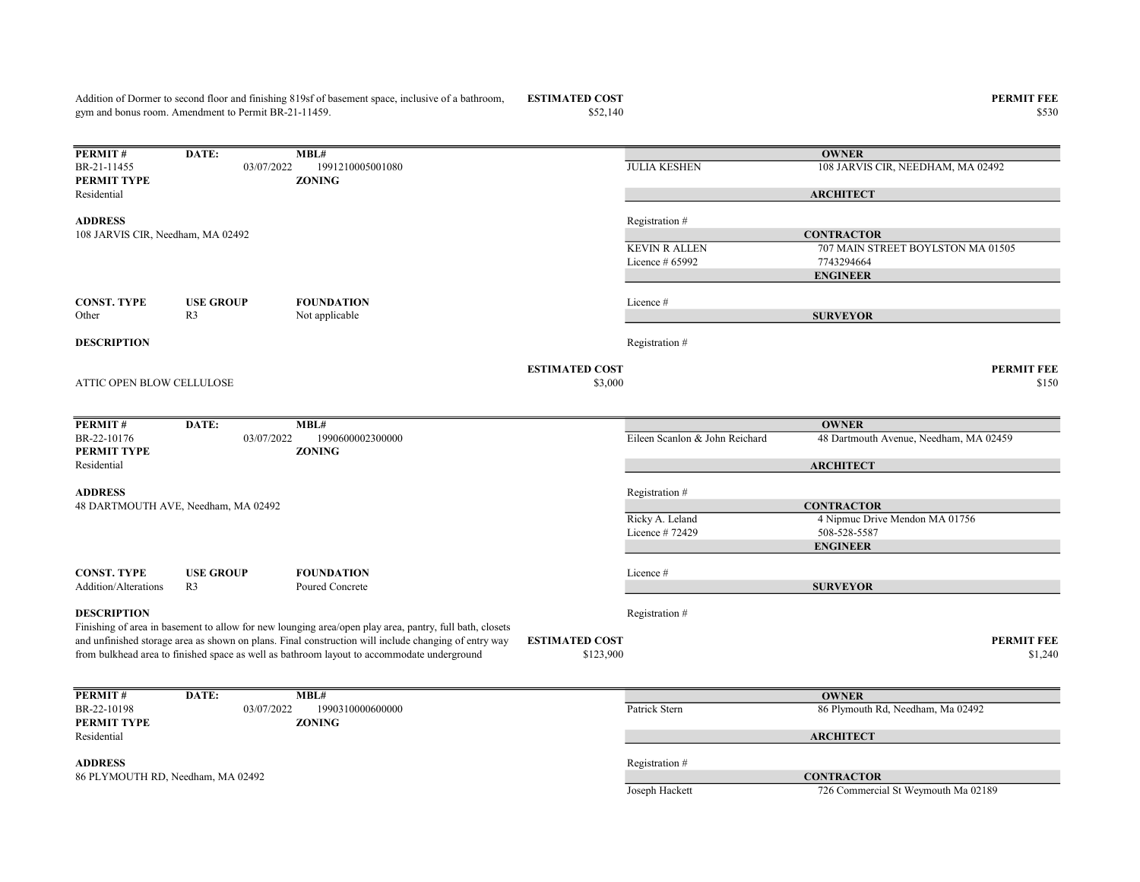$$52,140$  \$530 **PERMIT #** DATE: MBL#<br>BR-21-11455 03/07/2022 1991210005001080 03/07/2022 1991210005001080 JULIA KESHEN 108 JARVIS CIR, NEEDHAM, MA 02492 PERMIT TYPE ZONING Residential ADDRESS Registration # KEVIN R ALLEN 707 MAIN STREET BOYLSTON MA 01505 Licence # 65992 7743294664 CONST. TYPE USE GROUP FOUNDATION Licence # Other R3 Not applicable **DESCRIPTION** Registration  $#$ ESTIMATED COST PERMIT FEE  $\$3,000$   $\$150$ **PERMIT # DATE:** MBL#<br>BR-22-10176 03/07/2022 1990600002300000 03/07/2022 1990600002300000 Eileen Scanlon & John Reichard 48 Dartmouth Avenue, Needham, MA 02459 PERMIT TYPE ZONING Residential ADDRESS Registration # Ricky A. Leland 4 Nipmuc Drive Mendon MA 01756 Licence # 72429 508-528-5587 CONST. TYPE USE GROUP FOUNDATION Licence # Addition/Alterations R3 Poured Concrete **DESCRIPTION** Registration  $#$ ESTIMATED COST PERMIT FEE  $$1,240$   $$1,240$ **PERMIT #** DATE: **MBL#**<br>BR-22-10198 03/07/2022 1990310000600000 1990310000600000 Patrick Stern 86 Plymouth Rd, Needham, Ma 02492<br> **Patrick Stern 86 Plymouth Rd, Needham, Ma 02492** PERMIT TYPE Residential ADDRESS Registration # Joseph Hackett 726 Commercial St Weymouth Ma 02189 ATTIC OPEN BLOW CELLULOSE **OWNER ARCHITECT CONTRACTOR** ENGINEER SURVEYOR 48 DARTMOUTH AVE, Needham, MA 02492 gym and bonus room. Amendment to Permit BR-21-11459. **OWNER** ARCHITECT **CONTRACTOR** ENGINEER SURVEYOR 108 JARVIS CIR, Needham, MA 02492 Finishing of area in basement to allow for new lounging area/open play area, pantry, full bath, closets and unfinished storage area as shown on plans. Final construction will include changing of entry way from bulkhead area to finished space as well as bathroom layout to accommodate underground **OWNER ARCHITECT** 86 PLYMOUTH RD, Needham, MA 02492 CONTRACTOR

Addition of Dormer to second floor and finishing 819sf of basement space, inclusive of a bathroom,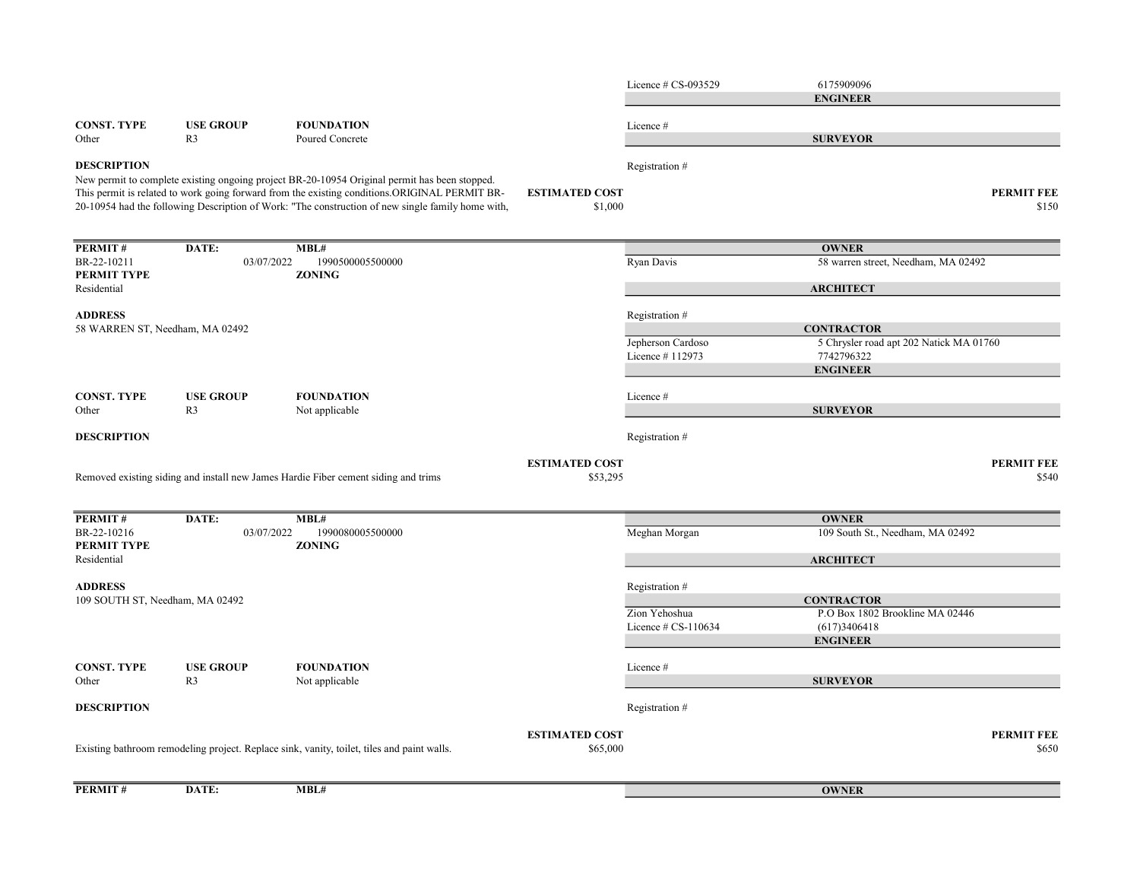| <b>PERMIT#</b>                                    | DATE:                              | MBL#                                                                                                                                                                                                       |                                   |                                         | <b>OWNER</b>                                                 |                            |
|---------------------------------------------------|------------------------------------|------------------------------------------------------------------------------------------------------------------------------------------------------------------------------------------------------------|-----------------------------------|-----------------------------------------|--------------------------------------------------------------|----------------------------|
|                                                   |                                    | Existing bathroom remodeling project. Replace sink, vanity, toilet, tiles and paint walls.                                                                                                                 | <b>ESTIMATED COST</b><br>\$65,000 |                                         |                                                              | <b>PERMIT FEE</b><br>\$650 |
| <b>DESCRIPTION</b>                                |                                    |                                                                                                                                                                                                            |                                   | Registration #                          |                                                              |                            |
| Other                                             | R <sub>3</sub>                     | Not applicable                                                                                                                                                                                             |                                   |                                         | <b>SURVEYOR</b>                                              |                            |
| <b>CONST. TYPE</b>                                | <b>USE GROUP</b>                   | <b>FOUNDATION</b>                                                                                                                                                                                          |                                   | Licence#                                |                                                              |                            |
|                                                   |                                    |                                                                                                                                                                                                            |                                   |                                         | <b>ENGINEER</b>                                              |                            |
|                                                   |                                    |                                                                                                                                                                                                            |                                   | Zion Yehoshua<br>Licence $\#$ CS-110634 | P.O Box 1802 Brookline MA 02446<br>(617)3406418              |                            |
| <b>ADDRESS</b><br>109 SOUTH ST, Needham, MA 02492 |                                    |                                                                                                                                                                                                            |                                   | Registration#                           | <b>CONTRACTOR</b>                                            |                            |
|                                                   |                                    |                                                                                                                                                                                                            |                                   |                                         | <b>ARCHITECT</b>                                             |                            |
| PERMIT TYPE<br>Residential                        |                                    | <b>ZONING</b>                                                                                                                                                                                              |                                   |                                         |                                                              |                            |
| PERMIT#<br>BR-22-10216                            | DATE:<br>03/07/2022                | MBL#<br>1990080005500000                                                                                                                                                                                   |                                   | Meghan Morgan                           | <b>OWNER</b><br>109 South St., Needham, MA 02492             |                            |
|                                                   |                                    | Removed existing siding and install new James Hardie Fiber cement siding and trims                                                                                                                         | <b>ESTIMATED COST</b><br>\$53,295 |                                         |                                                              | <b>PERMIT FEE</b><br>\$540 |
|                                                   |                                    |                                                                                                                                                                                                            |                                   |                                         |                                                              |                            |
| <b>DESCRIPTION</b>                                |                                    |                                                                                                                                                                                                            |                                   | Registration #                          |                                                              |                            |
| <b>CONST. TYPE</b><br>Other                       | <b>USE GROUP</b><br>R <sub>3</sub> | <b>FOUNDATION</b><br>Not applicable                                                                                                                                                                        |                                   | Licence#                                | <b>SURVEYOR</b>                                              |                            |
|                                                   |                                    |                                                                                                                                                                                                            |                                   |                                         | <b>ENGINEER</b>                                              |                            |
|                                                   |                                    |                                                                                                                                                                                                            |                                   | Licence #112973                         | 7742796322                                                   |                            |
| 58 WARREN ST, Needham, MA 02492                   |                                    |                                                                                                                                                                                                            |                                   | Jepherson Cardoso                       | <b>CONTRACTOR</b><br>5 Chrysler road apt 202 Natick MA 01760 |                            |
| <b>ADDRESS</b>                                    |                                    |                                                                                                                                                                                                            |                                   | Registration #                          |                                                              |                            |
| PERMIT TYPE<br>Residential                        |                                    | <b>ZONING</b>                                                                                                                                                                                              |                                   |                                         | <b>ARCHITECT</b>                                             |                            |
| PERMIT#<br>BR-22-10211                            | 03/07/2022                         | 1990500005500000                                                                                                                                                                                           |                                   | Ryan Davis                              | <b>OWNER</b><br>58 warren street, Needham, MA 02492          |                            |
|                                                   | DATE:                              | This permit is related to work going forward from the existing conditions.ORIGINAL PERMIT BR-<br>20-10954 had the following Description of Work: "The construction of new single family home with,<br>MBL# | <b>ESTIMATED COST</b><br>\$1,000  |                                         |                                                              | <b>PERMIT FEE</b><br>\$150 |
| <b>DESCRIPTION</b>                                |                                    | New permit to complete existing ongoing project BR-20-10954 Original permit has been stopped.                                                                                                              |                                   | Registration #                          |                                                              |                            |
| Other                                             | R <sub>3</sub>                     | Poured Concrete                                                                                                                                                                                            |                                   |                                         | <b>SURVEYOR</b>                                              |                            |
| <b>CONST. TYPE</b>                                | <b>USE GROUP</b>                   | <b>FOUNDATION</b>                                                                                                                                                                                          |                                   | Licence#                                |                                                              |                            |
|                                                   |                                    |                                                                                                                                                                                                            |                                   | Licence $# CS-093529$                   | 6175909096<br><b>ENGINEER</b>                                |                            |
|                                                   |                                    |                                                                                                                                                                                                            |                                   |                                         |                                                              |                            |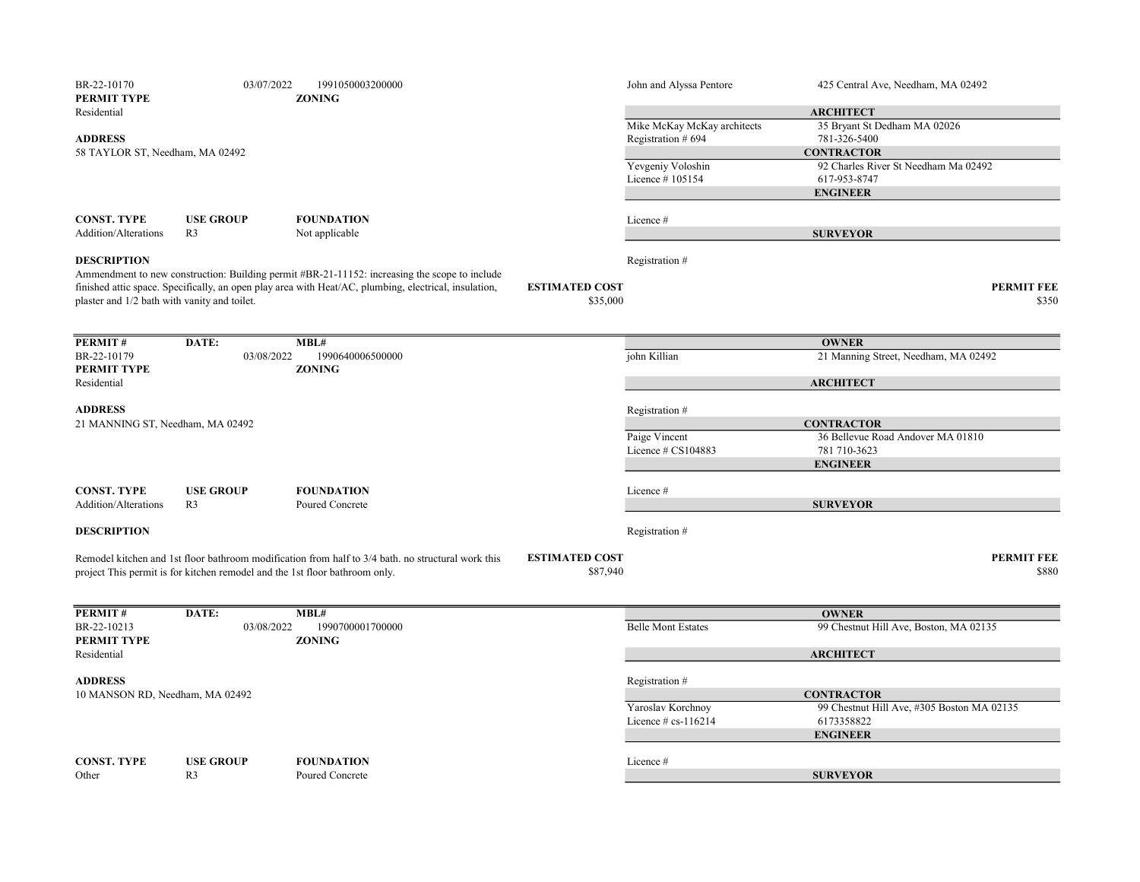| BR-22-10170<br>PERMIT TYPE                         | 03/07/2022                                                                  | 1991050003200000<br><b>ZONING</b>                                                                                                                                                                      |                       | John and Alyssa Pentore           | 425 Central Ave, Needham, MA 02492         |
|----------------------------------------------------|-----------------------------------------------------------------------------|--------------------------------------------------------------------------------------------------------------------------------------------------------------------------------------------------------|-----------------------|-----------------------------------|--------------------------------------------|
| Residential                                        |                                                                             |                                                                                                                                                                                                        |                       |                                   | <b>ARCHITECT</b>                           |
|                                                    |                                                                             |                                                                                                                                                                                                        |                       | Mike McKay McKay architects       | 35 Bryant St Dedham MA 02026               |
| <b>ADDRESS</b>                                     |                                                                             |                                                                                                                                                                                                        |                       | Registration # 694                | 781-326-5400                               |
| 58 TAYLOR ST, Needham, MA 02492                    |                                                                             |                                                                                                                                                                                                        |                       |                                   | <b>CONTRACTOR</b>                          |
|                                                    |                                                                             |                                                                                                                                                                                                        |                       | Yevgeniy Voloshin                 | 92 Charles River St Needham Ma 02492       |
|                                                    |                                                                             |                                                                                                                                                                                                        |                       | Licence #105154                   | 617-953-8747                               |
|                                                    |                                                                             |                                                                                                                                                                                                        |                       |                                   | <b>ENGINEER</b>                            |
|                                                    |                                                                             |                                                                                                                                                                                                        |                       |                                   |                                            |
| <b>CONST. TYPE</b>                                 | <b>USE GROUP</b>                                                            | <b>FOUNDATION</b>                                                                                                                                                                                      |                       | Licence#                          |                                            |
| Addition/Alterations                               | R3                                                                          | Not applicable                                                                                                                                                                                         |                       |                                   | <b>SURVEYOR</b>                            |
| <b>DESCRIPTION</b>                                 |                                                                             |                                                                                                                                                                                                        |                       |                                   |                                            |
|                                                    |                                                                             |                                                                                                                                                                                                        |                       | Registration #                    |                                            |
|                                                    |                                                                             | Ammendment to new construction: Building permit #BR-21-11152: increasing the scope to include<br>finished attic space. Specifically, an open play area with Heat/AC, plumbing, electrical, insulation, | <b>ESTIMATED COST</b> |                                   | <b>PERMIT FEE</b>                          |
| plaster and 1/2 bath with vanity and toilet.       |                                                                             |                                                                                                                                                                                                        | \$35,000              |                                   | \$350                                      |
|                                                    |                                                                             |                                                                                                                                                                                                        |                       |                                   |                                            |
|                                                    |                                                                             |                                                                                                                                                                                                        |                       |                                   |                                            |
| PERMIT#                                            | DATE:                                                                       | MBL#                                                                                                                                                                                                   |                       |                                   | <b>OWNER</b>                               |
| BR-22-10179                                        | 03/08/2022                                                                  | 1990640006500000                                                                                                                                                                                       |                       | john Killian                      | 21 Manning Street, Needham, MA 02492       |
| PERMIT TYPE                                        |                                                                             | <b>ZONING</b>                                                                                                                                                                                          |                       |                                   |                                            |
| Residential                                        |                                                                             |                                                                                                                                                                                                        |                       |                                   | <b>ARCHITECT</b>                           |
|                                                    |                                                                             |                                                                                                                                                                                                        |                       |                                   |                                            |
| <b>ADDRESS</b><br>21 MANNING ST, Needham, MA 02492 |                                                                             |                                                                                                                                                                                                        |                       | Registration #                    | <b>CONTRACTOR</b>                          |
|                                                    |                                                                             |                                                                                                                                                                                                        | Paige Vincent         | 36 Bellevue Road Andover MA 01810 |                                            |
|                                                    |                                                                             |                                                                                                                                                                                                        |                       | Licence $\#$ CS104883             | 781 710-3623                               |
|                                                    |                                                                             |                                                                                                                                                                                                        |                       |                                   | <b>ENGINEER</b>                            |
|                                                    |                                                                             |                                                                                                                                                                                                        |                       |                                   |                                            |
| <b>CONST. TYPE</b>                                 | <b>USE GROUP</b>                                                            | <b>FOUNDATION</b>                                                                                                                                                                                      |                       | Licence #                         |                                            |
| Addition/Alterations                               | R <sub>3</sub>                                                              | Poured Concrete                                                                                                                                                                                        |                       |                                   | <b>SURVEYOR</b>                            |
|                                                    |                                                                             |                                                                                                                                                                                                        |                       |                                   |                                            |
| <b>DESCRIPTION</b>                                 |                                                                             |                                                                                                                                                                                                        |                       | Registration #                    |                                            |
|                                                    |                                                                             |                                                                                                                                                                                                        |                       |                                   |                                            |
|                                                    |                                                                             | Remodel kitchen and 1st floor bathroom modification from half to 3/4 bath. no structural work this                                                                                                     | <b>ESTIMATED COST</b> |                                   | <b>PERMIT FEE</b>                          |
|                                                    | project This permit is for kitchen remodel and the 1st floor bathroom only. |                                                                                                                                                                                                        | \$87,940              |                                   | \$880                                      |
|                                                    |                                                                             |                                                                                                                                                                                                        |                       |                                   |                                            |
| PERMIT#                                            | DATE:                                                                       | MBL#                                                                                                                                                                                                   |                       |                                   | <b>OWNER</b>                               |
| BR-22-10213                                        | 03/08/2022                                                                  | 1990700001700000                                                                                                                                                                                       |                       | <b>Belle Mont Estates</b>         | 99 Chestnut Hill Ave, Boston, MA 02135     |
| PERMIT TYPE                                        |                                                                             | <b>ZONING</b>                                                                                                                                                                                          |                       |                                   |                                            |
| Residential                                        |                                                                             |                                                                                                                                                                                                        |                       |                                   | <b>ARCHITECT</b>                           |
|                                                    |                                                                             |                                                                                                                                                                                                        |                       |                                   |                                            |
| <b>ADDRESS</b>                                     |                                                                             |                                                                                                                                                                                                        |                       | Registration#                     |                                            |
| 10 MANSON RD, Needham, MA 02492                    |                                                                             |                                                                                                                                                                                                        |                       |                                   | <b>CONTRACTOR</b>                          |
|                                                    |                                                                             |                                                                                                                                                                                                        |                       | Yaroslav Korchnoy                 | 99 Chestnut Hill Ave, #305 Boston MA 02135 |
|                                                    |                                                                             |                                                                                                                                                                                                        |                       | Licence # cs-116214               | 6173358822                                 |
|                                                    |                                                                             |                                                                                                                                                                                                        |                       |                                   | <b>ENGINEER</b>                            |
|                                                    |                                                                             |                                                                                                                                                                                                        |                       |                                   |                                            |
| <b>CONST. TYPE</b>                                 | <b>USE GROUP</b>                                                            | <b>FOUNDATION</b>                                                                                                                                                                                      |                       | Licence#                          |                                            |
| Other                                              | R <sub>3</sub>                                                              | Poured Concrete                                                                                                                                                                                        |                       |                                   | <b>SURVEYOR</b>                            |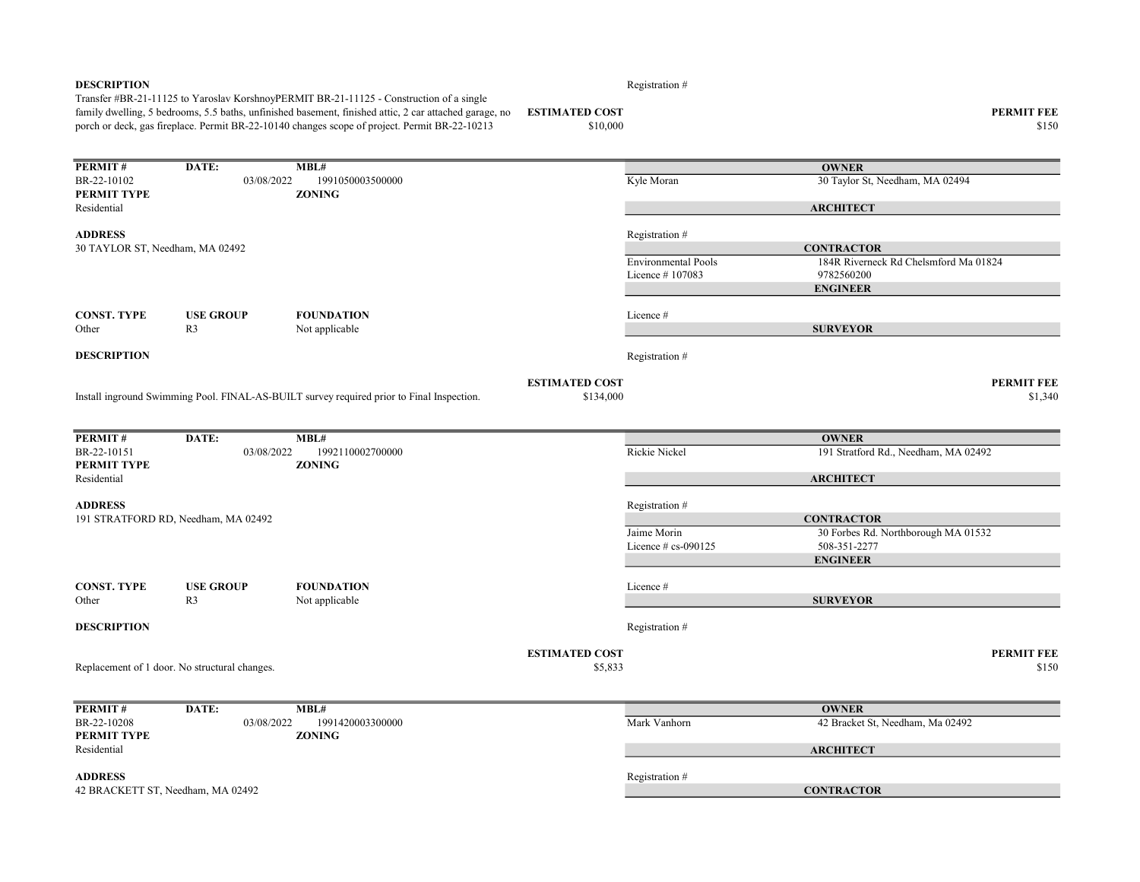| <b>DESCRIPTION</b>              |                                               | Transfer #BR-21-11125 to Yaroslav KorshnoyPERMIT BR-21-11125 - Construction of a single<br>family dwelling, 5 bedrooms, 5.5 baths, unfinished basement, finished attic, 2 car attached garage, no<br>porch or deck, gas fireplace. Permit BR-22-10140 changes scope of project. Permit BR-22-10213 | <b>ESTIMATED COST</b><br>\$10,000  | Registration #             | <b>PERMIT FEE</b><br>\$150            |
|---------------------------------|-----------------------------------------------|----------------------------------------------------------------------------------------------------------------------------------------------------------------------------------------------------------------------------------------------------------------------------------------------------|------------------------------------|----------------------------|---------------------------------------|
| PERMIT#                         | DATE:                                         | MBL#                                                                                                                                                                                                                                                                                               |                                    |                            | <b>OWNER</b>                          |
| BR-22-10102                     | 03/08/2022                                    | 1991050003500000                                                                                                                                                                                                                                                                                   |                                    | Kyle Moran                 | 30 Taylor St, Needham, MA 02494       |
| PERMIT TYPE                     |                                               | <b>ZONING</b>                                                                                                                                                                                                                                                                                      |                                    |                            |                                       |
| Residential                     |                                               |                                                                                                                                                                                                                                                                                                    |                                    |                            | <b>ARCHITECT</b>                      |
| <b>ADDRESS</b>                  |                                               |                                                                                                                                                                                                                                                                                                    |                                    | Registration #             |                                       |
| 30 TAYLOR ST, Needham, MA 02492 |                                               |                                                                                                                                                                                                                                                                                                    |                                    |                            | <b>CONTRACTOR</b>                     |
|                                 |                                               |                                                                                                                                                                                                                                                                                                    |                                    | <b>Environmental Pools</b> | 184R Riverneck Rd Chelsmford Ma 01824 |
|                                 |                                               |                                                                                                                                                                                                                                                                                                    |                                    | Licence #107083            | 9782560200                            |
|                                 |                                               |                                                                                                                                                                                                                                                                                                    |                                    |                            | <b>ENGINEER</b>                       |
| <b>CONST. TYPE</b>              | <b>USE GROUP</b>                              | <b>FOUNDATION</b>                                                                                                                                                                                                                                                                                  |                                    | Licence #                  |                                       |
| Other                           | R <sub>3</sub>                                | Not applicable                                                                                                                                                                                                                                                                                     |                                    |                            | <b>SURVEYOR</b>                       |
| <b>DESCRIPTION</b>              |                                               |                                                                                                                                                                                                                                                                                                    |                                    | Registration #             |                                       |
|                                 |                                               | Install inground Swimming Pool. FINAL-AS-BUILT survey required prior to Final Inspection.                                                                                                                                                                                                          | <b>ESTIMATED COST</b><br>\$134,000 |                            | <b>PERMIT FEE</b><br>\$1,340          |
| PERMIT#                         | DATE:                                         | MBL#                                                                                                                                                                                                                                                                                               |                                    |                            | <b>OWNER</b>                          |
| BR-22-10151                     | 03/08/2022                                    | 1992110002700000                                                                                                                                                                                                                                                                                   |                                    | Rickie Nickel              | 191 Stratford Rd., Needham, MA 02492  |
| PERMIT TYPE                     |                                               | <b>ZONING</b>                                                                                                                                                                                                                                                                                      |                                    |                            |                                       |
| Residential                     |                                               |                                                                                                                                                                                                                                                                                                    |                                    |                            | <b>ARCHITECT</b>                      |
| <b>ADDRESS</b>                  |                                               |                                                                                                                                                                                                                                                                                                    |                                    | Registration #             |                                       |
|                                 | 191 STRATFORD RD, Needham, MA 02492           |                                                                                                                                                                                                                                                                                                    |                                    |                            | <b>CONTRACTOR</b>                     |
|                                 |                                               |                                                                                                                                                                                                                                                                                                    |                                    | Jaime Morin                | 30 Forbes Rd. Northborough MA 01532   |
|                                 |                                               |                                                                                                                                                                                                                                                                                                    |                                    | Licence $#$ cs-090125      | 508-351-2277                          |
|                                 |                                               |                                                                                                                                                                                                                                                                                                    |                                    |                            | <b>ENGINEER</b>                       |
| <b>CONST. TYPE</b>              | <b>USE GROUP</b>                              | <b>FOUNDATION</b>                                                                                                                                                                                                                                                                                  |                                    | Licence #                  |                                       |
| Other                           | R <sub>3</sub>                                | Not applicable                                                                                                                                                                                                                                                                                     |                                    |                            | <b>SURVEYOR</b>                       |
| <b>DESCRIPTION</b>              |                                               |                                                                                                                                                                                                                                                                                                    |                                    | Registration #             |                                       |
|                                 | Replacement of 1 door. No structural changes. |                                                                                                                                                                                                                                                                                                    | <b>ESTIMATED COST</b><br>\$5,833   |                            | <b>PERMIT FEE</b><br>\$150            |
|                                 |                                               |                                                                                                                                                                                                                                                                                                    |                                    |                            |                                       |
| PERMIT#                         | DATE:                                         | MBL#                                                                                                                                                                                                                                                                                               |                                    |                            | <b>OWNER</b>                          |
| BR-22-10208                     | 03/08/2022                                    | 1991420003300000                                                                                                                                                                                                                                                                                   |                                    | Mark Vanhorn               | 42 Bracket St, Needham, Ma 02492      |
| PERMIT TYPE                     |                                               | <b>ZONING</b>                                                                                                                                                                                                                                                                                      |                                    |                            |                                       |
| Residential                     |                                               |                                                                                                                                                                                                                                                                                                    |                                    |                            | <b>ARCHITECT</b>                      |
| <b>ADDRESS</b>                  |                                               |                                                                                                                                                                                                                                                                                                    |                                    | Registration #             |                                       |
|                                 | 42 BRACKETT ST, Needham, MA 02492             |                                                                                                                                                                                                                                                                                                    |                                    |                            | <b>CONTRACTOR</b>                     |
|                                 |                                               |                                                                                                                                                                                                                                                                                                    |                                    |                            |                                       |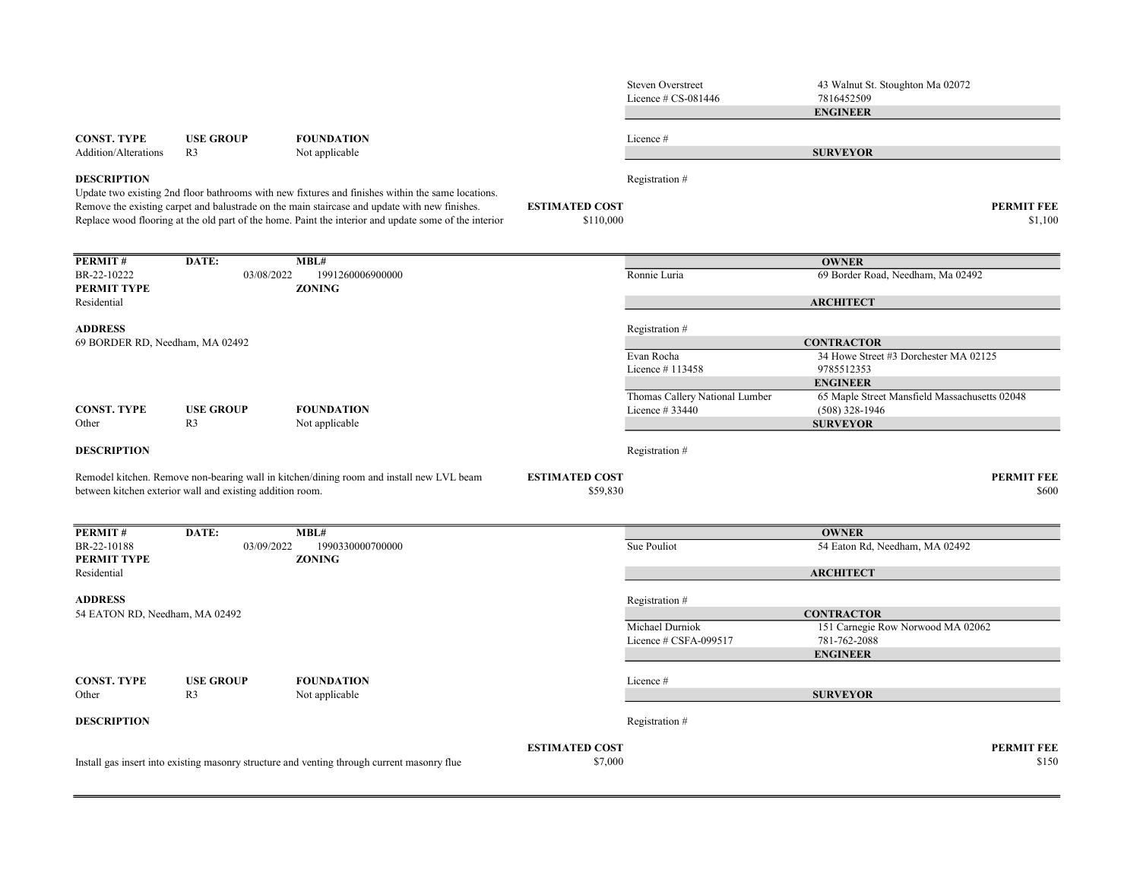|                                 |                                                           |                                                                                                                                                                                                                                                                                                             |                                    | <b>Steven Overstreet</b><br>Licence $\#$ CS-081446 | 43 Walnut St. Stoughton Ma 02072<br>7816452509<br><b>ENGINEER</b> |
|---------------------------------|-----------------------------------------------------------|-------------------------------------------------------------------------------------------------------------------------------------------------------------------------------------------------------------------------------------------------------------------------------------------------------------|------------------------------------|----------------------------------------------------|-------------------------------------------------------------------|
| CONST. TYPE                     | <b>USE GROUP</b>                                          | <b>FOUNDATION</b>                                                                                                                                                                                                                                                                                           |                                    | Licence #                                          |                                                                   |
| <b>Addition/Alterations</b>     | R <sub>3</sub>                                            | Not applicable                                                                                                                                                                                                                                                                                              |                                    |                                                    | <b>SURVEYOR</b>                                                   |
| <b>DESCRIPTION</b>              |                                                           |                                                                                                                                                                                                                                                                                                             |                                    | Registration #                                     |                                                                   |
|                                 |                                                           | Update two existing 2nd floor bathrooms with new fixtures and finishes within the same locations.<br>Remove the existing carpet and balustrade on the main staircase and update with new finishes.<br>Replace wood flooring at the old part of the home. Paint the interior and update some of the interior | <b>ESTIMATED COST</b><br>\$110,000 |                                                    | <b>PERMIT FEE</b><br>\$1,100                                      |
| <b>PERMIT#</b>                  | DATE:                                                     | MBL#                                                                                                                                                                                                                                                                                                        |                                    |                                                    | <b>OWNER</b>                                                      |
| BR-22-10222<br>PERMIT TYPE      | 03/08/2022                                                | 1991260006900000<br><b>ZONING</b>                                                                                                                                                                                                                                                                           |                                    | Ronnie Luria                                       | 69 Border Road, Needham, Ma 02492                                 |
| Residential                     |                                                           |                                                                                                                                                                                                                                                                                                             |                                    |                                                    | <b>ARCHITECT</b>                                                  |
| <b>ADDRESS</b>                  |                                                           |                                                                                                                                                                                                                                                                                                             |                                    | Registration #                                     |                                                                   |
| 69 BORDER RD, Needham, MA 02492 |                                                           |                                                                                                                                                                                                                                                                                                             |                                    |                                                    | <b>CONTRACTOR</b>                                                 |
|                                 |                                                           |                                                                                                                                                                                                                                                                                                             |                                    | Evan Rocha<br>Licence #113458                      | 34 Howe Street #3 Dorchester MA 02125<br>9785512353               |
|                                 |                                                           |                                                                                                                                                                                                                                                                                                             |                                    | Thomas Callery National Lumber                     | <b>ENGINEER</b><br>65 Maple Street Mansfield Massachusetts 02048  |
| <b>CONST. TYPE</b><br>Other     | <b>USE GROUP</b><br>R <sub>3</sub>                        | <b>FOUNDATION</b><br>Not applicable                                                                                                                                                                                                                                                                         |                                    | Licence # 33440                                    | $(508)$ 328-1946<br><b>SURVEYOR</b>                               |
| <b>DESCRIPTION</b>              |                                                           |                                                                                                                                                                                                                                                                                                             |                                    | Registration #                                     |                                                                   |
|                                 | between kitchen exterior wall and existing addition room. | Remodel kitchen. Remove non-bearing wall in kitchen/dining room and install new LVL beam                                                                                                                                                                                                                    | <b>ESTIMATED COST</b><br>\$59,830  |                                                    | <b>PERMIT FEE</b><br>\$600                                        |
| <b>PERMIT#</b>                  | DATE:                                                     | MBL#                                                                                                                                                                                                                                                                                                        |                                    |                                                    | <b>OWNER</b>                                                      |
| BR-22-10188<br>PERMIT TYPE      | 03/09/2022                                                | 1990330000700000<br><b>ZONING</b>                                                                                                                                                                                                                                                                           |                                    | Sue Pouliot                                        | 54 Eaton Rd, Needham, MA 02492                                    |
| Residential                     |                                                           |                                                                                                                                                                                                                                                                                                             |                                    |                                                    | <b>ARCHITECT</b>                                                  |
| <b>ADDRESS</b>                  |                                                           |                                                                                                                                                                                                                                                                                                             |                                    | Registration #                                     |                                                                   |
| 54 EATON RD, Needham, MA 02492  |                                                           |                                                                                                                                                                                                                                                                                                             |                                    |                                                    | <b>CONTRACTOR</b>                                                 |
|                                 |                                                           |                                                                                                                                                                                                                                                                                                             |                                    | Michael Durniok<br>Licence # CSFA-099517           | 151 Carnegie Row Norwood MA 02062<br>781-762-2088                 |
|                                 |                                                           |                                                                                                                                                                                                                                                                                                             |                                    |                                                    | <b>ENGINEER</b>                                                   |
| CONST. TYPE<br>Other            | <b>USE GROUP</b><br>R <sub>3</sub>                        | <b>FOUNDATION</b><br>Not applicable                                                                                                                                                                                                                                                                         |                                    | Licence #                                          | <b>SURVEYOR</b>                                                   |
| <b>DESCRIPTION</b>              |                                                           |                                                                                                                                                                                                                                                                                                             |                                    | Registration #                                     |                                                                   |
|                                 |                                                           |                                                                                                                                                                                                                                                                                                             | <b>ESTIMATED COST</b>              |                                                    | <b>PERMIT FEE</b>                                                 |
|                                 |                                                           | Install gas insert into existing masonry structure and venting through current masonry flue                                                                                                                                                                                                                 | \$7,000                            |                                                    | \$150                                                             |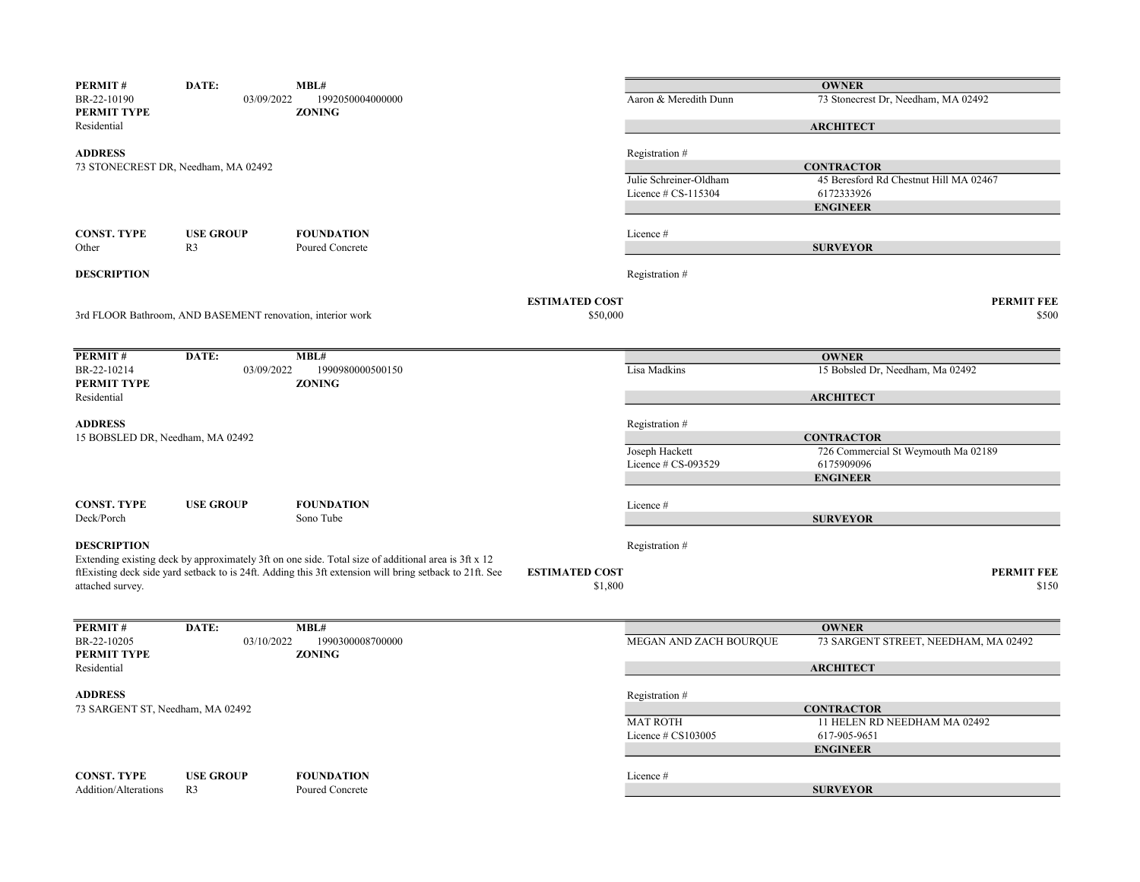| PERMIT#                          | DATE:                                                      | MBL#                                                                                                    |                       |                        | <b>OWNER</b>                           |
|----------------------------------|------------------------------------------------------------|---------------------------------------------------------------------------------------------------------|-----------------------|------------------------|----------------------------------------|
| BR-22-10190<br>PERMIT TYPE       | 03/09/2022                                                 | 1992050004000000<br><b>ZONING</b>                                                                       |                       | Aaron & Meredith Dunn  | 73 Stonecrest Dr, Needham, MA 02492    |
| Residential                      |                                                            |                                                                                                         |                       |                        | <b>ARCHITECT</b>                       |
| <b>ADDRESS</b>                   |                                                            |                                                                                                         |                       | Registration #         |                                        |
|                                  | 73 STONECREST DR, Needham, MA 02492                        |                                                                                                         |                       |                        | <b>CONTRACTOR</b>                      |
|                                  |                                                            |                                                                                                         |                       | Julie Schreiner-Oldham | 45 Beresford Rd Chestnut Hill MA 02467 |
|                                  |                                                            |                                                                                                         |                       | Licence # CS-115304    | 6172333926                             |
|                                  |                                                            |                                                                                                         |                       |                        | <b>ENGINEER</b>                        |
| <b>CONST. TYPE</b>               | <b>USE GROUP</b>                                           | <b>FOUNDATION</b>                                                                                       |                       | Licence #              |                                        |
| Other                            | R <sub>3</sub>                                             | Poured Concrete                                                                                         |                       |                        | <b>SURVEYOR</b>                        |
|                                  |                                                            |                                                                                                         |                       |                        |                                        |
| <b>DESCRIPTION</b>               |                                                            |                                                                                                         |                       | Registration #         |                                        |
|                                  |                                                            |                                                                                                         | <b>ESTIMATED COST</b> |                        | <b>PERMIT FEE</b>                      |
|                                  | 3rd FLOOR Bathroom, AND BASEMENT renovation, interior work |                                                                                                         | \$50,000              |                        | \$500                                  |
|                                  |                                                            |                                                                                                         |                       |                        |                                        |
| PERMIT#                          | DATE:                                                      | MBL#                                                                                                    |                       |                        | <b>OWNER</b>                           |
| BR-22-10214                      | 03/09/2022                                                 | 1990980000500150                                                                                        |                       | Lisa Madkins           | 15 Bobsled Dr, Needham, Ma 02492       |
| PERMIT TYPE                      |                                                            | <b>ZONING</b>                                                                                           |                       |                        |                                        |
| Residential                      |                                                            |                                                                                                         |                       |                        | <b>ARCHITECT</b>                       |
| <b>ADDRESS</b>                   |                                                            |                                                                                                         |                       | Registration #         |                                        |
| 15 BOBSLED DR, Needham, MA 02492 |                                                            |                                                                                                         |                       |                        | <b>CONTRACTOR</b>                      |
|                                  |                                                            |                                                                                                         |                       | Joseph Hackett         | 726 Commercial St Weymouth Ma 02189    |
|                                  |                                                            |                                                                                                         |                       | Licence # CS-093529    | 6175909096                             |
|                                  |                                                            |                                                                                                         |                       |                        | <b>ENGINEER</b>                        |
| <b>CONST. TYPE</b>               |                                                            | <b>FOUNDATION</b>                                                                                       |                       | Licence #              |                                        |
| Deck/Porch                       | <b>USE GROUP</b>                                           | Sono Tube                                                                                               |                       |                        | <b>SURVEYOR</b>                        |
|                                  |                                                            |                                                                                                         |                       |                        |                                        |
| <b>DESCRIPTION</b>               |                                                            |                                                                                                         |                       | Registration #         |                                        |
|                                  |                                                            | Extending existing deck by approximately 3ft on one side. Total size of additional area is 3ft x 12     |                       |                        |                                        |
|                                  |                                                            | ftExisting deck side yard setback to is 24ft. Adding this 3ft extension will bring setback to 21ft. See | <b>ESTIMATED COST</b> |                        | <b>PERMIT FEE</b>                      |
| attached survey.                 |                                                            |                                                                                                         | \$1,800               |                        | \$150                                  |
|                                  |                                                            |                                                                                                         |                       |                        |                                        |
| PERMIT#                          | DATE:                                                      | MBL#                                                                                                    |                       |                        | <b>OWNER</b>                           |
| BR-22-10205                      | 03/10/2022                                                 | 1990300008700000                                                                                        |                       | MEGAN AND ZACH BOURQUE | 73 SARGENT STREET, NEEDHAM, MA 02492   |
| PERMIT TYPE<br>Residential       |                                                            | <b>ZONING</b>                                                                                           |                       |                        | <b>ARCHITECT</b>                       |
|                                  |                                                            |                                                                                                         |                       |                        |                                        |
| <b>ADDRESS</b>                   |                                                            |                                                                                                         |                       | Registration #         |                                        |
| 73 SARGENT ST, Needham, MA 02492 |                                                            |                                                                                                         |                       |                        | <b>CONTRACTOR</b>                      |
|                                  |                                                            |                                                                                                         |                       | <b>MAT ROTH</b>        | 11 HELEN RD NEEDHAM MA 02492           |
|                                  |                                                            |                                                                                                         |                       | Licence # CS103005     | 617-905-9651                           |
|                                  |                                                            |                                                                                                         |                       |                        | <b>ENGINEER</b>                        |
| <b>CONST. TYPE</b>               | <b>USE GROUP</b>                                           | <b>FOUNDATION</b>                                                                                       |                       | Licence #              |                                        |
| Addition/Alterations             | R <sub>3</sub>                                             | Poured Concrete                                                                                         |                       |                        | <b>SURVEYOR</b>                        |
|                                  |                                                            |                                                                                                         |                       |                        |                                        |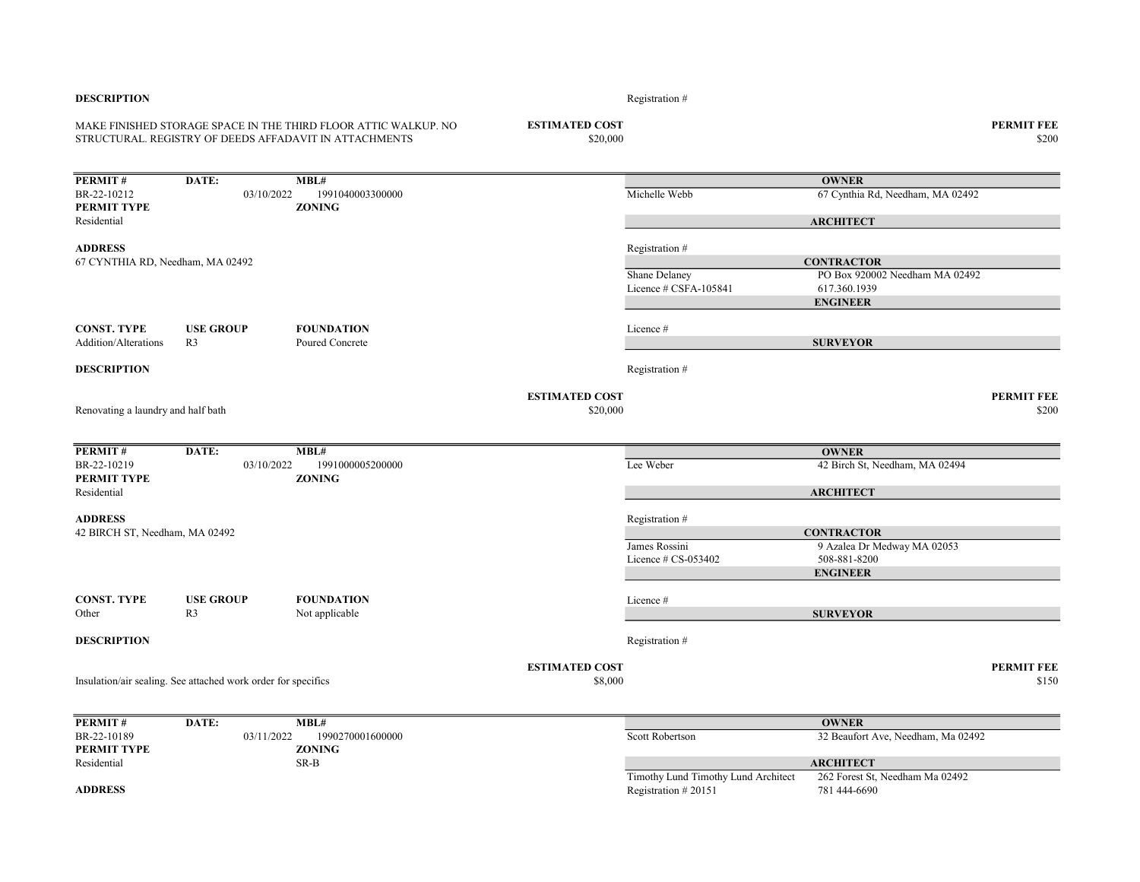| <b>DESCRIPTION</b>                 |                                                               |                                                                                                                           |                                   | Registration #                                             |                                                  |                            |
|------------------------------------|---------------------------------------------------------------|---------------------------------------------------------------------------------------------------------------------------|-----------------------------------|------------------------------------------------------------|--------------------------------------------------|----------------------------|
|                                    |                                                               | MAKE FINISHED STORAGE SPACE IN THE THIRD FLOOR ATTIC WALKUP. NO<br>STRUCTURAL. REGISTRY OF DEEDS AFFADAVIT IN ATTACHMENTS | <b>ESTIMATED COST</b><br>\$20,000 |                                                            |                                                  | <b>PERMIT FEE</b><br>\$200 |
| PERMIT#                            | DATE:                                                         | MBL#                                                                                                                      |                                   |                                                            | <b>OWNER</b>                                     |                            |
| BR-22-10212                        | 03/10/2022                                                    | 1991040003300000                                                                                                          |                                   | Michelle Webb                                              | 67 Cynthia Rd, Needham, MA 02492                 |                            |
| PERMIT TYPE                        |                                                               | <b>ZONING</b>                                                                                                             |                                   |                                                            |                                                  |                            |
| Residential                        |                                                               |                                                                                                                           |                                   |                                                            | <b>ARCHITECT</b>                                 |                            |
| <b>ADDRESS</b>                     |                                                               |                                                                                                                           |                                   | Registration #                                             |                                                  |                            |
| 67 CYNTHIA RD, Needham, MA 02492   |                                                               |                                                                                                                           |                                   |                                                            | <b>CONTRACTOR</b>                                |                            |
|                                    |                                                               |                                                                                                                           |                                   | Shane Delaney                                              | PO Box 920002 Needham MA 02492                   |                            |
|                                    |                                                               |                                                                                                                           |                                   | Licence # CSFA-105841                                      | 617.360.1939<br><b>ENGINEER</b>                  |                            |
|                                    |                                                               |                                                                                                                           |                                   |                                                            |                                                  |                            |
| <b>CONST. TYPE</b>                 | <b>USE GROUP</b>                                              | <b>FOUNDATION</b>                                                                                                         |                                   | Licence #                                                  |                                                  |                            |
| <b>Addition/Alterations</b>        | R <sub>3</sub>                                                | Poured Concrete                                                                                                           |                                   |                                                            | <b>SURVEYOR</b>                                  |                            |
| <b>DESCRIPTION</b>                 |                                                               |                                                                                                                           |                                   | Registration #                                             |                                                  |                            |
|                                    |                                                               |                                                                                                                           |                                   |                                                            |                                                  |                            |
| Renovating a laundry and half bath |                                                               |                                                                                                                           | <b>ESTIMATED COST</b><br>\$20,000 |                                                            |                                                  | <b>PERMIT FEE</b><br>\$200 |
|                                    |                                                               |                                                                                                                           |                                   |                                                            |                                                  |                            |
| PERMIT#                            | DATE:                                                         | MBL#                                                                                                                      |                                   |                                                            | <b>OWNER</b>                                     |                            |
| BR-22-10219<br>PERMIT TYPE         | 03/10/2022                                                    | 1991000005200000<br><b>ZONING</b>                                                                                         |                                   | Lee Weber                                                  | 42 Birch St, Needham, MA 02494                   |                            |
| Residential                        |                                                               |                                                                                                                           |                                   |                                                            | <b>ARCHITECT</b>                                 |                            |
|                                    |                                                               |                                                                                                                           |                                   |                                                            |                                                  |                            |
| <b>ADDRESS</b>                     |                                                               |                                                                                                                           |                                   | Registration #                                             |                                                  |                            |
| 42 BIRCH ST, Needham, MA 02492     |                                                               |                                                                                                                           |                                   | James Rossini                                              | <b>CONTRACTOR</b><br>9 Azalea Dr Medway MA 02053 |                            |
|                                    |                                                               |                                                                                                                           |                                   | Licence $# CS-053402$                                      | 508-881-8200                                     |                            |
|                                    |                                                               |                                                                                                                           |                                   |                                                            | <b>ENGINEER</b>                                  |                            |
|                                    |                                                               |                                                                                                                           |                                   |                                                            |                                                  |                            |
| <b>CONST. TYPE</b>                 | <b>USE GROUP</b>                                              | <b>FOUNDATION</b>                                                                                                         |                                   | Licence #                                                  |                                                  |                            |
| Other                              | R <sub>3</sub>                                                | Not applicable                                                                                                            |                                   |                                                            | <b>SURVEYOR</b>                                  |                            |
| <b>DESCRIPTION</b>                 |                                                               |                                                                                                                           |                                   | Registration #                                             |                                                  |                            |
|                                    |                                                               |                                                                                                                           | <b>ESTIMATED COST</b>             |                                                            |                                                  | <b>PERMIT FEE</b>          |
|                                    | Insulation/air sealing. See attached work order for specifics |                                                                                                                           | \$8,000                           |                                                            |                                                  | \$150                      |
| PERMIT#                            | DATE:                                                         | MBL#                                                                                                                      |                                   |                                                            | <b>OWNER</b>                                     |                            |
| BR-22-10189                        | 03/11/2022                                                    | 1990270001600000                                                                                                          |                                   | Scott Robertson                                            | 32 Beaufort Ave, Needham, Ma 02492               |                            |
| PERMIT TYPE                        |                                                               | <b>ZONING</b>                                                                                                             |                                   |                                                            |                                                  |                            |
| Residential                        |                                                               | SR-B                                                                                                                      |                                   |                                                            | <b>ARCHITECT</b>                                 |                            |
| <b>ADDRESS</b>                     |                                                               |                                                                                                                           |                                   | Timothy Lund Timothy Lund Architect<br>Registration #20151 | 262 Forest St, Needham Ma 02492<br>781 444-6690  |                            |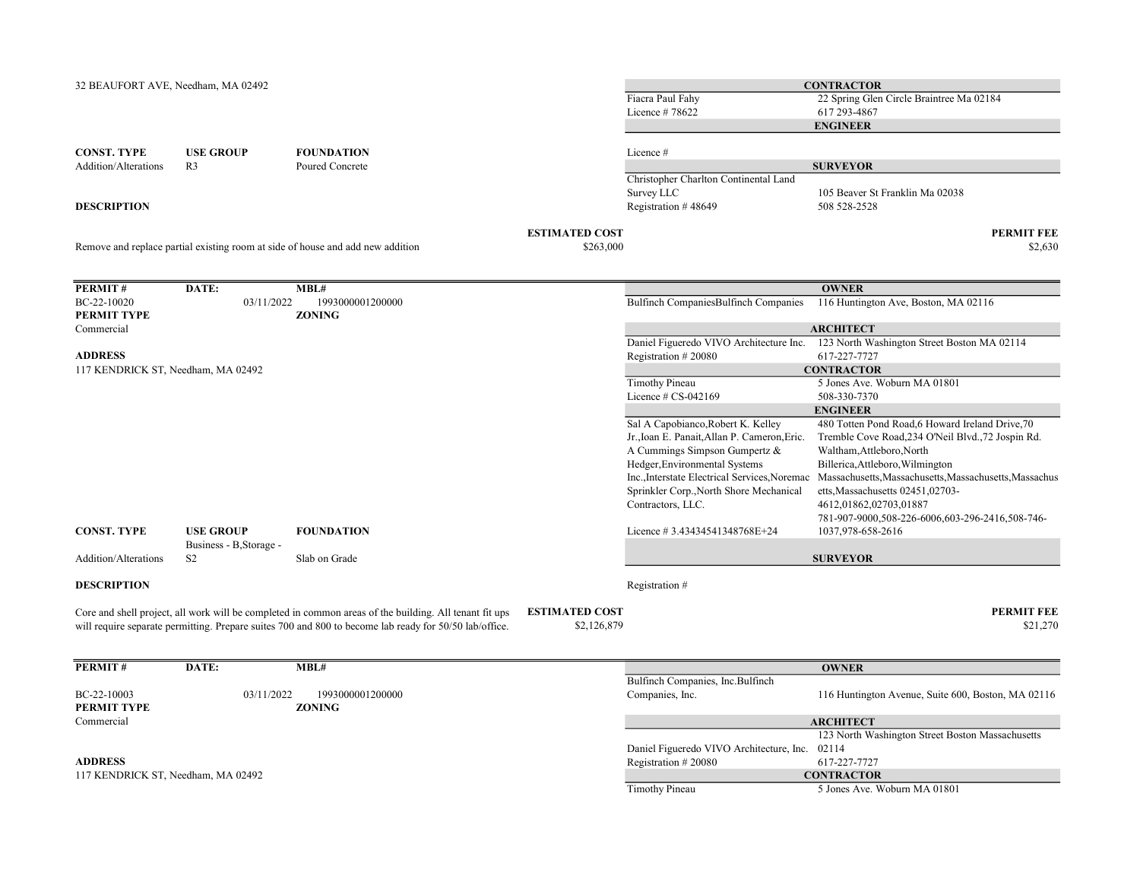| 32 BEAUFORT AVE, Needham, MA 02492 |                         |                                                                                                        |                                    | Fiacra Paul Fahy                               | <b>CONTRACTOR</b><br>22 Spring Glen Circle Braintree Ma 02184                       |
|------------------------------------|-------------------------|--------------------------------------------------------------------------------------------------------|------------------------------------|------------------------------------------------|-------------------------------------------------------------------------------------|
|                                    |                         |                                                                                                        |                                    | Licence #78622                                 | 617 293-4867<br><b>ENGINEER</b>                                                     |
| <b>CONST. TYPE</b>                 | <b>USE GROUP</b>        | <b>FOUNDATION</b>                                                                                      |                                    | Licence #                                      |                                                                                     |
| Addition/Alterations               | R <sub>3</sub>          | Poured Concrete                                                                                        |                                    |                                                | <b>SURVEYOR</b>                                                                     |
|                                    |                         |                                                                                                        |                                    | Christopher Charlton Continental Land          |                                                                                     |
|                                    |                         |                                                                                                        |                                    | Survey LLC                                     | 105 Beaver St Franklin Ma 02038                                                     |
| <b>DESCRIPTION</b>                 |                         |                                                                                                        |                                    | Registration #48649                            | 508 528-2528                                                                        |
|                                    |                         |                                                                                                        | <b>ESTIMATED COST</b><br>\$263,000 |                                                | <b>PERMIT FEE</b><br>\$2,630                                                        |
|                                    |                         | Remove and replace partial existing room at side of house and add new addition                         |                                    |                                                |                                                                                     |
| PERMIT#                            | DATE:                   | MBL#                                                                                                   |                                    |                                                | <b>OWNER</b>                                                                        |
| BC-22-10020<br>PERMIT TYPE         | 03/11/2022              | 1993000001200000<br><b>ZONING</b>                                                                      |                                    | Bulfinch CompaniesBulfinch Companies           | 116 Huntington Ave, Boston, MA 02116                                                |
| Commercial                         |                         |                                                                                                        |                                    |                                                | <b>ARCHITECT</b>                                                                    |
|                                    |                         |                                                                                                        |                                    |                                                | Daniel Figueredo VIVO Architecture Inc. 123 North Washington Street Boston MA 02114 |
| <b>ADDRESS</b>                     |                         |                                                                                                        |                                    | Registration #20080                            | 617-227-7727                                                                        |
| 117 KENDRICK ST, Needham, MA 02492 |                         |                                                                                                        |                                    |                                                | <b>CONTRACTOR</b>                                                                   |
|                                    |                         |                                                                                                        |                                    | <b>Timothy Pineau</b>                          | 5 Jones Ave. Woburn MA 01801                                                        |
|                                    |                         |                                                                                                        |                                    | Licence # CS-042169                            | 508-330-7370<br><b>ENGINEER</b>                                                     |
|                                    |                         |                                                                                                        |                                    | Sal A Capobianco, Robert K. Kelley             | 480 Totten Pond Road, 6 Howard Ireland Drive, 70                                    |
|                                    |                         |                                                                                                        |                                    | Jr., Ioan E. Panait, Allan P. Cameron, Eric.   | Tremble Cove Road, 234 O'Neil Blvd., 72 Jospin Rd.                                  |
|                                    |                         |                                                                                                        |                                    | A Cummings Simpson Gumpertz &                  | Waltham, Attleboro, North                                                           |
|                                    |                         |                                                                                                        |                                    | Hedger, Environmental Systems                  | Billerica, Attleboro, Wilmington                                                    |
|                                    |                         |                                                                                                        |                                    | Inc., Interstate Electrical Services, Noremac  | Massachusetts, Massachusetts, Massachusetts, Massachus                              |
|                                    |                         |                                                                                                        |                                    | Sprinkler Corp., North Shore Mechanical        | etts, Massachusetts 02451,02703-                                                    |
|                                    |                         |                                                                                                        |                                    | Contractors, LLC.                              | 4612,01862,02703,01887                                                              |
|                                    |                         |                                                                                                        |                                    |                                                | 781-907-9000,508-226-6006,603-296-2416,508-746-                                     |
| <b>CONST. TYPE</b>                 | <b>USE GROUP</b>        | <b>FOUNDATION</b>                                                                                      |                                    | Licence #3.43434541348768E+24                  | 1037,978-658-2616                                                                   |
|                                    | Business - B, Storage - |                                                                                                        |                                    |                                                |                                                                                     |
| Addition/Alterations               | S <sub>2</sub>          | Slab on Grade                                                                                          |                                    |                                                | <b>SURVEYOR</b>                                                                     |
| <b>DESCRIPTION</b>                 |                         |                                                                                                        |                                    | Registration #                                 |                                                                                     |
|                                    |                         | Core and shell project, all work will be completed in common areas of the building. All tenant fit ups | <b>ESTIMATED COST</b>              |                                                | <b>PERMIT FEE</b>                                                                   |
|                                    |                         | will require separate permitting. Prepare suites 700 and 800 to become lab ready for 50/50 lab/office. | \$2,126,879                        |                                                | \$21,270                                                                            |
| PERMIT#                            | DATE:                   | MBL#                                                                                                   |                                    |                                                | <b>OWNER</b>                                                                        |
|                                    |                         |                                                                                                        |                                    | Bulfinch Companies, Inc.Bulfinch               |                                                                                     |
| BC-22-10003                        | 03/11/2022              | 1993000001200000                                                                                       |                                    | Companies, Inc.                                | 116 Huntington Avenue, Suite 600, Boston, MA 02116                                  |
| PERMIT TYPE                        |                         | <b>ZONING</b>                                                                                          |                                    |                                                |                                                                                     |
| Commercial                         |                         |                                                                                                        |                                    |                                                | <b>ARCHITECT</b>                                                                    |
|                                    |                         |                                                                                                        |                                    |                                                | 123 North Washington Street Boston Massachusetts                                    |
|                                    |                         |                                                                                                        |                                    | Daniel Figueredo VIVO Architecture, Inc. 02114 |                                                                                     |
| <b>ADDRESS</b>                     |                         |                                                                                                        |                                    | Registration #20080                            | 617-227-7727                                                                        |
| 117 KENDRICK ST, Needham, MA 02492 |                         |                                                                                                        |                                    |                                                | <b>CONTRACTOR</b>                                                                   |
|                                    |                         |                                                                                                        |                                    | <b>Timothy Pineau</b>                          | 5 Jones Ave. Woburn MA 01801                                                        |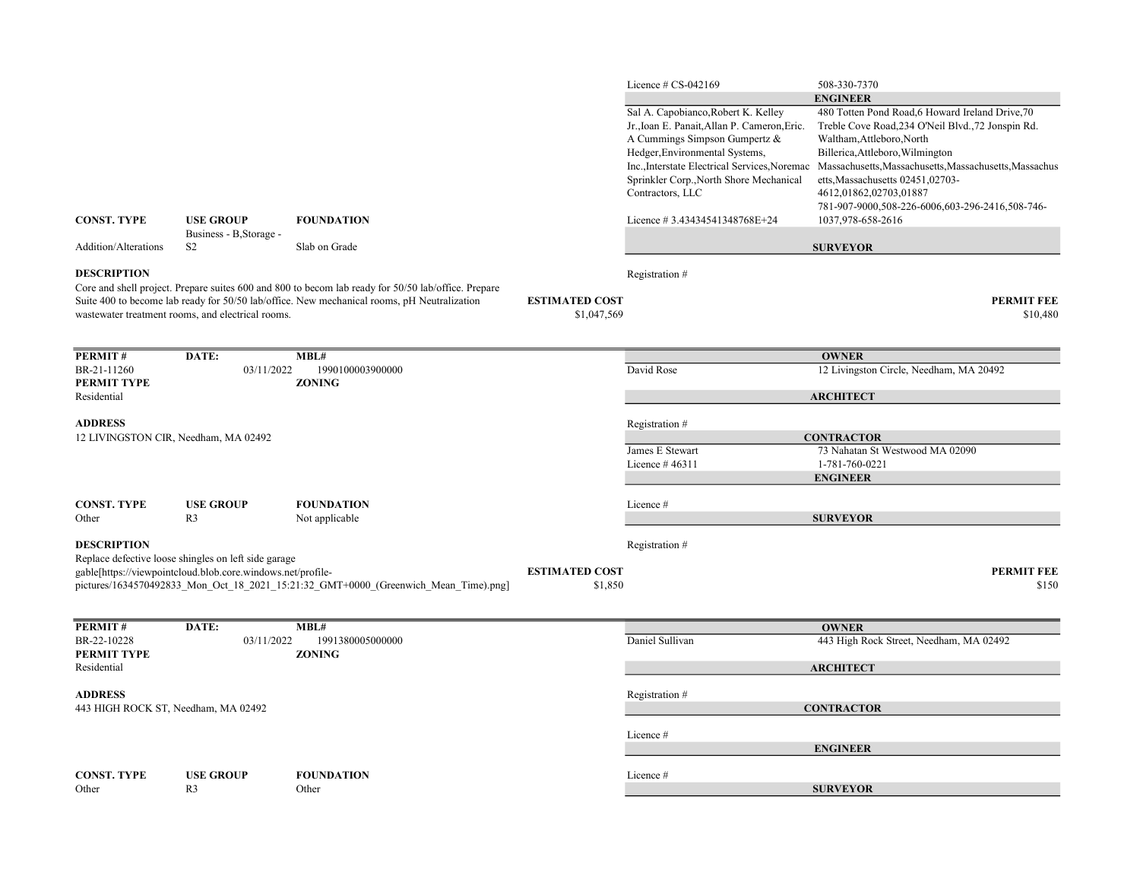|                                                       |                                                                                                                     |                                                                                                                                                                                                    |                                      | Licence $# CS-042169$                                                                                                                                                                                                                                                                                   | 508-330-7370                                                                                                                                                                                                                                                                                                                                                                               |
|-------------------------------------------------------|---------------------------------------------------------------------------------------------------------------------|----------------------------------------------------------------------------------------------------------------------------------------------------------------------------------------------------|--------------------------------------|---------------------------------------------------------------------------------------------------------------------------------------------------------------------------------------------------------------------------------------------------------------------------------------------------------|--------------------------------------------------------------------------------------------------------------------------------------------------------------------------------------------------------------------------------------------------------------------------------------------------------------------------------------------------------------------------------------------|
| <b>CONST. TYPE</b>                                    | <b>USE GROUP</b>                                                                                                    | <b>FOUNDATION</b>                                                                                                                                                                                  |                                      | Sal A. Capobianco, Robert K. Kelley<br>Jr., Ioan E. Panait, Allan P. Cameron, Eric.<br>A Cummings Simpson Gumpertz &<br>Hedger, Environmental Systems,<br>Inc., Interstate Electrical Services, Noremac<br>Sprinkler Corp., North Shore Mechanical<br>Contractors, LLC<br>Licence #3.43434541348768E+24 | <b>ENGINEER</b><br>480 Totten Pond Road, 6 Howard Ireland Drive, 70<br>Treble Cove Road, 234 O'Neil Blvd., 72 Jonspin Rd.<br>Waltham, Attleboro, North<br>Billerica, Attleboro, Wilmington<br>Massachusetts, Massachusetts, Massachusetts, Massachus<br>etts, Massachusetts 02451,02703-<br>4612,01862,02703,01887<br>781-907-9000,508-226-6006,603-296-2416,508-746-<br>1037,978-658-2616 |
|                                                       | Business - B, Storage -                                                                                             |                                                                                                                                                                                                    |                                      |                                                                                                                                                                                                                                                                                                         |                                                                                                                                                                                                                                                                                                                                                                                            |
| <b>Addition/Alterations</b>                           | S <sub>2</sub>                                                                                                      | Slab on Grade                                                                                                                                                                                      |                                      |                                                                                                                                                                                                                                                                                                         | <b>SURVEYOR</b>                                                                                                                                                                                                                                                                                                                                                                            |
| <b>DESCRIPTION</b>                                    | wastewater treatment rooms, and electrical rooms.                                                                   | Core and shell project. Prepare suites 600 and 800 to becom lab ready for 50/50 lab/office. Prepare<br>Suite 400 to become lab ready for 50/50 lab/office. New mechanical rooms, pH Neutralization | <b>ESTIMATED COST</b><br>\$1,047,569 | Registration #                                                                                                                                                                                                                                                                                          | <b>PERMIT FEE</b><br>\$10,480                                                                                                                                                                                                                                                                                                                                                              |
| PERMIT#                                               | DATE:                                                                                                               | MBL#                                                                                                                                                                                               |                                      |                                                                                                                                                                                                                                                                                                         | <b>OWNER</b>                                                                                                                                                                                                                                                                                                                                                                               |
| BR-21-11260                                           | 03/11/2022                                                                                                          | 1990100003900000                                                                                                                                                                                   |                                      | David Rose                                                                                                                                                                                                                                                                                              | 12 Livingston Circle, Needham, MA 20492                                                                                                                                                                                                                                                                                                                                                    |
| <b>PERMIT TYPE</b><br>Residential                     |                                                                                                                     | <b>ZONING</b>                                                                                                                                                                                      |                                      |                                                                                                                                                                                                                                                                                                         | <b>ARCHITECT</b>                                                                                                                                                                                                                                                                                                                                                                           |
| <b>ADDRESS</b>                                        |                                                                                                                     |                                                                                                                                                                                                    |                                      | Registration #                                                                                                                                                                                                                                                                                          |                                                                                                                                                                                                                                                                                                                                                                                            |
| 12 LIVINGSTON CIR, Needham, MA 02492                  |                                                                                                                     |                                                                                                                                                                                                    |                                      |                                                                                                                                                                                                                                                                                                         | <b>CONTRACTOR</b>                                                                                                                                                                                                                                                                                                                                                                          |
|                                                       |                                                                                                                     |                                                                                                                                                                                                    |                                      | James E Stewart<br>Licence $#46311$                                                                                                                                                                                                                                                                     | 73 Nahatan St Westwood MA 02090<br>1-781-760-0221<br><b>ENGINEER</b>                                                                                                                                                                                                                                                                                                                       |
| <b>CONST. TYPE</b><br>Other                           | <b>USE GROUP</b><br>R <sub>3</sub>                                                                                  | <b>FOUNDATION</b><br>Not applicable                                                                                                                                                                |                                      | Licence #                                                                                                                                                                                                                                                                                               | <b>SURVEYOR</b>                                                                                                                                                                                                                                                                                                                                                                            |
| <b>DESCRIPTION</b>                                    |                                                                                                                     |                                                                                                                                                                                                    |                                      | Registration #                                                                                                                                                                                                                                                                                          |                                                                                                                                                                                                                                                                                                                                                                                            |
|                                                       | Replace defective loose shingles on left side garage<br>gable[https://viewpointcloud.blob.core.windows.net/profile- | pictures/1634570492833 Mon Oct 18 2021 15:21:32 GMT+0000 (Greenwich Mean Time).png]                                                                                                                | <b>ESTIMATED COST</b><br>\$1,850     |                                                                                                                                                                                                                                                                                                         | <b>PERMIT FEE</b><br>\$150                                                                                                                                                                                                                                                                                                                                                                 |
| PERMIT#                                               | DATE:                                                                                                               | MBL#                                                                                                                                                                                               |                                      |                                                                                                                                                                                                                                                                                                         | <b>OWNER</b>                                                                                                                                                                                                                                                                                                                                                                               |
| BR-22-10228<br>PERMIT TYPE                            | 03/11/2022                                                                                                          | 1991380005000000<br><b>ZONING</b>                                                                                                                                                                  |                                      | Daniel Sullivan                                                                                                                                                                                                                                                                                         | 443 High Rock Street, Needham, MA 02492                                                                                                                                                                                                                                                                                                                                                    |
| Residential                                           |                                                                                                                     |                                                                                                                                                                                                    |                                      |                                                                                                                                                                                                                                                                                                         | <b>ARCHITECT</b>                                                                                                                                                                                                                                                                                                                                                                           |
| <b>ADDRESS</b><br>443 HIGH ROCK ST, Needham, MA 02492 |                                                                                                                     |                                                                                                                                                                                                    |                                      | Registration #                                                                                                                                                                                                                                                                                          | <b>CONTRACTOR</b>                                                                                                                                                                                                                                                                                                                                                                          |
|                                                       |                                                                                                                     |                                                                                                                                                                                                    |                                      | Licence#                                                                                                                                                                                                                                                                                                | <b>ENGINEER</b>                                                                                                                                                                                                                                                                                                                                                                            |
| <b>CONST. TYPE</b>                                    | <b>USE GROUP</b><br>R <sub>3</sub>                                                                                  | <b>FOUNDATION</b>                                                                                                                                                                                  |                                      | Licence #                                                                                                                                                                                                                                                                                               |                                                                                                                                                                                                                                                                                                                                                                                            |
| Other                                                 |                                                                                                                     | Other                                                                                                                                                                                              |                                      |                                                                                                                                                                                                                                                                                                         | <b>SURVEYOR</b>                                                                                                                                                                                                                                                                                                                                                                            |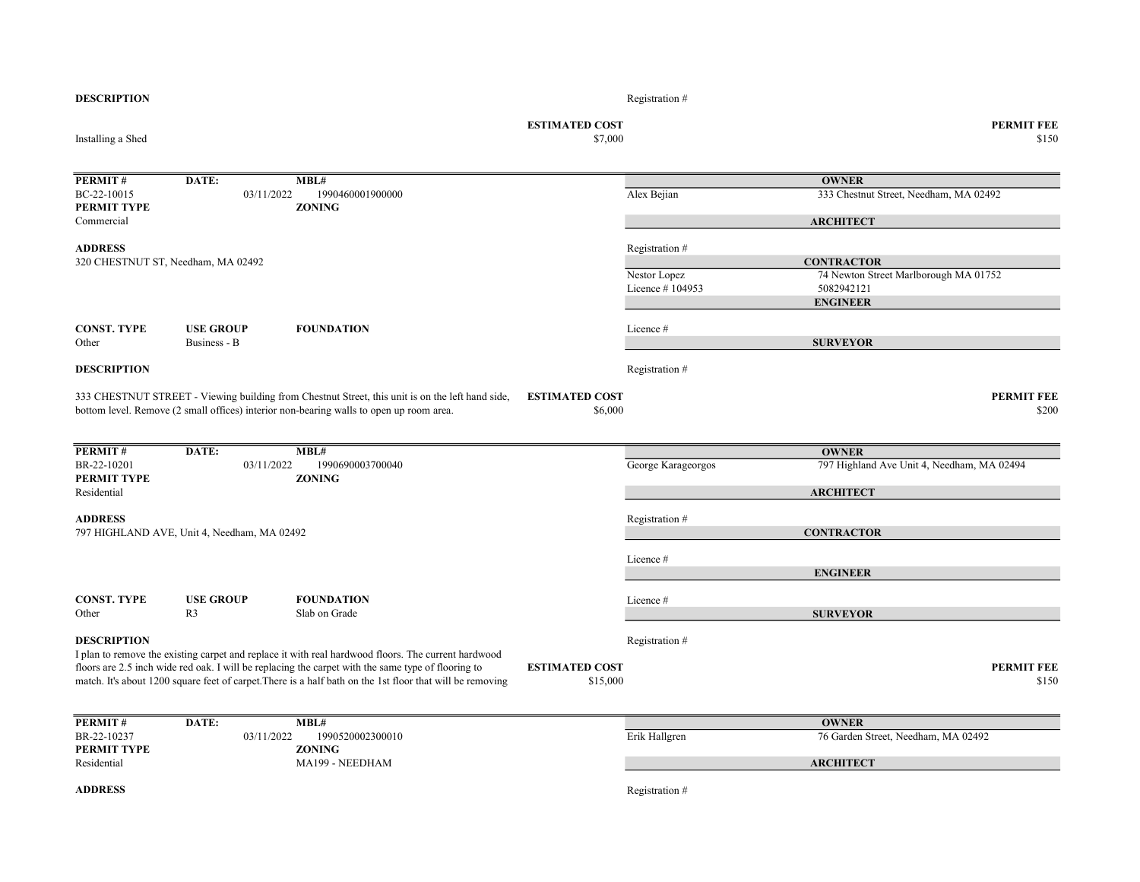| <b>DESCRIPTION</b>                       |                                             |                                                                                                                                                                                                                 |                                   | Registration #                  |                                                                                             |
|------------------------------------------|---------------------------------------------|-----------------------------------------------------------------------------------------------------------------------------------------------------------------------------------------------------------------|-----------------------------------|---------------------------------|---------------------------------------------------------------------------------------------|
| Installing a Shed                        |                                             |                                                                                                                                                                                                                 | <b>ESTIMATED COST</b><br>\$7,000  |                                 | <b>PERMIT FEE</b><br>\$150                                                                  |
| PERMIT#                                  | DATE:                                       | MBL#                                                                                                                                                                                                            |                                   |                                 | <b>OWNER</b>                                                                                |
| BC-22-10015<br>PERMIT TYPE<br>Commercial | 03/11/2022                                  | 1990460001900000<br><b>ZONING</b>                                                                                                                                                                               |                                   | Alex Bejian                     | 333 Chestnut Street, Needham, MA 02492<br><b>ARCHITECT</b>                                  |
| <b>ADDRESS</b>                           |                                             |                                                                                                                                                                                                                 |                                   | Registration #                  |                                                                                             |
| 320 CHESTNUT ST, Needham, MA 02492       |                                             |                                                                                                                                                                                                                 |                                   | Nestor Lopez<br>Licence #104953 | <b>CONTRACTOR</b><br>74 Newton Street Marlborough MA 01752<br>5082942121<br><b>ENGINEER</b> |
| <b>CONST. TYPE</b><br>Other              | <b>USE GROUP</b><br>Business - B            | <b>FOUNDATION</b>                                                                                                                                                                                               |                                   | Licence #                       | <b>SURVEYOR</b>                                                                             |
| <b>DESCRIPTION</b>                       |                                             |                                                                                                                                                                                                                 |                                   | Registration #                  |                                                                                             |
|                                          |                                             | 333 CHESTNUT STREET - Viewing building from Chestnut Street, this unit is on the left hand side,<br>bottom level. Remove (2 small offices) interior non-bearing walls to open up room area.                     | <b>ESTIMATED COST</b><br>\$6,000  |                                 | <b>PERMIT FEE</b><br>\$200                                                                  |
| PERMIT#                                  | DATE:                                       | MBL#                                                                                                                                                                                                            |                                   |                                 | <b>OWNER</b>                                                                                |
| BR-22-10201<br>PERMIT TYPE               | 03/11/2022                                  | 1990690003700040<br><b>ZONING</b>                                                                                                                                                                               |                                   | George Karageorgos              | 797 Highland Ave Unit 4, Needham, MA 02494                                                  |
| Residential                              |                                             |                                                                                                                                                                                                                 |                                   |                                 | <b>ARCHITECT</b>                                                                            |
| <b>ADDRESS</b>                           | 797 HIGHLAND AVE, Unit 4, Needham, MA 02492 |                                                                                                                                                                                                                 |                                   | Registration #                  | <b>CONTRACTOR</b>                                                                           |
|                                          |                                             |                                                                                                                                                                                                                 |                                   | Licence #                       | <b>ENGINEER</b>                                                                             |
| <b>CONST. TYPE</b><br>Other              | <b>USE GROUP</b><br>R <sub>3</sub>          | <b>FOUNDATION</b><br>Slab on Grade                                                                                                                                                                              |                                   | Licence #                       | <b>SURVEYOR</b>                                                                             |
| <b>DESCRIPTION</b>                       |                                             | I plan to remove the existing carpet and replace it with real hardwood floors. The current hardwood                                                                                                             |                                   | Registration #                  |                                                                                             |
|                                          |                                             | floors are 2.5 inch wide red oak. I will be replacing the carpet with the same type of flooring to<br>match. It's about 1200 square feet of carpet. There is a half bath on the 1st floor that will be removing | <b>ESTIMATED COST</b><br>\$15,000 |                                 | <b>PERMIT FEE</b><br>\$150                                                                  |
| PERMIT#                                  | DATE:                                       | MBL#                                                                                                                                                                                                            |                                   |                                 | <b>OWNER</b>                                                                                |
| BR-22-10237<br>PERMIT TYPE               | 03/11/2022                                  | 1990520002300010<br><b>ZONING</b>                                                                                                                                                                               |                                   | Erik Hallgren                   | 76 Garden Street, Needham, MA 02492                                                         |
| Residential                              |                                             | MA199 - NEEDHAM                                                                                                                                                                                                 |                                   |                                 | <b>ARCHITECT</b>                                                                            |
| <b>ADDRESS</b>                           |                                             |                                                                                                                                                                                                                 |                                   | Registration #                  |                                                                                             |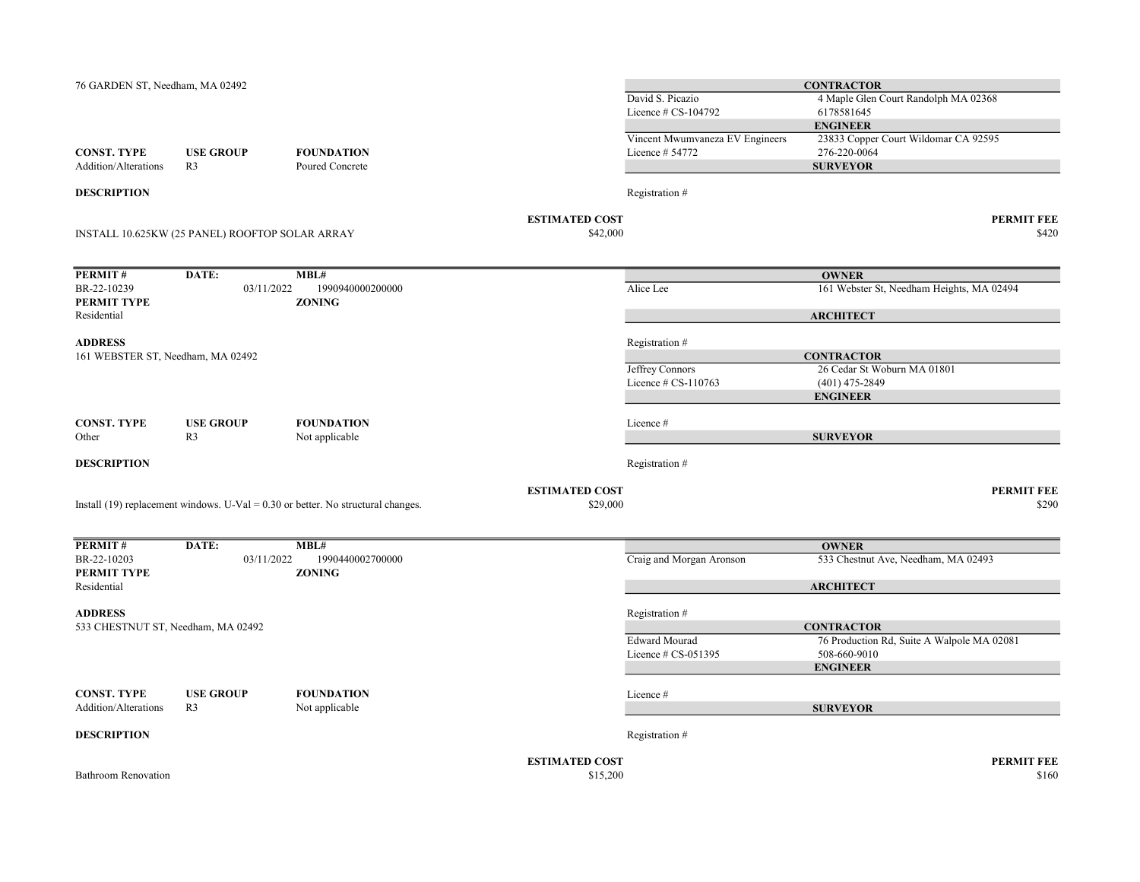| 76 GARDEN ST, Needham, MA 02492                      |                                                 |                                                                                    |                                   | David S. Picazio<br>Licence $# CS-104792$          | <b>CONTRACTOR</b><br>4 Maple Glen Court Randolph MA 02368<br>6178581645<br><b>ENGINEER</b> |
|------------------------------------------------------|-------------------------------------------------|------------------------------------------------------------------------------------|-----------------------------------|----------------------------------------------------|--------------------------------------------------------------------------------------------|
| <b>CONST. TYPE</b><br>Addition/Alterations           | <b>USE GROUP</b><br>R <sub>3</sub>              | <b>FOUNDATION</b><br>Poured Concrete                                               |                                   | Vincent Mwumvaneza EV Engineers<br>Licence # 54772 | 23833 Copper Court Wildomar CA 92595<br>276-220-0064<br><b>SURVEYOR</b>                    |
| <b>DESCRIPTION</b>                                   |                                                 |                                                                                    |                                   | Registration #                                     |                                                                                            |
|                                                      | INSTALL 10.625KW (25 PANEL) ROOFTOP SOLAR ARRAY |                                                                                    | <b>ESTIMATED COST</b><br>\$42,000 |                                                    | <b>PERMIT FEE</b><br>\$420                                                                 |
| PERMIT#                                              | DATE:                                           | MBL#                                                                               |                                   |                                                    | <b>OWNER</b>                                                                               |
| BR-22-10239<br>PERMIT TYPE<br>Residential            | 03/11/2022                                      | 1990940000200000<br><b>ZONING</b>                                                  |                                   | Alice Lee                                          | 161 Webster St, Needham Heights, MA 02494                                                  |
|                                                      |                                                 |                                                                                    |                                   |                                                    | <b>ARCHITECT</b>                                                                           |
| <b>ADDRESS</b><br>161 WEBSTER ST, Needham, MA 02492  |                                                 |                                                                                    |                                   | Registration #                                     | <b>CONTRACTOR</b>                                                                          |
|                                                      |                                                 |                                                                                    |                                   | Jeffrey Connors<br>Licence # CS-110763             | 26 Cedar St Woburn MA 01801<br>$(401)$ 475-2849<br><b>ENGINEER</b>                         |
| <b>CONST. TYPE</b><br>Other                          | <b>USE GROUP</b><br>R <sub>3</sub>              | <b>FOUNDATION</b><br>Not applicable                                                |                                   | Licence #                                          | <b>SURVEYOR</b>                                                                            |
|                                                      |                                                 |                                                                                    |                                   |                                                    |                                                                                            |
| <b>DESCRIPTION</b>                                   |                                                 |                                                                                    |                                   | Registration #                                     |                                                                                            |
|                                                      |                                                 | Install (19) replacement windows. U-Val = $0.30$ or better. No structural changes. | <b>ESTIMATED COST</b><br>\$29,000 |                                                    | <b>PERMIT FEE</b><br>\$290                                                                 |
| PERMIT#                                              | DATE:                                           | MBL#                                                                               |                                   |                                                    | <b>OWNER</b>                                                                               |
| BR-22-10203<br>PERMIT TYPE<br>Residential            | 03/11/2022                                      | 1990440002700000<br><b>ZONING</b>                                                  |                                   | Craig and Morgan Aronson                           | 533 Chestnut Ave, Needham, MA 02493<br><b>ARCHITECT</b>                                    |
|                                                      |                                                 |                                                                                    |                                   |                                                    |                                                                                            |
| <b>ADDRESS</b><br>533 CHESTNUT ST, Needham, MA 02492 |                                                 |                                                                                    |                                   | Registration #                                     | <b>CONTRACTOR</b>                                                                          |
|                                                      |                                                 |                                                                                    |                                   | <b>Edward Mourad</b><br>Licence $# CS-051395$      | 76 Production Rd, Suite A Walpole MA 02081<br>508-660-9010<br><b>ENGINEER</b>              |
| <b>CONST. TYPE</b><br>Addition/Alterations           | <b>USE GROUP</b><br>R <sub>3</sub>              | <b>FOUNDATION</b><br>Not applicable                                                |                                   | Licence #                                          | <b>SURVEYOR</b>                                                                            |
| <b>DESCRIPTION</b>                                   |                                                 |                                                                                    |                                   | Registration #                                     |                                                                                            |
| <b>Bathroom Renovation</b>                           |                                                 |                                                                                    | <b>ESTIMATED COST</b><br>\$15,200 |                                                    | <b>PERMIT FEE</b><br>\$160                                                                 |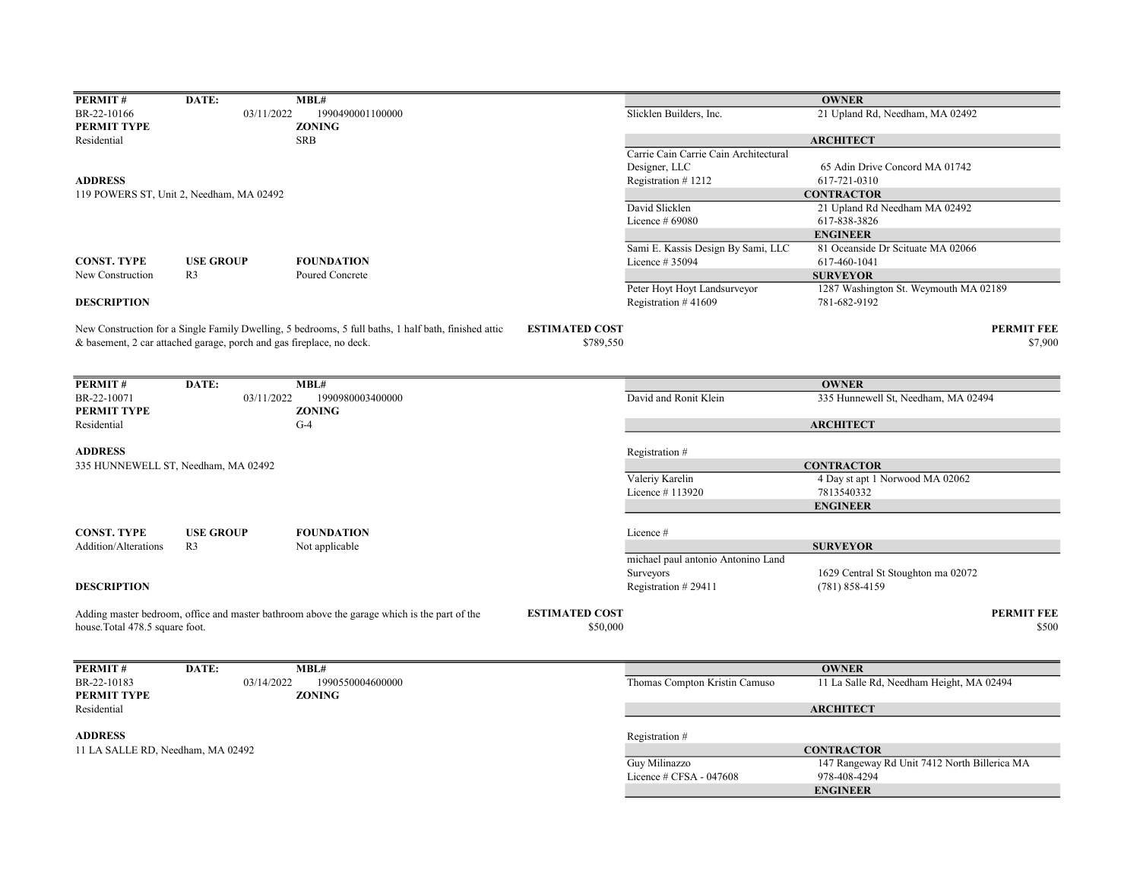| PERMIT#                           | DATE:                                                                | MBL#                                                                                                 |                       |                                       | <b>OWNER</b>                                 |
|-----------------------------------|----------------------------------------------------------------------|------------------------------------------------------------------------------------------------------|-----------------------|---------------------------------------|----------------------------------------------|
| BR-22-10166                       | 03/11/2022                                                           | 1990490001100000                                                                                     |                       | Slicklen Builders, Inc.               | 21 Upland Rd, Needham, MA 02492              |
| PERMIT TYPE                       |                                                                      | <b>ZONING</b>                                                                                        |                       |                                       |                                              |
| Residential                       |                                                                      | <b>SRB</b>                                                                                           |                       |                                       | <b>ARCHITECT</b>                             |
|                                   |                                                                      |                                                                                                      |                       | Carrie Cain Carrie Cain Architectural |                                              |
|                                   |                                                                      |                                                                                                      |                       | Designer, LLC                         | 65 Adin Drive Concord MA 01742               |
| <b>ADDRESS</b>                    |                                                                      |                                                                                                      |                       | Registration #1212                    | 617-721-0310                                 |
|                                   | 119 POWERS ST, Unit 2, Needham, MA 02492                             |                                                                                                      |                       |                                       | <b>CONTRACTOR</b>                            |
|                                   |                                                                      |                                                                                                      |                       | David Slicklen                        | 21 Upland Rd Needham MA 02492                |
|                                   |                                                                      |                                                                                                      |                       | Licence $#69080$                      | 617-838-3826                                 |
|                                   |                                                                      |                                                                                                      |                       |                                       | <b>ENGINEER</b>                              |
|                                   |                                                                      |                                                                                                      |                       | Sami E. Kassis Design By Sami, LLC    | 81 Oceanside Dr Scituate MA 02066            |
| <b>CONST. TYPE</b>                | <b>USE GROUP</b>                                                     | <b>FOUNDATION</b>                                                                                    |                       | Licence # 35094                       | 617-460-1041                                 |
| New Construction                  | R <sub>3</sub>                                                       | Poured Concrete                                                                                      |                       |                                       | <b>SURVEYOR</b>                              |
|                                   |                                                                      |                                                                                                      |                       | Peter Hoyt Hoyt Landsurveyor          | 1287 Washington St. Weymouth MA 02189        |
| <b>DESCRIPTION</b>                |                                                                      |                                                                                                      |                       | Registration #41609                   | 781-682-9192                                 |
|                                   |                                                                      | New Construction for a Single Family Dwelling, 5 bedrooms, 5 full baths, 1 half bath, finished attic | <b>ESTIMATED COST</b> |                                       | <b>PERMIT FEE</b>                            |
|                                   | & basement, 2 car attached garage, porch and gas fireplace, no deck. |                                                                                                      | \$789,550             |                                       | \$7,900                                      |
|                                   |                                                                      |                                                                                                      |                       |                                       |                                              |
|                                   |                                                                      |                                                                                                      |                       |                                       |                                              |
| PERMIT#                           | DATE:                                                                | MBL#                                                                                                 |                       |                                       | <b>OWNER</b>                                 |
| BR-22-10071                       | 03/11/2022                                                           | 1990980003400000                                                                                     |                       | David and Ronit Klein                 | 335 Hunnewell St, Needham, MA 02494          |
| PERMIT TYPE                       |                                                                      | <b>ZONING</b><br>$G-4$                                                                               |                       |                                       |                                              |
| Residential                       |                                                                      |                                                                                                      |                       |                                       | <b>ARCHITECT</b>                             |
| <b>ADDRESS</b>                    |                                                                      |                                                                                                      |                       | Registration #                        |                                              |
|                                   | 335 HUNNEWELL ST, Needham, MA 02492                                  |                                                                                                      |                       |                                       | <b>CONTRACTOR</b>                            |
|                                   |                                                                      |                                                                                                      |                       | Valeriy Karelin                       | 4 Day st apt 1 Norwood MA 02062              |
|                                   |                                                                      |                                                                                                      |                       | Licence #113920                       | 7813540332                                   |
|                                   |                                                                      |                                                                                                      |                       |                                       | <b>ENGINEER</b>                              |
|                                   |                                                                      |                                                                                                      |                       |                                       |                                              |
| <b>CONST. TYPE</b>                | <b>USE GROUP</b>                                                     | <b>FOUNDATION</b>                                                                                    |                       | Licence #                             |                                              |
| Addition/Alterations              | R <sub>3</sub>                                                       | Not applicable                                                                                       |                       |                                       | <b>SURVEYOR</b>                              |
|                                   |                                                                      |                                                                                                      |                       | michael paul antonio Antonino Land    |                                              |
|                                   |                                                                      |                                                                                                      |                       | Surveyors                             | 1629 Central St Stoughton ma 02072           |
| <b>DESCRIPTION</b>                |                                                                      |                                                                                                      |                       | Registration #29411                   | $(781) 858 - 4159$                           |
|                                   |                                                                      |                                                                                                      |                       |                                       |                                              |
|                                   |                                                                      | Adding master bedroom, office and master bathroom above the garage which is the part of the          | <b>ESTIMATED COST</b> |                                       | <b>PERMIT FEE</b>                            |
| house.Total 478.5 square foot.    |                                                                      |                                                                                                      | \$50,000              |                                       | \$500                                        |
|                                   |                                                                      |                                                                                                      |                       |                                       |                                              |
| PERMIT#                           | DATE:                                                                | MBL#                                                                                                 |                       |                                       | <b>OWNER</b>                                 |
| BR-22-10183                       | 03/14/2022                                                           | 1990550004600000                                                                                     |                       | Thomas Compton Kristin Camuso         | 11 La Salle Rd, Needham Height, MA 02494     |
| PERMIT TYPE                       |                                                                      | <b>ZONING</b>                                                                                        |                       |                                       |                                              |
| Residential                       |                                                                      |                                                                                                      |                       |                                       | <b>ARCHITECT</b>                             |
| <b>ADDRESS</b>                    |                                                                      |                                                                                                      |                       | Registration #                        |                                              |
| 11 LA SALLE RD, Needham, MA 02492 |                                                                      |                                                                                                      |                       |                                       | <b>CONTRACTOR</b>                            |
|                                   |                                                                      |                                                                                                      |                       | Guy Milinazzo                         | 147 Rangeway Rd Unit 7412 North Billerica MA |
|                                   |                                                                      |                                                                                                      |                       | Licence # CFSA - 047608               | 978-408-4294                                 |
|                                   |                                                                      |                                                                                                      |                       |                                       | <b>ENGINEER</b>                              |
|                                   |                                                                      |                                                                                                      |                       |                                       |                                              |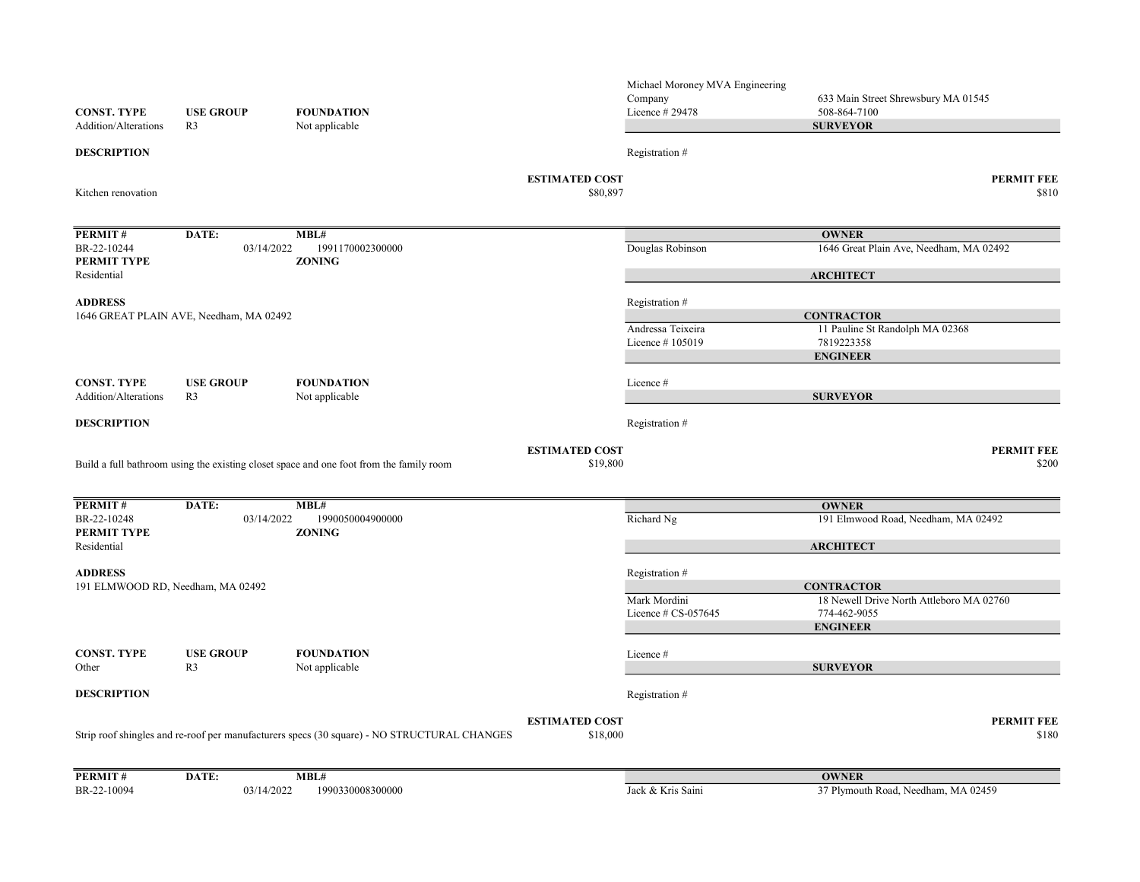| <b>CONST. TYPE</b><br>Addition/Alterations | <b>USE GROUP</b><br>R <sub>3</sub>      | <b>FOUNDATION</b><br>Not applicable                                                         |                                   | Michael Moroney MVA Engineering<br>Company<br>Licence # 29478 | 633 Main Street Shrewsbury MA 01545<br>508-864-7100<br><b>SURVEYOR</b> |
|--------------------------------------------|-----------------------------------------|---------------------------------------------------------------------------------------------|-----------------------------------|---------------------------------------------------------------|------------------------------------------------------------------------|
| <b>DESCRIPTION</b>                         |                                         |                                                                                             |                                   | Registration #                                                |                                                                        |
| Kitchen renovation                         |                                         |                                                                                             | <b>ESTIMATED COST</b><br>\$80,897 |                                                               | <b>PERMIT FEE</b><br>\$810                                             |
| PERMIT#                                    | DATE:                                   | MBL#                                                                                        |                                   |                                                               | <b>OWNER</b>                                                           |
| BR-22-10244<br>PERMIT TYPE                 | 03/14/2022                              | 1991170002300000<br><b>ZONING</b>                                                           |                                   | Douglas Robinson                                              | 1646 Great Plain Ave, Needham, MA 02492                                |
| Residential                                |                                         |                                                                                             |                                   |                                                               | <b>ARCHITECT</b>                                                       |
| <b>ADDRESS</b>                             | 1646 GREAT PLAIN AVE, Needham, MA 02492 |                                                                                             |                                   | Registration #                                                | <b>CONTRACTOR</b>                                                      |
|                                            |                                         |                                                                                             |                                   | Andressa Teixeira                                             | 11 Pauline St Randolph MA 02368                                        |
|                                            |                                         |                                                                                             |                                   | Licence #105019                                               | 7819223358                                                             |
|                                            |                                         |                                                                                             |                                   |                                                               | <b>ENGINEER</b>                                                        |
| <b>CONST. TYPE</b>                         | <b>USE GROUP</b>                        | <b>FOUNDATION</b>                                                                           |                                   | Licence#                                                      |                                                                        |
| Addition/Alterations                       | R <sub>3</sub>                          | Not applicable                                                                              |                                   |                                                               | <b>SURVEYOR</b>                                                        |
| <b>DESCRIPTION</b>                         |                                         |                                                                                             |                                   | Registration #                                                |                                                                        |
|                                            |                                         | Build a full bathroom using the existing closet space and one foot from the family room     | <b>ESTIMATED COST</b><br>\$19,800 |                                                               | <b>PERMIT FEE</b><br>\$200                                             |
| PERMIT#                                    | DATE:                                   | MBL#                                                                                        |                                   |                                                               | <b>OWNER</b>                                                           |
| BR-22-10248<br>PERMIT TYPE                 | 03/14/2022                              | 1990050004900000<br><b>ZONING</b>                                                           |                                   | Richard Ng                                                    | 191 Elmwood Road, Needham, MA 02492                                    |
| Residential                                |                                         |                                                                                             |                                   |                                                               | <b>ARCHITECT</b>                                                       |
| <b>ADDRESS</b>                             |                                         |                                                                                             |                                   | Registration #                                                | <b>CONTRACTOR</b>                                                      |
| 191 ELMWOOD RD, Needham, MA 02492          |                                         |                                                                                             |                                   | Mark Mordini                                                  | 18 Newell Drive North Attleboro MA 02760                               |
|                                            |                                         |                                                                                             |                                   | Licence $\#$ CS-057645                                        | 774-462-9055                                                           |
|                                            |                                         |                                                                                             |                                   |                                                               | <b>ENGINEER</b>                                                        |
| <b>CONST. TYPE</b><br>Other                | <b>USE GROUP</b><br>R <sub>3</sub>      | <b>FOUNDATION</b><br>Not applicable                                                         |                                   | Licence #                                                     | <b>SURVEYOR</b>                                                        |
| <b>DESCRIPTION</b>                         |                                         |                                                                                             |                                   | Registration #                                                |                                                                        |
|                                            |                                         |                                                                                             |                                   |                                                               |                                                                        |
|                                            |                                         | Strip roof shingles and re-roof per manufacturers specs (30 square) - NO STRUCTURAL CHANGES | <b>ESTIMATED COST</b><br>\$18,000 |                                                               | <b>PERMIT FEE</b><br>\$180                                             |
| PERMIT#                                    | DATE:                                   | MBL#                                                                                        |                                   |                                                               | <b>OWNER</b>                                                           |
| BR-22-10094                                | 03/14/2022                              | 1990330008300000                                                                            |                                   | Jack & Kris Saini                                             | 37 Plymouth Road, Needham, MA 02459                                    |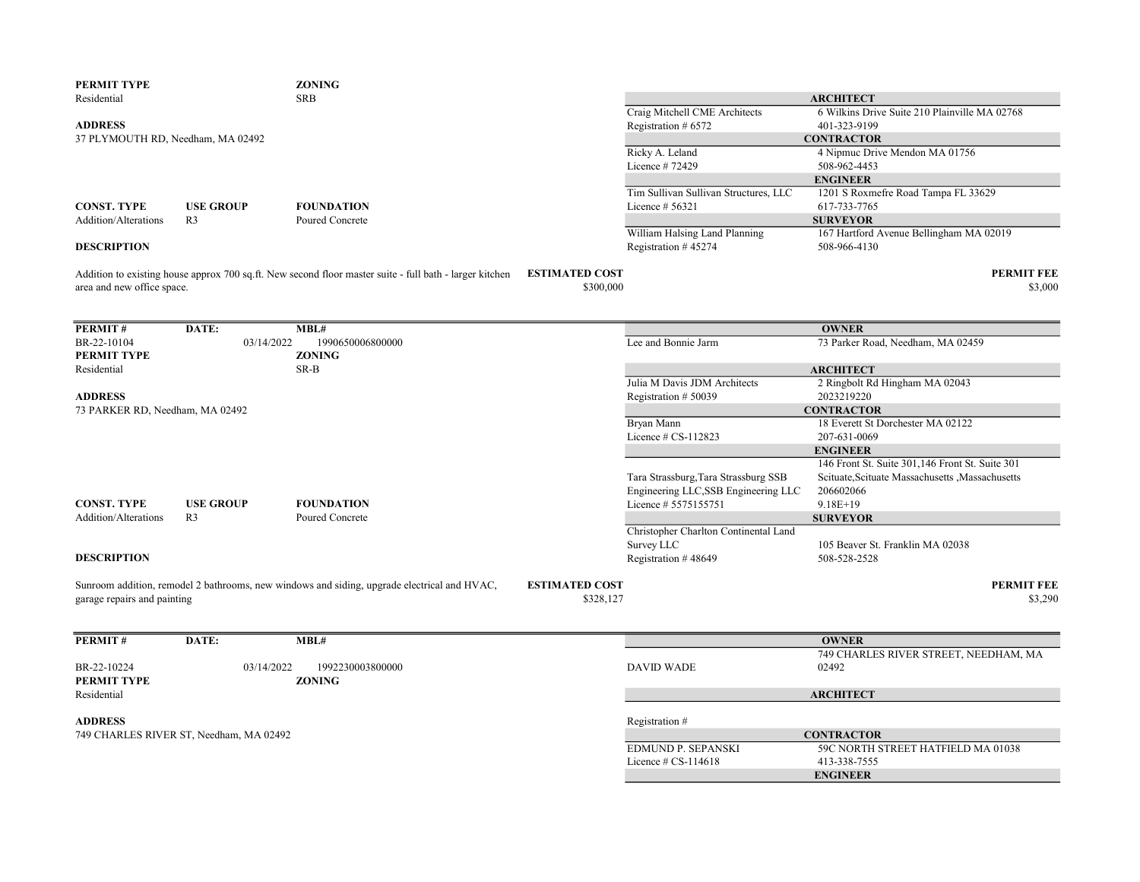| PERMIT TYPE                       |                                         | <b>ZONING</b>                                                                                           |                       |                                              |                                                    |
|-----------------------------------|-----------------------------------------|---------------------------------------------------------------------------------------------------------|-----------------------|----------------------------------------------|----------------------------------------------------|
| Residential                       |                                         | <b>SRB</b>                                                                                              |                       |                                              | <b>ARCHITECT</b>                                   |
|                                   |                                         |                                                                                                         |                       | Craig Mitchell CME Architects                | 6 Wilkins Drive Suite 210 Plainville MA 02768      |
| <b>ADDRESS</b>                    |                                         |                                                                                                         |                       | Registration # 6572                          | 401-323-9199                                       |
| 37 PLYMOUTH RD, Needham, MA 02492 |                                         |                                                                                                         |                       |                                              | <b>CONTRACTOR</b>                                  |
|                                   |                                         |                                                                                                         |                       | Ricky A. Leland                              | 4 Nipmuc Drive Mendon MA 01756                     |
|                                   |                                         |                                                                                                         |                       | Licence #72429                               | 508-962-4453                                       |
|                                   |                                         |                                                                                                         |                       |                                              | <b>ENGINEER</b>                                    |
|                                   |                                         |                                                                                                         |                       | Tim Sullivan Sullivan Structures, LLC        | 1201 S Roxmefre Road Tampa FL 33629                |
| <b>CONST. TYPE</b>                | <b>USE GROUP</b>                        | <b>FOUNDATION</b>                                                                                       |                       | Licence # 56321                              | 617-733-7765                                       |
| Addition/Alterations              | R <sub>3</sub>                          | Poured Concrete                                                                                         |                       |                                              | <b>SURVEYOR</b>                                    |
|                                   |                                         |                                                                                                         |                       | William Halsing Land Planning                | 167 Hartford Avenue Bellingham MA 02019            |
| <b>DESCRIPTION</b>                |                                         |                                                                                                         |                       | Registration #45274                          | 508-966-4130                                       |
|                                   |                                         |                                                                                                         |                       |                                              |                                                    |
|                                   |                                         | Addition to existing house approx 700 sq.ft. New second floor master suite - full bath - larger kitchen | <b>ESTIMATED COST</b> |                                              | <b>PERMIT FEE</b>                                  |
| area and new office space.        |                                         |                                                                                                         | \$300,000             |                                              | \$3,000                                            |
|                                   |                                         |                                                                                                         |                       |                                              |                                                    |
| PERMIT#                           | DATE:                                   | MBL#                                                                                                    |                       |                                              | <b>OWNER</b>                                       |
| BR-22-10104                       | 03/14/2022                              | 1990650006800000                                                                                        |                       | Lee and Bonnie Jarm                          | 73 Parker Road, Needham, MA 02459                  |
| PERMIT TYPE                       |                                         | <b>ZONING</b>                                                                                           |                       |                                              |                                                    |
| Residential                       |                                         | SR-B                                                                                                    |                       |                                              | <b>ARCHITECT</b>                                   |
|                                   |                                         |                                                                                                         |                       | Julia M Davis JDM Architects                 | 2 Ringbolt Rd Hingham MA 02043                     |
| <b>ADDRESS</b>                    |                                         |                                                                                                         |                       | Registration # 50039                         | 2023219220                                         |
| 73 PARKER RD, Needham, MA 02492   |                                         |                                                                                                         |                       |                                              | <b>CONTRACTOR</b>                                  |
|                                   |                                         |                                                                                                         |                       | Bryan Mann                                   | 18 Everett St Dorchester MA 02122                  |
|                                   |                                         |                                                                                                         |                       | Licence # CS-112823                          | 207-631-0069                                       |
|                                   |                                         |                                                                                                         |                       |                                              | <b>ENGINEER</b>                                    |
|                                   |                                         |                                                                                                         |                       |                                              | 146 Front St. Suite 301,146 Front St. Suite 301    |
|                                   |                                         |                                                                                                         |                       | Tara Strassburg, Tara Strassburg SSB         | Scituate, Scituate Massachusetts , Massachusetts   |
|                                   |                                         |                                                                                                         |                       | Engineering LLC, SSB Engineering LLC         | 206602066                                          |
| <b>CONST. TYPE</b>                | <b>USE GROUP</b>                        | <b>FOUNDATION</b>                                                                                       |                       | Licence # 5575155751                         | $9.18E+19$                                         |
| Addition/Alterations              | R <sub>3</sub>                          | Poured Concrete                                                                                         |                       |                                              | <b>SURVEYOR</b>                                    |
|                                   |                                         |                                                                                                         |                       | Christopher Charlton Continental Land        |                                                    |
|                                   |                                         |                                                                                                         |                       | Survey LLC                                   | 105 Beaver St. Franklin MA 02038                   |
| <b>DESCRIPTION</b>                |                                         |                                                                                                         |                       | Registration #48649                          | 508-528-2528                                       |
|                                   |                                         | Sunroom addition, remodel 2 bathrooms, new windows and siding, upgrade electrical and HVAC,             | <b>ESTIMATED COST</b> |                                              | <b>PERMIT FEE</b>                                  |
| garage repairs and painting       |                                         |                                                                                                         | \$328,127             |                                              | \$3,290                                            |
|                                   |                                         |                                                                                                         |                       |                                              |                                                    |
|                                   |                                         |                                                                                                         |                       |                                              |                                                    |
| PERMIT#                           | DATE:                                   | MBL#                                                                                                    |                       |                                              | <b>OWNER</b>                                       |
|                                   |                                         |                                                                                                         |                       |                                              | 749 CHARLES RIVER STREET, NEEDHAM, MA              |
| BR-22-10224                       | 03/14/2022                              | 1992230003800000                                                                                        |                       | <b>DAVID WADE</b>                            | 02492                                              |
| PERMIT TYPE                       |                                         | <b>ZONING</b>                                                                                           |                       |                                              |                                                    |
| Residential                       |                                         |                                                                                                         |                       |                                              | <b>ARCHITECT</b>                                   |
| <b>ADDRESS</b>                    |                                         |                                                                                                         |                       |                                              |                                                    |
|                                   |                                         |                                                                                                         |                       | Registration #                               |                                                    |
|                                   | 749 CHARLES RIVER ST, Needham, MA 02492 |                                                                                                         |                       |                                              | <b>CONTRACTOR</b>                                  |
|                                   |                                         |                                                                                                         |                       | EDMUND P. SEPANSKI<br>Licence $\#$ CS-114618 | 59C NORTH STREET HATFIELD MA 01038<br>413-338-7555 |
|                                   |                                         |                                                                                                         |                       |                                              | <b>ENGINEER</b>                                    |
|                                   |                                         |                                                                                                         |                       |                                              |                                                    |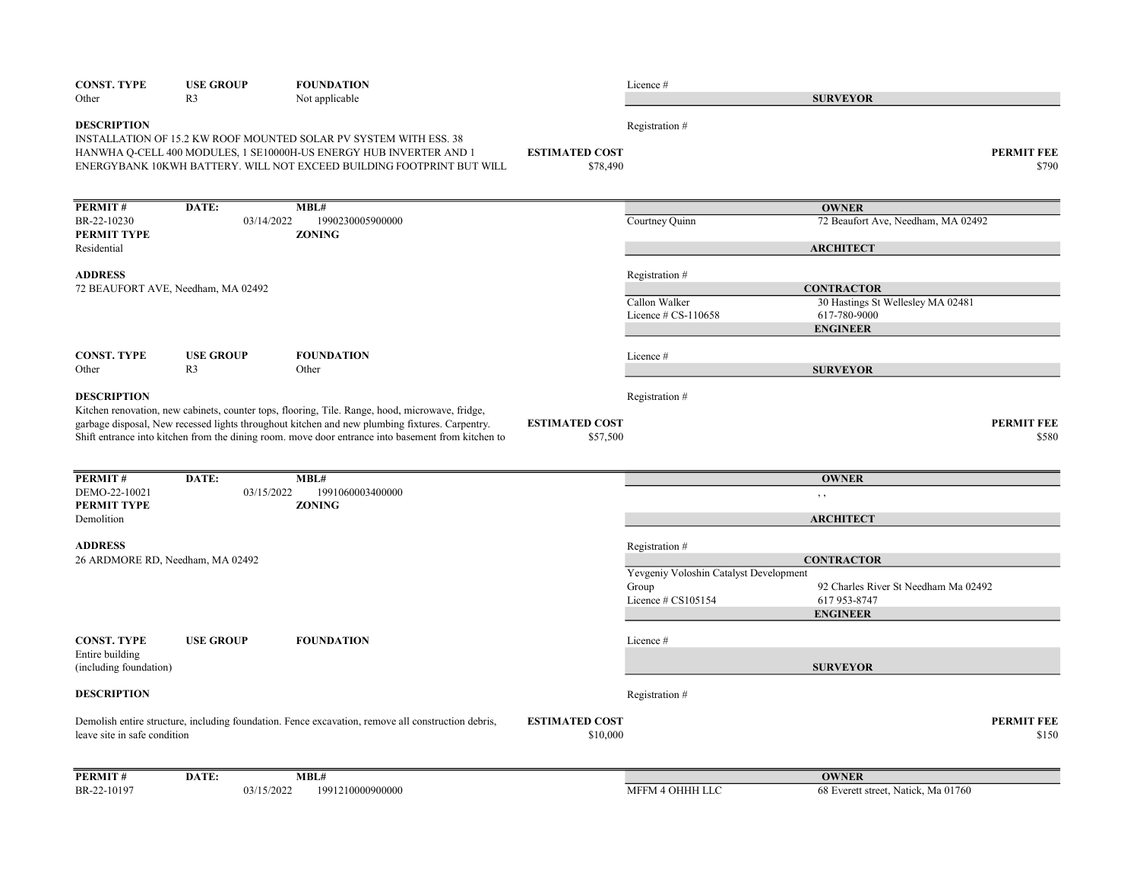| <b>CONST. TYPE</b>                        | <b>USE GROUP</b>                   | <b>FOUNDATION</b>                                                                                                                                                                                                                                                                                       |                                   | Licence#                               |                                      |                            |
|-------------------------------------------|------------------------------------|---------------------------------------------------------------------------------------------------------------------------------------------------------------------------------------------------------------------------------------------------------------------------------------------------------|-----------------------------------|----------------------------------------|--------------------------------------|----------------------------|
| Other                                     | R <sub>3</sub>                     | Not applicable                                                                                                                                                                                                                                                                                          |                                   |                                        | <b>SURVEYOR</b>                      |                            |
| <b>DESCRIPTION</b>                        |                                    | INSTALLATION OF 15.2 KW ROOF MOUNTED SOLAR PV SYSTEM WITH ESS. 38<br>HANWHA Q-CELL 400 MODULES, 1 SE10000H-US ENERGY HUB INVERTER AND 1<br>ENERGYBANK 10KWH BATTERY. WILL NOT EXCEED BUILDING FOOTPRINT BUT WILL                                                                                        | <b>ESTIMATED COST</b><br>\$78,490 | Registration #                         |                                      | <b>PERMIT FEE</b><br>\$790 |
| PERMIT#                                   | DATE:                              | MBL#                                                                                                                                                                                                                                                                                                    |                                   |                                        | <b>OWNER</b>                         |                            |
| BR-22-10230<br>PERMIT TYPE                | 03/14/2022                         | 1990230005900000<br><b>ZONING</b>                                                                                                                                                                                                                                                                       |                                   | Courtney Quinn                         | 72 Beaufort Ave, Needham, MA 02492   |                            |
| Residential                               |                                    |                                                                                                                                                                                                                                                                                                         |                                   |                                        | <b>ARCHITECT</b>                     |                            |
| <b>ADDRESS</b>                            | 72 BEAUFORT AVE, Needham, MA 02492 |                                                                                                                                                                                                                                                                                                         |                                   | Registration #                         | <b>CONTRACTOR</b>                    |                            |
|                                           |                                    |                                                                                                                                                                                                                                                                                                         |                                   | Callon Walker                          | 30 Hastings St Wellesley MA 02481    |                            |
|                                           |                                    |                                                                                                                                                                                                                                                                                                         |                                   | Licence $\#$ CS-110658                 | 617-780-9000<br><b>ENGINEER</b>      |                            |
| <b>CONST. TYPE</b>                        | <b>USE GROUP</b>                   | <b>FOUNDATION</b>                                                                                                                                                                                                                                                                                       |                                   | Licence #                              |                                      |                            |
| Other                                     | R <sub>3</sub>                     | Other                                                                                                                                                                                                                                                                                                   |                                   |                                        | <b>SURVEYOR</b>                      |                            |
| <b>DESCRIPTION</b>                        |                                    | Kitchen renovation, new cabinets, counter tops, flooring, Tile. Range, hood, microwave, fridge,<br>garbage disposal, New recessed lights throughout kitchen and new plumbing fixtures. Carpentry.<br>Shift entrance into kitchen from the dining room. move door entrance into basement from kitchen to | <b>ESTIMATED COST</b><br>\$57,500 | Registration #                         |                                      | <b>PERMIT FEE</b><br>\$580 |
| PERMIT#                                   | DATE:                              | MBL#                                                                                                                                                                                                                                                                                                    |                                   |                                        | <b>OWNER</b>                         |                            |
| DEMO-22-10021<br>PERMIT TYPE              | 03/15/2022                         | 1991060003400000<br><b>ZONING</b>                                                                                                                                                                                                                                                                       |                                   |                                        | , ,                                  |                            |
| Demolition                                |                                    |                                                                                                                                                                                                                                                                                                         |                                   |                                        | <b>ARCHITECT</b>                     |                            |
| <b>ADDRESS</b>                            | 26 ARDMORE RD, Needham, MA 02492   |                                                                                                                                                                                                                                                                                                         |                                   | Registration #                         | <b>CONTRACTOR</b>                    |                            |
|                                           |                                    |                                                                                                                                                                                                                                                                                                         |                                   | Yevgeniy Voloshin Catalyst Development |                                      |                            |
|                                           |                                    |                                                                                                                                                                                                                                                                                                         |                                   | Group                                  | 92 Charles River St Needham Ma 02492 |                            |
|                                           |                                    |                                                                                                                                                                                                                                                                                                         |                                   | Licence # CS105154                     | 617 953-8747<br><b>ENGINEER</b>      |                            |
| <b>CONST. TYPE</b>                        | <b>USE GROUP</b>                   | <b>FOUNDATION</b>                                                                                                                                                                                                                                                                                       |                                   | Licence#                               |                                      |                            |
| Entire building<br>(including foundation) |                                    |                                                                                                                                                                                                                                                                                                         |                                   |                                        | <b>SURVEYOR</b>                      |                            |
| <b>DESCRIPTION</b>                        |                                    |                                                                                                                                                                                                                                                                                                         |                                   | Registration #                         |                                      |                            |
| leave site in safe condition              |                                    | Demolish entire structure, including foundation. Fence excavation, remove all construction debris,                                                                                                                                                                                                      | <b>ESTIMATED COST</b><br>\$10,000 |                                        |                                      | <b>PERMIT FEE</b><br>\$150 |
| PERMIT#                                   | DATE:                              | MBL#                                                                                                                                                                                                                                                                                                    |                                   |                                        | <b>OWNER</b>                         |                            |
| BR-22-10197                               | 03/15/2022                         | 1991210000900000                                                                                                                                                                                                                                                                                        |                                   | MFFM 4 OHHH LLC                        | 68 Everett street, Natick, Ma 01760  |                            |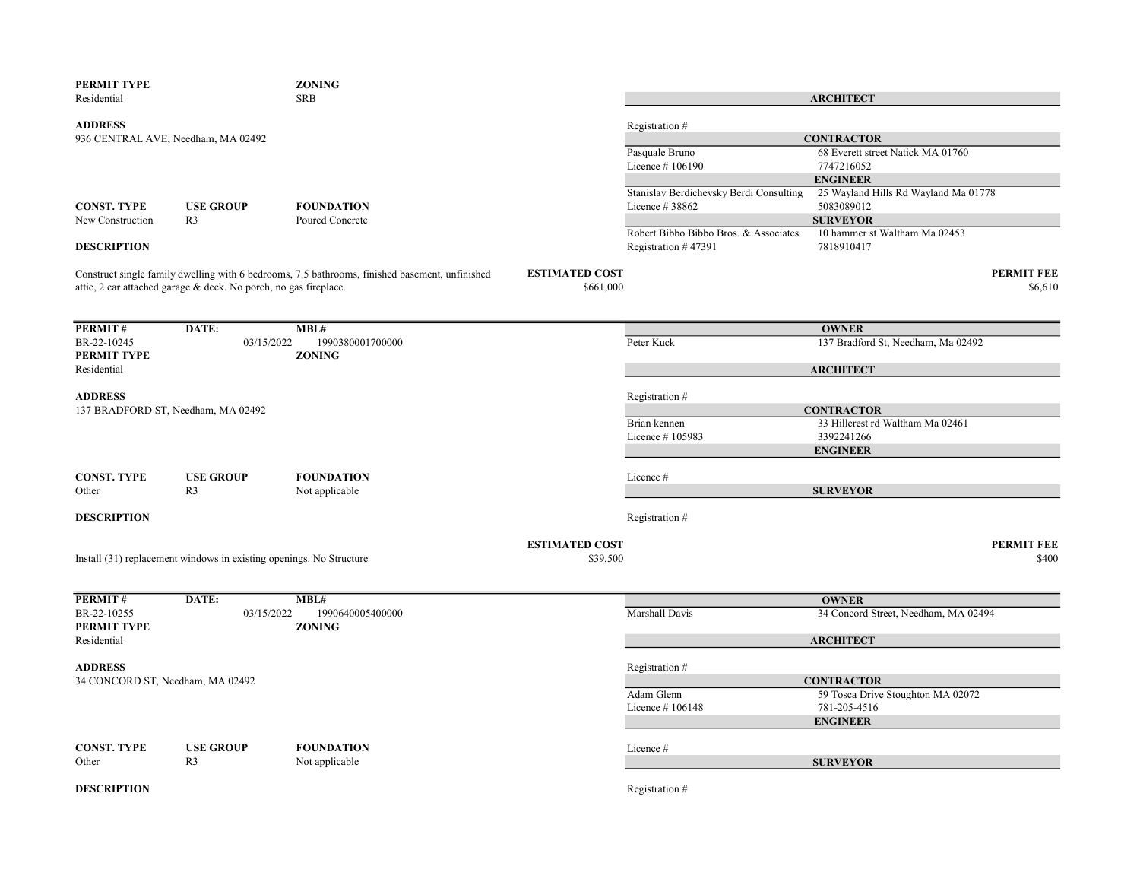| <b>SRB</b><br><b>ARCHITECT</b><br><b>ADDRESS</b><br>Registration #<br><b>CONTRACTOR</b><br>936 CENTRAL AVE, Needham, MA 02492<br>68 Everett street Natick MA 01760<br>Pasquale Bruno<br>Licence #106190<br>7747216052<br><b>ENGINEER</b><br>$25$ Wayland Hills Rd Wayland Ma $01778$<br>Stanislav Berdichevsky Berdi Consulting<br>5083089012<br><b>CONST. TYPE</b><br><b>USE GROUP</b><br><b>FOUNDATION</b><br>Licence #38862<br><b>SURVEYOR</b><br>New Construction<br>R <sub>3</sub><br>Poured Concrete<br>10 hammer st Waltham Ma 02453<br>Robert Bibbo Bibbo Bros. & Associates<br><b>DESCRIPTION</b><br>Registration #47391<br>7818910417<br>Construct single family dwelling with 6 bedrooms, 7.5 bathrooms, finished basement, unfinished<br><b>ESTIMATED COST</b><br><b>PERMIT FEE</b><br>attic, 2 car attached garage & deck. No porch, no gas fireplace.<br>\$661,000<br>\$6,610<br>PERMIT#<br>DATE:<br>MBL#<br><b>OWNER</b><br>03/15/2022<br>1990380001700000<br>Peter Kuck<br>137 Bradford St, Needham, Ma 02492<br><b>ZONING</b><br><b>ARCHITECT</b><br>Registration #<br><b>CONTRACTOR</b><br>137 BRADFORD ST, Needham, MA 02492<br>Brian kennen<br>33 Hillcrest rd Waltham Ma 02461<br>Licence #105983<br>3392241266<br><b>ENGINEER</b><br><b>CONST. TYPE</b><br><b>USE GROUP</b><br><b>FOUNDATION</b><br>Licence #<br><b>SURVEYOR</b><br>Other<br>R <sub>3</sub><br>Not applicable<br><b>DESCRIPTION</b><br>Registration #<br><b>ESTIMATED COST</b><br><b>PERMIT FEE</b><br>Install (31) replacement windows in existing openings. No Structure<br>\$39,500<br>\$400<br>DATE:<br>MBL#<br><b>OWNER</b><br>BR-22-10255<br>03/15/2022<br>1990640005400000<br>Marshall Davis<br>34 Concord Street, Needham, MA 02494<br>PERMIT TYPE<br><b>ZONING</b> | PERMIT TYPE                                        | <b>ZONING</b> |  |  |
|-------------------------------------------------------------------------------------------------------------------------------------------------------------------------------------------------------------------------------------------------------------------------------------------------------------------------------------------------------------------------------------------------------------------------------------------------------------------------------------------------------------------------------------------------------------------------------------------------------------------------------------------------------------------------------------------------------------------------------------------------------------------------------------------------------------------------------------------------------------------------------------------------------------------------------------------------------------------------------------------------------------------------------------------------------------------------------------------------------------------------------------------------------------------------------------------------------------------------------------------------------------------------------------------------------------------------------------------------------------------------------------------------------------------------------------------------------------------------------------------------------------------------------------------------------------------------------------------------------------------------------------------------------------------------------------------------------------------------------------------------------------------|----------------------------------------------------|---------------|--|--|
|                                                                                                                                                                                                                                                                                                                                                                                                                                                                                                                                                                                                                                                                                                                                                                                                                                                                                                                                                                                                                                                                                                                                                                                                                                                                                                                                                                                                                                                                                                                                                                                                                                                                                                                                                                   | Residential                                        |               |  |  |
|                                                                                                                                                                                                                                                                                                                                                                                                                                                                                                                                                                                                                                                                                                                                                                                                                                                                                                                                                                                                                                                                                                                                                                                                                                                                                                                                                                                                                                                                                                                                                                                                                                                                                                                                                                   |                                                    |               |  |  |
|                                                                                                                                                                                                                                                                                                                                                                                                                                                                                                                                                                                                                                                                                                                                                                                                                                                                                                                                                                                                                                                                                                                                                                                                                                                                                                                                                                                                                                                                                                                                                                                                                                                                                                                                                                   |                                                    |               |  |  |
|                                                                                                                                                                                                                                                                                                                                                                                                                                                                                                                                                                                                                                                                                                                                                                                                                                                                                                                                                                                                                                                                                                                                                                                                                                                                                                                                                                                                                                                                                                                                                                                                                                                                                                                                                                   |                                                    |               |  |  |
|                                                                                                                                                                                                                                                                                                                                                                                                                                                                                                                                                                                                                                                                                                                                                                                                                                                                                                                                                                                                                                                                                                                                                                                                                                                                                                                                                                                                                                                                                                                                                                                                                                                                                                                                                                   |                                                    |               |  |  |
|                                                                                                                                                                                                                                                                                                                                                                                                                                                                                                                                                                                                                                                                                                                                                                                                                                                                                                                                                                                                                                                                                                                                                                                                                                                                                                                                                                                                                                                                                                                                                                                                                                                                                                                                                                   |                                                    |               |  |  |
|                                                                                                                                                                                                                                                                                                                                                                                                                                                                                                                                                                                                                                                                                                                                                                                                                                                                                                                                                                                                                                                                                                                                                                                                                                                                                                                                                                                                                                                                                                                                                                                                                                                                                                                                                                   |                                                    |               |  |  |
|                                                                                                                                                                                                                                                                                                                                                                                                                                                                                                                                                                                                                                                                                                                                                                                                                                                                                                                                                                                                                                                                                                                                                                                                                                                                                                                                                                                                                                                                                                                                                                                                                                                                                                                                                                   |                                                    |               |  |  |
|                                                                                                                                                                                                                                                                                                                                                                                                                                                                                                                                                                                                                                                                                                                                                                                                                                                                                                                                                                                                                                                                                                                                                                                                                                                                                                                                                                                                                                                                                                                                                                                                                                                                                                                                                                   |                                                    |               |  |  |
|                                                                                                                                                                                                                                                                                                                                                                                                                                                                                                                                                                                                                                                                                                                                                                                                                                                                                                                                                                                                                                                                                                                                                                                                                                                                                                                                                                                                                                                                                                                                                                                                                                                                                                                                                                   |                                                    |               |  |  |
|                                                                                                                                                                                                                                                                                                                                                                                                                                                                                                                                                                                                                                                                                                                                                                                                                                                                                                                                                                                                                                                                                                                                                                                                                                                                                                                                                                                                                                                                                                                                                                                                                                                                                                                                                                   |                                                    |               |  |  |
|                                                                                                                                                                                                                                                                                                                                                                                                                                                                                                                                                                                                                                                                                                                                                                                                                                                                                                                                                                                                                                                                                                                                                                                                                                                                                                                                                                                                                                                                                                                                                                                                                                                                                                                                                                   |                                                    |               |  |  |
|                                                                                                                                                                                                                                                                                                                                                                                                                                                                                                                                                                                                                                                                                                                                                                                                                                                                                                                                                                                                                                                                                                                                                                                                                                                                                                                                                                                                                                                                                                                                                                                                                                                                                                                                                                   |                                                    |               |  |  |
|                                                                                                                                                                                                                                                                                                                                                                                                                                                                                                                                                                                                                                                                                                                                                                                                                                                                                                                                                                                                                                                                                                                                                                                                                                                                                                                                                                                                                                                                                                                                                                                                                                                                                                                                                                   |                                                    |               |  |  |
|                                                                                                                                                                                                                                                                                                                                                                                                                                                                                                                                                                                                                                                                                                                                                                                                                                                                                                                                                                                                                                                                                                                                                                                                                                                                                                                                                                                                                                                                                                                                                                                                                                                                                                                                                                   |                                                    |               |  |  |
|                                                                                                                                                                                                                                                                                                                                                                                                                                                                                                                                                                                                                                                                                                                                                                                                                                                                                                                                                                                                                                                                                                                                                                                                                                                                                                                                                                                                                                                                                                                                                                                                                                                                                                                                                                   |                                                    |               |  |  |
|                                                                                                                                                                                                                                                                                                                                                                                                                                                                                                                                                                                                                                                                                                                                                                                                                                                                                                                                                                                                                                                                                                                                                                                                                                                                                                                                                                                                                                                                                                                                                                                                                                                                                                                                                                   | BR-22-10245                                        |               |  |  |
|                                                                                                                                                                                                                                                                                                                                                                                                                                                                                                                                                                                                                                                                                                                                                                                                                                                                                                                                                                                                                                                                                                                                                                                                                                                                                                                                                                                                                                                                                                                                                                                                                                                                                                                                                                   | PERMIT TYPE                                        |               |  |  |
|                                                                                                                                                                                                                                                                                                                                                                                                                                                                                                                                                                                                                                                                                                                                                                                                                                                                                                                                                                                                                                                                                                                                                                                                                                                                                                                                                                                                                                                                                                                                                                                                                                                                                                                                                                   | Residential                                        |               |  |  |
|                                                                                                                                                                                                                                                                                                                                                                                                                                                                                                                                                                                                                                                                                                                                                                                                                                                                                                                                                                                                                                                                                                                                                                                                                                                                                                                                                                                                                                                                                                                                                                                                                                                                                                                                                                   |                                                    |               |  |  |
|                                                                                                                                                                                                                                                                                                                                                                                                                                                                                                                                                                                                                                                                                                                                                                                                                                                                                                                                                                                                                                                                                                                                                                                                                                                                                                                                                                                                                                                                                                                                                                                                                                                                                                                                                                   | <b>ADDRESS</b>                                     |               |  |  |
|                                                                                                                                                                                                                                                                                                                                                                                                                                                                                                                                                                                                                                                                                                                                                                                                                                                                                                                                                                                                                                                                                                                                                                                                                                                                                                                                                                                                                                                                                                                                                                                                                                                                                                                                                                   |                                                    |               |  |  |
|                                                                                                                                                                                                                                                                                                                                                                                                                                                                                                                                                                                                                                                                                                                                                                                                                                                                                                                                                                                                                                                                                                                                                                                                                                                                                                                                                                                                                                                                                                                                                                                                                                                                                                                                                                   |                                                    |               |  |  |
|                                                                                                                                                                                                                                                                                                                                                                                                                                                                                                                                                                                                                                                                                                                                                                                                                                                                                                                                                                                                                                                                                                                                                                                                                                                                                                                                                                                                                                                                                                                                                                                                                                                                                                                                                                   |                                                    |               |  |  |
|                                                                                                                                                                                                                                                                                                                                                                                                                                                                                                                                                                                                                                                                                                                                                                                                                                                                                                                                                                                                                                                                                                                                                                                                                                                                                                                                                                                                                                                                                                                                                                                                                                                                                                                                                                   |                                                    |               |  |  |
|                                                                                                                                                                                                                                                                                                                                                                                                                                                                                                                                                                                                                                                                                                                                                                                                                                                                                                                                                                                                                                                                                                                                                                                                                                                                                                                                                                                                                                                                                                                                                                                                                                                                                                                                                                   |                                                    |               |  |  |
|                                                                                                                                                                                                                                                                                                                                                                                                                                                                                                                                                                                                                                                                                                                                                                                                                                                                                                                                                                                                                                                                                                                                                                                                                                                                                                                                                                                                                                                                                                                                                                                                                                                                                                                                                                   |                                                    |               |  |  |
|                                                                                                                                                                                                                                                                                                                                                                                                                                                                                                                                                                                                                                                                                                                                                                                                                                                                                                                                                                                                                                                                                                                                                                                                                                                                                                                                                                                                                                                                                                                                                                                                                                                                                                                                                                   |                                                    |               |  |  |
|                                                                                                                                                                                                                                                                                                                                                                                                                                                                                                                                                                                                                                                                                                                                                                                                                                                                                                                                                                                                                                                                                                                                                                                                                                                                                                                                                                                                                                                                                                                                                                                                                                                                                                                                                                   |                                                    |               |  |  |
|                                                                                                                                                                                                                                                                                                                                                                                                                                                                                                                                                                                                                                                                                                                                                                                                                                                                                                                                                                                                                                                                                                                                                                                                                                                                                                                                                                                                                                                                                                                                                                                                                                                                                                                                                                   |                                                    |               |  |  |
|                                                                                                                                                                                                                                                                                                                                                                                                                                                                                                                                                                                                                                                                                                                                                                                                                                                                                                                                                                                                                                                                                                                                                                                                                                                                                                                                                                                                                                                                                                                                                                                                                                                                                                                                                                   |                                                    |               |  |  |
|                                                                                                                                                                                                                                                                                                                                                                                                                                                                                                                                                                                                                                                                                                                                                                                                                                                                                                                                                                                                                                                                                                                                                                                                                                                                                                                                                                                                                                                                                                                                                                                                                                                                                                                                                                   |                                                    |               |  |  |
|                                                                                                                                                                                                                                                                                                                                                                                                                                                                                                                                                                                                                                                                                                                                                                                                                                                                                                                                                                                                                                                                                                                                                                                                                                                                                                                                                                                                                                                                                                                                                                                                                                                                                                                                                                   |                                                    |               |  |  |
|                                                                                                                                                                                                                                                                                                                                                                                                                                                                                                                                                                                                                                                                                                                                                                                                                                                                                                                                                                                                                                                                                                                                                                                                                                                                                                                                                                                                                                                                                                                                                                                                                                                                                                                                                                   |                                                    |               |  |  |
|                                                                                                                                                                                                                                                                                                                                                                                                                                                                                                                                                                                                                                                                                                                                                                                                                                                                                                                                                                                                                                                                                                                                                                                                                                                                                                                                                                                                                                                                                                                                                                                                                                                                                                                                                                   | PERMIT#                                            |               |  |  |
|                                                                                                                                                                                                                                                                                                                                                                                                                                                                                                                                                                                                                                                                                                                                                                                                                                                                                                                                                                                                                                                                                                                                                                                                                                                                                                                                                                                                                                                                                                                                                                                                                                                                                                                                                                   |                                                    |               |  |  |
|                                                                                                                                                                                                                                                                                                                                                                                                                                                                                                                                                                                                                                                                                                                                                                                                                                                                                                                                                                                                                                                                                                                                                                                                                                                                                                                                                                                                                                                                                                                                                                                                                                                                                                                                                                   |                                                    |               |  |  |
| <b>ARCHITECT</b>                                                                                                                                                                                                                                                                                                                                                                                                                                                                                                                                                                                                                                                                                                                                                                                                                                                                                                                                                                                                                                                                                                                                                                                                                                                                                                                                                                                                                                                                                                                                                                                                                                                                                                                                                  | Residential                                        |               |  |  |
|                                                                                                                                                                                                                                                                                                                                                                                                                                                                                                                                                                                                                                                                                                                                                                                                                                                                                                                                                                                                                                                                                                                                                                                                                                                                                                                                                                                                                                                                                                                                                                                                                                                                                                                                                                   |                                                    |               |  |  |
| Registration #<br><b>CONTRACTOR</b>                                                                                                                                                                                                                                                                                                                                                                                                                                                                                                                                                                                                                                                                                                                                                                                                                                                                                                                                                                                                                                                                                                                                                                                                                                                                                                                                                                                                                                                                                                                                                                                                                                                                                                                               | <b>ADDRESS</b><br>34 CONCORD ST, Needham, MA 02492 |               |  |  |
| Adam Glenn<br>59 Tosca Drive Stoughton MA 02072                                                                                                                                                                                                                                                                                                                                                                                                                                                                                                                                                                                                                                                                                                                                                                                                                                                                                                                                                                                                                                                                                                                                                                                                                                                                                                                                                                                                                                                                                                                                                                                                                                                                                                                   |                                                    |               |  |  |
| 781-205-4516<br>Licence $#106148$                                                                                                                                                                                                                                                                                                                                                                                                                                                                                                                                                                                                                                                                                                                                                                                                                                                                                                                                                                                                                                                                                                                                                                                                                                                                                                                                                                                                                                                                                                                                                                                                                                                                                                                                 |                                                    |               |  |  |
| <b>ENGINEER</b>                                                                                                                                                                                                                                                                                                                                                                                                                                                                                                                                                                                                                                                                                                                                                                                                                                                                                                                                                                                                                                                                                                                                                                                                                                                                                                                                                                                                                                                                                                                                                                                                                                                                                                                                                   |                                                    |               |  |  |
|                                                                                                                                                                                                                                                                                                                                                                                                                                                                                                                                                                                                                                                                                                                                                                                                                                                                                                                                                                                                                                                                                                                                                                                                                                                                                                                                                                                                                                                                                                                                                                                                                                                                                                                                                                   |                                                    |               |  |  |
| <b>USE GROUP</b><br><b>FOUNDATION</b><br>Licence #                                                                                                                                                                                                                                                                                                                                                                                                                                                                                                                                                                                                                                                                                                                                                                                                                                                                                                                                                                                                                                                                                                                                                                                                                                                                                                                                                                                                                                                                                                                                                                                                                                                                                                                | <b>CONST. TYPE</b>                                 |               |  |  |
| R <sub>3</sub><br><b>SURVEYOR</b><br>Not applicable                                                                                                                                                                                                                                                                                                                                                                                                                                                                                                                                                                                                                                                                                                                                                                                                                                                                                                                                                                                                                                                                                                                                                                                                                                                                                                                                                                                                                                                                                                                                                                                                                                                                                                               | Other                                              |               |  |  |
|                                                                                                                                                                                                                                                                                                                                                                                                                                                                                                                                                                                                                                                                                                                                                                                                                                                                                                                                                                                                                                                                                                                                                                                                                                                                                                                                                                                                                                                                                                                                                                                                                                                                                                                                                                   |                                                    |               |  |  |
| Registration #                                                                                                                                                                                                                                                                                                                                                                                                                                                                                                                                                                                                                                                                                                                                                                                                                                                                                                                                                                                                                                                                                                                                                                                                                                                                                                                                                                                                                                                                                                                                                                                                                                                                                                                                                    | <b>DESCRIPTION</b>                                 |               |  |  |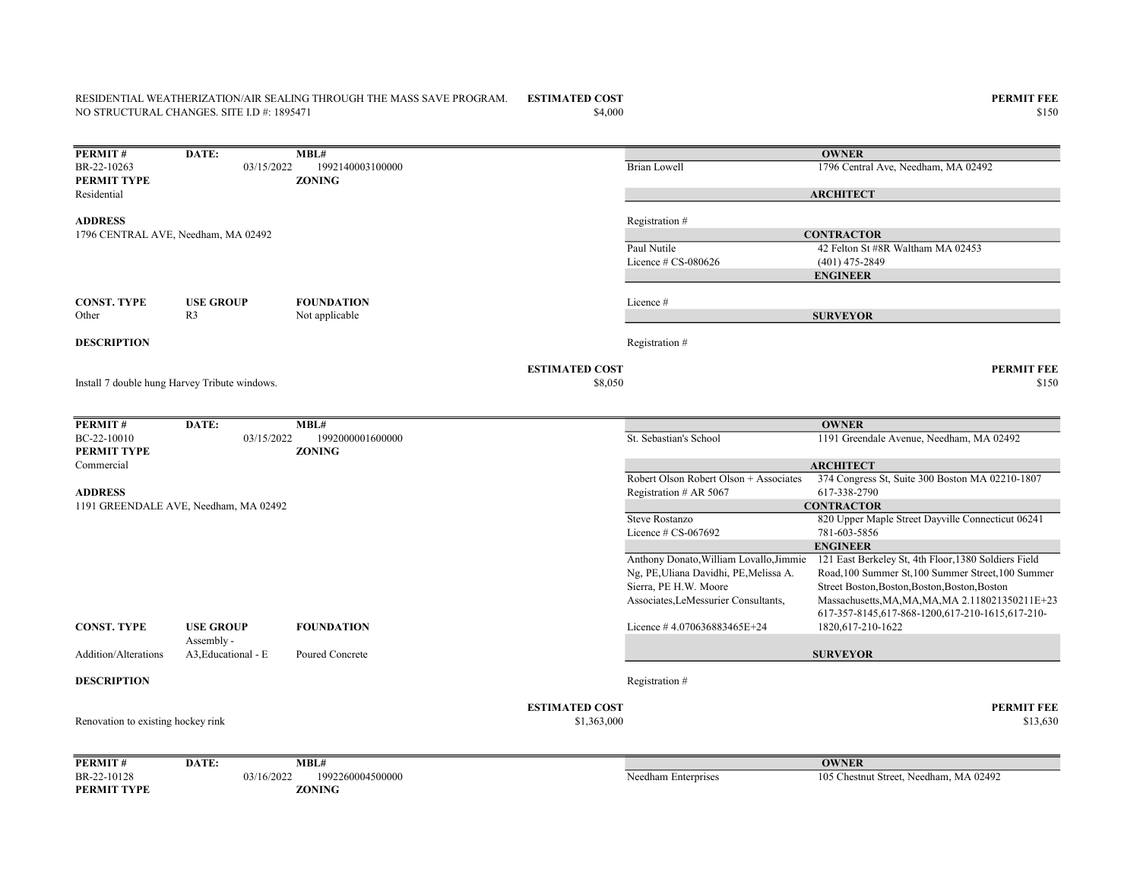#### ESTIMATED COST PERMIT FEE RESIDENTIAL WEATHERIZATION/AIR SEALING THROUGH THE MASS SAVE PROGRAM. NO STRUCTURAL CHANGES. SITE I.D #: 1895471

PERMIT TYPE ZONING

**PERMIT # DATE: MBL#**<br>BR-22-10263 03/15/2022 19 03/15/2022 1992140003100000 Brian Lowell 1796 Central Ave, Needham, MA 02492 PERMIT TYPE ZONING Residential ADDRESS Registration # Paul Nutile 42 Felton St #8R Waltham MA 02453 Licence # CS-080626 (401) 475-2849 CONST. TYPE USE GROUP FOUNDATION Licence # Other R3 Not applicable **DESCRIPTION** Registration  $#$ **ESTIMATED COST PERMIT FEE**  $$8,050$   $$150$ **PERMIT # DATE: MBL#**<br>BC-22-10010 03/15/2022 19 03/15/2022 1992000001600000 St. Sebastian's School 1191 Greendale Avenue, Needham, MA 02492 PERMIT TYPE ZONING Commercial Robert Olson Robert Olson + Associates 374 Congress St, Suite 300 Boston MA 02210-1807 ADDRESS Registration # AR 5067 617-338-2790 Steve Rostanzo 820 Upper Maple Street Dayville Connecticut 06241 Licence # CS-067692 781-603-5856 Anthony Donato,William Lovallo,Jimmie Ng, PE,Uliana Davidhi, PE,Melissa A. Sierra, PE H.W. Moore Associates,LeMessurier Consultants, 121 East Berkeley St, 4th Floor,1380 Soldiers Field Road,100 Summer St,100 Summer Street,100 Summer Street Boston,Boston,Boston,Boston,Boston Massachusetts,MA,MA,MA,MA 2.118021350211E+23 CONST. TYPE USE GROUP FOUNDATION Licence # 4.070636883465E+24 617-357-8145,617-868-1200,617-210-1615,617-210- 1820,617-210-1622 Addition/Alterations Assembly - A3. Educational - E Poured Concrete **DESCRIPTION** Registration # ESTIMATED COST PERMIT FEE  $$13,63,000$   $$13,630$ PERMIT# DATE: MBL# BR-22-10128 03/16/2022 1992260004500000 Needham Enterprises 105 Chestnut Street, Needham, MA 02492 Renovation to existing hockey rink **OWNER** Install 7 double hung Harvey Tribute windows. **OWNER ARCHITECT CONTRACTOR** ENGINEER **SURVEYOR** 1191 GREENDALE AVE, Needham, MA 02492 **OWNER** ARCHITECT **CONTRACTOR** ENGINEER SURVEYOR 1796 CENTRAL AVE, Needham, MA 02492

 $$4,000$   $$150$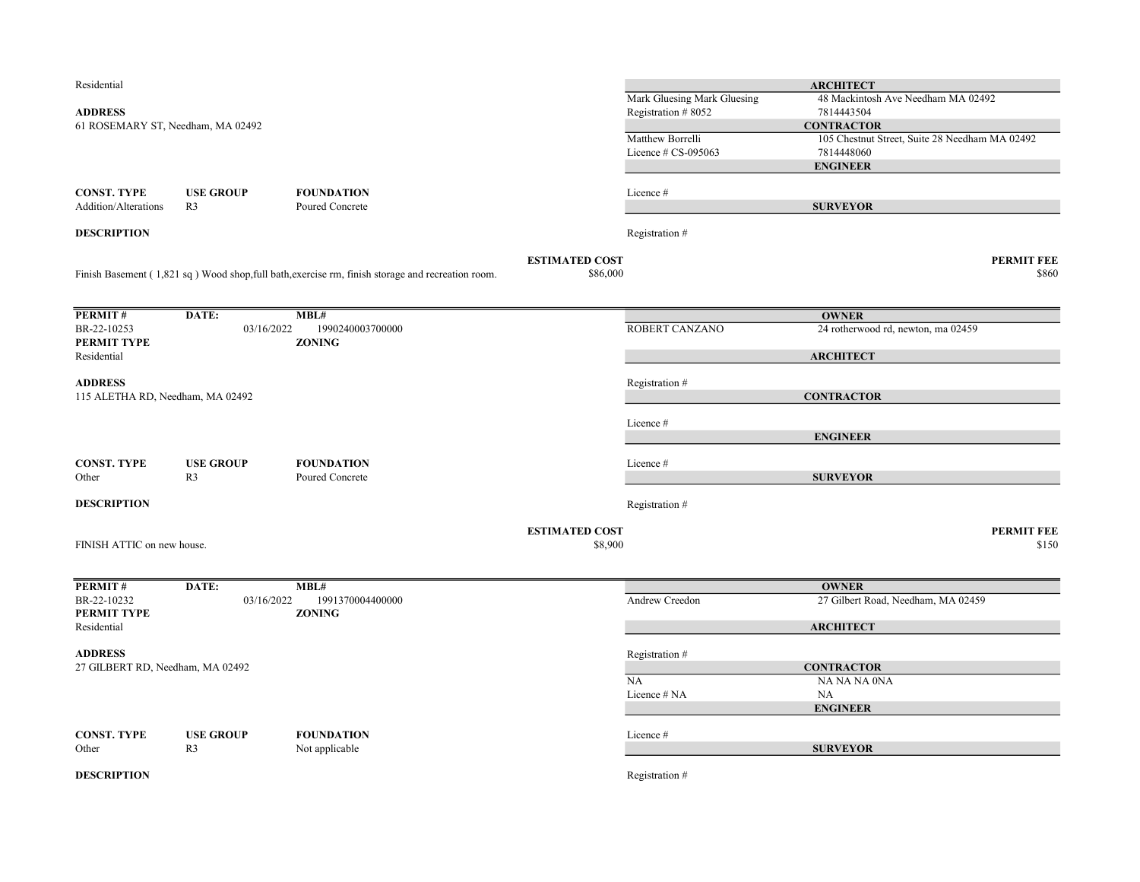| Residential                       |                  |                                                                                                   |                       |                                           | <b>ARCHITECT</b>                                             |                   |
|-----------------------------------|------------------|---------------------------------------------------------------------------------------------------|-----------------------|-------------------------------------------|--------------------------------------------------------------|-------------------|
|                                   |                  |                                                                                                   |                       | Mark Gluesing Mark Gluesing               | 48 Mackintosh Ave Needham MA 02492                           |                   |
| <b>ADDRESS</b>                    |                  |                                                                                                   |                       | Registration #8052                        | 7814443504                                                   |                   |
| 61 ROSEMARY ST, Needham, MA 02492 |                  |                                                                                                   |                       |                                           | <b>CONTRACTOR</b>                                            |                   |
|                                   |                  |                                                                                                   |                       | Matthew Borrelli<br>Licence $# CS-095063$ | 105 Chestnut Street, Suite 28 Needham MA 02492<br>7814448060 |                   |
|                                   |                  |                                                                                                   |                       |                                           | <b>ENGINEER</b>                                              |                   |
|                                   |                  |                                                                                                   |                       |                                           |                                                              |                   |
| <b>CONST. TYPE</b>                | <b>USE GROUP</b> | <b>FOUNDATION</b>                                                                                 |                       | Licence #                                 |                                                              |                   |
| <b>Addition/Alterations</b>       | R <sub>3</sub>   | Poured Concrete                                                                                   |                       |                                           | <b>SURVEYOR</b>                                              |                   |
| <b>DESCRIPTION</b>                |                  |                                                                                                   |                       | Registration #                            |                                                              |                   |
|                                   |                  |                                                                                                   | <b>ESTIMATED COST</b> |                                           |                                                              | <b>PERMIT FEE</b> |
|                                   |                  | Finish Basement (1,821 sq) Wood shop, full bath, exercise rm, finish storage and recreation room. | \$86,000              |                                           |                                                              | \$860             |
| PERMIT#                           | DATE:            | MBL#                                                                                              |                       |                                           | <b>OWNER</b>                                                 |                   |
| BR-22-10253                       | 03/16/2022       | 1990240003700000                                                                                  |                       | ROBERT CANZANO                            | 24 rotherwood rd, newton, ma 02459                           |                   |
| PERMIT TYPE                       |                  | <b>ZONING</b>                                                                                     |                       |                                           |                                                              |                   |
| Residential                       |                  |                                                                                                   |                       |                                           | <b>ARCHITECT</b>                                             |                   |
| <b>ADDRESS</b>                    |                  |                                                                                                   |                       | Registration #                            |                                                              |                   |
| 115 ALETHA RD, Needham, MA 02492  |                  |                                                                                                   |                       |                                           | <b>CONTRACTOR</b>                                            |                   |
|                                   |                  |                                                                                                   |                       |                                           |                                                              |                   |
|                                   |                  |                                                                                                   |                       | Licence #                                 |                                                              |                   |
|                                   |                  |                                                                                                   |                       |                                           | <b>ENGINEER</b>                                              |                   |
|                                   |                  |                                                                                                   |                       |                                           |                                                              |                   |
| <b>CONST. TYPE</b>                | <b>USE GROUP</b> | <b>FOUNDATION</b>                                                                                 |                       | Licence #                                 |                                                              |                   |
| Other                             | R <sub>3</sub>   | Poured Concrete                                                                                   |                       |                                           | <b>SURVEYOR</b>                                              |                   |
| <b>DESCRIPTION</b>                |                  |                                                                                                   |                       | Registration #                            |                                                              |                   |
|                                   |                  |                                                                                                   |                       |                                           |                                                              |                   |
| FINISH ATTIC on new house.        |                  |                                                                                                   | <b>ESTIMATED COST</b> |                                           |                                                              | <b>PERMIT FEE</b> |
|                                   |                  |                                                                                                   | \$8,900               |                                           |                                                              | \$150             |
| PERMIT#                           | DATE:            | MBL#                                                                                              |                       |                                           | <b>OWNER</b>                                                 |                   |
| BR-22-10232                       | 03/16/2022       | 1991370004400000                                                                                  |                       | Andrew Creedon                            | 27 Gilbert Road, Needham, MA 02459                           |                   |
| PERMIT TYPE                       |                  | <b>ZONING</b>                                                                                     |                       |                                           |                                                              |                   |
| Residential                       |                  |                                                                                                   |                       |                                           | <b>ARCHITECT</b>                                             |                   |
| <b>ADDRESS</b>                    |                  |                                                                                                   |                       |                                           |                                                              |                   |
| 27 GILBERT RD, Needham, MA 02492  |                  |                                                                                                   |                       | Registration #                            | <b>CONTRACTOR</b>                                            |                   |
|                                   |                  |                                                                                                   |                       | NA                                        | NA NA NA 0NA                                                 |                   |
|                                   |                  |                                                                                                   |                       | Licence # NA                              | <b>NA</b>                                                    |                   |
|                                   |                  |                                                                                                   |                       |                                           | <b>ENGINEER</b>                                              |                   |
|                                   |                  |                                                                                                   |                       |                                           |                                                              |                   |
| <b>CONST. TYPE</b>                | <b>USE GROUP</b> | <b>FOUNDATION</b>                                                                                 |                       | Licence #                                 |                                                              |                   |
| Other                             | R <sub>3</sub>   | Not applicable                                                                                    |                       |                                           | <b>SURVEYOR</b>                                              |                   |
| <b>DESCRIPTION</b>                |                  |                                                                                                   |                       | Registration #                            |                                                              |                   |
|                                   |                  |                                                                                                   |                       |                                           |                                                              |                   |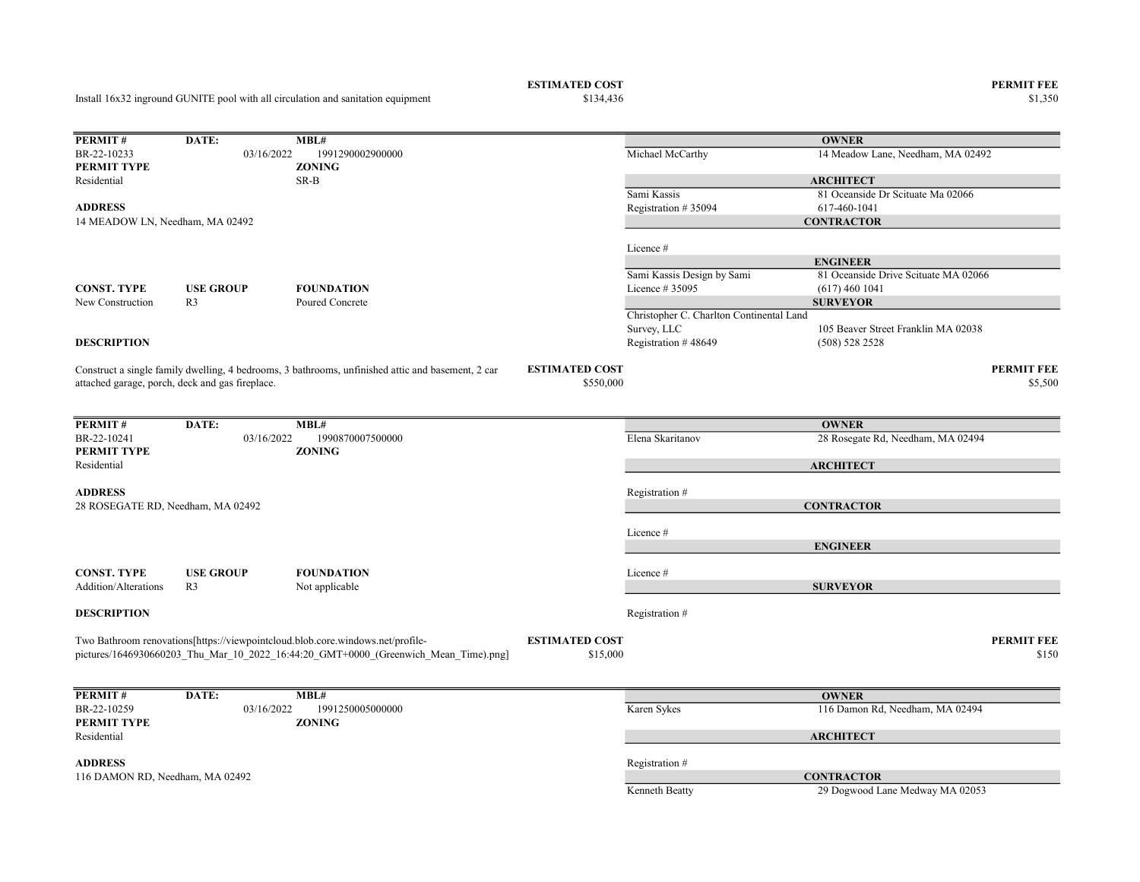# ESTIMATED COST PERMIT FEE<br>
\$134,436 \$1,350

Install 16x32 inground GUNITE pool with all circulation and sanitation equipment

\$1,350 \$1,350

| PERMIT#                           | DATE:                                           | MBL#                                                                                              |                       |                                          | <b>OWNER</b>                         |                   |
|-----------------------------------|-------------------------------------------------|---------------------------------------------------------------------------------------------------|-----------------------|------------------------------------------|--------------------------------------|-------------------|
| BR-22-10233                       | 03/16/2022                                      | 1991290002900000                                                                                  |                       | Michael McCarthy                         | 14 Meadow Lane, Needham, MA 02492    |                   |
| PERMIT TYPE                       |                                                 | <b>ZONING</b>                                                                                     |                       |                                          |                                      |                   |
| Residential                       |                                                 | SR-B                                                                                              |                       |                                          | <b>ARCHITECT</b>                     |                   |
|                                   |                                                 |                                                                                                   |                       | Sami Kassis                              | 81 Oceanside Dr Scituate Ma 02066    |                   |
| <b>ADDRESS</b>                    |                                                 |                                                                                                   |                       | Registration #35094                      | 617-460-1041                         |                   |
| 14 MEADOW LN, Needham, MA 02492   |                                                 |                                                                                                   |                       |                                          | <b>CONTRACTOR</b>                    |                   |
|                                   |                                                 |                                                                                                   |                       |                                          |                                      |                   |
|                                   |                                                 |                                                                                                   |                       | Licence #                                |                                      |                   |
|                                   |                                                 |                                                                                                   |                       |                                          | <b>ENGINEER</b>                      |                   |
|                                   |                                                 |                                                                                                   |                       | Sami Kassis Design by Sami               | 81 Oceanside Drive Scituate MA 02066 |                   |
| <b>CONST. TYPE</b>                | <b>USE GROUP</b>                                | <b>FOUNDATION</b>                                                                                 |                       | Licence # 35095                          | $(617)$ 460 1041                     |                   |
| New Construction                  | R <sub>3</sub>                                  | Poured Concrete                                                                                   |                       |                                          | <b>SURVEYOR</b>                      |                   |
|                                   |                                                 |                                                                                                   |                       | Christopher C. Charlton Continental Land |                                      |                   |
|                                   |                                                 |                                                                                                   |                       | Survey, LLC                              | 105 Beaver Street Franklin MA 02038  |                   |
| <b>DESCRIPTION</b>                |                                                 |                                                                                                   |                       | Registration #48649                      | (508) 528 2528                       |                   |
|                                   |                                                 |                                                                                                   |                       |                                          |                                      |                   |
|                                   |                                                 | Construct a single family dwelling, 4 bedrooms, 3 bathrooms, unfinished attic and basement, 2 car | <b>ESTIMATED COST</b> |                                          |                                      | <b>PERMIT FEE</b> |
|                                   | attached garage, porch, deck and gas fireplace. |                                                                                                   | \$550,000             |                                          |                                      | \$5,500           |
|                                   |                                                 |                                                                                                   |                       |                                          |                                      |                   |
|                                   |                                                 |                                                                                                   |                       |                                          |                                      |                   |
| PERMIT#                           | DATE:                                           | MBL#                                                                                              |                       |                                          | <b>OWNER</b>                         |                   |
| BR-22-10241                       | 03/16/2022                                      | 1990870007500000                                                                                  |                       | Elena Skaritanov                         | 28 Rosegate Rd, Needham, MA 02494    |                   |
| PERMIT TYPE                       |                                                 | <b>ZONING</b>                                                                                     |                       |                                          |                                      |                   |
| Residential                       |                                                 |                                                                                                   |                       |                                          | <b>ARCHITECT</b>                     |                   |
| <b>ADDRESS</b>                    |                                                 |                                                                                                   |                       | Registration #                           |                                      |                   |
| 28 ROSEGATE RD, Needham, MA 02492 |                                                 |                                                                                                   |                       |                                          | <b>CONTRACTOR</b>                    |                   |
|                                   |                                                 |                                                                                                   |                       |                                          |                                      |                   |
|                                   |                                                 |                                                                                                   |                       | Licence #                                |                                      |                   |
|                                   |                                                 |                                                                                                   |                       |                                          | <b>ENGINEER</b>                      |                   |
|                                   |                                                 |                                                                                                   |                       |                                          |                                      |                   |
| <b>CONST. TYPE</b>                | <b>USE GROUP</b>                                | <b>FOUNDATION</b>                                                                                 |                       | Licence #                                |                                      |                   |
| Addition/Alterations              | R <sub>3</sub>                                  | Not applicable                                                                                    |                       |                                          | <b>SURVEYOR</b>                      |                   |
|                                   |                                                 |                                                                                                   |                       |                                          |                                      |                   |
| <b>DESCRIPTION</b>                |                                                 |                                                                                                   |                       | Registration #                           |                                      |                   |
|                                   |                                                 |                                                                                                   |                       |                                          |                                      |                   |
|                                   |                                                 | Two Bathroom renovations[https://viewpointcloud.blob.core.windows.net/profile-                    | <b>ESTIMATED COST</b> |                                          |                                      | <b>PERMIT FEE</b> |
|                                   |                                                 | pictures/1646930660203_Thu_Mar_10_2022_16:44:20_GMT+0000_(Greenwich_Mean_Time).png]               | \$15,000              |                                          |                                      | \$150             |
|                                   |                                                 |                                                                                                   |                       |                                          |                                      |                   |
|                                   |                                                 |                                                                                                   |                       |                                          |                                      |                   |
| PERMIT#                           | DATE:                                           | MBL#                                                                                              |                       |                                          | <b>OWNER</b>                         |                   |
| BR-22-10259                       | 03/16/2022                                      | 1991250005000000                                                                                  |                       | Karen Sykes                              | 116 Damon Rd, Needham, MA 02494      |                   |
| PERMIT TYPE                       |                                                 | <b>ZONING</b>                                                                                     |                       |                                          |                                      |                   |
| Residential                       |                                                 |                                                                                                   |                       |                                          | <b>ARCHITECT</b>                     |                   |
|                                   |                                                 |                                                                                                   |                       |                                          |                                      |                   |
| <b>ADDRESS</b>                    |                                                 |                                                                                                   |                       | Registration #                           |                                      |                   |
| 116 DAMON RD, Needham, MA 02492   |                                                 |                                                                                                   |                       |                                          | <b>CONTRACTOR</b>                    |                   |
|                                   |                                                 |                                                                                                   |                       | Kenneth Beatty                           | 29 Dogwood Lane Medway MA 02053      |                   |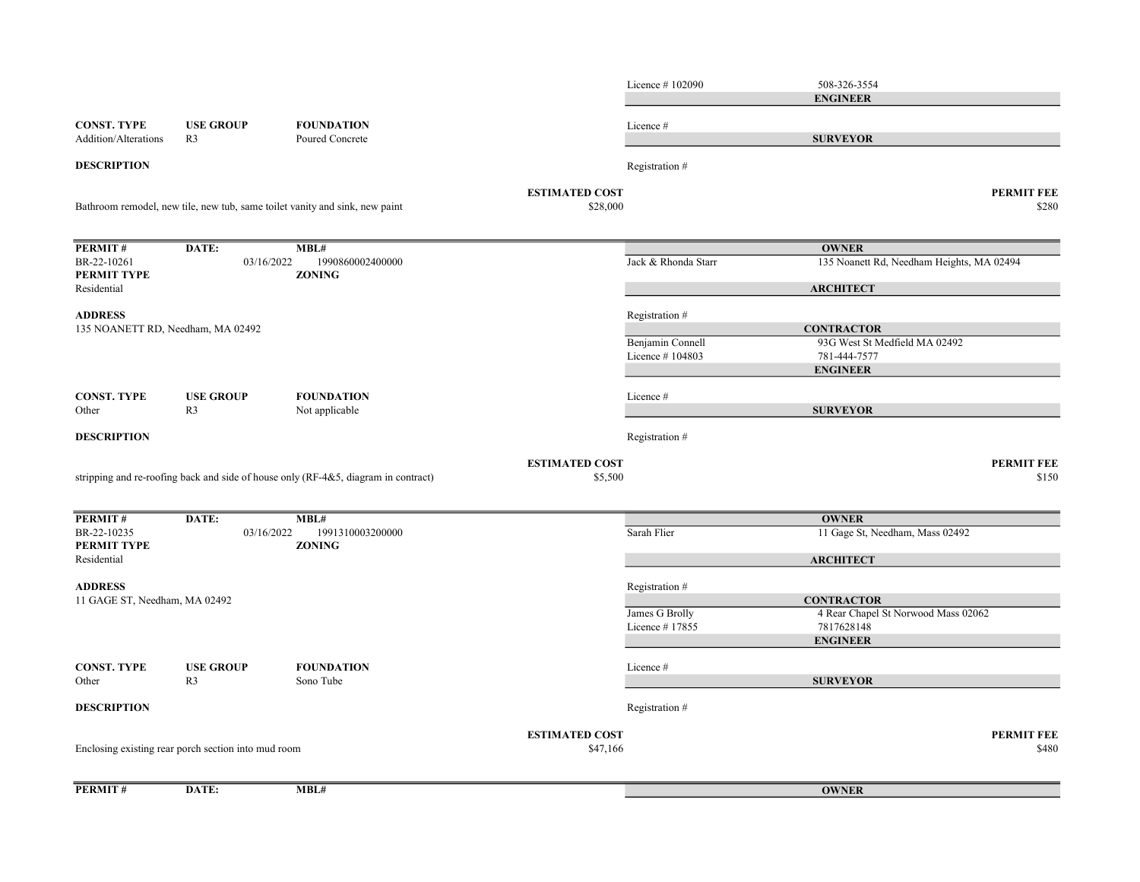Licence # 102090 508-326-3554 CONST. TYPE USE GROUP FOUNDATION Licence # Addition/Alterations R3 Poured Concrete **DESCRIPTION** Registration # ESTIMATED COST PERMIT FEE  $$28,000$   $$280$ PERMIT # DATE: MBL# BR-22-10261 03/16/2022 1990860002400000 Jack & Rhonda Starr 135 Noanett Rd, Needham Heights, MA 02494 PERMIT TYPE ZONING Residential ADDRESS Registration # Benjamin Connell 93G West St Medfield MA 02492 Licence # 104803 781-444-7577 CONST. TYPE USE GROUP FOUNDATION Licence # Other R3 Not applicable **DESCRIPTION** Registration # ESTIMATED COST PERMIT FEE  $$5,500$   $$150$ PERMIT # DATE: MBL# BR-22-10235 03/16/2022 1991310003200000 Sarah Flier Sarah Flier 11 Gage St, Needham, Mass 02492 PERMIT TYPE ZONING Residential ADDRESS Registration # James G Brolly 4 Rear Chapel St Norwood Mass 02062 Licence # 17855 7817628148 CONST. TYPE USE GROUP FOUNDATION Licence # Other R3 Sono Tube **DESCRIPTION** Registration # **ESTIMATED COST PERMIT FEE**  $\$47,166$   $\$480$ PERMIT # DATE: MBL# Bathroom remodel, new tile, new tub, same toilet vanity and sink, new paint **OWNER ARCHITECT CONTRACTOR** ENGINEER SURVEYOR 135 NOANETT RD, Needham, MA 02492 ENGINEER SURVEYOR Enclosing existing rear porch section into mud room **OWNER** stripping and re-roofing back and side of house only (RF-4&5, diagram in contract) **OWNER ARCHITECT CONTRACTOR** ENGINEER **SURVEYOR** 11 GAGE ST, Needham, MA 02492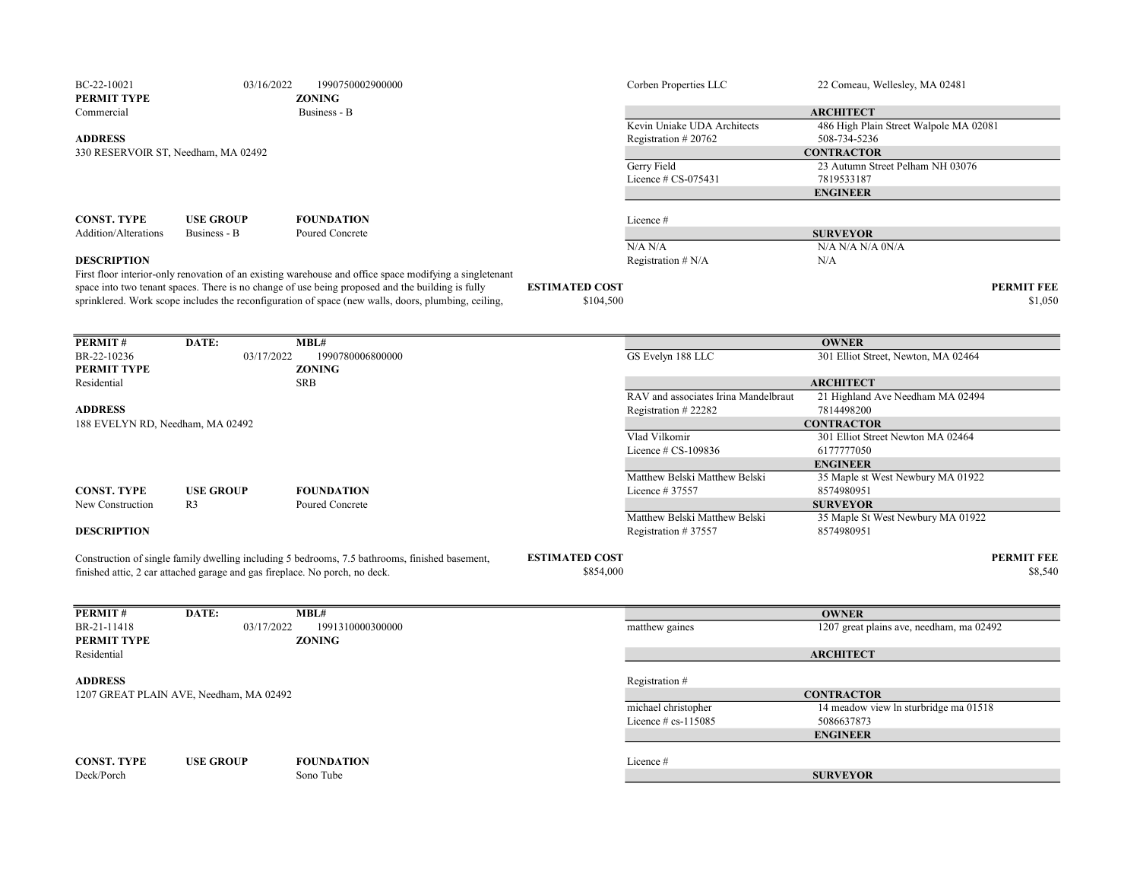| BC-22-10021<br>PERMIT TYPE          | 03/16/2022                                                                  | 1990750002900000<br><b>ZONING</b>                                                                       |                       | Corben Properties LLC                | 22 Comeau, Wellesley, MA 02481                      |
|-------------------------------------|-----------------------------------------------------------------------------|---------------------------------------------------------------------------------------------------------|-----------------------|--------------------------------------|-----------------------------------------------------|
| Commercial                          |                                                                             | Business - B                                                                                            |                       |                                      | <b>ARCHITECT</b>                                    |
|                                     |                                                                             |                                                                                                         |                       | Kevin Uniake UDA Architects          | 486 High Plain Street Walpole MA 02081              |
| <b>ADDRESS</b>                      |                                                                             |                                                                                                         |                       | Registration #20762                  | 508-734-5236                                        |
| 330 RESERVOIR ST, Needham, MA 02492 |                                                                             |                                                                                                         |                       |                                      | <b>CONTRACTOR</b>                                   |
|                                     |                                                                             |                                                                                                         |                       | Gerry Field                          | 23 Autumn Street Pelham NH 03076                    |
|                                     |                                                                             |                                                                                                         |                       | Licence # CS-075431                  | 7819533187                                          |
|                                     |                                                                             |                                                                                                         |                       |                                      | <b>ENGINEER</b>                                     |
| <b>CONST. TYPE</b>                  | <b>USE GROUP</b>                                                            | <b>FOUNDATION</b>                                                                                       |                       | Licence #                            |                                                     |
| Addition/Alterations                | Business - B                                                                | Poured Concrete                                                                                         |                       |                                      | <b>SURVEYOR</b>                                     |
|                                     |                                                                             |                                                                                                         |                       | N/A N/A                              | N/A N/A N/A 0N/A                                    |
| <b>DESCRIPTION</b>                  |                                                                             |                                                                                                         |                       | Registration # N/A                   | N/A                                                 |
|                                     |                                                                             | First floor interior-only renovation of an existing warehouse and office space modifying a singletenant |                       |                                      |                                                     |
|                                     |                                                                             | space into two tenant spaces. There is no change of use being proposed and the building is fully        | <b>ESTIMATED COST</b> |                                      | <b>PERMIT FEE</b>                                   |
|                                     |                                                                             | sprinklered. Work scope includes the reconfiguration of space (new walls, doors, plumbing, ceiling,     | \$104,500             |                                      | \$1,050                                             |
|                                     |                                                                             |                                                                                                         |                       |                                      |                                                     |
| PERMIT#                             |                                                                             |                                                                                                         |                       |                                      |                                                     |
| BR-22-10236                         | DATE:<br>03/17/2022                                                         | MBL#<br>1990780006800000                                                                                |                       | GS Evelyn 188 LLC                    | <b>OWNER</b><br>301 Elliot Street, Newton, MA 02464 |
| PERMIT TYPE                         |                                                                             | <b>ZONING</b>                                                                                           |                       |                                      |                                                     |
| Residential                         |                                                                             | <b>SRB</b>                                                                                              |                       |                                      | <b>ARCHITECT</b>                                    |
|                                     |                                                                             |                                                                                                         |                       | RAV and associates Irina Mandelbraut | 21 Highland Ave Needham MA 02494                    |
| <b>ADDRESS</b>                      |                                                                             |                                                                                                         |                       | Registration #22282                  | 7814498200                                          |
| 188 EVELYN RD, Needham, MA 02492    |                                                                             |                                                                                                         |                       |                                      | <b>CONTRACTOR</b>                                   |
|                                     |                                                                             |                                                                                                         |                       | Vlad Vilkomir                        | 301 Elliot Street Newton MA 02464                   |
|                                     |                                                                             |                                                                                                         |                       | Licence # CS-109836                  | 6177777050                                          |
|                                     |                                                                             |                                                                                                         |                       |                                      | <b>ENGINEER</b>                                     |
|                                     |                                                                             |                                                                                                         |                       | Matthew Belski Matthew Belski        | 35 Maple st West Newbury MA 01922                   |
| <b>CONST. TYPE</b>                  | <b>USE GROUP</b>                                                            | <b>FOUNDATION</b>                                                                                       |                       | Licence #37557                       | 8574980951                                          |
| New Construction                    | R <sub>3</sub>                                                              | Poured Concrete                                                                                         |                       |                                      | <b>SURVEYOR</b>                                     |
|                                     |                                                                             |                                                                                                         |                       | Matthew Belski Matthew Belski        | 35 Maple St West Newbury MA 01922                   |
| <b>DESCRIPTION</b>                  |                                                                             |                                                                                                         |                       | Registration #37557                  | 8574980951                                          |
|                                     |                                                                             | Construction of single family dwelling including 5 bedrooms, 7.5 bathrooms, finished basement,          | <b>ESTIMATED COST</b> |                                      | <b>PERMIT FEE</b>                                   |
|                                     | finished attic, 2 car attached garage and gas fireplace. No porch, no deck. |                                                                                                         | \$854,000             |                                      | \$8,540                                             |
|                                     |                                                                             |                                                                                                         |                       |                                      |                                                     |
|                                     |                                                                             |                                                                                                         |                       |                                      |                                                     |
| PERMIT#                             | DATE:                                                                       | MBL#                                                                                                    |                       |                                      | <b>OWNER</b>                                        |
| BR-21-11418                         | 03/17/2022                                                                  | 1991310000300000                                                                                        |                       | matthew gaines                       | 1207 great plains ave, needham, ma 02492            |
| PERMIT TYPE                         |                                                                             | <b>ZONING</b>                                                                                           |                       |                                      |                                                     |
| Residential                         |                                                                             |                                                                                                         |                       |                                      | <b>ARCHITECT</b>                                    |
| <b>ADDRESS</b>                      |                                                                             |                                                                                                         |                       | Registration #                       |                                                     |
|                                     | 1207 GREAT PLAIN AVE, Needham, MA 02492                                     |                                                                                                         |                       |                                      | <b>CONTRACTOR</b>                                   |
|                                     |                                                                             |                                                                                                         |                       | michael christopher                  | 14 meadow view ln sturbridge ma 01518               |
|                                     |                                                                             |                                                                                                         |                       | Licence $#$ cs-115085                | 5086637873                                          |
|                                     |                                                                             |                                                                                                         |                       |                                      | <b>ENGINEER</b>                                     |
|                                     |                                                                             |                                                                                                         |                       |                                      |                                                     |
| <b>CONST. TYPE</b>                  | <b>USE GROUP</b>                                                            | <b>FOUNDATION</b>                                                                                       |                       | Licence#                             |                                                     |
| Deck/Porch                          |                                                                             | Sono Tube                                                                                               |                       |                                      | <b>SURVEYOR</b>                                     |
|                                     |                                                                             |                                                                                                         |                       |                                      |                                                     |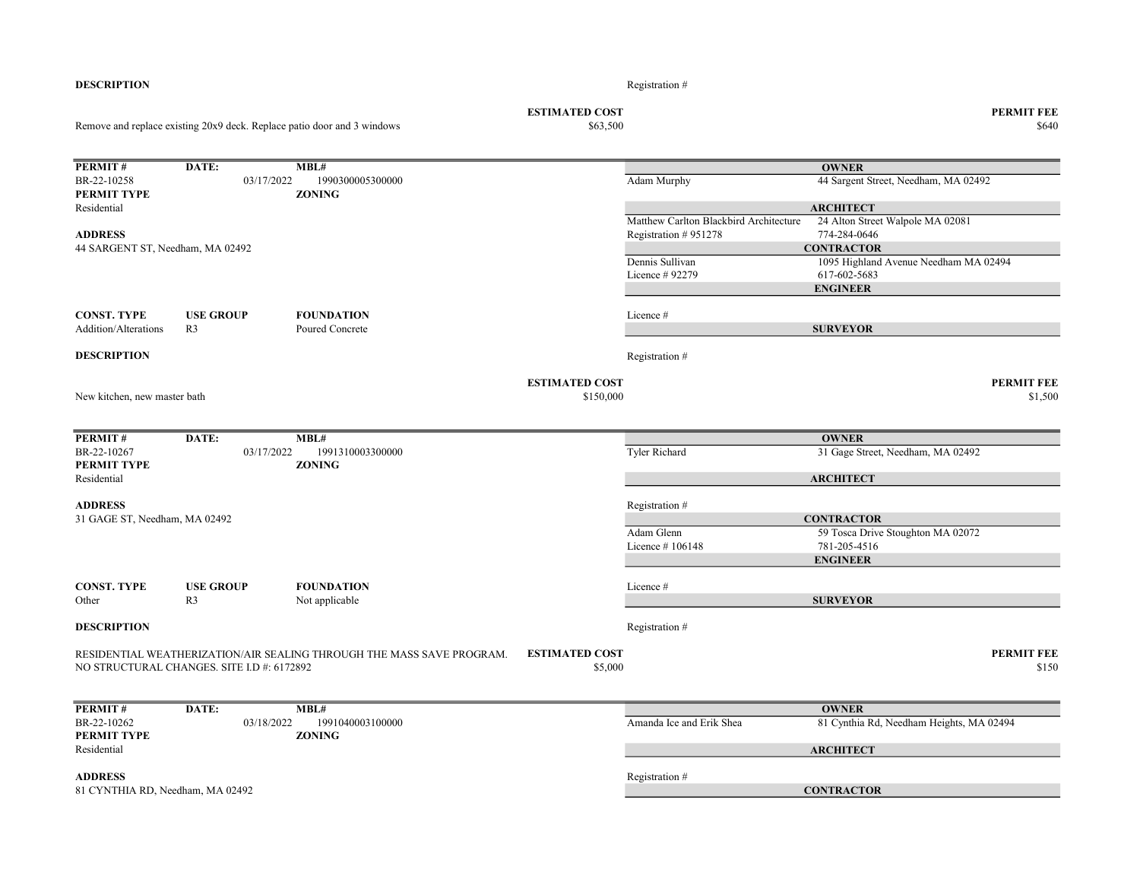| BR-22-10258<br><b>PERMIT TYPE</b> | 03/17/2022                                 | 1990300005300000                                                      |                       | Adam Murphy                            | 44 Sargent Street, Needham, MA 02492                 |                   |
|-----------------------------------|--------------------------------------------|-----------------------------------------------------------------------|-----------------------|----------------------------------------|------------------------------------------------------|-------------------|
|                                   |                                            | <b>ZONING</b>                                                         |                       |                                        |                                                      |                   |
| Residential                       |                                            |                                                                       |                       | Matthew Carlton Blackbird Architecture | <b>ARCHITECT</b><br>24 Alton Street Walpole MA 02081 |                   |
| <b>ADDRESS</b>                    |                                            |                                                                       |                       |                                        | 774-284-0646                                         |                   |
|                                   |                                            |                                                                       |                       | Registration #951278                   | <b>CONTRACTOR</b>                                    |                   |
| 44 SARGENT ST, Needham, MA 02492  |                                            |                                                                       |                       | Dennis Sullivan                        | 1095 Highland Avenue Needham MA 02494                |                   |
|                                   |                                            |                                                                       |                       | Licence # 92279                        | 617-602-5683                                         |                   |
|                                   |                                            |                                                                       |                       |                                        | <b>ENGINEER</b>                                      |                   |
|                                   |                                            |                                                                       |                       |                                        |                                                      |                   |
| <b>CONST. TYPE</b>                | <b>USE GROUP</b>                           | <b>FOUNDATION</b>                                                     |                       | Licence #                              |                                                      |                   |
| <b>Addition/Alterations</b>       | R <sub>3</sub>                             | Poured Concrete                                                       |                       |                                        | <b>SURVEYOR</b>                                      |                   |
| <b>DESCRIPTION</b>                |                                            |                                                                       |                       | Registration #                         |                                                      |                   |
|                                   |                                            |                                                                       | <b>ESTIMATED COST</b> |                                        |                                                      | <b>PERMIT FEE</b> |
| New kitchen, new master bath      |                                            |                                                                       | \$150,000             |                                        |                                                      | \$1,500           |
|                                   |                                            |                                                                       |                       |                                        |                                                      |                   |
| PERMIT#                           | DATE:                                      | MBL#                                                                  |                       |                                        | <b>OWNER</b>                                         |                   |
| BR-22-10267                       | 03/17/2022                                 | 1991310003300000                                                      |                       | <b>Tyler Richard</b>                   | 31 Gage Street, Needham, MA 02492                    |                   |
| PERMIT TYPE                       |                                            | <b>ZONING</b>                                                         |                       |                                        |                                                      |                   |
| Residential                       |                                            |                                                                       |                       |                                        | <b>ARCHITECT</b>                                     |                   |
| <b>ADDRESS</b>                    |                                            |                                                                       |                       | Registration #                         |                                                      |                   |
| 31 GAGE ST, Needham, MA 02492     |                                            |                                                                       |                       |                                        | <b>CONTRACTOR</b>                                    |                   |
|                                   |                                            |                                                                       |                       | Adam Glenn                             | 59 Tosca Drive Stoughton MA 02072                    |                   |
|                                   |                                            |                                                                       |                       | Licence $#106148$                      | 781-205-4516                                         |                   |
|                                   |                                            |                                                                       |                       |                                        | <b>ENGINEER</b>                                      |                   |
|                                   |                                            |                                                                       |                       |                                        |                                                      |                   |
| <b>CONST. TYPE</b>                | <b>USE GROUP</b>                           | <b>FOUNDATION</b>                                                     |                       | Licence #                              |                                                      |                   |
| Other                             | R3                                         | Not applicable                                                        |                       |                                        | <b>SURVEYOR</b>                                      |                   |
| <b>DESCRIPTION</b>                |                                            |                                                                       |                       | Registration #                         |                                                      |                   |
|                                   |                                            | RESIDENTIAL WEATHERIZATION/AIR SEALING THROUGH THE MASS SAVE PROGRAM. | <b>ESTIMATED COST</b> |                                        |                                                      | <b>PERMIT FEE</b> |
|                                   | NO STRUCTURAL CHANGES. SITE I.D #: 6172892 |                                                                       | \$5,000               |                                        |                                                      | \$150             |
|                                   |                                            |                                                                       |                       |                                        |                                                      |                   |
| PERMIT#                           | DATE:                                      | MBL#                                                                  |                       |                                        | <b>OWNER</b>                                         |                   |
| BR-22-10262                       | 03/18/2022                                 | 1991040003100000                                                      |                       | Amanda Ice and Erik Shea               | 81 Cynthia Rd, Needham Heights, MA 02494             |                   |
| PERMIT TYPE                       |                                            | ZONING                                                                |                       |                                        |                                                      |                   |
| Residential                       |                                            |                                                                       |                       |                                        | <b>ARCHITECT</b>                                     |                   |
| <b>ADDRESS</b>                    |                                            |                                                                       |                       |                                        |                                                      |                   |
| 81 CYNTHIA RD, Needham, MA 02492  |                                            |                                                                       |                       | Registration #                         | <b>CONTRACTOR</b>                                    |                   |
|                                   |                                            |                                                                       |                       |                                        |                                                      |                   |

ESTIMATED COST PERMIT FEE

Remove and replace existing 20x9 deck. Replace patio door and 3 windows

**PERMIT # DATE:** MBL#<br>BR-22-10258 03/17/2022 1990300005300000

### DESCRIPTION Registration #

 $\$63,500$   $\$640$ 

**OWNER**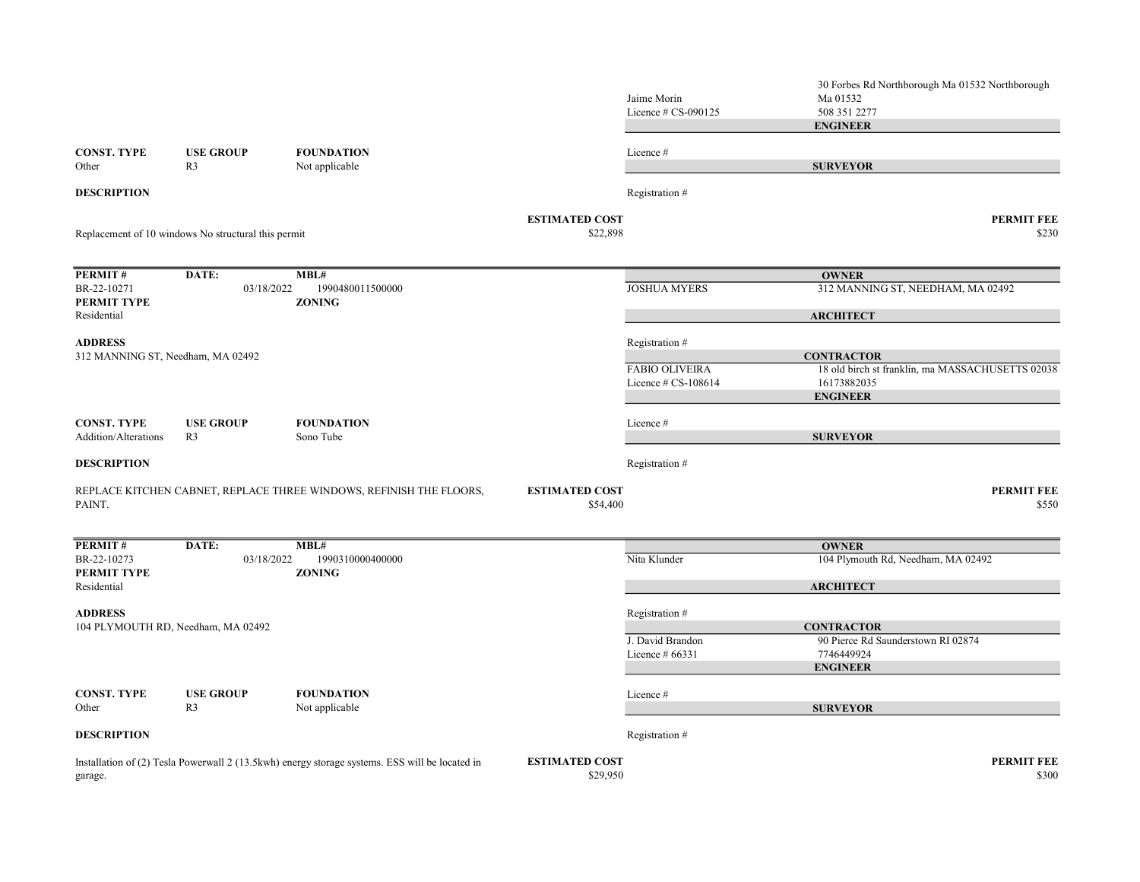|                                    |                                                     |                                                                                                |                                   | Jaime Morin<br>Licence $# CS-090125$ | 30 Forbes Rd Northborough Ma 01532 Northborough<br>Ma 01532<br>508 351 2277 |
|------------------------------------|-----------------------------------------------------|------------------------------------------------------------------------------------------------|-----------------------------------|--------------------------------------|-----------------------------------------------------------------------------|
|                                    |                                                     |                                                                                                |                                   |                                      | <b>ENGINEER</b>                                                             |
| <b>CONST. TYPE</b><br>Other        | <b>USE GROUP</b><br>R <sub>3</sub>                  | <b>FOUNDATION</b><br>Not applicable                                                            |                                   | Licence #                            | <b>SURVEYOR</b>                                                             |
| <b>DESCRIPTION</b>                 |                                                     |                                                                                                |                                   | Registration #                       |                                                                             |
|                                    | Replacement of 10 windows No structural this permit |                                                                                                | <b>ESTIMATED COST</b><br>\$22,898 |                                      | <b>PERMIT FEE</b><br>\$230                                                  |
| PERMIT#                            | DATE:                                               | MBL#                                                                                           |                                   |                                      | <b>OWNER</b>                                                                |
| BR-22-10271<br>PERMIT TYPE         | 03/18/2022                                          | 1990480011500000<br><b>ZONING</b>                                                              |                                   | <b>JOSHUA MYERS</b>                  | 312 MANNING ST, NEEDHAM, MA 02492                                           |
| Residential                        |                                                     |                                                                                                |                                   |                                      | <b>ARCHITECT</b>                                                            |
| <b>ADDRESS</b>                     |                                                     |                                                                                                |                                   | Registration #                       |                                                                             |
| 312 MANNING ST, Needham, MA 02492  |                                                     |                                                                                                |                                   | <b>FABIO OLIVEIRA</b>                | <b>CONTRACTOR</b><br>18 old birch st franklin, ma MASSACHUSETTS 02038       |
|                                    |                                                     |                                                                                                |                                   | Licence $\#$ CS-108614               | 16173882035<br><b>ENGINEER</b>                                              |
| <b>CONST. TYPE</b>                 | <b>USE GROUP</b>                                    | <b>FOUNDATION</b>                                                                              |                                   | Licence#                             |                                                                             |
| Addition/Alterations               | R <sub>3</sub>                                      | Sono Tube                                                                                      |                                   |                                      | <b>SURVEYOR</b>                                                             |
| <b>DESCRIPTION</b>                 |                                                     |                                                                                                |                                   | Registration #                       |                                                                             |
| PAINT.                             |                                                     | REPLACE KITCHEN CABNET, REPLACE THREE WINDOWS, REFINISH THE FLOORS,                            | <b>ESTIMATED COST</b><br>\$54,400 |                                      | <b>PERMIT FEE</b><br>\$550                                                  |
| PERMIT#                            | DATE:                                               | MBL#                                                                                           |                                   |                                      | <b>OWNER</b>                                                                |
| BR-22-10273<br>PERMIT TYPE         | 03/18/2022                                          | 1990310000400000<br><b>ZONING</b>                                                              |                                   | Nita Klunder                         | 104 Plymouth Rd, Needham, MA 02492                                          |
| Residential                        |                                                     |                                                                                                |                                   |                                      | <b>ARCHITECT</b>                                                            |
| <b>ADDRESS</b>                     |                                                     |                                                                                                |                                   | Registration #                       |                                                                             |
| 104 PLYMOUTH RD, Needham, MA 02492 |                                                     |                                                                                                |                                   |                                      | <b>CONTRACTOR</b><br>90 Pierce Rd Saunderstown RI 02874                     |
|                                    |                                                     |                                                                                                |                                   | J. David Brandon<br>Licence $#66331$ | 7746449924                                                                  |
|                                    |                                                     |                                                                                                |                                   |                                      | <b>ENGINEER</b>                                                             |
| <b>CONST. TYPE</b><br>Other        | <b>USE GROUP</b><br>R <sub>3</sub>                  | <b>FOUNDATION</b><br>Not applicable                                                            |                                   | Licence #                            | <b>SURVEYOR</b>                                                             |
| <b>DESCRIPTION</b>                 |                                                     |                                                                                                |                                   | Registration #                       |                                                                             |
| garage.                            |                                                     | Installation of (2) Tesla Powerwall 2 (13.5kwh) energy storage systems. ESS will be located in | <b>ESTIMATED COST</b><br>\$29,950 |                                      | <b>PERMIT FEE</b><br>\$300                                                  |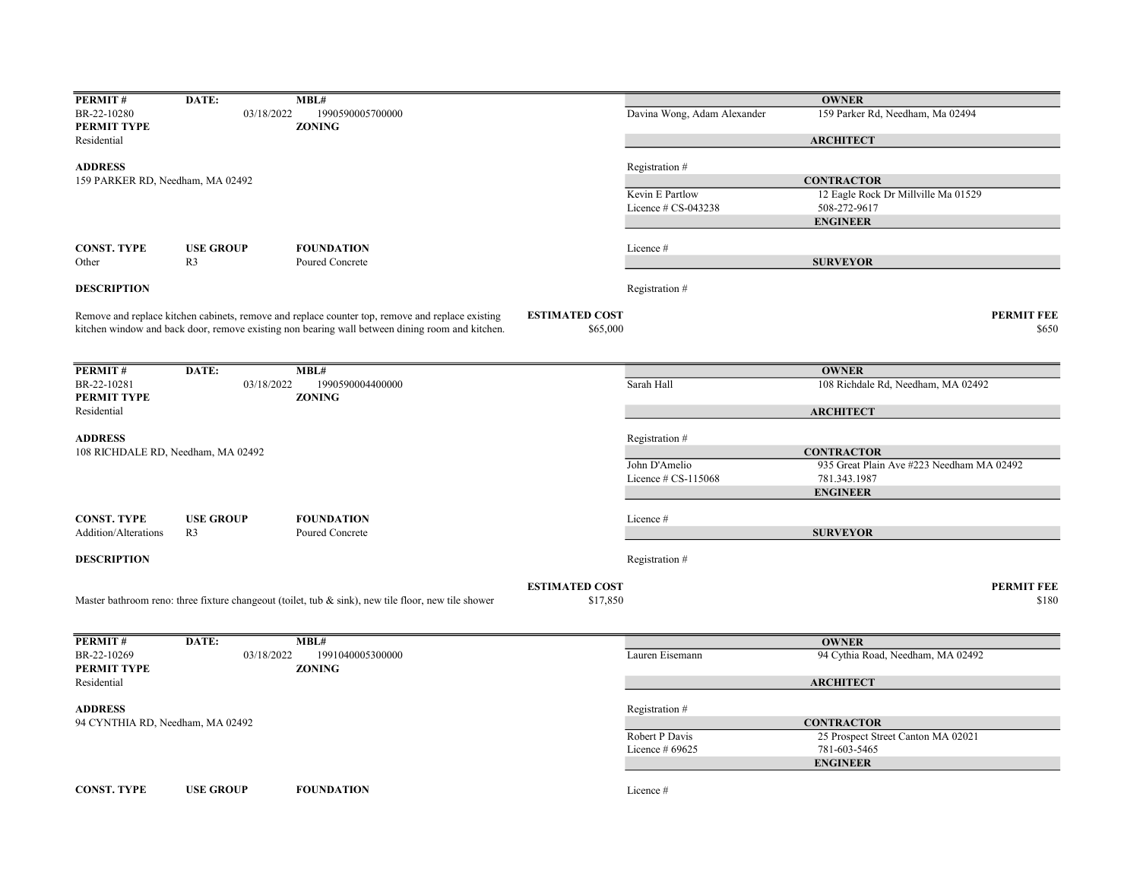| PERMIT#                                              | DATE:            | MBL#                                                                                                |                       |                             | <b>OWNER</b>                              |
|------------------------------------------------------|------------------|-----------------------------------------------------------------------------------------------------|-----------------------|-----------------------------|-------------------------------------------|
| BR-22-10280                                          | 03/18/2022       | 1990590005700000                                                                                    |                       | Davina Wong, Adam Alexander | 159 Parker Rd, Needham, Ma 02494          |
| PERMIT TYPE                                          |                  | <b>ZONING</b>                                                                                       |                       |                             |                                           |
| Residential                                          |                  |                                                                                                     |                       |                             | <b>ARCHITECT</b>                          |
| <b>ADDRESS</b>                                       |                  |                                                                                                     |                       | Registration #              |                                           |
| 159 PARKER RD, Needham, MA 02492                     |                  |                                                                                                     |                       |                             | <b>CONTRACTOR</b>                         |
|                                                      |                  |                                                                                                     |                       | Kevin E Partlow             | 12 Eagle Rock Dr Millville Ma 01529       |
|                                                      |                  |                                                                                                     |                       | Licence $# CS-043238$       | 508-272-9617                              |
|                                                      |                  |                                                                                                     |                       |                             | <b>ENGINEER</b>                           |
|                                                      |                  |                                                                                                     |                       |                             |                                           |
| <b>CONST. TYPE</b>                                   | <b>USE GROUP</b> | <b>FOUNDATION</b>                                                                                   |                       | Licence #                   |                                           |
| Other                                                | R3               | Poured Concrete                                                                                     |                       |                             | <b>SURVEYOR</b>                           |
| <b>DESCRIPTION</b>                                   |                  |                                                                                                     |                       | Registration #              |                                           |
|                                                      |                  | Remove and replace kitchen cabinets, remove and replace counter top, remove and replace existing    | <b>ESTIMATED COST</b> |                             | <b>PERMIT FEE</b>                         |
|                                                      |                  | kitchen window and back door, remove existing non bearing wall between dining room and kitchen.     | \$65,000              |                             | \$650                                     |
|                                                      |                  |                                                                                                     |                       |                             |                                           |
| PERMIT#                                              | DATE:            | MBL#                                                                                                |                       |                             | <b>OWNER</b>                              |
| BR-22-10281                                          | 03/18/2022       | 1990590004400000                                                                                    |                       | Sarah Hall                  | 108 Richdale Rd, Needham, MA 02492        |
| PERMIT TYPE                                          |                  | <b>ZONING</b>                                                                                       |                       |                             |                                           |
| Residential                                          |                  |                                                                                                     |                       |                             | <b>ARCHITECT</b>                          |
|                                                      |                  |                                                                                                     |                       |                             |                                           |
| <b>ADDRESS</b><br>108 RICHDALE RD, Needham, MA 02492 |                  |                                                                                                     |                       | Registration #              | <b>CONTRACTOR</b>                         |
|                                                      |                  |                                                                                                     |                       | John D'Amelio               | 935 Great Plain Ave #223 Needham MA 02492 |
|                                                      |                  |                                                                                                     |                       | Licence $\#$ CS-115068      | 781.343.1987                              |
|                                                      |                  |                                                                                                     |                       |                             | <b>ENGINEER</b>                           |
|                                                      |                  |                                                                                                     |                       |                             |                                           |
| <b>CONST. TYPE</b>                                   | <b>USE GROUP</b> | <b>FOUNDATION</b>                                                                                   |                       | Licence #                   |                                           |
| Addition/Alterations                                 | R3               | Poured Concrete                                                                                     |                       |                             | <b>SURVEYOR</b>                           |
|                                                      |                  |                                                                                                     |                       |                             |                                           |
| <b>DESCRIPTION</b>                                   |                  |                                                                                                     |                       | Registration#               |                                           |
|                                                      |                  |                                                                                                     | <b>ESTIMATED COST</b> |                             | <b>PERMIT FEE</b>                         |
|                                                      |                  | Master bathroom reno: three fixture changeout (toilet, tub & sink), new tile floor, new tile shower | \$17,850              |                             | \$180                                     |
|                                                      |                  |                                                                                                     |                       |                             |                                           |
| PERMIT#                                              | DATE:            | MBL#                                                                                                |                       |                             | <b>OWNER</b>                              |
| BR-22-10269                                          | 03/18/2022       | 1991040005300000                                                                                    |                       | Lauren Eisemann             | 94 Cythia Road, Needham, MA 02492         |
| PERMIT TYPE                                          |                  | <b>ZONING</b>                                                                                       |                       |                             |                                           |
| Residential                                          |                  |                                                                                                     |                       |                             | <b>ARCHITECT</b>                          |
| <b>ADDRESS</b>                                       |                  |                                                                                                     |                       | Registration#               |                                           |
| 94 CYNTHIA RD, Needham, MA 02492                     |                  |                                                                                                     |                       |                             | <b>CONTRACTOR</b>                         |
|                                                      |                  |                                                                                                     |                       | Robert P Davis              | 25 Prospect Street Canton MA 02021        |
|                                                      |                  |                                                                                                     |                       | Licence $#69625$            | 781-603-5465                              |
|                                                      |                  |                                                                                                     |                       |                             | <b>ENGINEER</b>                           |
|                                                      |                  |                                                                                                     |                       |                             |                                           |
| <b>CONST. TYPE</b>                                   | <b>USE GROUP</b> | <b>FOUNDATION</b>                                                                                   |                       | Licence #                   |                                           |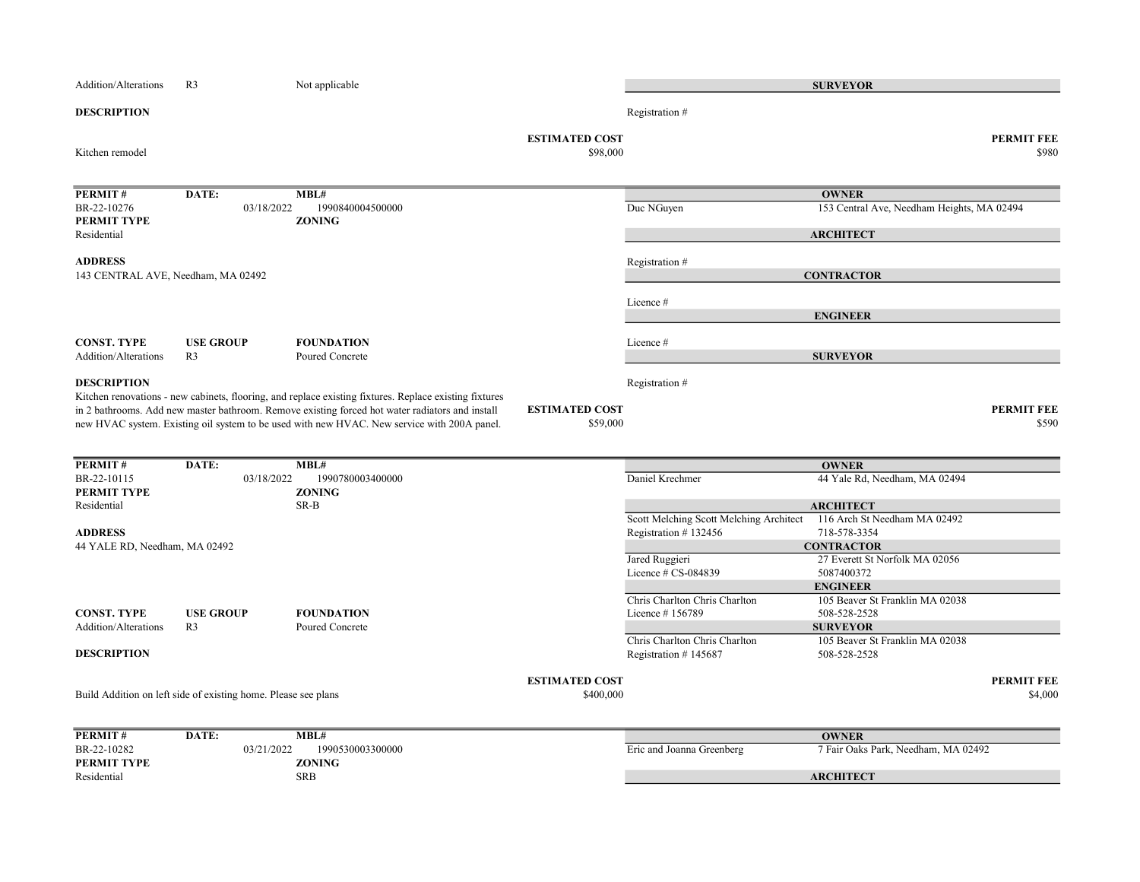| Addition/Alterations               | R <sub>3</sub>                                                 | Not applicable                                                                                                                                                                                                                                                                                           |                                    |                                         | <b>SURVEYOR</b>                                    |                              |
|------------------------------------|----------------------------------------------------------------|----------------------------------------------------------------------------------------------------------------------------------------------------------------------------------------------------------------------------------------------------------------------------------------------------------|------------------------------------|-----------------------------------------|----------------------------------------------------|------------------------------|
| <b>DESCRIPTION</b>                 |                                                                |                                                                                                                                                                                                                                                                                                          |                                    | Registration #                          |                                                    |                              |
| Kitchen remodel                    |                                                                |                                                                                                                                                                                                                                                                                                          | <b>ESTIMATED COST</b><br>\$98,000  |                                         |                                                    | <b>PERMIT FEE</b><br>\$980   |
| PERMIT#                            | DATE:                                                          | $\overline{MBL}$ #                                                                                                                                                                                                                                                                                       |                                    |                                         | <b>OWNER</b>                                       |                              |
| BR-22-10276                        | 03/18/2022                                                     | 1990840004500000                                                                                                                                                                                                                                                                                         |                                    | Duc NGuyen                              | 153 Central Ave, Needham Heights, MA 02494         |                              |
| PERMIT TYPE<br>Residential         |                                                                | <b>ZONING</b>                                                                                                                                                                                                                                                                                            |                                    |                                         | <b>ARCHITECT</b>                                   |                              |
| <b>ADDRESS</b>                     |                                                                |                                                                                                                                                                                                                                                                                                          |                                    | Registration #                          |                                                    |                              |
| 143 CENTRAL AVE, Needham, MA 02492 |                                                                |                                                                                                                                                                                                                                                                                                          |                                    |                                         | <b>CONTRACTOR</b>                                  |                              |
|                                    |                                                                |                                                                                                                                                                                                                                                                                                          |                                    | Licence #                               |                                                    |                              |
|                                    |                                                                |                                                                                                                                                                                                                                                                                                          |                                    |                                         | <b>ENGINEER</b>                                    |                              |
| <b>CONST. TYPE</b>                 | <b>USE GROUP</b>                                               | <b>FOUNDATION</b>                                                                                                                                                                                                                                                                                        |                                    | Licence #                               |                                                    |                              |
| Addition/Alterations               | R <sub>3</sub>                                                 | Poured Concrete                                                                                                                                                                                                                                                                                          |                                    |                                         | <b>SURVEYOR</b>                                    |                              |
| <b>DESCRIPTION</b>                 |                                                                |                                                                                                                                                                                                                                                                                                          |                                    | Registration #                          |                                                    |                              |
|                                    |                                                                | Kitchen renovations - new cabinets, flooring, and replace existing fixtures. Replace existing fixtures<br>in 2 bathrooms. Add new master bathroom. Remove existing forced hot water radiators and install<br>new HVAC system. Existing oil system to be used with new HVAC. New service with 200A panel. | <b>ESTIMATED COST</b><br>\$59,000  |                                         |                                                    | <b>PERMIT FEE</b><br>\$590   |
| PERMIT#                            | DATE:                                                          | MBL#                                                                                                                                                                                                                                                                                                     |                                    |                                         | <b>OWNER</b>                                       |                              |
| BR-22-10115                        | 03/18/2022                                                     | 1990780003400000                                                                                                                                                                                                                                                                                         |                                    | Daniel Krechmer                         | 44 Yale Rd, Needham, MA 02494                      |                              |
| PERMIT TYPE                        |                                                                | <b>ZONING</b>                                                                                                                                                                                                                                                                                            |                                    |                                         |                                                    |                              |
| Residential                        |                                                                | SR-B                                                                                                                                                                                                                                                                                                     |                                    | Scott Melching Scott Melching Architect | <b>ARCHITECT</b><br>116 Arch St Needham MA 02492   |                              |
| <b>ADDRESS</b>                     |                                                                |                                                                                                                                                                                                                                                                                                          |                                    | Registration #132456                    | 718-578-3354                                       |                              |
| 44 YALE RD, Needham, MA 02492      |                                                                |                                                                                                                                                                                                                                                                                                          |                                    |                                         | <b>CONTRACTOR</b>                                  |                              |
|                                    |                                                                |                                                                                                                                                                                                                                                                                                          |                                    | Jared Ruggieri                          | 27 Everett St Norfolk MA 02056                     |                              |
|                                    |                                                                |                                                                                                                                                                                                                                                                                                          |                                    | Licence # CS-084839                     | 5087400372                                         |                              |
|                                    |                                                                |                                                                                                                                                                                                                                                                                                          |                                    | Chris Charlton Chris Charlton           | <b>ENGINEER</b><br>105 Beaver St Franklin MA 02038 |                              |
| <b>CONST. TYPE</b>                 | <b>USE GROUP</b>                                               | <b>FOUNDATION</b>                                                                                                                                                                                                                                                                                        |                                    | Licence #156789                         | 508-528-2528                                       |                              |
| Addition/Alterations               | R <sub>3</sub>                                                 | Poured Concrete                                                                                                                                                                                                                                                                                          |                                    |                                         | <b>SURVEYOR</b>                                    |                              |
|                                    |                                                                |                                                                                                                                                                                                                                                                                                          |                                    | Chris Charlton Chris Charlton           | 105 Beaver St Franklin MA 02038                    |                              |
| <b>DESCRIPTION</b>                 |                                                                |                                                                                                                                                                                                                                                                                                          |                                    | Registration #145687                    | 508-528-2528                                       |                              |
|                                    | Build Addition on left side of existing home. Please see plans |                                                                                                                                                                                                                                                                                                          | <b>ESTIMATED COST</b><br>\$400,000 |                                         |                                                    | <b>PERMIT FEE</b><br>\$4,000 |
| PERMIT#                            | DATE:                                                          | MBL#                                                                                                                                                                                                                                                                                                     |                                    |                                         | <b>OWNER</b>                                       |                              |
| BR-22-10282                        | 03/21/2022                                                     | 1990530003300000                                                                                                                                                                                                                                                                                         |                                    | Eric and Joanna Greenberg               | 7 Fair Oaks Park, Needham, MA 02492                |                              |
| PERMIT TYPE<br>Residential         |                                                                | <b>ZONING</b><br><b>SRB</b>                                                                                                                                                                                                                                                                              |                                    |                                         | <b>ARCHITECT</b>                                   |                              |
|                                    |                                                                |                                                                                                                                                                                                                                                                                                          |                                    |                                         |                                                    |                              |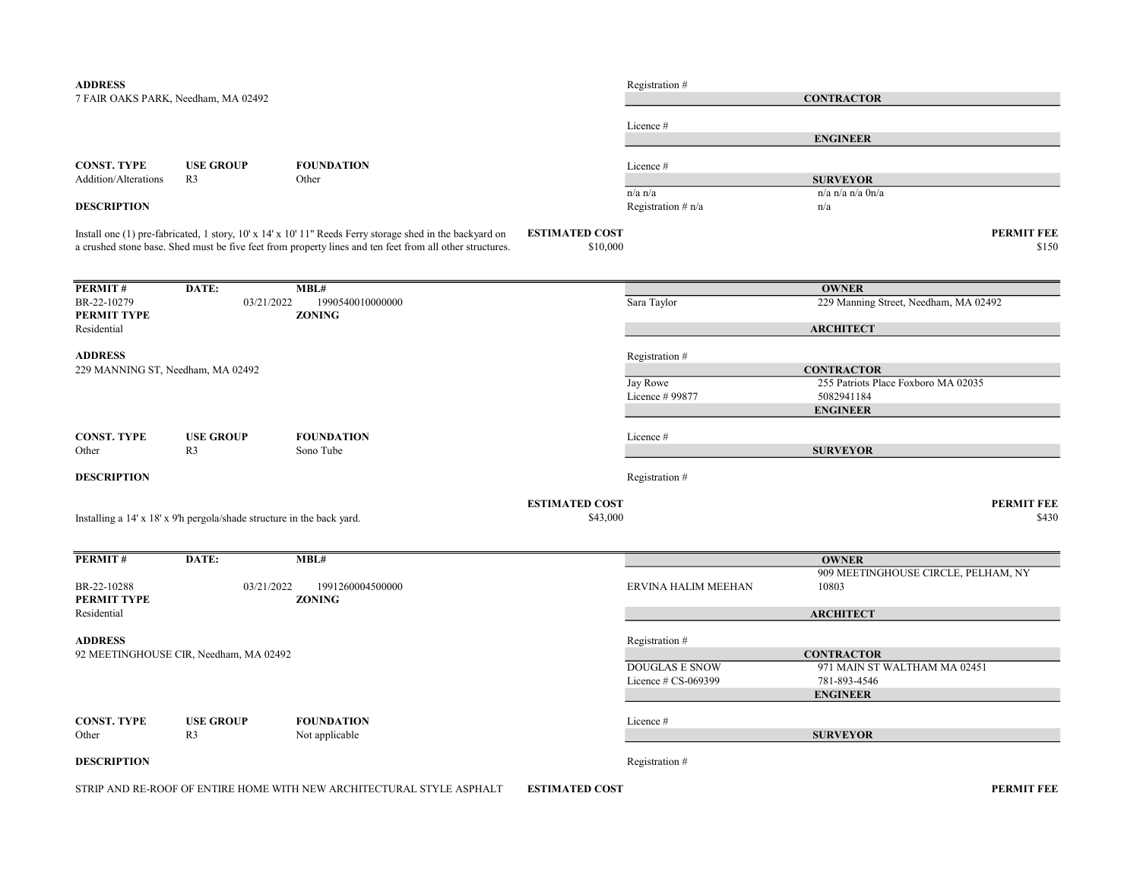| <b>ADDRESS</b>                      |                                                                        |                                                                                                                                                                                                                      |                                   | Registration #       |                                       |
|-------------------------------------|------------------------------------------------------------------------|----------------------------------------------------------------------------------------------------------------------------------------------------------------------------------------------------------------------|-----------------------------------|----------------------|---------------------------------------|
| 7 FAIR OAKS PARK, Needham, MA 02492 |                                                                        |                                                                                                                                                                                                                      |                                   |                      | <b>CONTRACTOR</b>                     |
|                                     |                                                                        |                                                                                                                                                                                                                      |                                   |                      |                                       |
|                                     |                                                                        |                                                                                                                                                                                                                      |                                   | Licence#             | <b>ENGINEER</b>                       |
|                                     |                                                                        |                                                                                                                                                                                                                      |                                   |                      |                                       |
| <b>CONST. TYPE</b>                  | <b>USE GROUP</b>                                                       | <b>FOUNDATION</b>                                                                                                                                                                                                    |                                   | Licence#             |                                       |
| Addition/Alterations                | R <sub>3</sub>                                                         | Other                                                                                                                                                                                                                |                                   |                      | <b>SURVEYOR</b>                       |
|                                     |                                                                        |                                                                                                                                                                                                                      |                                   | $n/a$ $n/a$          | n/a n/a n/a 0n/a                      |
| <b>DESCRIPTION</b>                  |                                                                        |                                                                                                                                                                                                                      |                                   | Registration $# n/a$ | n/a                                   |
|                                     |                                                                        | Install one (1) pre-fabricated, 1 story, 10' x 14' x 10' 11" Reeds Ferry storage shed in the backyard on<br>a crushed stone base. Shed must be five feet from property lines and ten feet from all other structures. | <b>ESTIMATED COST</b><br>\$10,000 |                      | <b>PERMIT FEE</b><br>\$150            |
| PERMIT#                             | DATE:                                                                  | MBL#                                                                                                                                                                                                                 |                                   |                      | <b>OWNER</b>                          |
| BR-22-10279                         | 03/21/2022                                                             | 1990540010000000                                                                                                                                                                                                     |                                   | Sara Taylor          | 229 Manning Street, Needham, MA 02492 |
| PERMIT TYPE                         |                                                                        | <b>ZONING</b>                                                                                                                                                                                                        |                                   |                      |                                       |
| Residential                         |                                                                        |                                                                                                                                                                                                                      |                                   |                      | <b>ARCHITECT</b>                      |
| <b>ADDRESS</b>                      |                                                                        |                                                                                                                                                                                                                      |                                   | Registration #       |                                       |
| 229 MANNING ST, Needham, MA 02492   |                                                                        |                                                                                                                                                                                                                      |                                   |                      | <b>CONTRACTOR</b>                     |
|                                     |                                                                        |                                                                                                                                                                                                                      |                                   | Jay Rowe             | 255 Patriots Place Foxboro MA 02035   |
|                                     |                                                                        |                                                                                                                                                                                                                      |                                   | Licence # 99877      | 5082941184                            |
|                                     |                                                                        |                                                                                                                                                                                                                      |                                   |                      | <b>ENGINEER</b>                       |
| <b>CONST. TYPE</b>                  | <b>USE GROUP</b>                                                       | <b>FOUNDATION</b>                                                                                                                                                                                                    |                                   | Licence #            |                                       |
| Other                               | R <sub>3</sub>                                                         | Sono Tube                                                                                                                                                                                                            |                                   |                      | <b>SURVEYOR</b>                       |
|                                     |                                                                        |                                                                                                                                                                                                                      |                                   |                      |                                       |
| <b>DESCRIPTION</b>                  |                                                                        |                                                                                                                                                                                                                      |                                   | Registration #       |                                       |
|                                     |                                                                        |                                                                                                                                                                                                                      | <b>ESTIMATED COST</b>             |                      | <b>PERMIT FEE</b>                     |
|                                     | Installing a 14' x 18' x 9'h pergola/shade structure in the back yard. |                                                                                                                                                                                                                      | \$43,000                          |                      | \$430                                 |
|                                     |                                                                        |                                                                                                                                                                                                                      |                                   |                      |                                       |
| PERMIT#                             | DATE:                                                                  | MBL#                                                                                                                                                                                                                 |                                   |                      | <b>OWNER</b>                          |
|                                     |                                                                        |                                                                                                                                                                                                                      |                                   |                      | 909 MEETINGHOUSE CIRCLE, PELHAM, NY   |
| BR-22-10288                         | 03/21/2022                                                             | 1991260004500000                                                                                                                                                                                                     |                                   | ERVINA HALIM MEEHAN  | 10803                                 |
| PERMIT TYPE                         |                                                                        | <b>ZONING</b>                                                                                                                                                                                                        |                                   |                      |                                       |
| Residential                         |                                                                        |                                                                                                                                                                                                                      |                                   |                      | <b>ARCHITECT</b>                      |
| <b>ADDRESS</b>                      |                                                                        |                                                                                                                                                                                                                      |                                   | Registration #       |                                       |
|                                     | 92 MEETINGHOUSE CIR, Needham, MA 02492                                 |                                                                                                                                                                                                                      |                                   |                      | <b>CONTRACTOR</b>                     |
|                                     |                                                                        |                                                                                                                                                                                                                      |                                   | DOUGLAS E SNOW       | 971 MAIN ST WALTHAM MA 02451          |
|                                     |                                                                        |                                                                                                                                                                                                                      |                                   | Licence # CS-069399  | 781-893-4546                          |
|                                     |                                                                        |                                                                                                                                                                                                                      |                                   |                      | <b>ENGINEER</b>                       |
| <b>CONST. TYPE</b>                  | <b>USE GROUP</b>                                                       | <b>FOUNDATION</b>                                                                                                                                                                                                    |                                   | Licence#             |                                       |
| Other                               | R <sub>3</sub>                                                         | Not applicable                                                                                                                                                                                                       |                                   |                      | <b>SURVEYOR</b>                       |
|                                     |                                                                        |                                                                                                                                                                                                                      |                                   |                      |                                       |
| <b>DESCRIPTION</b>                  |                                                                        |                                                                                                                                                                                                                      |                                   | Registration #       |                                       |

STRIP AND RE-ROOF OF ENTIRE HOME WITH NEW ARCHITECTURAL STYLE ASPHALT ESTIMATED COST FOR A PERMIT FEE PERMIT FEE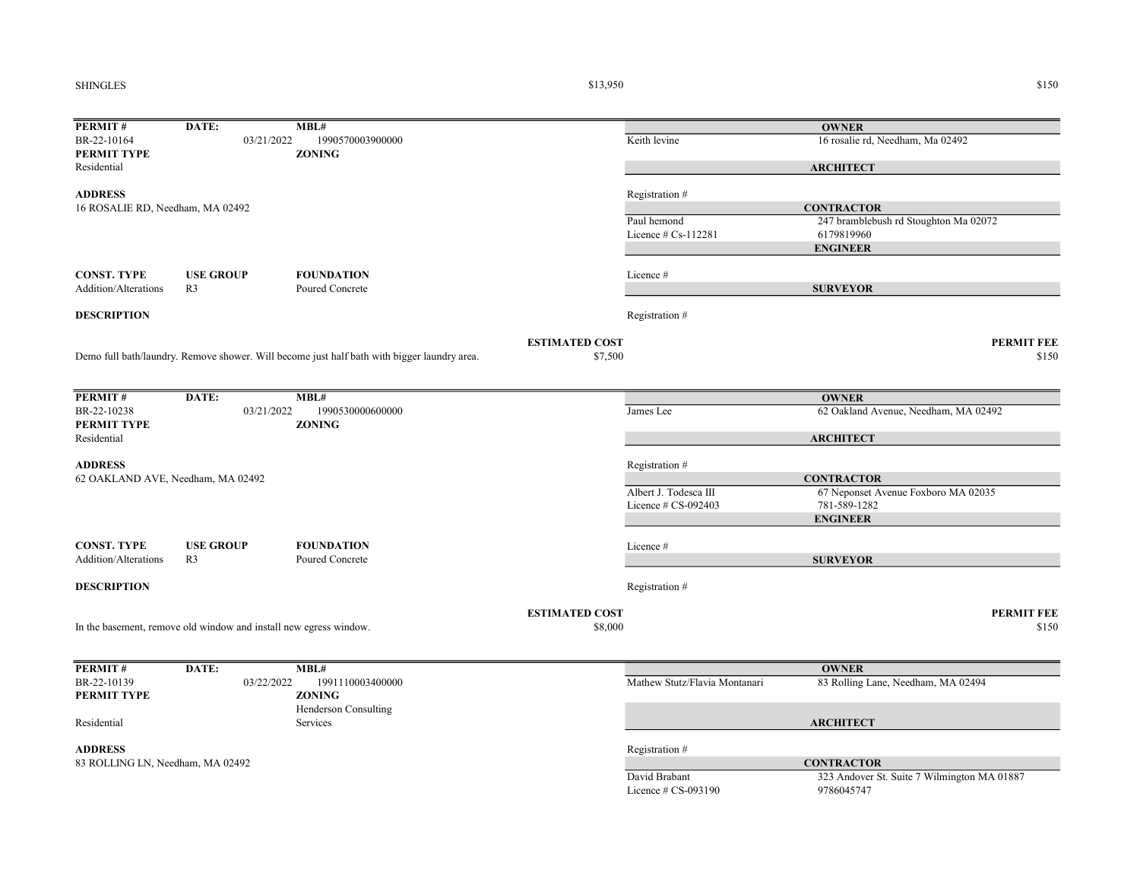### SHINGLES

 $$13,950$   $$150$ 

| PERMIT#                           | DATE:                                                             | MBL#                                                                                        |                       |                               | <b>OWNER</b>                                               |
|-----------------------------------|-------------------------------------------------------------------|---------------------------------------------------------------------------------------------|-----------------------|-------------------------------|------------------------------------------------------------|
| BR-22-10164                       | 03/21/2022                                                        | 1990570003900000                                                                            |                       | Keith levine                  | 16 rosalie rd, Needham, Ma 02492                           |
| PERMIT TYPE                       |                                                                   | <b>ZONING</b>                                                                               |                       |                               |                                                            |
| Residential                       |                                                                   |                                                                                             |                       |                               | <b>ARCHITECT</b>                                           |
| <b>ADDRESS</b>                    |                                                                   |                                                                                             |                       |                               |                                                            |
|                                   |                                                                   |                                                                                             |                       | Registration #                |                                                            |
| 16 ROSALIE RD, Needham, MA 02492  |                                                                   |                                                                                             |                       | Paul hemond                   | <b>CONTRACTOR</b><br>247 bramblebush rd Stoughton Ma 02072 |
|                                   |                                                                   |                                                                                             |                       | Licence $# Cs-112281$         | 6179819960                                                 |
|                                   |                                                                   |                                                                                             |                       |                               |                                                            |
|                                   |                                                                   |                                                                                             |                       |                               | <b>ENGINEER</b>                                            |
| <b>CONST. TYPE</b>                | <b>USE GROUP</b>                                                  | <b>FOUNDATION</b>                                                                           |                       | Licence #                     |                                                            |
| Addition/Alterations              | R <sub>3</sub>                                                    | Poured Concrete                                                                             |                       |                               | <b>SURVEYOR</b>                                            |
|                                   |                                                                   |                                                                                             |                       |                               |                                                            |
| <b>DESCRIPTION</b>                |                                                                   |                                                                                             |                       | Registration#                 |                                                            |
|                                   |                                                                   |                                                                                             |                       |                               |                                                            |
|                                   |                                                                   |                                                                                             | <b>ESTIMATED COST</b> |                               | <b>PERMIT FEE</b>                                          |
|                                   |                                                                   | Demo full bath/laundry. Remove shower. Will become just half bath with bigger laundry area. | \$7,500               |                               | \$150                                                      |
|                                   |                                                                   |                                                                                             |                       |                               |                                                            |
|                                   |                                                                   |                                                                                             |                       |                               |                                                            |
| PERMIT#                           | DATE:                                                             | MBL#                                                                                        |                       |                               | <b>OWNER</b>                                               |
| BR-22-10238                       | 03/21/2022                                                        | 1990530000600000                                                                            |                       | James Lee                     | 62 Oakland Avenue, Needham, MA 02492                       |
| PERMIT TYPE                       |                                                                   | <b>ZONING</b>                                                                               |                       |                               |                                                            |
| Residential                       |                                                                   |                                                                                             |                       |                               | <b>ARCHITECT</b>                                           |
|                                   |                                                                   |                                                                                             |                       |                               |                                                            |
| <b>ADDRESS</b>                    |                                                                   |                                                                                             |                       | Registration #                |                                                            |
| 62 OAKLAND AVE, Needham, MA 02492 |                                                                   |                                                                                             |                       |                               | <b>CONTRACTOR</b>                                          |
|                                   |                                                                   |                                                                                             |                       | Albert J. Todesca III         | 67 Neponset Avenue Foxboro MA 02035                        |
|                                   |                                                                   |                                                                                             |                       | Licence # CS-092403           | 781-589-1282                                               |
|                                   |                                                                   |                                                                                             |                       |                               | <b>ENGINEER</b>                                            |
|                                   |                                                                   |                                                                                             |                       |                               |                                                            |
| <b>CONST. TYPE</b>                | <b>USE GROUP</b>                                                  | <b>FOUNDATION</b>                                                                           |                       | Licence#                      |                                                            |
| Addition/Alterations              | R <sub>3</sub>                                                    | Poured Concrete                                                                             |                       |                               | <b>SURVEYOR</b>                                            |
|                                   |                                                                   |                                                                                             |                       |                               |                                                            |
| <b>DESCRIPTION</b>                |                                                                   |                                                                                             |                       | Registration #                |                                                            |
|                                   |                                                                   |                                                                                             |                       |                               |                                                            |
|                                   |                                                                   |                                                                                             | <b>ESTIMATED COST</b> |                               | <b>PERMIT FEE</b>                                          |
|                                   | In the basement, remove old window and install new egress window. |                                                                                             | \$8,000               |                               | \$150                                                      |
|                                   |                                                                   |                                                                                             |                       |                               |                                                            |
|                                   |                                                                   |                                                                                             |                       |                               |                                                            |
| PERMIT#                           | DATE:                                                             | MBL#                                                                                        |                       |                               | <b>OWNER</b>                                               |
| BR-22-10139                       | 03/22/2022                                                        | 1991110003400000                                                                            |                       | Mathew Stutz/Flavia Montanari | 83 Rolling Lane, Needham, MA 02494                         |
| PERMIT TYPE                       |                                                                   | <b>ZONING</b>                                                                               |                       |                               |                                                            |
|                                   |                                                                   | Henderson Consulting                                                                        |                       |                               |                                                            |
| Residential                       |                                                                   | Services                                                                                    |                       |                               | <b>ARCHITECT</b>                                           |
|                                   |                                                                   |                                                                                             |                       |                               |                                                            |
| <b>ADDRESS</b>                    |                                                                   |                                                                                             |                       | Registration #                |                                                            |
| 83 ROLLING LN, Needham, MA 02492  |                                                                   |                                                                                             |                       |                               | <b>CONTRACTOR</b>                                          |
|                                   |                                                                   |                                                                                             |                       | David Brabant                 | 323 Andover St. Suite 7 Wilmington MA 01887                |
|                                   |                                                                   |                                                                                             |                       | Licence # CS-093190           | 9786045747                                                 |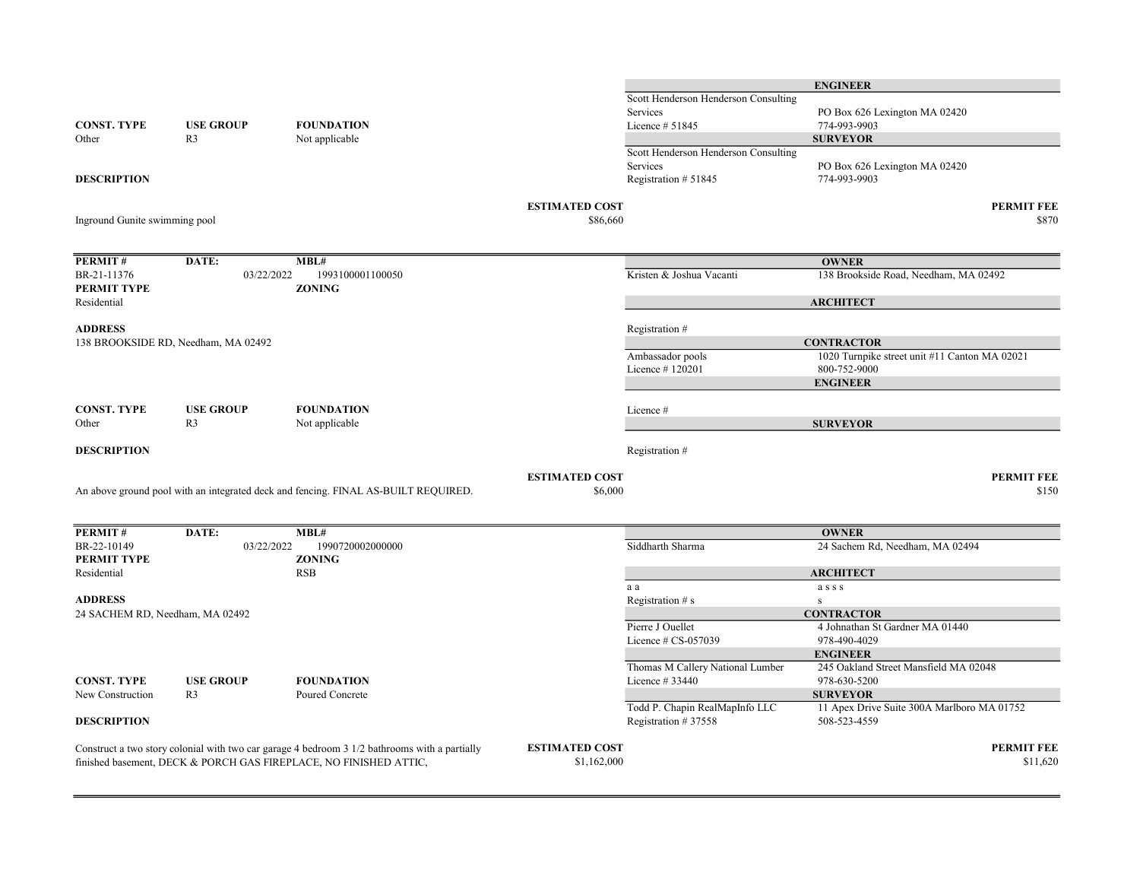|                                     |                  |                                                                                               |                       |                                      | <b>ENGINEER</b>                               |
|-------------------------------------|------------------|-----------------------------------------------------------------------------------------------|-----------------------|--------------------------------------|-----------------------------------------------|
|                                     |                  |                                                                                               |                       | Scott Henderson Henderson Consulting |                                               |
|                                     |                  |                                                                                               |                       | Services                             | PO Box 626 Lexington MA 02420                 |
| <b>CONST. TYPE</b>                  | <b>USE GROUP</b> | <b>FOUNDATION</b>                                                                             |                       | Licence # 51845                      | 774-993-9903                                  |
| Other                               | R <sub>3</sub>   | Not applicable                                                                                |                       |                                      | <b>SURVEYOR</b>                               |
|                                     |                  |                                                                                               |                       | Scott Henderson Henderson Consulting |                                               |
|                                     |                  |                                                                                               |                       | Services                             | PO Box 626 Lexington MA 02420                 |
| <b>DESCRIPTION</b>                  |                  |                                                                                               |                       | Registration #51845                  | 774-993-9903                                  |
|                                     |                  |                                                                                               | <b>ESTIMATED COST</b> |                                      | <b>PERMIT FEE</b>                             |
| Inground Gunite swimming pool       |                  |                                                                                               | \$86,660              |                                      | \$870                                         |
|                                     |                  |                                                                                               |                       |                                      |                                               |
| <b>PERMIT#</b>                      | DATE:            | MBL#                                                                                          |                       |                                      | <b>OWNER</b>                                  |
| BR-21-11376                         | 03/22/2022       | 1993100001100050                                                                              |                       | Kristen & Joshua Vacanti             | 138 Brookside Road, Needham, MA 02492         |
| PERMIT TYPE                         |                  | <b>ZONING</b>                                                                                 |                       |                                      |                                               |
| Residential                         |                  |                                                                                               |                       |                                      | <b>ARCHITECT</b>                              |
| <b>ADDRESS</b>                      |                  |                                                                                               |                       | Registration #                       |                                               |
| 138 BROOKSIDE RD, Needham, MA 02492 |                  |                                                                                               |                       |                                      | <b>CONTRACTOR</b>                             |
|                                     |                  |                                                                                               |                       | Ambassador pools                     | 1020 Turnpike street unit #11 Canton MA 02021 |
|                                     |                  |                                                                                               |                       | Licence #120201                      | 800-752-9000                                  |
|                                     |                  |                                                                                               |                       |                                      | <b>ENGINEER</b>                               |
|                                     |                  |                                                                                               |                       |                                      |                                               |
| <b>CONST. TYPE</b>                  | <b>USE GROUP</b> | <b>FOUNDATION</b>                                                                             |                       | Licence #                            |                                               |
| Other                               | R <sub>3</sub>   | Not applicable                                                                                |                       |                                      | <b>SURVEYOR</b>                               |
| <b>DESCRIPTION</b>                  |                  |                                                                                               |                       | Registration #                       |                                               |
|                                     |                  |                                                                                               | <b>ESTIMATED COST</b> |                                      | <b>PERMIT FEE</b>                             |
|                                     |                  | An above ground pool with an integrated deck and fencing. FINAL AS-BUILT REQUIRED.            | \$6,000               |                                      | \$150                                         |
|                                     |                  |                                                                                               |                       |                                      |                                               |
| PERMIT#                             | DATE:            | MBL#                                                                                          |                       |                                      | <b>OWNER</b>                                  |
| BR-22-10149                         | 03/22/2022       | 1990720002000000                                                                              |                       | Siddharth Sharma                     | 24 Sachem Rd, Needham, MA 02494               |
| PERMIT TYPE                         |                  | <b>ZONING</b>                                                                                 |                       |                                      |                                               |
| Residential                         |                  | RSB                                                                                           |                       |                                      | <b>ARCHITECT</b>                              |
|                                     |                  |                                                                                               |                       | a a                                  | asss                                          |
| <b>ADDRESS</b>                      |                  |                                                                                               |                       | Registration # s                     | ${\bf S}$                                     |
| 24 SACHEM RD, Needham, MA 02492     |                  |                                                                                               |                       |                                      | <b>CONTRACTOR</b>                             |
|                                     |                  |                                                                                               |                       | Pierre J Ouellet                     | 4 Johnathan St Gardner MA 01440               |
|                                     |                  |                                                                                               |                       | Licence $# CS-057039$                | 978-490-4029                                  |
|                                     |                  |                                                                                               |                       |                                      | <b>ENGINEER</b>                               |
|                                     |                  |                                                                                               |                       | Thomas M Callery National Lumber     | 245 Oakland Street Mansfield MA 02048         |
| <b>CONST. TYPE</b>                  | <b>USE GROUP</b> | <b>FOUNDATION</b>                                                                             |                       | Licence #33440                       | 978-630-5200                                  |
| New Construction                    | R <sub>3</sub>   | Poured Concrete                                                                               |                       |                                      | <b>SURVEYOR</b>                               |
|                                     |                  |                                                                                               |                       | Todd P. Chapin RealMapInfo LLC       | 11 Apex Drive Suite 300A Marlboro MA 01752    |
| <b>DESCRIPTION</b>                  |                  |                                                                                               |                       | Registration #37558                  | 508-523-4559                                  |
|                                     |                  | Construct a two story colonial with two car garage 4 bedroom 3 1/2 bathrooms with a partially | <b>ESTIMATED COST</b> |                                      | <b>PERMIT FEE</b>                             |
|                                     |                  | finished basement, DECK & PORCH GAS FIREPLACE, NO FINISHED ATTIC,                             | \$1,162,000           |                                      | \$11,620                                      |
|                                     |                  |                                                                                               |                       |                                      |                                               |

ENGINEER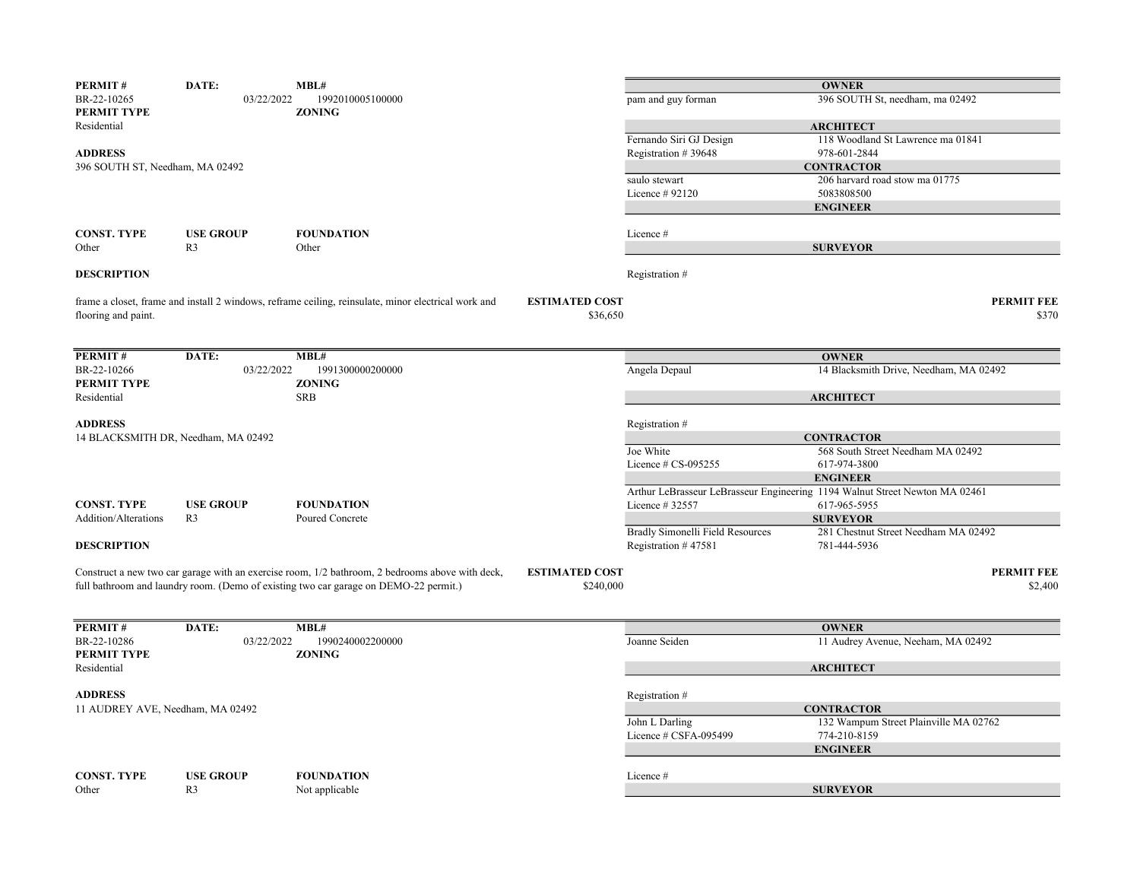| 396 SOUTH St, needham, ma 02492<br>BR-22-10265<br>03/22/2022<br>1992010005100000<br>pam and guy forman<br><b>PERMIT TYPE</b><br><b>ZONING</b><br><b>ARCHITECT</b><br>Residential<br>Fernando Siri GJ Design<br>118 Woodland St Lawrence ma 01841<br><b>ADDRESS</b><br>978-601-2844<br>Registration #39648<br>396 SOUTH ST, Needham, MA 02492<br><b>CONTRACTOR</b><br>206 harvard road stow ma 01775<br>saulo stewart<br>5083808500<br>Licence #92120<br><b>ENGINEER</b><br><b>CONST. TYPE</b><br><b>FOUNDATION</b><br><b>USE GROUP</b><br>Licence#<br>Other<br>R <sub>3</sub><br>Other<br><b>SURVEYOR</b><br><b>DESCRIPTION</b><br>Registration #<br><b>ESTIMATED COST</b><br><b>PERMIT FEE</b><br>frame a closet, frame and install 2 windows, reframe ceiling, reinsulate, minor electrical work and<br>flooring and paint.<br>\$36,650<br>\$370<br>PERMIT#<br>MBL#<br>DATE:<br><b>OWNER</b><br>14 Blacksmith Drive, Needham, MA 02492<br>BR-22-10266<br>1991300000200000<br>Angela Depaul<br>03/22/2022<br><b>ZONING</b><br><b>PERMIT TYPE</b><br><b>SRB</b><br>Residential<br><b>ARCHITECT</b><br><b>ADDRESS</b><br>Registration #<br><b>CONTRACTOR</b><br>14 BLACKSMITH DR, Needham, MA 02492<br>Joe White<br>568 South Street Needham MA 02492<br>Licence $# CS-095255$<br>617-974-3800<br><b>ENGINEER</b><br>Arthur LeBrasseur LeBrasseur Engineering 1194 Walnut Street Newton MA 02461<br><b>CONST. TYPE</b><br><b>FOUNDATION</b><br>617-965-5955<br><b>USE GROUP</b><br>Licence #32557<br><b>SURVEYOR</b><br>Addition/Alterations<br>R <sub>3</sub><br>Poured Concrete<br><b>Bradly Simonelli Field Resources</b><br>281 Chestnut Street Needham MA 02492<br><b>DESCRIPTION</b><br>Registration #47581<br>781-444-5936<br><b>PERMIT FEE</b><br>Construct a new two car garage with an exercise room, 1/2 bathroom, 2 bedrooms above with deck,<br><b>ESTIMATED COST</b><br>full bathroom and laundry room. (Demo of existing two car garage on DEMO-22 permit.)<br>\$240,000<br>\$2,400<br>PERMIT#<br>MBL#<br>DATE:<br><b>OWNER</b><br>BR-22-10286<br>1990240002200000<br>Joanne Seiden<br>11 Audrey Avenue, Neeham, MA 02492<br>03/22/2022<br>PERMIT TYPE<br><b>ZONING</b><br>Residential<br><b>ARCHITECT</b><br><b>ADDRESS</b><br>Registration #<br>11 AUDREY AVE, Needham, MA 02492<br><b>CONTRACTOR</b><br>John L Darling<br>132 Wampum Street Plainville MA 02762<br>Licence # CSFA-095499<br>774-210-8159<br><b>ENGINEER</b><br><b>CONST. TYPE</b><br><b>USE GROUP</b><br><b>FOUNDATION</b><br>Licence#<br>R <sub>3</sub><br><b>SURVEYOR</b><br>Other<br>Not applicable | PERMIT# | DATE: | MBL# |  | <b>OWNER</b> |
|-----------------------------------------------------------------------------------------------------------------------------------------------------------------------------------------------------------------------------------------------------------------------------------------------------------------------------------------------------------------------------------------------------------------------------------------------------------------------------------------------------------------------------------------------------------------------------------------------------------------------------------------------------------------------------------------------------------------------------------------------------------------------------------------------------------------------------------------------------------------------------------------------------------------------------------------------------------------------------------------------------------------------------------------------------------------------------------------------------------------------------------------------------------------------------------------------------------------------------------------------------------------------------------------------------------------------------------------------------------------------------------------------------------------------------------------------------------------------------------------------------------------------------------------------------------------------------------------------------------------------------------------------------------------------------------------------------------------------------------------------------------------------------------------------------------------------------------------------------------------------------------------------------------------------------------------------------------------------------------------------------------------------------------------------------------------------------------------------------------------------------------------------------------------------------------------------------------------------------------------------------------------------------------------------------------------------------------------------------------------------------------------------------------------------------------------------------------------------------------------------------------------------------------------------------------------------------------------|---------|-------|------|--|--------------|
|                                                                                                                                                                                                                                                                                                                                                                                                                                                                                                                                                                                                                                                                                                                                                                                                                                                                                                                                                                                                                                                                                                                                                                                                                                                                                                                                                                                                                                                                                                                                                                                                                                                                                                                                                                                                                                                                                                                                                                                                                                                                                                                                                                                                                                                                                                                                                                                                                                                                                                                                                                                         |         |       |      |  |              |
|                                                                                                                                                                                                                                                                                                                                                                                                                                                                                                                                                                                                                                                                                                                                                                                                                                                                                                                                                                                                                                                                                                                                                                                                                                                                                                                                                                                                                                                                                                                                                                                                                                                                                                                                                                                                                                                                                                                                                                                                                                                                                                                                                                                                                                                                                                                                                                                                                                                                                                                                                                                         |         |       |      |  |              |
|                                                                                                                                                                                                                                                                                                                                                                                                                                                                                                                                                                                                                                                                                                                                                                                                                                                                                                                                                                                                                                                                                                                                                                                                                                                                                                                                                                                                                                                                                                                                                                                                                                                                                                                                                                                                                                                                                                                                                                                                                                                                                                                                                                                                                                                                                                                                                                                                                                                                                                                                                                                         |         |       |      |  |              |
|                                                                                                                                                                                                                                                                                                                                                                                                                                                                                                                                                                                                                                                                                                                                                                                                                                                                                                                                                                                                                                                                                                                                                                                                                                                                                                                                                                                                                                                                                                                                                                                                                                                                                                                                                                                                                                                                                                                                                                                                                                                                                                                                                                                                                                                                                                                                                                                                                                                                                                                                                                                         |         |       |      |  |              |
|                                                                                                                                                                                                                                                                                                                                                                                                                                                                                                                                                                                                                                                                                                                                                                                                                                                                                                                                                                                                                                                                                                                                                                                                                                                                                                                                                                                                                                                                                                                                                                                                                                                                                                                                                                                                                                                                                                                                                                                                                                                                                                                                                                                                                                                                                                                                                                                                                                                                                                                                                                                         |         |       |      |  |              |
|                                                                                                                                                                                                                                                                                                                                                                                                                                                                                                                                                                                                                                                                                                                                                                                                                                                                                                                                                                                                                                                                                                                                                                                                                                                                                                                                                                                                                                                                                                                                                                                                                                                                                                                                                                                                                                                                                                                                                                                                                                                                                                                                                                                                                                                                                                                                                                                                                                                                                                                                                                                         |         |       |      |  |              |
|                                                                                                                                                                                                                                                                                                                                                                                                                                                                                                                                                                                                                                                                                                                                                                                                                                                                                                                                                                                                                                                                                                                                                                                                                                                                                                                                                                                                                                                                                                                                                                                                                                                                                                                                                                                                                                                                                                                                                                                                                                                                                                                                                                                                                                                                                                                                                                                                                                                                                                                                                                                         |         |       |      |  |              |
|                                                                                                                                                                                                                                                                                                                                                                                                                                                                                                                                                                                                                                                                                                                                                                                                                                                                                                                                                                                                                                                                                                                                                                                                                                                                                                                                                                                                                                                                                                                                                                                                                                                                                                                                                                                                                                                                                                                                                                                                                                                                                                                                                                                                                                                                                                                                                                                                                                                                                                                                                                                         |         |       |      |  |              |
|                                                                                                                                                                                                                                                                                                                                                                                                                                                                                                                                                                                                                                                                                                                                                                                                                                                                                                                                                                                                                                                                                                                                                                                                                                                                                                                                                                                                                                                                                                                                                                                                                                                                                                                                                                                                                                                                                                                                                                                                                                                                                                                                                                                                                                                                                                                                                                                                                                                                                                                                                                                         |         |       |      |  |              |
|                                                                                                                                                                                                                                                                                                                                                                                                                                                                                                                                                                                                                                                                                                                                                                                                                                                                                                                                                                                                                                                                                                                                                                                                                                                                                                                                                                                                                                                                                                                                                                                                                                                                                                                                                                                                                                                                                                                                                                                                                                                                                                                                                                                                                                                                                                                                                                                                                                                                                                                                                                                         |         |       |      |  |              |
|                                                                                                                                                                                                                                                                                                                                                                                                                                                                                                                                                                                                                                                                                                                                                                                                                                                                                                                                                                                                                                                                                                                                                                                                                                                                                                                                                                                                                                                                                                                                                                                                                                                                                                                                                                                                                                                                                                                                                                                                                                                                                                                                                                                                                                                                                                                                                                                                                                                                                                                                                                                         |         |       |      |  |              |
|                                                                                                                                                                                                                                                                                                                                                                                                                                                                                                                                                                                                                                                                                                                                                                                                                                                                                                                                                                                                                                                                                                                                                                                                                                                                                                                                                                                                                                                                                                                                                                                                                                                                                                                                                                                                                                                                                                                                                                                                                                                                                                                                                                                                                                                                                                                                                                                                                                                                                                                                                                                         |         |       |      |  |              |
|                                                                                                                                                                                                                                                                                                                                                                                                                                                                                                                                                                                                                                                                                                                                                                                                                                                                                                                                                                                                                                                                                                                                                                                                                                                                                                                                                                                                                                                                                                                                                                                                                                                                                                                                                                                                                                                                                                                                                                                                                                                                                                                                                                                                                                                                                                                                                                                                                                                                                                                                                                                         |         |       |      |  |              |
|                                                                                                                                                                                                                                                                                                                                                                                                                                                                                                                                                                                                                                                                                                                                                                                                                                                                                                                                                                                                                                                                                                                                                                                                                                                                                                                                                                                                                                                                                                                                                                                                                                                                                                                                                                                                                                                                                                                                                                                                                                                                                                                                                                                                                                                                                                                                                                                                                                                                                                                                                                                         |         |       |      |  |              |
|                                                                                                                                                                                                                                                                                                                                                                                                                                                                                                                                                                                                                                                                                                                                                                                                                                                                                                                                                                                                                                                                                                                                                                                                                                                                                                                                                                                                                                                                                                                                                                                                                                                                                                                                                                                                                                                                                                                                                                                                                                                                                                                                                                                                                                                                                                                                                                                                                                                                                                                                                                                         |         |       |      |  |              |
|                                                                                                                                                                                                                                                                                                                                                                                                                                                                                                                                                                                                                                                                                                                                                                                                                                                                                                                                                                                                                                                                                                                                                                                                                                                                                                                                                                                                                                                                                                                                                                                                                                                                                                                                                                                                                                                                                                                                                                                                                                                                                                                                                                                                                                                                                                                                                                                                                                                                                                                                                                                         |         |       |      |  |              |
|                                                                                                                                                                                                                                                                                                                                                                                                                                                                                                                                                                                                                                                                                                                                                                                                                                                                                                                                                                                                                                                                                                                                                                                                                                                                                                                                                                                                                                                                                                                                                                                                                                                                                                                                                                                                                                                                                                                                                                                                                                                                                                                                                                                                                                                                                                                                                                                                                                                                                                                                                                                         |         |       |      |  |              |
|                                                                                                                                                                                                                                                                                                                                                                                                                                                                                                                                                                                                                                                                                                                                                                                                                                                                                                                                                                                                                                                                                                                                                                                                                                                                                                                                                                                                                                                                                                                                                                                                                                                                                                                                                                                                                                                                                                                                                                                                                                                                                                                                                                                                                                                                                                                                                                                                                                                                                                                                                                                         |         |       |      |  |              |
|                                                                                                                                                                                                                                                                                                                                                                                                                                                                                                                                                                                                                                                                                                                                                                                                                                                                                                                                                                                                                                                                                                                                                                                                                                                                                                                                                                                                                                                                                                                                                                                                                                                                                                                                                                                                                                                                                                                                                                                                                                                                                                                                                                                                                                                                                                                                                                                                                                                                                                                                                                                         |         |       |      |  |              |
|                                                                                                                                                                                                                                                                                                                                                                                                                                                                                                                                                                                                                                                                                                                                                                                                                                                                                                                                                                                                                                                                                                                                                                                                                                                                                                                                                                                                                                                                                                                                                                                                                                                                                                                                                                                                                                                                                                                                                                                                                                                                                                                                                                                                                                                                                                                                                                                                                                                                                                                                                                                         |         |       |      |  |              |
|                                                                                                                                                                                                                                                                                                                                                                                                                                                                                                                                                                                                                                                                                                                                                                                                                                                                                                                                                                                                                                                                                                                                                                                                                                                                                                                                                                                                                                                                                                                                                                                                                                                                                                                                                                                                                                                                                                                                                                                                                                                                                                                                                                                                                                                                                                                                                                                                                                                                                                                                                                                         |         |       |      |  |              |
|                                                                                                                                                                                                                                                                                                                                                                                                                                                                                                                                                                                                                                                                                                                                                                                                                                                                                                                                                                                                                                                                                                                                                                                                                                                                                                                                                                                                                                                                                                                                                                                                                                                                                                                                                                                                                                                                                                                                                                                                                                                                                                                                                                                                                                                                                                                                                                                                                                                                                                                                                                                         |         |       |      |  |              |
|                                                                                                                                                                                                                                                                                                                                                                                                                                                                                                                                                                                                                                                                                                                                                                                                                                                                                                                                                                                                                                                                                                                                                                                                                                                                                                                                                                                                                                                                                                                                                                                                                                                                                                                                                                                                                                                                                                                                                                                                                                                                                                                                                                                                                                                                                                                                                                                                                                                                                                                                                                                         |         |       |      |  |              |
|                                                                                                                                                                                                                                                                                                                                                                                                                                                                                                                                                                                                                                                                                                                                                                                                                                                                                                                                                                                                                                                                                                                                                                                                                                                                                                                                                                                                                                                                                                                                                                                                                                                                                                                                                                                                                                                                                                                                                                                                                                                                                                                                                                                                                                                                                                                                                                                                                                                                                                                                                                                         |         |       |      |  |              |
|                                                                                                                                                                                                                                                                                                                                                                                                                                                                                                                                                                                                                                                                                                                                                                                                                                                                                                                                                                                                                                                                                                                                                                                                                                                                                                                                                                                                                                                                                                                                                                                                                                                                                                                                                                                                                                                                                                                                                                                                                                                                                                                                                                                                                                                                                                                                                                                                                                                                                                                                                                                         |         |       |      |  |              |
|                                                                                                                                                                                                                                                                                                                                                                                                                                                                                                                                                                                                                                                                                                                                                                                                                                                                                                                                                                                                                                                                                                                                                                                                                                                                                                                                                                                                                                                                                                                                                                                                                                                                                                                                                                                                                                                                                                                                                                                                                                                                                                                                                                                                                                                                                                                                                                                                                                                                                                                                                                                         |         |       |      |  |              |
|                                                                                                                                                                                                                                                                                                                                                                                                                                                                                                                                                                                                                                                                                                                                                                                                                                                                                                                                                                                                                                                                                                                                                                                                                                                                                                                                                                                                                                                                                                                                                                                                                                                                                                                                                                                                                                                                                                                                                                                                                                                                                                                                                                                                                                                                                                                                                                                                                                                                                                                                                                                         |         |       |      |  |              |
|                                                                                                                                                                                                                                                                                                                                                                                                                                                                                                                                                                                                                                                                                                                                                                                                                                                                                                                                                                                                                                                                                                                                                                                                                                                                                                                                                                                                                                                                                                                                                                                                                                                                                                                                                                                                                                                                                                                                                                                                                                                                                                                                                                                                                                                                                                                                                                                                                                                                                                                                                                                         |         |       |      |  |              |
|                                                                                                                                                                                                                                                                                                                                                                                                                                                                                                                                                                                                                                                                                                                                                                                                                                                                                                                                                                                                                                                                                                                                                                                                                                                                                                                                                                                                                                                                                                                                                                                                                                                                                                                                                                                                                                                                                                                                                                                                                                                                                                                                                                                                                                                                                                                                                                                                                                                                                                                                                                                         |         |       |      |  |              |
|                                                                                                                                                                                                                                                                                                                                                                                                                                                                                                                                                                                                                                                                                                                                                                                                                                                                                                                                                                                                                                                                                                                                                                                                                                                                                                                                                                                                                                                                                                                                                                                                                                                                                                                                                                                                                                                                                                                                                                                                                                                                                                                                                                                                                                                                                                                                                                                                                                                                                                                                                                                         |         |       |      |  |              |
|                                                                                                                                                                                                                                                                                                                                                                                                                                                                                                                                                                                                                                                                                                                                                                                                                                                                                                                                                                                                                                                                                                                                                                                                                                                                                                                                                                                                                                                                                                                                                                                                                                                                                                                                                                                                                                                                                                                                                                                                                                                                                                                                                                                                                                                                                                                                                                                                                                                                                                                                                                                         |         |       |      |  |              |
|                                                                                                                                                                                                                                                                                                                                                                                                                                                                                                                                                                                                                                                                                                                                                                                                                                                                                                                                                                                                                                                                                                                                                                                                                                                                                                                                                                                                                                                                                                                                                                                                                                                                                                                                                                                                                                                                                                                                                                                                                                                                                                                                                                                                                                                                                                                                                                                                                                                                                                                                                                                         |         |       |      |  |              |
|                                                                                                                                                                                                                                                                                                                                                                                                                                                                                                                                                                                                                                                                                                                                                                                                                                                                                                                                                                                                                                                                                                                                                                                                                                                                                                                                                                                                                                                                                                                                                                                                                                                                                                                                                                                                                                                                                                                                                                                                                                                                                                                                                                                                                                                                                                                                                                                                                                                                                                                                                                                         |         |       |      |  |              |
|                                                                                                                                                                                                                                                                                                                                                                                                                                                                                                                                                                                                                                                                                                                                                                                                                                                                                                                                                                                                                                                                                                                                                                                                                                                                                                                                                                                                                                                                                                                                                                                                                                                                                                                                                                                                                                                                                                                                                                                                                                                                                                                                                                                                                                                                                                                                                                                                                                                                                                                                                                                         |         |       |      |  |              |
|                                                                                                                                                                                                                                                                                                                                                                                                                                                                                                                                                                                                                                                                                                                                                                                                                                                                                                                                                                                                                                                                                                                                                                                                                                                                                                                                                                                                                                                                                                                                                                                                                                                                                                                                                                                                                                                                                                                                                                                                                                                                                                                                                                                                                                                                                                                                                                                                                                                                                                                                                                                         |         |       |      |  |              |
|                                                                                                                                                                                                                                                                                                                                                                                                                                                                                                                                                                                                                                                                                                                                                                                                                                                                                                                                                                                                                                                                                                                                                                                                                                                                                                                                                                                                                                                                                                                                                                                                                                                                                                                                                                                                                                                                                                                                                                                                                                                                                                                                                                                                                                                                                                                                                                                                                                                                                                                                                                                         |         |       |      |  |              |
|                                                                                                                                                                                                                                                                                                                                                                                                                                                                                                                                                                                                                                                                                                                                                                                                                                                                                                                                                                                                                                                                                                                                                                                                                                                                                                                                                                                                                                                                                                                                                                                                                                                                                                                                                                                                                                                                                                                                                                                                                                                                                                                                                                                                                                                                                                                                                                                                                                                                                                                                                                                         |         |       |      |  |              |
|                                                                                                                                                                                                                                                                                                                                                                                                                                                                                                                                                                                                                                                                                                                                                                                                                                                                                                                                                                                                                                                                                                                                                                                                                                                                                                                                                                                                                                                                                                                                                                                                                                                                                                                                                                                                                                                                                                                                                                                                                                                                                                                                                                                                                                                                                                                                                                                                                                                                                                                                                                                         |         |       |      |  |              |
|                                                                                                                                                                                                                                                                                                                                                                                                                                                                                                                                                                                                                                                                                                                                                                                                                                                                                                                                                                                                                                                                                                                                                                                                                                                                                                                                                                                                                                                                                                                                                                                                                                                                                                                                                                                                                                                                                                                                                                                                                                                                                                                                                                                                                                                                                                                                                                                                                                                                                                                                                                                         |         |       |      |  |              |
|                                                                                                                                                                                                                                                                                                                                                                                                                                                                                                                                                                                                                                                                                                                                                                                                                                                                                                                                                                                                                                                                                                                                                                                                                                                                                                                                                                                                                                                                                                                                                                                                                                                                                                                                                                                                                                                                                                                                                                                                                                                                                                                                                                                                                                                                                                                                                                                                                                                                                                                                                                                         |         |       |      |  |              |
|                                                                                                                                                                                                                                                                                                                                                                                                                                                                                                                                                                                                                                                                                                                                                                                                                                                                                                                                                                                                                                                                                                                                                                                                                                                                                                                                                                                                                                                                                                                                                                                                                                                                                                                                                                                                                                                                                                                                                                                                                                                                                                                                                                                                                                                                                                                                                                                                                                                                                                                                                                                         |         |       |      |  |              |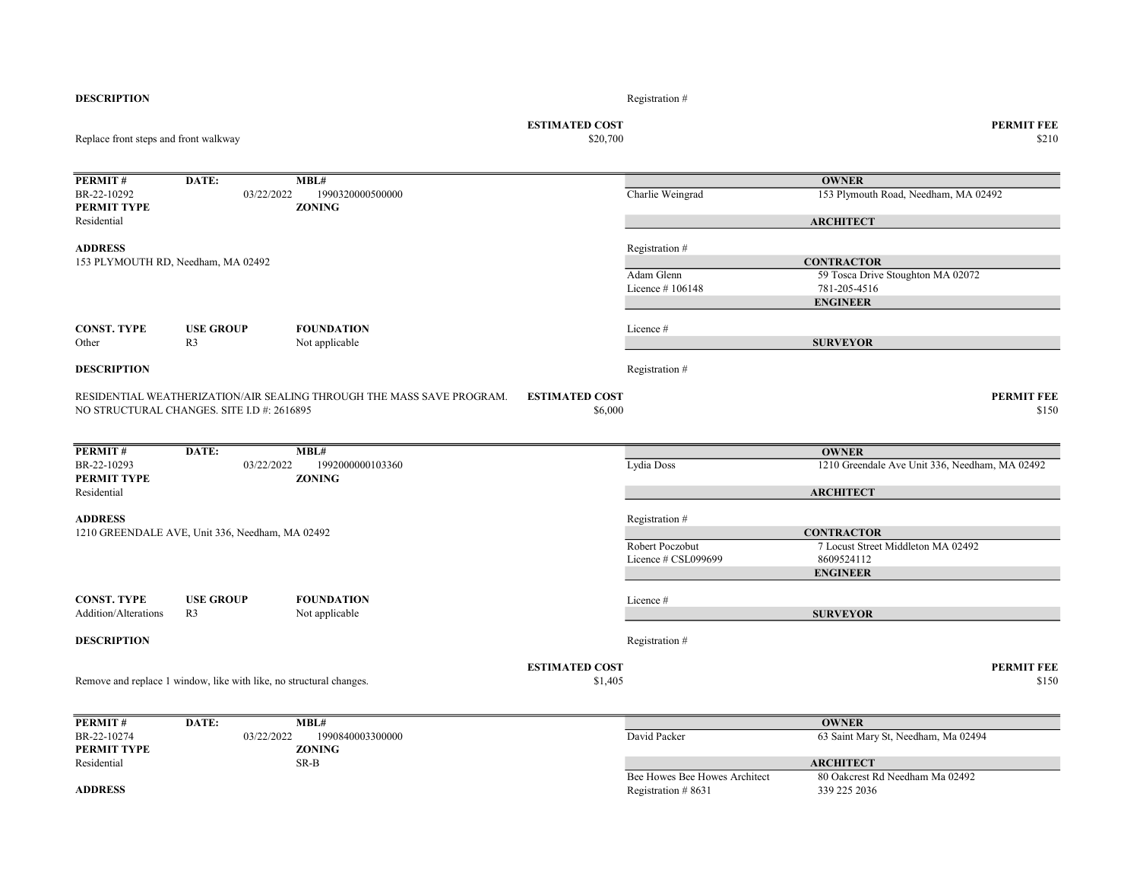| <b>DESCRIPTION</b>                    |                                                                     |                                                                       |                                  | Registration #                                        |                                                 |
|---------------------------------------|---------------------------------------------------------------------|-----------------------------------------------------------------------|----------------------------------|-------------------------------------------------------|-------------------------------------------------|
| Replace front steps and front walkway |                                                                     | <b>ESTIMATED COST</b><br>\$20,700                                     |                                  | <b>PERMIT FEE</b><br>\$210                            |                                                 |
| PERMIT#                               | DATE:                                                               | MBL#                                                                  |                                  |                                                       | <b>OWNER</b>                                    |
| BR-22-10292                           | 03/22/2022                                                          | 1990320000500000                                                      |                                  | Charlie Weingrad                                      | 153 Plymouth Road, Needham, MA 02492            |
| PERMIT TYPE                           |                                                                     | <b>ZONING</b>                                                         |                                  |                                                       |                                                 |
| Residential                           |                                                                     |                                                                       |                                  |                                                       | <b>ARCHITECT</b>                                |
| <b>ADDRESS</b>                        |                                                                     |                                                                       |                                  | Registration #                                        |                                                 |
|                                       | 153 PLYMOUTH RD, Needham, MA 02492                                  |                                                                       |                                  |                                                       | <b>CONTRACTOR</b>                               |
|                                       |                                                                     |                                                                       |                                  | Adam Glenn                                            | 59 Tosca Drive Stoughton MA 02072               |
|                                       |                                                                     |                                                                       |                                  | Licence #106148                                       | 781-205-4516                                    |
|                                       |                                                                     |                                                                       |                                  |                                                       | <b>ENGINEER</b>                                 |
| <b>CONST. TYPE</b>                    | <b>USE GROUP</b>                                                    | <b>FOUNDATION</b>                                                     |                                  | Licence#                                              |                                                 |
| Other                                 | R <sub>3</sub>                                                      | Not applicable                                                        |                                  |                                                       | <b>SURVEYOR</b>                                 |
|                                       |                                                                     |                                                                       |                                  |                                                       |                                                 |
| <b>DESCRIPTION</b>                    |                                                                     |                                                                       |                                  | Registration #                                        |                                                 |
|                                       | NO STRUCTURAL CHANGES. SITE I.D #: 2616895                          | RESIDENTIAL WEATHERIZATION/AIR SEALING THROUGH THE MASS SAVE PROGRAM. | <b>ESTIMATED COST</b><br>\$6,000 |                                                       | <b>PERMIT FEE</b><br>\$150                      |
| <b>PERMIT#</b>                        | DATE:                                                               | MBL#                                                                  |                                  |                                                       | <b>OWNER</b>                                    |
| BR-22-10293                           | 03/22/2022                                                          | 1992000000103360                                                      |                                  | Lydia Doss                                            | 1210 Greendale Ave Unit 336, Needham, MA 02492  |
| PERMIT TYPE                           |                                                                     | <b>ZONING</b>                                                         |                                  |                                                       |                                                 |
| Residential                           |                                                                     |                                                                       |                                  |                                                       | <b>ARCHITECT</b>                                |
| <b>ADDRESS</b>                        |                                                                     |                                                                       |                                  | Registration #                                        |                                                 |
|                                       | 1210 GREENDALE AVE, Unit 336, Needham, MA 02492                     |                                                                       |                                  |                                                       | <b>CONTRACTOR</b>                               |
|                                       |                                                                     |                                                                       |                                  | Robert Poczobut                                       | 7 Locust Street Middleton MA 02492              |
|                                       |                                                                     |                                                                       |                                  | Licence # CSL099699                                   | 8609524112                                      |
|                                       |                                                                     |                                                                       |                                  |                                                       | <b>ENGINEER</b>                                 |
| <b>CONST. TYPE</b>                    | <b>USE GROUP</b>                                                    | <b>FOUNDATION</b>                                                     |                                  | Licence#                                              |                                                 |
| Addition/Alterations                  | R <sub>3</sub>                                                      | Not applicable                                                        |                                  |                                                       | <b>SURVEYOR</b>                                 |
|                                       |                                                                     |                                                                       |                                  |                                                       |                                                 |
| <b>DESCRIPTION</b>                    |                                                                     |                                                                       |                                  | Registration #                                        |                                                 |
|                                       |                                                                     |                                                                       | <b>ESTIMATED COST</b>            |                                                       | <b>PERMIT FEE</b>                               |
|                                       | Remove and replace 1 window, like with like, no structural changes. |                                                                       | \$1,405                          |                                                       | \$150                                           |
| PERMIT#                               | DATE:                                                               | MBL#                                                                  |                                  |                                                       | <b>OWNER</b>                                    |
| BR-22-10274                           | 03/22/2022                                                          | 1990840003300000                                                      |                                  | David Packer                                          | 63 Saint Mary St, Needham, Ma 02494             |
| PERMIT TYPE                           |                                                                     | <b>ZONING</b>                                                         |                                  |                                                       |                                                 |
| Residential                           |                                                                     | SR-B                                                                  |                                  |                                                       | <b>ARCHITECT</b>                                |
| <b>ADDRESS</b>                        |                                                                     |                                                                       |                                  | Bee Howes Bee Howes Architect<br>Registration $#8631$ | 80 Oakcrest Rd Needham Ma 02492<br>339 225 2036 |
|                                       |                                                                     |                                                                       |                                  |                                                       |                                                 |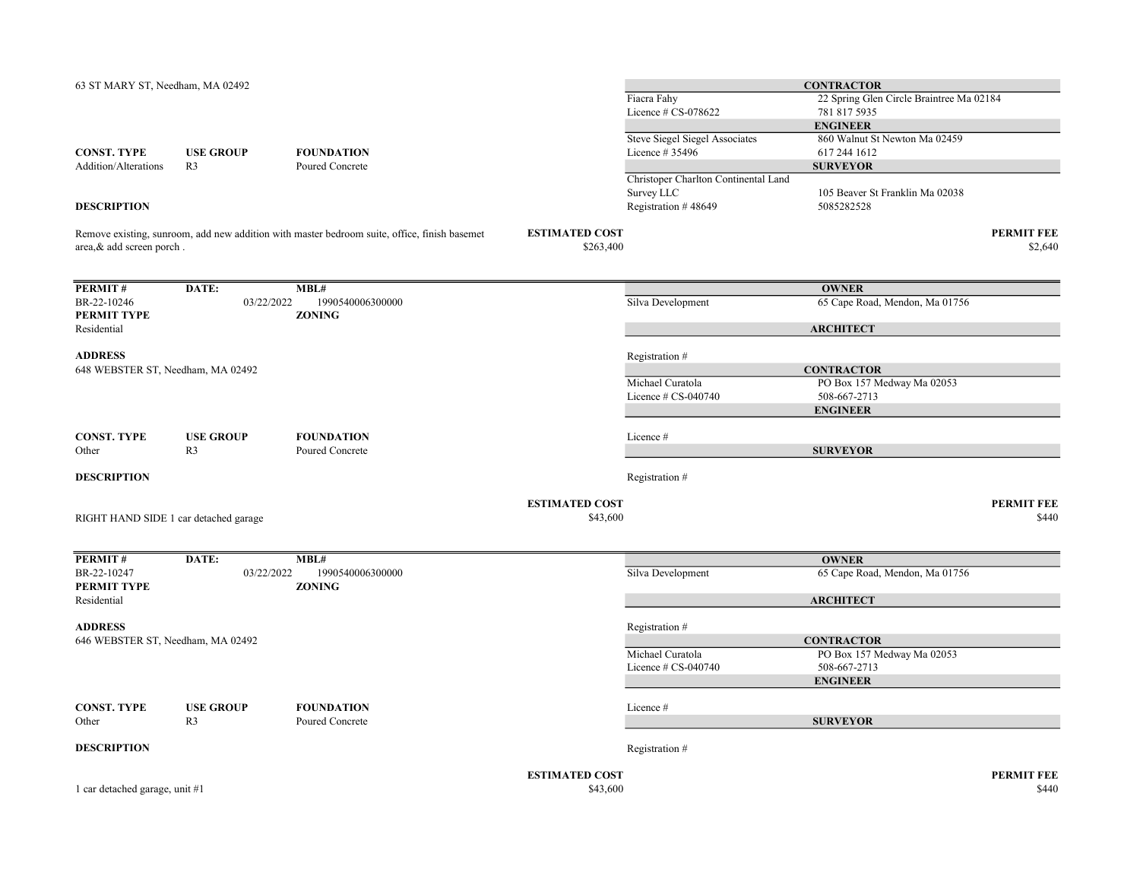| 63 ST MARY ST, Needham, MA 02492      |                                    |                                                                                              |                                    |                                                    | <b>CONTRACTOR</b>                                        |                              |
|---------------------------------------|------------------------------------|----------------------------------------------------------------------------------------------|------------------------------------|----------------------------------------------------|----------------------------------------------------------|------------------------------|
|                                       |                                    |                                                                                              |                                    | Fiacra Fahy<br>Licence # CS-078622                 | 22 Spring Glen Circle Braintree Ma 02184<br>781 817 5935 |                              |
|                                       |                                    |                                                                                              |                                    |                                                    | <b>ENGINEER</b>                                          |                              |
|                                       |                                    |                                                                                              |                                    | <b>Steve Siegel Siegel Associates</b>              | 860 Walnut St Newton Ma 02459                            |                              |
| <b>CONST. TYPE</b>                    | <b>USE GROUP</b>                   | <b>FOUNDATION</b>                                                                            |                                    | Licence # 35496                                    | 617 244 1612                                             |                              |
| Addition/Alterations                  | R <sub>3</sub>                     | Poured Concrete                                                                              |                                    |                                                    | <b>SURVEYOR</b>                                          |                              |
|                                       |                                    |                                                                                              |                                    | Christoper Charlton Continental Land<br>Survey LLC | 105 Beaver St Franklin Ma 02038                          |                              |
| <b>DESCRIPTION</b>                    |                                    |                                                                                              |                                    | Registration #48649                                | 5085282528                                               |                              |
|                                       |                                    |                                                                                              |                                    |                                                    |                                                          |                              |
| area, & add screen porch.             |                                    | Remove existing, sunroom, add new addition with master bedroom suite, office, finish basemet | <b>ESTIMATED COST</b><br>\$263,400 |                                                    |                                                          | <b>PERMIT FEE</b><br>\$2,640 |
| PERMIT#                               | DATE:                              | MBL#                                                                                         |                                    |                                                    | <b>OWNER</b>                                             |                              |
| BR-22-10246                           | 03/22/2022                         | 1990540006300000                                                                             |                                    | Silva Development                                  | 65 Cape Road, Mendon, Ma 01756                           |                              |
| PERMIT TYPE<br>Residential            |                                    | <b>ZONING</b>                                                                                |                                    |                                                    |                                                          |                              |
|                                       |                                    |                                                                                              |                                    |                                                    | <b>ARCHITECT</b>                                         |                              |
| <b>ADDRESS</b>                        |                                    |                                                                                              |                                    | Registration #                                     |                                                          |                              |
| 648 WEBSTER ST, Needham, MA 02492     |                                    |                                                                                              |                                    |                                                    | <b>CONTRACTOR</b>                                        |                              |
|                                       |                                    |                                                                                              |                                    | Michael Curatola<br>Licence $# CS-040740$          | PO Box 157 Medway Ma 02053<br>508-667-2713               |                              |
|                                       |                                    |                                                                                              |                                    |                                                    | <b>ENGINEER</b>                                          |                              |
|                                       |                                    |                                                                                              |                                    |                                                    |                                                          |                              |
| <b>CONST. TYPE</b><br>Other           | <b>USE GROUP</b><br>R <sub>3</sub> | <b>FOUNDATION</b><br>Poured Concrete                                                         |                                    | Licence#                                           | <b>SURVEYOR</b>                                          |                              |
|                                       |                                    |                                                                                              |                                    |                                                    |                                                          |                              |
| <b>DESCRIPTION</b>                    |                                    |                                                                                              |                                    | Registration #                                     |                                                          |                              |
|                                       |                                    |                                                                                              | <b>ESTIMATED COST</b>              |                                                    |                                                          | <b>PERMIT FEE</b>            |
| RIGHT HAND SIDE 1 car detached garage |                                    |                                                                                              | \$43,600                           |                                                    |                                                          | \$440                        |
| PERMIT#                               | DATE:                              | MBL#                                                                                         |                                    |                                                    |                                                          |                              |
| BR-22-10247                           | 03/22/2022                         | 1990540006300000                                                                             |                                    | Silva Development                                  | <b>OWNER</b><br>65 Cape Road, Mendon, Ma 01756           |                              |
| PERMIT TYPE                           |                                    | <b>ZONING</b>                                                                                |                                    |                                                    |                                                          |                              |
| Residential                           |                                    |                                                                                              |                                    |                                                    | <b>ARCHITECT</b>                                         |                              |
| <b>ADDRESS</b>                        |                                    |                                                                                              |                                    | Registration #                                     |                                                          |                              |
| 646 WEBSTER ST, Needham, MA 02492     |                                    |                                                                                              |                                    |                                                    | <b>CONTRACTOR</b>                                        |                              |
|                                       |                                    |                                                                                              |                                    | Michael Curatola                                   | PO Box 157 Medway Ma 02053                               |                              |
|                                       |                                    |                                                                                              |                                    | Licence $# CS-040740$                              | 508-667-2713<br><b>ENGINEER</b>                          |                              |
|                                       |                                    |                                                                                              |                                    |                                                    |                                                          |                              |
| <b>CONST. TYPE</b>                    | <b>USE GROUP</b>                   | <b>FOUNDATION</b>                                                                            |                                    | Licence#                                           |                                                          |                              |
| Other                                 | R <sub>3</sub>                     | Poured Concrete                                                                              |                                    |                                                    | <b>SURVEYOR</b>                                          |                              |
| <b>DESCRIPTION</b>                    |                                    |                                                                                              |                                    | Registration #                                     |                                                          |                              |
|                                       |                                    |                                                                                              | <b>ESTIMATED COST</b>              |                                                    |                                                          | <b>PERMIT FEE</b>            |
| 1 car detached garage, unit #1        |                                    |                                                                                              | \$43,600                           |                                                    |                                                          | \$440                        |
|                                       |                                    |                                                                                              |                                    |                                                    |                                                          |                              |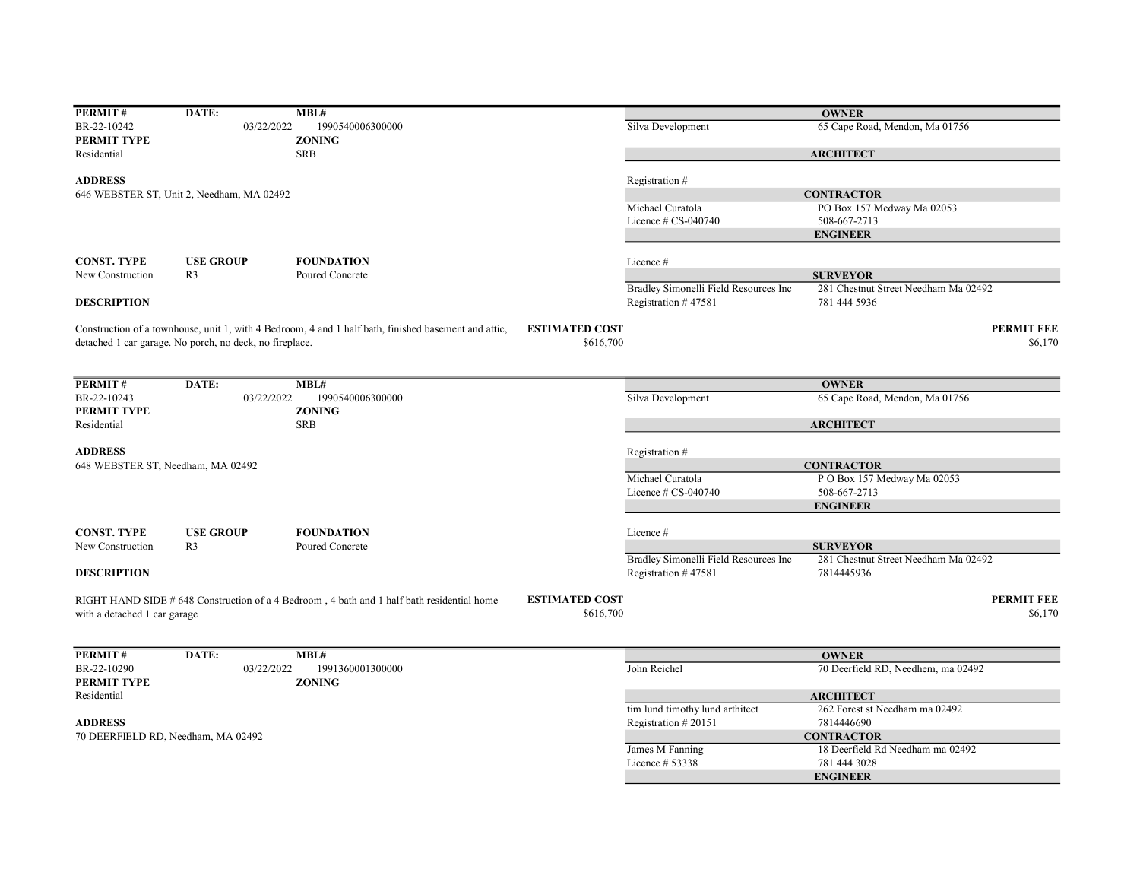| PERMIT#                           | DATE:                                                   | MBL#                                                                                                 |                       |                                       | <b>OWNER</b>                         |                   |
|-----------------------------------|---------------------------------------------------------|------------------------------------------------------------------------------------------------------|-----------------------|---------------------------------------|--------------------------------------|-------------------|
| BR-22-10242                       | 03/22/2022                                              | 1990540006300000                                                                                     |                       | Silva Development                     | 65 Cape Road, Mendon, Ma 01756       |                   |
| PERMIT TYPE                       |                                                         | <b>ZONING</b>                                                                                        |                       |                                       |                                      |                   |
| Residential                       |                                                         | <b>SRB</b>                                                                                           |                       |                                       | <b>ARCHITECT</b>                     |                   |
| <b>ADDRESS</b>                    |                                                         |                                                                                                      |                       | Registration #                        |                                      |                   |
|                                   | 646 WEBSTER ST, Unit 2, Needham, MA 02492               |                                                                                                      |                       |                                       | <b>CONTRACTOR</b>                    |                   |
|                                   |                                                         |                                                                                                      |                       | Michael Curatola                      | PO Box 157 Medway Ma 02053           |                   |
|                                   |                                                         |                                                                                                      |                       | Licence $\#$ CS-040740                | 508-667-2713                         |                   |
|                                   |                                                         |                                                                                                      |                       |                                       | <b>ENGINEER</b>                      |                   |
| <b>CONST. TYPE</b>                | <b>USE GROUP</b>                                        | <b>FOUNDATION</b>                                                                                    |                       | Licence #                             |                                      |                   |
| New Construction                  | R <sub>3</sub>                                          | Poured Concrete                                                                                      |                       |                                       | <b>SURVEYOR</b>                      |                   |
|                                   |                                                         |                                                                                                      |                       | Bradley Simonelli Field Resources Inc | 281 Chestnut Street Needham Ma 02492 |                   |
| <b>DESCRIPTION</b>                |                                                         |                                                                                                      |                       | Registration #47581                   | 781 444 5936                         |                   |
|                                   |                                                         | Construction of a townhouse, unit 1, with 4 Bedroom, 4 and 1 half bath, finished basement and attic, | <b>ESTIMATED COST</b> |                                       |                                      | <b>PERMIT FEE</b> |
|                                   | detached 1 car garage. No porch, no deck, no fireplace. |                                                                                                      | \$616,700             |                                       |                                      | \$6,170           |
|                                   |                                                         |                                                                                                      |                       |                                       |                                      |                   |
| PERMIT#                           | DATE:                                                   | MBL#                                                                                                 |                       |                                       | <b>OWNER</b>                         |                   |
| BR-22-10243                       | 03/22/2022                                              | 1990540006300000                                                                                     |                       | Silva Development                     | 65 Cape Road, Mendon, Ma 01756       |                   |
| PERMIT TYPE                       |                                                         | <b>ZONING</b>                                                                                        |                       |                                       |                                      |                   |
| Residential                       |                                                         | <b>SRB</b>                                                                                           |                       |                                       | <b>ARCHITECT</b>                     |                   |
| <b>ADDRESS</b>                    |                                                         |                                                                                                      |                       | Registration #                        |                                      |                   |
| 648 WEBSTER ST, Needham, MA 02492 |                                                         |                                                                                                      |                       |                                       | <b>CONTRACTOR</b>                    |                   |
|                                   |                                                         |                                                                                                      |                       | Michael Curatola                      | P O Box 157 Medway Ma 02053          |                   |
|                                   |                                                         |                                                                                                      |                       | Licence # CS-040740                   | 508-667-2713                         |                   |
|                                   |                                                         |                                                                                                      |                       |                                       | <b>ENGINEER</b>                      |                   |
| <b>CONST. TYPE</b>                | <b>USE GROUP</b>                                        | <b>FOUNDATION</b>                                                                                    |                       | Licence #                             |                                      |                   |
| New Construction                  | R <sub>3</sub>                                          | Poured Concrete                                                                                      |                       |                                       | <b>SURVEYOR</b>                      |                   |
|                                   |                                                         |                                                                                                      |                       | Bradley Simonelli Field Resources Inc | 281 Chestnut Street Needham Ma 02492 |                   |
| <b>DESCRIPTION</b>                |                                                         |                                                                                                      |                       | Registration $#47581$                 | 7814445936                           |                   |
|                                   |                                                         | RIGHT HAND SIDE # 648 Construction of a 4 Bedroom, 4 bath and 1 half bath residential home           | <b>ESTIMATED COST</b> |                                       |                                      | <b>PERMIT FEE</b> |
| with a detached 1 car garage      |                                                         |                                                                                                      | \$616,700             |                                       |                                      | \$6,170           |
|                                   |                                                         |                                                                                                      |                       |                                       |                                      |                   |
| PERMIT#                           | DATE:                                                   | MBL#                                                                                                 |                       |                                       | <b>OWNER</b>                         |                   |
| BR-22-10290                       | 03/22/2022                                              | 1991360001300000                                                                                     |                       | John Reichel                          | 70 Deerfield RD, Needhem, ma 02492   |                   |
| PERMIT TYPE                       |                                                         | <b>ZONING</b>                                                                                        |                       |                                       |                                      |                   |
| Residential                       |                                                         |                                                                                                      |                       |                                       | <b>ARCHITECT</b>                     |                   |
|                                   |                                                         |                                                                                                      |                       | tim lund timothy lund arthitect       | 262 Forest st Needham ma 02492       |                   |
| <b>ADDRESS</b>                    |                                                         |                                                                                                      |                       | Registration #20151                   | 7814446690                           |                   |
|                                   | 70 DEERFIELD RD, Needham, MA 02492                      |                                                                                                      |                       |                                       | <b>CONTRACTOR</b>                    |                   |
|                                   |                                                         |                                                                                                      |                       | James M Fanning                       | 18 Deerfield Rd Needham ma 02492     |                   |
|                                   |                                                         |                                                                                                      |                       | Licence # 53338                       | 781 444 3028                         |                   |
|                                   |                                                         |                                                                                                      |                       |                                       | <b>ENGINEER</b>                      |                   |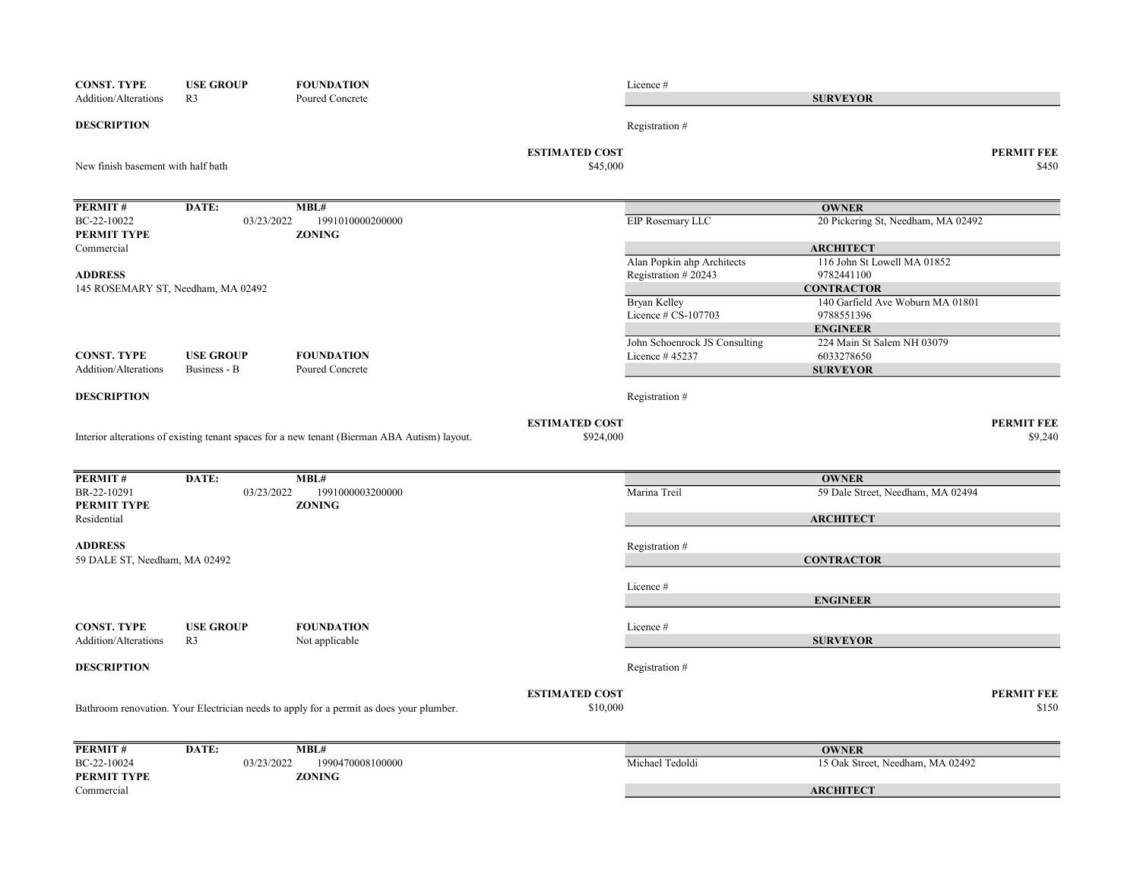| <b>CONST. TYPE</b>                 | <b>USE GROUP</b>                   | <b>FOUNDATION</b>                                                                            |                                   | Licence #                           |                                                    |                            |
|------------------------------------|------------------------------------|----------------------------------------------------------------------------------------------|-----------------------------------|-------------------------------------|----------------------------------------------------|----------------------------|
| Addition/Alterations               | R <sub>3</sub>                     | Poured Concrete                                                                              |                                   |                                     | <b>SURVEYOR</b>                                    |                            |
| <b>DESCRIPTION</b>                 |                                    |                                                                                              |                                   | Registration #                      |                                                    |                            |
| New finish basement with half bath |                                    |                                                                                              | <b>ESTIMATED COST</b><br>\$45,000 |                                     |                                                    | <b>PERMIT FEE</b><br>\$450 |
|                                    |                                    |                                                                                              |                                   |                                     |                                                    |                            |
| PERMIT#<br>BC-22-10022             | DATE:<br>03/23/2022                | MBL#<br>1991010000200000                                                                     |                                   |                                     | <b>OWNER</b><br>20 Pickering St, Needham, MA 02492 |                            |
| PERMIT TYPE                        |                                    | <b>ZONING</b>                                                                                |                                   | EIP Rosemary LLC                    |                                                    |                            |
| Commercial                         |                                    |                                                                                              |                                   |                                     | <b>ARCHITECT</b>                                   |                            |
|                                    |                                    |                                                                                              |                                   | Alan Popkin ahp Architects          | 116 John St Lowell MA 01852                        |                            |
| <b>ADDRESS</b>                     |                                    |                                                                                              |                                   | Registration #20243                 | 9782441100                                         |                            |
|                                    | 145 ROSEMARY ST, Needham, MA 02492 |                                                                                              |                                   |                                     | <b>CONTRACTOR</b>                                  |                            |
|                                    |                                    |                                                                                              |                                   | Bryan Kelley<br>Licence # CS-107703 | 140 Garfield Ave Woburn MA 01801<br>9788551396     |                            |
|                                    |                                    |                                                                                              |                                   |                                     | <b>ENGINEER</b>                                    |                            |
|                                    |                                    |                                                                                              |                                   | John Schoenrock JS Consulting       | 224 Main St Salem NH 03079                         |                            |
| <b>CONST. TYPE</b>                 | <b>USE GROUP</b>                   | <b>FOUNDATION</b>                                                                            |                                   | Licence #45237                      | 6033278650                                         |                            |
| Addition/Alterations               | Business - B                       | Poured Concrete                                                                              |                                   |                                     | <b>SURVEYOR</b>                                    |                            |
| <b>DESCRIPTION</b>                 |                                    |                                                                                              |                                   | Registration #                      |                                                    |                            |
|                                    |                                    |                                                                                              |                                   |                                     |                                                    |                            |
|                                    |                                    |                                                                                              | <b>ESTIMATED COST</b>             |                                     |                                                    | PERMIT FEE                 |
|                                    |                                    | Interior alterations of existing tenant spaces for a new tenant (Bierman ABA Autism) layout. | \$924,000                         |                                     |                                                    | \$9,240                    |
| PERMIT#                            | DATE:                              | MBL#                                                                                         |                                   |                                     | <b>OWNER</b>                                       |                            |
| BR-22-10291                        | 03/23/2022                         | 1991000003200000                                                                             |                                   | Marina Treil                        | 59 Dale Street, Needham, MA 02494                  |                            |
| PERMIT TYPE                        |                                    | <b>ZONING</b>                                                                                |                                   |                                     |                                                    |                            |
| Residential                        |                                    |                                                                                              |                                   |                                     | <b>ARCHITECT</b>                                   |                            |
|                                    |                                    |                                                                                              |                                   |                                     |                                                    |                            |
| <b>ADDRESS</b>                     |                                    |                                                                                              |                                   | Registration #                      |                                                    |                            |
| 59 DALE ST, Needham, MA 02492      |                                    |                                                                                              |                                   |                                     | <b>CONTRACTOR</b>                                  |                            |
|                                    |                                    |                                                                                              |                                   |                                     |                                                    |                            |
|                                    |                                    |                                                                                              |                                   | Licence #                           |                                                    |                            |
|                                    |                                    |                                                                                              |                                   |                                     | <b>ENGINEER</b>                                    |                            |
| <b>CONST. TYPE</b>                 | <b>USE GROUP</b>                   | <b>FOUNDATION</b>                                                                            |                                   | Licence #                           |                                                    |                            |
| <b>Addition/Alterations</b>        | R <sub>3</sub>                     | Not applicable                                                                               |                                   |                                     | <b>SURVEYOR</b>                                    |                            |
| <b>DESCRIPTION</b>                 |                                    |                                                                                              |                                   | Registration #                      |                                                    |                            |
|                                    |                                    |                                                                                              |                                   |                                     |                                                    |                            |
|                                    |                                    |                                                                                              | <b>ESTIMATED COST</b>             |                                     |                                                    | PERMIT FEE                 |
|                                    |                                    | Bathroom renovation. Your Electrician needs to apply for a permit as does your plumber.      | \$10,000                          |                                     |                                                    | \$150                      |
|                                    |                                    |                                                                                              |                                   |                                     |                                                    |                            |
| PERMIT#                            | DATE:                              | MBL#                                                                                         |                                   |                                     | <b>OWNER</b>                                       |                            |
| BC-22-10024                        | 03/23/2022                         | 1990470008100000                                                                             |                                   | Michael Tedoldi                     | 15 Oak Street, Needham, MA 02492                   |                            |
| PERMIT TYPE                        |                                    | <b>ZONING</b>                                                                                |                                   |                                     |                                                    |                            |
| Commercial                         |                                    |                                                                                              |                                   |                                     | <b>ARCHITECT</b>                                   |                            |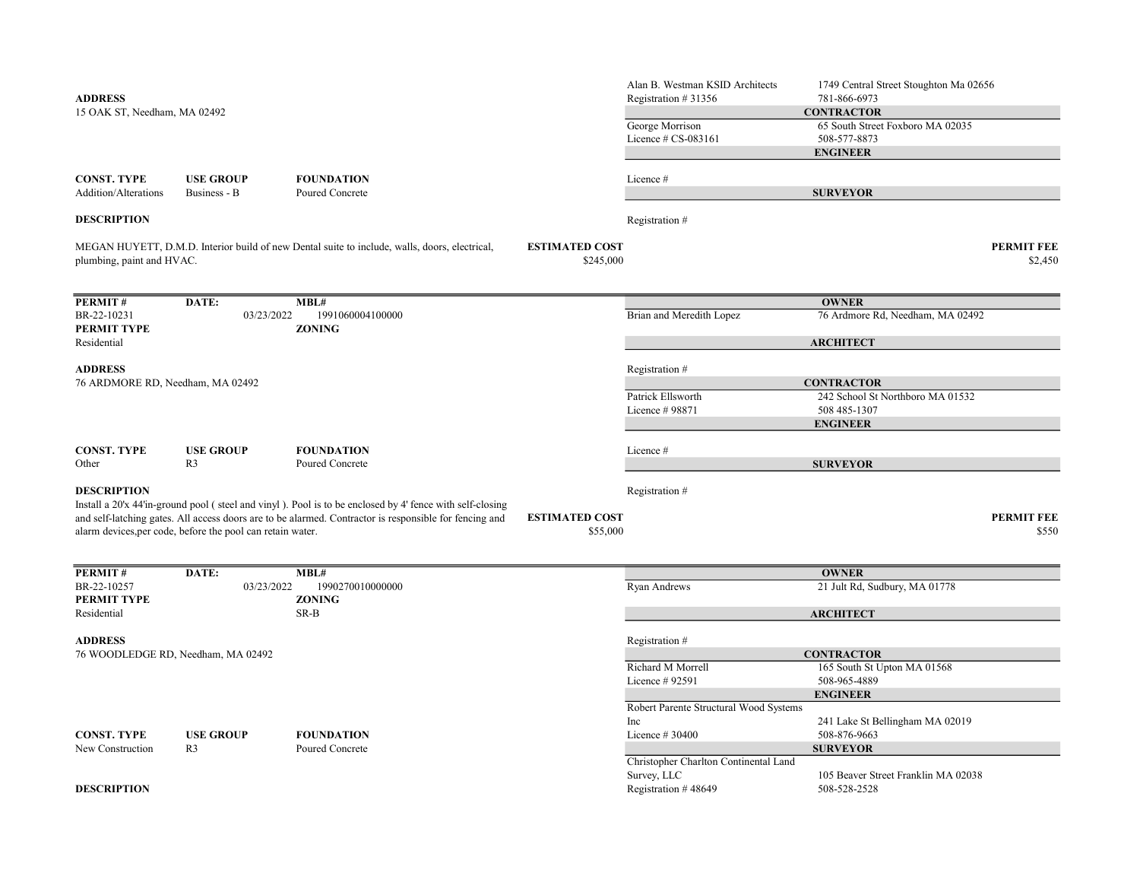| <b>ADDRESS</b><br>15 OAK ST, Needham, MA 02492 |                                                            |                                                                                                                                                                                                                    |                                    | Alan B. Westman KSID Architects<br>Registration #31356<br>George Morrison | 1749 Central Street Stoughton Ma 02656<br>781-866-6973<br><b>CONTRACTOR</b><br>65 South Street Foxboro MA 02035 |                              |
|------------------------------------------------|------------------------------------------------------------|--------------------------------------------------------------------------------------------------------------------------------------------------------------------------------------------------------------------|------------------------------------|---------------------------------------------------------------------------|-----------------------------------------------------------------------------------------------------------------|------------------------------|
|                                                |                                                            |                                                                                                                                                                                                                    |                                    | Licence # CS-083161                                                       | 508-577-8873<br><b>ENGINEER</b>                                                                                 |                              |
|                                                |                                                            |                                                                                                                                                                                                                    |                                    |                                                                           |                                                                                                                 |                              |
| <b>CONST. TYPE</b><br>Addition/Alterations     | <b>USE GROUP</b><br>Business - B                           | <b>FOUNDATION</b><br>Poured Concrete                                                                                                                                                                               |                                    | Licence#                                                                  | <b>SURVEYOR</b>                                                                                                 |                              |
| <b>DESCRIPTION</b>                             |                                                            |                                                                                                                                                                                                                    |                                    | Registration #                                                            |                                                                                                                 |                              |
| plumbing, paint and HVAC.                      |                                                            | MEGAN HUYETT, D.M.D. Interior build of new Dental suite to include, walls, doors, electrical,                                                                                                                      | <b>ESTIMATED COST</b><br>\$245,000 |                                                                           |                                                                                                                 | <b>PERMIT FEE</b><br>\$2,450 |
| <b>PERMIT#</b>                                 | DATE:                                                      | MBL#                                                                                                                                                                                                               |                                    |                                                                           | <b>OWNER</b>                                                                                                    |                              |
| BR-22-10231<br>PERMIT TYPE                     | 03/23/2022                                                 | 1991060004100000<br><b>ZONING</b>                                                                                                                                                                                  |                                    | Brian and Meredith Lopez                                                  | 76 Ardmore Rd, Needham, MA 02492                                                                                |                              |
| Residential                                    |                                                            |                                                                                                                                                                                                                    |                                    |                                                                           | <b>ARCHITECT</b>                                                                                                |                              |
| <b>ADDRESS</b>                                 |                                                            |                                                                                                                                                                                                                    |                                    | Registration #                                                            |                                                                                                                 |                              |
| 76 ARDMORE RD, Needham, MA 02492               |                                                            |                                                                                                                                                                                                                    |                                    |                                                                           | <b>CONTRACTOR</b>                                                                                               |                              |
|                                                |                                                            |                                                                                                                                                                                                                    |                                    | Patrick Ellsworth<br>Licence # 98871                                      | 242 School St Northboro MA 01532<br>508 485-1307                                                                |                              |
|                                                |                                                            |                                                                                                                                                                                                                    |                                    |                                                                           | <b>ENGINEER</b>                                                                                                 |                              |
| <b>CONST. TYPE</b>                             | <b>USE GROUP</b>                                           | <b>FOUNDATION</b>                                                                                                                                                                                                  |                                    | Licence#                                                                  |                                                                                                                 |                              |
| Other                                          | R <sub>3</sub>                                             | Poured Concrete                                                                                                                                                                                                    |                                    |                                                                           | <b>SURVEYOR</b>                                                                                                 |                              |
| <b>DESCRIPTION</b>                             |                                                            |                                                                                                                                                                                                                    |                                    | Registration #                                                            |                                                                                                                 |                              |
|                                                | alarm devices, per code, before the pool can retain water. | Install a 20'x 44'in-ground pool (steel and vinyl). Pool is to be enclosed by 4' fence with self-closing<br>and self-latching gates. All access doors are to be alarmed. Contractor is responsible for fencing and | <b>ESTIMATED COST</b><br>\$55,000  |                                                                           |                                                                                                                 | <b>PERMIT FEE</b><br>\$550   |
| PERMIT#                                        | DATE:                                                      | MBL#                                                                                                                                                                                                               |                                    |                                                                           | <b>OWNER</b>                                                                                                    |                              |
| BR-22-10257<br>PERMIT TYPE                     | 03/23/2022                                                 | 1990270010000000<br><b>ZONING</b>                                                                                                                                                                                  |                                    | Ryan Andrews                                                              | 21 Jult Rd, Sudbury, MA 01778                                                                                   |                              |
| Residential                                    |                                                            | SR-B                                                                                                                                                                                                               |                                    |                                                                           | <b>ARCHITECT</b>                                                                                                |                              |
| <b>ADDRESS</b>                                 |                                                            |                                                                                                                                                                                                                    |                                    | Registration #                                                            |                                                                                                                 |                              |
| 76 WOODLEDGE RD, Needham, MA 02492             |                                                            |                                                                                                                                                                                                                    |                                    |                                                                           | <b>CONTRACTOR</b>                                                                                               |                              |
|                                                |                                                            |                                                                                                                                                                                                                    |                                    | Richard M Morrell                                                         | 165 South St Upton MA 01568                                                                                     |                              |
|                                                |                                                            |                                                                                                                                                                                                                    |                                    | Licence # 92591                                                           | 508-965-4889<br><b>ENGINEER</b>                                                                                 |                              |
|                                                |                                                            |                                                                                                                                                                                                                    |                                    | Robert Parente Structural Wood Systems                                    |                                                                                                                 |                              |
|                                                |                                                            |                                                                                                                                                                                                                    |                                    | Inc                                                                       | 241 Lake St Bellingham MA 02019                                                                                 |                              |
| <b>CONST. TYPE</b>                             | <b>USE GROUP</b><br>R <sub>3</sub>                         | <b>FOUNDATION</b>                                                                                                                                                                                                  |                                    | Licence # 30400                                                           | 508-876-9663<br><b>SURVEYOR</b>                                                                                 |                              |
| New Construction                               |                                                            | Poured Concrete                                                                                                                                                                                                    |                                    | Christopher Charlton Continental Land                                     |                                                                                                                 |                              |
|                                                |                                                            |                                                                                                                                                                                                                    |                                    | Survey, LLC                                                               | 105 Beaver Street Franklin MA 02038                                                                             |                              |
| <b>DESCRIPTION</b>                             |                                                            |                                                                                                                                                                                                                    |                                    | Registration #48649                                                       | 508-528-2528                                                                                                    |                              |
|                                                |                                                            |                                                                                                                                                                                                                    |                                    |                                                                           |                                                                                                                 |                              |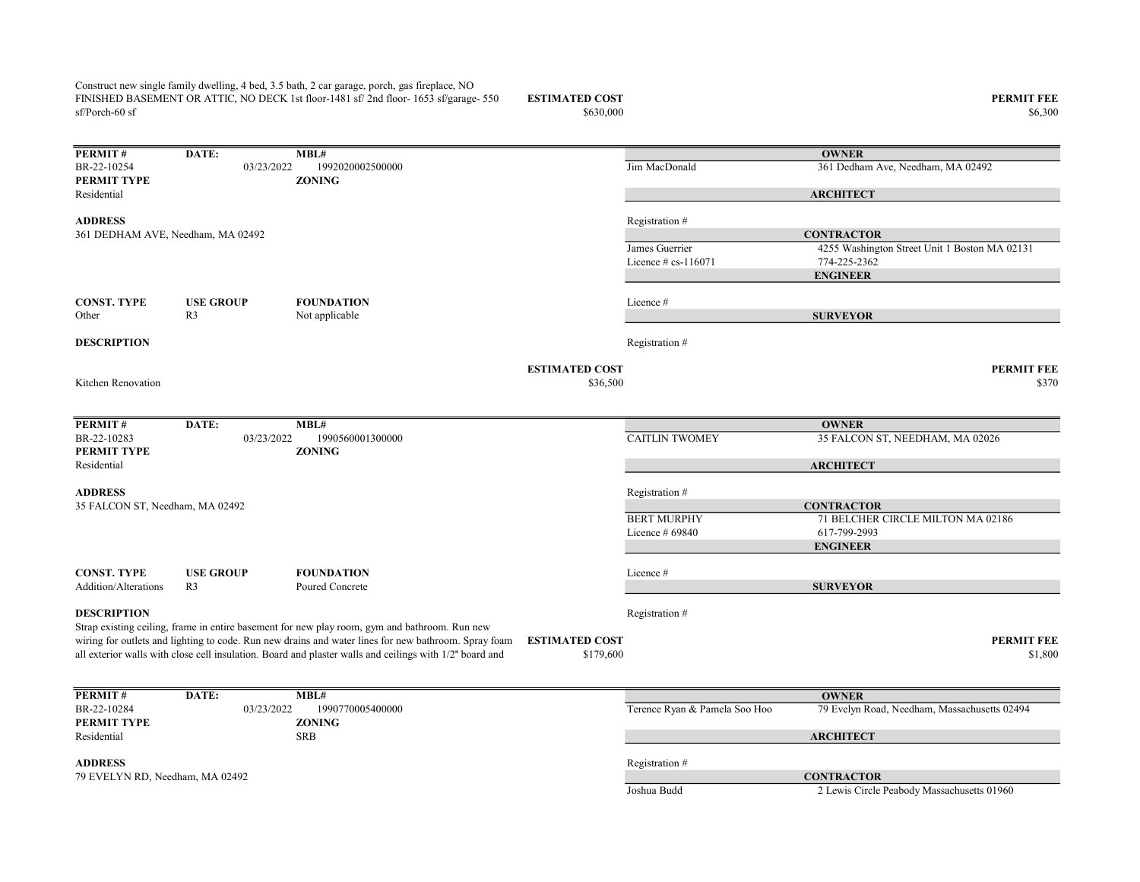Construct new single family dwelling, 4 bed, 3.5 bath, 2 car garage, porch, gas fireplace, NO FINISHED BASEMENT OR ATTIC, NO DECK 1st floor-1481 sf/ 2nd floor-1653 sf/garage- 550 sf/Porch-60 sf

## ESTIMATED COST PERMIT FEE<br>  $$630,000$  86,300 \$6,300

 $$6,300$  \$6,300

| PERMIT#                           | DATE:                             | MBL#                                                                                                    |                       |                               | <b>OWNER</b>                                    |
|-----------------------------------|-----------------------------------|---------------------------------------------------------------------------------------------------------|-----------------------|-------------------------------|-------------------------------------------------|
| BR-22-10254<br><b>PERMIT TYPE</b> | 03/23/2022                        | 1992020002500000<br><b>ZONING</b>                                                                       |                       | Jim MacDonald                 | 361 Dedham Ave, Needham, MA 02492               |
| Residential                       |                                   |                                                                                                         |                       |                               | <b>ARCHITECT</b>                                |
| <b>ADDRESS</b>                    |                                   |                                                                                                         |                       | Registration #                |                                                 |
|                                   | 361 DEDHAM AVE, Needham, MA 02492 |                                                                                                         |                       |                               | <b>CONTRACTOR</b>                               |
|                                   |                                   |                                                                                                         |                       | James Guerrier                | 4255 Washington Street Unit 1 Boston MA 02131   |
|                                   |                                   |                                                                                                         |                       | Licence $\#$ cs-116071        | 774-225-2362                                    |
|                                   |                                   |                                                                                                         |                       |                               | <b>ENGINEER</b>                                 |
| <b>CONST. TYPE</b>                | <b>USE GROUP</b>                  | <b>FOUNDATION</b>                                                                                       |                       | Licence #                     |                                                 |
| Other                             | R <sub>3</sub>                    | Not applicable                                                                                          |                       |                               | <b>SURVEYOR</b>                                 |
| <b>DESCRIPTION</b>                |                                   |                                                                                                         |                       | Registration#                 |                                                 |
|                                   |                                   |                                                                                                         | <b>ESTIMATED COST</b> |                               | <b>PERMIT FEE</b>                               |
| Kitchen Renovation                |                                   |                                                                                                         | \$36,500              |                               | \$370                                           |
|                                   |                                   |                                                                                                         |                       |                               |                                                 |
| PERMIT#<br>BR-22-10283            | DATE:                             | MBL#<br>1990560001300000                                                                                |                       | <b>CAITLIN TWOMEY</b>         | <b>OWNER</b><br>35 FALCON ST, NEEDHAM, MA 02026 |
| PERMIT TYPE                       | 03/23/2022                        | <b>ZONING</b>                                                                                           |                       |                               |                                                 |
| Residential                       |                                   |                                                                                                         |                       |                               | <b>ARCHITECT</b>                                |
| <b>ADDRESS</b>                    |                                   |                                                                                                         |                       | Registration #                |                                                 |
| 35 FALCON ST, Needham, MA 02492   |                                   |                                                                                                         |                       |                               | <b>CONTRACTOR</b>                               |
|                                   |                                   |                                                                                                         |                       | <b>BERT MURPHY</b>            | 71 BELCHER CIRCLE MILTON MA 02186               |
|                                   |                                   |                                                                                                         |                       | Licence $#69840$              | 617-799-2993                                    |
|                                   |                                   |                                                                                                         |                       |                               | <b>ENGINEER</b>                                 |
| <b>CONST. TYPE</b>                | <b>USE GROUP</b>                  | <b>FOUNDATION</b>                                                                                       |                       | Licence #                     |                                                 |
| <b>Addition/Alterations</b>       | R <sub>3</sub>                    | Poured Concrete                                                                                         |                       |                               | <b>SURVEYOR</b>                                 |
| <b>DESCRIPTION</b>                |                                   |                                                                                                         |                       | Registration #                |                                                 |
|                                   |                                   | Strap existing ceiling, frame in entire basement for new play room, gym and bathroom. Run new           |                       |                               |                                                 |
|                                   |                                   | wiring for outlets and lighting to code. Run new drains and water lines for new bathroom. Spray foam    | <b>ESTIMATED COST</b> |                               | <b>PERMIT FEE</b>                               |
|                                   |                                   | all exterior walls with close cell insulation. Board and plaster walls and ceilings with 1/2" board and | \$179,600             |                               | \$1,800                                         |
|                                   |                                   |                                                                                                         |                       |                               |                                                 |
| PERMIT#                           | DATE:                             | MBL#                                                                                                    |                       |                               | <b>OWNER</b>                                    |
| BR-22-10284<br>PERMIT TYPE        | 03/23/2022                        | 1990770005400000<br><b>ZONING</b>                                                                       |                       | Terence Ryan & Pamela Soo Hoo | 79 Evelyn Road, Needham, Massachusetts 02494    |
| Residential                       |                                   | <b>SRB</b>                                                                                              |                       |                               | <b>ARCHITECT</b>                                |
|                                   |                                   |                                                                                                         |                       |                               |                                                 |
| <b>ADDRESS</b>                    |                                   |                                                                                                         |                       | Registration #                |                                                 |
| 79 EVELYN RD, Needham, MA 02492   |                                   |                                                                                                         |                       |                               | <b>CONTRACTOR</b>                               |
|                                   |                                   |                                                                                                         |                       | Joshua Budd                   | 2 Lewis Circle Peabody Massachusetts 01960      |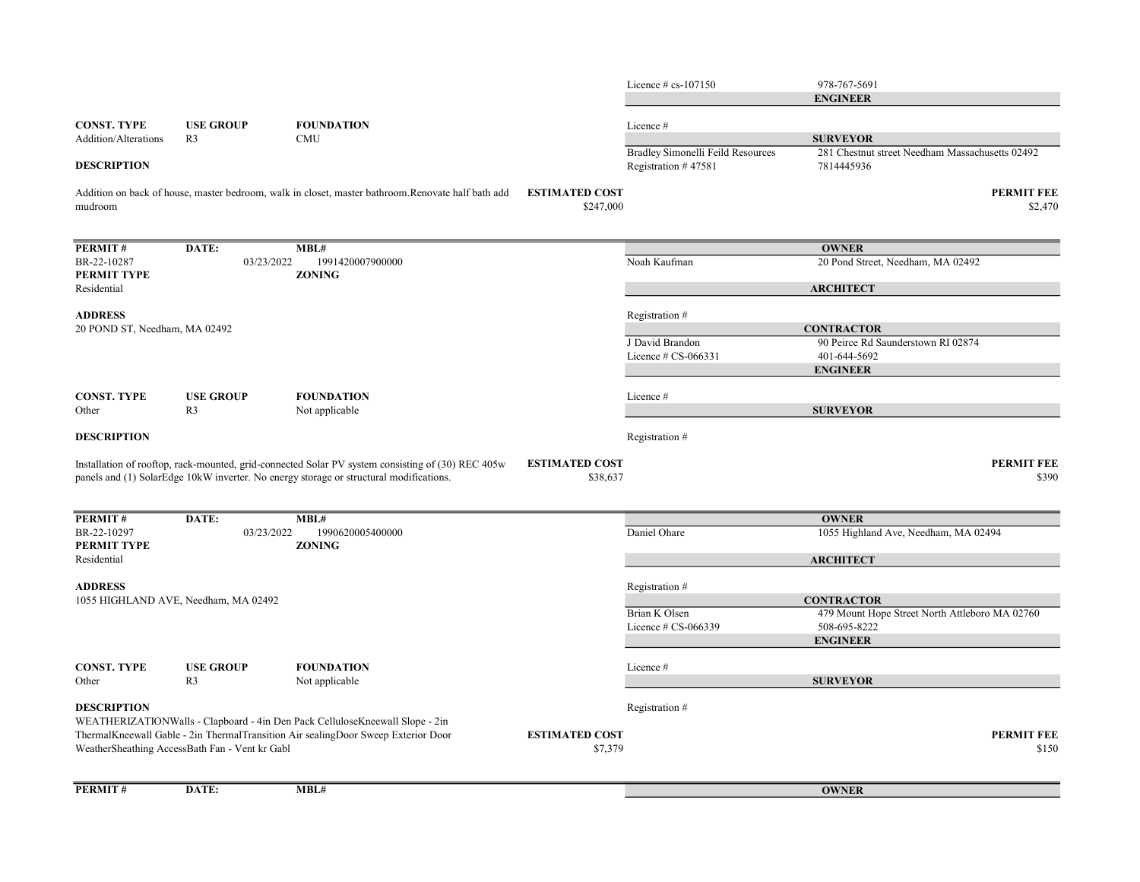Licence # cs-107150 978-767-5691 CONST. TYPE USE GROUP FOUNDATION Licence # Addition/Alterations R3 CMU Bradley Simonelli Feild Resources 281 Chestnut street Needham Massachusetts 02492 **DESCRIPTION** Registration # 47581 7814445936 ESTIMATED COST PERMIT FEE  $\$247,000$   $\$2,470$ PERMIT # DATE: MBL# BR-22-10287 03/23/2022 1991420007900000 Noah Kaufman 20 Pond Street, Needham, MA 02492 PERMIT TYPE ZONING Residential ADDRESS Registration # J David Brandon 90 Peirce Rd Saunderstown RI 02874 Licence # CS-066331 401-644-5692 CONST. TYPE USE GROUP FOUNDATION Licence # Other R3 Not applicable **DESCRIPTION** Registration # ESTIMATED COST PERMIT FEE  $$38,637$  \$390 PERMIT # DATE: MBL# BR-22-10297 03/23/2022 1990620005400000 Daniel Ohare 1055 Highland Ave, Needham, MA 02494 PERMIT TYPE ZONING Residential ADDRESS Registration # Brian K Olsen 479 Mount Hope Street North Attleboro MA 02760 Licence # CS-066339 508-695-8222 CONST. TYPE USE GROUP FOUNDATION Licence # Other R3 Not applicable **DESCRIPTION** Registration # ESTIMATED COST PERMIT FEE  $$150$   $$150$ PERMIT# DATE: MBL# Addition on back of house, master bedroom, walk in closet, master bathroom.Renovate half bath add mudroom **OWNER** ARCHITECT **CONTRACTOR** ENGINEER SURVEYOR 20 POND ST, Needham, MA 02492 ENGINEER **SURVEYOR** WEATHERIZATIONWalls - Clapboard - 4in Den Pack CelluloseKneewall Slope - 2in ThermalKneewall Gable - 2in ThermalTransition Air sealingDoor Sweep Exterior Door WeatherSheathing AccessBath Fan - Vent kr Gabl **OWNER** Installation of rooftop, rack-mounted, grid-connected Solar PV system consisting of (30) REC 405w panels and (1) SolarEdge 10kW inverter. No energy storage or structural modifications. **OWNER ARCHITECT CONTRACTOR** ENGINEER **SURVEYOR** 1055 HIGHLAND AVE, Needham, MA 02492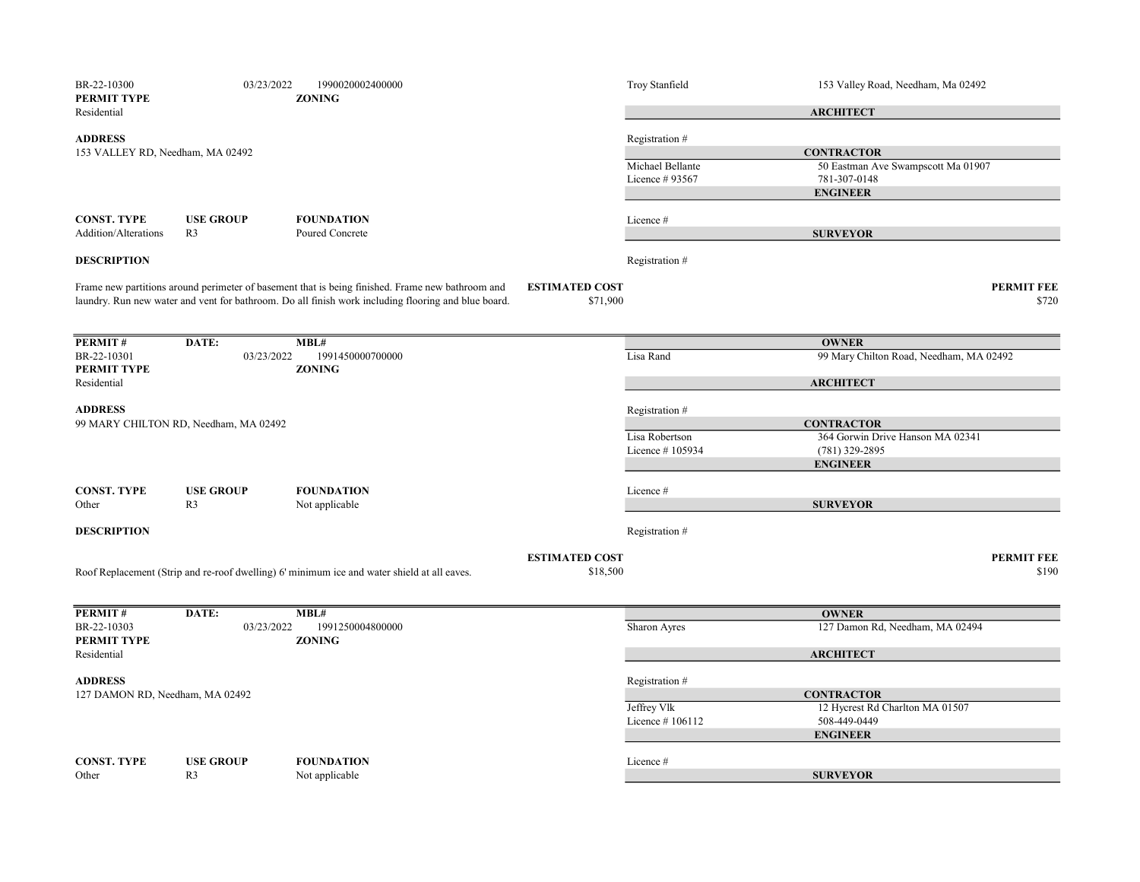| BR-22-10300<br><b>PERMIT TYPE</b>                  | 03/23/2022                            | 1990020002400000<br><b>ZONING</b>                                                                                                                                                                       |                                   | Troy Stanfield                     | 153 Valley Road, Needham, Ma 02492      |
|----------------------------------------------------|---------------------------------------|---------------------------------------------------------------------------------------------------------------------------------------------------------------------------------------------------------|-----------------------------------|------------------------------------|-----------------------------------------|
| Residential                                        |                                       |                                                                                                                                                                                                         |                                   |                                    | <b>ARCHITECT</b>                        |
| <b>ADDRESS</b><br>153 VALLEY RD, Needham, MA 02492 |                                       |                                                                                                                                                                                                         |                                   | Registration #                     | <b>CONTRACTOR</b>                       |
|                                                    |                                       |                                                                                                                                                                                                         | Michael Bellante                  | 50 Eastman Ave Swampscott Ma 01907 |                                         |
|                                                    |                                       |                                                                                                                                                                                                         |                                   | Licence # 93567                    | 781-307-0148                            |
|                                                    |                                       |                                                                                                                                                                                                         |                                   |                                    | <b>ENGINEER</b>                         |
| <b>CONST. TYPE</b>                                 | <b>USE GROUP</b>                      | <b>FOUNDATION</b>                                                                                                                                                                                       |                                   | Licence #                          |                                         |
| <b>Addition/Alterations</b>                        | R <sub>3</sub>                        | Poured Concrete                                                                                                                                                                                         |                                   |                                    | <b>SURVEYOR</b>                         |
| <b>DESCRIPTION</b>                                 |                                       |                                                                                                                                                                                                         |                                   | Registration #                     |                                         |
|                                                    |                                       | Frame new partitions around perimeter of basement that is being finished. Frame new bathroom and<br>laundry. Run new water and vent for bathroom. Do all finish work including flooring and blue board. | <b>ESTIMATED COST</b><br>\$71,900 |                                    | <b>PERMIT FEE</b><br>\$720              |
| PERMIT#                                            | DATE:                                 | MBL#                                                                                                                                                                                                    |                                   |                                    | <b>OWNER</b>                            |
| BR-22-10301                                        | 03/23/2022                            | 1991450000700000                                                                                                                                                                                        |                                   | Lisa Rand                          | 99 Mary Chilton Road, Needham, MA 02492 |
| PERMIT TYPE                                        |                                       | <b>ZONING</b>                                                                                                                                                                                           |                                   |                                    |                                         |
| Residential                                        |                                       |                                                                                                                                                                                                         |                                   |                                    | <b>ARCHITECT</b>                        |
| <b>ADDRESS</b>                                     |                                       |                                                                                                                                                                                                         |                                   | Registration #                     |                                         |
|                                                    | 99 MARY CHILTON RD, Needham, MA 02492 |                                                                                                                                                                                                         |                                   |                                    | <b>CONTRACTOR</b>                       |
|                                                    |                                       |                                                                                                                                                                                                         |                                   | Lisa Robertson                     | 364 Gorwin Drive Hanson MA 02341        |
|                                                    |                                       |                                                                                                                                                                                                         |                                   | Licence #105934                    | (781) 329-2895                          |
|                                                    |                                       |                                                                                                                                                                                                         |                                   |                                    | <b>ENGINEER</b>                         |
| <b>CONST. TYPE</b>                                 | <b>USE GROUP</b>                      | <b>FOUNDATION</b>                                                                                                                                                                                       |                                   | Licence #                          |                                         |
| Other                                              | R <sub>3</sub>                        | Not applicable                                                                                                                                                                                          |                                   |                                    | <b>SURVEYOR</b>                         |
| <b>DESCRIPTION</b>                                 |                                       |                                                                                                                                                                                                         |                                   | Registration #                     |                                         |
|                                                    |                                       |                                                                                                                                                                                                         | <b>ESTIMATED COST</b>             |                                    | <b>PERMIT FEE</b>                       |
|                                                    |                                       | Roof Replacement (Strip and re-roof dwelling) 6' minimum ice and water shield at all eaves.                                                                                                             | \$18,500                          |                                    | \$190                                   |
| PERMIT#                                            | DATE:                                 | MBL#                                                                                                                                                                                                    |                                   |                                    | <b>OWNER</b>                            |
| BR-22-10303<br>PERMIT TYPE                         | 03/23/2022                            | 1991250004800000<br><b>ZONING</b>                                                                                                                                                                       |                                   | Sharon Ayres                       | 127 Damon Rd, Needham, MA 02494         |
| Residential                                        |                                       |                                                                                                                                                                                                         |                                   |                                    | <b>ARCHITECT</b>                        |
| <b>ADDRESS</b>                                     |                                       |                                                                                                                                                                                                         |                                   | Registration #                     |                                         |
| 127 DAMON RD, Needham, MA 02492                    |                                       |                                                                                                                                                                                                         |                                   | <b>CONTRACTOR</b>                  |                                         |
|                                                    |                                       |                                                                                                                                                                                                         |                                   | Jeffrey Vlk                        | 12 Hycrest Rd Charlton MA 01507         |
|                                                    |                                       |                                                                                                                                                                                                         |                                   | Licence #106112                    | 508-449-0449                            |
|                                                    |                                       |                                                                                                                                                                                                         |                                   |                                    | <b>ENGINEER</b>                         |
| <b>CONST. TYPE</b>                                 | <b>USE GROUP</b>                      | <b>FOUNDATION</b>                                                                                                                                                                                       |                                   | Licence #                          |                                         |
| Other                                              | R <sub>3</sub>                        | Not applicable                                                                                                                                                                                          |                                   |                                    | <b>SURVEYOR</b>                         |
|                                                    |                                       |                                                                                                                                                                                                         |                                   |                                    |                                         |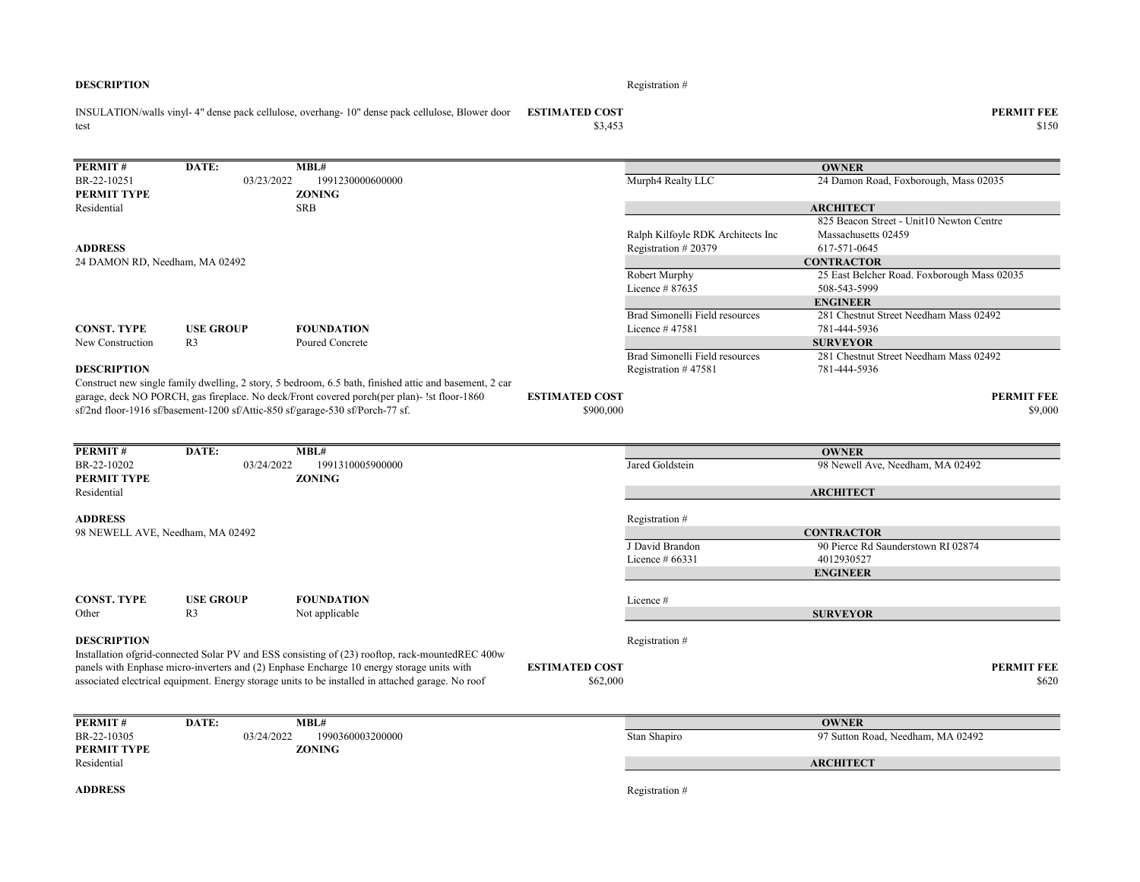#### **DESCRIPTION** Registration  $#$

test

ESTIMATED COST PERMIT FEE INSULATION/walls vinyl- 4" dense pack cellulose, overhang- 10" dense pack cellulose, Blower door

PERMIT# DATE: MBL# BR-22-10251 03/23/2022 1991230000600000 Murph4 Realty LLC 24 Damon Road, Foxborough, Mass 02035 PERMIT TYPE ZONING Residential SRB Ralph Kilfoyle RDK Architects Inc 825 Beacon Street - Unit10 Newton Centre Massachusetts 02459 ADDRESS Registration # 20379 617-571-0645 Robert Murphy 25 East Belcher Road. Foxborough Mass 02035 Licence # 87635 508-543-5999 Brad Simonelli Field resources 281 Chestnut Street Needham Mass 02492 CONST. TYPE USE GROUP FOUNDATION Licence # 47581 781-444-5936 New Construction R3 Poured Concrete Brad Simonelli Field resources 281 Chestnut Street Needham Mass 02492 **DESCRIPTION** Registration # 47581 781-444-5936 **ESTIMATED COST PERMIT FEE**  $$900,000$   $$9,000$ **PERMIT #** DATE: MBL#<br>BR-22-10202 03/24/2022 1991310005900000 Jared Goldstein 98 Newell Ave, Needham, MA 02492 PERMIT TYPE ZONING Residential ADDRESS Registration # J David Brandon 90 Pierce Rd Saunderstown RI 02874 Licence # 66331 4012930527 CONST. TYPE USE GROUP FOUNDATION Licence # Other R3 Not applicable **DESCRIPTION** Registration  $#$ **ESTIMATED COST PERMIT FEE**  $$62,000$  \$620 **PERMIT # DATE:** MBL#<br>BR-22-10305 03/24/2022 1990360003200000 Stan Shapiro 97 Sutton Road, Needham, MA 02492 PERMIT TYPE ZONING Residential ADDRESS Registration # Construct new single family dwelling, 2 story, 5 bedroom, 6.5 bath, finished attic and basement, 2 car garage, deck NO PORCH, gas fireplace. No deck/Front covered porch(per plan)- !st floor-1860 sf/2nd floor-1916 sf/basement-1200 sf/Attic-850 sf/garage-530 sf/Porch-77 sf. **OWNER ARCHITECT CONTRACTOR** ENGINEER SURVEYOR 98 NEWELL AVE, Needham, MA 02492 **OWNER ARCHITECT CONTRACTOR** ENGINEER SURVEYOR 24 DAMON RD, Needham, MA 02492 Installation ofgrid-connected Solar PV and ESS consisting of (23) rooftop, rack-mountedREC 400w panels with Enphase micro-inverters and (2) Enphase Encharge 10 energy storage units with associated electrical equipment. Energy storage units to be installed in attached garage. No roof **OWNER ARCHITECT** 

 $\$3,453$   $\$150$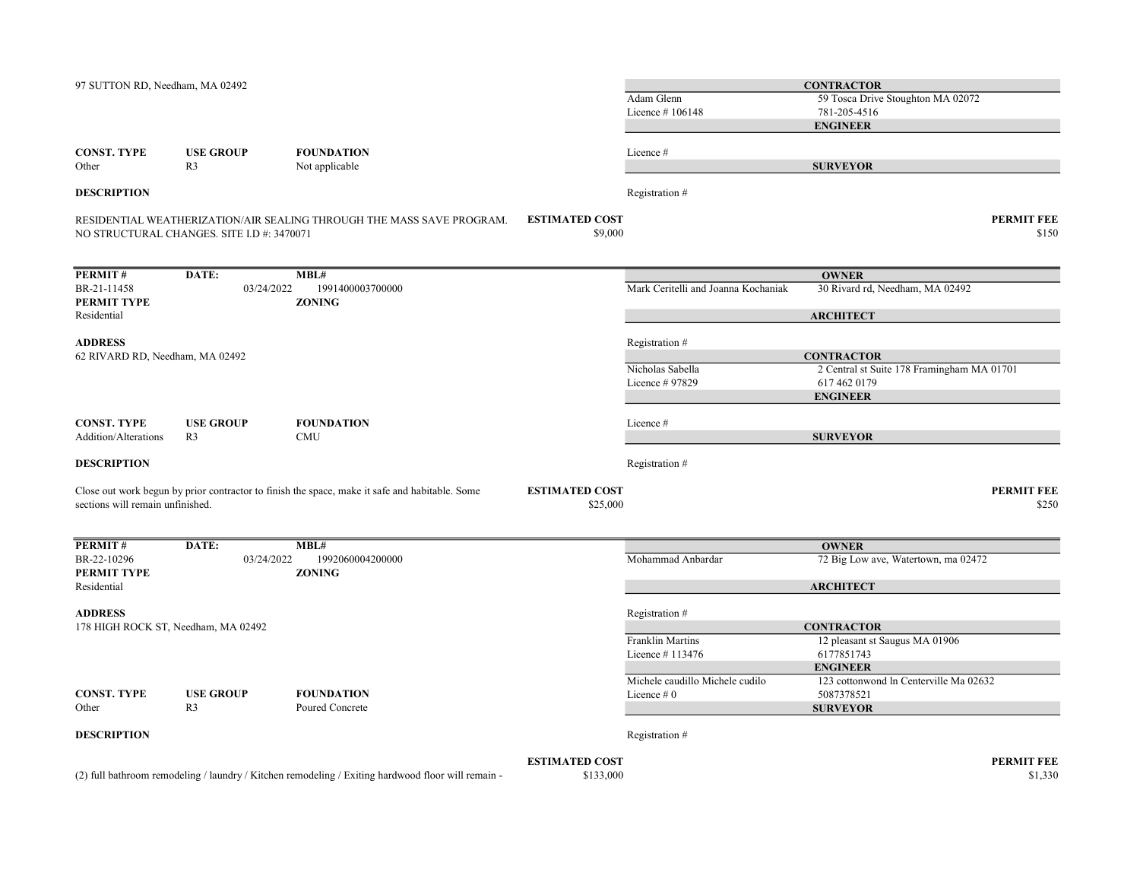| 97 SUTTON RD, Needham, MA 02492                       |                                            |                                                                                                    |                                    | Adam Glenn<br>Licence #106148                   | <b>CONTRACTOR</b><br>59 Tosca Drive Stoughton MA 02072<br>781-205-4516<br><b>ENGINEER</b>          |
|-------------------------------------------------------|--------------------------------------------|----------------------------------------------------------------------------------------------------|------------------------------------|-------------------------------------------------|----------------------------------------------------------------------------------------------------|
| <b>CONST. TYPE</b><br>Other                           | <b>USE GROUP</b><br>R <sub>3</sub>         | <b>FOUNDATION</b><br>Not applicable                                                                |                                    | Licence #                                       | <b>SURVEYOR</b>                                                                                    |
| <b>DESCRIPTION</b>                                    |                                            |                                                                                                    |                                    | Registration #                                  |                                                                                                    |
|                                                       | NO STRUCTURAL CHANGES. SITE I.D #: 3470071 | RESIDENTIAL WEATHERIZATION/AIR SEALING THROUGH THE MASS SAVE PROGRAM.                              | <b>ESTIMATED COST</b><br>\$9,000   |                                                 | <b>PERMIT FEE</b><br>\$150                                                                         |
| PERMIT#                                               | DATE:                                      | MBL#                                                                                               |                                    |                                                 | <b>OWNER</b>                                                                                       |
| BR-21-11458<br>PERMIT TYPE<br>Residential             | 03/24/2022                                 | 1991400003700000<br><b>ZONING</b>                                                                  |                                    | Mark Ceritelli and Joanna Kochaniak             | 30 Rivard rd, Needham, MA 02492<br><b>ARCHITECT</b>                                                |
| <b>ADDRESS</b>                                        |                                            |                                                                                                    |                                    | Registration #                                  |                                                                                                    |
| 62 RIVARD RD, Needham, MA 02492                       |                                            |                                                                                                    |                                    | Nicholas Sabella<br>Licence # 97829             | <b>CONTRACTOR</b><br>2 Central st Suite 178 Framingham MA 01701<br>617 462 0179<br><b>ENGINEER</b> |
| <b>CONST. TYPE</b><br><b>Addition/Alterations</b>     | <b>USE GROUP</b><br>R <sub>3</sub>         | <b>FOUNDATION</b><br><b>CMU</b>                                                                    |                                    | Licence #                                       | <b>SURVEYOR</b>                                                                                    |
| <b>DESCRIPTION</b>                                    |                                            |                                                                                                    |                                    | Registration #                                  |                                                                                                    |
| sections will remain unfinished.                      |                                            | Close out work begun by prior contractor to finish the space, make it safe and habitable. Some     | <b>ESTIMATED COST</b><br>\$25,000  |                                                 | PERMIT FEE<br>\$250                                                                                |
| PERMIT#                                               | DATE:                                      | MBL#                                                                                               |                                    |                                                 | <b>OWNER</b>                                                                                       |
| BR-22-10296<br>PERMIT TYPE                            | 03/24/2022                                 | 1992060004200000<br><b>ZONING</b>                                                                  |                                    | Mohammad Anbardar                               | 72 Big Low ave, Watertown, ma 02472                                                                |
| Residential                                           |                                            |                                                                                                    |                                    |                                                 | <b>ARCHITECT</b>                                                                                   |
| <b>ADDRESS</b><br>178 HIGH ROCK ST, Needham, MA 02492 |                                            |                                                                                                    |                                    | Registration #                                  | <b>CONTRACTOR</b>                                                                                  |
|                                                       |                                            |                                                                                                    |                                    | <b>Franklin Martins</b><br>Licence #113476      | 12 pleasant st Saugus MA 01906<br>6177851743<br><b>ENGINEER</b>                                    |
| <b>CONST. TYPE</b>                                    | <b>USE GROUP</b>                           | <b>FOUNDATION</b>                                                                                  |                                    | Michele caudillo Michele cudilo<br>Licence $#0$ | 123 cottonwond ln Centerville Ma 02632<br>5087378521                                               |
| Other                                                 | R <sub>3</sub>                             | Poured Concrete                                                                                    |                                    |                                                 | <b>SURVEYOR</b>                                                                                    |
| <b>DESCRIPTION</b>                                    |                                            |                                                                                                    |                                    | Registration #                                  |                                                                                                    |
|                                                       |                                            | (2) full bathroom remodeling / laundry / Kitchen remodeling / Exiting hardwood floor will remain - | <b>ESTIMATED COST</b><br>\$133,000 |                                                 | <b>PERMIT FEE</b><br>\$1,330                                                                       |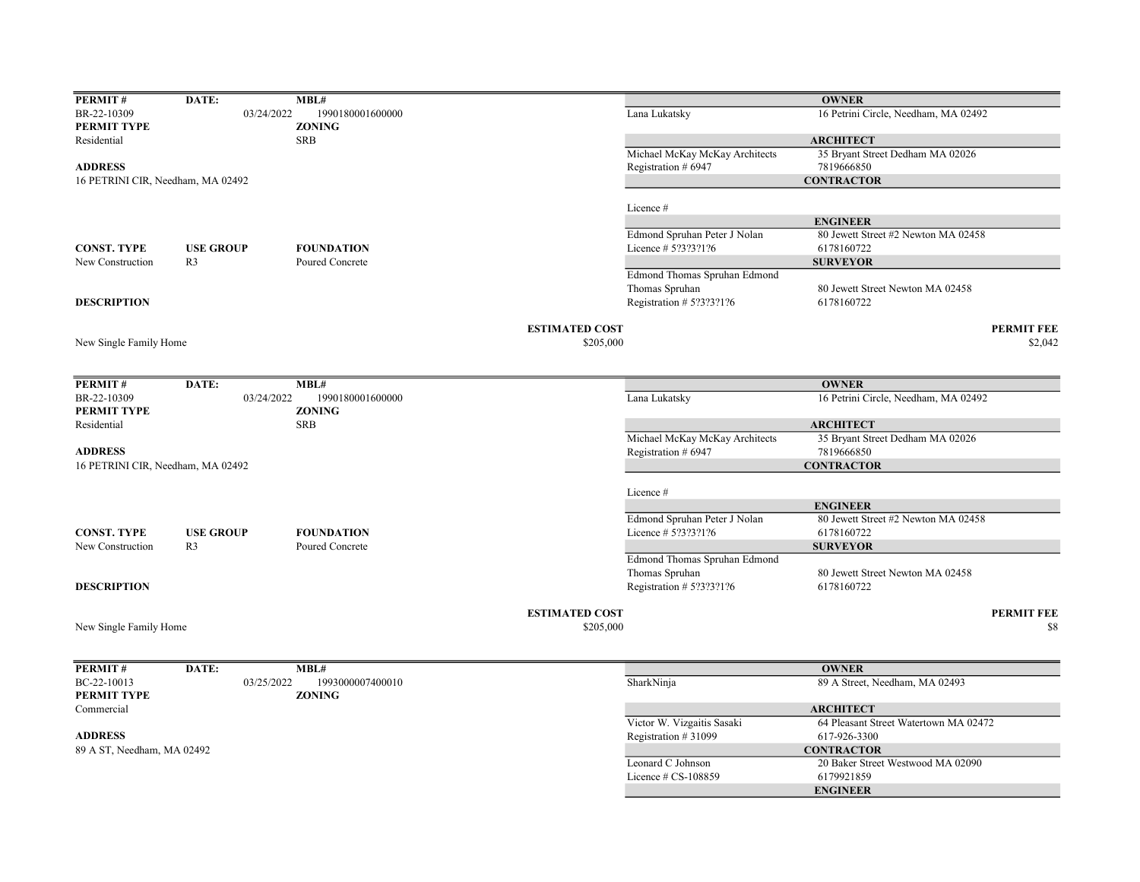| PERMIT#                           | DATE:            | MBL#              |                       |                                | <b>OWNER</b>                                           |                   |
|-----------------------------------|------------------|-------------------|-----------------------|--------------------------------|--------------------------------------------------------|-------------------|
| BR-22-10309                       | 03/24/2022       | 1990180001600000  |                       | Lana Lukatsky                  | 16 Petrini Circle, Needham, MA 02492                   |                   |
| PERMIT TYPE                       |                  | <b>ZONING</b>     |                       |                                |                                                        |                   |
| Residential                       |                  | <b>SRB</b>        |                       |                                | <b>ARCHITECT</b>                                       |                   |
|                                   |                  |                   |                       | Michael McKay McKay Architects | 35 Bryant Street Dedham MA 02026                       |                   |
| <b>ADDRESS</b>                    |                  |                   |                       | Registration # 6947            | 7819666850                                             |                   |
| 16 PETRINI CIR, Needham, MA 02492 |                  |                   |                       |                                | <b>CONTRACTOR</b>                                      |                   |
|                                   |                  |                   |                       |                                |                                                        |                   |
|                                   |                  |                   |                       | Licence #                      |                                                        |                   |
|                                   |                  |                   |                       |                                | <b>ENGINEER</b>                                        |                   |
|                                   |                  |                   |                       | Edmond Spruhan Peter J Nolan   | 80 Jewett Street #2 Newton MA 02458                    |                   |
| <b>CONST. TYPE</b>                | <b>USE GROUP</b> | <b>FOUNDATION</b> |                       | Licence # 5?3?3?1?6            | 6178160722                                             |                   |
| New Construction                  | R <sub>3</sub>   | Poured Concrete   |                       |                                | <b>SURVEYOR</b>                                        |                   |
|                                   |                  |                   |                       | Edmond Thomas Spruhan Edmond   |                                                        |                   |
|                                   |                  |                   |                       | Thomas Spruhan                 | 80 Jewett Street Newton MA 02458                       |                   |
| <b>DESCRIPTION</b>                |                  |                   |                       | Registration # 5?3?3?1?6       | 6178160722                                             |                   |
|                                   |                  |                   |                       |                                |                                                        |                   |
|                                   |                  |                   | <b>ESTIMATED COST</b> |                                |                                                        | <b>PERMIT FEE</b> |
| New Single Family Home            |                  |                   | \$205,000             |                                |                                                        | \$2,042           |
|                                   |                  |                   |                       |                                |                                                        |                   |
|                                   |                  |                   |                       |                                |                                                        |                   |
| PERMIT#                           | DATE:            | MBL#              |                       |                                | <b>OWNER</b>                                           |                   |
| BR-22-10309                       | 03/24/2022       | 1990180001600000  |                       | Lana Lukatsky                  | 16 Petrini Circle, Needham, MA 02492                   |                   |
| PERMIT TYPE                       |                  | <b>ZONING</b>     |                       |                                |                                                        |                   |
| Residential                       |                  | <b>SRB</b>        |                       |                                | <b>ARCHITECT</b>                                       |                   |
|                                   |                  |                   |                       | Michael McKay McKay Architects | 35 Bryant Street Dedham MA 02026                       |                   |
| <b>ADDRESS</b>                    |                  |                   |                       | Registration # 6947            | 7819666850                                             |                   |
| 16 PETRINI CIR, Needham, MA 02492 |                  |                   |                       |                                | <b>CONTRACTOR</b>                                      |                   |
|                                   |                  |                   |                       |                                |                                                        |                   |
|                                   |                  |                   |                       | Licence #                      |                                                        |                   |
|                                   |                  |                   |                       | Edmond Spruhan Peter J Nolan   | <b>ENGINEER</b><br>80 Jewett Street #2 Newton MA 02458 |                   |
| <b>CONST. TYPE</b>                | <b>USE GROUP</b> | <b>FOUNDATION</b> |                       | Licence # 5?3?3?1?6            | 6178160722                                             |                   |
| New Construction                  | R <sub>3</sub>   | Poured Concrete   |                       |                                | <b>SURVEYOR</b>                                        |                   |
|                                   |                  |                   |                       | Edmond Thomas Spruhan Edmond   |                                                        |                   |
|                                   |                  |                   |                       | Thomas Spruhan                 | 80 Jewett Street Newton MA 02458                       |                   |
| <b>DESCRIPTION</b>                |                  |                   |                       | Registration # 5?3?3?1?6       | 6178160722                                             |                   |
|                                   |                  |                   |                       |                                |                                                        |                   |
|                                   |                  |                   | <b>ESTIMATED COST</b> |                                |                                                        | <b>PERMIT FEE</b> |
| New Single Family Home            |                  |                   | \$205,000             |                                |                                                        | \$8               |
|                                   |                  |                   |                       |                                |                                                        |                   |
|                                   |                  |                   |                       |                                |                                                        |                   |
| PERMIT#                           | DATE:            | MBL#              |                       |                                | <b>OWNER</b>                                           |                   |
| BC-22-10013                       | 03/25/2022       | 1993000007400010  |                       | SharkNinja                     | 89 A Street, Needham, MA 02493                         |                   |
| PERMIT TYPE                       |                  | <b>ZONING</b>     |                       |                                |                                                        |                   |
| Commercial                        |                  |                   |                       |                                | <b>ARCHITECT</b>                                       |                   |
|                                   |                  |                   |                       | Victor W. Vizgaitis Sasaki     | 64 Pleasant Street Watertown MA 02472                  |                   |
| <b>ADDRESS</b>                    |                  |                   |                       | Registration #31099            | 617-926-3300                                           |                   |
| 89 A ST, Needham, MA 02492        |                  |                   |                       |                                | <b>CONTRACTOR</b>                                      |                   |
|                                   |                  |                   |                       | Leonard C Johnson              | 20 Baker Street Westwood MA 02090                      |                   |
|                                   |                  |                   |                       | Licence # CS-108859            | 6179921859                                             |                   |
|                                   |                  |                   |                       |                                | <b>ENGINEER</b>                                        |                   |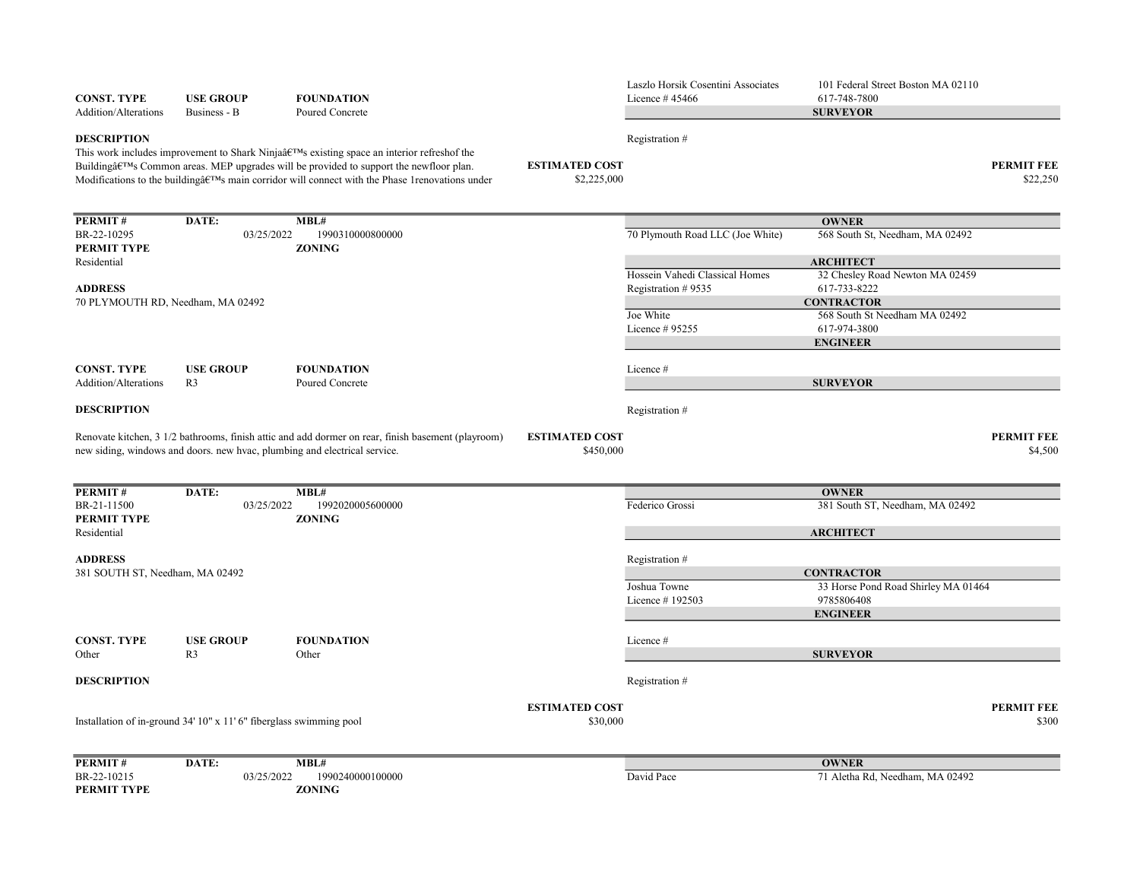| <b>CONST. TYPE</b><br>Addition/Alterations                                                                                                                                                                                                                                                                                                                                                                      | <b>USE GROUP</b><br>Business - B                                          | <b>FOUNDATION</b><br>Poured Concrete                                                               |                                    | Laszlo Horsik Cosentini Associates<br>Licence $#45466$ | 101 Federal Street Boston MA 02110<br>617-748-7800<br><b>SURVEYOR</b> |                               |
|-----------------------------------------------------------------------------------------------------------------------------------------------------------------------------------------------------------------------------------------------------------------------------------------------------------------------------------------------------------------------------------------------------------------|---------------------------------------------------------------------------|----------------------------------------------------------------------------------------------------|------------------------------------|--------------------------------------------------------|-----------------------------------------------------------------------|-------------------------------|
| <b>DESCRIPTION</b><br>This work includes improvement to Shark Ninjaâ $C^{TM}$ s existing space an interior refreshof the<br><b>ESTIMATED COST</b><br>Building $\hat{\mathfrak{g}} \in \mathbb{C}^{\mathbb{N}}$ Common areas. MEP upgrades will be provided to support the newfloor plan.<br>Modifications to the building $\hat{H}^{\text{TM}}$ s main corridor will connect with the Phase 1 renovations under |                                                                           |                                                                                                    |                                    | Registration #<br>\$2,225,000                          |                                                                       | <b>PERMIT FEE</b><br>\$22,250 |
| PERMIT#                                                                                                                                                                                                                                                                                                                                                                                                         | DATE:                                                                     | MBL#                                                                                               |                                    |                                                        | <b>OWNER</b>                                                          |                               |
| BR-22-10295<br>PERMIT TYPE                                                                                                                                                                                                                                                                                                                                                                                      | 03/25/2022                                                                | 1990310000800000<br><b>ZONING</b>                                                                  |                                    | 70 Plymouth Road LLC (Joe White)                       | 568 South St, Needham, MA 02492                                       |                               |
| Residential                                                                                                                                                                                                                                                                                                                                                                                                     |                                                                           |                                                                                                    |                                    | Hossein Vahedi Classical Homes                         | <b>ARCHITECT</b><br>32 Chesley Road Newton MA 02459                   |                               |
| <b>ADDRESS</b>                                                                                                                                                                                                                                                                                                                                                                                                  |                                                                           |                                                                                                    |                                    | Registration #9535                                     | 617-733-8222                                                          |                               |
| 70 PLYMOUTH RD, Needham, MA 02492                                                                                                                                                                                                                                                                                                                                                                               |                                                                           |                                                                                                    |                                    |                                                        | <b>CONTRACTOR</b>                                                     |                               |
|                                                                                                                                                                                                                                                                                                                                                                                                                 |                                                                           |                                                                                                    |                                    | Joe White                                              | 568 South St Needham MA 02492                                         |                               |
|                                                                                                                                                                                                                                                                                                                                                                                                                 |                                                                           |                                                                                                    |                                    | Licence # 95255                                        | 617-974-3800<br><b>ENGINEER</b>                                       |                               |
|                                                                                                                                                                                                                                                                                                                                                                                                                 |                                                                           |                                                                                                    |                                    |                                                        |                                                                       |                               |
| <b>CONST. TYPE</b>                                                                                                                                                                                                                                                                                                                                                                                              | <b>USE GROUP</b>                                                          | <b>FOUNDATION</b>                                                                                  |                                    | Licence #                                              |                                                                       |                               |
| Addition/Alterations                                                                                                                                                                                                                                                                                                                                                                                            | R <sub>3</sub>                                                            | Poured Concrete                                                                                    |                                    |                                                        | <b>SURVEYOR</b>                                                       |                               |
| <b>DESCRIPTION</b>                                                                                                                                                                                                                                                                                                                                                                                              |                                                                           |                                                                                                    |                                    | Registration #                                         |                                                                       |                               |
|                                                                                                                                                                                                                                                                                                                                                                                                                 | new siding, windows and doors. new hvac, plumbing and electrical service. | Renovate kitchen, 3 1/2 bathrooms, finish attic and add dormer on rear, finish basement (playroom) | <b>ESTIMATED COST</b><br>\$450,000 |                                                        |                                                                       | <b>PERMIT FEE</b><br>\$4,500  |
| PERMIT#                                                                                                                                                                                                                                                                                                                                                                                                         | DATE:                                                                     | MBL#                                                                                               |                                    |                                                        | <b>OWNER</b>                                                          |                               |
| BR-21-11500                                                                                                                                                                                                                                                                                                                                                                                                     | 03/25/2022                                                                | 1992020005600000                                                                                   |                                    | Federico Grossi                                        | 381 South ST, Needham, MA 02492                                       |                               |
| PERMIT TYPE                                                                                                                                                                                                                                                                                                                                                                                                     |                                                                           | <b>ZONING</b>                                                                                      |                                    |                                                        |                                                                       |                               |
| Residential                                                                                                                                                                                                                                                                                                                                                                                                     |                                                                           |                                                                                                    |                                    |                                                        | <b>ARCHITECT</b>                                                      |                               |
| <b>ADDRESS</b>                                                                                                                                                                                                                                                                                                                                                                                                  |                                                                           |                                                                                                    |                                    | Registration #                                         |                                                                       |                               |
| 381 SOUTH ST, Needham, MA 02492                                                                                                                                                                                                                                                                                                                                                                                 |                                                                           |                                                                                                    |                                    | Joshua Towne                                           | <b>CONTRACTOR</b><br>33 Horse Pond Road Shirley MA 01464              |                               |
|                                                                                                                                                                                                                                                                                                                                                                                                                 |                                                                           |                                                                                                    |                                    | Licence $#192503$                                      | 9785806408                                                            |                               |
|                                                                                                                                                                                                                                                                                                                                                                                                                 |                                                                           |                                                                                                    |                                    |                                                        | <b>ENGINEER</b>                                                       |                               |
| <b>CONST. TYPE</b>                                                                                                                                                                                                                                                                                                                                                                                              | <b>USE GROUP</b>                                                          | <b>FOUNDATION</b>                                                                                  |                                    | Licence #                                              |                                                                       |                               |
| Other                                                                                                                                                                                                                                                                                                                                                                                                           | R <sub>3</sub>                                                            | Other                                                                                              |                                    |                                                        | <b>SURVEYOR</b>                                                       |                               |
| <b>DESCRIPTION</b>                                                                                                                                                                                                                                                                                                                                                                                              |                                                                           |                                                                                                    |                                    | Registration #                                         |                                                                       |                               |
|                                                                                                                                                                                                                                                                                                                                                                                                                 | Installation of in-ground 34' 10" x 11' 6" fiberglass swimming pool       |                                                                                                    | <b>ESTIMATED COST</b><br>\$30,000  |                                                        |                                                                       | <b>PERMIT FEE</b><br>\$300    |
| PERMIT#                                                                                                                                                                                                                                                                                                                                                                                                         | DATE:                                                                     | MBL#                                                                                               |                                    |                                                        | <b>OWNER</b>                                                          |                               |
| BR-22-10215<br>PERMIT TYPE                                                                                                                                                                                                                                                                                                                                                                                      | 03/25/2022                                                                | 1990240000100000<br><b>ZONING</b>                                                                  |                                    | David Pace                                             | 71 Aletha Rd, Needham, MA 02492                                       |                               |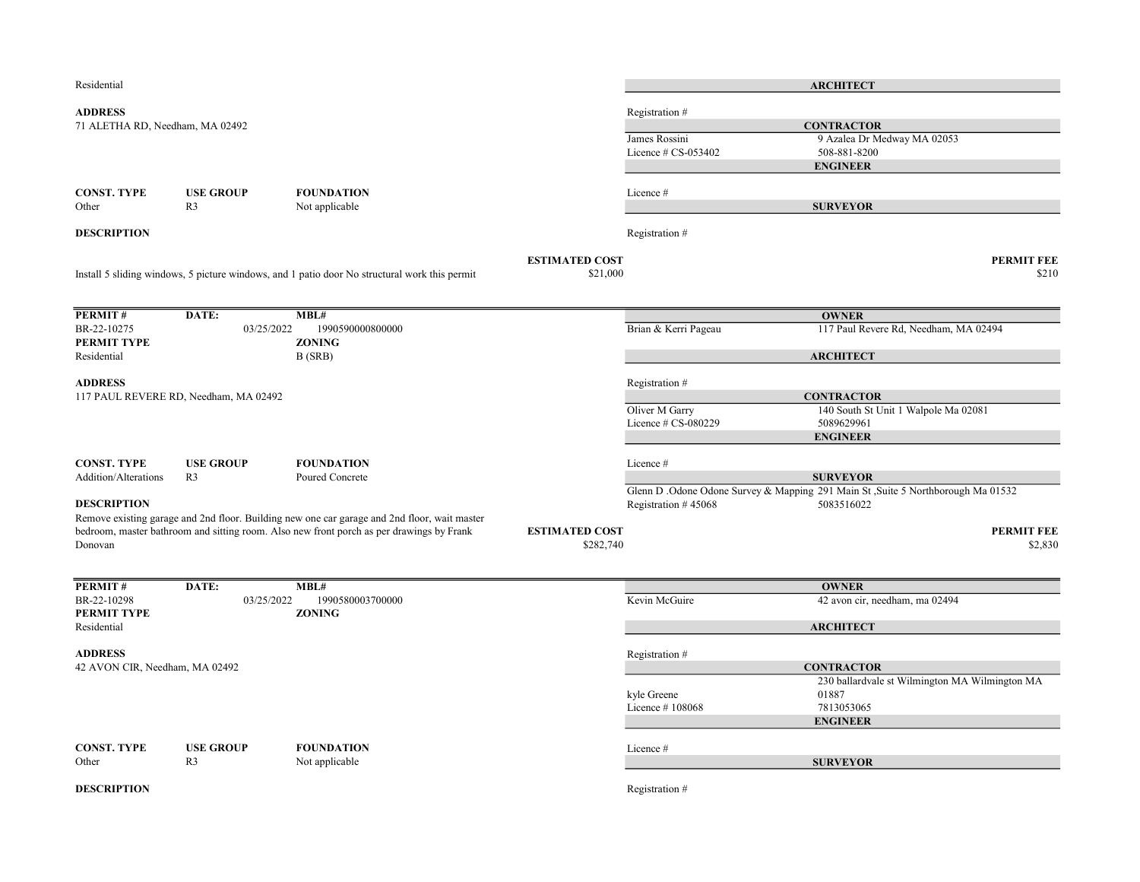| Residential                                       |                                       |                                                                                                                                                                                          |                                    |                                        | <b>ARCHITECT</b>                                                                               |
|---------------------------------------------------|---------------------------------------|------------------------------------------------------------------------------------------------------------------------------------------------------------------------------------------|------------------------------------|----------------------------------------|------------------------------------------------------------------------------------------------|
| <b>ADDRESS</b><br>71 ALETHA RD, Needham, MA 02492 |                                       |                                                                                                                                                                                          |                                    | Registration #                         | <b>CONTRACTOR</b><br>9 Azalea Dr Medway MA 02053                                               |
|                                                   |                                       |                                                                                                                                                                                          |                                    | James Rossini<br>Licence $# CS-053402$ | 508-881-8200<br><b>ENGINEER</b>                                                                |
| <b>CONST. TYPE</b><br>Other                       | <b>USE GROUP</b><br>R <sub>3</sub>    | <b>FOUNDATION</b><br>Not applicable                                                                                                                                                      |                                    | Licence #                              | <b>SURVEYOR</b>                                                                                |
| <b>DESCRIPTION</b>                                |                                       |                                                                                                                                                                                          |                                    | Registration #                         |                                                                                                |
|                                                   |                                       | Install 5 sliding windows, 5 picture windows, and 1 patio door No structural work this permit                                                                                            | <b>ESTIMATED COST</b><br>\$21,000  |                                        | <b>PERMIT FEE</b><br>\$210                                                                     |
| PERMIT#                                           | DATE:                                 | MBL#                                                                                                                                                                                     |                                    |                                        | <b>OWNER</b>                                                                                   |
| BR-22-10275<br>PERMIT TYPE                        | 03/25/2022                            | 1990590000800000<br><b>ZONING</b>                                                                                                                                                        |                                    | Brian & Kerri Pageau                   | 117 Paul Revere Rd, Needham, MA 02494                                                          |
| Residential                                       |                                       | B (SRB)                                                                                                                                                                                  |                                    |                                        | <b>ARCHITECT</b>                                                                               |
| <b>ADDRESS</b>                                    | 117 PAUL REVERE RD, Needham, MA 02492 |                                                                                                                                                                                          |                                    | Registration #                         | <b>CONTRACTOR</b>                                                                              |
|                                                   |                                       |                                                                                                                                                                                          |                                    | Oliver M Garry<br>Licence # CS-080229  | 140 South St Unit 1 Walpole Ma 02081<br>5089629961<br><b>ENGINEER</b>                          |
|                                                   |                                       |                                                                                                                                                                                          |                                    |                                        |                                                                                                |
| <b>CONST. TYPE</b><br>Addition/Alterations        | <b>USE GROUP</b><br>R <sub>3</sub>    | <b>FOUNDATION</b><br>Poured Concrete                                                                                                                                                     |                                    | Licence #                              | <b>SURVEYOR</b>                                                                                |
| <b>DESCRIPTION</b>                                |                                       |                                                                                                                                                                                          |                                    | Registration #45068                    | Glenn D. Odone Odone Survey & Mapping 291 Main St, Suite 5 Northborough Ma 01532<br>5083516022 |
| Donovan                                           |                                       | Remove existing garage and 2nd floor. Building new one car garage and 2nd floor, wait master<br>bedroom, master bathroom and sitting room. Also new front porch as per drawings by Frank | <b>ESTIMATED COST</b><br>\$282,740 |                                        | <b>PERMIT FEE</b><br>\$2,830                                                                   |
| PERMIT#                                           | DATE:                                 | MBL#                                                                                                                                                                                     |                                    |                                        | <b>OWNER</b>                                                                                   |
| BR-22-10298<br>PERMIT TYPE<br>Residential         | 03/25/2022                            | 1990580003700000<br><b>ZONING</b>                                                                                                                                                        |                                    | Kevin McGuire                          | 42 avon cir, needham, ma 02494<br><b>ARCHITECT</b>                                             |
| <b>ADDRESS</b>                                    |                                       |                                                                                                                                                                                          |                                    | Registration #                         |                                                                                                |
| 42 AVON CIR, Needham, MA 02492                    |                                       |                                                                                                                                                                                          |                                    |                                        | <b>CONTRACTOR</b>                                                                              |
|                                                   |                                       |                                                                                                                                                                                          |                                    | kyle Greene<br>Licence #108068         | 230 ballardvale st Wilmington MA Wilmington MA<br>01887<br>7813053065<br><b>ENGINEER</b>       |
| <b>CONST. TYPE</b><br>Other                       | <b>USE GROUP</b><br>R <sub>3</sub>    | <b>FOUNDATION</b><br>Not applicable                                                                                                                                                      |                                    | Licence #                              | <b>SURVEYOR</b>                                                                                |
| <b>DESCRIPTION</b>                                |                                       |                                                                                                                                                                                          |                                    | Registration #                         |                                                                                                |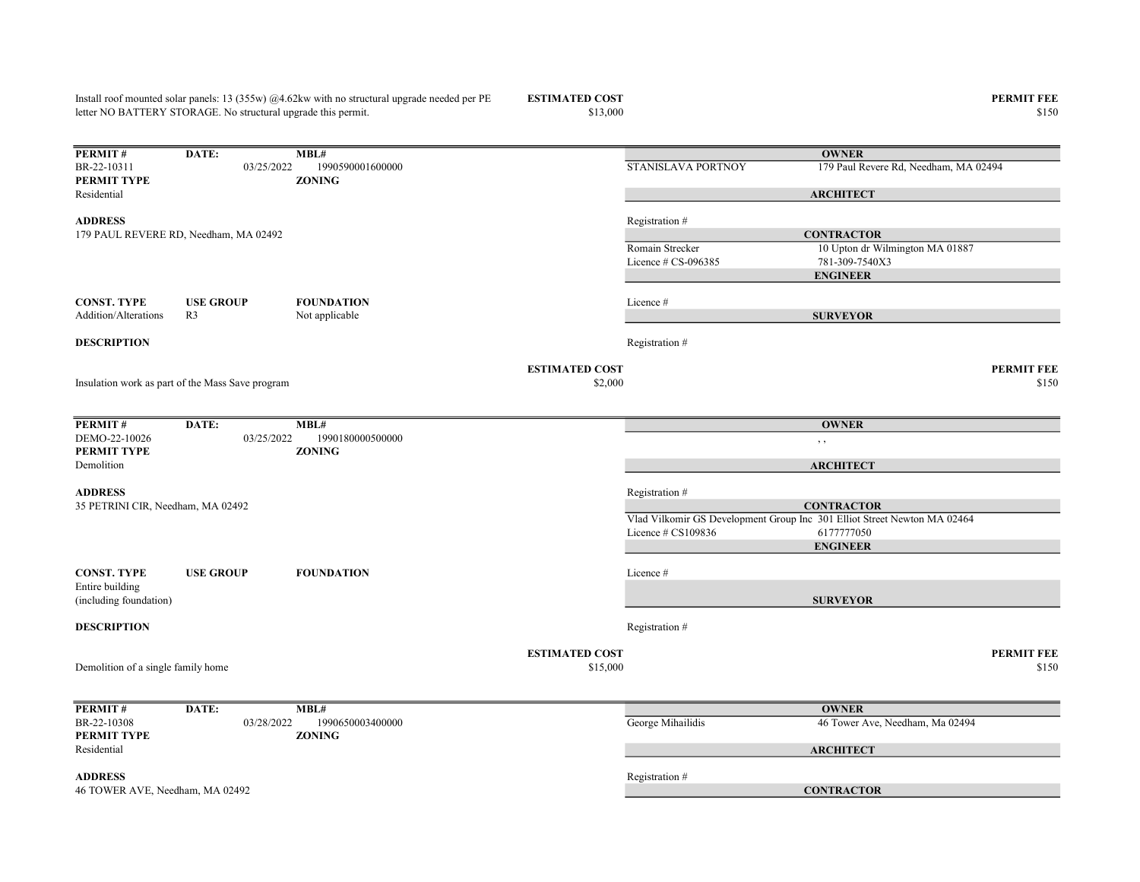$$13,000$   $$150$ **PERMIT #** DATE: **MBL#**<br>BR-22-10311 03/25/2022 1990590001600000 03/25/2022 1990590001600000 STANISLAVA PORTNOY 179 Paul Revere Rd, Needham, MA 02494 PERMIT TYPE ZONING Residential ADDRESS Registration # Romain Strecker 10 Upton dr Wilmington MA 01887 Licence # CS-096385 781-309-7540X3 CONST. TYPE USE GROUP FOUNDATION Licence # Addition/Alterations R3 Not applicable **DESCRIPTION** Registration  $#$ ESTIMATED COST PERMIT FEE  $$150$   $$150$ **PERMIT # DATE:** MBL#<br>DEMO-22-10026 03/25/2022 19 DEMO-22-10026 03/25/2022 1990180000500000 , , PERMIT TYPE ZONING Demolition ADDRESS Registration # Vlad Vilkomir GS Development Group Inc 301 Elliot Street Newton MA 02464 Licence # CS109836 6177777050 CONST. TYPE USE GROUP FOUNDATION Licence # Entire building (including foundation) **DESCRIPTION** Registration # ESTIMATED COST PERMIT FEE  $$15,000$   $$150$ PERMIT # DATE: MBL# BR-22-10308 03/28/2022 1990650003400000 George Mihailidis George Mihailidis 46 Tower Ave, Needham, Ma 02494 PERMIT TYPE ZONING Residential ADDRESS Registration # letter NO BATTERY STORAGE. No structural upgrade this permit. **OWNER ARCHITECT CONTRACTOR** ENGINEER SURVEYOR 179 PAUL REVERE RD, Needham, MA 02492 Demolition of a single family home **OWNER ARCHITECT** 46 TOWER AVE, Needham, MA 02492 CONTRACTOR Insulation work as part of the Mass Save program **OWNER ARCHITECT CONTRACTOR** ENGINEER **SURVEYOR** 35 PETRINI CIR, Needham, MA 02492

Install roof mounted solar panels: 13 (355w) @4.62kw with no structural upgrade needed per PE

**ESTIMATED COST PERMIT FEE**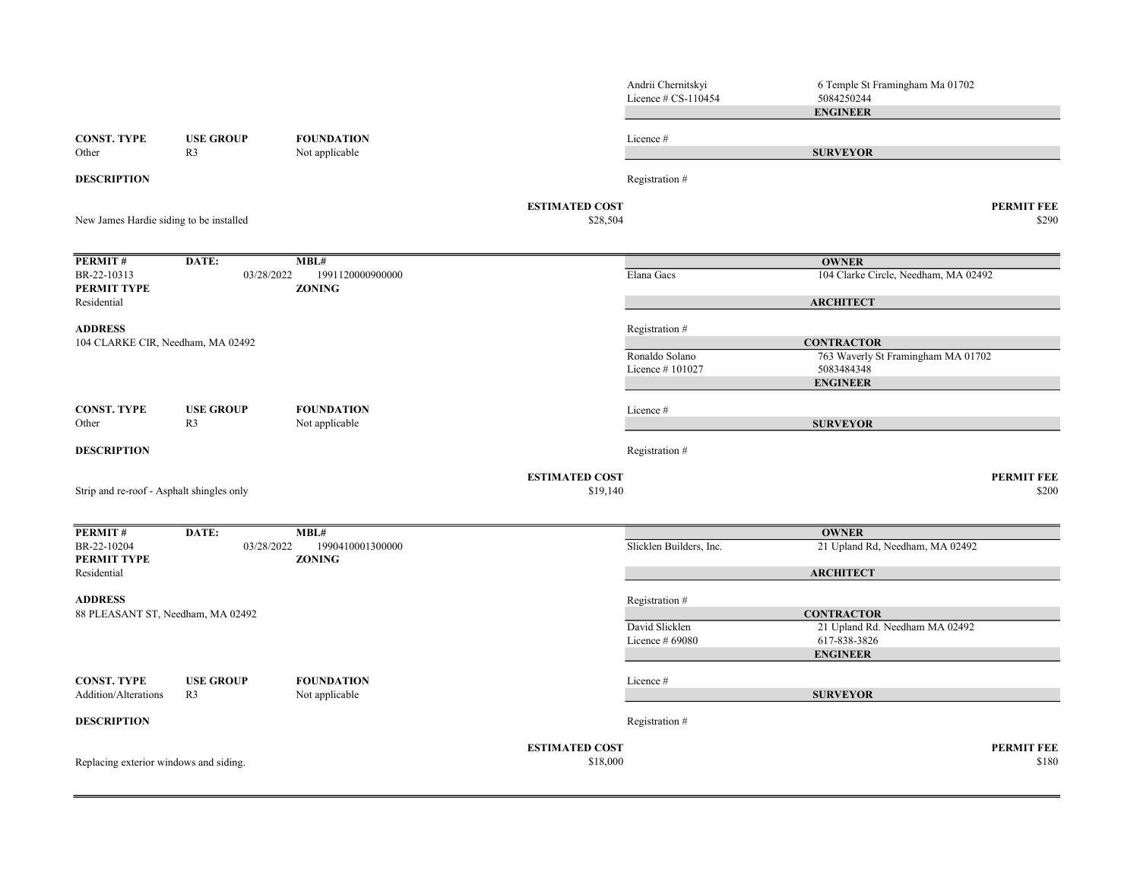|                                           |                                   |                                   | Andrii Chernitskyi<br>Licence # CS-110454 | 6 Temple St Framingham Ma 01702<br>5084250244           |
|-------------------------------------------|-----------------------------------|-----------------------------------|-------------------------------------------|---------------------------------------------------------|
|                                           |                                   |                                   |                                           | <b>ENGINEER</b>                                         |
| <b>CONST. TYPE</b>                        | <b>USE GROUP</b>                  | <b>FOUNDATION</b>                 | Licence #                                 |                                                         |
| Other                                     | R <sub>3</sub>                    | Not applicable                    |                                           | <b>SURVEYOR</b>                                         |
| <b>DESCRIPTION</b>                        |                                   |                                   | Registration #                            |                                                         |
| New James Hardie siding to be installed   |                                   |                                   | <b>ESTIMATED COST</b><br>\$28,504         | <b>PERMIT FEE</b><br>\$290                              |
| PERMIT#                                   | DATE:                             | MBL#                              |                                           | <b>OWNER</b>                                            |
| BR-22-10313<br>PERMIT TYPE                | 03/28/2022                        | 1991120000900000<br><b>ZONING</b> | Elana Gacs                                | 104 Clarke Circle, Needham, MA 02492                    |
| Residential                               |                                   |                                   |                                           | <b>ARCHITECT</b>                                        |
| <b>ADDRESS</b>                            |                                   |                                   | Registration #                            |                                                         |
|                                           | 104 CLARKE CIR, Needham, MA 02492 |                                   | Ronaldo Solano                            | <b>CONTRACTOR</b><br>763 Waverly St Framingham MA 01702 |
|                                           |                                   |                                   | Licence #101027                           | 5083484348                                              |
|                                           |                                   |                                   |                                           | <b>ENGINEER</b>                                         |
| <b>CONST. TYPE</b>                        | <b>USE GROUP</b>                  | <b>FOUNDATION</b>                 | Licence #                                 |                                                         |
| Other                                     | R <sub>3</sub>                    | Not applicable                    |                                           | <b>SURVEYOR</b>                                         |
| <b>DESCRIPTION</b>                        |                                   |                                   | Registration #                            |                                                         |
| Strip and re-roof - Asphalt shingles only |                                   |                                   | <b>ESTIMATED COST</b><br>\$19,140         | <b>PERMIT FEE</b><br>\$200                              |
|                                           |                                   |                                   |                                           |                                                         |
| PERMIT#                                   | DATE:                             | MBL#                              |                                           | <b>OWNER</b>                                            |
| BR-22-10204<br>PERMIT TYPE                | 03/28/2022                        | 1990410001300000<br><b>ZONING</b> | Slicklen Builders, Inc.                   | 21 Upland Rd, Needham, MA 02492                         |
| Residential                               |                                   |                                   |                                           | <b>ARCHITECT</b>                                        |
| <b>ADDRESS</b>                            |                                   |                                   | Registration #                            |                                                         |
|                                           | 88 PLEASANT ST, Needham, MA 02492 |                                   |                                           | <b>CONTRACTOR</b>                                       |
|                                           |                                   |                                   | David Slicklen<br>Licence # 69080         | 21 Upland Rd. Needham MA 02492<br>617-838-3826          |
|                                           |                                   |                                   |                                           | <b>ENGINEER</b>                                         |
| <b>CONST. TYPE</b>                        | <b>USE GROUP</b>                  | <b>FOUNDATION</b>                 | Licence #                                 |                                                         |
| Addition/Alterations                      | R <sub>3</sub>                    | Not applicable                    |                                           | <b>SURVEYOR</b>                                         |
| <b>DESCRIPTION</b>                        |                                   |                                   | Registration #                            |                                                         |
|                                           |                                   |                                   | <b>ESTIMATED COST</b>                     | <b>PERMIT FEE</b>                                       |
| Replacing exterior windows and siding.    |                                   |                                   | \$18,000                                  | \$180                                                   |
|                                           |                                   |                                   |                                           |                                                         |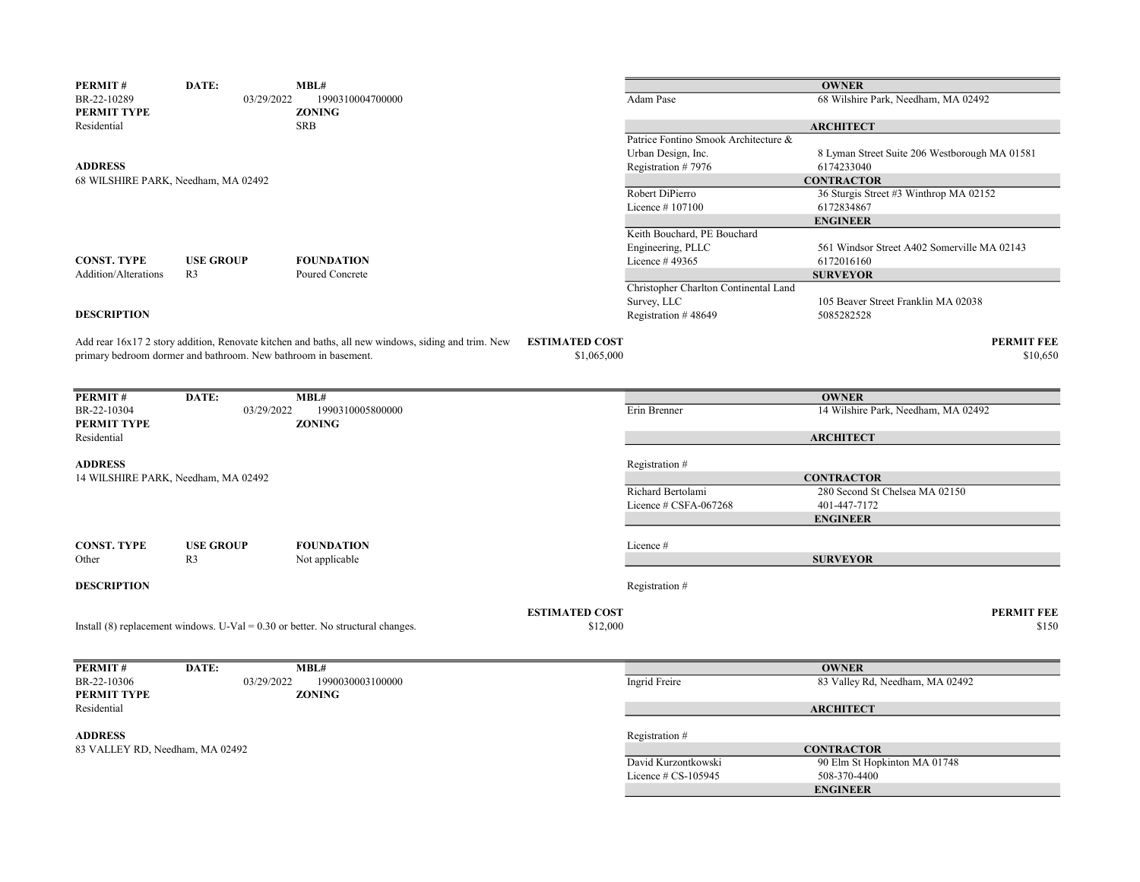| <b>PERMIT#</b>                  | DATE:                                                          | MBL#                                                                                               |                                      |                                       | <b>OWNER</b>                                  |
|---------------------------------|----------------------------------------------------------------|----------------------------------------------------------------------------------------------------|--------------------------------------|---------------------------------------|-----------------------------------------------|
| BR-22-10289<br>PERMIT TYPE      | 03/29/2022                                                     | 1990310004700000<br><b>ZONING</b>                                                                  |                                      | Adam Pase                             | 68 Wilshire Park, Needham, MA 02492           |
| Residential                     |                                                                | <b>SRB</b>                                                                                         |                                      |                                       | <b>ARCHITECT</b>                              |
|                                 |                                                                |                                                                                                    |                                      | Patrice Fontino Smook Architecture &  |                                               |
|                                 |                                                                |                                                                                                    |                                      | Urban Design, Inc.                    | 8 Lyman Street Suite 206 Westborough MA 01581 |
| <b>ADDRESS</b>                  |                                                                |                                                                                                    |                                      | Registration #7976                    | 6174233040                                    |
|                                 | 68 WILSHIRE PARK, Needham, MA 02492                            |                                                                                                    |                                      |                                       | <b>CONTRACTOR</b>                             |
|                                 |                                                                |                                                                                                    |                                      | Robert DiPierro                       | 36 Sturgis Street #3 Winthrop MA 02152        |
|                                 |                                                                |                                                                                                    |                                      | Licence #107100                       | 6172834867                                    |
|                                 |                                                                |                                                                                                    |                                      |                                       | <b>ENGINEER</b>                               |
|                                 |                                                                |                                                                                                    |                                      | Keith Bouchard, PE Bouchard           |                                               |
|                                 |                                                                |                                                                                                    |                                      | Engineering, PLLC                     | 561 Windsor Street A402 Somerville MA 02143   |
| <b>CONST. TYPE</b>              | <b>USE GROUP</b>                                               | <b>FOUNDATION</b>                                                                                  |                                      | Licence #49365                        | 6172016160                                    |
| <b>Addition/Alterations</b>     | R <sub>3</sub>                                                 | Poured Concrete                                                                                    |                                      |                                       | <b>SURVEYOR</b>                               |
|                                 |                                                                |                                                                                                    |                                      | Christopher Charlton Continental Land |                                               |
|                                 |                                                                |                                                                                                    |                                      | Survey, LLC                           | 105 Beaver Street Franklin MA 02038           |
| <b>DESCRIPTION</b>              |                                                                |                                                                                                    |                                      | Registration #48649                   | 5085282528                                    |
|                                 |                                                                |                                                                                                    |                                      |                                       |                                               |
|                                 | primary bedroom dormer and bathroom. New bathroom in basement. | Add rear 16x17 2 story addition, Renovate kitchen and baths, all new windows, siding and trim. New | <b>ESTIMATED COST</b><br>\$1,065,000 |                                       | <b>PERMIT FEE</b><br>\$10,650                 |
|                                 |                                                                |                                                                                                    |                                      |                                       |                                               |
|                                 |                                                                |                                                                                                    |                                      |                                       |                                               |
| PERMIT#                         | DATE:                                                          | MBL#                                                                                               |                                      |                                       | <b>OWNER</b>                                  |
| BR-22-10304                     | 03/29/2022                                                     | 1990310005800000                                                                                   |                                      | Erin Brenner                          | 14 Wilshire Park, Needham, MA 02492           |
| PERMIT TYPE                     |                                                                | <b>ZONING</b>                                                                                      |                                      |                                       |                                               |
| Residential                     |                                                                |                                                                                                    |                                      |                                       | <b>ARCHITECT</b>                              |
|                                 |                                                                |                                                                                                    |                                      |                                       |                                               |
| <b>ADDRESS</b>                  |                                                                |                                                                                                    |                                      | Registration #                        |                                               |
|                                 | 14 WILSHIRE PARK, Needham, MA 02492                            |                                                                                                    |                                      |                                       | <b>CONTRACTOR</b>                             |
|                                 |                                                                |                                                                                                    |                                      | Richard Bertolami                     | 280 Second St Chelsea MA 02150                |
|                                 |                                                                |                                                                                                    |                                      | Licence # CSFA-067268                 | 401-447-7172                                  |
|                                 |                                                                |                                                                                                    |                                      |                                       | <b>ENGINEER</b>                               |
|                                 |                                                                |                                                                                                    |                                      |                                       |                                               |
| <b>CONST. TYPE</b><br>Other     | <b>USE GROUP</b><br>R <sub>3</sub>                             | <b>FOUNDATION</b>                                                                                  |                                      | Licence #                             | <b>SURVEYOR</b>                               |
|                                 |                                                                | Not applicable                                                                                     |                                      |                                       |                                               |
| <b>DESCRIPTION</b>              |                                                                |                                                                                                    |                                      | Registration #                        |                                               |
|                                 |                                                                |                                                                                                    |                                      |                                       |                                               |
|                                 |                                                                |                                                                                                    | <b>ESTIMATED COST</b>                |                                       | <b>PERMIT FEE</b>                             |
|                                 |                                                                | Install $(8)$ replacement windows. U-Val = 0.30 or better. No structural changes.                  | \$12,000                             |                                       | \$150                                         |
|                                 |                                                                |                                                                                                    |                                      |                                       |                                               |
|                                 |                                                                |                                                                                                    |                                      |                                       |                                               |
| PERMIT#                         | DATE:                                                          | MBL#                                                                                               |                                      |                                       | <b>OWNER</b>                                  |
| BR-22-10306                     | 03/29/2022                                                     | 1990030003100000                                                                                   |                                      | Ingrid Freire                         | 83 Valley Rd, Needham, MA 02492               |
| PERMIT TYPE                     |                                                                | <b>ZONING</b>                                                                                      |                                      |                                       |                                               |
| Residential                     |                                                                |                                                                                                    |                                      |                                       | <b>ARCHITECT</b>                              |
|                                 |                                                                |                                                                                                    |                                      |                                       |                                               |
| <b>ADDRESS</b>                  |                                                                |                                                                                                    |                                      | Registration #                        |                                               |
| 83 VALLEY RD, Needham, MA 02492 |                                                                |                                                                                                    |                                      |                                       | <b>CONTRACTOR</b>                             |
|                                 |                                                                |                                                                                                    |                                      | David Kurzontkowski                   | 90 Elm St Hopkinton MA 01748                  |
|                                 |                                                                |                                                                                                    |                                      | Licence $\#$ CS-105945                | 508-370-4400                                  |
|                                 |                                                                |                                                                                                    |                                      |                                       | <b>ENGINEER</b>                               |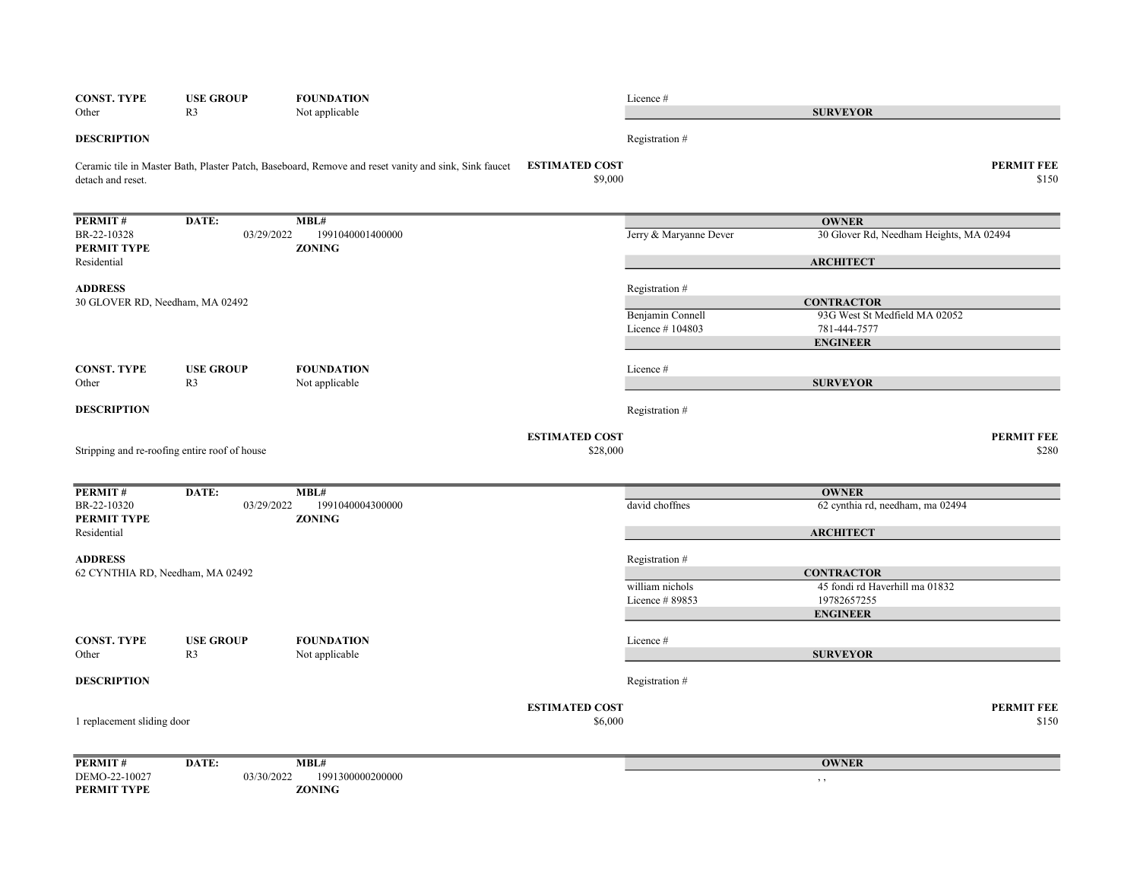| <b>CONST. TYPE</b><br>Other     | <b>USE GROUP</b><br>R <sub>3</sub>            | <b>FOUNDATION</b><br>Not applicable                                                                  |                                  | Licence#               | <b>SURVEYOR</b>                                    |                            |
|---------------------------------|-----------------------------------------------|------------------------------------------------------------------------------------------------------|----------------------------------|------------------------|----------------------------------------------------|----------------------------|
| <b>DESCRIPTION</b>              |                                               |                                                                                                      |                                  | Registration #         |                                                    |                            |
|                                 |                                               |                                                                                                      |                                  |                        |                                                    |                            |
| detach and reset.               |                                               | Ceramic tile in Master Bath, Plaster Patch, Baseboard, Remove and reset vanity and sink, Sink faucet | <b>ESTIMATED COST</b><br>\$9,000 |                        |                                                    | <b>PERMIT FEE</b><br>\$150 |
| PERMIT#                         | DATE:                                         | MBL#                                                                                                 |                                  |                        | <b>OWNER</b>                                       |                            |
| BR-22-10328<br>PERMIT TYPE      | 03/29/2022                                    | 1991040001400000<br><b>ZONING</b>                                                                    |                                  | Jerry & Maryanne Dever | 30 Glover Rd, Needham Heights, MA 02494            |                            |
| Residential                     |                                               |                                                                                                      |                                  |                        | <b>ARCHITECT</b>                                   |                            |
| <b>ADDRESS</b>                  |                                               |                                                                                                      |                                  | Registration #         |                                                    |                            |
| 30 GLOVER RD, Needham, MA 02492 |                                               |                                                                                                      |                                  | Benjamin Connell       | <b>CONTRACTOR</b><br>93G West St Medfield MA 02052 |                            |
|                                 |                                               |                                                                                                      |                                  | Licence #104803        | 781-444-7577                                       |                            |
|                                 |                                               |                                                                                                      |                                  |                        | <b>ENGINEER</b>                                    |                            |
| <b>CONST. TYPE</b>              | <b>USE GROUP</b>                              | <b>FOUNDATION</b>                                                                                    |                                  | Licence #              |                                                    |                            |
| Other                           | R <sub>3</sub>                                | Not applicable                                                                                       |                                  |                        | <b>SURVEYOR</b>                                    |                            |
| <b>DESCRIPTION</b>              |                                               |                                                                                                      |                                  | Registration #         |                                                    |                            |
|                                 |                                               |                                                                                                      | <b>ESTIMATED COST</b>            |                        |                                                    | <b>PERMIT FEE</b>          |
|                                 | Stripping and re-roofing entire roof of house |                                                                                                      | \$28,000                         |                        |                                                    | \$280                      |
| PERMIT#                         | DATE:                                         | MBL#                                                                                                 |                                  |                        | <b>OWNER</b>                                       |                            |
| BR-22-10320<br>PERMIT TYPE      | 03/29/2022                                    | 1991040004300000<br><b>ZONING</b>                                                                    |                                  | david choffnes         | 62 cynthia rd, needham, ma 02494                   |                            |
| Residential                     |                                               |                                                                                                      |                                  |                        | <b>ARCHITECT</b>                                   |                            |
| <b>ADDRESS</b>                  |                                               |                                                                                                      |                                  | Registration #         |                                                    |                            |
|                                 | 62 CYNTHIA RD, Needham, MA 02492              |                                                                                                      |                                  |                        | <b>CONTRACTOR</b>                                  |                            |
|                                 |                                               |                                                                                                      |                                  | william nichols        | 45 fondi rd Haverhill ma 01832                     |                            |
|                                 |                                               |                                                                                                      |                                  | Licence #89853         | 19782657255<br><b>ENGINEER</b>                     |                            |
| <b>CONST. TYPE</b>              | <b>USE GROUP</b>                              | <b>FOUNDATION</b>                                                                                    |                                  | Licence #              |                                                    |                            |
| Other                           | R <sub>3</sub>                                | Not applicable                                                                                       |                                  |                        | <b>SURVEYOR</b>                                    |                            |
| <b>DESCRIPTION</b>              |                                               |                                                                                                      |                                  | Registration #         |                                                    |                            |
|                                 |                                               |                                                                                                      | <b>ESTIMATED COST</b>            |                        |                                                    | <b>PERMIT FEE</b>          |
| 1 replacement sliding door      |                                               |                                                                                                      | \$6,000                          |                        |                                                    | \$150                      |
| PERMIT#                         | DATE:                                         | MBL#                                                                                                 |                                  |                        | <b>OWNER</b>                                       |                            |
| DEMO-22-10027                   | 03/30/2022                                    | 1991300000200000                                                                                     |                                  |                        | $, \, , \,$                                        |                            |
| PERMIT TYPE                     |                                               | <b>ZONING</b>                                                                                        |                                  |                        |                                                    |                            |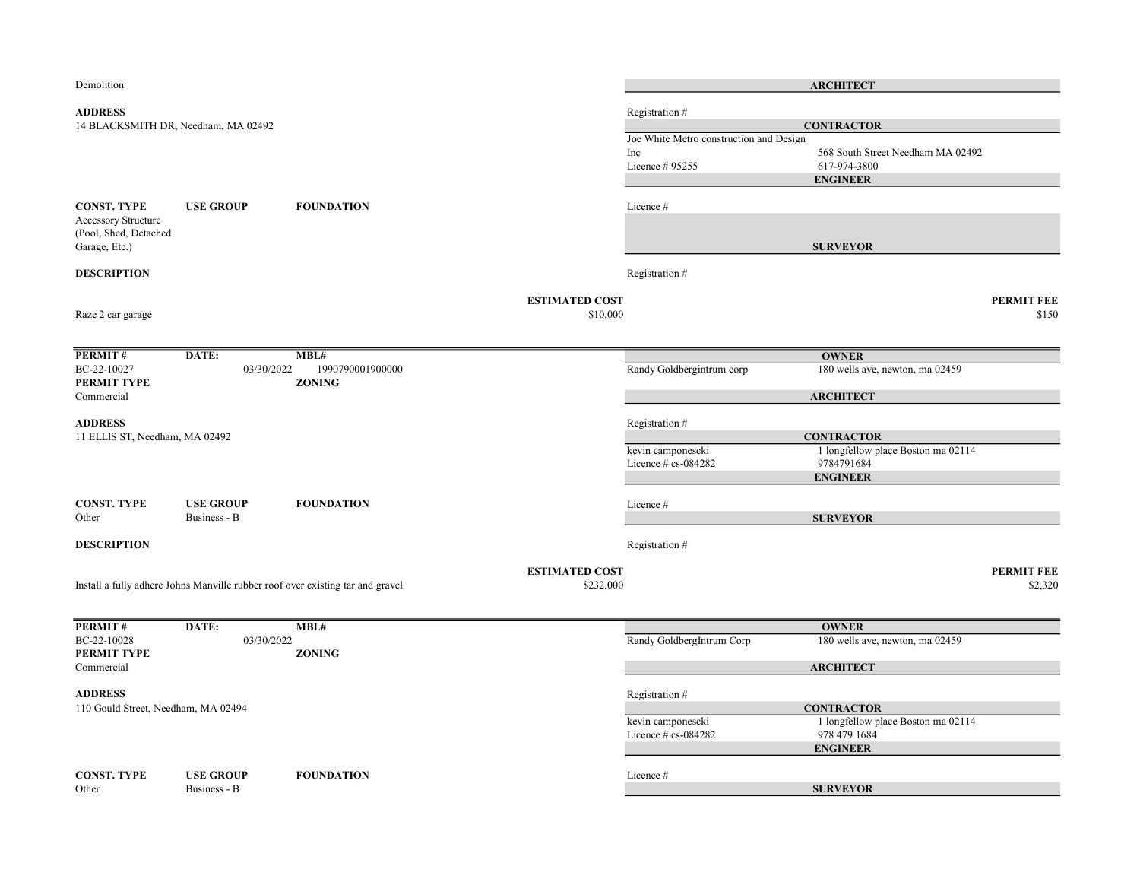| Demolition                          |                                     |                                                                                |                       |                                             | <b>ARCHITECT</b>                                        |                   |
|-------------------------------------|-------------------------------------|--------------------------------------------------------------------------------|-----------------------|---------------------------------------------|---------------------------------------------------------|-------------------|
| <b>ADDRESS</b>                      |                                     |                                                                                |                       | Registration#                               |                                                         |                   |
|                                     | 14 BLACKSMITH DR, Needham, MA 02492 |                                                                                |                       |                                             | <b>CONTRACTOR</b>                                       |                   |
|                                     |                                     |                                                                                |                       | Joe White Metro construction and Design     |                                                         |                   |
|                                     |                                     |                                                                                |                       | Inc                                         | 568 South Street Needham MA 02492                       |                   |
|                                     |                                     |                                                                                |                       | Licence # 95255                             | 617-974-3800                                            |                   |
|                                     |                                     |                                                                                |                       |                                             | <b>ENGINEER</b>                                         |                   |
| <b>CONST. TYPE</b>                  | <b>USE GROUP</b>                    | <b>FOUNDATION</b>                                                              |                       | Licence #                                   |                                                         |                   |
| <b>Accessory Structure</b>          |                                     |                                                                                |                       |                                             |                                                         |                   |
| (Pool, Shed, Detached               |                                     |                                                                                |                       |                                             |                                                         |                   |
| Garage, Etc.)                       |                                     |                                                                                |                       |                                             | <b>SURVEYOR</b>                                         |                   |
|                                     |                                     |                                                                                |                       |                                             |                                                         |                   |
| <b>DESCRIPTION</b>                  |                                     |                                                                                |                       | Registration #                              |                                                         |                   |
|                                     |                                     |                                                                                | <b>ESTIMATED COST</b> |                                             |                                                         | <b>PERMIT FEE</b> |
| Raze 2 car garage                   |                                     |                                                                                | \$10,000              |                                             |                                                         | \$150             |
|                                     |                                     |                                                                                |                       |                                             |                                                         |                   |
|                                     |                                     |                                                                                |                       |                                             |                                                         |                   |
| PERMIT#<br>BC-22-10027              | DATE:<br>03/30/2022                 | MBL#<br>1990790001900000                                                       |                       | Randy Goldbergintrum corp                   | <b>OWNER</b><br>180 wells ave, newton, ma 02459         |                   |
| PERMIT TYPE                         |                                     | <b>ZONING</b>                                                                  |                       |                                             |                                                         |                   |
| Commercial                          |                                     |                                                                                |                       |                                             | <b>ARCHITECT</b>                                        |                   |
|                                     |                                     |                                                                                |                       |                                             |                                                         |                   |
| <b>ADDRESS</b>                      |                                     |                                                                                |                       | Registration #                              |                                                         |                   |
| 11 ELLIS ST, Needham, MA 02492      |                                     |                                                                                |                       |                                             | <b>CONTRACTOR</b>                                       |                   |
|                                     |                                     |                                                                                |                       | kevin camponescki<br>Licence $# cs$ -084282 | 1 longfellow place Boston ma 02114<br>9784791684        |                   |
|                                     |                                     |                                                                                |                       |                                             | <b>ENGINEER</b>                                         |                   |
|                                     |                                     |                                                                                |                       |                                             |                                                         |                   |
| <b>CONST. TYPE</b>                  | <b>USE GROUP</b>                    | <b>FOUNDATION</b>                                                              |                       | Licence #                                   |                                                         |                   |
| Other                               | Business - B                        |                                                                                |                       |                                             | <b>SURVEYOR</b>                                         |                   |
|                                     |                                     |                                                                                |                       |                                             |                                                         |                   |
| <b>DESCRIPTION</b>                  |                                     |                                                                                |                       | Registration #                              |                                                         |                   |
|                                     |                                     |                                                                                | <b>ESTIMATED COST</b> |                                             |                                                         | <b>PERMIT FEE</b> |
|                                     |                                     | Install a fully adhere Johns Manville rubber roof over existing tar and gravel | \$232,000             |                                             |                                                         | \$2,320           |
|                                     |                                     |                                                                                |                       |                                             |                                                         |                   |
|                                     |                                     |                                                                                |                       |                                             |                                                         |                   |
| <b>PERMIT#</b><br>BC-22-10028       | DATE:<br>03/30/2022                 | MBL#                                                                           |                       | Randy GoldbergIntrum Corp                   | <b>OWNER</b><br>180 wells ave, newton, ma 02459         |                   |
| PERMIT TYPE                         |                                     | <b>ZONING</b>                                                                  |                       |                                             |                                                         |                   |
| Commercial                          |                                     |                                                                                |                       |                                             | <b>ARCHITECT</b>                                        |                   |
|                                     |                                     |                                                                                |                       |                                             |                                                         |                   |
| <b>ADDRESS</b>                      |                                     |                                                                                |                       | Registration #                              |                                                         |                   |
| 110 Gould Street, Needham, MA 02494 |                                     |                                                                                |                       |                                             | <b>CONTRACTOR</b><br>1 longfellow place Boston ma 02114 |                   |
|                                     |                                     |                                                                                |                       | kevin camponescki<br>Licence # cs-084282    | 978 479 1684                                            |                   |
|                                     |                                     |                                                                                |                       |                                             | <b>ENGINEER</b>                                         |                   |
|                                     |                                     |                                                                                |                       |                                             |                                                         |                   |
| <b>CONST. TYPE</b>                  | <b>USE GROUP</b>                    | <b>FOUNDATION</b>                                                              |                       | Licence #                                   |                                                         |                   |
| Other                               | Business - B                        |                                                                                |                       |                                             | <b>SURVEYOR</b>                                         |                   |
|                                     |                                     |                                                                                |                       |                                             |                                                         |                   |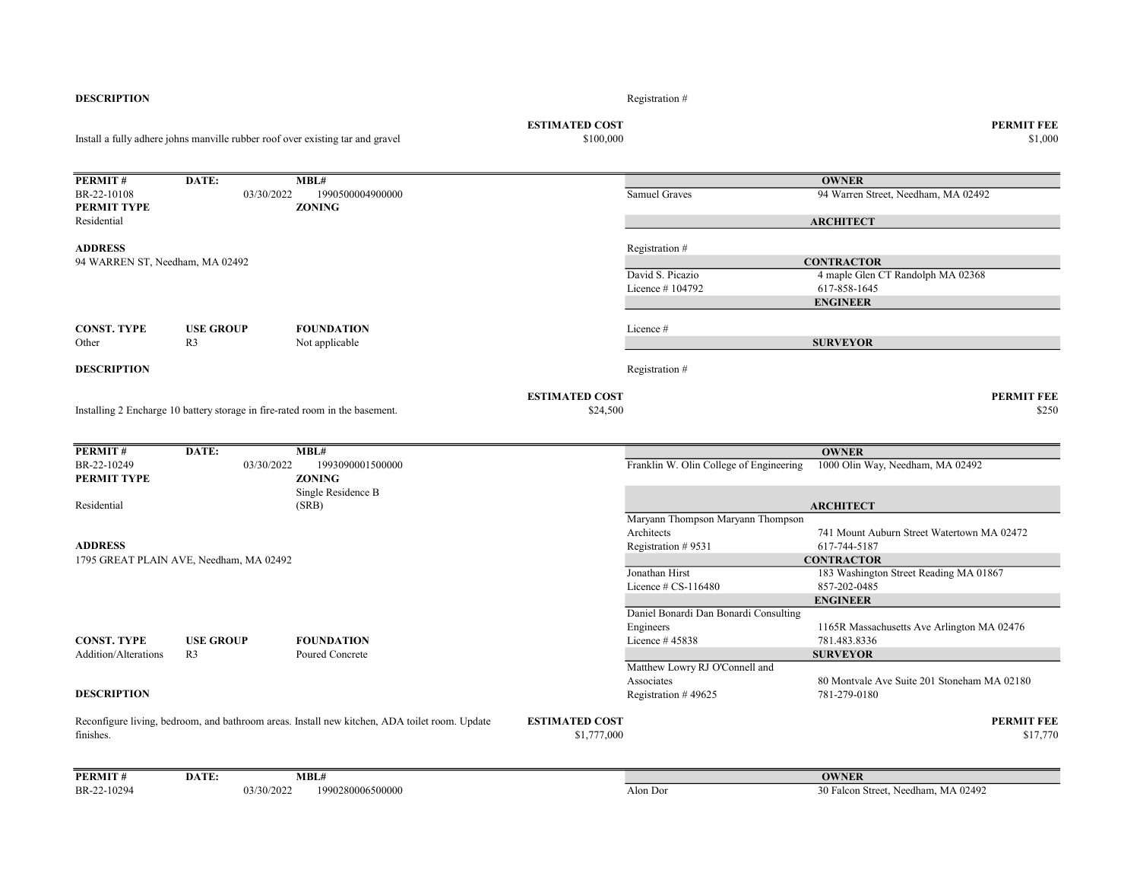| <b>DESCRIPTION</b>              |                                                                                |                                                                                               |                                    | Registration #                                  |                                             |
|---------------------------------|--------------------------------------------------------------------------------|-----------------------------------------------------------------------------------------------|------------------------------------|-------------------------------------------------|---------------------------------------------|
|                                 | Install a fully adhere johns manville rubber roof over existing tar and gravel |                                                                                               | <b>ESTIMATED COST</b><br>\$100,000 |                                                 | <b>PERMIT FEE</b><br>\$1,000                |
|                                 |                                                                                |                                                                                               |                                    |                                                 |                                             |
| PERMIT#                         | DATE:                                                                          | MBL#                                                                                          |                                    |                                                 | <b>OWNER</b>                                |
| BR-22-10108                     | 03/30/2022                                                                     | 1990500004900000                                                                              |                                    | Samuel Graves                                   | 94 Warren Street, Needham, MA 02492         |
| PERMIT TYPE                     |                                                                                | <b>ZONING</b>                                                                                 |                                    |                                                 |                                             |
| Residential                     |                                                                                |                                                                                               |                                    |                                                 | <b>ARCHITECT</b>                            |
| <b>ADDRESS</b>                  |                                                                                |                                                                                               |                                    | Registration #                                  |                                             |
| 94 WARREN ST, Needham, MA 02492 |                                                                                |                                                                                               |                                    |                                                 | <b>CONTRACTOR</b>                           |
|                                 |                                                                                |                                                                                               |                                    | David S. Picazio                                | 4 maple Glen CT Randolph MA 02368           |
|                                 |                                                                                |                                                                                               |                                    | Licence #104792                                 | 617-858-1645                                |
|                                 |                                                                                |                                                                                               |                                    |                                                 | <b>ENGINEER</b>                             |
|                                 |                                                                                |                                                                                               |                                    |                                                 |                                             |
| <b>CONST. TYPE</b>              | <b>USE GROUP</b>                                                               | <b>FOUNDATION</b>                                                                             |                                    | Licence #                                       |                                             |
| Other                           | R <sub>3</sub>                                                                 | Not applicable                                                                                |                                    |                                                 | <b>SURVEYOR</b>                             |
| <b>DESCRIPTION</b>              |                                                                                |                                                                                               |                                    | Registration #                                  |                                             |
|                                 |                                                                                |                                                                                               |                                    |                                                 |                                             |
|                                 |                                                                                |                                                                                               | <b>ESTIMATED COST</b>              |                                                 | <b>PERMIT FEE</b>                           |
|                                 | Installing 2 Encharge 10 battery storage in fire-rated room in the basement.   |                                                                                               | \$24,500                           |                                                 | \$250                                       |
|                                 |                                                                                |                                                                                               |                                    |                                                 |                                             |
| PERMIT#                         | DATE:                                                                          | MBL#                                                                                          |                                    |                                                 | <b>OWNER</b>                                |
| BR-22-10249                     | 03/30/2022                                                                     | 1993090001500000                                                                              |                                    | Franklin W. Olin College of Engineering         | 1000 Olin Way, Needham, MA 02492            |
| PERMIT TYPE                     |                                                                                | <b>ZONING</b>                                                                                 |                                    |                                                 |                                             |
|                                 |                                                                                | Single Residence B                                                                            |                                    |                                                 |                                             |
| Residential                     |                                                                                | (SRB)                                                                                         |                                    |                                                 | <b>ARCHITECT</b>                            |
|                                 |                                                                                |                                                                                               |                                    | Maryann Thompson Maryann Thompson<br>Architects | 741 Mount Auburn Street Watertown MA 02472  |
|                                 |                                                                                |                                                                                               |                                    |                                                 |                                             |
| <b>ADDRESS</b>                  |                                                                                |                                                                                               |                                    | Registration #9531                              | 617-744-5187<br><b>CONTRACTOR</b>           |
|                                 | 1795 GREAT PLAIN AVE, Needham, MA 02492                                        |                                                                                               |                                    | Jonathan Hirst                                  | 183 Washington Street Reading MA 01867      |
|                                 |                                                                                |                                                                                               |                                    | Licence # CS-116480                             | 857-202-0485                                |
|                                 |                                                                                |                                                                                               |                                    |                                                 | <b>ENGINEER</b>                             |
|                                 |                                                                                |                                                                                               |                                    | Daniel Bonardi Dan Bonardi Consulting           |                                             |
|                                 |                                                                                |                                                                                               |                                    | Engineers                                       | 1165R Massachusetts Ave Arlington MA 02476  |
| <b>CONST. TYPE</b>              | <b>USE GROUP</b>                                                               | <b>FOUNDATION</b>                                                                             |                                    | Licence #45838                                  | 781.483.8336                                |
| Addition/Alterations            | R <sub>3</sub>                                                                 | Poured Concrete                                                                               |                                    |                                                 | <b>SURVEYOR</b>                             |
|                                 |                                                                                |                                                                                               |                                    | Matthew Lowry RJ O'Connell and                  |                                             |
|                                 |                                                                                |                                                                                               |                                    | Associates                                      | 80 Montvale Ave Suite 201 Stoneham MA 02180 |
| <b>DESCRIPTION</b>              |                                                                                |                                                                                               |                                    | Registration #49625                             | 781-279-0180                                |
|                                 |                                                                                | Reconfigure living, bedroom, and bathroom areas. Install new kitchen, ADA toilet room. Update | <b>ESTIMATED COST</b>              |                                                 | <b>PERMIT FEE</b>                           |
| finishes.                       |                                                                                |                                                                                               | \$1,777,000                        |                                                 | \$17,770                                    |
| PERMIT#                         | DATE:                                                                          | MBL#                                                                                          |                                    |                                                 | <b>OWNER</b>                                |
| BR-22-10294                     | 03/30/2022                                                                     | 1990280006500000                                                                              |                                    | Alon Dor                                        | 30 Falcon Street, Needham, MA 02492         |
|                                 |                                                                                |                                                                                               |                                    |                                                 |                                             |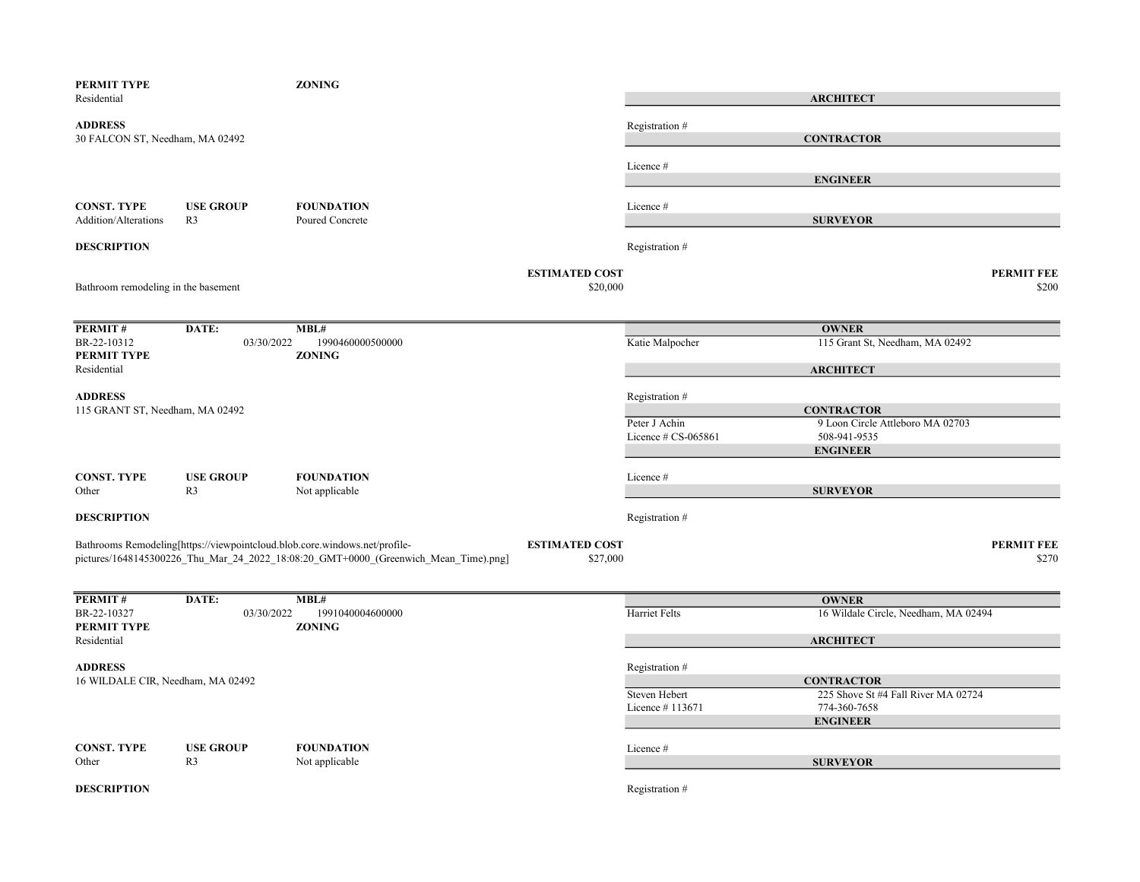| PERMIT TYPE<br>Residential                        |                                    | <b>ZONING</b>                                                                                                                                                     |                                   |                        | <b>ARCHITECT</b>                                         |                            |
|---------------------------------------------------|------------------------------------|-------------------------------------------------------------------------------------------------------------------------------------------------------------------|-----------------------------------|------------------------|----------------------------------------------------------|----------------------------|
| <b>ADDRESS</b><br>30 FALCON ST, Needham, MA 02492 |                                    |                                                                                                                                                                   |                                   | Registration #         | <b>CONTRACTOR</b>                                        |                            |
|                                                   |                                    |                                                                                                                                                                   |                                   | Licence #              |                                                          |                            |
|                                                   |                                    |                                                                                                                                                                   |                                   |                        | <b>ENGINEER</b>                                          |                            |
| <b>CONST. TYPE</b><br>Addition/Alterations        | <b>USE GROUP</b><br>R <sub>3</sub> | <b>FOUNDATION</b><br>Poured Concrete                                                                                                                              |                                   | Licence #              | <b>SURVEYOR</b>                                          |                            |
| <b>DESCRIPTION</b>                                |                                    |                                                                                                                                                                   |                                   | Registration #         |                                                          |                            |
| Bathroom remodeling in the basement               |                                    |                                                                                                                                                                   | <b>ESTIMATED COST</b><br>\$20,000 |                        |                                                          | <b>PERMIT FEE</b><br>\$200 |
| PERMIT#                                           | DATE:                              | MBL#                                                                                                                                                              |                                   |                        | <b>OWNER</b>                                             |                            |
| BR-22-10312<br>PERMIT TYPE                        | 03/30/2022                         | 1990460000500000<br><b>ZONING</b>                                                                                                                                 |                                   | Katie Malpocher        | 115 Grant St, Needham, MA 02492                          |                            |
| Residential                                       |                                    |                                                                                                                                                                   |                                   |                        | <b>ARCHITECT</b>                                         |                            |
| <b>ADDRESS</b>                                    |                                    |                                                                                                                                                                   |                                   | Registration #         |                                                          |                            |
| 115 GRANT ST, Needham, MA 02492                   |                                    |                                                                                                                                                                   |                                   |                        | <b>CONTRACTOR</b>                                        |                            |
|                                                   |                                    |                                                                                                                                                                   |                                   | Peter J Achin          | 9 Loon Circle Attleboro MA 02703                         |                            |
|                                                   |                                    |                                                                                                                                                                   |                                   | Licence $\#$ CS-065861 | 508-941-9535<br><b>ENGINEER</b>                          |                            |
| <b>CONST. TYPE</b>                                | <b>USE GROUP</b>                   | <b>FOUNDATION</b>                                                                                                                                                 |                                   | Licence #              |                                                          |                            |
| Other                                             | R3                                 | Not applicable                                                                                                                                                    |                                   |                        | <b>SURVEYOR</b>                                          |                            |
| <b>DESCRIPTION</b>                                |                                    |                                                                                                                                                                   |                                   | Registration #         |                                                          |                            |
|                                                   |                                    | Bathrooms Remodeling[https://viewpointcloud.blob.core.windows.net/profile-<br>pictures/1648145300226 Thu Mar 24 2022 18:08:20 GMT+0000 (Greenwich Mean Time).png] | <b>ESTIMATED COST</b><br>\$27,000 |                        |                                                          | <b>PERMIT FEE</b><br>\$270 |
| PERMIT#                                           | DATE:                              | MBL#                                                                                                                                                              |                                   |                        | <b>OWNER</b>                                             |                            |
| BR-22-10327<br>PERMIT TYPE                        | 03/30/2022                         | 1991040004600000<br><b>ZONING</b>                                                                                                                                 |                                   | Harriet Felts          | 16 Wildale Circle, Needham, MA 02494                     |                            |
| Residential                                       |                                    |                                                                                                                                                                   |                                   |                        | <b>ARCHITECT</b>                                         |                            |
| <b>ADDRESS</b>                                    |                                    |                                                                                                                                                                   |                                   | Registration #         |                                                          |                            |
| 16 WILDALE CIR, Needham, MA 02492                 |                                    |                                                                                                                                                                   |                                   | Steven Hebert          | <b>CONTRACTOR</b><br>225 Shove St #4 Fall River MA 02724 |                            |
|                                                   |                                    |                                                                                                                                                                   |                                   | Licence #113671        | 774-360-7658                                             |                            |
|                                                   |                                    |                                                                                                                                                                   |                                   |                        | <b>ENGINEER</b>                                          |                            |
| <b>CONST. TYPE</b>                                | <b>USE GROUP</b>                   | <b>FOUNDATION</b>                                                                                                                                                 |                                   | Licence #              |                                                          |                            |
| Other                                             | R <sub>3</sub>                     | Not applicable                                                                                                                                                    |                                   |                        | <b>SURVEYOR</b>                                          |                            |
| <b>DESCRIPTION</b>                                |                                    |                                                                                                                                                                   |                                   | Registration #         |                                                          |                            |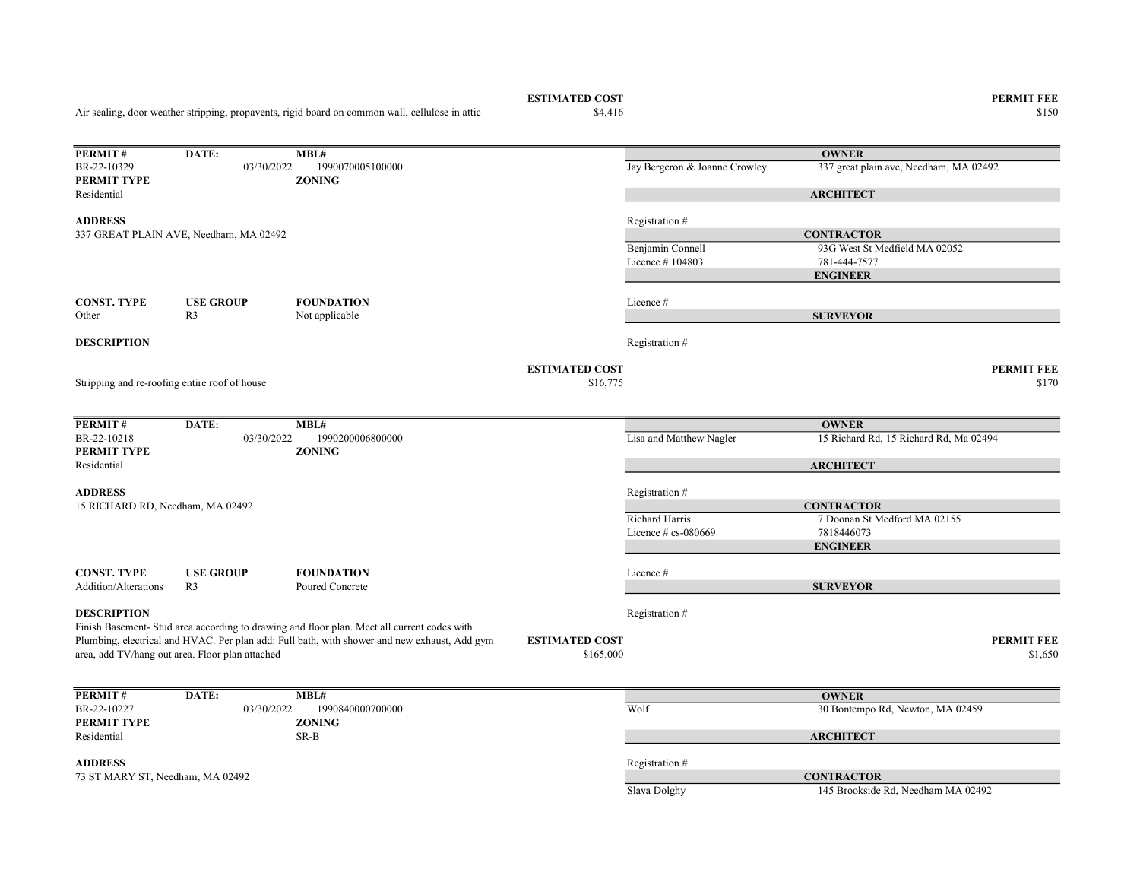Air sealing, door weather stripping, propavents, rigid board on common wall, cellulose in attic

**PERMIT #** DATE: MBL#<br>BR-22-10329 03/30/2022 1990070005100000 03/30/2022 1990070005100000 Jay Bergeron & Joanne Crowley 337 great plain ave, Needham, MA 02492 PERMIT TYPE ZONING Residential ADDRESS Registration # Benjamin Connell 93G West St Medfield MA 02052 Licence # 104803 781-444-7577 CONST. TYPE USE GROUP FOUNDATION Licence # Other R3 Not applicable **DESCRIPTION** Registration  $#$ ESTIMATED COST PERMIT FEE  $$16,775$   $$170$ **PERMIT#** DATE: MBL#<br>BR-22-10218 03/30/2022 1990200006800000 03/30/2022 1990200006800000 Lisa and Matthew Nagler 15 Richard Rd, 15 Richard Rd, Ma 02494 PERMIT TYPE ZONING Residential ADDRESS Registration # Richard Harris 7 Doonan St Medford MA 02155 Licence # cs-080669 7818446073 CONST. TYPE USE GROUP FOUNDATION Licence # Addition/Alterations R3 Poured Concrete **DESCRIPTION** Registration  $#$ ESTIMATED COST PERMIT FEE  $$1,650$   $$1,650$ **PERMIT #** DATE: **MBL#**<br>BR-22-10227 03/30/2022 1990840000700000 1990840000700000 Wolf 30 Bontempo Rd, Newton, MA 02459<br>**ZONING** PERMIT TYPE Residential SR-B **OWNER ARCHITECT CONTRACTOR** ENGINEER SURVEYOR 337 GREAT PLAIN AVE, Needham, MA 02492 Finish Basement- Stud area according to drawing and floor plan. Meet all current codes with Plumbing, electrical and HVAC. Per plan add: Full bath, with shower and new exhaust, Add gym area, add TV/hang out area. Floor plan attached **OWNER ARCHITECT** Stripping and re-roofing entire roof of house **OWNER ARCHITECT CONTRACTOR** ENGINEER SURVEYOR 15 RICHARD RD, Needham, MA 02492

ADDRESS Registration # 73 ST MARY ST, Needham, MA 02492 CONTRACTOR

Slava Dolghy 145 Brookside Rd, Needham MA 02492

 $\$4,416$   $\$150$ 

**ESTIMATED COST PERMIT FEE**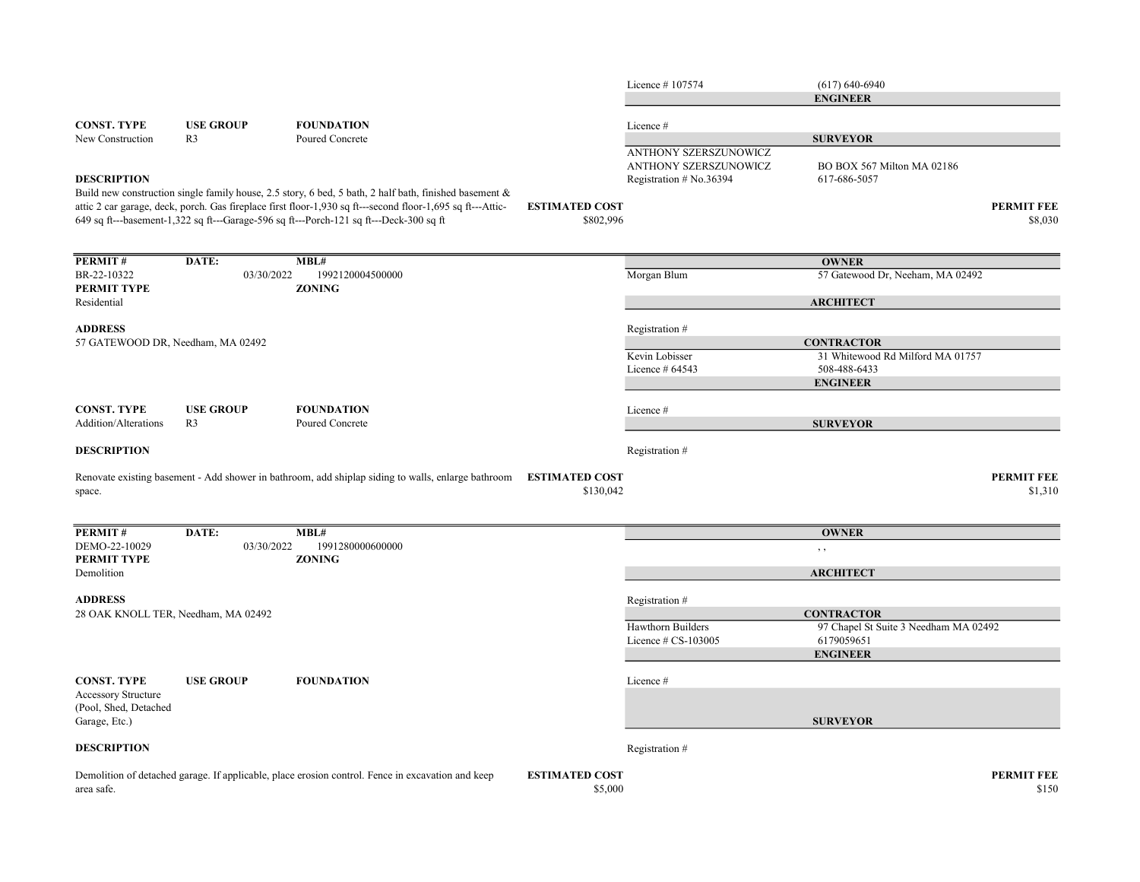|                                     |                  |                                                                                                                                                                                                      |                                    | Licence #107574                    | $(617) 640 - 6940$                    |                              |
|-------------------------------------|------------------|------------------------------------------------------------------------------------------------------------------------------------------------------------------------------------------------------|------------------------------------|------------------------------------|---------------------------------------|------------------------------|
|                                     |                  |                                                                                                                                                                                                      |                                    |                                    | <b>ENGINEER</b>                       |                              |
| <b>CONST. TYPE</b>                  | <b>USE GROUP</b> | <b>FOUNDATION</b>                                                                                                                                                                                    |                                    | Licence #                          |                                       |                              |
| New Construction                    | R <sub>3</sub>   | Poured Concrete                                                                                                                                                                                      |                                    |                                    | <b>SURVEYOR</b>                       |                              |
|                                     |                  |                                                                                                                                                                                                      |                                    | ANTHONY SZERSZUNOWICZ              |                                       |                              |
|                                     |                  |                                                                                                                                                                                                      |                                    | ANTHONY SZERSZUNOWICZ              | BO BOX 567 Milton MA 02186            |                              |
| <b>DESCRIPTION</b>                  |                  |                                                                                                                                                                                                      |                                    | Registration # No.36394            | 617-686-5057                          |                              |
|                                     |                  | Build new construction single family house, 2.5 story, 6 bed, 5 bath, 2 half bath, finished basement &                                                                                               |                                    |                                    |                                       |                              |
|                                     |                  | attic 2 car garage, deck, porch. Gas fireplace first floor-1,930 sq ft---second floor-1,695 sq ft---Attic-<br>649 sq ft---basement-1,322 sq ft---Garage-596 sq ft---Porch-121 sq ft---Deck-300 sq ft | <b>ESTIMATED COST</b><br>\$802,996 |                                    |                                       | <b>PERMIT FEE</b><br>\$8,030 |
|                                     |                  |                                                                                                                                                                                                      |                                    |                                    |                                       |                              |
|                                     |                  |                                                                                                                                                                                                      |                                    |                                    |                                       |                              |
| PERMIT#                             | DATE:            | MBL#                                                                                                                                                                                                 |                                    |                                    | <b>OWNER</b>                          |                              |
| BR-22-10322<br>PERMIT TYPE          | 03/30/2022       | 1992120004500000<br><b>ZONING</b>                                                                                                                                                                    |                                    | Morgan Blum                        | 57 Gatewood Dr, Neeham, MA 02492      |                              |
| Residential                         |                  |                                                                                                                                                                                                      |                                    |                                    | <b>ARCHITECT</b>                      |                              |
|                                     |                  |                                                                                                                                                                                                      |                                    |                                    |                                       |                              |
| <b>ADDRESS</b>                      |                  |                                                                                                                                                                                                      |                                    | Registration #                     |                                       |                              |
| 57 GATEWOOD DR, Needham, MA 02492   |                  |                                                                                                                                                                                                      |                                    |                                    | <b>CONTRACTOR</b>                     |                              |
|                                     |                  |                                                                                                                                                                                                      |                                    | Kevin Lobisser<br>Licence $#64543$ | 31 Whitewood Rd Milford MA 01757      |                              |
|                                     |                  |                                                                                                                                                                                                      |                                    |                                    | 508-488-6433<br><b>ENGINEER</b>       |                              |
|                                     |                  |                                                                                                                                                                                                      |                                    |                                    |                                       |                              |
| <b>CONST. TYPE</b>                  | <b>USE GROUP</b> | <b>FOUNDATION</b>                                                                                                                                                                                    |                                    | Licence#                           |                                       |                              |
| <b>Addition/Alterations</b>         | R <sub>3</sub>   | Poured Concrete                                                                                                                                                                                      |                                    |                                    | <b>SURVEYOR</b>                       |                              |
| <b>DESCRIPTION</b>                  |                  |                                                                                                                                                                                                      |                                    | Registration#                      |                                       |                              |
|                                     |                  |                                                                                                                                                                                                      |                                    |                                    |                                       |                              |
|                                     |                  | Renovate existing basement - Add shower in bathroom, add shiplap siding to walls, enlarge bathroom                                                                                                   | <b>ESTIMATED COST</b>              |                                    |                                       | <b>PERMIT FEE</b>            |
| space.                              |                  |                                                                                                                                                                                                      | \$130,042                          |                                    |                                       | \$1,310                      |
|                                     |                  |                                                                                                                                                                                                      |                                    |                                    |                                       |                              |
| PERMIT#                             | DATE:            | MBL#                                                                                                                                                                                                 |                                    |                                    | <b>OWNER</b>                          |                              |
| DEMO-22-10029                       | 03/30/2022       | 1991280000600000                                                                                                                                                                                     |                                    |                                    | , ,                                   |                              |
| PERMIT TYPE                         |                  | <b>ZONING</b>                                                                                                                                                                                        |                                    |                                    |                                       |                              |
| Demolition                          |                  |                                                                                                                                                                                                      |                                    |                                    | <b>ARCHITECT</b>                      |                              |
| <b>ADDRESS</b>                      |                  |                                                                                                                                                                                                      |                                    | Registration #                     |                                       |                              |
| 28 OAK KNOLL TER, Needham, MA 02492 |                  |                                                                                                                                                                                                      |                                    |                                    | <b>CONTRACTOR</b>                     |                              |
|                                     |                  |                                                                                                                                                                                                      |                                    | Hawthorn Builders                  | 97 Chapel St Suite 3 Needham MA 02492 |                              |
|                                     |                  |                                                                                                                                                                                                      |                                    | Licence $# CS-103005$              | 6179059651                            |                              |
|                                     |                  |                                                                                                                                                                                                      |                                    |                                    | <b>ENGINEER</b>                       |                              |
| <b>CONST. TYPE</b>                  | <b>USE GROUP</b> | <b>FOUNDATION</b>                                                                                                                                                                                    |                                    | Licence #                          |                                       |                              |
| <b>Accessory Structure</b>          |                  |                                                                                                                                                                                                      |                                    |                                    |                                       |                              |
| (Pool, Shed, Detached               |                  |                                                                                                                                                                                                      |                                    |                                    |                                       |                              |
| Garage, Etc.)                       |                  |                                                                                                                                                                                                      |                                    |                                    | <b>SURVEYOR</b>                       |                              |
| <b>DESCRIPTION</b>                  |                  |                                                                                                                                                                                                      |                                    | Registration #                     |                                       |                              |
|                                     |                  |                                                                                                                                                                                                      |                                    |                                    |                                       |                              |
|                                     |                  | Demolition of detached garage. If applicable, place erosion control. Fence in excavation and keep                                                                                                    | <b>ESTIMATED COST</b>              |                                    |                                       | <b>PERMIT FEE</b>            |
| area safe.                          |                  |                                                                                                                                                                                                      | \$5,000                            |                                    |                                       | \$150                        |
|                                     |                  |                                                                                                                                                                                                      |                                    |                                    |                                       |                              |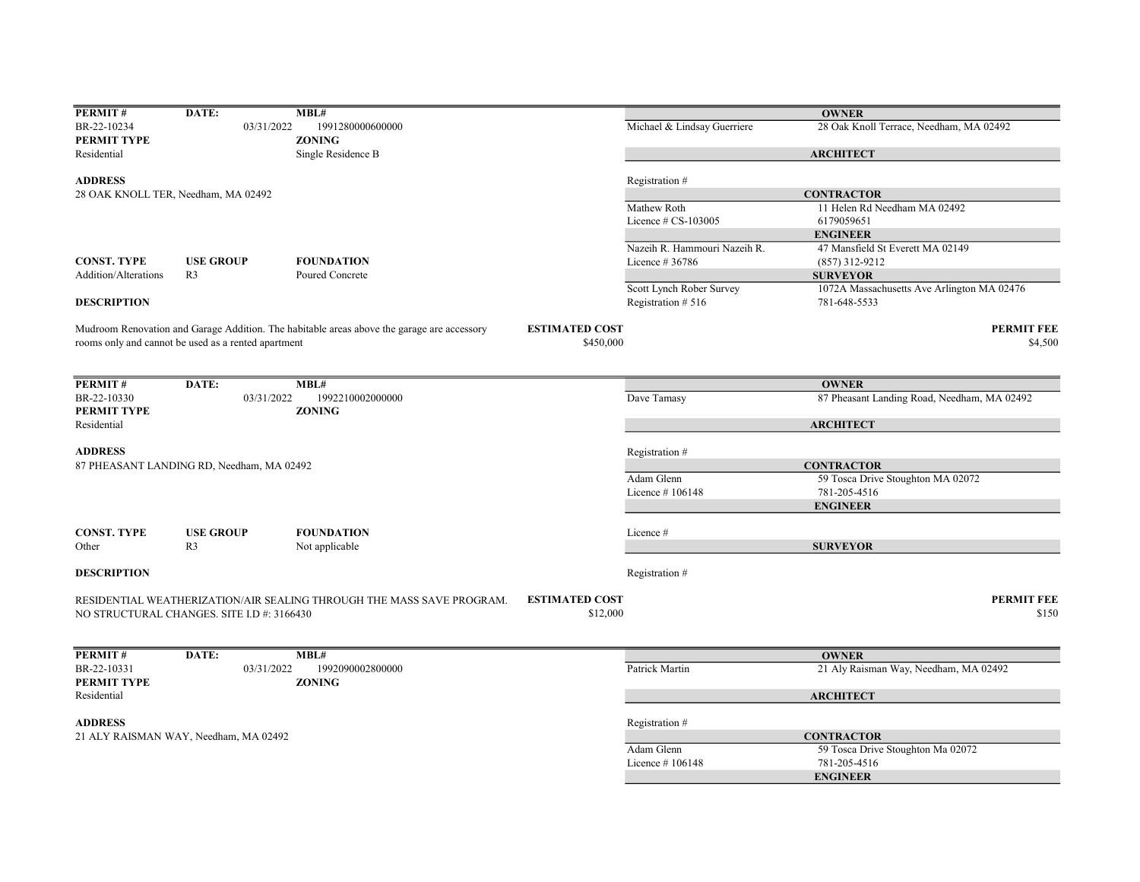| PERMIT#                    | DATE:                                               | MBL#                                                                                       |                                   |                              | <b>OWNER</b>                                |
|----------------------------|-----------------------------------------------------|--------------------------------------------------------------------------------------------|-----------------------------------|------------------------------|---------------------------------------------|
| BR-22-10234                | 03/31/2022                                          | 1991280000600000                                                                           |                                   | Michael & Lindsay Guerriere  | 28 Oak Knoll Terrace, Needham, MA 02492     |
| PERMIT TYPE                |                                                     | <b>ZONING</b>                                                                              |                                   |                              |                                             |
| Residential                |                                                     | Single Residence B                                                                         |                                   |                              | <b>ARCHITECT</b>                            |
| <b>ADDRESS</b>             |                                                     |                                                                                            |                                   | Registration #               |                                             |
|                            |                                                     |                                                                                            |                                   |                              | <b>CONTRACTOR</b>                           |
|                            | 28 OAK KNOLL TER, Needham, MA 02492                 |                                                                                            |                                   |                              |                                             |
|                            |                                                     |                                                                                            |                                   | Mathew Roth                  | 11 Helen Rd Needham MA 02492                |
|                            |                                                     |                                                                                            |                                   | Licence $# CS-103005$        | 6179059651                                  |
|                            |                                                     |                                                                                            |                                   |                              | <b>ENGINEER</b>                             |
|                            |                                                     |                                                                                            |                                   | Nazeih R. Hammouri Nazeih R. | 47 Mansfield St Everett MA 02149            |
| <b>CONST. TYPE</b>         | <b>USE GROUP</b>                                    | <b>FOUNDATION</b>                                                                          |                                   | Licence $#36786$             | $(857)$ 312-9212                            |
| Addition/Alterations       | R <sub>3</sub>                                      | Poured Concrete                                                                            |                                   |                              | <b>SURVEYOR</b>                             |
|                            |                                                     |                                                                                            |                                   | Scott Lynch Rober Survey     | 1072A Massachusetts Ave Arlington MA 02476  |
| <b>DESCRIPTION</b>         |                                                     |                                                                                            |                                   | Registration #516            | 781-648-5533                                |
|                            |                                                     | Mudroom Renovation and Garage Addition. The habitable areas above the garage are accessory | <b>ESTIMATED COST</b>             |                              | <b>PERMIT FEE</b>                           |
|                            | rooms only and cannot be used as a rented apartment |                                                                                            | \$450,000                         |                              | \$4,500                                     |
|                            |                                                     |                                                                                            |                                   |                              |                                             |
|                            |                                                     |                                                                                            |                                   |                              |                                             |
| <b>PERMIT#</b>             | DATE:                                               | MBL#                                                                                       |                                   |                              | <b>OWNER</b>                                |
| BR-22-10330<br>PERMIT TYPE | 03/31/2022                                          | 1992210002000000<br><b>ZONING</b>                                                          |                                   | Dave Tamasy                  | 87 Pheasant Landing Road, Needham, MA 02492 |
| Residential                |                                                     |                                                                                            |                                   |                              | <b>ARCHITECT</b>                            |
|                            |                                                     |                                                                                            |                                   |                              |                                             |
| <b>ADDRESS</b>             |                                                     |                                                                                            |                                   | Registration #               |                                             |
|                            | 87 PHEASANT LANDING RD, Needham, MA 02492           |                                                                                            |                                   |                              | <b>CONTRACTOR</b>                           |
|                            |                                                     |                                                                                            |                                   | Adam Glenn                   | 59 Tosca Drive Stoughton MA 02072           |
|                            |                                                     |                                                                                            |                                   | Licence #106148              | 781-205-4516                                |
|                            |                                                     |                                                                                            |                                   |                              | <b>ENGINEER</b>                             |
| <b>CONST. TYPE</b>         | <b>USE GROUP</b>                                    | <b>FOUNDATION</b>                                                                          |                                   | Licence #                    |                                             |
| Other                      | R <sub>3</sub>                                      | Not applicable                                                                             |                                   |                              | <b>SURVEYOR</b>                             |
| <b>DESCRIPTION</b>         |                                                     |                                                                                            |                                   | Registration #               |                                             |
|                            |                                                     |                                                                                            |                                   |                              |                                             |
|                            | NO STRUCTURAL CHANGES. SITE I.D #: 3166430          | RESIDENTIAL WEATHERIZATION/AIR SEALING THROUGH THE MASS SAVE PROGRAM.                      | <b>ESTIMATED COST</b><br>\$12,000 |                              | <b>PERMIT FEE</b><br>\$150                  |
|                            |                                                     |                                                                                            |                                   |                              |                                             |
| PERMIT#                    | DATE:                                               | MBL#                                                                                       |                                   |                              | <b>OWNER</b>                                |
| BR-22-10331                | 03/31/2022                                          | 1992090002800000                                                                           |                                   | Patrick Martin               | 21 Aly Raisman Way, Needham, MA 02492       |
| PERMIT TYPE                |                                                     | <b>ZONING</b>                                                                              |                                   |                              |                                             |
| Residential                |                                                     |                                                                                            |                                   |                              | <b>ARCHITECT</b>                            |
|                            |                                                     |                                                                                            |                                   |                              |                                             |
| <b>ADDRESS</b>             |                                                     |                                                                                            |                                   | Registration #               |                                             |
|                            | 21 ALY RAISMAN WAY, Needham, MA 02492               |                                                                                            |                                   |                              | <b>CONTRACTOR</b>                           |
|                            |                                                     |                                                                                            |                                   | Adam Glenn                   | 59 Tosca Drive Stoughton Ma 02072           |
|                            |                                                     |                                                                                            |                                   | Licence $#106148$            | 781-205-4516                                |
|                            |                                                     |                                                                                            |                                   |                              | <b>ENGINEER</b>                             |